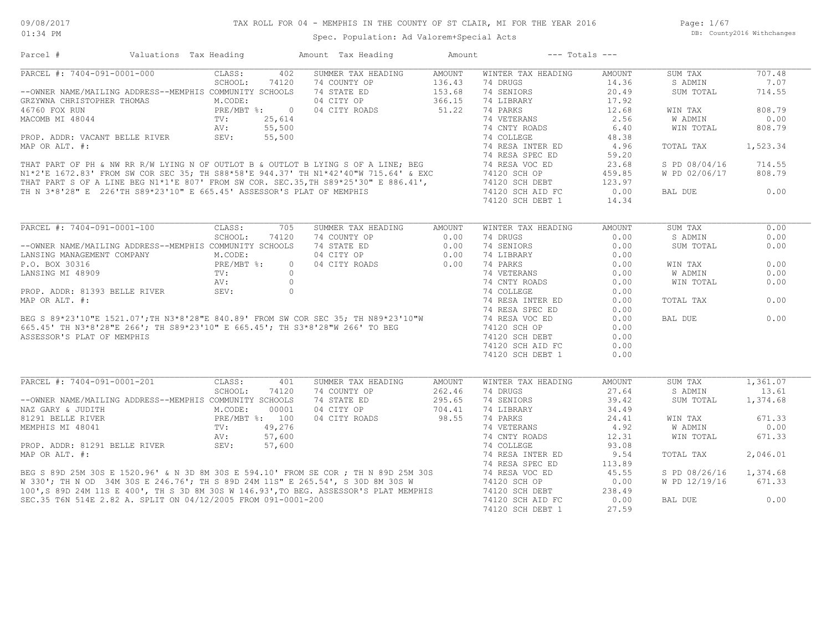Page: 1/67 DB: County2016 Withchanges

## Spec. Population: Ad Valorem+Special Acts

| Parcel #                                                                                                                                                                                                                               | Valuations Tax Heading                                      |         |        | Amount Tax Heading                       | Amount | $---$ Totals $---$           |               |                |          |
|----------------------------------------------------------------------------------------------------------------------------------------------------------------------------------------------------------------------------------------|-------------------------------------------------------------|---------|--------|------------------------------------------|--------|------------------------------|---------------|----------------|----------|
| PARCEL #: 7404-091-0001-000                                                                                                                                                                                                            |                                                             | CLASS:  | 402    | SUMMER TAX HEADING                       | AMOUNT | WINTER TAX HEADING           | AMOUNT        | SUM TAX        | 707.48   |
|                                                                                                                                                                                                                                        |                                                             | SCHOOL: | 74120  | 74 COUNTY OP                             | 136.43 | 74 DRUGS                     | 14.36         | S ADMIN        | 7.07     |
| --OWNER NAME/MAILING ADDRESS--MEMPHIS COMMUNITY SCHOOLS                                                                                                                                                                                |                                                             |         |        | 74 STATE ED                              | 153.68 | 74 SENIORS                   | 20.49         | SUM TOTAL      | 714.55   |
| CREAM A CHRISTOPHER THOMAS<br>GRAVINA CHRISTOPHER THOMAS<br>THE M.CODE:<br>PRE/MBT $\frac{8}{10}$ :<br>MACOMB MI 48044<br>TV:<br>25,614<br>NV: 55,500<br>PROP. ADDR: VACANT BELLE RIVER<br>SEV: 55,500                                 |                                                             |         |        |                                          |        | 74 LIBRARY                   | 17.92         |                |          |
|                                                                                                                                                                                                                                        |                                                             |         |        | 04 CITY OP 366.15<br>04 CITY ROADS 51.22 |        |                              | 12.68         | WIN TAX        | 808.79   |
|                                                                                                                                                                                                                                        |                                                             |         |        |                                          |        |                              | 2.56          | W ADMIN        | 0.00     |
|                                                                                                                                                                                                                                        |                                                             |         |        |                                          |        |                              | 6.40          | WIN TOTAL      | 808.79   |
|                                                                                                                                                                                                                                        |                                                             |         |        |                                          |        |                              | 48.38         |                |          |
|                                                                                                                                                                                                                                        |                                                             |         |        |                                          |        |                              | 4.96          | TOTAL TAX      | 1,523.34 |
|                                                                                                                                                                                                                                        |                                                             |         |        |                                          |        |                              | 59.20         |                |          |
|                                                                                                                                                                                                                                        |                                                             |         |        |                                          |        |                              | 23.68         | S PD 08/04/16  | 714.55   |
|                                                                                                                                                                                                                                        |                                                             |         |        |                                          |        |                              | 459.85        | W PD 02/06/17  | 808.79   |
|                                                                                                                                                                                                                                        |                                                             |         |        |                                          |        |                              |               |                |          |
|                                                                                                                                                                                                                                        |                                                             |         |        |                                          |        |                              | 123.97        |                |          |
|                                                                                                                                                                                                                                        |                                                             |         |        |                                          |        |                              | 0.00          | BAL DUE        | 0.00     |
|                                                                                                                                                                                                                                        |                                                             |         |        |                                          |        |                              | 14.34         |                |          |
| MAP OR ALT. #:<br>MAP OR ALT. #:<br>THAT PART OF PH & NW RR R/W LYING N OF OUTLOT B & OUTLOT B LYING S OF A LINE; BEG<br>THAT PART OF PH & NW RR R/W LYING N OF OUTLOT B & OUTLOT B LYING S OF A LINE; BEG<br>THAT PART SOF A LINE BE  |                                                             |         |        |                                          |        |                              |               |                |          |
|                                                                                                                                                                                                                                        |                                                             |         |        |                                          |        |                              | <b>AMOUNT</b> | SUM TAX        | 0.00     |
|                                                                                                                                                                                                                                        |                                                             | SCHOOL: | 74120  | 74 COUNTY OP                             | 0.00   | 74 DRUGS                     | 0.00          | S ADMIN        | 0.00     |
|                                                                                                                                                                                                                                        |                                                             |         |        |                                          |        | 74 SENIORS                   | 0.00          | SUM TOTAL      | 0.00     |
|                                                                                                                                                                                                                                        |                                                             |         |        |                                          |        | 74 LIBRARY                   | 0.00          |                |          |
|                                                                                                                                                                                                                                        |                                                             |         |        |                                          |        | 74 PARKS                     | 0.00          | WIN TAX        | 0.00     |
|                                                                                                                                                                                                                                        |                                                             |         |        |                                          |        | 74 VETERANS<br>74 CNTY ROADS | 0.00          | <b>W ADMIN</b> | 0.00     |
|                                                                                                                                                                                                                                        |                                                             |         |        |                                          |        |                              | 0.00          | WIN TOTAL      | 0.00     |
|                                                                                                                                                                                                                                        |                                                             |         |        |                                          |        | 74 COLLEGE                   | 0.00          |                |          |
|                                                                                                                                                                                                                                        |                                                             |         |        |                                          |        | 74 RESA INTER ED             | 0.00          | TOTAL TAX      | 0.00     |
|                                                                                                                                                                                                                                        |                                                             |         |        |                                          |        | 74 RESA SPEC ED              | 0.00          |                |          |
|                                                                                                                                                                                                                                        |                                                             |         |        |                                          |        | 74 RESA VOC ED               | 0.00          | BAL DUE        | 0.00     |
|                                                                                                                                                                                                                                        |                                                             |         |        |                                          |        | 74120 SCH OP                 | 0.00          |                |          |
|                                                                                                                                                                                                                                        |                                                             |         |        |                                          |        | 74120 SCH DEBT               | 0.00          |                |          |
|                                                                                                                                                                                                                                        |                                                             |         |        |                                          |        | 74120 SCH AID FC             | 0.00          |                |          |
|                                                                                                                                                                                                                                        |                                                             |         |        |                                          |        | 74120 SCH DEBT 1             | 0.00          |                |          |
|                                                                                                                                                                                                                                        |                                                             |         |        |                                          |        |                              |               |                |          |
| PARCEL #: 7404-091-0001-201                                                                                                                                                                                                            |                                                             | CLASS:  | 401    | SUMMER TAX HEADING                       | AMOUNT | WINTER TAX HEADING           | <b>AMOUNT</b> | SUM TAX        | 1,361.07 |
|                                                                                                                                                                                                                                        |                                                             | SCHOOL: | 74120  | 74 COUNTY OP                             | 262.46 | 74 DRUGS                     | 27.64         | S ADMIN        | 13.61    |
| --OWNER NAME/MAILING ADDRESS--MEMPHIS COMMUNITY SCHOOLS                                                                                                                                                                                |                                                             |         |        | 74 STATE ED                              | 295.65 | 74 SENIORS                   | 39.42         | SUM TOTAL      | 1,374.68 |
| NAZ GARY & JUDITH                                                                                                                                                                                                                      |                                                             |         |        | 04 CITY OP                               | 704.41 | 74 LIBRARY                   | 34.49         |                |          |
| 81291 BELLE RIVER                                                                                                                                                                                                                      | M.CODE: 00001<br>PRE/MBT %: 100<br>TV: 49,276<br>AV: 57.600 |         |        | 04 CITY ROADS                            | 98.55  | 74 PARKS                     | 24.41         | WIN TAX        | 671.33   |
| MEMPHIS MI 48041                                                                                                                                                                                                                       |                                                             |         |        |                                          |        | 74 VETERANS                  | 4.92          | W ADMIN        | 0.00     |
|                                                                                                                                                                                                                                        |                                                             | AV:     | 57,600 |                                          |        | 74 CNTY ROADS                | 12.31         | WIN TOTAL      | 671.33   |
| AV:<br>PROP. ADDR: 81291 BELLE RIVER SEV:                                                                                                                                                                                              |                                                             |         | 57,600 |                                          |        | 74 COLLEGE                   | 93.08         |                |          |
|                                                                                                                                                                                                                                        |                                                             |         |        |                                          |        |                              |               |                |          |
|                                                                                                                                                                                                                                        |                                                             |         |        |                                          |        | 74 RESA INTER ED             | 9.54          | TOTAL TAX      | 2,046.01 |
|                                                                                                                                                                                                                                        |                                                             |         |        |                                          |        | 74 RESA SPEC ED              | 113.89        |                |          |
|                                                                                                                                                                                                                                        |                                                             |         |        |                                          |        |                              | 45.55         | S PD 08/26/16  | 1,374.68 |
| PROP. ADDR: 81291 BELLE RIVER<br>MAP OR ALT. #:<br>BEG S 89D 25M 30S E 1520.96' & N 3D 8M 30S E 594.10' FROM SE COR ; TH N 89D 25M 30S<br>W 330'; TH N 89D 25M 30S W 74 RESA SPEC ED<br>W 330'; THE N OD 34M 30S E 246.76'; TH S 89D 2 |                                                             |         |        |                                          |        | 74120 SCH OP                 | 0.00          | W PD 12/19/16  | 671.33   |
|                                                                                                                                                                                                                                        |                                                             |         |        |                                          |        | 74120 SCH DEBT               | 238.49        |                |          |
| SEC.35 T6N 514E 2.82 A. SPLIT ON 04/12/2005 FROM 091-0001-200                                                                                                                                                                          |                                                             |         |        |                                          |        | 74120 SCH AID FC             | 0.00          | BAL DUE        | 0.00     |
|                                                                                                                                                                                                                                        |                                                             |         |        |                                          |        | 74120 SCH DEBT 1             | 27.59         |                |          |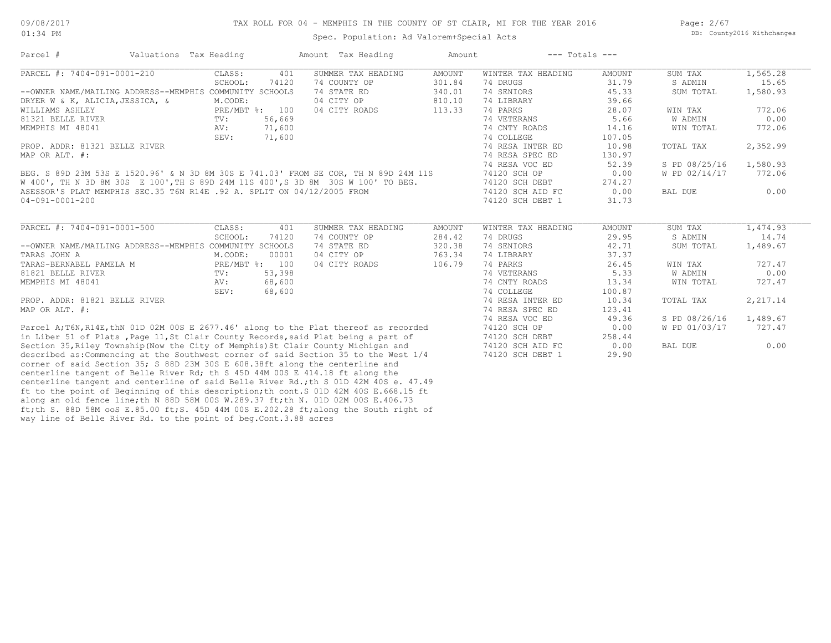Page: 2/67 DB: County2016 Withchanges

| Parcel #                                                                             | Valuations Tax Heading |                | Amount Tax Heading | Amount        | $---$ Totals $---$ |               |               |          |
|--------------------------------------------------------------------------------------|------------------------|----------------|--------------------|---------------|--------------------|---------------|---------------|----------|
| PARCEL #: 7404-091-0001-210                                                          | CLASS:                 | 401            | SUMMER TAX HEADING | <b>AMOUNT</b> | WINTER TAX HEADING | <b>AMOUNT</b> | SUM TAX       | 1,565.28 |
|                                                                                      | SCHOOL:                | 74120          | 74 COUNTY OP       | 301.84        | 74 DRUGS           | 31.79         | S ADMIN       | 15.65    |
| --OWNER NAME/MAILING ADDRESS--MEMPHIS COMMUNITY SCHOOLS                              |                        |                | 74 STATE ED        | 340.01        | 74 SENIORS         | 45.33         | SUM TOTAL     | 1,580.93 |
| DRYER W & K, ALICIA, JESSICA, &                                                      | M.CODE:                |                | 04 CITY OP         | 810.10        | 74 LIBRARY         | 39.66         |               |          |
| WILLIAMS ASHLEY                                                                      |                        | PRE/MBT %: 100 | 04 CITY ROADS      | 113.33        | 74 PARKS           | 28.07         | WIN TAX       | 772.06   |
| 81321 BELLE RIVER                                                                    | $\text{TV}$ :          | 56,669         |                    |               | 74 VETERANS        | 5.66          | W ADMIN       | 0.00     |
| MEMPHIS MI 48041                                                                     | AV:                    | 71,600         |                    |               | 74 CNTY ROADS      | 14.16         | WIN TOTAL     | 772.06   |
|                                                                                      | SEV:                   | 71,600         |                    |               | 74 COLLEGE         | 107.05        |               |          |
| PROP. ADDR: 81321 BELLE RIVER                                                        |                        |                |                    |               | 74 RESA INTER ED   | 10.98         | TOTAL TAX     | 2,352.99 |
| MAP OR ALT. #:                                                                       |                        |                |                    |               | 74 RESA SPEC ED    | 130.97        |               |          |
|                                                                                      |                        |                |                    |               | 74 RESA VOC ED     | 52.39         | S PD 08/25/16 | 1,580.93 |
| BEG. S 89D 23M 53S E 1520.96' & N 3D 8M 30S E 741.03' FROM SE COR, TH N 89D 24M 11S  |                        |                |                    |               | 74120 SCH OP       | 0.00          | W PD 02/14/17 | 772.06   |
| W 400', TH N 3D 8M 30S E 100', TH S 89D 24M 11S 400', S 3D 8M 30S W 100' TO BEG.     |                        |                |                    |               | 74120 SCH DEBT     | 274.27        |               |          |
| ASESSOR'S PLAT MEMPHIS SEC.35 T6N R14E .92 A. SPLIT ON 04/12/2005 FROM               |                        |                |                    |               | 74120 SCH AID FC   | 0.00          | BAL DUE       | 0.00     |
| 04-091-0001-200                                                                      |                        |                |                    |               | 74120 SCH DEBT 1   | 31.73         |               |          |
|                                                                                      |                        |                |                    |               |                    |               |               |          |
| PARCEL #: 7404-091-0001-500                                                          | CLASS:                 | 401            | SUMMER TAX HEADING | <b>AMOUNT</b> | WINTER TAX HEADING | AMOUNT        | SUM TAX       | 1,474.93 |
|                                                                                      | SCHOOL:                | 74120          | 74 COUNTY OP       | 284.42        | 74 DRUGS           | 29.95         | S ADMIN       | 14.74    |
| --OWNER NAME/MAILING ADDRESS--MEMPHIS COMMUNITY SCHOOLS                              |                        |                | 74 STATE ED        | 320.38        | 74 SENIORS         | 42.71         | SUM TOTAL     | 1,489.67 |
| TARAS JOHN A                                                                         | M.CODE:                | 00001          | 04 CITY OP         | 763.34        | 74 LIBRARY         | 37.37         |               |          |
| TARAS-BERNABEL PAMELA M                                                              |                        | PRE/MBT %: 100 | 04 CITY ROADS      | 106.79        | 74 PARKS           | 26.45         | WIN TAX       | 727.47   |
| 81821 BELLE RIVER                                                                    | TV:                    | 53,398         |                    |               | 74 VETERANS        | 5.33          | W ADMIN       | 0.00     |
| MEMPHIS MI 48041                                                                     | AV:                    | 68,600         |                    |               | 74 CNTY ROADS      | 13.34         | WIN TOTAL     | 727.47   |
|                                                                                      | SEV:                   | 68,600         |                    |               | 74 COLLEGE         | 100.87        |               |          |
| PROP. ADDR: 81821 BELLE RIVER                                                        |                        |                |                    |               | 74 RESA INTER ED   | 10.34         | TOTAL TAX     | 2,217.14 |
| MAP OR ALT. #:                                                                       |                        |                |                    |               | 74 RESA SPEC ED    | 123.41        |               |          |
|                                                                                      |                        |                |                    |               | 74 RESA VOC ED     | 49.36         | S PD 08/26/16 | 1,489.67 |
| Parcel A;T6N, R14E, thN 01D 02M 00S E 2677.46' along to the Plat thereof as recorded |                        |                |                    |               | 74120 SCH OP       | 0.00          | W PD 01/03/17 | 727.47   |
| in Liber 51 of Plats, Page 11, St Clair County Records, said Plat being a part of    |                        |                |                    |               | 74120 SCH DEBT     | 258.44        |               |          |
| Section 35, Riley Township (Now the City of Memphis) St Clair County Michigan and    |                        |                |                    |               | 74120 SCH AID FC   | 0.00          | BAL DUE       | 0.00     |
| described as: Commencing at the Southwest corner of said Section 35 to the West 1/4  |                        |                |                    |               | 74120 SCH DEBT 1   | 29.90         |               |          |
| corner of said Section 35; S 88D 23M 30S E 608.38ft along the centerline and         |                        |                |                    |               |                    |               |               |          |
| centerline tangent of Belle River Rd; th S 45D 44M 00S E 414.18 ft along the         |                        |                |                    |               |                    |               |               |          |
| centerline tangent and centerline of said Belle River Rd.; th S 01D 42M 40S e. 47.49 |                        |                |                    |               |                    |               |               |          |

way line of Belle River Rd. to the point of beg.Cont.3.88 acres ft;th S. 88D 58M ooS E.85.00 ft;S. 45D 44M 00S E.202.28 ft;along the South right of along an old fence line;th N 88D 58M 00S W.289.37 ft;th N. 01D 02M 00S E.406.73 ft to the point of Beginning of this description;th cont.S 01D 42M 40S E.668.15 ft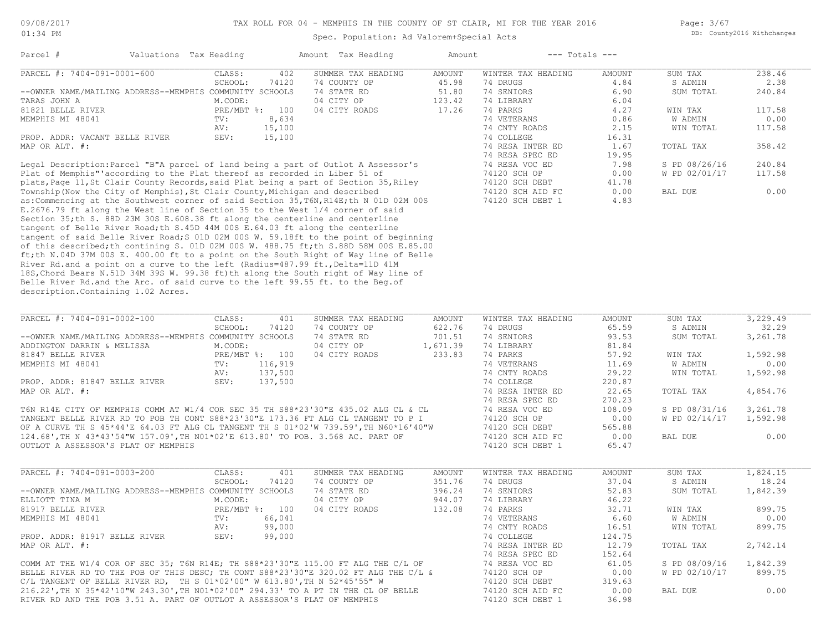#### TAX ROLL FOR 04 - MEMPHIS IN THE COUNTY OF ST CLAIR, MI FOR THE YEAR 2016

Spec. Population: Ad Valorem+Special Acts

Page: 3/67 DB: County2016 Withchanges

| Parcel #                                                                  | Valuations Tax Heading |              |        | Amount Tax Heading                                                                | Amount |                    | $---$ Totals $---$ |               |        |
|---------------------------------------------------------------------------|------------------------|--------------|--------|-----------------------------------------------------------------------------------|--------|--------------------|--------------------|---------------|--------|
| PARCEL #: 7404-091-0001-600                                               |                        | CLASS:       | 402    | SUMMER TAX HEADING                                                                | AMOUNT | WINTER TAX HEADING | AMOUNT             | SUM TAX       | 238.46 |
|                                                                           |                        | SCHOOL:      | 74120  | 74 COUNTY OP                                                                      | 45.98  | 74 DRUGS           | 4.84               | S ADMIN       | 2.38   |
| --OWNER NAME/MAILING ADDRESS--MEMPHIS COMMUNITY SCHOOLS                   |                        |              |        | 74 STATE ED                                                                       | 51.80  | 74 SENIORS         | 6.90               | SUM TOTAL     | 240.84 |
| TARAS JOHN A                                                              |                        | M.CODE:      |        | 04 CITY OP                                                                        | 123.42 | 74 LIBRARY         | 6.04               |               |        |
| 81821 BELLE RIVER                                                         |                        | $PRE/MBT$ %: | 100    | 04 CITY ROADS                                                                     | 17.26  | 74 PARKS           | 4.27               | WIN TAX       | 117.58 |
| MEMPHIS MI 48041                                                          |                        | TV:          | 8,634  |                                                                                   |        | 74 VETERANS        | 0.86               | W ADMIN       | 0.00   |
|                                                                           |                        | AV:          | 15,100 |                                                                                   |        | 74 CNTY ROADS      | 2.15               | WIN TOTAL     | 117.58 |
| PROP. ADDR: VACANT BELLE RIVER                                            |                        | SEV:         | 15,100 |                                                                                   |        | 74 COLLEGE         | 16.31              |               |        |
| MAP OR ALT. #:                                                            |                        |              |        |                                                                                   |        | 74 RESA INTER ED   | 1.67               | TOTAL TAX     | 358.42 |
|                                                                           |                        |              |        |                                                                                   |        | 74 RESA SPEC ED    | 19.95              |               |        |
|                                                                           |                        |              |        | Legal Description: Parcel "B"A parcel of land being a part of Outlot A Assessor's |        | 74 RESA VOC ED     | 7.98               | S PD 08/26/16 | 240.84 |
| Plat of Memphis" according to the Plat thereof as recorded in Liber 51 of |                        |              |        |                                                                                   |        | 74120 SCH OP       | 0.00               | W PD 02/01/17 | 117.58 |
|                                                                           |                        |              |        |                                                                                   |        |                    |                    |               |        |

description.Containing 1.02 Acres. Belle River Rd.and the Arc. of said curve to the left 99.55 ft. to the Beg.of 18S,Chord Bears N.51D 34M 39S W. 99.38 ft)th along the South right of Way line of River Rd.and a point on a curve to the left (Radius=487.99 ft., Delta=11D 41M ft;th N.04D 37M 00S E. 400.00 ft to a point on the South Right of Way line of Belle of this described;th contining S. 01D 02M 00S W. 488.75 ft;th S.88D 58M 00S E.85.00 tangent of said Belle River Road;S 01D 02M 00S W. 59.18ft to the point of beginning tangent of Belle River Road;th S.45D 44M 00S E.64.03 ft along the centerline Section 35;th S. 88D 23M 30S E.608.38 ft along the centerline and centerline E.2676.79 ft along the West line of Section 35 to the West 1/4 corner of said as:Commencing at the Southwest corner of said Section 35,T6N,R14E;th N 01D 02M 00S 74120 SCH DEBT 1 4.83 Township(Now the City of Memphis),St Clair County,Michigan and described 74120 SCH AID FC 0.00 BAL DUE 0.00 plats,Page 11,St Clair County Records,said Plat being a part of Section 35,Riley 74120 SCH DEBT 41.78

| PARCEL #: 7404-091-0002-100                                                          | CLASS:  | 401            | SUMMER TAX HEADING | AMOUNT   | WINTER TAX HEADING | AMOUNT | SUM TAX       | 3,229.49 |
|--------------------------------------------------------------------------------------|---------|----------------|--------------------|----------|--------------------|--------|---------------|----------|
|                                                                                      | SCHOOL: | 74120          | 74 COUNTY OP       | 622.76   | 74 DRUGS           | 65.59  | S ADMIN       | 32.29    |
| --OWNER NAME/MAILING ADDRESS--MEMPHIS COMMUNITY SCHOOLS                              |         |                | 74 STATE ED        | 701.51   | 74 SENIORS         | 93.53  | SUM TOTAL     | 3,261.78 |
| ADDINGTON DARRIN & MELISSA                                                           | M.CODE: |                | 04 CITY OP         | 1,671.39 | 74 LIBRARY         | 81.84  |               |          |
| 81847 BELLE RIVER                                                                    |         | PRE/MBT %: 100 | 04 CITY ROADS      | 233.83   | 74 PARKS           | 57.92  | WIN TAX       | 1,592.98 |
| MEMPHIS MI 48041                                                                     | TV:     | 116,919        |                    |          | 74 VETERANS        | 11.69  | W ADMIN       | 0.00     |
|                                                                                      | AV:     | 137,500        |                    |          | 74 CNTY ROADS      | 29.22  | WIN TOTAL     | 1,592.98 |
| PROP. ADDR: 81847 BELLE RIVER                                                        | SEV:    | 137,500        |                    |          | 74 COLLEGE         | 220.87 |               |          |
| MAP OR ALT. #:                                                                       |         |                |                    |          | 74 RESA INTER ED   | 22.65  | TOTAL TAX     | 4,854.76 |
|                                                                                      |         |                |                    |          | 74 RESA SPEC ED    | 270.23 |               |          |
| T6N R14E CITY OF MEMPHIS COMM AT W1/4 COR SEC 35 TH S88*23'30"E 435.02 ALG CL & CL   |         |                |                    |          | 74 RESA VOC ED     | 108.09 | S PD 08/31/16 | 3,261.78 |
| TANGENT BELLE RIVER RD TO POB TH CONT S88*23'30"E 173.36 FT ALG CL TANGENT TO P I    |         |                |                    |          | 74120 SCH OP       | 0.00   | W PD 02/14/17 | 1,592.98 |
| OF A CURVE TH S 45*44'E 64.03 FT ALG CL TANGENT TH S 01*02'W 739.59', TH N60*16'40"W |         |                |                    |          | 74120 SCH DEBT     | 565.88 |               |          |
|                                                                                      |         |                |                    |          |                    |        |               |          |

OUTLOT A ASSESSOR'S PLAT OF MEMPHIS 74120 SCH DEBT 1 65.47 124.68',TH N 43\*43'54"W 157.09',TH N01\*02'E 613.80' TO POB. 3.568 AC. PART OF 74120 SCH AID FC 0.00 BAL DUE 0.00

| PARCEL #: 7404-091-0003-200                                                         | CLASS:  | 401            | SUMMER TAX HEADING | AMOUNT | WINTER TAX HEADING | AMOUNT | SUM TAX       | 1,824.15 |
|-------------------------------------------------------------------------------------|---------|----------------|--------------------|--------|--------------------|--------|---------------|----------|
|                                                                                     | SCHOOL: | 74120          | 74 COUNTY OP       | 351.76 | 74 DRUGS           | 37.04  | S ADMIN       | 18.24    |
| --OWNER NAME/MAILING ADDRESS--MEMPHIS COMMUNITY SCHOOLS                             |         |                | 74 STATE ED        | 396.24 | 74 SENTORS         | 52.83  | SUM TOTAL     | 1,842.39 |
| ELLIOTT TINA M                                                                      | M.CODE: |                | 04 CITY OP         | 944.07 | 74 LIBRARY         | 46.22  |               |          |
| 81917 BELLE RIVER                                                                   |         | PRE/MBT %: 100 | 04 CITY ROADS      | 132.08 | 74 PARKS           | 32.71  | WIN TAX       | 899.75   |
| MEMPHIS MI 48041                                                                    | TV:     | 66,041         |                    |        | 74 VETERANS        | 6.60   | W ADMIN       | 0.00     |
|                                                                                     | AV:     | 99,000         |                    |        | 74 CNTY ROADS      | 16.51  | WIN TOTAL     | 899.75   |
| PROP. ADDR: 81917 BELLE RIVER                                                       | SEV:    | 99,000         |                    |        | 74 COLLEGE         | 124.75 |               |          |
| MAP OR ALT. #:                                                                      |         |                |                    |        | 74 RESA INTER ED   | 12.79  | TOTAL TAX     | 2,742.14 |
|                                                                                     |         |                |                    |        | 74 RESA SPEC ED    | 152.64 |               |          |
| COMM AT THE W1/4 COR OF SEC 35; T6N R14E; TH S88*23'30"E 115.00 FT ALG THE C/L OF   |         |                |                    |        | 74 RESA VOC ED     | 61.05  | S PD 08/09/16 | 1,842.39 |
| BELLE RIVER RD TO THE POB OF THIS DESC; TH CONT S88*23'30"E 320.02 FT ALG THE C/L & |         |                |                    |        | 74120 SCH OP       | 0.00   | W PD 02/10/17 | 899.75   |
|                                                                                     |         |                |                    |        | $71120$ CCU DEDT   | 21062  |               |          |

RIVER RD AND THE POB 3.51 A. PART OF OUTLOT A ASSESSOR'S PLAT OF MEMPHIS 74120 SCH DEBT 1 36.98 216.22',TH N 35\*42'10"W 243.30',TH N01\*02'00" 294.33' TO A PT IN THE CL OF BELLE 74120 SCH AID FC 0.00 BAL DUE 0.00 C/L TANGENT OF BELLE RIVER RD, TH S 01\*02'00" W 613.80',TH N 52\*45'55" W 74120 SCH DEBT 319.63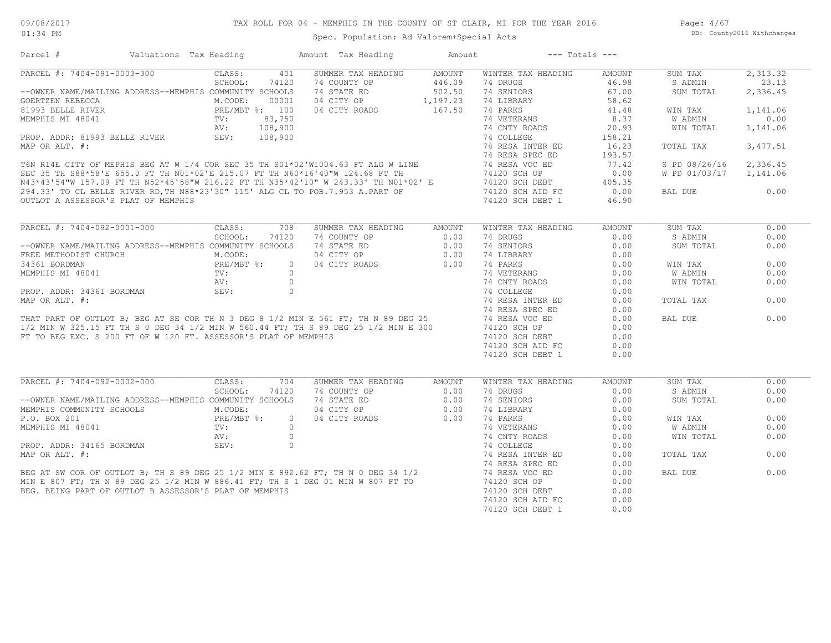Page: 4/67 DB: County2016 Withchanges

## Spec. Population: Ad Valorem+Special Acts

| Parcel #                                                        |                                                         | Valuations Tax Heading   |            | Amount Tax Heading                                                                                                                                                                                                                       | Amount           | $---$ Totals $---$                   |               |                        |          |
|-----------------------------------------------------------------|---------------------------------------------------------|--------------------------|------------|------------------------------------------------------------------------------------------------------------------------------------------------------------------------------------------------------------------------------------------|------------------|--------------------------------------|---------------|------------------------|----------|
| PARCEL #: 7404-091-0003-300                                     |                                                         | CLASS:                   | 401        | SUMMER TAX HEADING                                                                                                                                                                                                                       | AMOUNT           | WINTER TAX HEADING                   | AMOUNT        | SUM TAX                | 2,313.32 |
|                                                                 |                                                         | SCHOOL:                  | 74120      | 74 COUNTY OP                                                                                                                                                                                                                             | 446.09           | 74 DRUGS                             | 46.98         | S ADMIN                | 23.13    |
| --OWNER NAME/MAILING ADDRESS--MEMPHIS COMMUNITY SCHOOLS         |                                                         |                          |            | 74 STATE ED                                                                                                                                                                                                                              | 502.50           | 74 SENIORS                           | 67.00         | SUM TOTAL              | 2,336.45 |
| GOERTZEN REBECCA                                                |                                                         | M.CODE:                  | 00001      | 04 CITY OP 1,197.23                                                                                                                                                                                                                      |                  | 74 LIBRARY                           | 58.62         |                        |          |
| 81993 BELLE RIVER                                               |                                                         | PRE/MBT %: 100           |            | 04 CITY ROADS                                                                                                                                                                                                                            | 167.50           | 74 PARKS                             | 41.48         | WIN TAX                | 1,141.06 |
|                                                                 |                                                         |                          |            |                                                                                                                                                                                                                                          |                  |                                      |               | W ADMIN                | 0.00     |
|                                                                 |                                                         |                          |            |                                                                                                                                                                                                                                          |                  |                                      |               | WIN TOTAL              | 1,141.06 |
|                                                                 |                                                         |                          |            |                                                                                                                                                                                                                                          |                  |                                      |               |                        |          |
|                                                                 |                                                         |                          |            |                                                                                                                                                                                                                                          |                  |                                      |               | TOTAL TAX              | 3,477.51 |
|                                                                 |                                                         |                          |            |                                                                                                                                                                                                                                          |                  |                                      |               |                        |          |
|                                                                 |                                                         |                          |            |                                                                                                                                                                                                                                          |                  |                                      |               | S PD 08/26/16          | 2,336.45 |
|                                                                 |                                                         |                          |            |                                                                                                                                                                                                                                          |                  |                                      |               | W PD 01/03/17 1,141.06 |          |
|                                                                 |                                                         |                          |            |                                                                                                                                                                                                                                          |                  |                                      |               |                        |          |
|                                                                 |                                                         |                          |            |                                                                                                                                                                                                                                          |                  |                                      |               |                        |          |
|                                                                 |                                                         |                          |            |                                                                                                                                                                                                                                          |                  |                                      |               | BAL DUE                | 0.00     |
|                                                                 |                                                         |                          |            |                                                                                                                                                                                                                                          |                  |                                      |               |                        |          |
| PARCEL #: 7404-092-0001-000                                     |                                                         | CLASS:                   | 708        | SUMMER TAX HEADING                                                                                                                                                                                                                       | AMOUNT           | WINTER TAX HEADING                   | <b>AMOUNT</b> | SUM TAX                | 0.00     |
|                                                                 |                                                         | SCHOOL:                  | 74120      | 74 COUNTY OP                                                                                                                                                                                                                             | 0.00             | 74 DRUGS                             | 0.00          | S ADMIN                | 0.00     |
| --OWNER NAME/MAILING ADDRESS--MEMPHIS COMMUNITY SCHOOLS         |                                                         |                          |            | 74 STATE ED                                                                                                                                                                                                                              |                  | 74 SENIORS                           | 0.00          | SUM TOTAL              | 0.00     |
| FREE METHODIST CHURCH                                           |                                                         | M.CODE:                  |            | 04 CITY OP                                                                                                                                                                                                                               | $0.00$<br>$0.00$ | 74 LIBRARY                           | 0.00          |                        |          |
|                                                                 |                                                         |                          |            |                                                                                                                                                                                                                                          |                  |                                      |               |                        | 0.00     |
| 34361 BORDMAN                                                   |                                                         | PRE/MBT %:<br>TV:<br>AV: | $\circ$    | 04 CITY ROADS                                                                                                                                                                                                                            | 0.00             | 74 PARKS                             | 0.00          | WIN TAX                |          |
| MEMPHIS MI 48041                                                |                                                         |                          | $\bigcirc$ |                                                                                                                                                                                                                                          |                  | 74 VETERANS                          | 0.00          | <b>W ADMIN</b>         | 0.00     |
|                                                                 |                                                         |                          |            |                                                                                                                                                                                                                                          |                  | 74 CNTY ROADS                        | 0.00          | WIN TOTAL              | 0.00     |
|                                                                 |                                                         |                          |            | MEMPHIS MI 48041<br>PROP. ADDR: 34361 BORDMAN<br>MAP OR ALT. #:<br>MAP OR ALT. #:<br>THAT PART OF OUTLOT B; BEG AT SE COR TH N 3 DEG 8 1/2 MIN E 561 FT; TH N 89 DEG 25<br>1/2 MIN W 325.15 FT TH S 0 DEG 34 1/2 MIN W 560.44 FT; TH S 8 |                  |                                      | 0.00          |                        |          |
|                                                                 |                                                         |                          |            |                                                                                                                                                                                                                                          |                  | 74 RESA INTER ED                     | 0.00          | TOTAL TAX              | 0.00     |
|                                                                 |                                                         |                          |            |                                                                                                                                                                                                                                          |                  |                                      | 0.00          |                        |          |
|                                                                 |                                                         |                          |            |                                                                                                                                                                                                                                          |                  |                                      | 0.00          | BAL DUE                | 0.00     |
|                                                                 |                                                         |                          |            |                                                                                                                                                                                                                                          |                  |                                      | 0.00          |                        |          |
| FT TO BEG EXC. S 200 FT OF W 120 FT. ASSESSOR'S PLAT OF MEMPHIS |                                                         |                          |            |                                                                                                                                                                                                                                          |                  | 74120 SCH DEBT                       | 0.00          |                        |          |
|                                                                 |                                                         |                          |            |                                                                                                                                                                                                                                          |                  | 74120 SCH AID FC                     | 0.00          |                        |          |
|                                                                 |                                                         |                          |            |                                                                                                                                                                                                                                          |                  | 74120 SCH DEBT 1                     | 0.00          |                        |          |
|                                                                 |                                                         |                          |            |                                                                                                                                                                                                                                          |                  |                                      |               |                        |          |
| PARCEL #: 7404-092-0002-000                                     |                                                         | CLASS:                   | 704        | SUMMER TAX HEADING                                                                                                                                                                                                                       | AMOUNT           | WINTER TAX HEADING                   | AMOUNT        | SUM TAX                | 0.00     |
|                                                                 |                                                         | SCHOOL:                  | 74120      | 74 COUNTY OP                                                                                                                                                                                                                             | 0.00             | 74 DRUGS                             | 0.00          | S ADMIN                | 0.00     |
|                                                                 | --OWNER NAME/MAILING ADDRESS--MEMPHIS COMMUNITY SCHOOLS |                          |            | 74 STATE ED                                                                                                                                                                                                                              | 0.00             | 74 SENIORS                           | 0.00          | SUM TOTAL              | 0.00     |
|                                                                 |                                                         | M.CODE:                  |            | 04 CITY OP                                                                                                                                                                                                                               | 0.00             | 74 LIBRARY                           | 0.00          |                        |          |
| MEMPHIS COMMUNITY SCHOOLS                                       |                                                         |                          | $\Omega$   | 04 CITY ROADS                                                                                                                                                                                                                            | 0.00             | 74 PARKS                             | 0.00          | WIN TAX                | 0.00     |
| P.O. BOX 201                                                    |                                                         |                          |            |                                                                                                                                                                                                                                          |                  |                                      |               |                        |          |
|                                                                 |                                                         |                          |            |                                                                                                                                                                                                                                          |                  | 74 VETERANS                          | 0.00          | W ADMIN                | 0.00     |
|                                                                 |                                                         | PRE/MBT %:<br>TV:        |            |                                                                                                                                                                                                                                          |                  | 74 CNTY ROADS                        | 0.00          | WIN TOTAL              | 0.00     |
|                                                                 |                                                         |                          |            |                                                                                                                                                                                                                                          |                  | 74 COLLEGE                           | 0.00          |                        |          |
|                                                                 |                                                         |                          |            |                                                                                                                                                                                                                                          |                  |                                      |               |                        | 0.00     |
|                                                                 |                                                         |                          |            |                                                                                                                                                                                                                                          |                  | 74 RESA INTER ED                     | 0.00          | TOTAL TAX              |          |
|                                                                 |                                                         |                          |            |                                                                                                                                                                                                                                          |                  | 74 RESA SPEC ED                      | 0.00          |                        |          |
|                                                                 |                                                         |                          |            |                                                                                                                                                                                                                                          |                  | 74 RESA VOC ED                       | 0.00          | BAL DUE                | 0.00     |
|                                                                 |                                                         |                          |            |                                                                                                                                                                                                                                          |                  | 74120 SCH OP                         | 0.00          |                        |          |
|                                                                 |                                                         |                          |            |                                                                                                                                                                                                                                          |                  | 74120 SCH DEBT                       | 0.00          |                        |          |
|                                                                 |                                                         |                          |            | BEG AT SW COR OF OUTLOT B; TH S 89 DEG 25 1/2 MIN E 892.62 FT; TH N 0 DEG 34 1/2<br>4IN E 807 FT; TH N 89 DEG 25 1/2 MIN W 886.41 FT; TH S 1 DEG 01 MIN W 807 FT TO<br>EG. BEING PART OF OUTLOT B ASSESSOR'S PLAT OF MEMPHIS             |                  | 74120 SCH AID FC<br>74120 SCH DEBT 1 | 0.00<br>0.00  |                        |          |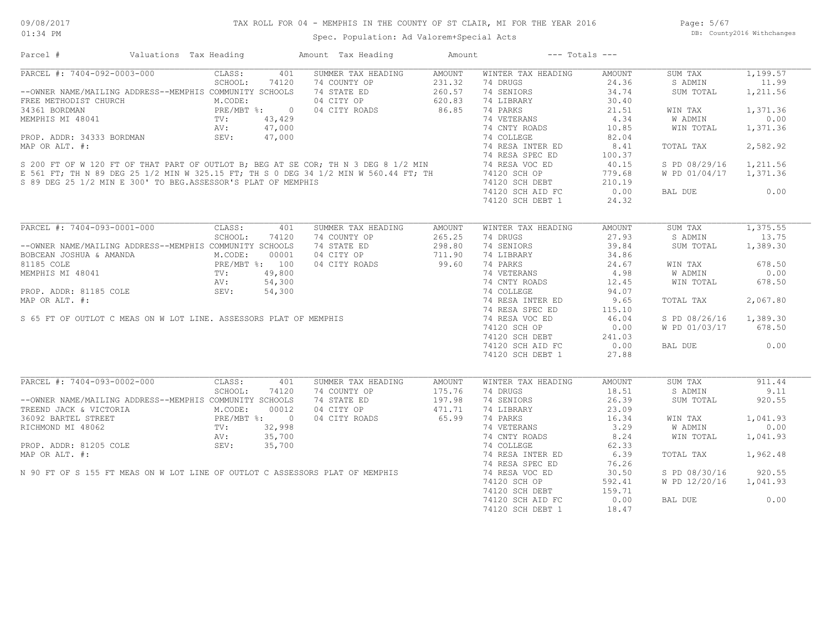## TAX ROLL FOR 04 - MEMPHIS IN THE COUNTY OF ST CLAIR, MI FOR THE YEAR 2016

Spec. Population: Ad Valorem+Special Acts

Page: 5/67 DB: County2016 Withchanges

| PARCEL #: 7404-092-0003-000<br>CLASS:<br>401<br>SUMMER TAX HEADING<br>AMOUNT<br>WINTER TAX HEADING<br>SUM TAX<br>AMOUNT<br>SCHOOL:<br>74120<br>74 DRUGS<br>24.36<br>11.99<br>74 COUNTY OP<br>74 STATE ED<br>74 STATE ED<br>260.57<br>04 CITY ROADS 86.85<br>S ADMIN<br>34.74<br>1,211.56<br>--OWNER NAME/MAILING ADDRESS--MEMPHIS COMMUNITY SCHOOLS<br>74 SENIORS<br>SUM TOTAL<br>FREE METHODIST CHURCH<br>THE METHODIST CHURCH<br>34361 BORDMAN<br>MEMPHIS MI 48041<br>MEMPHIS MI 48041<br>TV: 43,429<br>AV: 47,000<br>PROP. ADDR: 34333 BORDMAN<br>SEV: 47,000<br>30.40<br>74 LIBRARY<br>74 PARKS<br>21.51<br>1,371.36<br>WIN TAX<br>74 VETERANS<br>4.34<br>0.00<br>W ADMIN<br>74 CNTY ROADS<br>10.85<br>1,371.36<br>WIN TOTAL<br>74 COLLEGE<br>82.04<br>2,582.92<br>FROP. ADDR: 34333 BORDMAN<br>MAP OR ALT. #:<br>S 200 FT OF W 120 FT OF THAT PART OF OUTLOT B; BEG AT SE COR; TH N 3 DEG 8 1/2 MIN 74 RESA SPEC ED<br>E 561 FT; TH N 89 DEG 25 1/2 MIN W 325.15 FT; TH S 0 DEG 34 1/2 MIN W 560.44 F<br>8.41<br>TOTAL TAX<br>100.37<br>40.15<br>S PD 08/29/16<br>1,211.56<br>779.68<br>W PD 01/04/17 1,371.36<br>74120 SCH OF<br>74120 SCH DEBT 210.19<br>20.00 ATD FC 0.00<br>S 89 DEG 25 1/2 MIN E 300' TO BEG.ASSESSOR'S PLAT OF MEMPHIS<br>0.00<br>BAL DUE<br>24.32<br>74120 SCH DEBT 1<br>PARCEL #: 7404-093-0001-000<br>CLASS:<br>SUM TAX<br>401<br>SUMMER TAX HEADING<br>AMOUNT<br>WINTER TAX HEADING<br>AMOUNT<br>SCHOOL:<br>74 COUNTY OP<br>265.25<br>74 DRUGS<br>27.93<br>S ADMIN<br>13.75<br>74120<br>74 STATE ED<br>298.80<br>74 SENIORS<br>39.84<br>1,389.30<br>--OWNER NAME/MAILING ADDRESS--MEMPHIS COMMUNITY SCHOOLS<br>SUM TOTAL<br>34.86<br>BOBCEAN JOSHUA & AMANDA M.CODE: 00001<br>81185 COLE PRE/MBT %: 100<br>MEMPHIS MI 48041 TV: 49,800<br>PROP. ADDR: 81185 COLE SEV: 54,300<br>04 CITY OP<br>711.90<br>74 LIBRARY<br>99.60<br>74 PARKS<br>04 CITY ROADS<br>24.67<br>678.50<br>WIN TAX<br>74 VETERANS<br>4.98<br>W ADMIN<br>0.00<br>MEMPHIS MI 48041<br>MEMPHIS MI 48041<br>MEMPHIS MI 48041<br>MEMPHIS MI 48041<br>MEMPHIS MI 48041<br>MEMPHIS MI 48041<br>MEMPHIS MI 48041<br>MEMPHIS 74 COLLEGE<br>MAP OR ALT. #:<br>SEV:<br>SEV:<br>SEV:<br>54,300<br>SEV:<br>54,300<br>74 COLLEGE<br>74 RESA<br>74 CNTY ROADS 12.45<br>WIN TOTAL<br>678.50<br>94.07<br>2,067.80<br>74 RESA INTER ED<br>74 RESA SPEC ED<br>9.65<br>TOTAL TAX<br>115.10<br>46.04<br>S PD 08/26/16 1,389.30<br>74120 SCH OP<br>0.00<br>W PD 01/03/17 678.50<br>74120 SCH DEBT 241.03<br>74120 SCH AID FC 0.00<br>0.00<br>BAL DUE<br>74120 SCH DEBT 1<br>27.88<br>PARCEL #: 7404-093-0002-000<br>CLASS:<br>SUMMER TAX HEADING<br>SUM TAX<br>911.44<br>401<br><b>AMOUNT</b><br>WINTER TAX HEADING<br><b>AMOUNT</b><br>SCHOOL:<br>74 DRUGS<br>18.51<br>9.11<br>74120<br>S ADMIN<br>74 COUNTY OF<br>74 STATE ED 197.98<br>471.71<br>26.39<br>--OWNER NAME/MAILING ADDRESS--MEMPHIS COMMUNITY SCHOOLS<br>74 SENIORS<br>SUM TOTAL<br>920.55<br>TREEND JACK & VICTORIA<br>TREEND JACK & VICTORIA<br>36092 BARTEL STREET<br>RICHMOND MI 48062<br>RICHMOND MI 48062<br>PROP. ADDR: 81205 COLE<br>SEV: 35,700<br>PROP. ADDR: 81205 COLE<br>SEV: 35,700<br>74 LIBRARY<br>23.09<br>65.99<br>$\frac{10}{3.29}$<br>1,041.93<br>04 CITY ROADS<br>74 PARKS<br>WIN TAX<br>74 VETERANS<br>W ADMIN<br>0.00<br>PROP. ADDR: 81205 COLE<br>MAP OR ALT. #:<br>N 90 FT OF S 155 FT MEAS ON W LOT LINE OF OUTLOT C ASSESSORS PLAT OF MEMPHIS<br>74 CNTY ROADS<br>74 COLLEGE<br>8.24<br>WIN TOTAL<br>1,041.93<br>62.33<br>6.39<br>1,962.48<br>74 RESA INTER ED<br>TOTAL TAX<br>74 RESA SPEC ED<br>76.26<br>74 RESA VOC ED<br>30.50<br>S PD 08/30/16<br>920.55<br>74120 SCH OP<br>592.41<br>W PD 12/20/16<br>1,041.93<br>74120 SCH DEBT<br>159.71<br>0.00<br>0.00<br>74120 SCH AID FC<br>BAL DUE<br>18.47 | Parcel # | Valuations Tax Heading | Amount Tax Heading | Amount |                  | $---$ Totals $---$ |          |
|---------------------------------------------------------------------------------------------------------------------------------------------------------------------------------------------------------------------------------------------------------------------------------------------------------------------------------------------------------------------------------------------------------------------------------------------------------------------------------------------------------------------------------------------------------------------------------------------------------------------------------------------------------------------------------------------------------------------------------------------------------------------------------------------------------------------------------------------------------------------------------------------------------------------------------------------------------------------------------------------------------------------------------------------------------------------------------------------------------------------------------------------------------------------------------------------------------------------------------------------------------------------------------------------------------------------------------------------------------------------------------------------------------------------------------------------------------------------------------------------------------------------------------------------------------------------------------------------------------------------------------------------------------------------------------------------------------------------------------------------------------------------------------------------------------------------------------------------------------------------------------------------------------------------------------------------------------------------------------------------------------------------------------------------------------------------------------------------------------------------------------------------------------------------------------------------------------------------------------------------------------------------------------------------------------------------------------------------------------------------------------------------------------------------------------------------------------------------------------------------------------------------------------------------------------------------------------------------------------------------------------------------------------------------------------------------------------------------------------------------------------------------------------------------------------------------------------------------------------------------------------------------------------------------------------------------------------------------------------------------------------------------------------------------------------------------------------------------------------------------------------------------------------------------------------------------------------------------------------------------------------------------------------------------------------------------------------------------------------------------------------------------------------------------------------------------------------------------------------------------------------------------------------------------------------------------------------------------------------------------------------------------------------------------------------------------------------------------------------------------------------------------------------|----------|------------------------|--------------------|--------|------------------|--------------------|----------|
| $\overline{1,375.55}$                                                                                                                                                                                                                                                                                                                                                                                                                                                                                                                                                                                                                                                                                                                                                                                                                                                                                                                                                                                                                                                                                                                                                                                                                                                                                                                                                                                                                                                                                                                                                                                                                                                                                                                                                                                                                                                                                                                                                                                                                                                                                                                                                                                                                                                                                                                                                                                                                                                                                                                                                                                                                                                                                                                                                                                                                                                                                                                                                                                                                                                                                                                                                                                                                                                                                                                                                                                                                                                                                                                                                                                                                                                                                                                                                           |          |                        |                    |        |                  |                    | 1,199.57 |
|                                                                                                                                                                                                                                                                                                                                                                                                                                                                                                                                                                                                                                                                                                                                                                                                                                                                                                                                                                                                                                                                                                                                                                                                                                                                                                                                                                                                                                                                                                                                                                                                                                                                                                                                                                                                                                                                                                                                                                                                                                                                                                                                                                                                                                                                                                                                                                                                                                                                                                                                                                                                                                                                                                                                                                                                                                                                                                                                                                                                                                                                                                                                                                                                                                                                                                                                                                                                                                                                                                                                                                                                                                                                                                                                                                                 |          |                        |                    |        |                  |                    |          |
|                                                                                                                                                                                                                                                                                                                                                                                                                                                                                                                                                                                                                                                                                                                                                                                                                                                                                                                                                                                                                                                                                                                                                                                                                                                                                                                                                                                                                                                                                                                                                                                                                                                                                                                                                                                                                                                                                                                                                                                                                                                                                                                                                                                                                                                                                                                                                                                                                                                                                                                                                                                                                                                                                                                                                                                                                                                                                                                                                                                                                                                                                                                                                                                                                                                                                                                                                                                                                                                                                                                                                                                                                                                                                                                                                                                 |          |                        |                    |        |                  |                    |          |
|                                                                                                                                                                                                                                                                                                                                                                                                                                                                                                                                                                                                                                                                                                                                                                                                                                                                                                                                                                                                                                                                                                                                                                                                                                                                                                                                                                                                                                                                                                                                                                                                                                                                                                                                                                                                                                                                                                                                                                                                                                                                                                                                                                                                                                                                                                                                                                                                                                                                                                                                                                                                                                                                                                                                                                                                                                                                                                                                                                                                                                                                                                                                                                                                                                                                                                                                                                                                                                                                                                                                                                                                                                                                                                                                                                                 |          |                        |                    |        |                  |                    |          |
|                                                                                                                                                                                                                                                                                                                                                                                                                                                                                                                                                                                                                                                                                                                                                                                                                                                                                                                                                                                                                                                                                                                                                                                                                                                                                                                                                                                                                                                                                                                                                                                                                                                                                                                                                                                                                                                                                                                                                                                                                                                                                                                                                                                                                                                                                                                                                                                                                                                                                                                                                                                                                                                                                                                                                                                                                                                                                                                                                                                                                                                                                                                                                                                                                                                                                                                                                                                                                                                                                                                                                                                                                                                                                                                                                                                 |          |                        |                    |        |                  |                    |          |
|                                                                                                                                                                                                                                                                                                                                                                                                                                                                                                                                                                                                                                                                                                                                                                                                                                                                                                                                                                                                                                                                                                                                                                                                                                                                                                                                                                                                                                                                                                                                                                                                                                                                                                                                                                                                                                                                                                                                                                                                                                                                                                                                                                                                                                                                                                                                                                                                                                                                                                                                                                                                                                                                                                                                                                                                                                                                                                                                                                                                                                                                                                                                                                                                                                                                                                                                                                                                                                                                                                                                                                                                                                                                                                                                                                                 |          |                        |                    |        |                  |                    |          |
|                                                                                                                                                                                                                                                                                                                                                                                                                                                                                                                                                                                                                                                                                                                                                                                                                                                                                                                                                                                                                                                                                                                                                                                                                                                                                                                                                                                                                                                                                                                                                                                                                                                                                                                                                                                                                                                                                                                                                                                                                                                                                                                                                                                                                                                                                                                                                                                                                                                                                                                                                                                                                                                                                                                                                                                                                                                                                                                                                                                                                                                                                                                                                                                                                                                                                                                                                                                                                                                                                                                                                                                                                                                                                                                                                                                 |          |                        |                    |        |                  |                    |          |
|                                                                                                                                                                                                                                                                                                                                                                                                                                                                                                                                                                                                                                                                                                                                                                                                                                                                                                                                                                                                                                                                                                                                                                                                                                                                                                                                                                                                                                                                                                                                                                                                                                                                                                                                                                                                                                                                                                                                                                                                                                                                                                                                                                                                                                                                                                                                                                                                                                                                                                                                                                                                                                                                                                                                                                                                                                                                                                                                                                                                                                                                                                                                                                                                                                                                                                                                                                                                                                                                                                                                                                                                                                                                                                                                                                                 |          |                        |                    |        |                  |                    |          |
|                                                                                                                                                                                                                                                                                                                                                                                                                                                                                                                                                                                                                                                                                                                                                                                                                                                                                                                                                                                                                                                                                                                                                                                                                                                                                                                                                                                                                                                                                                                                                                                                                                                                                                                                                                                                                                                                                                                                                                                                                                                                                                                                                                                                                                                                                                                                                                                                                                                                                                                                                                                                                                                                                                                                                                                                                                                                                                                                                                                                                                                                                                                                                                                                                                                                                                                                                                                                                                                                                                                                                                                                                                                                                                                                                                                 |          |                        |                    |        |                  |                    |          |
|                                                                                                                                                                                                                                                                                                                                                                                                                                                                                                                                                                                                                                                                                                                                                                                                                                                                                                                                                                                                                                                                                                                                                                                                                                                                                                                                                                                                                                                                                                                                                                                                                                                                                                                                                                                                                                                                                                                                                                                                                                                                                                                                                                                                                                                                                                                                                                                                                                                                                                                                                                                                                                                                                                                                                                                                                                                                                                                                                                                                                                                                                                                                                                                                                                                                                                                                                                                                                                                                                                                                                                                                                                                                                                                                                                                 |          |                        |                    |        |                  |                    |          |
|                                                                                                                                                                                                                                                                                                                                                                                                                                                                                                                                                                                                                                                                                                                                                                                                                                                                                                                                                                                                                                                                                                                                                                                                                                                                                                                                                                                                                                                                                                                                                                                                                                                                                                                                                                                                                                                                                                                                                                                                                                                                                                                                                                                                                                                                                                                                                                                                                                                                                                                                                                                                                                                                                                                                                                                                                                                                                                                                                                                                                                                                                                                                                                                                                                                                                                                                                                                                                                                                                                                                                                                                                                                                                                                                                                                 |          |                        |                    |        |                  |                    |          |
|                                                                                                                                                                                                                                                                                                                                                                                                                                                                                                                                                                                                                                                                                                                                                                                                                                                                                                                                                                                                                                                                                                                                                                                                                                                                                                                                                                                                                                                                                                                                                                                                                                                                                                                                                                                                                                                                                                                                                                                                                                                                                                                                                                                                                                                                                                                                                                                                                                                                                                                                                                                                                                                                                                                                                                                                                                                                                                                                                                                                                                                                                                                                                                                                                                                                                                                                                                                                                                                                                                                                                                                                                                                                                                                                                                                 |          |                        |                    |        |                  |                    |          |
|                                                                                                                                                                                                                                                                                                                                                                                                                                                                                                                                                                                                                                                                                                                                                                                                                                                                                                                                                                                                                                                                                                                                                                                                                                                                                                                                                                                                                                                                                                                                                                                                                                                                                                                                                                                                                                                                                                                                                                                                                                                                                                                                                                                                                                                                                                                                                                                                                                                                                                                                                                                                                                                                                                                                                                                                                                                                                                                                                                                                                                                                                                                                                                                                                                                                                                                                                                                                                                                                                                                                                                                                                                                                                                                                                                                 |          |                        |                    |        |                  |                    |          |
|                                                                                                                                                                                                                                                                                                                                                                                                                                                                                                                                                                                                                                                                                                                                                                                                                                                                                                                                                                                                                                                                                                                                                                                                                                                                                                                                                                                                                                                                                                                                                                                                                                                                                                                                                                                                                                                                                                                                                                                                                                                                                                                                                                                                                                                                                                                                                                                                                                                                                                                                                                                                                                                                                                                                                                                                                                                                                                                                                                                                                                                                                                                                                                                                                                                                                                                                                                                                                                                                                                                                                                                                                                                                                                                                                                                 |          |                        |                    |        |                  |                    |          |
|                                                                                                                                                                                                                                                                                                                                                                                                                                                                                                                                                                                                                                                                                                                                                                                                                                                                                                                                                                                                                                                                                                                                                                                                                                                                                                                                                                                                                                                                                                                                                                                                                                                                                                                                                                                                                                                                                                                                                                                                                                                                                                                                                                                                                                                                                                                                                                                                                                                                                                                                                                                                                                                                                                                                                                                                                                                                                                                                                                                                                                                                                                                                                                                                                                                                                                                                                                                                                                                                                                                                                                                                                                                                                                                                                                                 |          |                        |                    |        |                  |                    |          |
|                                                                                                                                                                                                                                                                                                                                                                                                                                                                                                                                                                                                                                                                                                                                                                                                                                                                                                                                                                                                                                                                                                                                                                                                                                                                                                                                                                                                                                                                                                                                                                                                                                                                                                                                                                                                                                                                                                                                                                                                                                                                                                                                                                                                                                                                                                                                                                                                                                                                                                                                                                                                                                                                                                                                                                                                                                                                                                                                                                                                                                                                                                                                                                                                                                                                                                                                                                                                                                                                                                                                                                                                                                                                                                                                                                                 |          |                        |                    |        |                  |                    |          |
|                                                                                                                                                                                                                                                                                                                                                                                                                                                                                                                                                                                                                                                                                                                                                                                                                                                                                                                                                                                                                                                                                                                                                                                                                                                                                                                                                                                                                                                                                                                                                                                                                                                                                                                                                                                                                                                                                                                                                                                                                                                                                                                                                                                                                                                                                                                                                                                                                                                                                                                                                                                                                                                                                                                                                                                                                                                                                                                                                                                                                                                                                                                                                                                                                                                                                                                                                                                                                                                                                                                                                                                                                                                                                                                                                                                 |          |                        |                    |        |                  |                    |          |
|                                                                                                                                                                                                                                                                                                                                                                                                                                                                                                                                                                                                                                                                                                                                                                                                                                                                                                                                                                                                                                                                                                                                                                                                                                                                                                                                                                                                                                                                                                                                                                                                                                                                                                                                                                                                                                                                                                                                                                                                                                                                                                                                                                                                                                                                                                                                                                                                                                                                                                                                                                                                                                                                                                                                                                                                                                                                                                                                                                                                                                                                                                                                                                                                                                                                                                                                                                                                                                                                                                                                                                                                                                                                                                                                                                                 |          |                        |                    |        |                  |                    |          |
|                                                                                                                                                                                                                                                                                                                                                                                                                                                                                                                                                                                                                                                                                                                                                                                                                                                                                                                                                                                                                                                                                                                                                                                                                                                                                                                                                                                                                                                                                                                                                                                                                                                                                                                                                                                                                                                                                                                                                                                                                                                                                                                                                                                                                                                                                                                                                                                                                                                                                                                                                                                                                                                                                                                                                                                                                                                                                                                                                                                                                                                                                                                                                                                                                                                                                                                                                                                                                                                                                                                                                                                                                                                                                                                                                                                 |          |                        |                    |        |                  |                    |          |
|                                                                                                                                                                                                                                                                                                                                                                                                                                                                                                                                                                                                                                                                                                                                                                                                                                                                                                                                                                                                                                                                                                                                                                                                                                                                                                                                                                                                                                                                                                                                                                                                                                                                                                                                                                                                                                                                                                                                                                                                                                                                                                                                                                                                                                                                                                                                                                                                                                                                                                                                                                                                                                                                                                                                                                                                                                                                                                                                                                                                                                                                                                                                                                                                                                                                                                                                                                                                                                                                                                                                                                                                                                                                                                                                                                                 |          |                        |                    |        |                  |                    |          |
|                                                                                                                                                                                                                                                                                                                                                                                                                                                                                                                                                                                                                                                                                                                                                                                                                                                                                                                                                                                                                                                                                                                                                                                                                                                                                                                                                                                                                                                                                                                                                                                                                                                                                                                                                                                                                                                                                                                                                                                                                                                                                                                                                                                                                                                                                                                                                                                                                                                                                                                                                                                                                                                                                                                                                                                                                                                                                                                                                                                                                                                                                                                                                                                                                                                                                                                                                                                                                                                                                                                                                                                                                                                                                                                                                                                 |          |                        |                    |        |                  |                    |          |
|                                                                                                                                                                                                                                                                                                                                                                                                                                                                                                                                                                                                                                                                                                                                                                                                                                                                                                                                                                                                                                                                                                                                                                                                                                                                                                                                                                                                                                                                                                                                                                                                                                                                                                                                                                                                                                                                                                                                                                                                                                                                                                                                                                                                                                                                                                                                                                                                                                                                                                                                                                                                                                                                                                                                                                                                                                                                                                                                                                                                                                                                                                                                                                                                                                                                                                                                                                                                                                                                                                                                                                                                                                                                                                                                                                                 |          |                        |                    |        |                  |                    |          |
|                                                                                                                                                                                                                                                                                                                                                                                                                                                                                                                                                                                                                                                                                                                                                                                                                                                                                                                                                                                                                                                                                                                                                                                                                                                                                                                                                                                                                                                                                                                                                                                                                                                                                                                                                                                                                                                                                                                                                                                                                                                                                                                                                                                                                                                                                                                                                                                                                                                                                                                                                                                                                                                                                                                                                                                                                                                                                                                                                                                                                                                                                                                                                                                                                                                                                                                                                                                                                                                                                                                                                                                                                                                                                                                                                                                 |          |                        |                    |        |                  |                    |          |
|                                                                                                                                                                                                                                                                                                                                                                                                                                                                                                                                                                                                                                                                                                                                                                                                                                                                                                                                                                                                                                                                                                                                                                                                                                                                                                                                                                                                                                                                                                                                                                                                                                                                                                                                                                                                                                                                                                                                                                                                                                                                                                                                                                                                                                                                                                                                                                                                                                                                                                                                                                                                                                                                                                                                                                                                                                                                                                                                                                                                                                                                                                                                                                                                                                                                                                                                                                                                                                                                                                                                                                                                                                                                                                                                                                                 |          |                        |                    |        |                  |                    |          |
|                                                                                                                                                                                                                                                                                                                                                                                                                                                                                                                                                                                                                                                                                                                                                                                                                                                                                                                                                                                                                                                                                                                                                                                                                                                                                                                                                                                                                                                                                                                                                                                                                                                                                                                                                                                                                                                                                                                                                                                                                                                                                                                                                                                                                                                                                                                                                                                                                                                                                                                                                                                                                                                                                                                                                                                                                                                                                                                                                                                                                                                                                                                                                                                                                                                                                                                                                                                                                                                                                                                                                                                                                                                                                                                                                                                 |          |                        |                    |        |                  |                    |          |
|                                                                                                                                                                                                                                                                                                                                                                                                                                                                                                                                                                                                                                                                                                                                                                                                                                                                                                                                                                                                                                                                                                                                                                                                                                                                                                                                                                                                                                                                                                                                                                                                                                                                                                                                                                                                                                                                                                                                                                                                                                                                                                                                                                                                                                                                                                                                                                                                                                                                                                                                                                                                                                                                                                                                                                                                                                                                                                                                                                                                                                                                                                                                                                                                                                                                                                                                                                                                                                                                                                                                                                                                                                                                                                                                                                                 |          |                        |                    |        |                  |                    |          |
|                                                                                                                                                                                                                                                                                                                                                                                                                                                                                                                                                                                                                                                                                                                                                                                                                                                                                                                                                                                                                                                                                                                                                                                                                                                                                                                                                                                                                                                                                                                                                                                                                                                                                                                                                                                                                                                                                                                                                                                                                                                                                                                                                                                                                                                                                                                                                                                                                                                                                                                                                                                                                                                                                                                                                                                                                                                                                                                                                                                                                                                                                                                                                                                                                                                                                                                                                                                                                                                                                                                                                                                                                                                                                                                                                                                 |          |                        |                    |        |                  |                    |          |
|                                                                                                                                                                                                                                                                                                                                                                                                                                                                                                                                                                                                                                                                                                                                                                                                                                                                                                                                                                                                                                                                                                                                                                                                                                                                                                                                                                                                                                                                                                                                                                                                                                                                                                                                                                                                                                                                                                                                                                                                                                                                                                                                                                                                                                                                                                                                                                                                                                                                                                                                                                                                                                                                                                                                                                                                                                                                                                                                                                                                                                                                                                                                                                                                                                                                                                                                                                                                                                                                                                                                                                                                                                                                                                                                                                                 |          |                        |                    |        |                  |                    |          |
|                                                                                                                                                                                                                                                                                                                                                                                                                                                                                                                                                                                                                                                                                                                                                                                                                                                                                                                                                                                                                                                                                                                                                                                                                                                                                                                                                                                                                                                                                                                                                                                                                                                                                                                                                                                                                                                                                                                                                                                                                                                                                                                                                                                                                                                                                                                                                                                                                                                                                                                                                                                                                                                                                                                                                                                                                                                                                                                                                                                                                                                                                                                                                                                                                                                                                                                                                                                                                                                                                                                                                                                                                                                                                                                                                                                 |          |                        |                    |        |                  |                    |          |
|                                                                                                                                                                                                                                                                                                                                                                                                                                                                                                                                                                                                                                                                                                                                                                                                                                                                                                                                                                                                                                                                                                                                                                                                                                                                                                                                                                                                                                                                                                                                                                                                                                                                                                                                                                                                                                                                                                                                                                                                                                                                                                                                                                                                                                                                                                                                                                                                                                                                                                                                                                                                                                                                                                                                                                                                                                                                                                                                                                                                                                                                                                                                                                                                                                                                                                                                                                                                                                                                                                                                                                                                                                                                                                                                                                                 |          |                        |                    |        |                  |                    |          |
|                                                                                                                                                                                                                                                                                                                                                                                                                                                                                                                                                                                                                                                                                                                                                                                                                                                                                                                                                                                                                                                                                                                                                                                                                                                                                                                                                                                                                                                                                                                                                                                                                                                                                                                                                                                                                                                                                                                                                                                                                                                                                                                                                                                                                                                                                                                                                                                                                                                                                                                                                                                                                                                                                                                                                                                                                                                                                                                                                                                                                                                                                                                                                                                                                                                                                                                                                                                                                                                                                                                                                                                                                                                                                                                                                                                 |          |                        |                    |        |                  |                    |          |
|                                                                                                                                                                                                                                                                                                                                                                                                                                                                                                                                                                                                                                                                                                                                                                                                                                                                                                                                                                                                                                                                                                                                                                                                                                                                                                                                                                                                                                                                                                                                                                                                                                                                                                                                                                                                                                                                                                                                                                                                                                                                                                                                                                                                                                                                                                                                                                                                                                                                                                                                                                                                                                                                                                                                                                                                                                                                                                                                                                                                                                                                                                                                                                                                                                                                                                                                                                                                                                                                                                                                                                                                                                                                                                                                                                                 |          |                        |                    |        |                  |                    |          |
|                                                                                                                                                                                                                                                                                                                                                                                                                                                                                                                                                                                                                                                                                                                                                                                                                                                                                                                                                                                                                                                                                                                                                                                                                                                                                                                                                                                                                                                                                                                                                                                                                                                                                                                                                                                                                                                                                                                                                                                                                                                                                                                                                                                                                                                                                                                                                                                                                                                                                                                                                                                                                                                                                                                                                                                                                                                                                                                                                                                                                                                                                                                                                                                                                                                                                                                                                                                                                                                                                                                                                                                                                                                                                                                                                                                 |          |                        |                    |        |                  |                    |          |
|                                                                                                                                                                                                                                                                                                                                                                                                                                                                                                                                                                                                                                                                                                                                                                                                                                                                                                                                                                                                                                                                                                                                                                                                                                                                                                                                                                                                                                                                                                                                                                                                                                                                                                                                                                                                                                                                                                                                                                                                                                                                                                                                                                                                                                                                                                                                                                                                                                                                                                                                                                                                                                                                                                                                                                                                                                                                                                                                                                                                                                                                                                                                                                                                                                                                                                                                                                                                                                                                                                                                                                                                                                                                                                                                                                                 |          |                        |                    |        |                  |                    |          |
|                                                                                                                                                                                                                                                                                                                                                                                                                                                                                                                                                                                                                                                                                                                                                                                                                                                                                                                                                                                                                                                                                                                                                                                                                                                                                                                                                                                                                                                                                                                                                                                                                                                                                                                                                                                                                                                                                                                                                                                                                                                                                                                                                                                                                                                                                                                                                                                                                                                                                                                                                                                                                                                                                                                                                                                                                                                                                                                                                                                                                                                                                                                                                                                                                                                                                                                                                                                                                                                                                                                                                                                                                                                                                                                                                                                 |          |                        |                    |        |                  |                    |          |
|                                                                                                                                                                                                                                                                                                                                                                                                                                                                                                                                                                                                                                                                                                                                                                                                                                                                                                                                                                                                                                                                                                                                                                                                                                                                                                                                                                                                                                                                                                                                                                                                                                                                                                                                                                                                                                                                                                                                                                                                                                                                                                                                                                                                                                                                                                                                                                                                                                                                                                                                                                                                                                                                                                                                                                                                                                                                                                                                                                                                                                                                                                                                                                                                                                                                                                                                                                                                                                                                                                                                                                                                                                                                                                                                                                                 |          |                        |                    |        |                  |                    |          |
|                                                                                                                                                                                                                                                                                                                                                                                                                                                                                                                                                                                                                                                                                                                                                                                                                                                                                                                                                                                                                                                                                                                                                                                                                                                                                                                                                                                                                                                                                                                                                                                                                                                                                                                                                                                                                                                                                                                                                                                                                                                                                                                                                                                                                                                                                                                                                                                                                                                                                                                                                                                                                                                                                                                                                                                                                                                                                                                                                                                                                                                                                                                                                                                                                                                                                                                                                                                                                                                                                                                                                                                                                                                                                                                                                                                 |          |                        |                    |        |                  |                    |          |
|                                                                                                                                                                                                                                                                                                                                                                                                                                                                                                                                                                                                                                                                                                                                                                                                                                                                                                                                                                                                                                                                                                                                                                                                                                                                                                                                                                                                                                                                                                                                                                                                                                                                                                                                                                                                                                                                                                                                                                                                                                                                                                                                                                                                                                                                                                                                                                                                                                                                                                                                                                                                                                                                                                                                                                                                                                                                                                                                                                                                                                                                                                                                                                                                                                                                                                                                                                                                                                                                                                                                                                                                                                                                                                                                                                                 |          |                        |                    |        |                  |                    |          |
|                                                                                                                                                                                                                                                                                                                                                                                                                                                                                                                                                                                                                                                                                                                                                                                                                                                                                                                                                                                                                                                                                                                                                                                                                                                                                                                                                                                                                                                                                                                                                                                                                                                                                                                                                                                                                                                                                                                                                                                                                                                                                                                                                                                                                                                                                                                                                                                                                                                                                                                                                                                                                                                                                                                                                                                                                                                                                                                                                                                                                                                                                                                                                                                                                                                                                                                                                                                                                                                                                                                                                                                                                                                                                                                                                                                 |          |                        |                    |        |                  |                    |          |
|                                                                                                                                                                                                                                                                                                                                                                                                                                                                                                                                                                                                                                                                                                                                                                                                                                                                                                                                                                                                                                                                                                                                                                                                                                                                                                                                                                                                                                                                                                                                                                                                                                                                                                                                                                                                                                                                                                                                                                                                                                                                                                                                                                                                                                                                                                                                                                                                                                                                                                                                                                                                                                                                                                                                                                                                                                                                                                                                                                                                                                                                                                                                                                                                                                                                                                                                                                                                                                                                                                                                                                                                                                                                                                                                                                                 |          |                        |                    |        |                  |                    |          |
|                                                                                                                                                                                                                                                                                                                                                                                                                                                                                                                                                                                                                                                                                                                                                                                                                                                                                                                                                                                                                                                                                                                                                                                                                                                                                                                                                                                                                                                                                                                                                                                                                                                                                                                                                                                                                                                                                                                                                                                                                                                                                                                                                                                                                                                                                                                                                                                                                                                                                                                                                                                                                                                                                                                                                                                                                                                                                                                                                                                                                                                                                                                                                                                                                                                                                                                                                                                                                                                                                                                                                                                                                                                                                                                                                                                 |          |                        |                    |        |                  |                    |          |
|                                                                                                                                                                                                                                                                                                                                                                                                                                                                                                                                                                                                                                                                                                                                                                                                                                                                                                                                                                                                                                                                                                                                                                                                                                                                                                                                                                                                                                                                                                                                                                                                                                                                                                                                                                                                                                                                                                                                                                                                                                                                                                                                                                                                                                                                                                                                                                                                                                                                                                                                                                                                                                                                                                                                                                                                                                                                                                                                                                                                                                                                                                                                                                                                                                                                                                                                                                                                                                                                                                                                                                                                                                                                                                                                                                                 |          |                        |                    |        |                  |                    |          |
|                                                                                                                                                                                                                                                                                                                                                                                                                                                                                                                                                                                                                                                                                                                                                                                                                                                                                                                                                                                                                                                                                                                                                                                                                                                                                                                                                                                                                                                                                                                                                                                                                                                                                                                                                                                                                                                                                                                                                                                                                                                                                                                                                                                                                                                                                                                                                                                                                                                                                                                                                                                                                                                                                                                                                                                                                                                                                                                                                                                                                                                                                                                                                                                                                                                                                                                                                                                                                                                                                                                                                                                                                                                                                                                                                                                 |          |                        |                    |        |                  |                    |          |
|                                                                                                                                                                                                                                                                                                                                                                                                                                                                                                                                                                                                                                                                                                                                                                                                                                                                                                                                                                                                                                                                                                                                                                                                                                                                                                                                                                                                                                                                                                                                                                                                                                                                                                                                                                                                                                                                                                                                                                                                                                                                                                                                                                                                                                                                                                                                                                                                                                                                                                                                                                                                                                                                                                                                                                                                                                                                                                                                                                                                                                                                                                                                                                                                                                                                                                                                                                                                                                                                                                                                                                                                                                                                                                                                                                                 |          |                        |                    |        |                  |                    |          |
|                                                                                                                                                                                                                                                                                                                                                                                                                                                                                                                                                                                                                                                                                                                                                                                                                                                                                                                                                                                                                                                                                                                                                                                                                                                                                                                                                                                                                                                                                                                                                                                                                                                                                                                                                                                                                                                                                                                                                                                                                                                                                                                                                                                                                                                                                                                                                                                                                                                                                                                                                                                                                                                                                                                                                                                                                                                                                                                                                                                                                                                                                                                                                                                                                                                                                                                                                                                                                                                                                                                                                                                                                                                                                                                                                                                 |          |                        |                    |        |                  |                    |          |
|                                                                                                                                                                                                                                                                                                                                                                                                                                                                                                                                                                                                                                                                                                                                                                                                                                                                                                                                                                                                                                                                                                                                                                                                                                                                                                                                                                                                                                                                                                                                                                                                                                                                                                                                                                                                                                                                                                                                                                                                                                                                                                                                                                                                                                                                                                                                                                                                                                                                                                                                                                                                                                                                                                                                                                                                                                                                                                                                                                                                                                                                                                                                                                                                                                                                                                                                                                                                                                                                                                                                                                                                                                                                                                                                                                                 |          |                        |                    |        |                  |                    |          |
|                                                                                                                                                                                                                                                                                                                                                                                                                                                                                                                                                                                                                                                                                                                                                                                                                                                                                                                                                                                                                                                                                                                                                                                                                                                                                                                                                                                                                                                                                                                                                                                                                                                                                                                                                                                                                                                                                                                                                                                                                                                                                                                                                                                                                                                                                                                                                                                                                                                                                                                                                                                                                                                                                                                                                                                                                                                                                                                                                                                                                                                                                                                                                                                                                                                                                                                                                                                                                                                                                                                                                                                                                                                                                                                                                                                 |          |                        |                    |        |                  |                    |          |
|                                                                                                                                                                                                                                                                                                                                                                                                                                                                                                                                                                                                                                                                                                                                                                                                                                                                                                                                                                                                                                                                                                                                                                                                                                                                                                                                                                                                                                                                                                                                                                                                                                                                                                                                                                                                                                                                                                                                                                                                                                                                                                                                                                                                                                                                                                                                                                                                                                                                                                                                                                                                                                                                                                                                                                                                                                                                                                                                                                                                                                                                                                                                                                                                                                                                                                                                                                                                                                                                                                                                                                                                                                                                                                                                                                                 |          |                        |                    |        | 74120 SCH DEBT 1 |                    |          |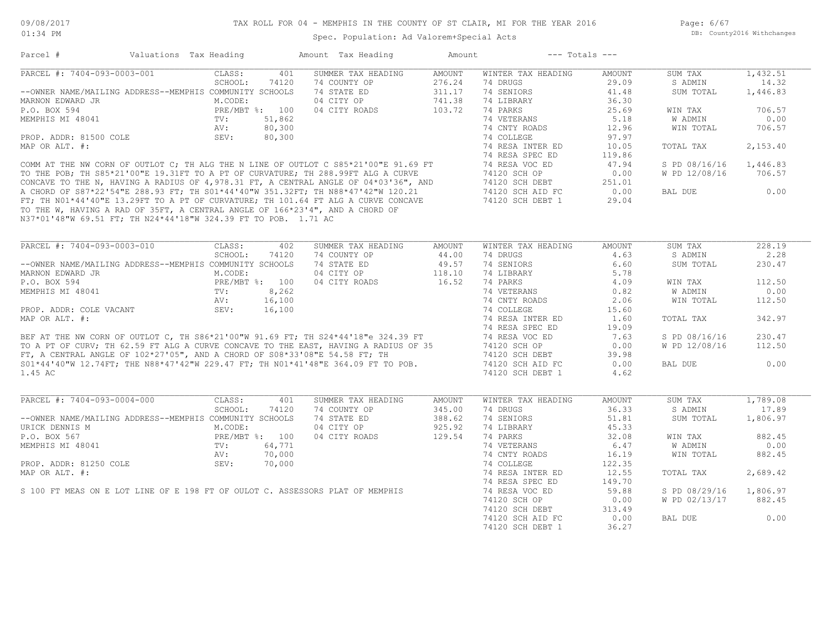| PARCEL #: 7404-093-0003-001<br>SUMMER TAX HEADING<br>CLASS:<br>401<br>AMOUNT<br>WINTER TAX HEADING<br>AMOUNT<br>SUM TAX<br>SCHOOL:<br>74120<br>74 COUNTY OP<br>276.24<br>74 DRUGS<br>29.09<br>S ADMIN<br>74 STATE ED<br>74 SENIORS<br>--OWNER NAME/MAILING ADDRESS--MEMPHIS COMMUNITY SCHOOLS<br>311.17<br>41.48<br>SUM TOTAL<br>04 CITY OP<br>741.38<br>74 LIBRARY<br>MARNON EDWARD JR<br>M.CODE:<br>36.30<br>103.72<br>P.O. BOX 594<br>PRE/MBT %: 100<br>04 CITY ROADS<br>74 PARKS<br>25.69<br>WIN TAX<br>74 VETERANS<br>5.18<br>MEMPHIS MI 48041<br>TV:<br>51,862<br>W ADMIN<br>80,300<br>74 CNTY ROADS<br>12.96<br>WIN TOTAL<br>AV:<br>80,300<br>74 COLLEGE<br>97.97<br>PROP. ADDR: 81500 COLE<br>SEV:<br>74 RESA INTER ED<br>MAP OR ALT. #:<br>10.05<br>TOTAL TAX<br>74 RESA SPEC ED<br>119.86<br>COMM AT THE NW CORN OF OUTLOT C; TH ALG THE N LINE OF OUTLOT C S85*21'00"E 91.69 FT<br>74 RESA VOC ED<br>47.94<br>S PD 08/16/16<br>TO THE POB; TH S85*21'00"E 19.31FT TO A PT OF CURVATURE; TH 288.99FT ALG A CURVE<br>74120 SCH OP<br>0.00<br>W PD 12/08/16<br>TO THE POB; TH S85*21'00"E 19.31FT TO A PT OF CURVATURE; TH 288.99FT ALG A CURVE<br>CONCAVE TO THE N, HAVING A RADIUS OF 4,978.31 FT, A CENTRAL ANGLE OF 04*03'36", AND<br>A CHORD OF S87*22'54"E 288.93 FT; TH S01*44'40"W 351.32FT<br>74120 SCH DEBT<br>251.01<br>74120 SCH AID FC<br>0.00<br>BAL DUE<br>74120 SCH DEBT 1<br>29.04<br>TO THE W, HAVING A RAD OF 35FT, A CENTRAL ANGLE OF 166*23'4", AND A CHORD OF<br>N37*01'48"W 69.51 FT; TH N24*44'18"W 324.39 FT TO POB. 1.71 AC<br>PARCEL #: 7404-093-0003-010<br>CLASS:<br>402<br>SUMMER TAX HEADING<br>WINTER TAX HEADING<br><b>AMOUNT</b><br>AMOUNT<br>SUM TAX<br>SCHOOL:<br>74120<br>74 COUNTY OP<br>44.00<br>74 DRUGS<br>4.63<br>S ADMIN<br>--OWNER NAME/MAILING ADDRESS--MEMPHIS COMMUNITY SCHOOLS<br>74 STATE ED<br>49.57<br>74 SENIORS<br>6.60<br>SUM TOTAL<br>MARNON EDWARD JR<br>04 CITY OP<br>118.10<br>74 LIBRARY<br>5.78<br>M.CODE:<br>PRE/MBT %: 100<br>16.52<br>P.O. BOX 594<br>04 CITY ROADS<br>74 PARKS<br>4.09<br>WIN TAX<br>MEMPHIS MI 48041<br>TV:<br>8,262<br>74 VETERANS<br>0.82<br>W ADMIN<br>16,100<br>74 CNTY ROADS<br>AV:<br>2.06<br>WIN TOTAL<br>SEV:<br>74 COLLEGE<br>PROP. ADDR: COLE VACANT<br>16,100<br>15.60<br>74 RESA INTER ED<br>TOTAL TAX<br>1.60<br>74 RESA SPEC ED<br>19.09<br>BEF AT THE NW CORN OF OUTLOT C, TH S86*21'00"W 91.69 FT; TH S24*44'18"e 324.39 FT<br>TO A PT OF CURV; TH 62.59 FT ALG A CURVE CONCAVE TO THE EAST, HAVING A RADIUS OF 35<br>74 RESA VOC ED<br>S PD 08/16/16<br>7.63<br>74120 SCH OP<br>0.00<br>W PD 12/08/16<br>FT, A CENTRAL ANGLE OF 102*27'05", AND A CHORD OF S08*33'08"E 54.58 FT; TH<br>74120 SCH DEBT<br>39.98<br>S01*44'40"W 12.74FT; THE N88*47'42"W 229.47 FT; TH N01*41'48"E 364.09 FT TO POB.<br>74120 SCH AID FC<br>0.00<br>BAL DUE<br>74120 SCH DEBT 1<br>4.62<br>PARCEL #: 7404-093-0004-000<br>CLASS:<br>401<br>SUMMER TAX HEADING<br>AMOUNT<br>WINTER TAX HEADING<br>AMOUNT<br>SUM TAX<br>SCHOOL:<br>74 COUNTY OP<br>74 DRUGS<br>36.33<br>74120<br>345.00<br>S ADMIN<br>388.62<br>--OWNER NAME/MAILING ADDRESS--MEMPHIS COMMUNITY SCHOOLS<br>74 STATE ED<br>74 SENIORS<br>51.81<br>SUM TOTAL<br>925.92<br>74 LIBRARY<br>M.CODE:<br>04 CITY OP<br>45.33<br>129.54<br>PRE/MBT %: 100<br>04 CITY ROADS<br>74 PARKS<br>32.08<br>WIN TAX<br>TV:<br>64,771<br>74 VETERANS<br>6.47<br>W ADMIN<br>74 CNTY ROADS<br>AV:<br>70,000<br>16.19<br>WIN TOTAL<br>PROP. ADDR: 81250 COLE<br>SEV:<br>70,000<br>74 COLLEGE<br>122.35<br>74 RESA INTER ED<br>12.55<br>MAP OR ALT. #:<br>TOTAL TAX<br>74 RESA SPEC ED<br>149.70<br>S 100 FT MEAS ON E LOT LINE OF E 198 FT OF OULOT C. ASSESSORS PLAT OF MEMPHIS<br>74 RESA VOC ED<br>59.88<br>S PD 08/29/16<br>1,806.97<br>74120 SCH OP<br>W PD 02/13/17<br>0.00<br>74120 SCH DEBT<br>313.49<br>74120 SCH AID FC<br>0.00<br>BAL DUE | Parcel #         | Valuations Tax Heading |  | Amount Tax Heading | Amount |                  | $---$ Totals $---$ |          |
|--------------------------------------------------------------------------------------------------------------------------------------------------------------------------------------------------------------------------------------------------------------------------------------------------------------------------------------------------------------------------------------------------------------------------------------------------------------------------------------------------------------------------------------------------------------------------------------------------------------------------------------------------------------------------------------------------------------------------------------------------------------------------------------------------------------------------------------------------------------------------------------------------------------------------------------------------------------------------------------------------------------------------------------------------------------------------------------------------------------------------------------------------------------------------------------------------------------------------------------------------------------------------------------------------------------------------------------------------------------------------------------------------------------------------------------------------------------------------------------------------------------------------------------------------------------------------------------------------------------------------------------------------------------------------------------------------------------------------------------------------------------------------------------------------------------------------------------------------------------------------------------------------------------------------------------------------------------------------------------------------------------------------------------------------------------------------------------------------------------------------------------------------------------------------------------------------------------------------------------------------------------------------------------------------------------------------------------------------------------------------------------------------------------------------------------------------------------------------------------------------------------------------------------------------------------------------------------------------------------------------------------------------------------------------------------------------------------------------------------------------------------------------------------------------------------------------------------------------------------------------------------------------------------------------------------------------------------------------------------------------------------------------------------------------------------------------------------------------------------------------------------------------------------------------------------------------------------------------------------------------------------------------------------------------------------------------------------------------------------------------------------------------------------------------------------------------------------------------------------------------------------------------------------------------------------------------------------------------------------------------------------------------------------------------------------------------------------------------------------------------------------------------------------------------------------------------------------------------------------------------------------|------------------|------------------------|--|--------------------|--------|------------------|--------------------|----------|
|                                                                                                                                                                                                                                                                                                                                                                                                                                                                                                                                                                                                                                                                                                                                                                                                                                                                                                                                                                                                                                                                                                                                                                                                                                                                                                                                                                                                                                                                                                                                                                                                                                                                                                                                                                                                                                                                                                                                                                                                                                                                                                                                                                                                                                                                                                                                                                                                                                                                                                                                                                                                                                                                                                                                                                                                                                                                                                                                                                                                                                                                                                                                                                                                                                                                                                                                                                                                                                                                                                                                                                                                                                                                                                                                                                                                                                                                                      |                  |                        |  |                    |        |                  |                    | 1,432.51 |
|                                                                                                                                                                                                                                                                                                                                                                                                                                                                                                                                                                                                                                                                                                                                                                                                                                                                                                                                                                                                                                                                                                                                                                                                                                                                                                                                                                                                                                                                                                                                                                                                                                                                                                                                                                                                                                                                                                                                                                                                                                                                                                                                                                                                                                                                                                                                                                                                                                                                                                                                                                                                                                                                                                                                                                                                                                                                                                                                                                                                                                                                                                                                                                                                                                                                                                                                                                                                                                                                                                                                                                                                                                                                                                                                                                                                                                                                                      |                  |                        |  |                    |        |                  |                    | 14.32    |
|                                                                                                                                                                                                                                                                                                                                                                                                                                                                                                                                                                                                                                                                                                                                                                                                                                                                                                                                                                                                                                                                                                                                                                                                                                                                                                                                                                                                                                                                                                                                                                                                                                                                                                                                                                                                                                                                                                                                                                                                                                                                                                                                                                                                                                                                                                                                                                                                                                                                                                                                                                                                                                                                                                                                                                                                                                                                                                                                                                                                                                                                                                                                                                                                                                                                                                                                                                                                                                                                                                                                                                                                                                                                                                                                                                                                                                                                                      |                  |                        |  |                    |        |                  |                    | 1,446.83 |
|                                                                                                                                                                                                                                                                                                                                                                                                                                                                                                                                                                                                                                                                                                                                                                                                                                                                                                                                                                                                                                                                                                                                                                                                                                                                                                                                                                                                                                                                                                                                                                                                                                                                                                                                                                                                                                                                                                                                                                                                                                                                                                                                                                                                                                                                                                                                                                                                                                                                                                                                                                                                                                                                                                                                                                                                                                                                                                                                                                                                                                                                                                                                                                                                                                                                                                                                                                                                                                                                                                                                                                                                                                                                                                                                                                                                                                                                                      |                  |                        |  |                    |        |                  |                    |          |
|                                                                                                                                                                                                                                                                                                                                                                                                                                                                                                                                                                                                                                                                                                                                                                                                                                                                                                                                                                                                                                                                                                                                                                                                                                                                                                                                                                                                                                                                                                                                                                                                                                                                                                                                                                                                                                                                                                                                                                                                                                                                                                                                                                                                                                                                                                                                                                                                                                                                                                                                                                                                                                                                                                                                                                                                                                                                                                                                                                                                                                                                                                                                                                                                                                                                                                                                                                                                                                                                                                                                                                                                                                                                                                                                                                                                                                                                                      |                  |                        |  |                    |        |                  |                    | 706.57   |
|                                                                                                                                                                                                                                                                                                                                                                                                                                                                                                                                                                                                                                                                                                                                                                                                                                                                                                                                                                                                                                                                                                                                                                                                                                                                                                                                                                                                                                                                                                                                                                                                                                                                                                                                                                                                                                                                                                                                                                                                                                                                                                                                                                                                                                                                                                                                                                                                                                                                                                                                                                                                                                                                                                                                                                                                                                                                                                                                                                                                                                                                                                                                                                                                                                                                                                                                                                                                                                                                                                                                                                                                                                                                                                                                                                                                                                                                                      |                  |                        |  |                    |        |                  |                    | 0.00     |
|                                                                                                                                                                                                                                                                                                                                                                                                                                                                                                                                                                                                                                                                                                                                                                                                                                                                                                                                                                                                                                                                                                                                                                                                                                                                                                                                                                                                                                                                                                                                                                                                                                                                                                                                                                                                                                                                                                                                                                                                                                                                                                                                                                                                                                                                                                                                                                                                                                                                                                                                                                                                                                                                                                                                                                                                                                                                                                                                                                                                                                                                                                                                                                                                                                                                                                                                                                                                                                                                                                                                                                                                                                                                                                                                                                                                                                                                                      |                  |                        |  |                    |        |                  |                    | 706.57   |
|                                                                                                                                                                                                                                                                                                                                                                                                                                                                                                                                                                                                                                                                                                                                                                                                                                                                                                                                                                                                                                                                                                                                                                                                                                                                                                                                                                                                                                                                                                                                                                                                                                                                                                                                                                                                                                                                                                                                                                                                                                                                                                                                                                                                                                                                                                                                                                                                                                                                                                                                                                                                                                                                                                                                                                                                                                                                                                                                                                                                                                                                                                                                                                                                                                                                                                                                                                                                                                                                                                                                                                                                                                                                                                                                                                                                                                                                                      |                  |                        |  |                    |        |                  |                    |          |
|                                                                                                                                                                                                                                                                                                                                                                                                                                                                                                                                                                                                                                                                                                                                                                                                                                                                                                                                                                                                                                                                                                                                                                                                                                                                                                                                                                                                                                                                                                                                                                                                                                                                                                                                                                                                                                                                                                                                                                                                                                                                                                                                                                                                                                                                                                                                                                                                                                                                                                                                                                                                                                                                                                                                                                                                                                                                                                                                                                                                                                                                                                                                                                                                                                                                                                                                                                                                                                                                                                                                                                                                                                                                                                                                                                                                                                                                                      |                  |                        |  |                    |        |                  |                    |          |
|                                                                                                                                                                                                                                                                                                                                                                                                                                                                                                                                                                                                                                                                                                                                                                                                                                                                                                                                                                                                                                                                                                                                                                                                                                                                                                                                                                                                                                                                                                                                                                                                                                                                                                                                                                                                                                                                                                                                                                                                                                                                                                                                                                                                                                                                                                                                                                                                                                                                                                                                                                                                                                                                                                                                                                                                                                                                                                                                                                                                                                                                                                                                                                                                                                                                                                                                                                                                                                                                                                                                                                                                                                                                                                                                                                                                                                                                                      |                  |                        |  |                    |        |                  |                    | 2,153.40 |
|                                                                                                                                                                                                                                                                                                                                                                                                                                                                                                                                                                                                                                                                                                                                                                                                                                                                                                                                                                                                                                                                                                                                                                                                                                                                                                                                                                                                                                                                                                                                                                                                                                                                                                                                                                                                                                                                                                                                                                                                                                                                                                                                                                                                                                                                                                                                                                                                                                                                                                                                                                                                                                                                                                                                                                                                                                                                                                                                                                                                                                                                                                                                                                                                                                                                                                                                                                                                                                                                                                                                                                                                                                                                                                                                                                                                                                                                                      |                  |                        |  |                    |        |                  |                    |          |
|                                                                                                                                                                                                                                                                                                                                                                                                                                                                                                                                                                                                                                                                                                                                                                                                                                                                                                                                                                                                                                                                                                                                                                                                                                                                                                                                                                                                                                                                                                                                                                                                                                                                                                                                                                                                                                                                                                                                                                                                                                                                                                                                                                                                                                                                                                                                                                                                                                                                                                                                                                                                                                                                                                                                                                                                                                                                                                                                                                                                                                                                                                                                                                                                                                                                                                                                                                                                                                                                                                                                                                                                                                                                                                                                                                                                                                                                                      |                  |                        |  |                    |        |                  |                    | 1,446.83 |
|                                                                                                                                                                                                                                                                                                                                                                                                                                                                                                                                                                                                                                                                                                                                                                                                                                                                                                                                                                                                                                                                                                                                                                                                                                                                                                                                                                                                                                                                                                                                                                                                                                                                                                                                                                                                                                                                                                                                                                                                                                                                                                                                                                                                                                                                                                                                                                                                                                                                                                                                                                                                                                                                                                                                                                                                                                                                                                                                                                                                                                                                                                                                                                                                                                                                                                                                                                                                                                                                                                                                                                                                                                                                                                                                                                                                                                                                                      |                  |                        |  |                    |        |                  |                    | 706.57   |
|                                                                                                                                                                                                                                                                                                                                                                                                                                                                                                                                                                                                                                                                                                                                                                                                                                                                                                                                                                                                                                                                                                                                                                                                                                                                                                                                                                                                                                                                                                                                                                                                                                                                                                                                                                                                                                                                                                                                                                                                                                                                                                                                                                                                                                                                                                                                                                                                                                                                                                                                                                                                                                                                                                                                                                                                                                                                                                                                                                                                                                                                                                                                                                                                                                                                                                                                                                                                                                                                                                                                                                                                                                                                                                                                                                                                                                                                                      |                  |                        |  |                    |        |                  |                    |          |
|                                                                                                                                                                                                                                                                                                                                                                                                                                                                                                                                                                                                                                                                                                                                                                                                                                                                                                                                                                                                                                                                                                                                                                                                                                                                                                                                                                                                                                                                                                                                                                                                                                                                                                                                                                                                                                                                                                                                                                                                                                                                                                                                                                                                                                                                                                                                                                                                                                                                                                                                                                                                                                                                                                                                                                                                                                                                                                                                                                                                                                                                                                                                                                                                                                                                                                                                                                                                                                                                                                                                                                                                                                                                                                                                                                                                                                                                                      |                  |                        |  |                    |        |                  |                    | 0.00     |
|                                                                                                                                                                                                                                                                                                                                                                                                                                                                                                                                                                                                                                                                                                                                                                                                                                                                                                                                                                                                                                                                                                                                                                                                                                                                                                                                                                                                                                                                                                                                                                                                                                                                                                                                                                                                                                                                                                                                                                                                                                                                                                                                                                                                                                                                                                                                                                                                                                                                                                                                                                                                                                                                                                                                                                                                                                                                                                                                                                                                                                                                                                                                                                                                                                                                                                                                                                                                                                                                                                                                                                                                                                                                                                                                                                                                                                                                                      |                  |                        |  |                    |        |                  |                    |          |
|                                                                                                                                                                                                                                                                                                                                                                                                                                                                                                                                                                                                                                                                                                                                                                                                                                                                                                                                                                                                                                                                                                                                                                                                                                                                                                                                                                                                                                                                                                                                                                                                                                                                                                                                                                                                                                                                                                                                                                                                                                                                                                                                                                                                                                                                                                                                                                                                                                                                                                                                                                                                                                                                                                                                                                                                                                                                                                                                                                                                                                                                                                                                                                                                                                                                                                                                                                                                                                                                                                                                                                                                                                                                                                                                                                                                                                                                                      |                  |                        |  |                    |        |                  |                    | 228.19   |
|                                                                                                                                                                                                                                                                                                                                                                                                                                                                                                                                                                                                                                                                                                                                                                                                                                                                                                                                                                                                                                                                                                                                                                                                                                                                                                                                                                                                                                                                                                                                                                                                                                                                                                                                                                                                                                                                                                                                                                                                                                                                                                                                                                                                                                                                                                                                                                                                                                                                                                                                                                                                                                                                                                                                                                                                                                                                                                                                                                                                                                                                                                                                                                                                                                                                                                                                                                                                                                                                                                                                                                                                                                                                                                                                                                                                                                                                                      |                  |                        |  |                    |        |                  |                    | 2.28     |
|                                                                                                                                                                                                                                                                                                                                                                                                                                                                                                                                                                                                                                                                                                                                                                                                                                                                                                                                                                                                                                                                                                                                                                                                                                                                                                                                                                                                                                                                                                                                                                                                                                                                                                                                                                                                                                                                                                                                                                                                                                                                                                                                                                                                                                                                                                                                                                                                                                                                                                                                                                                                                                                                                                                                                                                                                                                                                                                                                                                                                                                                                                                                                                                                                                                                                                                                                                                                                                                                                                                                                                                                                                                                                                                                                                                                                                                                                      |                  |                        |  |                    |        |                  |                    | 230.47   |
|                                                                                                                                                                                                                                                                                                                                                                                                                                                                                                                                                                                                                                                                                                                                                                                                                                                                                                                                                                                                                                                                                                                                                                                                                                                                                                                                                                                                                                                                                                                                                                                                                                                                                                                                                                                                                                                                                                                                                                                                                                                                                                                                                                                                                                                                                                                                                                                                                                                                                                                                                                                                                                                                                                                                                                                                                                                                                                                                                                                                                                                                                                                                                                                                                                                                                                                                                                                                                                                                                                                                                                                                                                                                                                                                                                                                                                                                                      |                  |                        |  |                    |        |                  |                    |          |
|                                                                                                                                                                                                                                                                                                                                                                                                                                                                                                                                                                                                                                                                                                                                                                                                                                                                                                                                                                                                                                                                                                                                                                                                                                                                                                                                                                                                                                                                                                                                                                                                                                                                                                                                                                                                                                                                                                                                                                                                                                                                                                                                                                                                                                                                                                                                                                                                                                                                                                                                                                                                                                                                                                                                                                                                                                                                                                                                                                                                                                                                                                                                                                                                                                                                                                                                                                                                                                                                                                                                                                                                                                                                                                                                                                                                                                                                                      |                  |                        |  |                    |        |                  |                    |          |
|                                                                                                                                                                                                                                                                                                                                                                                                                                                                                                                                                                                                                                                                                                                                                                                                                                                                                                                                                                                                                                                                                                                                                                                                                                                                                                                                                                                                                                                                                                                                                                                                                                                                                                                                                                                                                                                                                                                                                                                                                                                                                                                                                                                                                                                                                                                                                                                                                                                                                                                                                                                                                                                                                                                                                                                                                                                                                                                                                                                                                                                                                                                                                                                                                                                                                                                                                                                                                                                                                                                                                                                                                                                                                                                                                                                                                                                                                      |                  |                        |  |                    |        |                  |                    | 112.50   |
|                                                                                                                                                                                                                                                                                                                                                                                                                                                                                                                                                                                                                                                                                                                                                                                                                                                                                                                                                                                                                                                                                                                                                                                                                                                                                                                                                                                                                                                                                                                                                                                                                                                                                                                                                                                                                                                                                                                                                                                                                                                                                                                                                                                                                                                                                                                                                                                                                                                                                                                                                                                                                                                                                                                                                                                                                                                                                                                                                                                                                                                                                                                                                                                                                                                                                                                                                                                                                                                                                                                                                                                                                                                                                                                                                                                                                                                                                      |                  |                        |  |                    |        |                  |                    | 0.00     |
|                                                                                                                                                                                                                                                                                                                                                                                                                                                                                                                                                                                                                                                                                                                                                                                                                                                                                                                                                                                                                                                                                                                                                                                                                                                                                                                                                                                                                                                                                                                                                                                                                                                                                                                                                                                                                                                                                                                                                                                                                                                                                                                                                                                                                                                                                                                                                                                                                                                                                                                                                                                                                                                                                                                                                                                                                                                                                                                                                                                                                                                                                                                                                                                                                                                                                                                                                                                                                                                                                                                                                                                                                                                                                                                                                                                                                                                                                      |                  |                        |  |                    |        |                  |                    | 112.50   |
|                                                                                                                                                                                                                                                                                                                                                                                                                                                                                                                                                                                                                                                                                                                                                                                                                                                                                                                                                                                                                                                                                                                                                                                                                                                                                                                                                                                                                                                                                                                                                                                                                                                                                                                                                                                                                                                                                                                                                                                                                                                                                                                                                                                                                                                                                                                                                                                                                                                                                                                                                                                                                                                                                                                                                                                                                                                                                                                                                                                                                                                                                                                                                                                                                                                                                                                                                                                                                                                                                                                                                                                                                                                                                                                                                                                                                                                                                      |                  |                        |  |                    |        |                  |                    |          |
|                                                                                                                                                                                                                                                                                                                                                                                                                                                                                                                                                                                                                                                                                                                                                                                                                                                                                                                                                                                                                                                                                                                                                                                                                                                                                                                                                                                                                                                                                                                                                                                                                                                                                                                                                                                                                                                                                                                                                                                                                                                                                                                                                                                                                                                                                                                                                                                                                                                                                                                                                                                                                                                                                                                                                                                                                                                                                                                                                                                                                                                                                                                                                                                                                                                                                                                                                                                                                                                                                                                                                                                                                                                                                                                                                                                                                                                                                      | MAP OR ALT. #:   |                        |  |                    |        |                  |                    | 342.97   |
|                                                                                                                                                                                                                                                                                                                                                                                                                                                                                                                                                                                                                                                                                                                                                                                                                                                                                                                                                                                                                                                                                                                                                                                                                                                                                                                                                                                                                                                                                                                                                                                                                                                                                                                                                                                                                                                                                                                                                                                                                                                                                                                                                                                                                                                                                                                                                                                                                                                                                                                                                                                                                                                                                                                                                                                                                                                                                                                                                                                                                                                                                                                                                                                                                                                                                                                                                                                                                                                                                                                                                                                                                                                                                                                                                                                                                                                                                      |                  |                        |  |                    |        |                  |                    |          |
|                                                                                                                                                                                                                                                                                                                                                                                                                                                                                                                                                                                                                                                                                                                                                                                                                                                                                                                                                                                                                                                                                                                                                                                                                                                                                                                                                                                                                                                                                                                                                                                                                                                                                                                                                                                                                                                                                                                                                                                                                                                                                                                                                                                                                                                                                                                                                                                                                                                                                                                                                                                                                                                                                                                                                                                                                                                                                                                                                                                                                                                                                                                                                                                                                                                                                                                                                                                                                                                                                                                                                                                                                                                                                                                                                                                                                                                                                      |                  |                        |  |                    |        |                  |                    | 230.47   |
|                                                                                                                                                                                                                                                                                                                                                                                                                                                                                                                                                                                                                                                                                                                                                                                                                                                                                                                                                                                                                                                                                                                                                                                                                                                                                                                                                                                                                                                                                                                                                                                                                                                                                                                                                                                                                                                                                                                                                                                                                                                                                                                                                                                                                                                                                                                                                                                                                                                                                                                                                                                                                                                                                                                                                                                                                                                                                                                                                                                                                                                                                                                                                                                                                                                                                                                                                                                                                                                                                                                                                                                                                                                                                                                                                                                                                                                                                      |                  |                        |  |                    |        |                  |                    | 112.50   |
|                                                                                                                                                                                                                                                                                                                                                                                                                                                                                                                                                                                                                                                                                                                                                                                                                                                                                                                                                                                                                                                                                                                                                                                                                                                                                                                                                                                                                                                                                                                                                                                                                                                                                                                                                                                                                                                                                                                                                                                                                                                                                                                                                                                                                                                                                                                                                                                                                                                                                                                                                                                                                                                                                                                                                                                                                                                                                                                                                                                                                                                                                                                                                                                                                                                                                                                                                                                                                                                                                                                                                                                                                                                                                                                                                                                                                                                                                      |                  |                        |  |                    |        |                  |                    |          |
|                                                                                                                                                                                                                                                                                                                                                                                                                                                                                                                                                                                                                                                                                                                                                                                                                                                                                                                                                                                                                                                                                                                                                                                                                                                                                                                                                                                                                                                                                                                                                                                                                                                                                                                                                                                                                                                                                                                                                                                                                                                                                                                                                                                                                                                                                                                                                                                                                                                                                                                                                                                                                                                                                                                                                                                                                                                                                                                                                                                                                                                                                                                                                                                                                                                                                                                                                                                                                                                                                                                                                                                                                                                                                                                                                                                                                                                                                      |                  |                        |  |                    |        |                  |                    | 0.00     |
|                                                                                                                                                                                                                                                                                                                                                                                                                                                                                                                                                                                                                                                                                                                                                                                                                                                                                                                                                                                                                                                                                                                                                                                                                                                                                                                                                                                                                                                                                                                                                                                                                                                                                                                                                                                                                                                                                                                                                                                                                                                                                                                                                                                                                                                                                                                                                                                                                                                                                                                                                                                                                                                                                                                                                                                                                                                                                                                                                                                                                                                                                                                                                                                                                                                                                                                                                                                                                                                                                                                                                                                                                                                                                                                                                                                                                                                                                      | 1.45 AC          |                        |  |                    |        |                  |                    |          |
|                                                                                                                                                                                                                                                                                                                                                                                                                                                                                                                                                                                                                                                                                                                                                                                                                                                                                                                                                                                                                                                                                                                                                                                                                                                                                                                                                                                                                                                                                                                                                                                                                                                                                                                                                                                                                                                                                                                                                                                                                                                                                                                                                                                                                                                                                                                                                                                                                                                                                                                                                                                                                                                                                                                                                                                                                                                                                                                                                                                                                                                                                                                                                                                                                                                                                                                                                                                                                                                                                                                                                                                                                                                                                                                                                                                                                                                                                      |                  |                        |  |                    |        |                  |                    |          |
|                                                                                                                                                                                                                                                                                                                                                                                                                                                                                                                                                                                                                                                                                                                                                                                                                                                                                                                                                                                                                                                                                                                                                                                                                                                                                                                                                                                                                                                                                                                                                                                                                                                                                                                                                                                                                                                                                                                                                                                                                                                                                                                                                                                                                                                                                                                                                                                                                                                                                                                                                                                                                                                                                                                                                                                                                                                                                                                                                                                                                                                                                                                                                                                                                                                                                                                                                                                                                                                                                                                                                                                                                                                                                                                                                                                                                                                                                      |                  |                        |  |                    |        |                  |                    | 1,789.08 |
|                                                                                                                                                                                                                                                                                                                                                                                                                                                                                                                                                                                                                                                                                                                                                                                                                                                                                                                                                                                                                                                                                                                                                                                                                                                                                                                                                                                                                                                                                                                                                                                                                                                                                                                                                                                                                                                                                                                                                                                                                                                                                                                                                                                                                                                                                                                                                                                                                                                                                                                                                                                                                                                                                                                                                                                                                                                                                                                                                                                                                                                                                                                                                                                                                                                                                                                                                                                                                                                                                                                                                                                                                                                                                                                                                                                                                                                                                      |                  |                        |  |                    |        |                  |                    | 17.89    |
|                                                                                                                                                                                                                                                                                                                                                                                                                                                                                                                                                                                                                                                                                                                                                                                                                                                                                                                                                                                                                                                                                                                                                                                                                                                                                                                                                                                                                                                                                                                                                                                                                                                                                                                                                                                                                                                                                                                                                                                                                                                                                                                                                                                                                                                                                                                                                                                                                                                                                                                                                                                                                                                                                                                                                                                                                                                                                                                                                                                                                                                                                                                                                                                                                                                                                                                                                                                                                                                                                                                                                                                                                                                                                                                                                                                                                                                                                      |                  |                        |  |                    |        |                  |                    | 1,806.97 |
|                                                                                                                                                                                                                                                                                                                                                                                                                                                                                                                                                                                                                                                                                                                                                                                                                                                                                                                                                                                                                                                                                                                                                                                                                                                                                                                                                                                                                                                                                                                                                                                                                                                                                                                                                                                                                                                                                                                                                                                                                                                                                                                                                                                                                                                                                                                                                                                                                                                                                                                                                                                                                                                                                                                                                                                                                                                                                                                                                                                                                                                                                                                                                                                                                                                                                                                                                                                                                                                                                                                                                                                                                                                                                                                                                                                                                                                                                      | URICK DENNIS M   |                        |  |                    |        |                  |                    |          |
|                                                                                                                                                                                                                                                                                                                                                                                                                                                                                                                                                                                                                                                                                                                                                                                                                                                                                                                                                                                                                                                                                                                                                                                                                                                                                                                                                                                                                                                                                                                                                                                                                                                                                                                                                                                                                                                                                                                                                                                                                                                                                                                                                                                                                                                                                                                                                                                                                                                                                                                                                                                                                                                                                                                                                                                                                                                                                                                                                                                                                                                                                                                                                                                                                                                                                                                                                                                                                                                                                                                                                                                                                                                                                                                                                                                                                                                                                      | P.O. BOX 567     |                        |  |                    |        |                  |                    | 882.45   |
|                                                                                                                                                                                                                                                                                                                                                                                                                                                                                                                                                                                                                                                                                                                                                                                                                                                                                                                                                                                                                                                                                                                                                                                                                                                                                                                                                                                                                                                                                                                                                                                                                                                                                                                                                                                                                                                                                                                                                                                                                                                                                                                                                                                                                                                                                                                                                                                                                                                                                                                                                                                                                                                                                                                                                                                                                                                                                                                                                                                                                                                                                                                                                                                                                                                                                                                                                                                                                                                                                                                                                                                                                                                                                                                                                                                                                                                                                      | MEMPHIS MI 48041 |                        |  |                    |        |                  |                    | 0.00     |
|                                                                                                                                                                                                                                                                                                                                                                                                                                                                                                                                                                                                                                                                                                                                                                                                                                                                                                                                                                                                                                                                                                                                                                                                                                                                                                                                                                                                                                                                                                                                                                                                                                                                                                                                                                                                                                                                                                                                                                                                                                                                                                                                                                                                                                                                                                                                                                                                                                                                                                                                                                                                                                                                                                                                                                                                                                                                                                                                                                                                                                                                                                                                                                                                                                                                                                                                                                                                                                                                                                                                                                                                                                                                                                                                                                                                                                                                                      |                  |                        |  |                    |        |                  |                    | 882.45   |
|                                                                                                                                                                                                                                                                                                                                                                                                                                                                                                                                                                                                                                                                                                                                                                                                                                                                                                                                                                                                                                                                                                                                                                                                                                                                                                                                                                                                                                                                                                                                                                                                                                                                                                                                                                                                                                                                                                                                                                                                                                                                                                                                                                                                                                                                                                                                                                                                                                                                                                                                                                                                                                                                                                                                                                                                                                                                                                                                                                                                                                                                                                                                                                                                                                                                                                                                                                                                                                                                                                                                                                                                                                                                                                                                                                                                                                                                                      |                  |                        |  |                    |        |                  |                    |          |
|                                                                                                                                                                                                                                                                                                                                                                                                                                                                                                                                                                                                                                                                                                                                                                                                                                                                                                                                                                                                                                                                                                                                                                                                                                                                                                                                                                                                                                                                                                                                                                                                                                                                                                                                                                                                                                                                                                                                                                                                                                                                                                                                                                                                                                                                                                                                                                                                                                                                                                                                                                                                                                                                                                                                                                                                                                                                                                                                                                                                                                                                                                                                                                                                                                                                                                                                                                                                                                                                                                                                                                                                                                                                                                                                                                                                                                                                                      |                  |                        |  |                    |        |                  |                    | 2,689.42 |
|                                                                                                                                                                                                                                                                                                                                                                                                                                                                                                                                                                                                                                                                                                                                                                                                                                                                                                                                                                                                                                                                                                                                                                                                                                                                                                                                                                                                                                                                                                                                                                                                                                                                                                                                                                                                                                                                                                                                                                                                                                                                                                                                                                                                                                                                                                                                                                                                                                                                                                                                                                                                                                                                                                                                                                                                                                                                                                                                                                                                                                                                                                                                                                                                                                                                                                                                                                                                                                                                                                                                                                                                                                                                                                                                                                                                                                                                                      |                  |                        |  |                    |        |                  |                    |          |
|                                                                                                                                                                                                                                                                                                                                                                                                                                                                                                                                                                                                                                                                                                                                                                                                                                                                                                                                                                                                                                                                                                                                                                                                                                                                                                                                                                                                                                                                                                                                                                                                                                                                                                                                                                                                                                                                                                                                                                                                                                                                                                                                                                                                                                                                                                                                                                                                                                                                                                                                                                                                                                                                                                                                                                                                                                                                                                                                                                                                                                                                                                                                                                                                                                                                                                                                                                                                                                                                                                                                                                                                                                                                                                                                                                                                                                                                                      |                  |                        |  |                    |        |                  |                    |          |
|                                                                                                                                                                                                                                                                                                                                                                                                                                                                                                                                                                                                                                                                                                                                                                                                                                                                                                                                                                                                                                                                                                                                                                                                                                                                                                                                                                                                                                                                                                                                                                                                                                                                                                                                                                                                                                                                                                                                                                                                                                                                                                                                                                                                                                                                                                                                                                                                                                                                                                                                                                                                                                                                                                                                                                                                                                                                                                                                                                                                                                                                                                                                                                                                                                                                                                                                                                                                                                                                                                                                                                                                                                                                                                                                                                                                                                                                                      |                  |                        |  |                    |        |                  |                    |          |
|                                                                                                                                                                                                                                                                                                                                                                                                                                                                                                                                                                                                                                                                                                                                                                                                                                                                                                                                                                                                                                                                                                                                                                                                                                                                                                                                                                                                                                                                                                                                                                                                                                                                                                                                                                                                                                                                                                                                                                                                                                                                                                                                                                                                                                                                                                                                                                                                                                                                                                                                                                                                                                                                                                                                                                                                                                                                                                                                                                                                                                                                                                                                                                                                                                                                                                                                                                                                                                                                                                                                                                                                                                                                                                                                                                                                                                                                                      |                  |                        |  |                    |        |                  |                    | 882.45   |
|                                                                                                                                                                                                                                                                                                                                                                                                                                                                                                                                                                                                                                                                                                                                                                                                                                                                                                                                                                                                                                                                                                                                                                                                                                                                                                                                                                                                                                                                                                                                                                                                                                                                                                                                                                                                                                                                                                                                                                                                                                                                                                                                                                                                                                                                                                                                                                                                                                                                                                                                                                                                                                                                                                                                                                                                                                                                                                                                                                                                                                                                                                                                                                                                                                                                                                                                                                                                                                                                                                                                                                                                                                                                                                                                                                                                                                                                                      |                  |                        |  |                    |        |                  |                    |          |
|                                                                                                                                                                                                                                                                                                                                                                                                                                                                                                                                                                                                                                                                                                                                                                                                                                                                                                                                                                                                                                                                                                                                                                                                                                                                                                                                                                                                                                                                                                                                                                                                                                                                                                                                                                                                                                                                                                                                                                                                                                                                                                                                                                                                                                                                                                                                                                                                                                                                                                                                                                                                                                                                                                                                                                                                                                                                                                                                                                                                                                                                                                                                                                                                                                                                                                                                                                                                                                                                                                                                                                                                                                                                                                                                                                                                                                                                                      |                  |                        |  |                    |        |                  |                    | 0.00     |
|                                                                                                                                                                                                                                                                                                                                                                                                                                                                                                                                                                                                                                                                                                                                                                                                                                                                                                                                                                                                                                                                                                                                                                                                                                                                                                                                                                                                                                                                                                                                                                                                                                                                                                                                                                                                                                                                                                                                                                                                                                                                                                                                                                                                                                                                                                                                                                                                                                                                                                                                                                                                                                                                                                                                                                                                                                                                                                                                                                                                                                                                                                                                                                                                                                                                                                                                                                                                                                                                                                                                                                                                                                                                                                                                                                                                                                                                                      |                  |                        |  |                    |        | 74120 SCH DEBT 1 | 36.27              |          |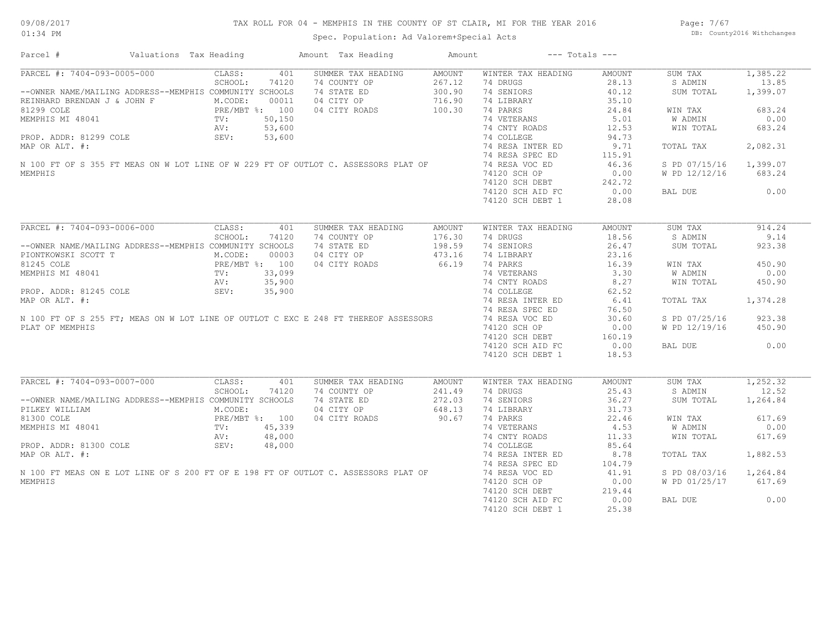## TAX ROLL FOR 04 - MEMPHIS IN THE COUNTY OF ST CLAIR, MI FOR THE YEAR 2016

Spec. Population: Ad Valorem+Special Acts

Page: 7/67 DB: County2016 Withchanges

| Parcel #                                                                            | Valuations Tax Heading                     | Amount Tax Heading | Amount        | $---$ Totals $---$ |               |                |          |
|-------------------------------------------------------------------------------------|--------------------------------------------|--------------------|---------------|--------------------|---------------|----------------|----------|
| PARCEL #: 7404-093-0005-000                                                         | 401<br>CLASS:                              | SUMMER TAX HEADING | <b>AMOUNT</b> | WINTER TAX HEADING | AMOUNT        | SUM TAX        | 1,385.22 |
|                                                                                     | SCHOOL:<br>74120                           | 74 COUNTY OP       | 267.12        | 74 DRUGS           | 28.13         | S ADMIN        | 13.85    |
| --OWNER NAME/MAILING ADDRESS--MEMPHIS COMMUNITY SCHOOLS                             |                                            | 74 STATE ED        | 300.90        | 74 SENIORS         | 40.12         | SUM TOTAL      | 1,399.07 |
| REINHARD BRENDAN J & JOHN F                                                         | M.CODE:<br>00011                           | 04 CITY OP         | 716.90        | 74 LIBRARY         | 35.10         |                |          |
| 81299 COLE                                                                          |                                            | 04 CITY ROADS      | 100.30        | 74 PARKS           | 24.84         | WIN TAX        | 683.24   |
| MEMPHIS MI 48041                                                                    | PRE/MBT %: 100<br>TV: 50,150<br>TV: 50,600 |                    |               | 74 VETERANS        | 5.01          | W ADMIN        | 0.00     |
|                                                                                     | AV:<br>53,600                              |                    |               | 74 CNTY ROADS      | 12.53         | WIN TOTAL      | 683.24   |
| PROP. ADDR: 81299 COLE                                                              | SEV:<br>53,600                             |                    |               | 74 COLLEGE         | 94.73         |                |          |
| MAP OR ALT. #:                                                                      |                                            |                    |               | 74 RESA INTER ED   | 9.71          | TOTAL TAX      | 2,082.31 |
|                                                                                     |                                            |                    |               | 74 RESA SPEC ED    | 115.91        |                |          |
| N 100 FT OF S 355 FT MEAS ON W LOT LINE OF W 229 FT OF OUTLOT C. ASSESSORS PLAT OF  |                                            |                    |               | 74 RESA VOC ED     | 46.36         | S PD 07/15/16  | 1,399.07 |
|                                                                                     |                                            |                    |               |                    |               |                | 683.24   |
| MEMPHIS                                                                             |                                            |                    |               | 74120 SCH OP       | 0.00          | W PD 12/12/16  |          |
|                                                                                     |                                            |                    |               | 74120 SCH DEBT     | 242.72        |                |          |
|                                                                                     |                                            |                    |               | 74120 SCH AID FC   | 0.00          | BAL DUE        | 0.00     |
|                                                                                     |                                            |                    |               | 74120 SCH DEBT 1   | 28.08         |                |          |
| PARCEL #: 7404-093-0006-000                                                         | CLASS:<br>401                              | SUMMER TAX HEADING | <b>AMOUNT</b> | WINTER TAX HEADING | <b>AMOUNT</b> | SUM TAX        | 914.24   |
|                                                                                     | SCHOOL:<br>74120                           | 74 COUNTY OP       | 176.30        | 74 DRUGS           | 18.56         | S ADMIN        | 9.14     |
| --OWNER NAME/MAILING ADDRESS--MEMPHIS COMMUNITY SCHOOLS                             |                                            | 74 STATE ED        | 198.59        | 74 SENIORS         | 26.47         | SUM TOTAL      | 923.38   |
|                                                                                     | M.CODE:<br>00003                           | 04 CITY OP         | 473.16        | 74 LIBRARY         | 23.16         |                |          |
| PIONTKOWSKI SCOTT T                                                                 |                                            |                    |               |                    |               |                |          |
| 81245 COLE                                                                          | PRE/MBT %: 100<br>TV: 33,099<br>TV: 35,099 | 04 CITY ROADS      | 66.19         | 74 PARKS           | 16.39         | WIN TAX        | 450.90   |
| MEMPHIS MI 48041                                                                    |                                            |                    |               | 74 VETERANS        | 3.30          | W ADMIN        | 0.00     |
|                                                                                     | 35,900<br>AV:                              |                    |               | 74 CNTY ROADS      | 8.27          | WIN TOTAL      | 450.90   |
| PROP. ADDR: 81245 COLE                                                              | SEV:<br>35,900                             |                    |               | 74 COLLEGE         | 62.52         |                |          |
| MAP OR ALT. #:                                                                      |                                            |                    |               | 74 RESA INTER ED   | 6.41          | TOTAL TAX      | 1,374.28 |
|                                                                                     |                                            |                    |               | 74 RESA SPEC ED    | 76.50         |                |          |
| N 100 FT OF S 255 FT; MEAS ON W LOT LINE OF OUTLOT C EXC E 248 FT THEREOF ASSESSORS |                                            |                    |               | 74 RESA VOC ED     | 30.60         | S PD 07/25/16  | 923.38   |
| PLAT OF MEMPHIS                                                                     |                                            |                    |               | 74120 SCH OP       | 0.00          | W PD 12/19/16  | 450.90   |
|                                                                                     |                                            |                    |               | 74120 SCH DEBT     | 160.19        |                |          |
|                                                                                     |                                            |                    |               | 74120 SCH AID FC   | 0.00          | BAL DUE        | 0.00     |
|                                                                                     |                                            |                    |               | 74120 SCH DEBT 1   | 18.53         |                |          |
|                                                                                     |                                            |                    |               |                    |               |                |          |
| PARCEL #: 7404-093-0007-000                                                         | CLASS:<br>401                              | SUMMER TAX HEADING | <b>AMOUNT</b> | WINTER TAX HEADING | AMOUNT        | SUM TAX        | 1,252.32 |
|                                                                                     | SCHOOL:<br>74120                           | 74 COUNTY OP       | 241.49        | 74 DRUGS           | 25.43         | S ADMIN        | 12.52    |
| --OWNER NAME/MAILING ADDRESS--MEMPHIS COMMUNITY SCHOOLS                             |                                            | 74 STATE ED        | 272.03        | 74 SENIORS         | 36.27         | SUM TOTAL      | 1,264.84 |
| PILKEY WILLIAM                                                                      | M.CODE:                                    | 04 CITY OP         | 648.13        | 74 LIBRARY         | 31.73         |                |          |
| 81300 COLE                                                                          | PRE/MBT %: 100                             | 04 CITY ROADS      | 90.67         | 74 PARKS           | 22.46         | WIN TAX        | 617.69   |
| MEMPHIS MI 48041                                                                    | 45,339<br>TV:                              |                    |               | 74 VETERANS        | 4.53          | <b>W ADMIN</b> | 0.00     |
|                                                                                     | AV:<br>48,000                              |                    |               | 74 CNTY ROADS      | 11.33         | WIN TOTAL      | 617.69   |
| PROP. ADDR: 81300 COLE                                                              | SEV:<br>48,000                             |                    |               | 74 COLLEGE         | 85.64         |                |          |
| MAP OR ALT. #:                                                                      |                                            |                    |               | 74 RESA INTER ED   | 8.78          | TOTAL TAX      | 1,882.53 |
|                                                                                     |                                            |                    |               | 74 RESA SPEC ED    | 104.79        |                |          |
| N 100 FT MEAS ON E LOT LINE OF S 200 FT OF E 198 FT OF OUTLOT C. ASSESSORS PLAT OF  |                                            |                    |               | 74 RESA VOC ED     | 41.91         | S PD 08/03/16  | 1,264.84 |
| MEMPHIS                                                                             |                                            |                    |               | 74120 SCH OP       | 0.00          | W PD 01/25/17  | 617.69   |
|                                                                                     |                                            |                    |               |                    |               |                |          |
|                                                                                     |                                            |                    |               | 74120 SCH DEBT     | 219.44        |                |          |
|                                                                                     |                                            |                    |               | 74120 SCH AID FC   | 0.00          | BAL DUE        | 0.00     |
|                                                                                     |                                            |                    |               | 74120 SCH DEBT 1   | 25.38         |                |          |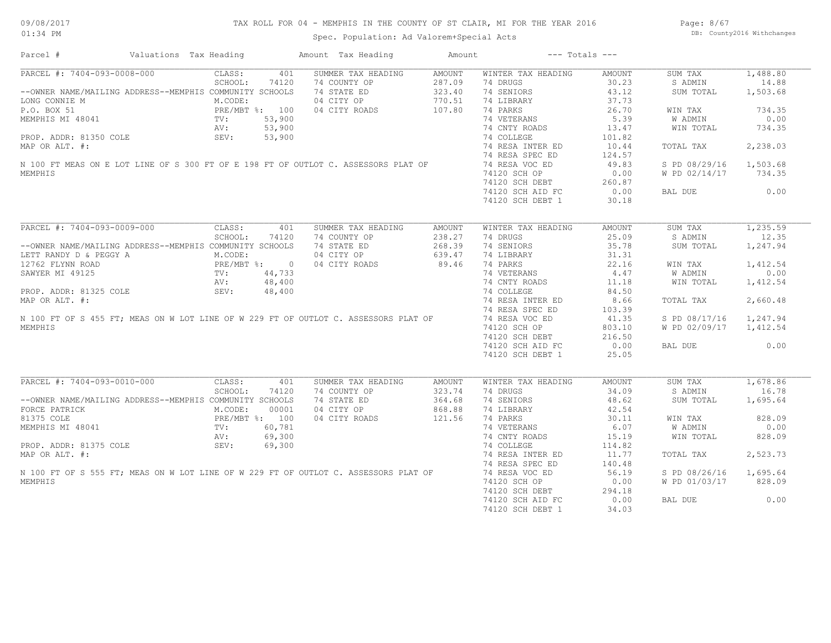## TAX ROLL FOR 04 - MEMPHIS IN THE COUNTY OF ST CLAIR, MI FOR THE YEAR 2016

Spec. Population: Ad Valorem+Special Acts

Page: 8/67 DB: County2016 Withchanges

| Parcel #                                                                            | Valuations Tax Heading |         |                    | Amount Tax Heading | Amount        |                    | $---$ Totals $---$ |                |          |
|-------------------------------------------------------------------------------------|------------------------|---------|--------------------|--------------------|---------------|--------------------|--------------------|----------------|----------|
| PARCEL #: 7404-093-0008-000                                                         |                        | CLASS:  | 401                | SUMMER TAX HEADING | <b>AMOUNT</b> | WINTER TAX HEADING | <b>AMOUNT</b>      | SUM TAX        | 1,488.80 |
|                                                                                     |                        | SCHOOL: | 74120              | 74 COUNTY OP       | 287.09        | 74 DRUGS           | 30.23              | S ADMIN        | 14.88    |
| --OWNER NAME/MAILING ADDRESS--MEMPHIS COMMUNITY SCHOOLS                             |                        |         |                    | 74 STATE ED        | 323.40        | 74 SENIORS         | 43.12              | SUM TOTAL      | 1,503.68 |
| LONG CONNIE M                                                                       |                        | M.CODE: |                    | 04 CITY OP         | 770.51        | 74 LIBRARY         | 37.73              |                |          |
| P.O. BOX 51                                                                         |                        |         | PRE/MBT %: 100     | 04 CITY ROADS      | 107.80        | 74 PARKS           | 26.70              | WIN TAX        | 734.35   |
| MEMPHIS MI 48041                                                                    | TV:                    |         | 53,900             |                    |               | 74 VETERANS        | 5.39               | W ADMIN        | 0.00     |
|                                                                                     | AV:                    |         | 53,900             |                    |               | 74 CNTY ROADS      | 13.47              | WIN TOTAL      | 734.35   |
| PROP. ADDR: 81350 COLE                                                              | SEV:                   |         | 53,900             |                    |               | 74 COLLEGE         | 101.82             |                |          |
| MAP OR ALT. #:                                                                      |                        |         |                    |                    |               | 74 RESA INTER ED   | 10.44              | TOTAL TAX      | 2,238.03 |
|                                                                                     |                        |         |                    |                    |               | 74 RESA SPEC ED    | 124.57             |                |          |
| N 100 FT MEAS ON E LOT LINE OF S 300 FT OF E 198 FT OF OUTLOT C. ASSESSORS PLAT OF  |                        |         |                    |                    |               | 74 RESA VOC ED     | 49.83              | S PD 08/29/16  | 1,503.68 |
| MEMPHIS                                                                             |                        |         |                    |                    |               | 74120 SCH OP       | 0.00               | W PD 02/14/17  | 734.35   |
|                                                                                     |                        |         |                    |                    |               |                    |                    |                |          |
|                                                                                     |                        |         |                    |                    |               | 74120 SCH DEBT     | 260.87             |                |          |
|                                                                                     |                        |         |                    |                    |               | 74120 SCH AID FC   | 0.00               | BAL DUE        | 0.00     |
|                                                                                     |                        |         |                    |                    |               | 74120 SCH DEBT 1   | 30.18              |                |          |
| PARCEL #: 7404-093-0009-000                                                         |                        | CLASS:  | 401                | SUMMER TAX HEADING | <b>AMOUNT</b> | WINTER TAX HEADING | <b>AMOUNT</b>      | SUM TAX        | 1,235.59 |
|                                                                                     |                        | SCHOOL: | 74120              | 74 COUNTY OP       | 238.27        | 74 DRUGS           | 25.09              | S ADMIN        | 12.35    |
|                                                                                     |                        |         |                    |                    |               |                    |                    |                |          |
| --OWNER NAME/MAILING ADDRESS--MEMPHIS COMMUNITY SCHOOLS                             |                        |         |                    | 74 STATE ED        | 268.39        | 74 SENIORS         | 35.78              | SUM TOTAL      | 1,247.94 |
| LETT RANDY D & PEGGY A                                                              |                        | M.CODE: |                    | 04 CITY OP         | 639.47        | 74 LIBRARY         | 31.31              |                |          |
| 12762 FLYNN ROAD                                                                    |                        |         | $PRE/MBT$ $\div$ 0 | 04 CITY ROADS      | 89.46         | 74 PARKS           | 22.16              | WIN TAX        | 1,412.54 |
| SAWYER MI 49125                                                                     | TV:                    |         | 44,733             |                    |               | 74 VETERANS        | 4.47               | W ADMIN        | 0.00     |
|                                                                                     | AV:                    |         | 48,400             |                    |               | 74 CNTY ROADS      | 11.18              | WIN TOTAL      | 1,412.54 |
| PROP. ADDR: 81325 COLE                                                              | SEV:                   |         | 48,400             |                    |               | 74 COLLEGE         | 84.50              |                |          |
| MAP OR ALT. #:                                                                      |                        |         |                    |                    |               | 74 RESA INTER ED   | 8.66               | TOTAL TAX      | 2,660.48 |
|                                                                                     |                        |         |                    |                    |               | 74 RESA SPEC ED    | 103.39             |                |          |
| N 100 FT OF S 455 FT; MEAS ON W LOT LINE OF W 229 FT OF OUTLOT C. ASSESSORS PLAT OF |                        |         |                    |                    |               | 74 RESA VOC ED     | 41.35              | S PD 08/17/16  | 1,247.94 |
| MEMPHIS                                                                             |                        |         |                    |                    |               | 74120 SCH OP       | 803.10             | W PD 02/09/17  | 1,412.54 |
|                                                                                     |                        |         |                    |                    |               | 74120 SCH DEBT     | 216.50             |                |          |
|                                                                                     |                        |         |                    |                    |               | 74120 SCH AID FC   | 0.00               | BAL DUE        | 0.00     |
|                                                                                     |                        |         |                    |                    |               | 74120 SCH DEBT 1   | 25.05              |                |          |
|                                                                                     |                        |         |                    |                    |               |                    |                    |                |          |
| PARCEL #: 7404-093-0010-000                                                         |                        | CLASS:  | 401                | SUMMER TAX HEADING | AMOUNT        | WINTER TAX HEADING | <b>AMOUNT</b>      | SUM TAX        | 1,678.86 |
|                                                                                     |                        | SCHOOL: | 74120              | 74 COUNTY OP       | 323.74        | 74 DRUGS           | 34.09              | S ADMIN        | 16.78    |
| --OWNER NAME/MAILING ADDRESS--MEMPHIS COMMUNITY SCHOOLS                             |                        |         |                    | 74 STATE ED        | 364.68        | 74 SENIORS         | 48.62              | SUM TOTAL      | 1,695.64 |
| FORCE PATRICK                                                                       |                        | M.CODE: | 00001              | 04 CITY OP         | 868.88        | 74 LIBRARY         | 42.54              |                |          |
| 81375 COLE                                                                          |                        |         | PRE/MBT %: 100     | 04 CITY ROADS      | 121.56        | 74 PARKS           | 30.11              | WIN TAX        | 828.09   |
| MEMPHIS MI 48041                                                                    | TV:                    |         | 60,781             |                    |               | 74 VETERANS        | 6.07               | <b>W ADMIN</b> | 0.00     |
|                                                                                     | AV:                    |         | 69,300             |                    |               | 74 CNTY ROADS      | 15.19              | WIN TOTAL      | 828.09   |
| PROP. ADDR: 81375 COLE                                                              | SEV:                   |         | 69,300             |                    |               | 74 COLLEGE         | 114.82             |                |          |
|                                                                                     |                        |         |                    |                    |               |                    |                    |                |          |
| MAP OR ALT. #:                                                                      |                        |         |                    |                    |               | 74 RESA INTER ED   | 11.77              | TOTAL TAX      | 2,523.73 |
|                                                                                     |                        |         |                    |                    |               | 74 RESA SPEC ED    | 140.48             |                |          |
| N 100 FT OF S 555 FT; MEAS ON W LOT LINE OF W 229 FT OF OUTLOT C. ASSESSORS PLAT OF |                        |         |                    |                    |               | 74 RESA VOC ED     | 56.19              | S PD 08/26/16  | 1,695.64 |
| MEMPHIS                                                                             |                        |         |                    |                    |               | 74120 SCH OP       | 0.00               | W PD 01/03/17  | 828.09   |
|                                                                                     |                        |         |                    |                    |               | 74120 SCH DEBT     | 294.18             |                |          |
|                                                                                     |                        |         |                    |                    |               | 74120 SCH AID FC   | 0.00               | BAL DUE        | 0.00     |
|                                                                                     |                        |         |                    |                    |               | 74120 SCH DEBT 1   | 34.03              |                |          |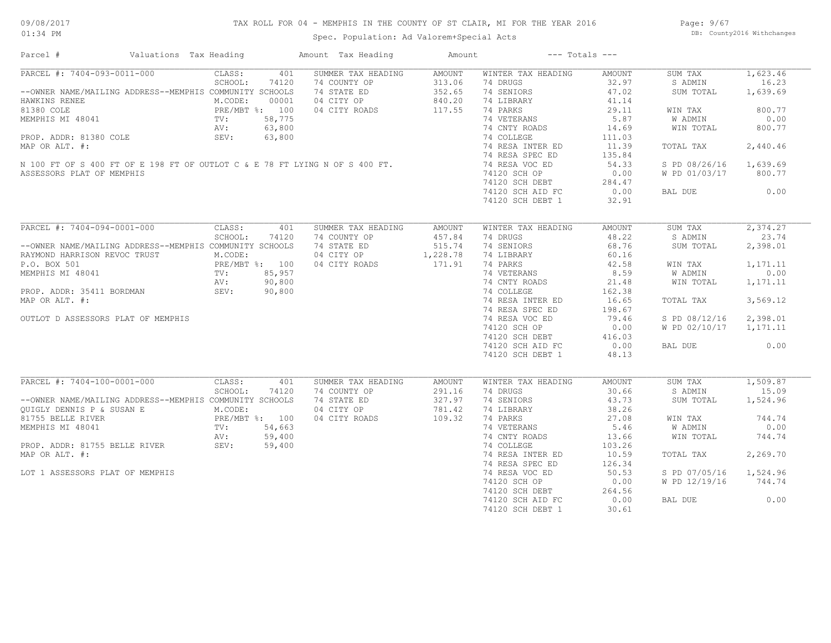## TAX ROLL FOR 04 - MEMPHIS IN THE COUNTY OF ST CLAIR, MI FOR THE YEAR 2016

Spec. Population: Ad Valorem+Special Acts

Page: 9/67 DB: County2016 Withchanges

| Parcel #                                                                                                                                                                                                           | Valuations Tax Heading |                                                                      |                                                     | Amount Tax Heading                                                                                                                                              | Amount                                                |                                                                                                                                                                                               | $---$ Totals $---$                                                                                        |                                                                                                                          |                                                                                             |
|--------------------------------------------------------------------------------------------------------------------------------------------------------------------------------------------------------------------|------------------------|----------------------------------------------------------------------|-----------------------------------------------------|-----------------------------------------------------------------------------------------------------------------------------------------------------------------|-------------------------------------------------------|-----------------------------------------------------------------------------------------------------------------------------------------------------------------------------------------------|-----------------------------------------------------------------------------------------------------------|--------------------------------------------------------------------------------------------------------------------------|---------------------------------------------------------------------------------------------|
| PARCEL #: 7404-093-0011-000<br>--OWNER NAME/MAILING ADDRESS--MEMPHIS COMMUNITY SCHOOLS<br>HAWKINS RENEE<br>81380 COLE<br>MEMPHIS MI 48041<br>PROP. ADDR: 81380 COLE<br>MAP OR ALT. #:<br>ASSESSORS PLAT OF MEMPHIS |                        | CLASS:<br>SCHOOL:<br>M.CODE:<br>PRE/MBT %: 100<br>TV:<br>AV:<br>SEV: | 401<br>74120<br>00001<br>58,775<br>63,800<br>63,800 | SUMMER TAX HEADING<br>74 COUNTY OP<br>74 STATE ED<br>04 CITY OP<br>04 CITY ROADS<br>N 100 FT OF S 400 FT OF E 198 FT OF OUTLOT C & E 78 FT LYING N OF S 400 FT. | <b>AMOUNT</b><br>313.06<br>352.65<br>840.20<br>117.55 | WINTER TAX HEADING<br>74 DRUGS<br>74 SENIORS<br>74 LIBRARY<br>74 PARKS<br>74 VETERANS<br>74 CNTY ROADS<br>74 COLLEGE<br>74 RESA INTER ED<br>74 RESA SPEC ED<br>74 RESA VOC ED<br>74120 SCH OP | AMOUNT<br>32.97<br>47.02<br>41.14<br>29.11<br>5.87<br>14.69<br>111.03<br>11.39<br>135.84<br>54.33<br>0.00 | SUM TAX<br>S ADMIN<br>SUM TOTAL<br>WIN TAX<br><b>W ADMIN</b><br>WIN TOTAL<br>TOTAL TAX<br>S PD 08/26/16<br>W PD 01/03/17 | 1,623.46<br>16.23<br>1,639.69<br>800.77<br>0.00<br>800.77<br>2,440.46<br>1,639.69<br>800.77 |
|                                                                                                                                                                                                                    |                        |                                                                      |                                                     |                                                                                                                                                                 |                                                       | 74120 SCH DEBT<br>74120 SCH AID FC<br>74120 SCH DEBT 1                                                                                                                                        | 284.47<br>0.00<br>32.91                                                                                   | BAL DUE                                                                                                                  | 0.00                                                                                        |
| PARCEL #: 7404-094-0001-000                                                                                                                                                                                        |                        | CLASS:<br>SCHOOL:                                                    | 401<br>74120                                        | SUMMER TAX HEADING<br>74 COUNTY OP                                                                                                                              | <b>AMOUNT</b><br>457.84                               | WINTER TAX HEADING<br>74 DRUGS                                                                                                                                                                | <b>AMOUNT</b><br>48.22                                                                                    | SUM TAX<br>S ADMIN                                                                                                       | 2,374.27<br>23.74                                                                           |
| --OWNER NAME/MAILING ADDRESS--MEMPHIS COMMUNITY SCHOOLS<br>RAYMOND HARRISON REVOC TRUST                                                                                                                            |                        | M.CODE:                                                              |                                                     | 74 STATE ED<br>04 CITY OP                                                                                                                                       | 515.74<br>1,228.78                                    | 74 SENIORS<br>74 LIBRARY                                                                                                                                                                      | 68.76<br>60.16                                                                                            | SUM TOTAL                                                                                                                | 2,398.01                                                                                    |
| P.O. BOX 501                                                                                                                                                                                                       |                        | PRE/MBT %: 100                                                       |                                                     | 04 CITY ROADS                                                                                                                                                   | 171.91                                                | 74 PARKS                                                                                                                                                                                      | 42.58                                                                                                     | WIN TAX                                                                                                                  | 1,171.11                                                                                    |
| MEMPHIS MI 48041                                                                                                                                                                                                   |                        | TV:                                                                  |                                                     |                                                                                                                                                                 |                                                       | 74 VETERANS                                                                                                                                                                                   | 8.59                                                                                                      | <b>W ADMIN</b>                                                                                                           | 0.00                                                                                        |
|                                                                                                                                                                                                                    |                        | AV:                                                                  |                                                     |                                                                                                                                                                 |                                                       | 74 CNTY ROADS                                                                                                                                                                                 | 21.48                                                                                                     | WIN TOTAL                                                                                                                | 1,171.11                                                                                    |
| PROP. ADDR: 35411 BORDMAN                                                                                                                                                                                          |                        | SEV:                                                                 |                                                     |                                                                                                                                                                 |                                                       | 74 COLLEGE                                                                                                                                                                                    | 162.38                                                                                                    |                                                                                                                          |                                                                                             |
| MAP OR ALT. #:                                                                                                                                                                                                     |                        |                                                                      |                                                     |                                                                                                                                                                 |                                                       | 74 RESA INTER ED                                                                                                                                                                              | 16.65                                                                                                     | TOTAL TAX                                                                                                                | 3,569.12                                                                                    |
|                                                                                                                                                                                                                    |                        |                                                                      |                                                     |                                                                                                                                                                 |                                                       | 74 RESA SPEC ED                                                                                                                                                                               | 198.67                                                                                                    |                                                                                                                          |                                                                                             |
| OUTLOT D ASSESSORS PLAT OF MEMPHIS                                                                                                                                                                                 |                        |                                                                      |                                                     |                                                                                                                                                                 |                                                       | 74 RESA VOC ED                                                                                                                                                                                | 79.46                                                                                                     | S PD 08/12/16                                                                                                            | 2,398.01                                                                                    |
|                                                                                                                                                                                                                    |                        |                                                                      |                                                     |                                                                                                                                                                 |                                                       | 74120 SCH OP                                                                                                                                                                                  | 0.00                                                                                                      | W PD 02/10/17                                                                                                            | 1,171.11                                                                                    |
|                                                                                                                                                                                                                    |                        |                                                                      |                                                     |                                                                                                                                                                 |                                                       | 74120 SCH DEBT<br>74120 SCH AID FC                                                                                                                                                            | 416.03<br>0.00                                                                                            | BAL DUE                                                                                                                  | 0.00                                                                                        |
|                                                                                                                                                                                                                    |                        |                                                                      |                                                     | $100$<br>$85,957$<br>$90,800$<br>$90,800$                                                                                                                       |                                                       | 74120 SCH DEBT 1                                                                                                                                                                              | 48.13                                                                                                     |                                                                                                                          |                                                                                             |
| PARCEL #: 7404-100-0001-000                                                                                                                                                                                        |                        | CLASS:                                                               | 401                                                 | SUMMER TAX HEADING                                                                                                                                              | <b>AMOUNT</b>                                         | WINTER TAX HEADING                                                                                                                                                                            | <b>AMOUNT</b>                                                                                             | SUM TAX                                                                                                                  | 1,509.87                                                                                    |
|                                                                                                                                                                                                                    |                        | SCHOOL:                                                              | 74120                                               | 74 COUNTY OP                                                                                                                                                    | 291.16                                                | 74 DRUGS                                                                                                                                                                                      | 30.66                                                                                                     | S ADMIN                                                                                                                  | 15.09                                                                                       |
| --OWNER NAME/MAILING ADDRESS--MEMPHIS COMMUNITY SCHOOLS                                                                                                                                                            |                        |                                                                      |                                                     | 74 STATE ED                                                                                                                                                     | 327.97                                                | 74 SENIORS                                                                                                                                                                                    | 43.73                                                                                                     | SUM TOTAL                                                                                                                | 1,524.96                                                                                    |
| OUIGLY DENNIS P & SUSAN E                                                                                                                                                                                          |                        | M.CODE:                                                              |                                                     | 04 CITY OP                                                                                                                                                      | 781.42                                                | 74 LIBRARY                                                                                                                                                                                    | 38.26                                                                                                     |                                                                                                                          |                                                                                             |
| 81755 BELLE RIVER                                                                                                                                                                                                  |                        | PRE/MBT %: 100                                                       |                                                     | 04 CITY ROADS                                                                                                                                                   | 109.32                                                | 74 PARKS                                                                                                                                                                                      | 27.08                                                                                                     | WIN TAX                                                                                                                  | 744.74                                                                                      |
| MEMPHIS MI 48041                                                                                                                                                                                                   |                        | TV:                                                                  | 54,663                                              |                                                                                                                                                                 |                                                       | 74 VETERANS                                                                                                                                                                                   | 5.46                                                                                                      | W ADMIN                                                                                                                  | 0.00                                                                                        |
|                                                                                                                                                                                                                    |                        | AV:                                                                  | 59,400                                              |                                                                                                                                                                 |                                                       | 74 CNTY ROADS                                                                                                                                                                                 | 13.66                                                                                                     | WIN TOTAL                                                                                                                | 744.74                                                                                      |
| PROP. ADDR: 81755 BELLE RIVER                                                                                                                                                                                      |                        | AV:<br>SEV:                                                          | 59,400                                              |                                                                                                                                                                 |                                                       | 74 COLLEGE                                                                                                                                                                                    | 103.26                                                                                                    |                                                                                                                          |                                                                                             |
| MAP OR ALT. #:                                                                                                                                                                                                     |                        |                                                                      |                                                     |                                                                                                                                                                 |                                                       | 74 RESA INTER ED                                                                                                                                                                              | 10.59                                                                                                     | TOTAL TAX                                                                                                                | 2,269.70                                                                                    |
|                                                                                                                                                                                                                    |                        |                                                                      |                                                     |                                                                                                                                                                 |                                                       | 74 RESA SPEC ED                                                                                                                                                                               | 126.34                                                                                                    |                                                                                                                          |                                                                                             |
| LOT 1 ASSESSORS PLAT OF MEMPHIS                                                                                                                                                                                    |                        |                                                                      |                                                     |                                                                                                                                                                 |                                                       | 74 RESA VOC ED                                                                                                                                                                                | 50.53                                                                                                     | S PD 07/05/16                                                                                                            | 1,524.96                                                                                    |
|                                                                                                                                                                                                                    |                        |                                                                      |                                                     |                                                                                                                                                                 |                                                       | 74120 SCH OP                                                                                                                                                                                  | 0.00                                                                                                      | W PD 12/19/16                                                                                                            | 744.74                                                                                      |
|                                                                                                                                                                                                                    |                        |                                                                      |                                                     |                                                                                                                                                                 |                                                       | 74120 SCH DEBT                                                                                                                                                                                | 264.56                                                                                                    |                                                                                                                          |                                                                                             |
|                                                                                                                                                                                                                    |                        |                                                                      |                                                     |                                                                                                                                                                 |                                                       | 74120 SCH AID FC<br>74120 SCH DEBT 1                                                                                                                                                          | 0.00<br>30.61                                                                                             | BAL DUE                                                                                                                  | 0.00                                                                                        |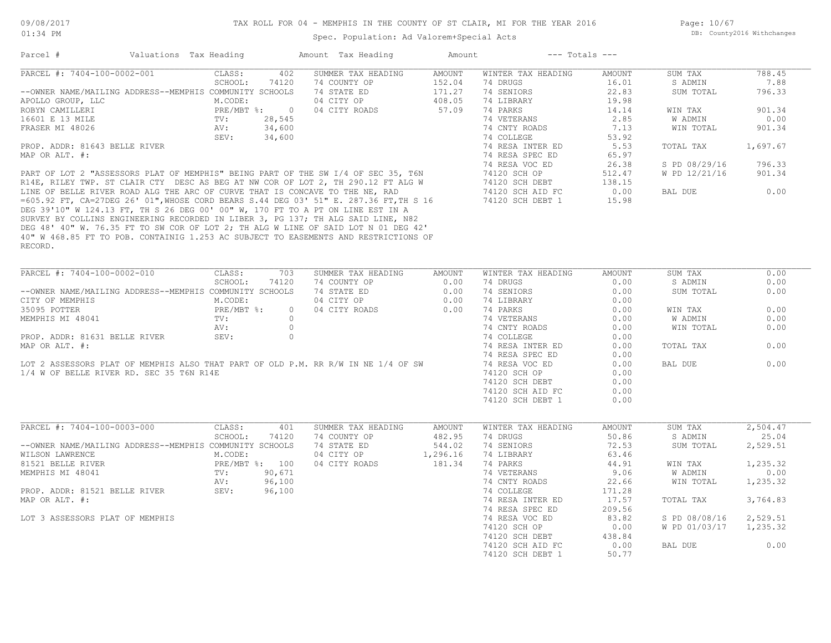| Parcel #                                                | Valuations Tax Heading |                |                | Amount Tax Heading                                                                                                                                               | Amount        |                    | $---$ Totals $---$ |               |          |
|---------------------------------------------------------|------------------------|----------------|----------------|------------------------------------------------------------------------------------------------------------------------------------------------------------------|---------------|--------------------|--------------------|---------------|----------|
| PARCEL #: 7404-100-0002-001                             |                        | CLASS:         | 402            | SUMMER TAX HEADING                                                                                                                                               | <b>AMOUNT</b> | WINTER TAX HEADING | AMOUNT             | SUM TAX       | 788.45   |
|                                                         |                        | SCHOOL:        | 74120          | 74 COUNTY OP                                                                                                                                                     | 152.04        | 74 DRUGS           | 16.01              | S ADMIN       | 7.88     |
| --OWNER NAME/MAILING ADDRESS--MEMPHIS COMMUNITY SCHOOLS |                        |                |                | 74 STATE ED                                                                                                                                                      | 171.27        | 74 SENIORS         | 22.83              | SUM TOTAL     | 796.33   |
| APOLLO GROUP, LLC                                       |                        | M.CODE:        |                | 04 CITY OP                                                                                                                                                       | 408.05        | 74 LIBRARY         | 19.98              |               |          |
| ROBYN CAMILLERI                                         |                        | PRE/MBT %: 0   |                | 04 CITY ROADS                                                                                                                                                    | 57.09         | 74 PARKS           | 14.14              | WIN TAX       | 901.34   |
| 16601 E 13 MILE                                         |                        | TV:            | 28,545         |                                                                                                                                                                  |               | 74 VETERANS        | 2.85               | W ADMIN       | 0.00     |
| FRASER MI 48026                                         |                        | AV:            | 34,600         |                                                                                                                                                                  |               | 74 CNTY ROADS      | 7.13               | WIN TOTAL     | 901.34   |
|                                                         |                        | SEV:           | 34,600         |                                                                                                                                                                  |               | 74 COLLEGE         | 53.92              |               |          |
| PROP. ADDR: 81643 BELLE RIVER                           |                        |                |                |                                                                                                                                                                  |               | 74 RESA INTER ED   | 5.53               | TOTAL TAX     | 1,697.67 |
| MAP OR ALT. #:                                          |                        |                |                |                                                                                                                                                                  |               | 74 RESA SPEC ED    | 65.97              |               |          |
|                                                         |                        |                |                |                                                                                                                                                                  |               | 74 RESA VOC ED     | 26.38              | S PD 08/29/16 | 796.33   |
|                                                         |                        |                |                | PART OF LOT 2 "ASSESSORS PLAT OF MEMPHIS" BEING PART OF THE SW I/4 OF SEC 35, T6N                                                                                |               | 74120 SCH OP       | 512.47             | W PD 12/21/16 | 901.34   |
|                                                         |                        |                |                |                                                                                                                                                                  |               | 74120 SCH DEBT     | 138.15             |               |          |
|                                                         |                        |                |                | R14E, RILEY TWP. ST CLAIR CTY DESC AS BEG AT NW COR OF LOT 2, TH 290.12 FT ALG W<br>LINE OF BELLE RIVER ROAD ALG THE ARC OF CURVE THAT IS CONCAVE TO THE NE. BAD |               | 74120 SCH AID FC   | 0.00               | BAL DUE       | 0.00     |
|                                                         |                        |                |                | =605.92 FT, CA=27DEG 26' 01", WHOSE CORD BEARS S.44 DEG 03' 51" E. 287.36 FT, TH S 16                                                                            |               | 74120 SCH DEBT 1   | 15.98              |               |          |
|                                                         |                        |                |                | DEG 39'10" W 124.13 FT, TH S 26 DEG 00' 00" W, 170 FT TO A PT ON LINE EST IN A                                                                                   |               |                    |                    |               |          |
|                                                         |                        |                |                |                                                                                                                                                                  |               |                    |                    |               |          |
|                                                         |                        |                |                | SURVEY BY COLLINS ENGINEERING RECORDED IN LIBER 3, PG 137; TH ALG SAID LINE, N82                                                                                 |               |                    |                    |               |          |
|                                                         |                        |                |                | DEG 48' 40" W. 76.35 FT TO SW COR OF LOT 2; TH ALG W LINE OF SAID LOT N 01 DEG 42'                                                                               |               |                    |                    |               |          |
|                                                         |                        |                |                | 40" W 468.85 FT TO POB. CONTAINIG 1.253 AC SUBJECT TO EASEMENTS AND RESTRICTIONS OF                                                                              |               |                    |                    |               |          |
| RECORD.                                                 |                        |                |                |                                                                                                                                                                  |               |                    |                    |               |          |
|                                                         |                        |                |                |                                                                                                                                                                  |               |                    |                    |               |          |
| PARCEL #: 7404-100-0002-010                             |                        | CLASS:         | 703            | SUMMER TAX HEADING                                                                                                                                               | AMOUNT        | WINTER TAX HEADING | AMOUNT             | SUM TAX       | 0.00     |
|                                                         |                        | SCHOOL:        | 74120          | 74 COUNTY OP                                                                                                                                                     | 0.00          | 74 DRUGS           | 0.00               | S ADMIN       | 0.00     |
|                                                         |                        |                |                |                                                                                                                                                                  |               |                    |                    |               |          |
| --OWNER NAME/MAILING ADDRESS--MEMPHIS COMMUNITY SCHOOLS |                        |                |                | 74 STATE ED                                                                                                                                                      | 0.00          | 74 SENIORS         | 0.00               | SUM TOTAL     | 0.00     |
| CITY OF MEMPHIS                                         |                        | M.CODE:        |                | 04 CITY OP                                                                                                                                                       | 0.00          | 74 LIBRARY         | 0.00               |               |          |
| 35095 POTTER                                            |                        | PRE/MBT %:     | $\overline{0}$ | 04 CITY ROADS                                                                                                                                                    | 0.00          | 74 PARKS           | 0.00               | WIN TAX       | 0.00     |
| MEMPHIS MI 48041                                        |                        | TV:            | $\bigcap$      |                                                                                                                                                                  |               | 74 VETERANS        | 0.00               | W ADMIN       | 0.00     |
|                                                         |                        | AV:            | $\circ$        |                                                                                                                                                                  |               | 74 CNTY ROADS      | 0.00               | WIN TOTAL     | 0.00     |
| PROP. ADDR: 81631 BELLE RIVER                           |                        | SEV:           | $\circ$        |                                                                                                                                                                  |               | 74 COLLEGE         | 0.00               |               |          |
| MAP OR ALT. #:                                          |                        |                |                |                                                                                                                                                                  |               | 74 RESA INTER ED   | 0.00               | TOTAL TAX     | 0.00     |
|                                                         |                        |                |                |                                                                                                                                                                  |               | 74 RESA SPEC ED    | 0.00               |               |          |
|                                                         |                        |                |                | LOT 2 ASSESSORS PLAT OF MEMPHIS ALSO THAT PART OF OLD P.M. RR R/W IN NE 1/4 OF SW                                                                                |               | 74 RESA VOC ED     | 0.00               | BAL DUE       | 0.00     |
| 1/4 W OF BELLE RIVER RD. SEC 35 T6N R14E                |                        |                |                |                                                                                                                                                                  |               | 74120 SCH OP       | 0.00               |               |          |
|                                                         |                        |                |                |                                                                                                                                                                  |               | 74120 SCH DEBT     | 0.00               |               |          |
|                                                         |                        |                |                |                                                                                                                                                                  |               | 74120 SCH AID FC   | 0.00               |               |          |
|                                                         |                        |                |                |                                                                                                                                                                  |               | 74120 SCH DEBT 1   | 0.00               |               |          |
|                                                         |                        |                |                |                                                                                                                                                                  |               |                    |                    |               |          |
|                                                         |                        |                |                |                                                                                                                                                                  |               |                    |                    |               |          |
| PARCEL #: 7404-100-0003-000                             |                        | CLASS:         | 401            | SUMMER TAX HEADING                                                                                                                                               | AMOUNT        | WINTER TAX HEADING | AMOUNT             | SUM TAX       | 2,504.47 |
|                                                         |                        | SCHOOL:        | 74120          | 74 COUNTY OP                                                                                                                                                     | 482.95        | 74 DRUGS           | 50.86              | S ADMIN       | 25.04    |
| --OWNER NAME/MAILING ADDRESS--MEMPHIS COMMUNITY SCHOOLS |                        |                |                | 74 STATE ED                                                                                                                                                      | 544.02        | 74 SENIORS         | 72.53              | SUM TOTAL     | 2,529.51 |
| WILSON LAWRENCE                                         |                        | M.CODE:        |                | 04 CITY OP                                                                                                                                                       | 1,296.16      | 74 LIBRARY         | 63.46              |               |          |
| 81521 BELLE RIVER                                       |                        | PRE/MBT %: 100 |                | 04 CITY ROADS                                                                                                                                                    | 181.34        | 74 PARKS           | 44.91              | WIN TAX       | 1,235.32 |
| MEMPHIS MI 48041                                        |                        | TV:            | 90,671         |                                                                                                                                                                  |               | 74 VETERANS        | 9.06               | W ADMIN       | 0.00     |
|                                                         |                        | AV:            | 96,100         |                                                                                                                                                                  |               | 74 CNTY ROADS      | 22.66              | WIN TOTAL     | 1,235.32 |
| PROP. ADDR: 81521 BELLE RIVER                           |                        | SEV:           | 96,100         |                                                                                                                                                                  |               | 74 COLLEGE         | 171.28             |               |          |
| MAP OR ALT. #:                                          |                        |                |                |                                                                                                                                                                  |               | 74 RESA INTER ED   | 17.57              | TOTAL TAX     | 3,764.83 |
|                                                         |                        |                |                |                                                                                                                                                                  |               | 74 RESA SPEC ED    | 209.56             |               |          |
|                                                         |                        |                |                |                                                                                                                                                                  |               |                    |                    |               |          |
| LOT 3 ASSESSORS PLAT OF MEMPHIS                         |                        |                |                |                                                                                                                                                                  |               | 74 RESA VOC ED     | 83.82              | S PD 08/08/16 | 2,529.51 |
|                                                         |                        |                |                |                                                                                                                                                                  |               | 74120 SCH OP       | 0.00               | W PD 01/03/17 | 1,235.32 |
|                                                         |                        |                |                |                                                                                                                                                                  |               | 74120 SCH DEBT     | 438.84             |               |          |
|                                                         |                        |                |                |                                                                                                                                                                  |               | 74120 SCH AID FC   | 0.00               | BAL DUE       | 0.00     |
|                                                         |                        |                |                |                                                                                                                                                                  |               | 74120 SCH DEBT 1   | 50.77              |               |          |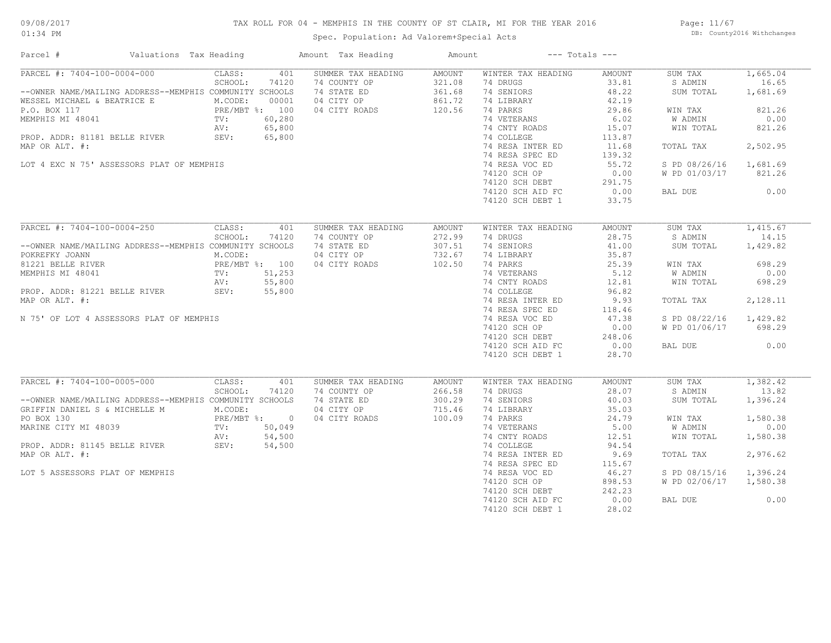## TAX ROLL FOR 04 - MEMPHIS IN THE COUNTY OF ST CLAIR, MI FOR THE YEAR 2016

Spec. Population: Ad Valorem+Special Acts

Page: 11/67 DB: County2016 Withchanges

| Parcel #                                                                                                                                                                                                                                                  | Valuations Tax Heading |                                                                      |                                                     | Amount Tax Heading                                                               | Amount                                         |                                                                                                                                                                                                                                                         | $---$ Totals $---$                                                                                                                   |                                                                                                                                     |                                                                                                     |
|-----------------------------------------------------------------------------------------------------------------------------------------------------------------------------------------------------------------------------------------------------------|------------------------|----------------------------------------------------------------------|-----------------------------------------------------|----------------------------------------------------------------------------------|------------------------------------------------|---------------------------------------------------------------------------------------------------------------------------------------------------------------------------------------------------------------------------------------------------------|--------------------------------------------------------------------------------------------------------------------------------------|-------------------------------------------------------------------------------------------------------------------------------------|-----------------------------------------------------------------------------------------------------|
| PARCEL #: 7404-100-0004-000<br>--OWNER NAME/MAILING ADDRESS--MEMPHIS COMMUNITY SCHOOLS<br>WESSEL MICHAEL & BEATRICE E<br>P.O. BOX 117<br>MEMPHIS MI 48041<br>PROP. ADDR: 81181 BELLE RIVER<br>MAP OR ALT. #:<br>LOT 4 EXC N 75' ASSESSORS PLAT OF MEMPHIS |                        | CLASS:<br>SCHOOL:<br>M.CODE:<br>PRE/MBT %: 100<br>TV:<br>AV:<br>SEV: | 401<br>74120<br>00001<br>60,280<br>65,800<br>65,800 | SUMMER TAX HEADING<br>74 COUNTY OP<br>74 STATE ED<br>04 CITY OP<br>04 CITY ROADS | AMOUNT<br>321.08<br>361.68<br>861.72<br>120.56 | WINTER TAX HEADING<br>74 DRUGS<br>74 SENIORS<br>74 LIBRARY<br>74 PARKS<br>74 VETERANS<br>74 CNTY ROADS<br>74 COLLEGE<br>74 RESA INTER ED<br>74 RESA SPEC ED<br>74 RESA VOC ED<br>74120 SCH OP<br>74120 SCH DEBT<br>74120 SCH AID FC<br>74120 SCH DEBT 1 | AMOUNT<br>33.81<br>48.22<br>42.19<br>29.86<br>6.02<br>15.07<br>113.87<br>11.68<br>139.32<br>55.72<br>0.00<br>291.75<br>0.00<br>33.75 | SUM TAX<br>S ADMIN<br>SUM TOTAL<br>WIN TAX<br><b>W ADMIN</b><br>WIN TOTAL<br>TOTAL TAX<br>S PD 08/26/16<br>W PD 01/03/17<br>BAL DUE | 1,665.04<br>16.65<br>1,681.69<br>821.26<br>0.00<br>821.26<br>2,502.95<br>1,681.69<br>821.26<br>0.00 |
| PARCEL #: 7404-100-0004-250                                                                                                                                                                                                                               |                        | CLASS:                                                               | 401                                                 | SUMMER TAX HEADING                                                               | <b>AMOUNT</b>                                  | WINTER TAX HEADING                                                                                                                                                                                                                                      | <b>AMOUNT</b>                                                                                                                        | SUM TAX                                                                                                                             | 1,415.67                                                                                            |
| --OWNER NAME/MAILING ADDRESS--MEMPHIS COMMUNITY SCHOOLS<br>POKREFKY JOANN                                                                                                                                                                                 |                        | SCHOOL:<br>M.CODE:                                                   | 74120                                               | 74 COUNTY OP<br>74 STATE ED<br>04 CITY OP                                        | 272.99<br>307.51<br>732.67                     | 74 DRUGS<br>74 SENIORS<br>74 LIBRARY                                                                                                                                                                                                                    | 28.75<br>41.00<br>35.87                                                                                                              | S ADMIN<br>SUM TOTAL                                                                                                                | 14.15<br>1,429.82                                                                                   |
| 81221 BELLE RIVER<br>MEMPHIS MI 48041                                                                                                                                                                                                                     |                        | PRE/MBT %: 100<br>TV:<br>AV:                                         | 51,253<br>55,800                                    | 04 CITY ROADS                                                                    | 102.50                                         | 74 PARKS<br>74 VETERANS<br>74 CNTY ROADS                                                                                                                                                                                                                | 25.39<br>5.12<br>12.81                                                                                                               | WIN TAX<br>W ADMIN<br>WIN TOTAL                                                                                                     | 698.29<br>0.00<br>698.29                                                                            |
| PROP. ADDR: 81221 BELLE RIVER<br>MAP OR ALT. #:                                                                                                                                                                                                           |                        | SEV:                                                                 | 55,800                                              |                                                                                  |                                                | 74 COLLEGE<br>74 RESA INTER ED                                                                                                                                                                                                                          | 96.82<br>9.93                                                                                                                        | TOTAL TAX                                                                                                                           | 2,128.11                                                                                            |
| N 75' OF LOT 4 ASSESSORS PLAT OF MEMPHIS                                                                                                                                                                                                                  |                        |                                                                      |                                                     |                                                                                  |                                                | 74 RESA SPEC ED<br>74 RESA VOC ED<br>74120 SCH OP                                                                                                                                                                                                       | 118.46<br>47.38<br>0.00                                                                                                              | S PD 08/22/16<br>W PD 01/06/17                                                                                                      | 1,429.82<br>698.29                                                                                  |
|                                                                                                                                                                                                                                                           |                        |                                                                      |                                                     |                                                                                  |                                                | 74120 SCH DEBT<br>74120 SCH AID FC<br>74120 SCH DEBT 1                                                                                                                                                                                                  | 248.06<br>0.00<br>28.70                                                                                                              | BAL DUE                                                                                                                             | 0.00                                                                                                |
| PARCEL #: 7404-100-0005-000                                                                                                                                                                                                                               |                        | CLASS:                                                               | 401                                                 | SUMMER TAX HEADING                                                               | <b>AMOUNT</b>                                  | WINTER TAX HEADING                                                                                                                                                                                                                                      | AMOUNT                                                                                                                               | SUM TAX                                                                                                                             | 1,382.42                                                                                            |
| --OWNER NAME/MAILING ADDRESS--MEMPHIS COMMUNITY SCHOOLS<br>GRIFFIN DANIEL S & MICHELLE M                                                                                                                                                                  |                        | SCHOOL:<br>M.CODE:                                                   | 74120                                               | 74 COUNTY OP<br>74 STATE ED<br>04 CITY OP                                        | 266.58<br>300.29<br>715.46                     | 74 DRUGS<br>74 SENIORS<br>74 LIBRARY                                                                                                                                                                                                                    | 28.07<br>40.03<br>35.03                                                                                                              | S ADMIN<br>SUM TOTAL                                                                                                                | 13.82<br>1,396.24                                                                                   |
| PO BOX 130<br>MARINE CITY MI 48039                                                                                                                                                                                                                        |                        | PRE/MBT %: 0<br>TV:                                                  | 50,049                                              | 04 CITY ROADS                                                                    | 100.09                                         | 74 PARKS<br>74 VETERANS                                                                                                                                                                                                                                 | 24.79<br>5.00                                                                                                                        | WIN TAX<br>W ADMIN                                                                                                                  | 1,580.38<br>0.00                                                                                    |
| PROP. ADDR: 81145 BELLE RIVER<br>MAP OR ALT. #:                                                                                                                                                                                                           |                        | AV:<br>SEV:                                                          | 54,500<br>54,500                                    |                                                                                  |                                                | 74 CNTY ROADS<br>74 COLLEGE<br>74 RESA INTER ED                                                                                                                                                                                                         | 12.51<br>94.54<br>9.69                                                                                                               | WIN TOTAL<br>TOTAL TAX                                                                                                              | 1,580.38<br>2,976.62                                                                                |
| LOT 5 ASSESSORS PLAT OF MEMPHIS                                                                                                                                                                                                                           |                        |                                                                      |                                                     |                                                                                  |                                                | 74 RESA SPEC ED<br>74 RESA VOC ED                                                                                                                                                                                                                       | 115.67<br>46.27                                                                                                                      | S PD 08/15/16                                                                                                                       | 1,396.24                                                                                            |
|                                                                                                                                                                                                                                                           |                        |                                                                      |                                                     |                                                                                  |                                                | 74120 SCH OP<br>74120 SCH DEBT                                                                                                                                                                                                                          | 898.53<br>242.23                                                                                                                     | W PD 02/06/17                                                                                                                       | 1,580.38                                                                                            |
|                                                                                                                                                                                                                                                           |                        |                                                                      |                                                     |                                                                                  |                                                | 74120 SCH AID FC<br>74120 SCH DEBT 1                                                                                                                                                                                                                    | 0.00<br>28.02                                                                                                                        | BAL DUE                                                                                                                             | 0.00                                                                                                |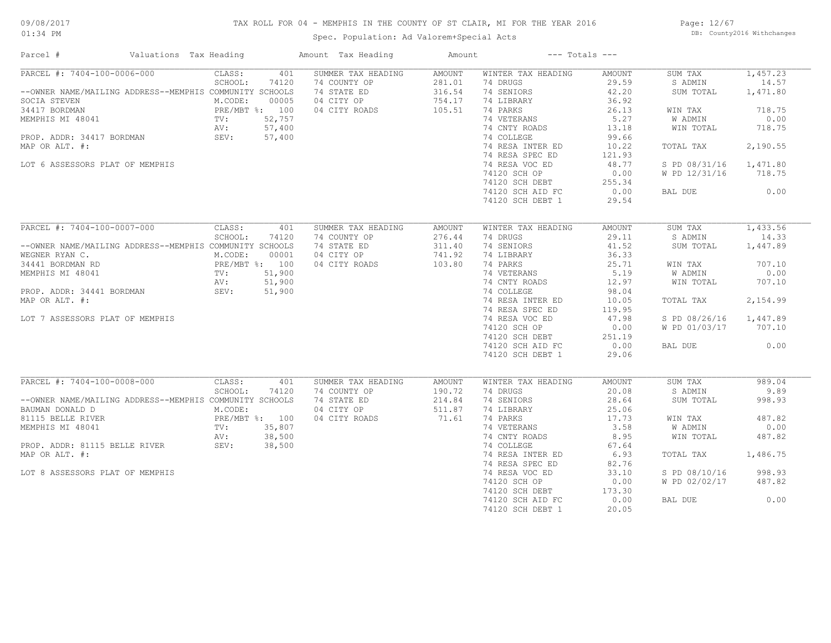## TAX ROLL FOR 04 - MEMPHIS IN THE COUNTY OF ST CLAIR, MI FOR THE YEAR 2016

Spec. Population: Ad Valorem+Special Acts

Page: 12/67 DB: County2016 Withchanges

| Parcel #                                                                                                                                    | Valuations Tax Heading |                                                       |                                 | Amount Tax Heading                                                               | Amount                                                |                                                                                       | $---$ Totals $---$                                        |                                                       |                                                 |
|---------------------------------------------------------------------------------------------------------------------------------------------|------------------------|-------------------------------------------------------|---------------------------------|----------------------------------------------------------------------------------|-------------------------------------------------------|---------------------------------------------------------------------------------------|-----------------------------------------------------------|-------------------------------------------------------|-------------------------------------------------|
| PARCEL #: 7404-100-0006-000<br>--OWNER NAME/MAILING ADDRESS--MEMPHIS COMMUNITY SCHOOLS<br>SOCIA STEVEN<br>34417 BORDMAN<br>MEMPHIS MI 48041 |                        | CLASS:<br>SCHOOL:<br>M.CODE:<br>PRE/MBT %: 100<br>TV: | 401<br>74120<br>00005<br>52,757 | SUMMER TAX HEADING<br>74 COUNTY OP<br>74 STATE ED<br>04 CITY OP<br>04 CITY ROADS | <b>AMOUNT</b><br>281.01<br>316.54<br>754.17<br>105.51 | WINTER TAX HEADING<br>74 DRUGS<br>74 SENIORS<br>74 LIBRARY<br>74 PARKS<br>74 VETERANS | <b>AMOUNT</b><br>29.59<br>42.20<br>36.92<br>26.13<br>5.27 | SUM TAX<br>S ADMIN<br>SUM TOTAL<br>WIN TAX<br>W ADMIN | 1,457.23<br>14.57<br>1,471.80<br>718.75<br>0.00 |
| PROP. ADDR: 34417 BORDMAN<br>MAP OR ALT. #:                                                                                                 |                        | AV:<br>SEV:                                           | 57,400<br>57,400                |                                                                                  |                                                       | 74 CNTY ROADS<br>74 COLLEGE<br>74 RESA INTER ED                                       | 13.18<br>99.66<br>10.22                                   | WIN TOTAL<br>TOTAL TAX                                | 718.75<br>2,190.55                              |
| LOT 6 ASSESSORS PLAT OF MEMPHIS                                                                                                             |                        |                                                       |                                 |                                                                                  |                                                       | 74 RESA SPEC ED<br>74 RESA VOC ED                                                     | 121.93<br>48.77                                           | S PD 08/31/16                                         | 1,471.80                                        |
|                                                                                                                                             |                        |                                                       |                                 |                                                                                  |                                                       | 74120 SCH OP<br>74120 SCH DEBT<br>74120 SCH AID FC<br>74120 SCH DEBT 1                | 0.00<br>255.34<br>0.00<br>29.54                           | W PD 12/31/16<br>BAL DUE                              | 718.75<br>0.00                                  |
|                                                                                                                                             |                        |                                                       |                                 |                                                                                  |                                                       |                                                                                       |                                                           |                                                       |                                                 |
| PARCEL #: 7404-100-0007-000                                                                                                                 |                        | CLASS:<br>SCHOOL:                                     | 401<br>74120                    | SUMMER TAX HEADING<br>74 COUNTY OP                                               | <b>AMOUNT</b><br>276.44                               | WINTER TAX HEADING<br>74 DRUGS                                                        | AMOUNT<br>29.11                                           | SUM TAX<br>S ADMIN                                    | 1,433.56<br>14.33                               |
| --OWNER NAME/MAILING ADDRESS--MEMPHIS COMMUNITY SCHOOLS<br>WEGNER RYAN C.                                                                   |                        | M.CODE:                                               | 00001                           | 74 STATE ED<br>04 CITY OP                                                        | 311.40<br>741.92                                      | 74 SENIORS<br>74 LIBRARY                                                              | 41.52<br>36.33                                            | SUM TOTAL                                             | 1,447.89                                        |
| 34441 BORDMAN RD<br>MEMPHIS MI 48041                                                                                                        |                        | PRE/MBT %: 100<br>TV:<br>AV:                          | 51,900<br>51,900                | 04 CITY ROADS                                                                    | 103.80                                                | 74 PARKS<br>74 VETERANS<br>74 CNTY ROADS                                              | 25.71<br>5.19<br>12.97                                    | WIN TAX<br>W ADMIN<br>WIN TOTAL                       | 707.10<br>0.00<br>707.10                        |
| PROP. ADDR: 34441 BORDMAN<br>MAP OR ALT. #:                                                                                                 |                        | SEV:                                                  | 51,900                          |                                                                                  |                                                       | 74 COLLEGE<br>74 RESA INTER ED                                                        | 98.04<br>10.05                                            | TOTAL TAX                                             | 2,154.99                                        |
| LOT 7 ASSESSORS PLAT OF MEMPHIS                                                                                                             |                        |                                                       |                                 |                                                                                  |                                                       | 74 RESA SPEC ED<br>74 RESA VOC ED<br>74120 SCH OP                                     | 119.95<br>47.98<br>0.00                                   | S PD 08/26/16<br>W PD 01/03/17                        | 1,447.89<br>707.10                              |
|                                                                                                                                             |                        |                                                       |                                 |                                                                                  |                                                       | 74120 SCH DEBT<br>74120 SCH AID FC<br>74120 SCH DEBT 1                                | 251.19<br>0.00<br>29.06                                   | BAL DUE                                               | 0.00                                            |
| PARCEL #: 7404-100-0008-000                                                                                                                 |                        | CLASS:                                                | 401                             | SUMMER TAX HEADING                                                               | AMOUNT                                                | WINTER TAX HEADING                                                                    | <b>AMOUNT</b>                                             | SUM TAX                                               | 989.04                                          |
| --OWNER NAME/MAILING ADDRESS--MEMPHIS COMMUNITY SCHOOLS                                                                                     |                        | SCHOOL:                                               | 74120                           | 74 COUNTY OP<br>74 STATE ED                                                      | 190.72<br>214.84                                      | 74 DRUGS<br>74 SENIORS                                                                | 20.08<br>28.64                                            | S ADMIN<br>SUM TOTAL                                  | 9.89<br>998.93                                  |
| BAUMAN DONALD D<br>81115 BELLE RIVER<br>MEMPHIS MI 48041                                                                                    |                        | M.CODE:<br>PRE/MBT %: 100<br>TV:                      | 35,807                          | 04 CITY OP<br>04 CITY ROADS                                                      | 511.87<br>71.61                                       | 74 LIBRARY<br>74 PARKS<br>74 VETERANS                                                 | 25.06<br>17.73<br>3.58                                    | WIN TAX<br>W ADMIN                                    | 487.82<br>0.00                                  |
| PROP. ADDR: 81115 BELLE RIVER                                                                                                               | AV:<br>SEV:            | AV:                                                   | 38,500<br>38,500                |                                                                                  |                                                       | 74 CNTY ROADS<br>74 COLLEGE                                                           | 8.95<br>67.64                                             | WIN TOTAL                                             | 487.82                                          |
| MAP OR ALT. #:                                                                                                                              |                        |                                                       |                                 |                                                                                  |                                                       | 74 RESA INTER ED<br>74 RESA SPEC ED                                                   | 6.93<br>82.76<br>33.10                                    | TOTAL TAX                                             | 1,486.75<br>998.93                              |
| LOT 8 ASSESSORS PLAT OF MEMPHIS                                                                                                             |                        |                                                       |                                 |                                                                                  |                                                       | 74 RESA VOC ED<br>74120 SCH OP<br>74120 SCH DEBT                                      | 0.00<br>173.30                                            | S PD 08/10/16<br>W PD 02/02/17                        | 487.82                                          |
|                                                                                                                                             |                        |                                                       |                                 |                                                                                  |                                                       | 74120 SCH AID FC<br>74120 SCH DEBT 1                                                  | 0.00<br>20.05                                             | BAL DUE                                               | 0.00                                            |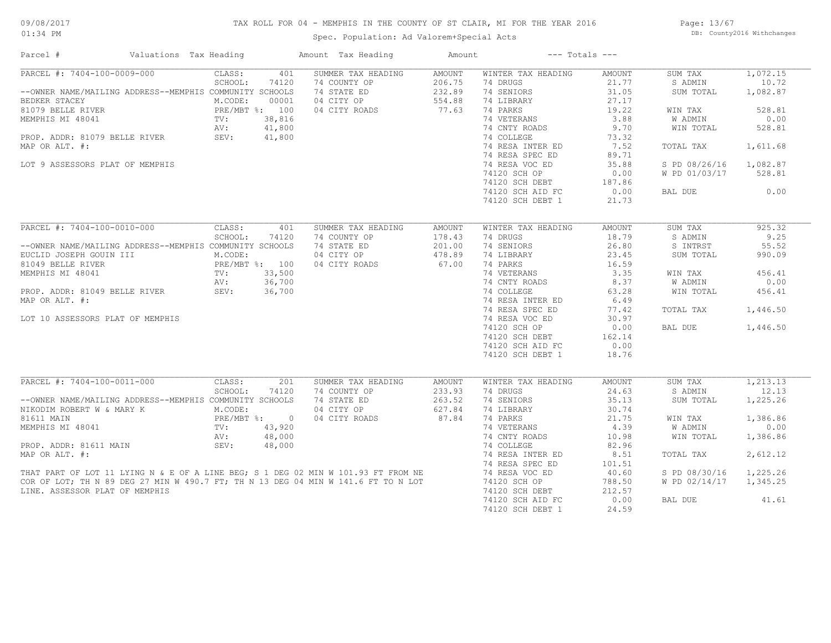## TAX ROLL FOR 04 - MEMPHIS IN THE COUNTY OF ST CLAIR, MI FOR THE YEAR 2016

Spec. Population: Ad Valorem+Special Acts

Page: 13/67 DB: County2016 Withchanges

| Parcel #                                                                                                                                                                                                                               | Valuations Tax Heading |                                                              |                                                     | Amount Tax Heading                                                                                                                                                                       | Amount                                               |                                                                                                                                                                                                                                                         | $---$ Totals $---$                                                                                                               |                                                                                                                                     |                                                                                                     |
|----------------------------------------------------------------------------------------------------------------------------------------------------------------------------------------------------------------------------------------|------------------------|--------------------------------------------------------------|-----------------------------------------------------|------------------------------------------------------------------------------------------------------------------------------------------------------------------------------------------|------------------------------------------------------|---------------------------------------------------------------------------------------------------------------------------------------------------------------------------------------------------------------------------------------------------------|----------------------------------------------------------------------------------------------------------------------------------|-------------------------------------------------------------------------------------------------------------------------------------|-----------------------------------------------------------------------------------------------------|
| PARCEL #: 7404-100-0009-000<br>--OWNER NAME/MAILING ADDRESS--MEMPHIS COMMUNITY SCHOOLS<br>BEDKER STACEY<br>81079 BELLE RIVER<br>MEMPHIS MI 48041<br>PROP. ADDR: 81079 BELLE RIVER<br>MAP OR ALT. #:<br>LOT 9 ASSESSORS PLAT OF MEMPHIS | SEV:                   | CLASS:<br>SCHOOL:<br>M.CODE:<br>PRE/MBT %: 100<br>TV:<br>AV: | 401<br>74120<br>00001<br>38,816<br>41,800<br>41,800 | SUMMER TAX HEADING<br>74 COUNTY OP<br>74 STATE ED<br>04 CITY OP<br>04 CITY ROADS                                                                                                         | <b>AMOUNT</b><br>206.75<br>232.89<br>554.88<br>77.63 | WINTER TAX HEADING<br>74 DRUGS<br>74 SENIORS<br>74 LIBRARY<br>74 PARKS<br>74 VETERANS<br>74 CNTY ROADS<br>74 COLLEGE<br>74 RESA INTER ED<br>74 RESA SPEC ED<br>74 RESA VOC ED<br>74120 SCH OP<br>74120 SCH DEBT<br>74120 SCH AID FC<br>74120 SCH DEBT 1 | AMOUNT<br>21.77<br>31.05<br>27.17<br>19.22<br>3.88<br>9.70<br>73.32<br>7.52<br>89.71<br>35.88<br>0.00<br>187.86<br>0.00<br>21.73 | SUM TAX<br>S ADMIN<br>SUM TOTAL<br>WIN TAX<br><b>W ADMIN</b><br>WIN TOTAL<br>TOTAL TAX<br>S PD 08/26/16<br>W PD 01/03/17<br>BAL DUE | 1,072.15<br>10.72<br>1,082.87<br>528.81<br>0.00<br>528.81<br>1,611.68<br>1,082.87<br>528.81<br>0.00 |
| PARCEL #: 7404-100-0010-000                                                                                                                                                                                                            |                        | CLASS:                                                       | 401                                                 | SUMMER TAX HEADING                                                                                                                                                                       | <b>AMOUNT</b>                                        | WINTER TAX HEADING                                                                                                                                                                                                                                      | <b>AMOUNT</b>                                                                                                                    | SUM TAX                                                                                                                             | 925.32                                                                                              |
| --OWNER NAME/MAILING ADDRESS--MEMPHIS COMMUNITY SCHOOLS<br>EUCLID JOSEPH GOUIN III<br>81049 BELLE RIVER                                                                                                                                |                        | SCHOOL:<br>M.CODE:<br>PRE/MBT %: 100                         | 74120                                               | 74 COUNTY OP<br>74 STATE ED<br>04 CITY OP<br>04 CITY ROADS                                                                                                                               | 178.43<br>201.00<br>478.89<br>67.00                  | 74 DRUGS<br>74 SENIORS<br>74 LIBRARY<br>74 PARKS                                                                                                                                                                                                        | 18.79<br>26.80<br>23.45<br>16.59                                                                                                 | S ADMIN<br>S INTRST<br>SUM TOTAL                                                                                                    | 9.25<br>55.52<br>990.09                                                                             |
| MEMPHIS MI 48041                                                                                                                                                                                                                       |                        | TV:<br>AV:                                                   | 33,500<br>36,700                                    |                                                                                                                                                                                          |                                                      | 74 VETERANS<br>74 CNTY ROADS                                                                                                                                                                                                                            | 3.35<br>8.37                                                                                                                     | WIN TAX<br>W ADMIN                                                                                                                  | 456.41<br>0.00                                                                                      |
| PROP. ADDR: 81049 BELLE RIVER<br>MAP OR ALT. #:                                                                                                                                                                                        | SEV:                   |                                                              | 36,700                                              |                                                                                                                                                                                          |                                                      | 74 COLLEGE<br>74 RESA INTER ED<br>74 RESA SPEC ED                                                                                                                                                                                                       | 63.28<br>6.49<br>77.42                                                                                                           | WIN TOTAL<br>TOTAL TAX                                                                                                              | 456.41<br>1,446.50                                                                                  |
| LOT 10 ASSESSORS PLAT OF MEMPHIS                                                                                                                                                                                                       |                        |                                                              |                                                     |                                                                                                                                                                                          |                                                      | 74 RESA VOC ED<br>74120 SCH OP<br>74120 SCH DEBT<br>74120 SCH AID FC<br>74120 SCH DEBT 1                                                                                                                                                                | 30.97<br>0.00<br>162.14<br>0.00<br>18.76                                                                                         | BAL DUE                                                                                                                             | 1,446.50                                                                                            |
| PARCEL #: 7404-100-0011-000                                                                                                                                                                                                            |                        | CLASS:                                                       | 201                                                 | SUMMER TAX HEADING                                                                                                                                                                       | <b>AMOUNT</b>                                        | WINTER TAX HEADING                                                                                                                                                                                                                                      | <b>AMOUNT</b>                                                                                                                    | SUM TAX                                                                                                                             | 1,213.13                                                                                            |
| --OWNER NAME/MAILING ADDRESS--MEMPHIS COMMUNITY SCHOOLS<br>NIKODIM ROBERT W & MARY K                                                                                                                                                   |                        | SCHOOL:<br>M.CODE:                                           | 74120                                               | 74 COUNTY OP<br>74 STATE ED<br>04 CITY OP                                                                                                                                                | 233.93<br>263.52<br>627.84                           | 74 DRUGS<br>74 SENIORS<br>74 LIBRARY                                                                                                                                                                                                                    | 24.63<br>35.13<br>30.74                                                                                                          | S ADMIN<br>SUM TOTAL                                                                                                                | 12.13<br>1,225.26                                                                                   |
| 81611 MAIN<br>MEMPHIS MI 48041                                                                                                                                                                                                         |                        | PRE/MBT %: 0<br>TV:                                          | 43,920                                              | 04 CITY ROADS                                                                                                                                                                            | 87.84                                                | 74 PARKS<br>74 VETERANS                                                                                                                                                                                                                                 | 21.75<br>4.39                                                                                                                    | WIN TAX<br>W ADMIN                                                                                                                  | 1,386.86<br>0.00                                                                                    |
| PROP. ADDR: 81611 MAIN                                                                                                                                                                                                                 |                        | AV:<br>SEV:                                                  | 48,000<br>48,000                                    |                                                                                                                                                                                          |                                                      | 74 CNTY ROADS<br>74 COLLEGE<br>74 RESA INTER ED                                                                                                                                                                                                         | 10.98<br>82.96<br>8.51                                                                                                           | WIN TOTAL<br>TOTAL TAX                                                                                                              | 1,386.86<br>2,612.12                                                                                |
|                                                                                                                                                                                                                                        |                        |                                                              |                                                     | MAP OR ALT. #:<br>THAT PART OF LOT 11 LYING N & E OF A LINE BEG; S 1 DEG 02 MIN W 101.93 FT FROM NE<br>COR OF LOT; TH N 89 DEG 27 MIN W 490.7 FT; TH N 13 DEG 04 MIN W 141.6 FT TO N LOT |                                                      | 74 RESA SPEC ED<br>74 RESA VOC ED                                                                                                                                                                                                                       | 101.51<br>40.60                                                                                                                  | S PD 08/30/16                                                                                                                       | 1,225.26                                                                                            |
| LINE. ASSESSOR PLAT OF MEMPHIS                                                                                                                                                                                                         |                        |                                                              |                                                     | COR OF LOT; TH N 89 DEG 27 MIN W 490.7 FT; TH N 13 DEG 04 MIN W 141.6 FT TO N LOT                                                                                                        |                                                      | 74120 SCH OP<br>74120 SCH DEBT                                                                                                                                                                                                                          | 788.50<br>212.57                                                                                                                 | W PD 02/14/17                                                                                                                       | 1,345.25                                                                                            |
|                                                                                                                                                                                                                                        |                        |                                                              |                                                     |                                                                                                                                                                                          |                                                      | 74120 SCH AID FC<br>74120 SCH DEBT 1                                                                                                                                                                                                                    | 0.00<br>24.59                                                                                                                    | BAL DUE                                                                                                                             | 41.61                                                                                               |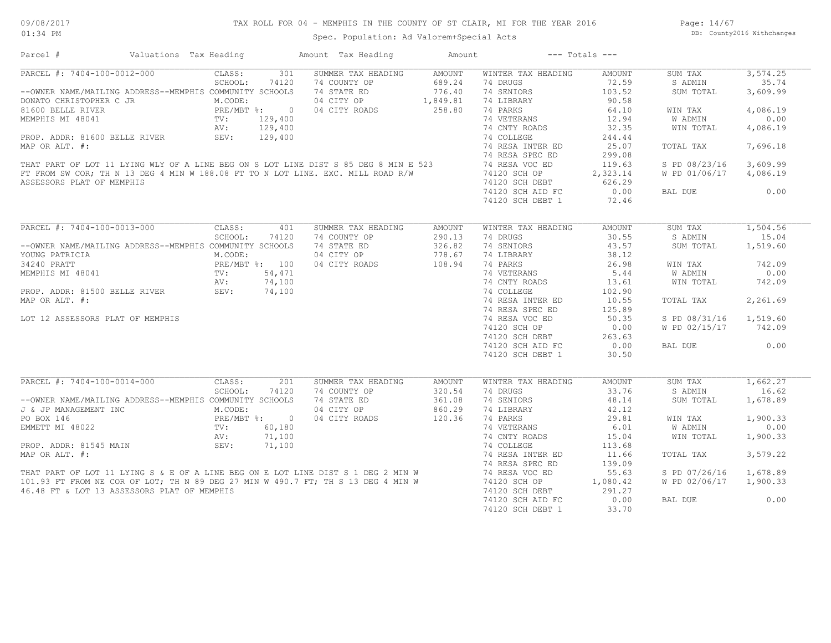## TAX ROLL FOR 04 - MEMPHIS IN THE COUNTY OF ST CLAIR, MI FOR THE YEAR 2016

Spec. Population: Ad Valorem+Special Acts

Page: 14/67 DB: County2016 Withchanges

| Parcel #                                                                                                                                                                                                                             | Valuations Tax Heading                                                                  | Amount Tax Heading                          | Amount |                                               | $---$ Totals $---$ |                        |          |
|--------------------------------------------------------------------------------------------------------------------------------------------------------------------------------------------------------------------------------------|-----------------------------------------------------------------------------------------|---------------------------------------------|--------|-----------------------------------------------|--------------------|------------------------|----------|
| PARCEL #: 7404-100-0012-000                                                                                                                                                                                                          | CLASS:<br>301                                                                           | SUMMER TAX HEADING                          | AMOUNT | WINTER TAX HEADING                            | AMOUNT             | SUM TAX                | 3,574.25 |
|                                                                                                                                                                                                                                      | SCHOOL:<br>74120                                                                        | 74 COUNTY OP                                | 689.24 | 74 DRUGS                                      | 72.59              | S ADMIN                | 35.74    |
| --OWNER NAME/MAILING ADDRESS--MEMPHIS COMMUNITY SCHOOLS                                                                                                                                                                              |                                                                                         | 74 STATE ED                                 | 776.40 | 74 SENIORS                                    | 103.52             | SUM TOTAL              | 3,609.99 |
|                                                                                                                                                                                                                                      |                                                                                         | 04 CITY OP 1,849.81<br>04 CITY ROADS 258.80 |        | 74 LIBRARY                                    | 90.58              |                        |          |
| DONATO CHRISTOPHER C JR<br>81600 BELLE RIVER<br>MEMPHIS MI 48041 TV: 129,400<br>NEMPHIS MI 48041 TV: 129,400                                                                                                                         |                                                                                         | 04 CITY ROADS                               |        | 74 PARKS                                      | 64.10              | WIN TAX                | 4,086.19 |
|                                                                                                                                                                                                                                      |                                                                                         |                                             |        | 74 VETERANS                                   | 12.94              | W ADMIN                | 0.00     |
|                                                                                                                                                                                                                                      | 129,400<br>AV:                                                                          |                                             |        | 74 CNTY ROADS                                 | 32.35              | WIN TOTAL              | 4,086.19 |
|                                                                                                                                                                                                                                      | SEV:                                                                                    |                                             |        |                                               |                    |                        |          |
|                                                                                                                                                                                                                                      |                                                                                         |                                             |        |                                               |                    | TOTAL TAX              | 7,696.18 |
|                                                                                                                                                                                                                                      |                                                                                         |                                             |        |                                               |                    |                        |          |
| PROP. ADDR: 81600 BELLE RIVER SEV: 129,400 74 COLLEGE 244.44<br>MAP OR ALT. #: 74 RESA INTER ED 25.07<br>THAT PART OF LOT 11 LYING WLY OF A LINE BEG ON S LOT LINE DIST S 85 DEG 8 MIN E 523 74 RESA SPEC ED 299.08<br>FIRIT PART O  |                                                                                         |                                             |        |                                               |                    | S PD 08/23/16          | 3,609.99 |
|                                                                                                                                                                                                                                      |                                                                                         |                                             |        |                                               |                    | W PD 01/06/17 4,086.19 |          |
|                                                                                                                                                                                                                                      |                                                                                         |                                             |        |                                               |                    |                        |          |
| ASSESSORS PLAT OF MEMPHIS                                                                                                                                                                                                            |                                                                                         |                                             |        | 74120 SCH DEBT 626.29                         |                    |                        |          |
|                                                                                                                                                                                                                                      |                                                                                         |                                             |        | 74120 SCH AID FC                              | 0.00               | BAL DUE                | 0.00     |
|                                                                                                                                                                                                                                      |                                                                                         |                                             |        | 74120 SCH DEBT 1                              | 72.46              |                        |          |
|                                                                                                                                                                                                                                      |                                                                                         |                                             |        |                                               |                    |                        |          |
| PARCEL #: 7404-100-0013-000                                                                                                                                                                                                          | CLASS:                                                                                  | SUMMER TAX HEADING<br>401                   | AMOUNT | WINTER TAX HEADING                            | AMOUNT             | SUM TAX                | 1,504.56 |
|                                                                                                                                                                                                                                      | SCHOOL:<br>74120                                                                        | 74 COUNTY OP                                | 290.13 | 74 DRUGS                                      | 30.55              | S ADMIN                | 15.04    |
| --OWNER NAME/MAILING ADDRESS--MEMPHIS COMMUNITY SCHOOLS                                                                                                                                                                              |                                                                                         | 74 STATE ED                                 | 326.82 | 74 SENIORS                                    | 43.57              | SUM TOTAL              | 1,519.60 |
| YOUNG PATRICIA                                                                                                                                                                                                                       | M.CODE:                                                                                 | 04 CITY OP                                  | 778.67 | 74 LIBRARY                                    | 38.12              |                        |          |
| 34240 PRATT                                                                                                                                                                                                                          | PRE/MBT %: 100<br>PRE/MBT %: 100<br>TV: 54,471<br>AV: 74,100<br>BELLE RIVER SEV: 74,100 | 04 CITY ROADS                               | 108.94 | 74 PARKS                                      | 26.98              | WIN TAX                | 742.09   |
| MEMPHIS MI 48041                                                                                                                                                                                                                     |                                                                                         |                                             |        |                                               | 5.44               | W ADMIN                | 0.00     |
|                                                                                                                                                                                                                                      |                                                                                         |                                             |        | 74 VETERANS<br>74 CNTY ROADS                  | 13.61              | WIN TOTAL              | 742.09   |
| PROP. ADDR: 81500 BELLE RIVER                                                                                                                                                                                                        |                                                                                         |                                             |        | 74 COLLEGE                                    | 102.90             |                        |          |
| MAP OR ALT. #:                                                                                                                                                                                                                       |                                                                                         |                                             |        | 74 RESA INTER ED                              | 10.55              | TOTAL TAX              | 2,261.69 |
|                                                                                                                                                                                                                                      |                                                                                         |                                             |        | 74 RESA SPEC ED                               | 125.89             |                        |          |
| LOT 12 ASSESSORS PLAT OF MEMPHIS                                                                                                                                                                                                     |                                                                                         |                                             |        | 74 RESA VOC ED                                | 50.35              | S PD 08/31/16 1,519.60 |          |
|                                                                                                                                                                                                                                      |                                                                                         |                                             |        | 74120 SCH OP                                  | 0.00               | W PD 02/15/17 742.09   |          |
|                                                                                                                                                                                                                                      |                                                                                         |                                             |        | 74120 SCH DEBT                                | 263.63             |                        |          |
|                                                                                                                                                                                                                                      |                                                                                         |                                             |        |                                               |                    |                        |          |
|                                                                                                                                                                                                                                      |                                                                                         |                                             |        | 74120 SCH AID FC                              | 0.00               | BAL DUE                | 0.00     |
|                                                                                                                                                                                                                                      |                                                                                         |                                             |        | 74120 SCH DEBT 1                              | 30.50              |                        |          |
|                                                                                                                                                                                                                                      |                                                                                         |                                             |        |                                               |                    |                        |          |
| PARCEL #: 7404-100-0014-000                                                                                                                                                                                                          | CLASS:                                                                                  | 201<br>SUMMER TAX HEADING                   | AMOUNT | WINTER TAX HEADING                            | AMOUNT             | SUM TAX                | 1,662.27 |
|                                                                                                                                                                                                                                      | SCHOOL:<br>74120                                                                        | 74 COUNTY OP                                | 320.54 | 74 DRUGS                                      | 33.76              | S ADMIN                | 16.62    |
| --OWNER NAME/MAILING ADDRESS--MEMPHIS COMMUNITY SCHOOLS                                                                                                                                                                              |                                                                                         | 74 STATE ED                                 | 361.08 | 74 SENIORS                                    | 48.14              | SUM TOTAL              | 1,678.89 |
|                                                                                                                                                                                                                                      |                                                                                         | 04 CITY OP                                  | 860.29 | 74 LIBRARY                                    | 42.12              |                        |          |
|                                                                                                                                                                                                                                      |                                                                                         | 04 CITY ROADS                               | 120.36 | 74 PARKS                                      | 29.81              | WIN TAX                | 1,900.33 |
|                                                                                                                                                                                                                                      |                                                                                         |                                             |        | 74 VETERANS                                   | 6.01               | W ADMIN                | 0.00     |
| <b>3</b> & JP MANAGEMENT INC<br>FO BOX 146<br>EMMETT MI 48022<br>PO POP. ADDR: 81545 MAIN<br>PROP. ADDR: 81545 MAIN<br>PROP. ADDR: 81545 MAIN<br>PROP. ADDR: 81545 MAIN<br>PROP. 2012                                                |                                                                                         |                                             |        | 74 CNTY ROADS                                 | 15.04              | WIN TOTAL              | 1,900.33 |
|                                                                                                                                                                                                                                      |                                                                                         |                                             |        |                                               | 113.68             |                        |          |
| PROP. ADDR: 81545 MAIN SEV: 71,100<br>MAP OR ALT. #: 74 COLLEGE<br>THAT PART OF LOT 11 LYING S & E OF A LINE BEG ON E LOT LINE DIST S 1 DEG 2 MIN W 74 RESA SPEC ED<br>101.93 FT FROM NE COR OF LOT OF THE N 89 DEG 27 MIN W 490.7 F |                                                                                         |                                             |        | 74 RESA INTER ED                              | 11.66              | TOTAL TAX              | 3,579.22 |
|                                                                                                                                                                                                                                      |                                                                                         |                                             |        |                                               | 139.09             |                        |          |
|                                                                                                                                                                                                                                      |                                                                                         |                                             |        |                                               |                    | S PD 07/26/16          | 1,678.89 |
|                                                                                                                                                                                                                                      |                                                                                         |                                             |        | 74 RESA VOC ED 55.63<br>74120 SCH OP 1,080.42 |                    | W PD 02/06/17 1,900.33 |          |
| 46.48 FT & LOT 13 ASSESSORS PLAT OF MEMPHIS                                                                                                                                                                                          |                                                                                         |                                             |        | 74120 SCH DEBT                                | 291.27             |                        |          |
|                                                                                                                                                                                                                                      |                                                                                         |                                             |        | 74120 SCH AID FC                              | 0.00               | BAL DUE                | 0.00     |
|                                                                                                                                                                                                                                      |                                                                                         |                                             |        |                                               |                    |                        |          |
|                                                                                                                                                                                                                                      |                                                                                         |                                             |        | 74120 SCH DEBT 1                              | 33.70              |                        |          |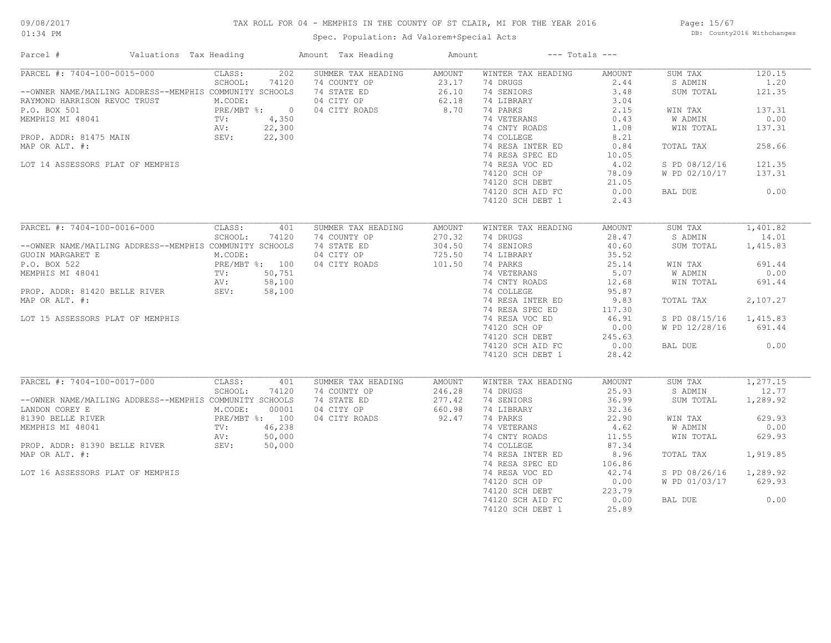## TAX ROLL FOR 04 - MEMPHIS IN THE COUNTY OF ST CLAIR, MI FOR THE YEAR 2016

Spec. Population: Ad Valorem+Special Acts

Page: 15/67 DB: County2016 Withchanges

| Parcel #<br>Valuations Tax Heading                      |                         | Amount Tax Heading | Amount        |                    | $---$ Totals $---$ |                |          |
|---------------------------------------------------------|-------------------------|--------------------|---------------|--------------------|--------------------|----------------|----------|
| PARCEL #: 7404-100-0015-000                             | 202<br>CLASS:           | SUMMER TAX HEADING | <b>AMOUNT</b> | WINTER TAX HEADING | AMOUNT             | SUM TAX        | 120.15   |
|                                                         | SCHOOL:<br>74120        | 74 COUNTY OP       | 23.17         | 74 DRUGS           | 2.44               | S ADMIN        | 1.20     |
| --OWNER NAME/MAILING ADDRESS--MEMPHIS COMMUNITY SCHOOLS |                         | 74 STATE ED        | 26.10         | 74 SENIORS         | 3.48               | SUM TOTAL      | 121.35   |
| RAYMOND HARRISON REVOC TRUST                            | M.CODE:                 | 04 CITY OP         | 62.18         | 74 LIBRARY         | 3.04               |                |          |
| P.O. BOX 501                                            | PRE/MBT %: 0            | 04 CITY ROADS      | 8.70          | 74 PARKS           | 2.15               | WIN TAX        | 137.31   |
| MEMPHIS MI 48041                                        | 4,350<br>TV:            |                    |               | 74 VETERANS        | 0.43               | W ADMIN        | 0.00     |
|                                                         | AV:<br>22,300           |                    |               | 74 CNTY ROADS      | 1.08               | WIN TOTAL      | 137.31   |
| PROP. ADDR: 81475 MAIN                                  | SEV:<br>22,300          |                    |               | 74 COLLEGE         | 8.21               |                |          |
| MAP OR ALT. #:                                          |                         |                    |               | 74 RESA INTER ED   | 0.84               | TOTAL TAX      | 258.66   |
|                                                         |                         |                    |               |                    |                    |                |          |
|                                                         |                         |                    |               | 74 RESA SPEC ED    | 10.05              |                |          |
| LOT 14 ASSESSORS PLAT OF MEMPHIS                        |                         |                    |               | 74 RESA VOC ED     | 4.02               | S PD 08/12/16  | 121.35   |
|                                                         |                         |                    |               | 74120 SCH OP       | 78.09              | W PD 02/10/17  | 137.31   |
|                                                         |                         |                    |               | 74120 SCH DEBT     | 21.05              |                |          |
|                                                         |                         |                    |               | 74120 SCH AID FC   | 0.00               | BAL DUE        | 0.00     |
|                                                         |                         |                    |               | 74120 SCH DEBT 1   | 2.43               |                |          |
|                                                         |                         |                    |               |                    |                    |                |          |
| PARCEL #: 7404-100-0016-000                             | CLASS:<br>401           | SUMMER TAX HEADING | <b>AMOUNT</b> | WINTER TAX HEADING | AMOUNT             | SUM TAX        | 1,401.82 |
|                                                         | SCHOOL:<br>74120        | 74 COUNTY OP       | 270.32        | 74 DRUGS           | 28.47              | S ADMIN        | 14.01    |
| --OWNER NAME/MAILING ADDRESS--MEMPHIS COMMUNITY SCHOOLS |                         | 74 STATE ED        | 304.50        | 74 SENIORS         | 40.60              | SUM TOTAL      | 1,415.83 |
| GUOIN MARGARET E                                        | M.CODE:                 | 04 CITY OP         | 725.50        | 74 LIBRARY         | 35.52              |                |          |
| P.O. BOX 522                                            | PRE/MBT %: 100          | 04 CITY ROADS      | 101.50        | 74 PARKS           | 25.14              | WIN TAX        | 691.44   |
| MEMPHIS MI 48041                                        | 50,751<br>$\text{TV}$ : |                    |               | 74 VETERANS        | 5.07               | W ADMIN        | 0.00     |
|                                                         | 58,100<br>AV:           |                    |               | 74 CNTY ROADS      | 12.68              | WIN TOTAL      | 691.44   |
|                                                         |                         |                    |               |                    |                    |                |          |
| PROP. ADDR: 81420 BELLE RIVER                           | SEV:<br>58,100          |                    |               | 74 COLLEGE         | 95.87              |                |          |
| MAP OR ALT. #:                                          |                         |                    |               | 74 RESA INTER ED   | 9.83               | TOTAL TAX      | 2,107.27 |
|                                                         |                         |                    |               | 74 RESA SPEC ED    | 117.30             |                |          |
| LOT 15 ASSESSORS PLAT OF MEMPHIS                        |                         |                    |               | 74 RESA VOC ED     | 46.91              | S PD 08/15/16  | 1,415.83 |
|                                                         |                         |                    |               | 74120 SCH OP       | 0.00               | W PD 12/28/16  | 691.44   |
|                                                         |                         |                    |               | 74120 SCH DEBT     | 245.63             |                |          |
|                                                         |                         |                    |               | 74120 SCH AID FC   | 0.00               | BAL DUE        | 0.00     |
|                                                         |                         |                    |               | 74120 SCH DEBT 1   | 28.42              |                |          |
|                                                         |                         |                    |               |                    |                    |                |          |
| PARCEL #: 7404-100-0017-000                             | CLASS:<br>401           | SUMMER TAX HEADING | AMOUNT        | WINTER TAX HEADING | AMOUNT             | SUM TAX        | 1,277.15 |
|                                                         | SCHOOL:<br>74120        | 74 COUNTY OP       | 246.28        | 74 DRUGS           | 25.93              | S ADMIN        | 12.77    |
| --OWNER NAME/MAILING ADDRESS--MEMPHIS COMMUNITY SCHOOLS |                         | 74 STATE ED        | 277.42        | 74 SENIORS         | 36.99              | SUM TOTAL      | 1,289.92 |
| LANDON COREY E                                          | M.CODE:<br>00001        | 04 CITY OP         | 660.98        | 74 LIBRARY         | 32.36              |                |          |
| 81390 BELLE RIVER                                       | PRE/MBT %: 100          | 04 CITY ROADS      | 92.47         | 74 PARKS           | 22.90              | WIN TAX        | 629.93   |
| MEMPHIS MI 48041                                        | 46,238<br>TV:           |                    |               | 74 VETERANS        | 4.62               | <b>W ADMIN</b> | 0.00     |
|                                                         |                         |                    |               |                    | 11.55              | WIN TOTAL      |          |
|                                                         | 50,000<br>AV:<br>SEV:   |                    |               | 74 CNTY ROADS      |                    |                | 629.93   |
| PROP. ADDR: 81390 BELLE RIVER                           | 50,000                  |                    |               | 74 COLLEGE         | 87.34              |                |          |
| MAP OR ALT. #:                                          |                         |                    |               | 74 RESA INTER ED   | 8.96               | TOTAL TAX      | 1,919.85 |
|                                                         |                         |                    |               | 74 RESA SPEC ED    | 106.86             |                |          |
| LOT 16 ASSESSORS PLAT OF MEMPHIS                        |                         |                    |               | 74 RESA VOC ED     | 42.74              | S PD 08/26/16  | 1,289.92 |
|                                                         |                         |                    |               | 74120 SCH OP       | 0.00               | W PD 01/03/17  | 629.93   |
|                                                         |                         |                    |               | 74120 SCH DEBT     | 223.79             |                |          |
|                                                         |                         |                    |               | 74120 SCH AID FC   | 0.00               | BAL DUE        | 0.00     |
|                                                         |                         |                    |               | 74120 SCH DEBT 1   | 25.89              |                |          |
|                                                         |                         |                    |               |                    |                    |                |          |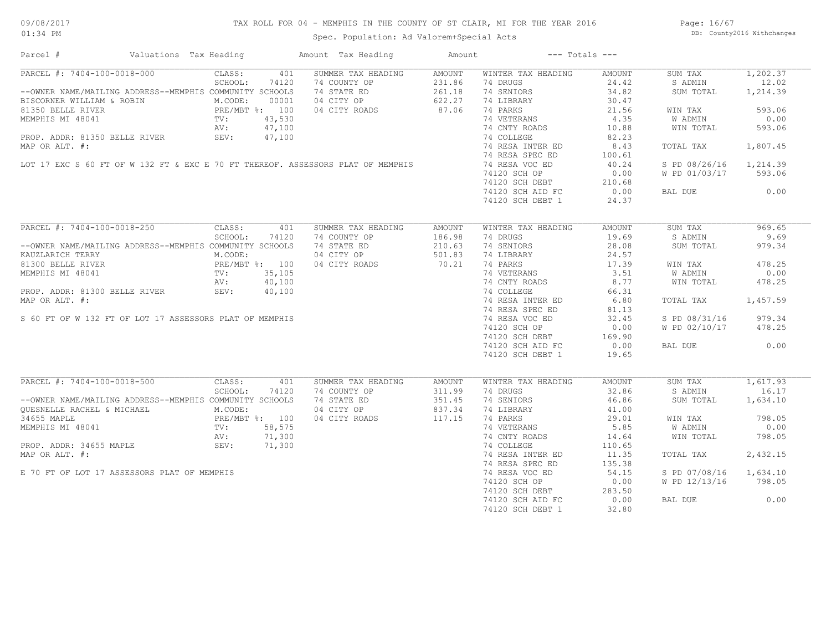## TAX ROLL FOR 04 - MEMPHIS IN THE COUNTY OF ST CLAIR, MI FOR THE YEAR 2016

Spec. Population: Ad Valorem+Special Acts

Page: 16/67 DB: County2016 Withchanges

| Parcel #                                                                                                                                                                                              | Valuations Tax Heading |         |       | Amount Tax Heading                                                              | Amount           |                              | $---$ Totals $---$ |                      |          |
|-------------------------------------------------------------------------------------------------------------------------------------------------------------------------------------------------------|------------------------|---------|-------|---------------------------------------------------------------------------------|------------------|------------------------------|--------------------|----------------------|----------|
| PARCEL #: 7404-100-0018-000                                                                                                                                                                           |                        | CLASS:  | 401   | SUMMER TAX HEADING                                                              | AMOUNT           | WINTER TAX HEADING           | AMOUNT             | SUM TAX              | 1,202.37 |
|                                                                                                                                                                                                       |                        | SCHOOL: | 74120 | 74 COUNTY OP                                                                    | 231.86           | 74 DRUGS                     | 24.42              | S ADMIN              | 12.02    |
| --OWNER NAME/MAILING ADDRESS--MEMPHIS COMMUNITY SCHOOLS                                                                                                                                               |                        |         |       | 74 STATE ED                                                                     | 261.18           | 74 SENIORS                   | 34.82              | SUM TOTAL            | 1,214.39 |
| PISCORNER WILLIAM & ROBIN M.CODE: 00001<br>81350 BELLE RIVER PRE/MBT \$: 100<br>MEMPHIS MI 48041 TV: 43,530<br>PROP. ADDR: 81350 BELLE RIVER SEV: 47,100<br>PROP. ADDR: 81350 BELLE RIVER SEV: 47,100 |                        |         |       | 04 CITY OP                                                                      | $622.2$<br>87.06 | 74 LIBRARY                   | 30.47              |                      |          |
|                                                                                                                                                                                                       |                        |         |       | 04 CITY ROADS                                                                   |                  | 74 PARKS                     | 21.56              | WIN TAX              | 593.06   |
|                                                                                                                                                                                                       |                        |         |       |                                                                                 |                  | 74 VETERANS                  | 4.35               | W ADMIN              | 0.00     |
|                                                                                                                                                                                                       |                        |         |       |                                                                                 |                  | 74 CNTY ROADS                | 10.88              | WIN TOTAL            | 593.06   |
|                                                                                                                                                                                                       |                        |         |       |                                                                                 |                  | 74 COLLEGE                   | 82.23              |                      |          |
|                                                                                                                                                                                                       |                        |         |       |                                                                                 |                  |                              |                    |                      |          |
|                                                                                                                                                                                                       |                        |         |       |                                                                                 |                  | 74 RESA INTER ED             | 8.43               | TOTAL TAX            | 1,807.45 |
|                                                                                                                                                                                                       |                        |         |       | LOT 17 EXC S 60 FT OF W 132 FT & EXC E 70 FT THEREOF. ASSESSORS PLAT OF MEMPHIS |                  | 74 RESA SPEC ED              | 100.61             |                      |          |
|                                                                                                                                                                                                       |                        |         |       |                                                                                 |                  | 74 RESA VOC ED               | 40.24              | S PD 08/26/16        | 1,214.39 |
|                                                                                                                                                                                                       |                        |         |       |                                                                                 |                  | 74120 SCH OP                 | 0.00               | W PD 01/03/17 593.06 |          |
|                                                                                                                                                                                                       |                        |         |       |                                                                                 |                  | 74120 SCH DEBT               | 210.68             |                      |          |
|                                                                                                                                                                                                       |                        |         |       |                                                                                 |                  | 74120 SCH AID FC             | 0.00               | BAL DUE              | 0.00     |
|                                                                                                                                                                                                       |                        |         |       |                                                                                 |                  | 74120 SCH DEBT 1             | 24.37              |                      |          |
|                                                                                                                                                                                                       |                        |         |       |                                                                                 |                  |                              |                    |                      |          |
| PARCEL #: 7404-100-0018-250                                                                                                                                                                           |                        | CLASS:  | 401   | SUMMER TAX HEADING                                                              | AMOUNT           | WINTER TAX HEADING           | AMOUNT             | SUM TAX              | 969.65   |
|                                                                                                                                                                                                       |                        | SCHOOL: | 74120 | 74 COUNTY OP                                                                    | 186.98           | 74 DRUGS                     | 19.69              | S ADMIN              | 9.69     |
| --OWNER NAME/MAILING ADDRESS--MEMPHIS COMMUNITY SCHOOLS                                                                                                                                               |                        |         |       | 74 STATE ED                                                                     | 210.63           | 74 SENIORS                   | 28.08              | SUM TOTAL            | 979.34   |
| KAUZLARICH TERRY                                                                                                                                                                                      |                        | M.CODE: |       | 04 CITY OP                                                                      | 501.83           | 74 LIBRARY                   | 24.57              |                      |          |
| 81300 BELLE RIVER<br>MEMPHIS MI 48041 PRE/MBT %: 100<br>PROP. ADDR: 81300 BELLE RIVER<br>PROP. ADDR: 81300 BELLE RIVER<br>SEV: 40,100                                                                 |                        |         |       | 04 CITY ROADS                                                                   | 70.21            | 74 PARKS                     | 17.39              | WIN TAX              | 478.25   |
|                                                                                                                                                                                                       |                        |         |       |                                                                                 |                  |                              | 3.51               | W ADMIN              | 0.00     |
|                                                                                                                                                                                                       |                        |         |       |                                                                                 |                  | 74 VETERANS<br>74 CNTY ROADS | 8.77               | WIN TOTAL            | 478.25   |
|                                                                                                                                                                                                       |                        |         |       |                                                                                 |                  | 74 COLLEGE                   |                    |                      |          |
|                                                                                                                                                                                                       |                        |         |       |                                                                                 |                  |                              | 66.31              |                      |          |
| MAP OR ALT. #:                                                                                                                                                                                        |                        |         |       |                                                                                 |                  | 74 RESA INTER ED 6.80        |                    | TOTAL TAX            | 1,457.59 |
|                                                                                                                                                                                                       |                        |         |       |                                                                                 |                  | 74 RESA SPEC ED              | 81.13              |                      |          |
| S 60 FT OF W 132 FT OF LOT 17 ASSESSORS PLAT OF MEMPHIS                                                                                                                                               |                        |         |       |                                                                                 |                  | 74 RESA VOC ED               | 32.45              | S PD 08/31/16        | 979.34   |
|                                                                                                                                                                                                       |                        |         |       |                                                                                 |                  | 74120 SCH OP                 | 0.00               | W PD 02/10/17 478.25 |          |
|                                                                                                                                                                                                       |                        |         |       |                                                                                 |                  | 74120 SCH DEBT               | 169.90             |                      |          |
|                                                                                                                                                                                                       |                        |         |       |                                                                                 |                  | 74120 SCH AID FC             | 0.00               | BAL DUE              | 0.00     |
|                                                                                                                                                                                                       |                        |         |       |                                                                                 |                  | 74120 SCH DEBT 1             | 19.65              |                      |          |
|                                                                                                                                                                                                       |                        |         |       |                                                                                 |                  |                              |                    |                      |          |
| PARCEL #: 7404-100-0018-500                                                                                                                                                                           |                        | CLASS:  | 401   | SUMMER TAX HEADING                                                              | AMOUNT           | WINTER TAX HEADING           | AMOUNT             | SUM TAX              | 1,617.93 |
|                                                                                                                                                                                                       |                        | SCHOOL: | 74120 | 74 COUNTY OP                                                                    | 311.99           | 74 DRUGS                     | 32.86              | S ADMIN              | 16.17    |
| --OWNER NAME/MAILING ADDRESS--MEMPHIS COMMUNITY SCHOOLS                                                                                                                                               |                        |         |       | 74 STATE ED                                                                     | 351.45           | 74 SENIORS                   | 46.86              | SUM TOTAL            | 1,634.10 |
|                                                                                                                                                                                                       |                        |         |       | 04 CITY OP                                                                      | 837.34           | 74 LIBRARY                   | 41.00              |                      |          |
|                                                                                                                                                                                                       |                        |         |       | 04 CITY ROADS                                                                   | 117.15           | 74 PARKS                     | 29.01              | WIN TAX              | 798.05   |
|                                                                                                                                                                                                       |                        |         |       |                                                                                 |                  | 74 VETERANS                  | 5.85               | W ADMIN              | 0.00     |
|                                                                                                                                                                                                       |                        |         |       |                                                                                 |                  | 74 CNTY ROADS                | 14.64              | WIN TOTAL            | 798.05   |
| OUESNELLE RACHEL & MICHAEL<br>MEMPHIS MI 48041 POLE:<br>MEMPHIS MI 48041 POLE:<br>PRE/MBT %: 100<br>MEMPHIS MI 48041 PV: 58,575<br>AV: 71,300<br>PROP. ADDR: 34655 MAPLE SEV: 71,300                  |                        |         |       |                                                                                 |                  | 74 COLLEGE                   | 110.65             |                      |          |
| MAP OR ALT. #:                                                                                                                                                                                        |                        |         |       |                                                                                 |                  | 74 RESA INTER ED             | 11.35              | TOTAL TAX            | 2,432.15 |
|                                                                                                                                                                                                       |                        |         |       |                                                                                 |                  |                              |                    |                      |          |
|                                                                                                                                                                                                       |                        |         |       |                                                                                 |                  | 74 RESA SPEC ED              | 135.38             |                      |          |
| E 70 FT OF LOT 17 ASSESSORS PLAT OF MEMPHIS                                                                                                                                                           |                        |         |       |                                                                                 |                  | 74 RESA VOC ED               | 54.15              | S PD 07/08/16        | 1,634.10 |
|                                                                                                                                                                                                       |                        |         |       |                                                                                 |                  | 74120 SCH OP                 | 0.00               | W PD 12/13/16        | 798.05   |
|                                                                                                                                                                                                       |                        |         |       |                                                                                 |                  | 74120 SCH DEBT               | 283.50             |                      |          |
|                                                                                                                                                                                                       |                        |         |       |                                                                                 |                  | 74120 SCH AID FC             | 0.00               | BAL DUE              | 0.00     |
|                                                                                                                                                                                                       |                        |         |       |                                                                                 |                  | 74120 SCH DEBT 1             | 32.80              |                      |          |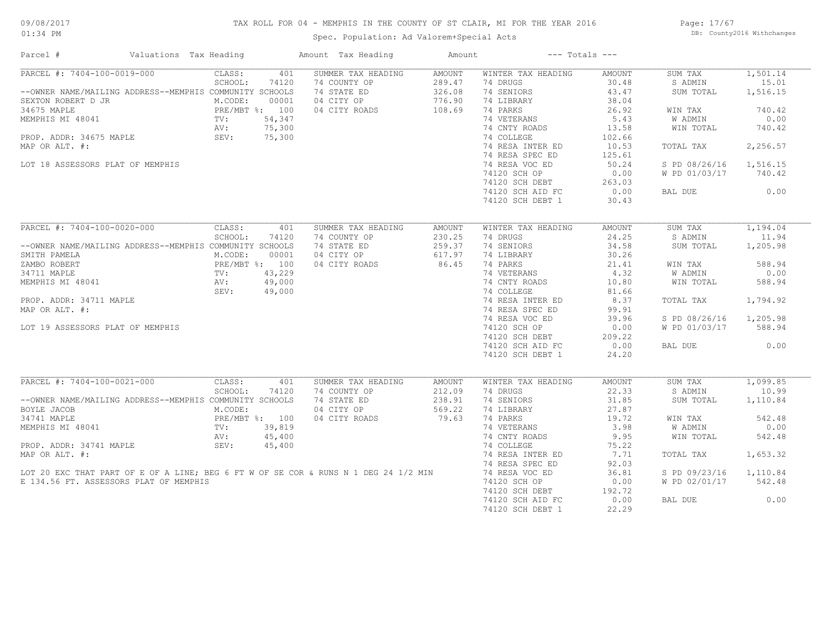## TAX ROLL FOR 04 - MEMPHIS IN THE COUNTY OF ST CLAIR, MI FOR THE YEAR 2016

Spec. Population: Ad Valorem+Special Acts

Page: 17/67 DB: County2016 Withchanges

| Parcel #                                                                                                                                                                                                                         | Valuations Tax Heading |                                                                                |                                                     | Amount Tax Heading                                                               | Amount                                         |                                                                                                                                                                                                                                                         | $---$ Totals $---$                                                                                                                   |                                                                                                                              |                                                                                                     |
|----------------------------------------------------------------------------------------------------------------------------------------------------------------------------------------------------------------------------------|------------------------|--------------------------------------------------------------------------------|-----------------------------------------------------|----------------------------------------------------------------------------------|------------------------------------------------|---------------------------------------------------------------------------------------------------------------------------------------------------------------------------------------------------------------------------------------------------------|--------------------------------------------------------------------------------------------------------------------------------------|------------------------------------------------------------------------------------------------------------------------------|-----------------------------------------------------------------------------------------------------|
| PARCEL #: 7404-100-0019-000<br>--OWNER NAME/MAILING ADDRESS--MEMPHIS COMMUNITY SCHOOLS<br>SEXTON ROBERT D JR<br>34675 MAPLE<br>MEMPHIS MI 48041<br>PROP. ADDR: 34675 MAPLE<br>MAP OR ALT. #:<br>LOT 18 ASSESSORS PLAT OF MEMPHIS |                        | CLASS:<br>SCHOOL:<br>M.CODE:<br>PRE/MBT %: 100<br>$\text{TV}$ :<br>AV:<br>SEV: | 401<br>74120<br>00001<br>54,347<br>75,300<br>75,300 | SUMMER TAX HEADING<br>74 COUNTY OP<br>74 STATE ED<br>04 CITY OP<br>04 CITY ROADS | AMOUNT<br>289.47<br>326.08<br>776.90<br>108.69 | WINTER TAX HEADING<br>74 DRUGS<br>74 SENIORS<br>74 LIBRARY<br>74 PARKS<br>74 VETERANS<br>74 CNTY ROADS<br>74 COLLEGE<br>74 RESA INTER ED<br>74 RESA SPEC ED<br>74 RESA VOC ED<br>74120 SCH OP<br>74120 SCH DEBT<br>74120 SCH AID FC<br>74120 SCH DEBT 1 | AMOUNT<br>30.48<br>43.47<br>38.04<br>26.92<br>5.43<br>13.58<br>102.66<br>10.53<br>125.61<br>50.24<br>0.00<br>263.03<br>0.00<br>30.43 | SUM TAX<br>S ADMIN<br>SUM TOTAL<br>WIN TAX<br>W ADMIN<br>WIN TOTAL<br>TOTAL TAX<br>S PD 08/26/16<br>W PD 01/03/17<br>BAL DUE | 1,501.14<br>15.01<br>1,516.15<br>740.42<br>0.00<br>740.42<br>2,256.57<br>1,516.15<br>740.42<br>0.00 |
|                                                                                                                                                                                                                                  |                        |                                                                                |                                                     |                                                                                  |                                                |                                                                                                                                                                                                                                                         |                                                                                                                                      |                                                                                                                              |                                                                                                     |
| $\overline{\text{PARCH}}$ #: 7404-100-0020-000                                                                                                                                                                                   |                        | CLASS:                                                                         | 401                                                 | SUMMER TAX HEADING                                                               | AMOUNT                                         | WINTER TAX HEADING                                                                                                                                                                                                                                      | AMOUNT                                                                                                                               | SUM TAX                                                                                                                      | 1,194.04                                                                                            |
|                                                                                                                                                                                                                                  |                        | SCHOOL:                                                                        | 74120                                               | 74 COUNTY OP                                                                     | 230.25                                         | 74 DRUGS                                                                                                                                                                                                                                                | 24.25                                                                                                                                | S ADMIN                                                                                                                      | 11.94                                                                                               |
| --OWNER NAME/MAILING ADDRESS--MEMPHIS COMMUNITY SCHOOLS<br>SMITH PAMELA                                                                                                                                                          |                        | M.CODE:                                                                        | 00001                                               | 74 STATE ED<br>04 CITY OP                                                        | 259.37<br>617.97                               | 74 SENIORS<br>74 LIBRARY                                                                                                                                                                                                                                | 34.58<br>30.26                                                                                                                       | SUM TOTAL                                                                                                                    | 1,205.98                                                                                            |
| ZAMBO ROBERT                                                                                                                                                                                                                     |                        | PRE/MBT %: 100                                                                 |                                                     | 04 CITY ROADS                                                                    | 86.45                                          | 74 PARKS                                                                                                                                                                                                                                                | 21.41                                                                                                                                | WIN TAX                                                                                                                      | 588.94                                                                                              |
| 34711 MAPLE                                                                                                                                                                                                                      |                        | TV:                                                                            |                                                     | $43,229$<br>$49,000$<br>$49,000$                                                 |                                                | 74 VETERANS                                                                                                                                                                                                                                             | 4.32                                                                                                                                 | W ADMIN                                                                                                                      | 0.00                                                                                                |
| MEMPHIS MI 48041                                                                                                                                                                                                                 |                        | AV:                                                                            |                                                     |                                                                                  |                                                | 74 CNTY ROADS                                                                                                                                                                                                                                           | 10.80                                                                                                                                | WIN TOTAL                                                                                                                    | 588.94                                                                                              |
|                                                                                                                                                                                                                                  |                        | SEV:                                                                           |                                                     |                                                                                  |                                                | 74 COLLEGE                                                                                                                                                                                                                                              | 81.66                                                                                                                                |                                                                                                                              |                                                                                                     |
| PROP. ADDR: 34711 MAPLE                                                                                                                                                                                                          |                        |                                                                                |                                                     |                                                                                  |                                                | 74 RESA INTER ED                                                                                                                                                                                                                                        | 8.37                                                                                                                                 | TOTAL TAX                                                                                                                    | 1,794.92                                                                                            |
| MAP OR ALT. #:                                                                                                                                                                                                                   |                        |                                                                                |                                                     |                                                                                  |                                                | 74 RESA SPEC ED                                                                                                                                                                                                                                         | 99.91                                                                                                                                |                                                                                                                              |                                                                                                     |
|                                                                                                                                                                                                                                  |                        |                                                                                |                                                     |                                                                                  |                                                | 74 RESA VOC ED                                                                                                                                                                                                                                          | 39.96                                                                                                                                | S PD 08/26/16                                                                                                                | 1,205.98                                                                                            |
| LOT 19 ASSESSORS PLAT OF MEMPHIS                                                                                                                                                                                                 |                        |                                                                                |                                                     |                                                                                  |                                                | 74120 SCH OP                                                                                                                                                                                                                                            | 0.00                                                                                                                                 | W PD 01/03/17                                                                                                                | 588.94                                                                                              |
|                                                                                                                                                                                                                                  |                        |                                                                                |                                                     |                                                                                  |                                                | 74120 SCH DEBT                                                                                                                                                                                                                                          | 209.22                                                                                                                               |                                                                                                                              |                                                                                                     |
|                                                                                                                                                                                                                                  |                        |                                                                                |                                                     |                                                                                  |                                                | 74120 SCH AID FC                                                                                                                                                                                                                                        | 0.00                                                                                                                                 | BAL DUE                                                                                                                      | 0.00                                                                                                |
|                                                                                                                                                                                                                                  |                        |                                                                                |                                                     |                                                                                  |                                                | 74120 SCH DEBT 1                                                                                                                                                                                                                                        | 24.20                                                                                                                                |                                                                                                                              |                                                                                                     |
|                                                                                                                                                                                                                                  |                        |                                                                                |                                                     |                                                                                  |                                                |                                                                                                                                                                                                                                                         |                                                                                                                                      |                                                                                                                              |                                                                                                     |
| PARCEL #: 7404-100-0021-000                                                                                                                                                                                                      |                        | CLASS:                                                                         | 401                                                 | SUMMER TAX HEADING                                                               | AMOUNT                                         | WINTER TAX HEADING                                                                                                                                                                                                                                      | <b>AMOUNT</b>                                                                                                                        | SUM TAX                                                                                                                      | 1,099.85                                                                                            |
|                                                                                                                                                                                                                                  |                        | SCHOOL:                                                                        | 74120                                               | 74 COUNTY OP                                                                     | 212.09                                         | 74 DRUGS                                                                                                                                                                                                                                                | 22.33                                                                                                                                | S ADMIN                                                                                                                      | 10.99                                                                                               |
| --OWNER NAME/MAILING ADDRESS--MEMPHIS COMMUNITY SCHOOLS                                                                                                                                                                          |                        |                                                                                |                                                     | 74 STATE ED                                                                      | 238.91                                         | 74 SENIORS                                                                                                                                                                                                                                              | 31.85                                                                                                                                | SUM TOTAL                                                                                                                    | 1,110.84                                                                                            |
| BOYLE JACOB                                                                                                                                                                                                                      |                        | M.CODE:                                                                        |                                                     | 04 CITY OP                                                                       | 569.22                                         | 74 LIBRARY                                                                                                                                                                                                                                              | 27.87                                                                                                                                |                                                                                                                              |                                                                                                     |
| 34741 MAPLE                                                                                                                                                                                                                      |                        | PRE/MBT %: 100                                                                 |                                                     | 04 CITY ROADS                                                                    | 79.63                                          | 74 PARKS                                                                                                                                                                                                                                                | 19.72                                                                                                                                | WIN TAX                                                                                                                      | 542.48                                                                                              |
| MEMPHIS MI 48041                                                                                                                                                                                                                 |                        | TV:                                                                            | 39,819                                              |                                                                                  |                                                | 74 VETERANS                                                                                                                                                                                                                                             | 3.98                                                                                                                                 | W ADMIN                                                                                                                      | 0.00                                                                                                |
|                                                                                                                                                                                                                                  |                        | AV:                                                                            | 45,400                                              |                                                                                  |                                                | 74 CNTY ROADS                                                                                                                                                                                                                                           | 9.95                                                                                                                                 | WIN TOTAL                                                                                                                    | 542.48                                                                                              |
| PROP. ADDR: 34741 MAPLE                                                                                                                                                                                                          |                        | SEV:                                                                           | 45,400                                              |                                                                                  |                                                | 74 COLLEGE                                                                                                                                                                                                                                              | 75.22                                                                                                                                |                                                                                                                              |                                                                                                     |
| MAP OR ALT. #:                                                                                                                                                                                                                   |                        |                                                                                |                                                     |                                                                                  |                                                | 74 RESA INTER ED                                                                                                                                                                                                                                        | 7.71                                                                                                                                 | TOTAL TAX                                                                                                                    | 1,653.32                                                                                            |
|                                                                                                                                                                                                                                  |                        |                                                                                |                                                     |                                                                                  |                                                | 74 RESA SPEC ED                                                                                                                                                                                                                                         | 92.03                                                                                                                                |                                                                                                                              |                                                                                                     |
| LOT 20 EXC THAT PART OF E OF A LINE; BEG 6 FT W OF SE COR & RUNS N 1 DEG 24 1/2 MIN                                                                                                                                              |                        |                                                                                |                                                     |                                                                                  |                                                | 74 RESA VOC ED                                                                                                                                                                                                                                          | 36.81                                                                                                                                | S PD 09/23/16                                                                                                                | 1,110.84                                                                                            |
| E 134.56 FT. ASSESSORS PLAT OF MEMPHIS                                                                                                                                                                                           |                        |                                                                                |                                                     |                                                                                  |                                                | 74120 SCH OP                                                                                                                                                                                                                                            | 0.00                                                                                                                                 | W PD 02/01/17                                                                                                                | 542.48                                                                                              |
|                                                                                                                                                                                                                                  |                        |                                                                                |                                                     |                                                                                  |                                                | 74120 SCH DEBT                                                                                                                                                                                                                                          | 192.72                                                                                                                               |                                                                                                                              |                                                                                                     |
|                                                                                                                                                                                                                                  |                        |                                                                                |                                                     |                                                                                  |                                                | 74120 SCH AID FC                                                                                                                                                                                                                                        | 0.00                                                                                                                                 | BAL DUE                                                                                                                      | 0.00                                                                                                |
|                                                                                                                                                                                                                                  |                        |                                                                                |                                                     |                                                                                  |                                                | 74120 SCH DEBT 1                                                                                                                                                                                                                                        | 22.29                                                                                                                                |                                                                                                                              |                                                                                                     |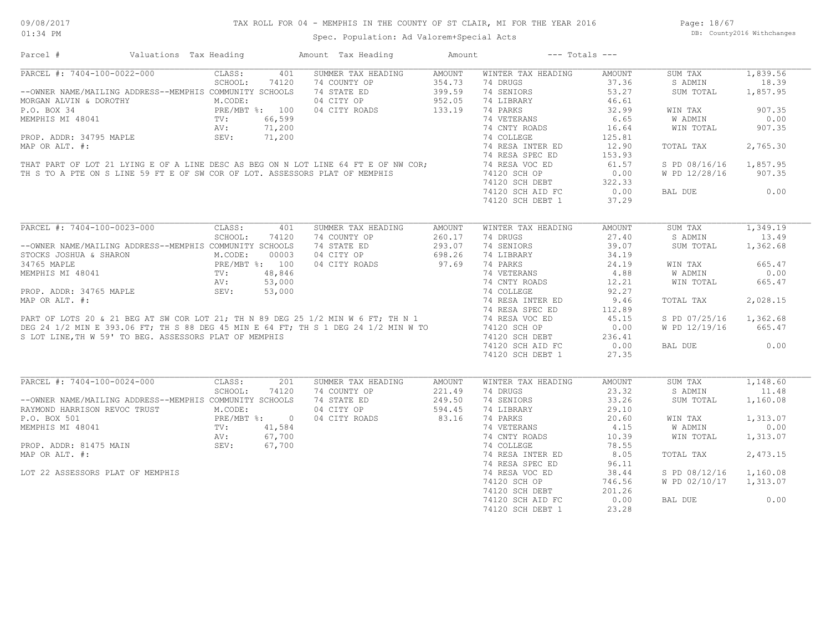| Parcel #                                                                                                                                                                                                                       | Valuations Tax Heading                                  |                                            |        | Amount Tax Heading                                                                                                                                                                                                                         | Amount        |                    | $---$ Totals $---$ |               |          |
|--------------------------------------------------------------------------------------------------------------------------------------------------------------------------------------------------------------------------------|---------------------------------------------------------|--------------------------------------------|--------|--------------------------------------------------------------------------------------------------------------------------------------------------------------------------------------------------------------------------------------------|---------------|--------------------|--------------------|---------------|----------|
| PARCEL #: 7404-100-0022-000                                                                                                                                                                                                    |                                                         | CLASS:                                     | 401    | SUMMER TAX HEADING                                                                                                                                                                                                                         | AMOUNT        | WINTER TAX HEADING | AMOUNT             | SUM TAX       | 1,839.56 |
|                                                                                                                                                                                                                                |                                                         | SCHOOL:                                    | 74120  | 74 COUNTY OP                                                                                                                                                                                                                               | 354.73        | 74 DRUGS           | 37.36              | S ADMIN       | 18.39    |
| --OWNER NAME/MAILING ADDRESS--MEMPHIS COMMUNITY SCHOOLS                                                                                                                                                                        |                                                         |                                            |        | 74 STATE ED                                                                                                                                                                                                                                | 399.59        | 74 SENIORS         | 53.27              | SUM TOTAL     | 1,857.95 |
| MORGAN ALVIN & DOROTHY                                                                                                                                                                                                         |                                                         | M.CODE:                                    |        | 04 CITY OP                                                                                                                                                                                                                                 | 952.05        | 74 LIBRARY         | 46.61              |               |          |
| P.O. BOX 34                                                                                                                                                                                                                    | OTHY M.COLARE (NOTHY PRE)                               | PRE/MBT %: 100                             |        | 04 CITY ROADS                                                                                                                                                                                                                              | 133.19        | 74 PARKS           | 32.99              | WIN TAX       | 907.35   |
| MEMPHIS MI 48041                                                                                                                                                                                                               |                                                         |                                            | 66,599 |                                                                                                                                                                                                                                            |               | 74 VETERANS        | 6.65               | W ADMIN       | 0.00     |
|                                                                                                                                                                                                                                |                                                         |                                            | 71,200 |                                                                                                                                                                                                                                            |               | 74 CNTY ROADS      | 16.64              | WIN TOTAL     | 907.35   |
| PROP. ADDR: 34795 MAPLE SEV:                                                                                                                                                                                                   |                                                         |                                            | 71,200 |                                                                                                                                                                                                                                            |               | 74 COLLEGE         | 125.81             |               |          |
| MAP OR ALT. #:                                                                                                                                                                                                                 |                                                         |                                            |        |                                                                                                                                                                                                                                            |               | 74 RESA INTER ED   | 12.90              | TOTAL TAX     | 2,765.30 |
|                                                                                                                                                                                                                                |                                                         |                                            |        |                                                                                                                                                                                                                                            |               | 74 RESA SPEC ED    | 153.93             |               |          |
|                                                                                                                                                                                                                                |                                                         |                                            |        | THAT PART OF LOT 21 LYING E OF A LINE DESC AS BEG ON N LOT LINE 64 FT E OF NW COR;<br>TH S TO A PTE ON S LINE 59 FT E OF SW COR OF LOT. ASSESSORS PLAT OF MEMPHIS                                                                          |               | 74 RESA VOC ED     | 61.57              | S PD 08/16/16 | 1,857.95 |
|                                                                                                                                                                                                                                |                                                         |                                            |        |                                                                                                                                                                                                                                            |               | 74120 SCH OP       | 0.00               | W PD 12/28/16 | 907.35   |
|                                                                                                                                                                                                                                |                                                         |                                            |        |                                                                                                                                                                                                                                            |               | 74120 SCH DEBT     | 322.33             |               |          |
|                                                                                                                                                                                                                                |                                                         |                                            |        |                                                                                                                                                                                                                                            |               |                    |                    |               | 0.00     |
|                                                                                                                                                                                                                                |                                                         |                                            |        |                                                                                                                                                                                                                                            |               | 74120 SCH AID FC   | 0.00               | BAL DUE       |          |
|                                                                                                                                                                                                                                |                                                         |                                            |        |                                                                                                                                                                                                                                            |               | 74120 SCH DEBT 1   | 37.29              |               |          |
|                                                                                                                                                                                                                                | PARCEL #: 7404-100-0023-000                             |                                            | 401    |                                                                                                                                                                                                                                            |               |                    |                    |               |          |
|                                                                                                                                                                                                                                |                                                         | CLASS:                                     |        | SUMMER TAX HEADING                                                                                                                                                                                                                         | <b>AMOUNT</b> | WINTER TAX HEADING | <b>AMOUNT</b>      | SUM TAX       | 1,349.19 |
|                                                                                                                                                                                                                                |                                                         | SCHOOL:                                    | 74120  | 74 COUNTY OP                                                                                                                                                                                                                               | 260.17        | 74 DRUGS           | 27.40              | S ADMIN       | 13.49    |
|                                                                                                                                                                                                                                | --OWNER NAME/MAILING ADDRESS--MEMPHIS COMMUNITY SCHOOLS |                                            |        | 74 STATE ED                                                                                                                                                                                                                                | 293.07        | 74 SENIORS         | 39.07              | SUM TOTAL     | 1,362.68 |
| STOCKS JOSHUA & SHARON                                                                                                                                                                                                         |                                                         | M.CODE:                                    | 00003  | 04 CITY OP                                                                                                                                                                                                                                 | 698.26        | 74 LIBRARY         | 34.19              |               |          |
| 34765 MAPLE                                                                                                                                                                                                                    |                                                         |                                            |        | 04 CITY ROADS                                                                                                                                                                                                                              | 97.69         | 74 PARKS           | 24.19              | WIN TAX       | 665.47   |
| MEMPHIS MI 48041                                                                                                                                                                                                               |                                                         | PRE/MBT %: 100<br>TV: 48,846<br>AV: 53,000 |        |                                                                                                                                                                                                                                            |               | 74 VETERANS        | 4.88               | W ADMIN       | 0.00     |
|                                                                                                                                                                                                                                |                                                         |                                            |        |                                                                                                                                                                                                                                            |               | 74 CNTY ROADS      | 12.21              | WIN TOTAL     | 665.47   |
|                                                                                                                                                                                                                                |                                                         |                                            |        |                                                                                                                                                                                                                                            |               |                    | 92.27              |               |          |
|                                                                                                                                                                                                                                |                                                         |                                            |        |                                                                                                                                                                                                                                            |               | 74 RESA INTER ED   | 9.46               | TOTAL TAX     | 2,028.15 |
|                                                                                                                                                                                                                                |                                                         |                                            |        |                                                                                                                                                                                                                                            |               |                    | 112.89             |               |          |
|                                                                                                                                                                                                                                |                                                         |                                            |        | PROP. ADDR: 34765 MAPLE<br>MAP OR ALT. #:<br>PART OF LOTS 20 & 21 BEG AT SW COR LOT 21; TH N 89 DEG 25 1/2 MIN W 6 FT; TH N 1<br>SEV:<br>DEG 24 1/2 MIN W 5 FT; TH N 1<br>DEG 24 1/2 MIN W TO 74 RESA VOC ED<br>DEG 24 1/2 MIN W TO 74 RES |               |                    | 45.15              | S PD 07/25/16 | 1,362.68 |
|                                                                                                                                                                                                                                |                                                         |                                            |        |                                                                                                                                                                                                                                            |               |                    | 0.00               | W PD 12/19/16 | 665.47   |
| S LOT LINE, TH W 59' TO BEG. ASSESSORS PLAT OF MEMPHIS                                                                                                                                                                         |                                                         |                                            |        |                                                                                                                                                                                                                                            |               | 74120 SCH DEBT     | 236.41             |               |          |
|                                                                                                                                                                                                                                |                                                         |                                            |        |                                                                                                                                                                                                                                            |               | 74120 SCH AID FC   | 0.00               | BAL DUE       | 0.00     |
|                                                                                                                                                                                                                                |                                                         |                                            |        |                                                                                                                                                                                                                                            |               | 74120 SCH DEBT 1   | 27.35              |               |          |
|                                                                                                                                                                                                                                |                                                         |                                            |        |                                                                                                                                                                                                                                            |               |                    |                    |               |          |
| PARCEL #: 7404-100-0024-000                                                                                                                                                                                                    |                                                         | CLASS:                                     | 201    | SUMMER TAX HEADING                                                                                                                                                                                                                         | AMOUNT        | WINTER TAX HEADING | <b>AMOUNT</b>      | SUM TAX       | 1,148.60 |
|                                                                                                                                                                                                                                |                                                         | SCHOOL:                                    | 74120  | 74 COUNTY OP                                                                                                                                                                                                                               | 221.49        | 74 DRUGS           | 23.32              | S ADMIN       | 11.48    |
|                                                                                                                                                                                                                                | --OWNER NAME/MAILING ADDRESS--MEMPHIS COMMUNITY SCHOOLS |                                            |        | 74 STATE ED                                                                                                                                                                                                                                | 249.50        | 74 SENIORS         | 33.26              | SUM TOTAL     | 1,160.08 |
|                                                                                                                                                                                                                                | RAYMOND HARRISON REVOC TRUST                            | M.CODE:                                    |        | 04 CITY OP                                                                                                                                                                                                                                 | 594.45        | 74 LIBRARY         | 29.10              |               |          |
| READER AND HEATHER ME AND READER AND READER SOLUTION NEWSLAP PRESSURE TO A BOX 501 PRESSURE TO A DAMAN PRESSURE TO A DAMAN PRESSURE TO A DAMAN PRESSURE TO A DAMAN PRESSURE TO A DAMAN PRESSURE TO A DAMAN PRESSURE TO A DAMAN |                                                         |                                            |        | 04 CITY ROADS                                                                                                                                                                                                                              | 83.16         | 74 PARKS           | 20.60              | WIN TAX       | 1,313.07 |
|                                                                                                                                                                                                                                |                                                         |                                            |        |                                                                                                                                                                                                                                            |               | 74 VETERANS        | 4.15               | W ADMIN       | 0.00     |
|                                                                                                                                                                                                                                |                                                         |                                            |        |                                                                                                                                                                                                                                            |               | 74 CNTY ROADS      | 10.39              | WIN TOTAL     | 1,313.07 |
|                                                                                                                                                                                                                                |                                                         |                                            |        |                                                                                                                                                                                                                                            |               | 74 COLLEGE         | 78.55              |               |          |
| MAP OR ALT. #:                                                                                                                                                                                                                 |                                                         |                                            |        |                                                                                                                                                                                                                                            |               | 74 RESA INTER ED   | 8.05               | TOTAL TAX     | 2,473.15 |
|                                                                                                                                                                                                                                |                                                         |                                            |        |                                                                                                                                                                                                                                            |               |                    |                    |               |          |
|                                                                                                                                                                                                                                |                                                         |                                            |        |                                                                                                                                                                                                                                            |               | 74 RESA SPEC ED    | 96.11              |               |          |
| LOT 22 ASSESSORS PLAT OF MEMPHIS                                                                                                                                                                                               |                                                         |                                            |        |                                                                                                                                                                                                                                            |               | 74 RESA VOC ED     | 38.44              | S PD 08/12/16 | 1,160.08 |
|                                                                                                                                                                                                                                |                                                         |                                            |        | $41,584$<br>67,700<br>67,700                                                                                                                                                                                                               |               | 74120 SCH OP       | 746.56             | W PD 02/10/17 | 1,313.07 |
|                                                                                                                                                                                                                                |                                                         |                                            |        |                                                                                                                                                                                                                                            |               | 74120 SCH DEBT     | 201.26             |               |          |
|                                                                                                                                                                                                                                |                                                         |                                            |        |                                                                                                                                                                                                                                            |               | 74120 SCH AID FC   | 0.00               | BAL DUE       | 0.00     |
|                                                                                                                                                                                                                                |                                                         |                                            |        |                                                                                                                                                                                                                                            |               | 74120 SCH DEBT 1   | 23.28              |               |          |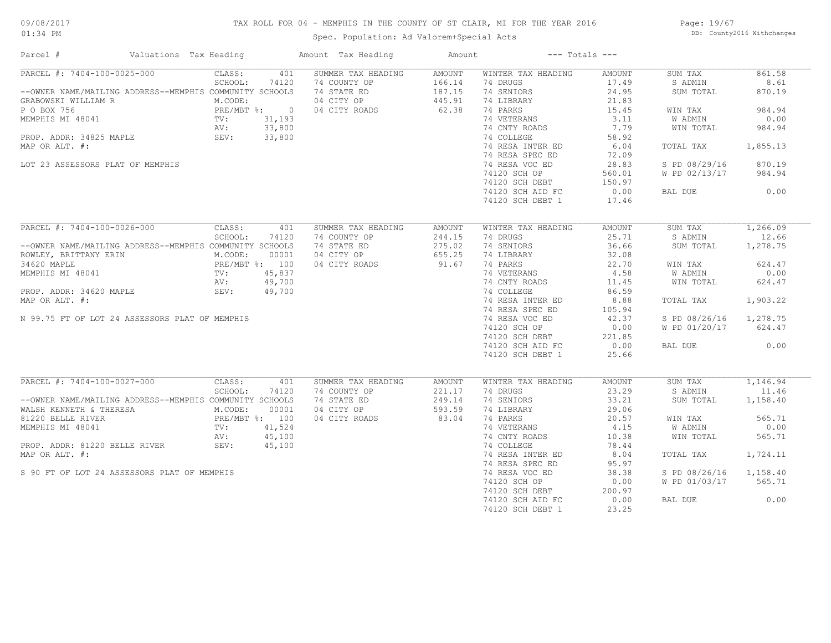## TAX ROLL FOR 04 - MEMPHIS IN THE COUNTY OF ST CLAIR, MI FOR THE YEAR 2016

Spec. Population: Ad Valorem+Special Acts

Page: 19/67 DB: County2016 Withchanges

| Parcel #                                                | Valuations Tax Heading                                      | Amount Tax Heading                 | Amount           | $---$ Totals $---$             |                        |                    |          |
|---------------------------------------------------------|-------------------------------------------------------------|------------------------------------|------------------|--------------------------------|------------------------|--------------------|----------|
| PARCEL #: 7404-100-0025-000                             | CLASS:<br>401                                               | SUMMER TAX HEADING                 | AMOUNT           | WINTER TAX HEADING             | AMOUNT                 | SUM TAX            | 861.58   |
|                                                         | SCHOOL:<br>74120                                            | 74 COUNTY OP                       | 166.14           | 74 DRUGS                       | 17.49                  | S ADMIN            | 8.61     |
| --OWNER NAME/MAILING ADDRESS--MEMPHIS COMMUNITY SCHOOLS |                                                             | 74 STATE ED                        | 187.15           | 74 SENIORS                     | 24.95                  | SUM TOTAL          | 870.19   |
| GRABOWSKI WILLIAM R                                     | M.CODE:                                                     | 04 CITY OP                         | 445.91           | 74 LIBRARY                     | 21.83                  |                    |          |
| P O BOX 756                                             | PRE/MBT %: 0<br>TV: 31,193<br>AV: 33,800<br>PLE SEV: 33,800 | 04 CITY ROADS                      | 62.38            | 74 PARKS                       | 15.45                  | WIN TAX            | 984.94   |
| MEMPHIS MI 48041                                        |                                                             |                                    |                  | 74 VETERANS                    | 3.11                   | W ADMIN            | 0.00     |
|                                                         |                                                             |                                    |                  | 74 CNTY ROADS                  | 7.79                   | WIN TOTAL          | 984.94   |
| PROP. ADDR: 34825 MAPLE                                 |                                                             |                                    |                  | 74 COLLEGE                     | 58.92                  |                    |          |
| MAP OR ALT. #:                                          |                                                             |                                    |                  | 74 RESA INTER ED               | 6.04                   | TOTAL TAX          | 1,855.13 |
|                                                         |                                                             |                                    |                  | 74 RESA SPEC ED                | 72.09                  |                    |          |
| LOT 23 ASSESSORS PLAT OF MEMPHIS                        |                                                             |                                    |                  | 74 RESA VOC ED                 | 28.83                  | S PD 08/29/16      | 870.19   |
|                                                         |                                                             |                                    |                  | 74120 SCH OP                   | 560.01                 | W PD 02/13/17      | 984.94   |
|                                                         |                                                             |                                    |                  | 74120 SCH DEBT                 | 150.97                 |                    |          |
|                                                         |                                                             |                                    |                  | 74120 SCH AID FC               | 0.00                   | BAL DUE            | 0.00     |
|                                                         |                                                             |                                    |                  |                                |                        |                    |          |
|                                                         |                                                             |                                    |                  | 74120 SCH DEBT 1               | 17.46                  |                    |          |
| PARCEL #: 7404-100-0026-000                             |                                                             |                                    |                  |                                |                        |                    | 1,266.09 |
|                                                         | CLASS:<br>401<br>SCHOOL:<br>74120                           | SUMMER TAX HEADING<br>74 COUNTY OP | AMOUNT<br>244.15 | WINTER TAX HEADING<br>74 DRUGS | <b>AMOUNT</b><br>25.71 | SUM TAX<br>S ADMIN | 12.66    |
|                                                         |                                                             |                                    |                  |                                |                        |                    |          |
| --OWNER NAME/MAILING ADDRESS--MEMPHIS COMMUNITY SCHOOLS |                                                             | 74 STATE ED                        | 275.02           | 74 SENIORS                     | 36.66                  | SUM TOTAL          | 1,278.75 |
| ROWLEY, BRITTANY ERIN                                   | M.CODE:<br>00001                                            | 04 CITY OP                         | 655.25           | 74 LIBRARY                     | 32.08                  |                    |          |
| 34620 MAPLE                                             | PRE/MBT %: 100<br>TV: 45,837<br>AV: 49,700                  | 04 CITY ROADS                      | 91.67            | 74 PARKS                       | 22.70                  | WIN TAX            | 624.47   |
| MEMPHIS MI 48041                                        |                                                             |                                    |                  | 74 VETERANS                    | 4.58                   | W ADMIN            | 0.00     |
|                                                         |                                                             |                                    |                  | 74 CNTY ROADS                  | 11.45                  | WIN TOTAL          | 624.47   |
| PROP. ADDR: 34620 MAPLE                                 | SEV:<br>49,700                                              |                                    |                  | 74 COLLEGE                     | 86.59                  |                    |          |
| MAP OR ALT. #:                                          |                                                             |                                    |                  | 74 RESA INTER ED               | 8.88                   | TOTAL TAX          | 1,903.22 |
|                                                         |                                                             |                                    |                  | 74 RESA SPEC ED                | 105.94                 |                    |          |
| N 99.75 FT OF LOT 24 ASSESSORS PLAT OF MEMPHIS          |                                                             |                                    |                  | 74 RESA VOC ED                 | 42.37                  | S PD 08/26/16      | 1,278.75 |
|                                                         |                                                             |                                    |                  | 74120 SCH OP                   | 0.00                   | W PD 01/20/17      | 624.47   |
|                                                         |                                                             |                                    |                  | 74120 SCH DEBT                 | 221.85                 |                    |          |
|                                                         |                                                             |                                    |                  | 74120 SCH AID FC               | 0.00                   | BAL DUE            | 0.00     |
|                                                         |                                                             |                                    |                  |                                | 25.66                  |                    |          |
|                                                         |                                                             |                                    |                  | 74120 SCH DEBT 1               |                        |                    |          |
| PARCEL #: 7404-100-0027-000                             | CLASS:<br>401                                               | SUMMER TAX HEADING                 | <b>AMOUNT</b>    | WINTER TAX HEADING             | <b>AMOUNT</b>          | SUM TAX            | 1,146.94 |
|                                                         | SCHOOL:<br>74120                                            | 74 COUNTY OP                       | 221.17           | 74 DRUGS                       | 23.29                  | S ADMIN            | 11.46    |
| --OWNER NAME/MAILING ADDRESS--MEMPHIS COMMUNITY SCHOOLS |                                                             | 74 STATE ED                        | 249.14           | 74 SENIORS                     | 33.21                  | SUM TOTAL          | 1,158.40 |
| WALSH KENNETH & THERESA                                 | M.CODE:<br>00001                                            | 04 CITY OP                         | 593.59           | 74 LIBRARY                     | 29.06                  |                    |          |
|                                                         |                                                             |                                    | 83.04            |                                | 20.57                  |                    |          |
| 81220 BELLE RIVER                                       | PRE/MBT %: 100<br>TV: 41,524                                | 04 CITY ROADS                      |                  | 74 PARKS                       |                        | WIN TAX            | 565.71   |
| MEMPHIS MI 48041                                        |                                                             |                                    |                  | 74 VETERANS                    | 4.15                   | W ADMIN            | 0.00     |
|                                                         | 45,100<br>AV:<br>AV:<br>SEV:                                |                                    |                  | 74 CNTY ROADS                  | 10.38                  | WIN TOTAL          | 565.71   |
| PROP. ADDR: 81220 BELLE RIVER                           | 45,100                                                      |                                    |                  | 74 COLLEGE                     | 78.44                  |                    |          |
| MAP OR ALT. #:                                          |                                                             |                                    |                  | 74 RESA INTER ED               | 8.04                   | TOTAL TAX          | 1,724.11 |
|                                                         |                                                             |                                    |                  | 74 RESA SPEC ED                | 95.97                  |                    |          |
| S 90 FT OF LOT 24 ASSESSORS PLAT OF MEMPHIS             |                                                             |                                    |                  | 74 RESA VOC ED                 | 38.38                  | S PD 08/26/16      | 1,158.40 |
|                                                         |                                                             |                                    |                  | 74120 SCH OP                   | 0.00                   | W PD 01/03/17      | 565.71   |
|                                                         |                                                             |                                    |                  | 74120 SCH DEBT                 | 200.97                 |                    |          |
|                                                         |                                                             |                                    |                  | 74120 SCH AID FC               | 0.00                   | BAL DUE            | 0.00     |
|                                                         |                                                             |                                    |                  | 74120 SCH DEBT 1               | 23.25                  |                    |          |
|                                                         |                                                             |                                    |                  |                                |                        |                    |          |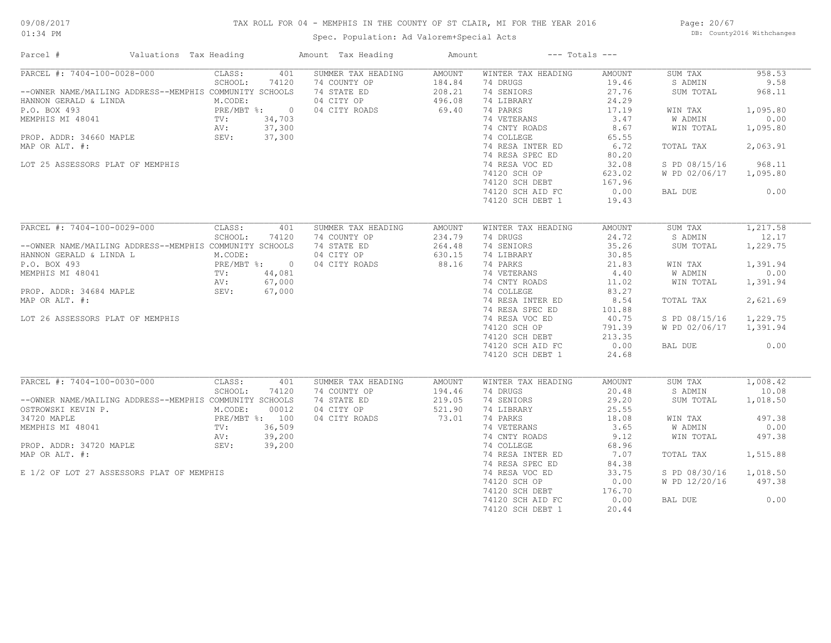## TAX ROLL FOR 04 - MEMPHIS IN THE COUNTY OF ST CLAIR, MI FOR THE YEAR 2016

Spec. Population: Ad Valorem+Special Acts

Page: 20/67 DB: County2016 Withchanges

| PARCEL #: 7404-100-0028-000<br>401<br>SUMMER TAX HEADING<br>WINTER TAX HEADING<br>CLASS:<br><b>AMOUNT</b><br><b>AMOUNT</b><br>SUM TAX<br>SCHOOL:<br>74120<br>74 COUNTY OP<br>184.84<br>74 DRUGS<br>19.46<br>S ADMIN<br>74 STATE ED<br>208.21<br>74 SENIORS<br>27.76<br>--OWNER NAME/MAILING ADDRESS--MEMPHIS COMMUNITY SCHOOLS<br>SUM TOTAL<br>24.29<br>M.CODE:<br>04 CITY OP<br>496.08<br>74 LIBRARY<br>HANNON GERALD & LINDA<br>PRE/MBT %: 0<br>69.40<br>74 PARKS<br>17.19<br>1,095.80<br>04 CITY ROADS<br>WIN TAX<br>74 VETERANS<br>3.47<br>0.00<br>TV:<br>34,703<br>W ADMIN<br>AV:<br>37,300<br>74 CNTY ROADS<br>8.67<br>1,095.80<br>WIN TOTAL<br>SEV:<br>37,300<br>74 COLLEGE<br>65.55<br>74 RESA INTER ED<br>6.72<br>2,063.91<br>MAP OR ALT. #:<br>TOTAL TAX<br>74 RESA SPEC ED<br>80.20<br>74 RESA VOC ED<br>968.11<br>LOT 25 ASSESSORS PLAT OF MEMPHIS<br>32.08<br>S PD 08/15/16<br>74120 SCH OP<br>W PD 02/06/17<br>1,095.80<br>623.02<br>167.96<br>74120 SCH DEBT<br>74120 SCH AID FC<br>0.00<br>0.00<br>BAL DUE<br>74120 SCH DEBT 1<br>19.43<br>PARCEL #: 7404-100-0029-000<br>CLASS:<br>SUM TAX<br>401<br>SUMMER TAX HEADING<br><b>AMOUNT</b><br>WINTER TAX HEADING<br><b>AMOUNT</b><br>SCHOOL:<br>234.79<br>74 DRUGS<br>24.72<br>S ADMIN<br>74120<br>74 COUNTY OP<br>74 SENIORS<br>35.26<br>--OWNER NAME/MAILING ADDRESS--MEMPHIS COMMUNITY SCHOOLS<br>74 STATE ED<br>264.48<br>SUM TOTAL<br>04 CITY OP<br>630.15<br>74 LIBRARY<br>30.85<br>HANNON GERALD & LINDA L<br>M.CODE:<br>PRE/MBT %: 0<br>TV: 44,081<br>88.16<br>74 PARKS<br>21.83<br>P.O. BOX 493<br>04 CITY ROADS<br>1,391.94<br>WIN TAX<br>0.00<br>MEMPHIS MI 48041<br>74 VETERANS<br>4.40<br>W ADMIN<br>67,000<br>74 CNTY ROADS<br>11.02<br>1,391.94<br>AV:<br>WIN TOTAL<br>74 COLLEGE<br>SEV:<br>67,000<br>83.27<br>74 RESA INTER ED<br>8.54<br>2,621.69<br>TOTAL TAX<br>74 RESA SPEC ED<br>101.88<br>1,229.75<br>LOT 26 ASSESSORS PLAT OF MEMPHIS<br>74 RESA VOC ED<br>40.75<br>S PD 08/15/16<br>74120 SCH OP<br>791.39<br>W PD 02/06/17<br>1,391.94<br>74120 SCH DEBT<br>213.35<br>0.00<br>0.00<br>74120 SCH AID FC<br>BAL DUE<br>74120 SCH DEBT 1<br>24.68<br>PARCEL #: 7404-100-0030-000<br>CLASS:<br>401<br>SUMMER TAX HEADING<br>WINTER TAX HEADING<br><b>AMOUNT</b><br>SUM TAX<br>AMOUNT<br>SCHOOL:<br>194.46<br>74 DRUGS<br>20.48<br>74120<br>74 COUNTY OP<br>S ADMIN<br>74 STATE ED<br>219.05<br>74 SENIORS<br>29.20<br>1,018.50<br>--OWNER NAME/MAILING ADDRESS--MEMPHIS COMMUNITY SCHOOLS<br>SUM TOTAL<br>04 CITY OP<br>521.90<br>74 LIBRARY<br>25.55<br>OSTROWSKI KEVIN P.<br>M.CODE:<br>00012<br>73.01<br>18.08<br>497.38<br>34720 MAPLE<br>PRE/MBT %: 100<br>04 CITY ROADS<br>74 PARKS<br>WIN TAX<br>MEMPHIS MI 48041<br>36,509<br>74 VETERANS<br>3.65<br><b>W ADMIN</b><br>0.00<br>TV:<br>9.12<br>39,200<br>74 CNTY ROADS<br>WIN TOTAL<br>497.38<br>AV:<br>PROP. ADDR: 34720 MAPLE<br>SEV:<br>39,200<br>74 COLLEGE<br>68.96<br>MAP OR ALT. #:<br>74 RESA INTER ED<br>7.07<br>1,515.88<br>TOTAL TAX<br>74 RESA SPEC ED<br>84.38<br>E 1/2 OF LOT 27 ASSESSORS PLAT OF MEMPHIS<br>74 RESA VOC ED<br>33.75<br>S PD 08/30/16<br>1,018.50<br>74120 SCH OP<br>0.00<br>W PD 12/20/16<br>497.38<br>176.70<br>74120 SCH DEBT<br>0.00<br>74120 SCH AID FC<br>0.00<br>BAL DUE<br>20.44 | Parcel #<br>Valuations Tax Heading | Amount Tax Heading | Amount |                  | $---$ Totals $---$ |        |
|---------------------------------------------------------------------------------------------------------------------------------------------------------------------------------------------------------------------------------------------------------------------------------------------------------------------------------------------------------------------------------------------------------------------------------------------------------------------------------------------------------------------------------------------------------------------------------------------------------------------------------------------------------------------------------------------------------------------------------------------------------------------------------------------------------------------------------------------------------------------------------------------------------------------------------------------------------------------------------------------------------------------------------------------------------------------------------------------------------------------------------------------------------------------------------------------------------------------------------------------------------------------------------------------------------------------------------------------------------------------------------------------------------------------------------------------------------------------------------------------------------------------------------------------------------------------------------------------------------------------------------------------------------------------------------------------------------------------------------------------------------------------------------------------------------------------------------------------------------------------------------------------------------------------------------------------------------------------------------------------------------------------------------------------------------------------------------------------------------------------------------------------------------------------------------------------------------------------------------------------------------------------------------------------------------------------------------------------------------------------------------------------------------------------------------------------------------------------------------------------------------------------------------------------------------------------------------------------------------------------------------------------------------------------------------------------------------------------------------------------------------------------------------------------------------------------------------------------------------------------------------------------------------------------------------------------------------------------------------------------------------------------------------------------------------------------------------------------------------------------------------------------------------------------------------------------------------------------------------------------------------------------|------------------------------------|--------------------|--------|------------------|--------------------|--------|
| 9.58<br>968.11<br>1,217.58<br>12.17<br>1,229.75<br>1,008.42<br>10.08                                                                                                                                                                                                                                                                                                                                                                                                                                                                                                                                                                                                                                                                                                                                                                                                                                                                                                                                                                                                                                                                                                                                                                                                                                                                                                                                                                                                                                                                                                                                                                                                                                                                                                                                                                                                                                                                                                                                                                                                                                                                                                                                                                                                                                                                                                                                                                                                                                                                                                                                                                                                                                                                                                                                                                                                                                                                                                                                                                                                                                                                                                                                                                                                |                                    |                    |        |                  |                    | 958.53 |
|                                                                                                                                                                                                                                                                                                                                                                                                                                                                                                                                                                                                                                                                                                                                                                                                                                                                                                                                                                                                                                                                                                                                                                                                                                                                                                                                                                                                                                                                                                                                                                                                                                                                                                                                                                                                                                                                                                                                                                                                                                                                                                                                                                                                                                                                                                                                                                                                                                                                                                                                                                                                                                                                                                                                                                                                                                                                                                                                                                                                                                                                                                                                                                                                                                                                     |                                    |                    |        |                  |                    |        |
|                                                                                                                                                                                                                                                                                                                                                                                                                                                                                                                                                                                                                                                                                                                                                                                                                                                                                                                                                                                                                                                                                                                                                                                                                                                                                                                                                                                                                                                                                                                                                                                                                                                                                                                                                                                                                                                                                                                                                                                                                                                                                                                                                                                                                                                                                                                                                                                                                                                                                                                                                                                                                                                                                                                                                                                                                                                                                                                                                                                                                                                                                                                                                                                                                                                                     |                                    |                    |        |                  |                    |        |
|                                                                                                                                                                                                                                                                                                                                                                                                                                                                                                                                                                                                                                                                                                                                                                                                                                                                                                                                                                                                                                                                                                                                                                                                                                                                                                                                                                                                                                                                                                                                                                                                                                                                                                                                                                                                                                                                                                                                                                                                                                                                                                                                                                                                                                                                                                                                                                                                                                                                                                                                                                                                                                                                                                                                                                                                                                                                                                                                                                                                                                                                                                                                                                                                                                                                     |                                    |                    |        |                  |                    |        |
|                                                                                                                                                                                                                                                                                                                                                                                                                                                                                                                                                                                                                                                                                                                                                                                                                                                                                                                                                                                                                                                                                                                                                                                                                                                                                                                                                                                                                                                                                                                                                                                                                                                                                                                                                                                                                                                                                                                                                                                                                                                                                                                                                                                                                                                                                                                                                                                                                                                                                                                                                                                                                                                                                                                                                                                                                                                                                                                                                                                                                                                                                                                                                                                                                                                                     | P.O. BOX 493                       |                    |        |                  |                    |        |
|                                                                                                                                                                                                                                                                                                                                                                                                                                                                                                                                                                                                                                                                                                                                                                                                                                                                                                                                                                                                                                                                                                                                                                                                                                                                                                                                                                                                                                                                                                                                                                                                                                                                                                                                                                                                                                                                                                                                                                                                                                                                                                                                                                                                                                                                                                                                                                                                                                                                                                                                                                                                                                                                                                                                                                                                                                                                                                                                                                                                                                                                                                                                                                                                                                                                     | MEMPHIS MI 48041                   |                    |        |                  |                    |        |
|                                                                                                                                                                                                                                                                                                                                                                                                                                                                                                                                                                                                                                                                                                                                                                                                                                                                                                                                                                                                                                                                                                                                                                                                                                                                                                                                                                                                                                                                                                                                                                                                                                                                                                                                                                                                                                                                                                                                                                                                                                                                                                                                                                                                                                                                                                                                                                                                                                                                                                                                                                                                                                                                                                                                                                                                                                                                                                                                                                                                                                                                                                                                                                                                                                                                     |                                    |                    |        |                  |                    |        |
|                                                                                                                                                                                                                                                                                                                                                                                                                                                                                                                                                                                                                                                                                                                                                                                                                                                                                                                                                                                                                                                                                                                                                                                                                                                                                                                                                                                                                                                                                                                                                                                                                                                                                                                                                                                                                                                                                                                                                                                                                                                                                                                                                                                                                                                                                                                                                                                                                                                                                                                                                                                                                                                                                                                                                                                                                                                                                                                                                                                                                                                                                                                                                                                                                                                                     | PROP. ADDR: 34660 MAPLE            |                    |        |                  |                    |        |
|                                                                                                                                                                                                                                                                                                                                                                                                                                                                                                                                                                                                                                                                                                                                                                                                                                                                                                                                                                                                                                                                                                                                                                                                                                                                                                                                                                                                                                                                                                                                                                                                                                                                                                                                                                                                                                                                                                                                                                                                                                                                                                                                                                                                                                                                                                                                                                                                                                                                                                                                                                                                                                                                                                                                                                                                                                                                                                                                                                                                                                                                                                                                                                                                                                                                     |                                    |                    |        |                  |                    |        |
|                                                                                                                                                                                                                                                                                                                                                                                                                                                                                                                                                                                                                                                                                                                                                                                                                                                                                                                                                                                                                                                                                                                                                                                                                                                                                                                                                                                                                                                                                                                                                                                                                                                                                                                                                                                                                                                                                                                                                                                                                                                                                                                                                                                                                                                                                                                                                                                                                                                                                                                                                                                                                                                                                                                                                                                                                                                                                                                                                                                                                                                                                                                                                                                                                                                                     |                                    |                    |        |                  |                    |        |
|                                                                                                                                                                                                                                                                                                                                                                                                                                                                                                                                                                                                                                                                                                                                                                                                                                                                                                                                                                                                                                                                                                                                                                                                                                                                                                                                                                                                                                                                                                                                                                                                                                                                                                                                                                                                                                                                                                                                                                                                                                                                                                                                                                                                                                                                                                                                                                                                                                                                                                                                                                                                                                                                                                                                                                                                                                                                                                                                                                                                                                                                                                                                                                                                                                                                     |                                    |                    |        |                  |                    |        |
|                                                                                                                                                                                                                                                                                                                                                                                                                                                                                                                                                                                                                                                                                                                                                                                                                                                                                                                                                                                                                                                                                                                                                                                                                                                                                                                                                                                                                                                                                                                                                                                                                                                                                                                                                                                                                                                                                                                                                                                                                                                                                                                                                                                                                                                                                                                                                                                                                                                                                                                                                                                                                                                                                                                                                                                                                                                                                                                                                                                                                                                                                                                                                                                                                                                                     |                                    |                    |        |                  |                    |        |
|                                                                                                                                                                                                                                                                                                                                                                                                                                                                                                                                                                                                                                                                                                                                                                                                                                                                                                                                                                                                                                                                                                                                                                                                                                                                                                                                                                                                                                                                                                                                                                                                                                                                                                                                                                                                                                                                                                                                                                                                                                                                                                                                                                                                                                                                                                                                                                                                                                                                                                                                                                                                                                                                                                                                                                                                                                                                                                                                                                                                                                                                                                                                                                                                                                                                     |                                    |                    |        |                  |                    |        |
|                                                                                                                                                                                                                                                                                                                                                                                                                                                                                                                                                                                                                                                                                                                                                                                                                                                                                                                                                                                                                                                                                                                                                                                                                                                                                                                                                                                                                                                                                                                                                                                                                                                                                                                                                                                                                                                                                                                                                                                                                                                                                                                                                                                                                                                                                                                                                                                                                                                                                                                                                                                                                                                                                                                                                                                                                                                                                                                                                                                                                                                                                                                                                                                                                                                                     |                                    |                    |        |                  |                    |        |
|                                                                                                                                                                                                                                                                                                                                                                                                                                                                                                                                                                                                                                                                                                                                                                                                                                                                                                                                                                                                                                                                                                                                                                                                                                                                                                                                                                                                                                                                                                                                                                                                                                                                                                                                                                                                                                                                                                                                                                                                                                                                                                                                                                                                                                                                                                                                                                                                                                                                                                                                                                                                                                                                                                                                                                                                                                                                                                                                                                                                                                                                                                                                                                                                                                                                     |                                    |                    |        |                  |                    |        |
|                                                                                                                                                                                                                                                                                                                                                                                                                                                                                                                                                                                                                                                                                                                                                                                                                                                                                                                                                                                                                                                                                                                                                                                                                                                                                                                                                                                                                                                                                                                                                                                                                                                                                                                                                                                                                                                                                                                                                                                                                                                                                                                                                                                                                                                                                                                                                                                                                                                                                                                                                                                                                                                                                                                                                                                                                                                                                                                                                                                                                                                                                                                                                                                                                                                                     |                                    |                    |        |                  |                    |        |
|                                                                                                                                                                                                                                                                                                                                                                                                                                                                                                                                                                                                                                                                                                                                                                                                                                                                                                                                                                                                                                                                                                                                                                                                                                                                                                                                                                                                                                                                                                                                                                                                                                                                                                                                                                                                                                                                                                                                                                                                                                                                                                                                                                                                                                                                                                                                                                                                                                                                                                                                                                                                                                                                                                                                                                                                                                                                                                                                                                                                                                                                                                                                                                                                                                                                     |                                    |                    |        |                  |                    |        |
|                                                                                                                                                                                                                                                                                                                                                                                                                                                                                                                                                                                                                                                                                                                                                                                                                                                                                                                                                                                                                                                                                                                                                                                                                                                                                                                                                                                                                                                                                                                                                                                                                                                                                                                                                                                                                                                                                                                                                                                                                                                                                                                                                                                                                                                                                                                                                                                                                                                                                                                                                                                                                                                                                                                                                                                                                                                                                                                                                                                                                                                                                                                                                                                                                                                                     |                                    |                    |        |                  |                    |        |
|                                                                                                                                                                                                                                                                                                                                                                                                                                                                                                                                                                                                                                                                                                                                                                                                                                                                                                                                                                                                                                                                                                                                                                                                                                                                                                                                                                                                                                                                                                                                                                                                                                                                                                                                                                                                                                                                                                                                                                                                                                                                                                                                                                                                                                                                                                                                                                                                                                                                                                                                                                                                                                                                                                                                                                                                                                                                                                                                                                                                                                                                                                                                                                                                                                                                     |                                    |                    |        |                  |                    |        |
|                                                                                                                                                                                                                                                                                                                                                                                                                                                                                                                                                                                                                                                                                                                                                                                                                                                                                                                                                                                                                                                                                                                                                                                                                                                                                                                                                                                                                                                                                                                                                                                                                                                                                                                                                                                                                                                                                                                                                                                                                                                                                                                                                                                                                                                                                                                                                                                                                                                                                                                                                                                                                                                                                                                                                                                                                                                                                                                                                                                                                                                                                                                                                                                                                                                                     |                                    |                    |        |                  |                    |        |
|                                                                                                                                                                                                                                                                                                                                                                                                                                                                                                                                                                                                                                                                                                                                                                                                                                                                                                                                                                                                                                                                                                                                                                                                                                                                                                                                                                                                                                                                                                                                                                                                                                                                                                                                                                                                                                                                                                                                                                                                                                                                                                                                                                                                                                                                                                                                                                                                                                                                                                                                                                                                                                                                                                                                                                                                                                                                                                                                                                                                                                                                                                                                                                                                                                                                     |                                    |                    |        |                  |                    |        |
|                                                                                                                                                                                                                                                                                                                                                                                                                                                                                                                                                                                                                                                                                                                                                                                                                                                                                                                                                                                                                                                                                                                                                                                                                                                                                                                                                                                                                                                                                                                                                                                                                                                                                                                                                                                                                                                                                                                                                                                                                                                                                                                                                                                                                                                                                                                                                                                                                                                                                                                                                                                                                                                                                                                                                                                                                                                                                                                                                                                                                                                                                                                                                                                                                                                                     |                                    |                    |        |                  |                    |        |
|                                                                                                                                                                                                                                                                                                                                                                                                                                                                                                                                                                                                                                                                                                                                                                                                                                                                                                                                                                                                                                                                                                                                                                                                                                                                                                                                                                                                                                                                                                                                                                                                                                                                                                                                                                                                                                                                                                                                                                                                                                                                                                                                                                                                                                                                                                                                                                                                                                                                                                                                                                                                                                                                                                                                                                                                                                                                                                                                                                                                                                                                                                                                                                                                                                                                     |                                    |                    |        |                  |                    |        |
|                                                                                                                                                                                                                                                                                                                                                                                                                                                                                                                                                                                                                                                                                                                                                                                                                                                                                                                                                                                                                                                                                                                                                                                                                                                                                                                                                                                                                                                                                                                                                                                                                                                                                                                                                                                                                                                                                                                                                                                                                                                                                                                                                                                                                                                                                                                                                                                                                                                                                                                                                                                                                                                                                                                                                                                                                                                                                                                                                                                                                                                                                                                                                                                                                                                                     |                                    |                    |        |                  |                    |        |
|                                                                                                                                                                                                                                                                                                                                                                                                                                                                                                                                                                                                                                                                                                                                                                                                                                                                                                                                                                                                                                                                                                                                                                                                                                                                                                                                                                                                                                                                                                                                                                                                                                                                                                                                                                                                                                                                                                                                                                                                                                                                                                                                                                                                                                                                                                                                                                                                                                                                                                                                                                                                                                                                                                                                                                                                                                                                                                                                                                                                                                                                                                                                                                                                                                                                     | PROP. ADDR: 34684 MAPLE            |                    |        |                  |                    |        |
|                                                                                                                                                                                                                                                                                                                                                                                                                                                                                                                                                                                                                                                                                                                                                                                                                                                                                                                                                                                                                                                                                                                                                                                                                                                                                                                                                                                                                                                                                                                                                                                                                                                                                                                                                                                                                                                                                                                                                                                                                                                                                                                                                                                                                                                                                                                                                                                                                                                                                                                                                                                                                                                                                                                                                                                                                                                                                                                                                                                                                                                                                                                                                                                                                                                                     | MAP OR ALT. #:                     |                    |        |                  |                    |        |
|                                                                                                                                                                                                                                                                                                                                                                                                                                                                                                                                                                                                                                                                                                                                                                                                                                                                                                                                                                                                                                                                                                                                                                                                                                                                                                                                                                                                                                                                                                                                                                                                                                                                                                                                                                                                                                                                                                                                                                                                                                                                                                                                                                                                                                                                                                                                                                                                                                                                                                                                                                                                                                                                                                                                                                                                                                                                                                                                                                                                                                                                                                                                                                                                                                                                     |                                    |                    |        |                  |                    |        |
|                                                                                                                                                                                                                                                                                                                                                                                                                                                                                                                                                                                                                                                                                                                                                                                                                                                                                                                                                                                                                                                                                                                                                                                                                                                                                                                                                                                                                                                                                                                                                                                                                                                                                                                                                                                                                                                                                                                                                                                                                                                                                                                                                                                                                                                                                                                                                                                                                                                                                                                                                                                                                                                                                                                                                                                                                                                                                                                                                                                                                                                                                                                                                                                                                                                                     |                                    |                    |        |                  |                    |        |
|                                                                                                                                                                                                                                                                                                                                                                                                                                                                                                                                                                                                                                                                                                                                                                                                                                                                                                                                                                                                                                                                                                                                                                                                                                                                                                                                                                                                                                                                                                                                                                                                                                                                                                                                                                                                                                                                                                                                                                                                                                                                                                                                                                                                                                                                                                                                                                                                                                                                                                                                                                                                                                                                                                                                                                                                                                                                                                                                                                                                                                                                                                                                                                                                                                                                     |                                    |                    |        |                  |                    |        |
|                                                                                                                                                                                                                                                                                                                                                                                                                                                                                                                                                                                                                                                                                                                                                                                                                                                                                                                                                                                                                                                                                                                                                                                                                                                                                                                                                                                                                                                                                                                                                                                                                                                                                                                                                                                                                                                                                                                                                                                                                                                                                                                                                                                                                                                                                                                                                                                                                                                                                                                                                                                                                                                                                                                                                                                                                                                                                                                                                                                                                                                                                                                                                                                                                                                                     |                                    |                    |        |                  |                    |        |
|                                                                                                                                                                                                                                                                                                                                                                                                                                                                                                                                                                                                                                                                                                                                                                                                                                                                                                                                                                                                                                                                                                                                                                                                                                                                                                                                                                                                                                                                                                                                                                                                                                                                                                                                                                                                                                                                                                                                                                                                                                                                                                                                                                                                                                                                                                                                                                                                                                                                                                                                                                                                                                                                                                                                                                                                                                                                                                                                                                                                                                                                                                                                                                                                                                                                     |                                    |                    |        |                  |                    |        |
|                                                                                                                                                                                                                                                                                                                                                                                                                                                                                                                                                                                                                                                                                                                                                                                                                                                                                                                                                                                                                                                                                                                                                                                                                                                                                                                                                                                                                                                                                                                                                                                                                                                                                                                                                                                                                                                                                                                                                                                                                                                                                                                                                                                                                                                                                                                                                                                                                                                                                                                                                                                                                                                                                                                                                                                                                                                                                                                                                                                                                                                                                                                                                                                                                                                                     |                                    |                    |        |                  |                    |        |
|                                                                                                                                                                                                                                                                                                                                                                                                                                                                                                                                                                                                                                                                                                                                                                                                                                                                                                                                                                                                                                                                                                                                                                                                                                                                                                                                                                                                                                                                                                                                                                                                                                                                                                                                                                                                                                                                                                                                                                                                                                                                                                                                                                                                                                                                                                                                                                                                                                                                                                                                                                                                                                                                                                                                                                                                                                                                                                                                                                                                                                                                                                                                                                                                                                                                     |                                    |                    |        |                  |                    |        |
|                                                                                                                                                                                                                                                                                                                                                                                                                                                                                                                                                                                                                                                                                                                                                                                                                                                                                                                                                                                                                                                                                                                                                                                                                                                                                                                                                                                                                                                                                                                                                                                                                                                                                                                                                                                                                                                                                                                                                                                                                                                                                                                                                                                                                                                                                                                                                                                                                                                                                                                                                                                                                                                                                                                                                                                                                                                                                                                                                                                                                                                                                                                                                                                                                                                                     |                                    |                    |        |                  |                    |        |
|                                                                                                                                                                                                                                                                                                                                                                                                                                                                                                                                                                                                                                                                                                                                                                                                                                                                                                                                                                                                                                                                                                                                                                                                                                                                                                                                                                                                                                                                                                                                                                                                                                                                                                                                                                                                                                                                                                                                                                                                                                                                                                                                                                                                                                                                                                                                                                                                                                                                                                                                                                                                                                                                                                                                                                                                                                                                                                                                                                                                                                                                                                                                                                                                                                                                     |                                    |                    |        |                  |                    |        |
|                                                                                                                                                                                                                                                                                                                                                                                                                                                                                                                                                                                                                                                                                                                                                                                                                                                                                                                                                                                                                                                                                                                                                                                                                                                                                                                                                                                                                                                                                                                                                                                                                                                                                                                                                                                                                                                                                                                                                                                                                                                                                                                                                                                                                                                                                                                                                                                                                                                                                                                                                                                                                                                                                                                                                                                                                                                                                                                                                                                                                                                                                                                                                                                                                                                                     |                                    |                    |        |                  |                    |        |
|                                                                                                                                                                                                                                                                                                                                                                                                                                                                                                                                                                                                                                                                                                                                                                                                                                                                                                                                                                                                                                                                                                                                                                                                                                                                                                                                                                                                                                                                                                                                                                                                                                                                                                                                                                                                                                                                                                                                                                                                                                                                                                                                                                                                                                                                                                                                                                                                                                                                                                                                                                                                                                                                                                                                                                                                                                                                                                                                                                                                                                                                                                                                                                                                                                                                     |                                    |                    |        |                  |                    |        |
|                                                                                                                                                                                                                                                                                                                                                                                                                                                                                                                                                                                                                                                                                                                                                                                                                                                                                                                                                                                                                                                                                                                                                                                                                                                                                                                                                                                                                                                                                                                                                                                                                                                                                                                                                                                                                                                                                                                                                                                                                                                                                                                                                                                                                                                                                                                                                                                                                                                                                                                                                                                                                                                                                                                                                                                                                                                                                                                                                                                                                                                                                                                                                                                                                                                                     |                                    |                    |        |                  |                    |        |
|                                                                                                                                                                                                                                                                                                                                                                                                                                                                                                                                                                                                                                                                                                                                                                                                                                                                                                                                                                                                                                                                                                                                                                                                                                                                                                                                                                                                                                                                                                                                                                                                                                                                                                                                                                                                                                                                                                                                                                                                                                                                                                                                                                                                                                                                                                                                                                                                                                                                                                                                                                                                                                                                                                                                                                                                                                                                                                                                                                                                                                                                                                                                                                                                                                                                     |                                    |                    |        |                  |                    |        |
|                                                                                                                                                                                                                                                                                                                                                                                                                                                                                                                                                                                                                                                                                                                                                                                                                                                                                                                                                                                                                                                                                                                                                                                                                                                                                                                                                                                                                                                                                                                                                                                                                                                                                                                                                                                                                                                                                                                                                                                                                                                                                                                                                                                                                                                                                                                                                                                                                                                                                                                                                                                                                                                                                                                                                                                                                                                                                                                                                                                                                                                                                                                                                                                                                                                                     |                                    |                    |        |                  |                    |        |
|                                                                                                                                                                                                                                                                                                                                                                                                                                                                                                                                                                                                                                                                                                                                                                                                                                                                                                                                                                                                                                                                                                                                                                                                                                                                                                                                                                                                                                                                                                                                                                                                                                                                                                                                                                                                                                                                                                                                                                                                                                                                                                                                                                                                                                                                                                                                                                                                                                                                                                                                                                                                                                                                                                                                                                                                                                                                                                                                                                                                                                                                                                                                                                                                                                                                     |                                    |                    |        |                  |                    |        |
|                                                                                                                                                                                                                                                                                                                                                                                                                                                                                                                                                                                                                                                                                                                                                                                                                                                                                                                                                                                                                                                                                                                                                                                                                                                                                                                                                                                                                                                                                                                                                                                                                                                                                                                                                                                                                                                                                                                                                                                                                                                                                                                                                                                                                                                                                                                                                                                                                                                                                                                                                                                                                                                                                                                                                                                                                                                                                                                                                                                                                                                                                                                                                                                                                                                                     |                                    |                    |        |                  |                    |        |
|                                                                                                                                                                                                                                                                                                                                                                                                                                                                                                                                                                                                                                                                                                                                                                                                                                                                                                                                                                                                                                                                                                                                                                                                                                                                                                                                                                                                                                                                                                                                                                                                                                                                                                                                                                                                                                                                                                                                                                                                                                                                                                                                                                                                                                                                                                                                                                                                                                                                                                                                                                                                                                                                                                                                                                                                                                                                                                                                                                                                                                                                                                                                                                                                                                                                     |                                    |                    |        |                  |                    |        |
|                                                                                                                                                                                                                                                                                                                                                                                                                                                                                                                                                                                                                                                                                                                                                                                                                                                                                                                                                                                                                                                                                                                                                                                                                                                                                                                                                                                                                                                                                                                                                                                                                                                                                                                                                                                                                                                                                                                                                                                                                                                                                                                                                                                                                                                                                                                                                                                                                                                                                                                                                                                                                                                                                                                                                                                                                                                                                                                                                                                                                                                                                                                                                                                                                                                                     |                                    |                    |        |                  |                    |        |
|                                                                                                                                                                                                                                                                                                                                                                                                                                                                                                                                                                                                                                                                                                                                                                                                                                                                                                                                                                                                                                                                                                                                                                                                                                                                                                                                                                                                                                                                                                                                                                                                                                                                                                                                                                                                                                                                                                                                                                                                                                                                                                                                                                                                                                                                                                                                                                                                                                                                                                                                                                                                                                                                                                                                                                                                                                                                                                                                                                                                                                                                                                                                                                                                                                                                     |                                    |                    |        |                  |                    |        |
|                                                                                                                                                                                                                                                                                                                                                                                                                                                                                                                                                                                                                                                                                                                                                                                                                                                                                                                                                                                                                                                                                                                                                                                                                                                                                                                                                                                                                                                                                                                                                                                                                                                                                                                                                                                                                                                                                                                                                                                                                                                                                                                                                                                                                                                                                                                                                                                                                                                                                                                                                                                                                                                                                                                                                                                                                                                                                                                                                                                                                                                                                                                                                                                                                                                                     |                                    |                    |        |                  |                    |        |
|                                                                                                                                                                                                                                                                                                                                                                                                                                                                                                                                                                                                                                                                                                                                                                                                                                                                                                                                                                                                                                                                                                                                                                                                                                                                                                                                                                                                                                                                                                                                                                                                                                                                                                                                                                                                                                                                                                                                                                                                                                                                                                                                                                                                                                                                                                                                                                                                                                                                                                                                                                                                                                                                                                                                                                                                                                                                                                                                                                                                                                                                                                                                                                                                                                                                     |                                    |                    |        |                  |                    |        |
|                                                                                                                                                                                                                                                                                                                                                                                                                                                                                                                                                                                                                                                                                                                                                                                                                                                                                                                                                                                                                                                                                                                                                                                                                                                                                                                                                                                                                                                                                                                                                                                                                                                                                                                                                                                                                                                                                                                                                                                                                                                                                                                                                                                                                                                                                                                                                                                                                                                                                                                                                                                                                                                                                                                                                                                                                                                                                                                                                                                                                                                                                                                                                                                                                                                                     |                                    |                    |        |                  |                    |        |
|                                                                                                                                                                                                                                                                                                                                                                                                                                                                                                                                                                                                                                                                                                                                                                                                                                                                                                                                                                                                                                                                                                                                                                                                                                                                                                                                                                                                                                                                                                                                                                                                                                                                                                                                                                                                                                                                                                                                                                                                                                                                                                                                                                                                                                                                                                                                                                                                                                                                                                                                                                                                                                                                                                                                                                                                                                                                                                                                                                                                                                                                                                                                                                                                                                                                     |                                    |                    |        | 74120 SCH DEBT 1 |                    |        |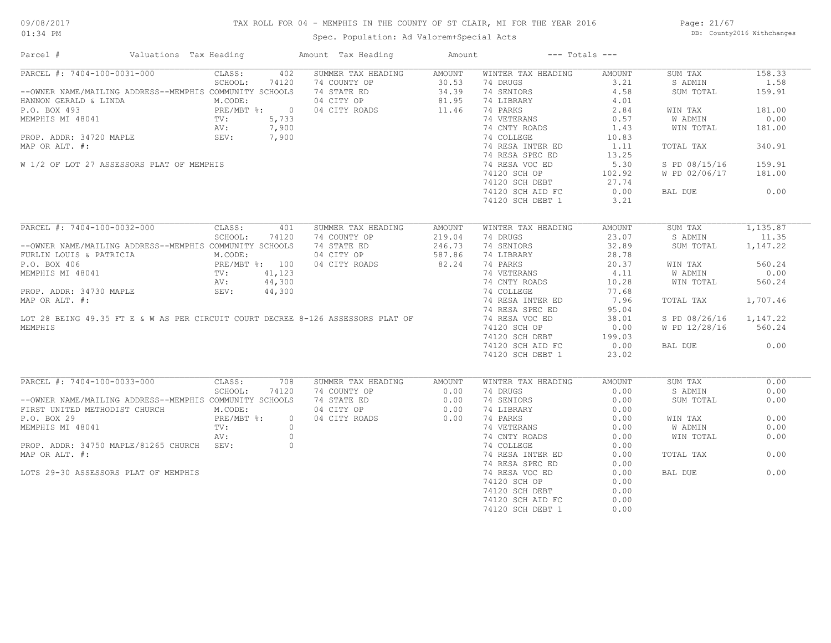## TAX ROLL FOR 04 - MEMPHIS IN THE COUNTY OF ST CLAIR, MI FOR THE YEAR 2016

Spec. Population: Ad Valorem+Special Acts

Page: 21/67 DB: County2016 Withchanges

| Parcel #                                                                                                                    | Valuations Tax Heading                     | Amount Tax Heading                                  | Amount | $---$ Totals $---$ |               |                        |          |
|-----------------------------------------------------------------------------------------------------------------------------|--------------------------------------------|-----------------------------------------------------|--------|--------------------|---------------|------------------------|----------|
| PARCEL #: 7404-100-0031-000                                                                                                 | CLASS:<br>402                              | SUMMER TAX HEADING                                  | AMOUNT | WINTER TAX HEADING | AMOUNT        | SUM TAX                | 158.33   |
|                                                                                                                             | SCHOOL:<br>74120                           | 74 COUNTY OP                                        | 30.53  | 74 DRUGS           | 3.21          | S ADMIN                | 1.58     |
| --OWNER NAME/MAILING ADDRESS--MEMPHIS COMMUNITY SCHOOLS                                                                     |                                            | 74 STATE ED                                         | 34.39  | 74 SENIORS         | 4.58          | SUM TOTAL              | 159.91   |
| HANNON GERALD & LINDA                                                                                                       | M.CODE:                                    | 04 CITY OP                                          | 81.95  | 74 LIBRARY         | 4.01          |                        |          |
| P.O. BOX 493<br>MEMPHIS MI 48041<br>P.O. BOX 493<br>MEMPHIS MI 48041<br>PROP. ADDR: 34720 MAPLE<br>SEV: 7,900<br>SEV: 7,900 |                                            | 04 CITY ROADS                                       | 11.46  | 74 PARKS           | 2.84          | WIN TAX                | 181.00   |
|                                                                                                                             |                                            |                                                     |        | 74 VETERANS        | 0.57          | W ADMIN                | 0.00     |
|                                                                                                                             |                                            |                                                     |        | 74 CNTY ROADS      | 1.43          | WIN TOTAL              | 181.00   |
|                                                                                                                             |                                            |                                                     |        | 74 COLLEGE         | 10.83         |                        |          |
| MAP OR ALT. #:                                                                                                              |                                            |                                                     |        | 74 RESA INTER ED   | 1.11          | TOTAL TAX              | 340.91   |
|                                                                                                                             |                                            |                                                     |        | 74 RESA SPEC ED    | 13.25         |                        |          |
| W 1/2 OF LOT 27 ASSESSORS PLAT OF MEMPHIS                                                                                   |                                            |                                                     |        | 74 RESA VOC ED     | 5.30          | S PD 08/15/16          | 159.91   |
|                                                                                                                             |                                            |                                                     |        | 74120 SCH OP       | 102.92        | W PD 02/06/17          | 181.00   |
|                                                                                                                             |                                            |                                                     |        |                    |               |                        |          |
|                                                                                                                             |                                            |                                                     |        | 74120 SCH DEBT     | 27.74         |                        |          |
|                                                                                                                             |                                            |                                                     |        | 74120 SCH AID FC   | 0.00          | BAL DUE                | 0.00     |
|                                                                                                                             |                                            |                                                     |        | 74120 SCH DEBT 1   | 3.21          |                        |          |
| PARCEL #: 7404-100-0032-000                                                                                                 | CLASS:<br>401                              | SUMMER TAX HEADING                                  | AMOUNT | WINTER TAX HEADING | <b>AMOUNT</b> | SUM TAX                | 1,135.87 |
|                                                                                                                             | SCHOOL:<br>74120                           | 74 COUNTY OP                                        | 219.04 | 74 DRUGS           | 23.07         | S ADMIN                | 11.35    |
| --OWNER NAME/MAILING ADDRESS--MEMPHIS COMMUNITY SCHOOLS                                                                     |                                            |                                                     | 246.73 | 74 SENIORS         | 32.89         | SUM TOTAL              | 1,147.22 |
|                                                                                                                             |                                            | 74 STATE ED<br>04 CITY OP                           |        |                    |               |                        |          |
| FURLIN LOUIS & PATRICIA                                                                                                     | M.CODE:                                    | 04 CITY OP                                          | 587.86 | 74 LIBRARY         | 28.78         |                        |          |
| P.O. BOX 406                                                                                                                | PRE/MBT %: 100<br>TV: 41,123<br>AV: 44,300 | 04 CITY ROADS                                       | 82.24  | 74 PARKS           | 20.37         | WIN TAX                | 560.24   |
| MEMPHIS MI 48041                                                                                                            |                                            |                                                     |        | 74 VETERANS        | 4.11          | W ADMIN                | 0.00     |
|                                                                                                                             |                                            |                                                     |        | 74 CNTY ROADS      | 10.28         | WIN TOTAL              | 560.24   |
| PROP. ADDR: 34730 MAPLE                                                                                                     | SEV:<br>44,300                             |                                                     |        | 74 COLLEGE         | 77.68         |                        |          |
| MAP OR ALT. #:                                                                                                              |                                            |                                                     |        | 74 RESA INTER ED   | 7.96          | TOTAL TAX              | 1,707.46 |
|                                                                                                                             |                                            |                                                     |        | 74 RESA SPEC ED    | 95.04         |                        |          |
| LOT 28 BEING 49.35 FT E & W AS PER CIRCUIT COURT DECREE 8-126 ASSESSORS PLAT OF                                             |                                            |                                                     |        | 74 RESA VOC ED     | 38.01         | S PD 08/26/16 1,147.22 |          |
| MEMPHIS                                                                                                                     |                                            |                                                     |        | 74120 SCH OP       | 0.00          | W PD 12/28/16          | 560.24   |
|                                                                                                                             |                                            |                                                     |        | 74120 SCH DEBT     | 199.03        |                        |          |
|                                                                                                                             |                                            |                                                     |        | 74120 SCH AID FC   | 0.00          | BAL DUE                | 0.00     |
|                                                                                                                             |                                            |                                                     |        | 74120 SCH DEBT 1   | 23.02         |                        |          |
|                                                                                                                             |                                            |                                                     |        |                    |               |                        |          |
| PARCEL #: 7404-100-0033-000                                                                                                 | CLASS:<br>708                              | SUMMER TAX HEADING                                  | AMOUNT | WINTER TAX HEADING | <b>AMOUNT</b> | SUM TAX                | 0.00     |
|                                                                                                                             | SCHOOL:<br>74120                           |                                                     |        | 74 DRUGS           | 0.00          | S ADMIN                | 0.00     |
| --OWNER NAME/MAILING ADDRESS--MEMPHIS COMMUNITY SCHOOLS                                                                     |                                            | 74 COUNTY OP 0.00<br>74 STATE ED 0.00<br>04 CUTY OP |        | 74 SENIORS         | 0.00          | SUM TOTAL              | 0.00     |
| FIRST UNITED METHODIST CHURCH                                                                                               | M.CODE:                                    | 04 CITY OP                                          | 0.00   | 74 LIBRARY         | 0.00          |                        |          |
| P.O. BOX 29                                                                                                                 | $PRE/MBT$ %:                               | $\circ$<br>04 CITY ROADS                            | 0.00   | 74 PARKS           | 0.00          | WIN TAX                | 0.00     |
| MEMPHIS MI 48041                                                                                                            | TV:                                        | $\circ$                                             |        | 74 VETERANS        | 0.00          | W ADMIN                | 0.00     |
|                                                                                                                             | AV:                                        | $\circ$                                             |        |                    | 0.00          | WIN TOTAL              | 0.00     |
|                                                                                                                             |                                            | $\circ$                                             |        | 74 CNTY ROADS      |               |                        |          |
| PROP. ADDR: 34750 MAPLE/81265 CHURCH SEV:                                                                                   |                                            |                                                     |        | 74 COLLEGE         | 0.00          |                        |          |
| MAP OR ALT. #:                                                                                                              |                                            |                                                     |        | 74 RESA INTER ED   | 0.00          | TOTAL TAX              | 0.00     |
|                                                                                                                             |                                            |                                                     |        | 74 RESA SPEC ED    | 0.00          |                        |          |
| LOTS 29-30 ASSESSORS PLAT OF MEMPHIS                                                                                        |                                            |                                                     |        | 74 RESA VOC ED     | 0.00          | BAL DUE                | 0.00     |
|                                                                                                                             |                                            |                                                     |        | 74120 SCH OP       | 0.00          |                        |          |
|                                                                                                                             |                                            |                                                     |        | 74120 SCH DEBT     | 0.00          |                        |          |
|                                                                                                                             |                                            |                                                     |        | 74120 SCH AID FC   | 0.00          |                        |          |
|                                                                                                                             |                                            |                                                     |        | 74120 SCH DEBT 1   | 0.00          |                        |          |
|                                                                                                                             |                                            |                                                     |        |                    |               |                        |          |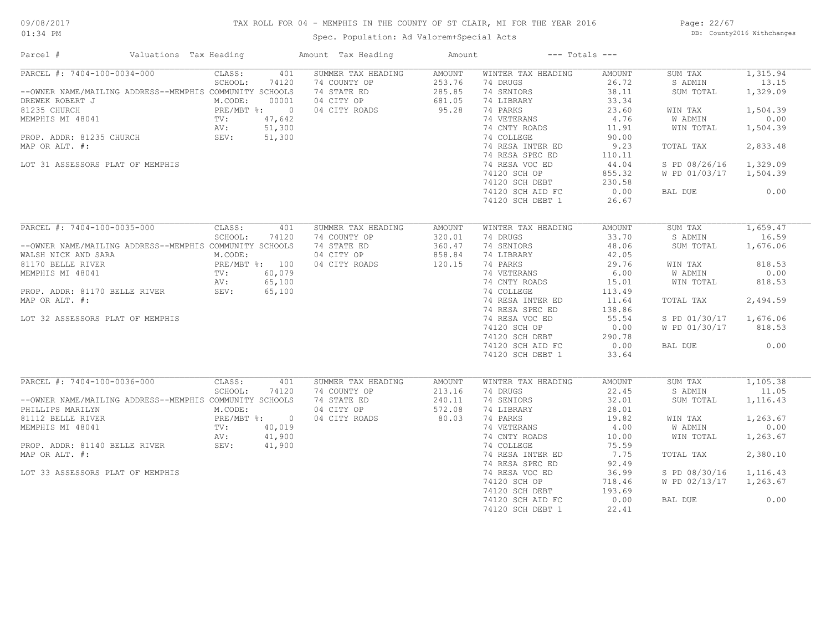## TAX ROLL FOR 04 - MEMPHIS IN THE COUNTY OF ST CLAIR, MI FOR THE YEAR 2016

Spec. Population: Ad Valorem+Special Acts

Page: 22/67 DB: County2016 Withchanges

| Parcel #                                                                                                                                                                                                                                      | Valuations Tax Heading |                                                                      |                                                     | Amount Tax Heading                                                               | Amount                                                |                                                                                                                                                                                                                                                         | $---$ Totals $---$                                                                                                                          |                                                                                                                                     |                                                                                                           |
|-----------------------------------------------------------------------------------------------------------------------------------------------------------------------------------------------------------------------------------------------|------------------------|----------------------------------------------------------------------|-----------------------------------------------------|----------------------------------------------------------------------------------|-------------------------------------------------------|---------------------------------------------------------------------------------------------------------------------------------------------------------------------------------------------------------------------------------------------------------|---------------------------------------------------------------------------------------------------------------------------------------------|-------------------------------------------------------------------------------------------------------------------------------------|-----------------------------------------------------------------------------------------------------------|
| PARCEL #: 7404-100-0034-000<br>--OWNER NAME/MAILING ADDRESS--MEMPHIS COMMUNITY SCHOOLS<br>DREWEK ROBERT J<br>81235 CHURCH<br>MEMPHIS MI 48041<br>PROP. ADDR: 81235 CHURCH<br>MAP OR ALT. #:<br>LOT 31 ASSESSORS PLAT OF MEMPHIS               |                        | CLASS:<br>SCHOOL:<br>M.CODE:<br>PRE/MBT %: 0<br>TV:<br>AV:<br>SEV:   | 401<br>74120<br>00001<br>47,642<br>51,300<br>51,300 | SUMMER TAX HEADING<br>74 COUNTY OP<br>74 STATE ED<br>04 CITY OP<br>04 CITY ROADS | AMOUNT<br>253.76<br>285.85<br>681.05<br>95.28         | WINTER TAX HEADING<br>74 DRUGS<br>74 SENIORS<br>74 LIBRARY<br>74 PARKS<br>74 VETERANS<br>74 CNTY ROADS<br>74 COLLEGE<br>74 RESA INTER ED<br>74 RESA SPEC ED<br>74 RESA VOC ED<br>74120 SCH OP<br>74120 SCH DEBT<br>74120 SCH AID FC                     | AMOUNT<br>26.72<br>38.11<br>33.34<br>23.60<br>4.76<br>11.91<br>90.00<br>9.23<br>110.11<br>44.04<br>855.32<br>230.58<br>0.00                 | SUM TAX<br>S ADMIN<br>SUM TOTAL<br>WIN TAX<br><b>W ADMIN</b><br>WIN TOTAL<br>TOTAL TAX<br>S PD 08/26/16<br>W PD 01/03/17<br>BAL DUE | 1,315.94<br>13.15<br>1,329.09<br>1,504.39<br>0.00<br>1,504.39<br>2,833.48<br>1,329.09<br>1,504.39<br>0.00 |
|                                                                                                                                                                                                                                               |                        |                                                                      |                                                     |                                                                                  |                                                       | 74120 SCH DEBT 1                                                                                                                                                                                                                                        | 26.67                                                                                                                                       |                                                                                                                                     |                                                                                                           |
| PARCEL #: 7404-100-0035-000<br>--OWNER NAME/MAILING ADDRESS--MEMPHIS COMMUNITY SCHOOLS<br>WALSH NICK AND SARA<br>81170 BELLE RIVER<br>MEMPHIS MI 48041<br>PROP. ADDR: 81170 BELLE RIVER<br>MAP OR ALT. #:<br>LOT 32 ASSESSORS PLAT OF MEMPHIS |                        | CLASS:<br>SCHOOL:<br>M.CODE:<br>PRE/MBT %: 100<br>TV:<br>AV:<br>SEV: | 401<br>74120<br>60,079<br>65,100<br>65,100          | SUMMER TAX HEADING<br>74 COUNTY OP<br>74 STATE ED<br>04 CITY OP<br>04 CITY ROADS | <b>AMOUNT</b><br>320.01<br>360.47<br>858.84<br>120.15 | WINTER TAX HEADING<br>74 DRUGS<br>74 SENIORS<br>74 LIBRARY<br>74 PARKS<br>74 VETERANS<br>74 CNTY ROADS<br>74 COLLEGE<br>74 RESA INTER ED<br>74 RESA SPEC ED<br>74 RESA VOC ED<br>74120 SCH OP<br>74120 SCH DEBT<br>74120 SCH AID FC<br>74120 SCH DEBT 1 | <b>AMOUNT</b><br>33.70<br>48.06<br>42.05<br>29.76<br>6.00<br>15.01<br>113.49<br>11.64<br>138.86<br>55.54<br>0.00<br>290.78<br>0.00<br>33.64 | SUM TAX<br>S ADMIN<br>SUM TOTAL<br>WIN TAX<br>W ADMIN<br>WIN TOTAL<br>TOTAL TAX<br>S PD 01/30/17<br>W PD 01/30/17<br>BAL DUE        | 1,659.47<br>16.59<br>1,676.06<br>818.53<br>0.00<br>818.53<br>2,494.59<br>1,676.06<br>818.53<br>0.00       |
| PARCEL #: 7404-100-0036-000<br>--OWNER NAME/MAILING ADDRESS--MEMPHIS COMMUNITY SCHOOLS<br>PHILLIPS MARILYN<br>81112 BELLE RIVER<br>MEMPHIS MI 48041<br>PROP. ADDR: 81140 BELLE RIVER<br>MAP OR ALT. #:<br>LOT 33 ASSESSORS PLAT OF MEMPHIS    | SEV:                   | CLASS:<br>SCHOOL:<br>M.CODE:<br>PRE/MBT %: 0<br>TV:<br>AV:           | 401<br>74120<br>40,019<br>41,900<br>41,900          | SUMMER TAX HEADING<br>74 COUNTY OP<br>74 STATE ED<br>04 CITY OP<br>04 CITY ROADS | <b>AMOUNT</b><br>213.16<br>240.11<br>572.08<br>80.03  | WINTER TAX HEADING<br>74 DRUGS<br>74 SENIORS<br>74 LIBRARY<br>74 PARKS<br>74 VETERANS<br>74 CNTY ROADS<br>74 COLLEGE<br>74 RESA INTER ED<br>74 RESA SPEC ED<br>74 RESA VOC ED<br>74120 SCH OP<br>74120 SCH DEBT<br>74120 SCH AID FC<br>74120 SCH DEBT 1 | <b>AMOUNT</b><br>22.45<br>32.01<br>28.01<br>19.82<br>4.00<br>10.00<br>75.59<br>7.75<br>92.49<br>36.99<br>718.46<br>193.69<br>0.00<br>22.41  | SUM TAX<br>S ADMIN<br>SUM TOTAL<br>WIN TAX<br>W ADMIN<br>WIN TOTAL<br>TOTAL TAX<br>S PD 08/30/16<br>W PD 02/13/17<br>BAL DUE        | 1,105.38<br>11.05<br>1,116.43<br>1,263.67<br>0.00<br>1,263.67<br>2,380.10<br>1,116.43<br>1,263.67<br>0.00 |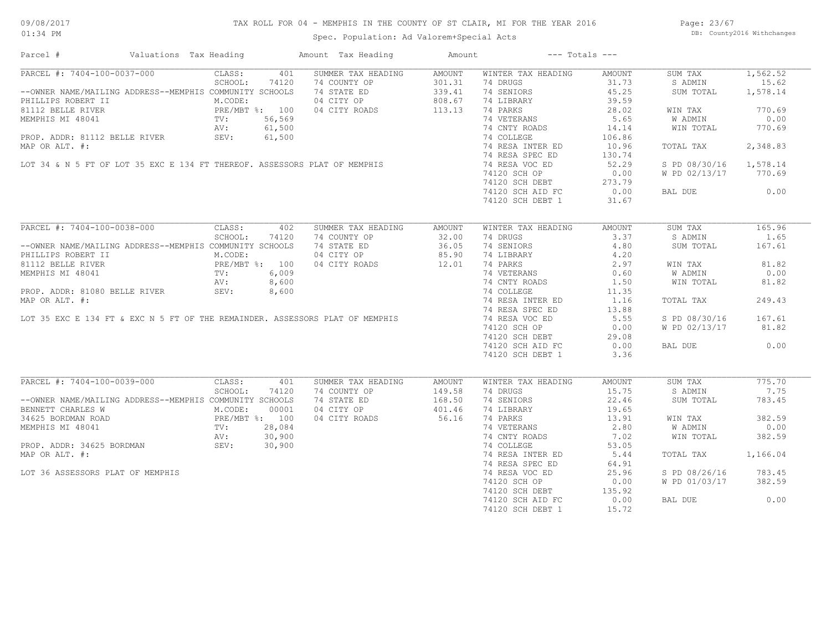## TAX ROLL FOR 04 - MEMPHIS IN THE COUNTY OF ST CLAIR, MI FOR THE YEAR 2016

Spec. Population: Ad Valorem+Special Acts

Page: 23/67 DB: County2016 Withchanges

| PARCEL #: 7404-100-0037-000<br>CLASS:<br>401<br>SUMMER TAX HEADING<br>AMOUNT<br>WINTER TAX HEADING<br>1,562.52<br>AMOUNT<br>SUM TAX<br>SCHOOL:<br>74 DRUGS<br>31.73<br>15.62<br>74120<br>74 COUNTY OP<br>301.31<br>S ADMIN<br>--OWNER NAME/MAILING ADDRESS--MEMPHIS COMMUNITY SCHOOLS<br>74 STATE ED<br>339.41<br>74 SENIORS<br>45.25<br>1,578.14<br>SUM TOTAL<br>04 CITY OP<br>808.67<br>74 LIBRARY<br>39.59<br>PHILLIPS ROBERT II<br>M.CODE:<br>PRE/MBT \$: 100<br>MEMPHIS MI 48041<br>PRE/MBT \$: 100<br>PROP. ADDR: 81112 BELLE RIVER<br>PROP. ADDR: 81112 BELLE RIVER<br>SEV: 61,500<br>PROP. ADDR: 81112 BELLE RIVER<br>SEV: 61,500<br>113.13<br>28.02<br>770.69<br>04 CITY ROADS<br>74 PARKS<br>WIN TAX<br>5.65<br>74 VETERANS<br>W ADMIN<br>0.00<br>PROP. ADDR: 81112 BELLE RIVER<br>MAP OR ALT. #:<br>LOT 34 & N 5 FT OF LOT 35 EXC E 134 FT THEREOF. ASSESSORS PLAT OF MEMPHIS<br>74 CNTY ROADS<br>770.69<br>14.14<br>WIN TOTAL<br>74 COLLEGE<br>106.86<br>74 RESA INTER ED<br>2,348.83<br>10.96<br>TOTAL TAX<br>74 RESA SPEC ED<br>130.74<br>74 RESA VOC ED<br>52.29<br>1,578.14<br>S PD 08/30/16<br>0.00<br>74120 SCH OP<br>W PD 02/13/17 770.69<br>74120 SCH DEBT<br>74120 SCH DEBT 273.79<br>74120 SCH AID FC 0.00<br>0.00<br>BAL DUE<br>74120 SCH DEBT 1<br>31.67<br>PARCEL #: 7404-100-0038-000<br>CLASS:<br>165.96<br>402<br>SUMMER TAX HEADING<br>SUM TAX<br>AMOUNT<br>WINTER TAX HEADING<br><b>AMOUNT</b><br>SCHOOL:<br>3.37<br>74120<br>74 COUNTY OP<br>32.00<br>74 DRUGS<br>S ADMIN<br>1.65<br>--OWNER NAME/MAILING ADDRESS--MEMPHIS COMMUNITY SCHOOLS<br>74 STATE ED<br>36.05<br>74 SENIORS<br>4.80<br>SUM TOTAL<br>167.61<br>85.90<br>4.20<br>PHILLIPS ROBERT II<br>M.CODE:<br>04 CITY OP<br>74 LIBRARY<br>PRE/MBT %: 100<br>PRE/MBT %: 100<br>TV: 6,009<br>BELLE RIVER SEV: 8,600<br>81.82<br>81112 BELLE RIVER<br>04 CITY ROADS<br>12.01<br>74 PARKS<br>2.97<br>WIN TAX<br>74 VETERANS<br>0.60<br><b>W ADMIN</b><br>0.00<br>MEMPHIS MI 48041<br>MEMPHIS MI 48041<br>TV:<br>MEMPHIS MI 48041<br>TV:<br>8,600<br>PROP. ADDR: 81080 BELLE RIVER<br>MAP OR ALT. #:<br>LOT 35 EXC E 134 FT & EXC N 5 FT OF THE REMAINDER. ASSESSORS PLAT OF MEMPHIS<br>74 CNTY ROADS<br>1.50<br>WIN TOTAL<br>81.82<br>74 COLLEGE<br>11.35<br>74 RESA INTER ED<br>1.16<br>249.43<br>TOTAL TAX<br>74 RESA SPEC ED<br>13.88<br>5.55<br>74 RESA VOC ED<br>S PD 08/30/16<br>167.61<br>74120 SCH OP<br>0.00<br>W PD 02/13/17<br>81.82<br>$74120$ SCH DEBT<br>29.08<br>74120 SCH AID FC<br>0.00<br>0.00<br>BAL DUE<br>74120 SCH DEBT 1<br>3.36<br>PARCEL #: 7404-100-0039-000<br>CLASS:<br>775.70<br>401<br>SUMMER TAX HEADING<br>WINTER TAX HEADING<br>AMOUNT<br>SUM TAX<br>AMOUNT<br>15.75<br>7.75<br>SCHOOL:<br>74120<br>74 COUNTY OP<br>149.58<br>74 DRUGS<br>S ADMIN<br>--OWNER NAME/MAILING ADDRESS--MEMPHIS COMMUNITY SCHOOLS<br>74 STATE ED<br>168.50<br>74 SENIORS<br>22.46<br>SUM TOTAL<br>783.45<br>BENNETT CHARLES W<br>M.CODE:<br>04 CITY OP<br>401.46<br>74 LIBRARY<br>19.65<br>00001<br>34625 BORDMAN ROAD<br>MEMPHIS MI 48041<br>PRE/MBT %: 100<br>MEMPHIS MI 48041<br>PROP. ADDR: 34625 BORDMAN<br>ROP. ADDR: 34625 BORDMAN<br>SEV: 30,900<br>56.16<br>74 PARKS<br>382.59<br>04 CITY ROADS<br>13.91<br>WIN TAX<br>0.00<br>74 VETERANS<br>2.80<br>W ADMIN<br>74 CNTY ROADS<br>382.59<br>7.02<br>WIN TOTAL<br>74 COLLEGE<br>53.05<br>74 RESA INTER ED<br>5.44<br>1,166.04<br>MAP OR ALT. #:<br>TOTAL TAX<br>74 RESA SPEC ED<br>64.91<br>74 RESA VOC ED<br>25.96<br>S PD 08/26/16<br>783.45<br>LOT 36 ASSESSORS PLAT OF MEMPHIS<br>382.59<br>74120 SCH OP<br>0.00<br>W PD 01/03/17<br>74120 SCH DEBT<br>135.92<br>0.00<br>74120 SCH AID FC<br>0.00<br>BAL DUE | Parcel # | Valuations Tax Heading | Amount Tax Heading | Amount | $---$ Totals $---$ |  |
|--------------------------------------------------------------------------------------------------------------------------------------------------------------------------------------------------------------------------------------------------------------------------------------------------------------------------------------------------------------------------------------------------------------------------------------------------------------------------------------------------------------------------------------------------------------------------------------------------------------------------------------------------------------------------------------------------------------------------------------------------------------------------------------------------------------------------------------------------------------------------------------------------------------------------------------------------------------------------------------------------------------------------------------------------------------------------------------------------------------------------------------------------------------------------------------------------------------------------------------------------------------------------------------------------------------------------------------------------------------------------------------------------------------------------------------------------------------------------------------------------------------------------------------------------------------------------------------------------------------------------------------------------------------------------------------------------------------------------------------------------------------------------------------------------------------------------------------------------------------------------------------------------------------------------------------------------------------------------------------------------------------------------------------------------------------------------------------------------------------------------------------------------------------------------------------------------------------------------------------------------------------------------------------------------------------------------------------------------------------------------------------------------------------------------------------------------------------------------------------------------------------------------------------------------------------------------------------------------------------------------------------------------------------------------------------------------------------------------------------------------------------------------------------------------------------------------------------------------------------------------------------------------------------------------------------------------------------------------------------------------------------------------------------------------------------------------------------------------------------------------------------------------------------------------------------------------------------------------------------------------------------------------------------------------------------------------------------------------------------------------------------------------------------------------------------------------------------------------------------------------------------------------------------------------------------------------------------------------------------------------------------------------------------------------|----------|------------------------|--------------------|--------|--------------------|--|
|                                                                                                                                                                                                                                                                                                                                                                                                                                                                                                                                                                                                                                                                                                                                                                                                                                                                                                                                                                                                                                                                                                                                                                                                                                                                                                                                                                                                                                                                                                                                                                                                                                                                                                                                                                                                                                                                                                                                                                                                                                                                                                                                                                                                                                                                                                                                                                                                                                                                                                                                                                                                                                                                                                                                                                                                                                                                                                                                                                                                                                                                                                                                                                                                                                                                                                                                                                                                                                                                                                                                                                                                                                                                          |          |                        |                    |        |                    |  |
|                                                                                                                                                                                                                                                                                                                                                                                                                                                                                                                                                                                                                                                                                                                                                                                                                                                                                                                                                                                                                                                                                                                                                                                                                                                                                                                                                                                                                                                                                                                                                                                                                                                                                                                                                                                                                                                                                                                                                                                                                                                                                                                                                                                                                                                                                                                                                                                                                                                                                                                                                                                                                                                                                                                                                                                                                                                                                                                                                                                                                                                                                                                                                                                                                                                                                                                                                                                                                                                                                                                                                                                                                                                                          |          |                        |                    |        |                    |  |
|                                                                                                                                                                                                                                                                                                                                                                                                                                                                                                                                                                                                                                                                                                                                                                                                                                                                                                                                                                                                                                                                                                                                                                                                                                                                                                                                                                                                                                                                                                                                                                                                                                                                                                                                                                                                                                                                                                                                                                                                                                                                                                                                                                                                                                                                                                                                                                                                                                                                                                                                                                                                                                                                                                                                                                                                                                                                                                                                                                                                                                                                                                                                                                                                                                                                                                                                                                                                                                                                                                                                                                                                                                                                          |          |                        |                    |        |                    |  |
|                                                                                                                                                                                                                                                                                                                                                                                                                                                                                                                                                                                                                                                                                                                                                                                                                                                                                                                                                                                                                                                                                                                                                                                                                                                                                                                                                                                                                                                                                                                                                                                                                                                                                                                                                                                                                                                                                                                                                                                                                                                                                                                                                                                                                                                                                                                                                                                                                                                                                                                                                                                                                                                                                                                                                                                                                                                                                                                                                                                                                                                                                                                                                                                                                                                                                                                                                                                                                                                                                                                                                                                                                                                                          |          |                        |                    |        |                    |  |
|                                                                                                                                                                                                                                                                                                                                                                                                                                                                                                                                                                                                                                                                                                                                                                                                                                                                                                                                                                                                                                                                                                                                                                                                                                                                                                                                                                                                                                                                                                                                                                                                                                                                                                                                                                                                                                                                                                                                                                                                                                                                                                                                                                                                                                                                                                                                                                                                                                                                                                                                                                                                                                                                                                                                                                                                                                                                                                                                                                                                                                                                                                                                                                                                                                                                                                                                                                                                                                                                                                                                                                                                                                                                          |          |                        |                    |        |                    |  |
|                                                                                                                                                                                                                                                                                                                                                                                                                                                                                                                                                                                                                                                                                                                                                                                                                                                                                                                                                                                                                                                                                                                                                                                                                                                                                                                                                                                                                                                                                                                                                                                                                                                                                                                                                                                                                                                                                                                                                                                                                                                                                                                                                                                                                                                                                                                                                                                                                                                                                                                                                                                                                                                                                                                                                                                                                                                                                                                                                                                                                                                                                                                                                                                                                                                                                                                                                                                                                                                                                                                                                                                                                                                                          |          |                        |                    |        |                    |  |
|                                                                                                                                                                                                                                                                                                                                                                                                                                                                                                                                                                                                                                                                                                                                                                                                                                                                                                                                                                                                                                                                                                                                                                                                                                                                                                                                                                                                                                                                                                                                                                                                                                                                                                                                                                                                                                                                                                                                                                                                                                                                                                                                                                                                                                                                                                                                                                                                                                                                                                                                                                                                                                                                                                                                                                                                                                                                                                                                                                                                                                                                                                                                                                                                                                                                                                                                                                                                                                                                                                                                                                                                                                                                          |          |                        |                    |        |                    |  |
|                                                                                                                                                                                                                                                                                                                                                                                                                                                                                                                                                                                                                                                                                                                                                                                                                                                                                                                                                                                                                                                                                                                                                                                                                                                                                                                                                                                                                                                                                                                                                                                                                                                                                                                                                                                                                                                                                                                                                                                                                                                                                                                                                                                                                                                                                                                                                                                                                                                                                                                                                                                                                                                                                                                                                                                                                                                                                                                                                                                                                                                                                                                                                                                                                                                                                                                                                                                                                                                                                                                                                                                                                                                                          |          |                        |                    |        |                    |  |
|                                                                                                                                                                                                                                                                                                                                                                                                                                                                                                                                                                                                                                                                                                                                                                                                                                                                                                                                                                                                                                                                                                                                                                                                                                                                                                                                                                                                                                                                                                                                                                                                                                                                                                                                                                                                                                                                                                                                                                                                                                                                                                                                                                                                                                                                                                                                                                                                                                                                                                                                                                                                                                                                                                                                                                                                                                                                                                                                                                                                                                                                                                                                                                                                                                                                                                                                                                                                                                                                                                                                                                                                                                                                          |          |                        |                    |        |                    |  |
|                                                                                                                                                                                                                                                                                                                                                                                                                                                                                                                                                                                                                                                                                                                                                                                                                                                                                                                                                                                                                                                                                                                                                                                                                                                                                                                                                                                                                                                                                                                                                                                                                                                                                                                                                                                                                                                                                                                                                                                                                                                                                                                                                                                                                                                                                                                                                                                                                                                                                                                                                                                                                                                                                                                                                                                                                                                                                                                                                                                                                                                                                                                                                                                                                                                                                                                                                                                                                                                                                                                                                                                                                                                                          |          |                        |                    |        |                    |  |
|                                                                                                                                                                                                                                                                                                                                                                                                                                                                                                                                                                                                                                                                                                                                                                                                                                                                                                                                                                                                                                                                                                                                                                                                                                                                                                                                                                                                                                                                                                                                                                                                                                                                                                                                                                                                                                                                                                                                                                                                                                                                                                                                                                                                                                                                                                                                                                                                                                                                                                                                                                                                                                                                                                                                                                                                                                                                                                                                                                                                                                                                                                                                                                                                                                                                                                                                                                                                                                                                                                                                                                                                                                                                          |          |                        |                    |        |                    |  |
|                                                                                                                                                                                                                                                                                                                                                                                                                                                                                                                                                                                                                                                                                                                                                                                                                                                                                                                                                                                                                                                                                                                                                                                                                                                                                                                                                                                                                                                                                                                                                                                                                                                                                                                                                                                                                                                                                                                                                                                                                                                                                                                                                                                                                                                                                                                                                                                                                                                                                                                                                                                                                                                                                                                                                                                                                                                                                                                                                                                                                                                                                                                                                                                                                                                                                                                                                                                                                                                                                                                                                                                                                                                                          |          |                        |                    |        |                    |  |
|                                                                                                                                                                                                                                                                                                                                                                                                                                                                                                                                                                                                                                                                                                                                                                                                                                                                                                                                                                                                                                                                                                                                                                                                                                                                                                                                                                                                                                                                                                                                                                                                                                                                                                                                                                                                                                                                                                                                                                                                                                                                                                                                                                                                                                                                                                                                                                                                                                                                                                                                                                                                                                                                                                                                                                                                                                                                                                                                                                                                                                                                                                                                                                                                                                                                                                                                                                                                                                                                                                                                                                                                                                                                          |          |                        |                    |        |                    |  |
|                                                                                                                                                                                                                                                                                                                                                                                                                                                                                                                                                                                                                                                                                                                                                                                                                                                                                                                                                                                                                                                                                                                                                                                                                                                                                                                                                                                                                                                                                                                                                                                                                                                                                                                                                                                                                                                                                                                                                                                                                                                                                                                                                                                                                                                                                                                                                                                                                                                                                                                                                                                                                                                                                                                                                                                                                                                                                                                                                                                                                                                                                                                                                                                                                                                                                                                                                                                                                                                                                                                                                                                                                                                                          |          |                        |                    |        |                    |  |
|                                                                                                                                                                                                                                                                                                                                                                                                                                                                                                                                                                                                                                                                                                                                                                                                                                                                                                                                                                                                                                                                                                                                                                                                                                                                                                                                                                                                                                                                                                                                                                                                                                                                                                                                                                                                                                                                                                                                                                                                                                                                                                                                                                                                                                                                                                                                                                                                                                                                                                                                                                                                                                                                                                                                                                                                                                                                                                                                                                                                                                                                                                                                                                                                                                                                                                                                                                                                                                                                                                                                                                                                                                                                          |          |                        |                    |        |                    |  |
|                                                                                                                                                                                                                                                                                                                                                                                                                                                                                                                                                                                                                                                                                                                                                                                                                                                                                                                                                                                                                                                                                                                                                                                                                                                                                                                                                                                                                                                                                                                                                                                                                                                                                                                                                                                                                                                                                                                                                                                                                                                                                                                                                                                                                                                                                                                                                                                                                                                                                                                                                                                                                                                                                                                                                                                                                                                                                                                                                                                                                                                                                                                                                                                                                                                                                                                                                                                                                                                                                                                                                                                                                                                                          |          |                        |                    |        |                    |  |
|                                                                                                                                                                                                                                                                                                                                                                                                                                                                                                                                                                                                                                                                                                                                                                                                                                                                                                                                                                                                                                                                                                                                                                                                                                                                                                                                                                                                                                                                                                                                                                                                                                                                                                                                                                                                                                                                                                                                                                                                                                                                                                                                                                                                                                                                                                                                                                                                                                                                                                                                                                                                                                                                                                                                                                                                                                                                                                                                                                                                                                                                                                                                                                                                                                                                                                                                                                                                                                                                                                                                                                                                                                                                          |          |                        |                    |        |                    |  |
|                                                                                                                                                                                                                                                                                                                                                                                                                                                                                                                                                                                                                                                                                                                                                                                                                                                                                                                                                                                                                                                                                                                                                                                                                                                                                                                                                                                                                                                                                                                                                                                                                                                                                                                                                                                                                                                                                                                                                                                                                                                                                                                                                                                                                                                                                                                                                                                                                                                                                                                                                                                                                                                                                                                                                                                                                                                                                                                                                                                                                                                                                                                                                                                                                                                                                                                                                                                                                                                                                                                                                                                                                                                                          |          |                        |                    |        |                    |  |
|                                                                                                                                                                                                                                                                                                                                                                                                                                                                                                                                                                                                                                                                                                                                                                                                                                                                                                                                                                                                                                                                                                                                                                                                                                                                                                                                                                                                                                                                                                                                                                                                                                                                                                                                                                                                                                                                                                                                                                                                                                                                                                                                                                                                                                                                                                                                                                                                                                                                                                                                                                                                                                                                                                                                                                                                                                                                                                                                                                                                                                                                                                                                                                                                                                                                                                                                                                                                                                                                                                                                                                                                                                                                          |          |                        |                    |        |                    |  |
|                                                                                                                                                                                                                                                                                                                                                                                                                                                                                                                                                                                                                                                                                                                                                                                                                                                                                                                                                                                                                                                                                                                                                                                                                                                                                                                                                                                                                                                                                                                                                                                                                                                                                                                                                                                                                                                                                                                                                                                                                                                                                                                                                                                                                                                                                                                                                                                                                                                                                                                                                                                                                                                                                                                                                                                                                                                                                                                                                                                                                                                                                                                                                                                                                                                                                                                                                                                                                                                                                                                                                                                                                                                                          |          |                        |                    |        |                    |  |
|                                                                                                                                                                                                                                                                                                                                                                                                                                                                                                                                                                                                                                                                                                                                                                                                                                                                                                                                                                                                                                                                                                                                                                                                                                                                                                                                                                                                                                                                                                                                                                                                                                                                                                                                                                                                                                                                                                                                                                                                                                                                                                                                                                                                                                                                                                                                                                                                                                                                                                                                                                                                                                                                                                                                                                                                                                                                                                                                                                                                                                                                                                                                                                                                                                                                                                                                                                                                                                                                                                                                                                                                                                                                          |          |                        |                    |        |                    |  |
|                                                                                                                                                                                                                                                                                                                                                                                                                                                                                                                                                                                                                                                                                                                                                                                                                                                                                                                                                                                                                                                                                                                                                                                                                                                                                                                                                                                                                                                                                                                                                                                                                                                                                                                                                                                                                                                                                                                                                                                                                                                                                                                                                                                                                                                                                                                                                                                                                                                                                                                                                                                                                                                                                                                                                                                                                                                                                                                                                                                                                                                                                                                                                                                                                                                                                                                                                                                                                                                                                                                                                                                                                                                                          |          |                        |                    |        |                    |  |
|                                                                                                                                                                                                                                                                                                                                                                                                                                                                                                                                                                                                                                                                                                                                                                                                                                                                                                                                                                                                                                                                                                                                                                                                                                                                                                                                                                                                                                                                                                                                                                                                                                                                                                                                                                                                                                                                                                                                                                                                                                                                                                                                                                                                                                                                                                                                                                                                                                                                                                                                                                                                                                                                                                                                                                                                                                                                                                                                                                                                                                                                                                                                                                                                                                                                                                                                                                                                                                                                                                                                                                                                                                                                          |          |                        |                    |        |                    |  |
|                                                                                                                                                                                                                                                                                                                                                                                                                                                                                                                                                                                                                                                                                                                                                                                                                                                                                                                                                                                                                                                                                                                                                                                                                                                                                                                                                                                                                                                                                                                                                                                                                                                                                                                                                                                                                                                                                                                                                                                                                                                                                                                                                                                                                                                                                                                                                                                                                                                                                                                                                                                                                                                                                                                                                                                                                                                                                                                                                                                                                                                                                                                                                                                                                                                                                                                                                                                                                                                                                                                                                                                                                                                                          |          |                        |                    |        |                    |  |
|                                                                                                                                                                                                                                                                                                                                                                                                                                                                                                                                                                                                                                                                                                                                                                                                                                                                                                                                                                                                                                                                                                                                                                                                                                                                                                                                                                                                                                                                                                                                                                                                                                                                                                                                                                                                                                                                                                                                                                                                                                                                                                                                                                                                                                                                                                                                                                                                                                                                                                                                                                                                                                                                                                                                                                                                                                                                                                                                                                                                                                                                                                                                                                                                                                                                                                                                                                                                                                                                                                                                                                                                                                                                          |          |                        |                    |        |                    |  |
|                                                                                                                                                                                                                                                                                                                                                                                                                                                                                                                                                                                                                                                                                                                                                                                                                                                                                                                                                                                                                                                                                                                                                                                                                                                                                                                                                                                                                                                                                                                                                                                                                                                                                                                                                                                                                                                                                                                                                                                                                                                                                                                                                                                                                                                                                                                                                                                                                                                                                                                                                                                                                                                                                                                                                                                                                                                                                                                                                                                                                                                                                                                                                                                                                                                                                                                                                                                                                                                                                                                                                                                                                                                                          |          |                        |                    |        |                    |  |
|                                                                                                                                                                                                                                                                                                                                                                                                                                                                                                                                                                                                                                                                                                                                                                                                                                                                                                                                                                                                                                                                                                                                                                                                                                                                                                                                                                                                                                                                                                                                                                                                                                                                                                                                                                                                                                                                                                                                                                                                                                                                                                                                                                                                                                                                                                                                                                                                                                                                                                                                                                                                                                                                                                                                                                                                                                                                                                                                                                                                                                                                                                                                                                                                                                                                                                                                                                                                                                                                                                                                                                                                                                                                          |          |                        |                    |        |                    |  |
|                                                                                                                                                                                                                                                                                                                                                                                                                                                                                                                                                                                                                                                                                                                                                                                                                                                                                                                                                                                                                                                                                                                                                                                                                                                                                                                                                                                                                                                                                                                                                                                                                                                                                                                                                                                                                                                                                                                                                                                                                                                                                                                                                                                                                                                                                                                                                                                                                                                                                                                                                                                                                                                                                                                                                                                                                                                                                                                                                                                                                                                                                                                                                                                                                                                                                                                                                                                                                                                                                                                                                                                                                                                                          |          |                        |                    |        |                    |  |
|                                                                                                                                                                                                                                                                                                                                                                                                                                                                                                                                                                                                                                                                                                                                                                                                                                                                                                                                                                                                                                                                                                                                                                                                                                                                                                                                                                                                                                                                                                                                                                                                                                                                                                                                                                                                                                                                                                                                                                                                                                                                                                                                                                                                                                                                                                                                                                                                                                                                                                                                                                                                                                                                                                                                                                                                                                                                                                                                                                                                                                                                                                                                                                                                                                                                                                                                                                                                                                                                                                                                                                                                                                                                          |          |                        |                    |        |                    |  |
|                                                                                                                                                                                                                                                                                                                                                                                                                                                                                                                                                                                                                                                                                                                                                                                                                                                                                                                                                                                                                                                                                                                                                                                                                                                                                                                                                                                                                                                                                                                                                                                                                                                                                                                                                                                                                                                                                                                                                                                                                                                                                                                                                                                                                                                                                                                                                                                                                                                                                                                                                                                                                                                                                                                                                                                                                                                                                                                                                                                                                                                                                                                                                                                                                                                                                                                                                                                                                                                                                                                                                                                                                                                                          |          |                        |                    |        |                    |  |
|                                                                                                                                                                                                                                                                                                                                                                                                                                                                                                                                                                                                                                                                                                                                                                                                                                                                                                                                                                                                                                                                                                                                                                                                                                                                                                                                                                                                                                                                                                                                                                                                                                                                                                                                                                                                                                                                                                                                                                                                                                                                                                                                                                                                                                                                                                                                                                                                                                                                                                                                                                                                                                                                                                                                                                                                                                                                                                                                                                                                                                                                                                                                                                                                                                                                                                                                                                                                                                                                                                                                                                                                                                                                          |          |                        |                    |        |                    |  |
|                                                                                                                                                                                                                                                                                                                                                                                                                                                                                                                                                                                                                                                                                                                                                                                                                                                                                                                                                                                                                                                                                                                                                                                                                                                                                                                                                                                                                                                                                                                                                                                                                                                                                                                                                                                                                                                                                                                                                                                                                                                                                                                                                                                                                                                                                                                                                                                                                                                                                                                                                                                                                                                                                                                                                                                                                                                                                                                                                                                                                                                                                                                                                                                                                                                                                                                                                                                                                                                                                                                                                                                                                                                                          |          |                        |                    |        |                    |  |
|                                                                                                                                                                                                                                                                                                                                                                                                                                                                                                                                                                                                                                                                                                                                                                                                                                                                                                                                                                                                                                                                                                                                                                                                                                                                                                                                                                                                                                                                                                                                                                                                                                                                                                                                                                                                                                                                                                                                                                                                                                                                                                                                                                                                                                                                                                                                                                                                                                                                                                                                                                                                                                                                                                                                                                                                                                                                                                                                                                                                                                                                                                                                                                                                                                                                                                                                                                                                                                                                                                                                                                                                                                                                          |          |                        |                    |        |                    |  |
|                                                                                                                                                                                                                                                                                                                                                                                                                                                                                                                                                                                                                                                                                                                                                                                                                                                                                                                                                                                                                                                                                                                                                                                                                                                                                                                                                                                                                                                                                                                                                                                                                                                                                                                                                                                                                                                                                                                                                                                                                                                                                                                                                                                                                                                                                                                                                                                                                                                                                                                                                                                                                                                                                                                                                                                                                                                                                                                                                                                                                                                                                                                                                                                                                                                                                                                                                                                                                                                                                                                                                                                                                                                                          |          |                        |                    |        |                    |  |
|                                                                                                                                                                                                                                                                                                                                                                                                                                                                                                                                                                                                                                                                                                                                                                                                                                                                                                                                                                                                                                                                                                                                                                                                                                                                                                                                                                                                                                                                                                                                                                                                                                                                                                                                                                                                                                                                                                                                                                                                                                                                                                                                                                                                                                                                                                                                                                                                                                                                                                                                                                                                                                                                                                                                                                                                                                                                                                                                                                                                                                                                                                                                                                                                                                                                                                                                                                                                                                                                                                                                                                                                                                                                          |          |                        |                    |        |                    |  |
|                                                                                                                                                                                                                                                                                                                                                                                                                                                                                                                                                                                                                                                                                                                                                                                                                                                                                                                                                                                                                                                                                                                                                                                                                                                                                                                                                                                                                                                                                                                                                                                                                                                                                                                                                                                                                                                                                                                                                                                                                                                                                                                                                                                                                                                                                                                                                                                                                                                                                                                                                                                                                                                                                                                                                                                                                                                                                                                                                                                                                                                                                                                                                                                                                                                                                                                                                                                                                                                                                                                                                                                                                                                                          |          |                        |                    |        |                    |  |
|                                                                                                                                                                                                                                                                                                                                                                                                                                                                                                                                                                                                                                                                                                                                                                                                                                                                                                                                                                                                                                                                                                                                                                                                                                                                                                                                                                                                                                                                                                                                                                                                                                                                                                                                                                                                                                                                                                                                                                                                                                                                                                                                                                                                                                                                                                                                                                                                                                                                                                                                                                                                                                                                                                                                                                                                                                                                                                                                                                                                                                                                                                                                                                                                                                                                                                                                                                                                                                                                                                                                                                                                                                                                          |          |                        |                    |        |                    |  |
|                                                                                                                                                                                                                                                                                                                                                                                                                                                                                                                                                                                                                                                                                                                                                                                                                                                                                                                                                                                                                                                                                                                                                                                                                                                                                                                                                                                                                                                                                                                                                                                                                                                                                                                                                                                                                                                                                                                                                                                                                                                                                                                                                                                                                                                                                                                                                                                                                                                                                                                                                                                                                                                                                                                                                                                                                                                                                                                                                                                                                                                                                                                                                                                                                                                                                                                                                                                                                                                                                                                                                                                                                                                                          |          |                        |                    |        |                    |  |
|                                                                                                                                                                                                                                                                                                                                                                                                                                                                                                                                                                                                                                                                                                                                                                                                                                                                                                                                                                                                                                                                                                                                                                                                                                                                                                                                                                                                                                                                                                                                                                                                                                                                                                                                                                                                                                                                                                                                                                                                                                                                                                                                                                                                                                                                                                                                                                                                                                                                                                                                                                                                                                                                                                                                                                                                                                                                                                                                                                                                                                                                                                                                                                                                                                                                                                                                                                                                                                                                                                                                                                                                                                                                          |          |                        |                    |        |                    |  |
|                                                                                                                                                                                                                                                                                                                                                                                                                                                                                                                                                                                                                                                                                                                                                                                                                                                                                                                                                                                                                                                                                                                                                                                                                                                                                                                                                                                                                                                                                                                                                                                                                                                                                                                                                                                                                                                                                                                                                                                                                                                                                                                                                                                                                                                                                                                                                                                                                                                                                                                                                                                                                                                                                                                                                                                                                                                                                                                                                                                                                                                                                                                                                                                                                                                                                                                                                                                                                                                                                                                                                                                                                                                                          |          |                        |                    |        |                    |  |
|                                                                                                                                                                                                                                                                                                                                                                                                                                                                                                                                                                                                                                                                                                                                                                                                                                                                                                                                                                                                                                                                                                                                                                                                                                                                                                                                                                                                                                                                                                                                                                                                                                                                                                                                                                                                                                                                                                                                                                                                                                                                                                                                                                                                                                                                                                                                                                                                                                                                                                                                                                                                                                                                                                                                                                                                                                                                                                                                                                                                                                                                                                                                                                                                                                                                                                                                                                                                                                                                                                                                                                                                                                                                          |          |                        |                    |        |                    |  |
|                                                                                                                                                                                                                                                                                                                                                                                                                                                                                                                                                                                                                                                                                                                                                                                                                                                                                                                                                                                                                                                                                                                                                                                                                                                                                                                                                                                                                                                                                                                                                                                                                                                                                                                                                                                                                                                                                                                                                                                                                                                                                                                                                                                                                                                                                                                                                                                                                                                                                                                                                                                                                                                                                                                                                                                                                                                                                                                                                                                                                                                                                                                                                                                                                                                                                                                                                                                                                                                                                                                                                                                                                                                                          |          |                        |                    |        |                    |  |
|                                                                                                                                                                                                                                                                                                                                                                                                                                                                                                                                                                                                                                                                                                                                                                                                                                                                                                                                                                                                                                                                                                                                                                                                                                                                                                                                                                                                                                                                                                                                                                                                                                                                                                                                                                                                                                                                                                                                                                                                                                                                                                                                                                                                                                                                                                                                                                                                                                                                                                                                                                                                                                                                                                                                                                                                                                                                                                                                                                                                                                                                                                                                                                                                                                                                                                                                                                                                                                                                                                                                                                                                                                                                          |          |                        |                    |        |                    |  |
|                                                                                                                                                                                                                                                                                                                                                                                                                                                                                                                                                                                                                                                                                                                                                                                                                                                                                                                                                                                                                                                                                                                                                                                                                                                                                                                                                                                                                                                                                                                                                                                                                                                                                                                                                                                                                                                                                                                                                                                                                                                                                                                                                                                                                                                                                                                                                                                                                                                                                                                                                                                                                                                                                                                                                                                                                                                                                                                                                                                                                                                                                                                                                                                                                                                                                                                                                                                                                                                                                                                                                                                                                                                                          |          |                        |                    |        |                    |  |
|                                                                                                                                                                                                                                                                                                                                                                                                                                                                                                                                                                                                                                                                                                                                                                                                                                                                                                                                                                                                                                                                                                                                                                                                                                                                                                                                                                                                                                                                                                                                                                                                                                                                                                                                                                                                                                                                                                                                                                                                                                                                                                                                                                                                                                                                                                                                                                                                                                                                                                                                                                                                                                                                                                                                                                                                                                                                                                                                                                                                                                                                                                                                                                                                                                                                                                                                                                                                                                                                                                                                                                                                                                                                          |          |                        |                    |        |                    |  |
|                                                                                                                                                                                                                                                                                                                                                                                                                                                                                                                                                                                                                                                                                                                                                                                                                                                                                                                                                                                                                                                                                                                                                                                                                                                                                                                                                                                                                                                                                                                                                                                                                                                                                                                                                                                                                                                                                                                                                                                                                                                                                                                                                                                                                                                                                                                                                                                                                                                                                                                                                                                                                                                                                                                                                                                                                                                                                                                                                                                                                                                                                                                                                                                                                                                                                                                                                                                                                                                                                                                                                                                                                                                                          |          |                        |                    |        |                    |  |
|                                                                                                                                                                                                                                                                                                                                                                                                                                                                                                                                                                                                                                                                                                                                                                                                                                                                                                                                                                                                                                                                                                                                                                                                                                                                                                                                                                                                                                                                                                                                                                                                                                                                                                                                                                                                                                                                                                                                                                                                                                                                                                                                                                                                                                                                                                                                                                                                                                                                                                                                                                                                                                                                                                                                                                                                                                                                                                                                                                                                                                                                                                                                                                                                                                                                                                                                                                                                                                                                                                                                                                                                                                                                          |          |                        |                    |        |                    |  |
| 74120 SCH DEBT 1<br>15.72                                                                                                                                                                                                                                                                                                                                                                                                                                                                                                                                                                                                                                                                                                                                                                                                                                                                                                                                                                                                                                                                                                                                                                                                                                                                                                                                                                                                                                                                                                                                                                                                                                                                                                                                                                                                                                                                                                                                                                                                                                                                                                                                                                                                                                                                                                                                                                                                                                                                                                                                                                                                                                                                                                                                                                                                                                                                                                                                                                                                                                                                                                                                                                                                                                                                                                                                                                                                                                                                                                                                                                                                                                                |          |                        |                    |        |                    |  |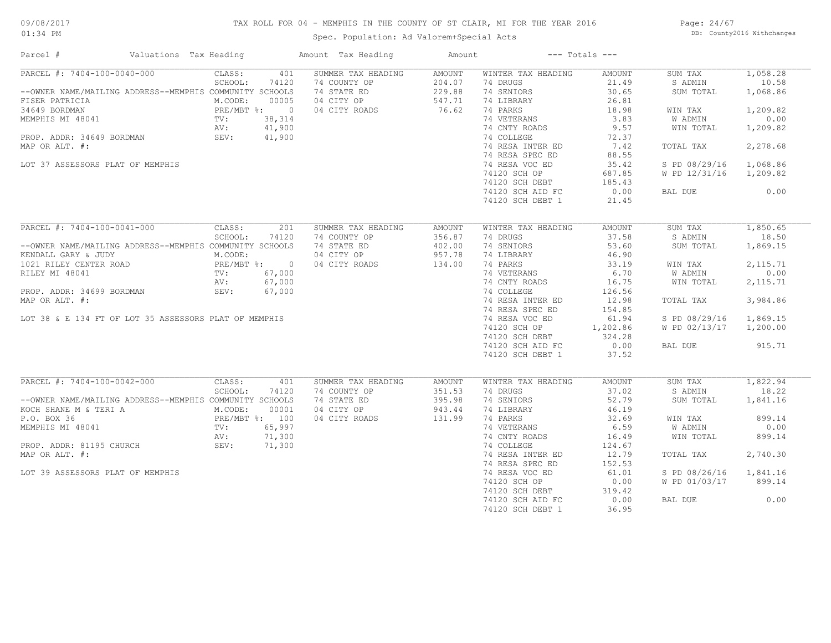## TAX ROLL FOR 04 - MEMPHIS IN THE COUNTY OF ST CLAIR, MI FOR THE YEAR 2016

Spec. Population: Ad Valorem+Special Acts

Page: 24/67 DB: County2016 Withchanges

| Parcel #<br>Valuations Tax Heading                      |        | Amount Tax Heading | Amount        |                    | $---$ Totals $---$ |                |           |  |
|---------------------------------------------------------|--------|--------------------|---------------|--------------------|--------------------|----------------|-----------|--|
| PARCEL #: 7404-100-0040-000<br>CLASS:                   | 401    | SUMMER TAX HEADING | <b>AMOUNT</b> | WINTER TAX HEADING | AMOUNT             | SUM TAX        | 1,058.28  |  |
| SCHOOL:                                                 | 74120  | 74 COUNTY OP       | 204.07        | 74 DRUGS           | 21.49              | S ADMIN        | 10.58     |  |
| --OWNER NAME/MAILING ADDRESS--MEMPHIS COMMUNITY SCHOOLS |        | 74 STATE ED        | 229.88        | 74 SENIORS         | 30.65              | SUM TOTAL      | 1,068.86  |  |
| M.CODE:<br>FISER PATRICIA                               | 00005  | 04 CITY OP         | 547.71        | 74 LIBRARY         | 26.81              |                |           |  |
| PRE/MBT %: 0<br>34649 BORDMAN                           |        | 04 CITY ROADS      | 76.62         | 74 PARKS           | 18.98              | WIN TAX        | 1,209.82  |  |
| MEMPHIS MI 48041<br>TV:                                 | 38,314 |                    |               | 74 VETERANS        | 3.83               | W ADMIN        | 0.00      |  |
| AV:                                                     | 41,900 |                    |               | 74 CNTY ROADS      | 9.57               | WIN TOTAL      | 1,209.82  |  |
| PROP. ADDR: 34649 BORDMAN<br>SEV:                       | 41,900 |                    |               | 74 COLLEGE         | 72.37              |                |           |  |
| MAP OR ALT. #:                                          |        |                    |               | 74 RESA INTER ED   | 7.42               | TOTAL TAX      | 2,278.68  |  |
|                                                         |        |                    |               | 74 RESA SPEC ED    | 88.55              |                |           |  |
| LOT 37 ASSESSORS PLAT OF MEMPHIS                        |        |                    |               | 74 RESA VOC ED     | 35.42              | S PD 08/29/16  | 1,068.86  |  |
|                                                         |        |                    |               | 74120 SCH OP       | 687.85             | W PD 12/31/16  | 1,209.82  |  |
|                                                         |        |                    |               | 74120 SCH DEBT     | 185.43             |                |           |  |
|                                                         |        |                    |               |                    |                    |                | 0.00      |  |
|                                                         |        |                    |               | 74120 SCH AID FC   | 0.00               | BAL DUE        |           |  |
|                                                         |        |                    |               | 74120 SCH DEBT 1   | 21.45              |                |           |  |
| PARCEL #: 7404-100-0041-000<br>CLASS:                   | 201    | SUMMER TAX HEADING | <b>AMOUNT</b> | WINTER TAX HEADING | <b>AMOUNT</b>      | SUM TAX        | 1,850.65  |  |
| SCHOOL:                                                 | 74120  | 74 COUNTY OP       | 356.87        | 74 DRUGS           | 37.58              | S ADMIN        | 18.50     |  |
|                                                         |        |                    |               |                    |                    |                |           |  |
| --OWNER NAME/MAILING ADDRESS--MEMPHIS COMMUNITY SCHOOLS |        | 74 STATE ED        | 402.00        | 74 SENIORS         | 53.60              | SUM TOTAL      | 1,869.15  |  |
| M.CODE:<br>KENDALL GARY & JUDY                          |        | 04 CITY OP         | 957.78        | 74 LIBRARY         | 46.90              |                |           |  |
| PRE/MBT %: 0<br>1021 RILEY CENTER ROAD                  |        | 04 CITY ROADS      | 134.00        | 74 PARKS           | 33.19              | WIN TAX        | 2, 115.71 |  |
| RILEY MI 48041<br>TV:                                   | 67,000 |                    |               | 74 VETERANS        | 6.70               | W ADMIN        | 0.00      |  |
| AV:                                                     | 67,000 |                    |               | 74 CNTY ROADS      | 16.75              | WIN TOTAL      | 2, 115.71 |  |
| PROP. ADDR: 34699 BORDMAN<br>SEV:                       | 67,000 |                    |               | 74 COLLEGE         | 126.56             |                |           |  |
| MAP OR ALT. #:                                          |        |                    |               | 74 RESA INTER ED   | 12.98              | TOTAL TAX      | 3,984.86  |  |
|                                                         |        |                    |               | 74 RESA SPEC ED    | 154.85             |                |           |  |
| LOT 38 & E 134 FT OF LOT 35 ASSESSORS PLAT OF MEMPHIS   |        |                    |               | 74 RESA VOC ED     | 61.94              | S PD 08/29/16  | 1,869.15  |  |
|                                                         |        |                    |               | 74120 SCH OP       | 1,202.86           | W PD 02/13/17  | 1,200.00  |  |
|                                                         |        |                    |               | 74120 SCH DEBT     | 324.28             |                |           |  |
|                                                         |        |                    |               | 74120 SCH AID FC   | 0.00               | BAL DUE        | 915.71    |  |
|                                                         |        |                    |               | 74120 SCH DEBT 1   | 37.52              |                |           |  |
|                                                         |        |                    |               |                    |                    |                |           |  |
| PARCEL #: 7404-100-0042-000<br>CLASS:                   | 401    | SUMMER TAX HEADING | AMOUNT        | WINTER TAX HEADING | AMOUNT             | SUM TAX        | 1,822.94  |  |
| SCHOOL:                                                 | 74120  | 74 COUNTY OP       | 351.53        | 74 DRUGS           | 37.02              | S ADMIN        | 18.22     |  |
| --OWNER NAME/MAILING ADDRESS--MEMPHIS COMMUNITY SCHOOLS |        | 74 STATE ED        | 395.98        | 74 SENIORS         | 52.79              | SUM TOTAL      | 1,841.16  |  |
| KOCH SHANE M & TERI A<br>M.CODE:                        | 00001  | 04 CITY OP         | 943.44        | 74 LIBRARY         | 46.19              |                |           |  |
| P.O. BOX 36<br>PRE/MBT %: 100                           |        | 04 CITY ROADS      | 131.99        | 74 PARKS           | 32.69              | WIN TAX        | 899.14    |  |
| MEMPHIS MI 48041<br>TV:                                 | 65,997 |                    |               | 74 VETERANS        | 6.59               | <b>W ADMIN</b> | 0.00      |  |
|                                                         | 71,300 |                    |               | 74 CNTY ROADS      | 16.49              | WIN TOTAL      | 899.14    |  |
| AV:<br>PROP. ADDR: 81195 CHURCH<br>SEV:                 |        |                    |               |                    |                    |                |           |  |
|                                                         | 71,300 |                    |               | 74 COLLEGE         | 124.67             |                |           |  |
| MAP OR ALT. #:                                          |        |                    |               | 74 RESA INTER ED   | 12.79              | TOTAL TAX      | 2,740.30  |  |
|                                                         |        |                    |               | 74 RESA SPEC ED    | 152.53             |                |           |  |
| LOT 39 ASSESSORS PLAT OF MEMPHIS                        |        |                    |               | 74 RESA VOC ED     | 61.01              | S PD 08/26/16  | 1,841.16  |  |
|                                                         |        |                    |               | 74120 SCH OP       | 0.00               | W PD 01/03/17  | 899.14    |  |
|                                                         |        |                    |               | 74120 SCH DEBT     | 319.42             |                |           |  |
|                                                         |        |                    |               | 74120 SCH AID FC   | 0.00               | BAL DUE        | 0.00      |  |
|                                                         |        |                    |               | 74120 SCH DEBT 1   | 36.95              |                |           |  |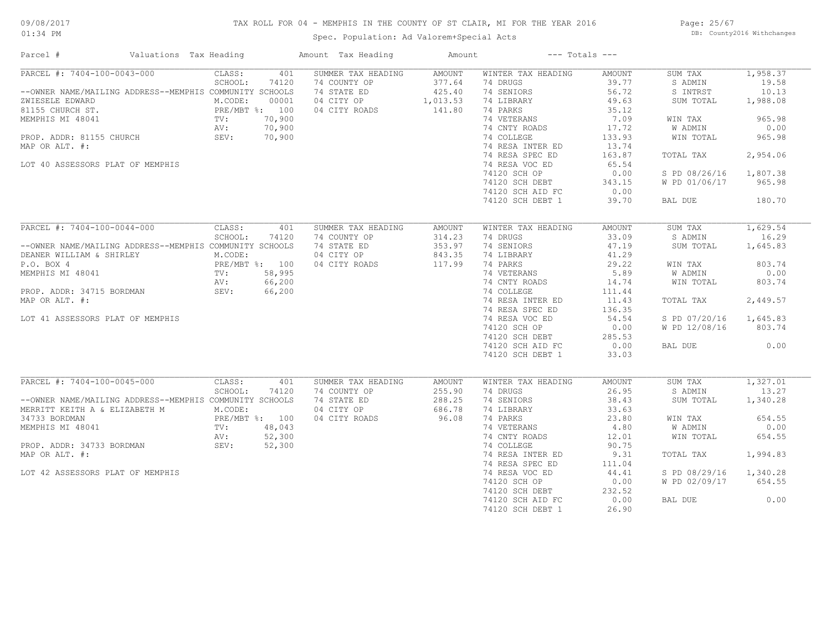## TAX ROLL FOR 04 - MEMPHIS IN THE COUNTY OF ST CLAIR, MI FOR THE YEAR 2016

Spec. Population: Ad Valorem+Special Acts

Page: 25/67 DB: County2016 Withchanges

| Parcel #                                                | Valuations Tax Heading |                                            |        | Amount Tax Heading | Amount         |                    | $---$ Totals $---$ |               |          |
|---------------------------------------------------------|------------------------|--------------------------------------------|--------|--------------------|----------------|--------------------|--------------------|---------------|----------|
| PARCEL #: 7404-100-0043-000                             |                        | CLASS:                                     | 401    | SUMMER TAX HEADING | AMOUNT         | WINTER TAX HEADING | AMOUNT             | SUM TAX       | 1,958.37 |
|                                                         |                        | SCHOOL:                                    | 74120  | 74 COUNTY OP       | 377.64         | 74 DRUGS           | 39.77              | S ADMIN       | 19.58    |
| --OWNER NAME/MAILING ADDRESS--MEMPHIS COMMUNITY SCHOOLS |                        |                                            |        | 74 STATE ED        | 425.40         | 74 SENIORS         | 56.72              | S INTRST      | 10.13    |
| ZWIESELE EDWARD                                         |                        | M.CODE:                                    | 00001  | 04 CITY OP         | 1,013.53       | 74 LIBRARY         | 49.63              | SUM TOTAL     | 1,988.08 |
| 81155 CHURCH ST.                                        |                        | PRE/MBT %: 100                             |        | 04 CITY ROADS      | 141.80         | 74 PARKS           | 35.12              |               |          |
| MEMPHIS MI 48041                                        |                        | TV:                                        | 70,900 |                    |                | 74 VETERANS        | 7.09               | WIN TAX       | 965.98   |
|                                                         |                        | AV:                                        | 70,900 |                    |                | 74 CNTY ROADS      | 17.72              | W ADMIN       | 0.00     |
| PROP. ADDR: 81155 CHURCH                                |                        | SEV:                                       | 70,900 |                    |                | 74 COLLEGE         | 133.93             | WIN TOTAL     | 965.98   |
| MAP OR ALT. #:                                          |                        |                                            |        |                    |                | 74 RESA INTER ED   | 13.74              |               |          |
|                                                         |                        |                                            |        |                    |                | 74 RESA SPEC ED    | 163.87             | TOTAL TAX     | 2,954.06 |
| LOT 40 ASSESSORS PLAT OF MEMPHIS                        |                        |                                            |        |                    |                | 74 RESA VOC ED     | 65.54              |               |          |
|                                                         |                        |                                            |        |                    |                |                    |                    |               |          |
|                                                         |                        |                                            |        |                    |                | 74120 SCH OP       | 0.00               | S PD 08/26/16 | 1,807.38 |
|                                                         |                        |                                            |        |                    |                | 74120 SCH DEBT     | 343.15             | W PD 01/06/17 | 965.98   |
|                                                         |                        |                                            |        |                    |                | 74120 SCH AID FC   | 0.00               |               |          |
|                                                         |                        |                                            |        |                    |                | 74120 SCH DEBT 1   | 39.70              | BAL DUE       | 180.70   |
|                                                         |                        |                                            |        |                    |                |                    |                    |               |          |
| PARCEL #: 7404-100-0044-000                             |                        | CLASS:                                     | 401    | SUMMER TAX HEADING | AMOUNT         | WINTER TAX HEADING | AMOUNT             | SUM TAX       | 1,629.54 |
|                                                         |                        | SCHOOL:                                    | 74120  | 74 COUNTY OP       | 314.23         | 74 DRUGS           | 33.09              | S ADMIN       | 16.29    |
| --OWNER NAME/MAILING ADDRESS--MEMPHIS COMMUNITY SCHOOLS |                        |                                            |        | 74 STATE ED        | 353.97         | 74 SENIORS         | 47.19              | SUM TOTAL     | 1,645.83 |
| DEANER WILLIAM & SHIRLEY                                |                        | M.CODE:                                    |        | 04 CITY OP         | 843.35         | 74 LIBRARY         | 41.29              |               |          |
| P.O. BOX 4                                              |                        |                                            |        | 04 CITY ROADS      | 117.99         | 74 PARKS           | 29.22              | WIN TAX       | 803.74   |
| MEMPHIS MI 48041                                        |                        |                                            |        |                    |                | 74 VETERANS        | 5.89               | W ADMIN       | 0.00     |
|                                                         |                        | PRE/MBT %: 100<br>TV: 58,995<br>AV: 66,200 |        |                    |                | 74 CNTY ROADS      | 14.74              | WIN TOTAL     | 803.74   |
| PROP. ADDR: 34715 BORDMAN                               |                        | SEV:                                       | 66,200 |                    |                | 74 COLLEGE         | 111.44             |               |          |
| MAP OR ALT. #:                                          |                        |                                            |        |                    |                | 74 RESA INTER ED   | 11.43              | TOTAL TAX     | 2,449.57 |
|                                                         |                        |                                            |        |                    |                |                    |                    |               |          |
|                                                         |                        |                                            |        |                    |                | 74 RESA SPEC ED    | 136.35             |               |          |
| LOT 41 ASSESSORS PLAT OF MEMPHIS                        |                        |                                            |        |                    |                | 74 RESA VOC ED     | 54.54              | S PD 07/20/16 | 1,645.83 |
|                                                         |                        |                                            |        |                    |                | 74120 SCH OP       | 0.00               | W PD 12/08/16 | 803.74   |
|                                                         |                        |                                            |        |                    |                | 74120 SCH DEBT     | 285.53             |               |          |
|                                                         |                        |                                            |        |                    |                | 74120 SCH AID FC   | 0.00               | BAL DUE       | 0.00     |
|                                                         |                        |                                            |        |                    |                | 74120 SCH DEBT 1   | 33.03              |               |          |
|                                                         |                        |                                            |        |                    |                |                    |                    |               |          |
| PARCEL #: 7404-100-0045-000                             |                        | CLASS:                                     | 401    | SUMMER TAX HEADING | AMOUNT         | WINTER TAX HEADING | AMOUNT             | SUM TAX       | 1,327.01 |
|                                                         |                        | SCHOOL:                                    | 74120  | 74 COUNTY OP       | 255.90         | 74 DRUGS           | 26.95              | S ADMIN       | 13.27    |
| --OWNER NAME/MAILING ADDRESS--MEMPHIS COMMUNITY SCHOOLS |                        |                                            |        | 74 STATE ED        | 288.25         | 74 SENIORS         | 38.43              | SUM TOTAL     | 1,340.28 |
| MERRITT KEITH A & ELIZABETH M                           |                        | M.CODE:                                    |        | 04 CITY OP         | 686.78         | 74 LIBRARY         | 33.63              |               |          |
| 34733 BORDMAN                                           |                        | PRE/MBT %: 100                             |        | 04 CITY ROADS      | 96.08          | 74 PARKS           | 23.80              | WIN TAX       | 654.55   |
| MEMPHIS MI 48041                                        |                        | FRE/                                       | 48,043 |                    |                | 74 VETERANS        | 4.80               | W ADMIN       | 0.00     |
|                                                         |                        | AV:                                        | 52,300 |                    |                | 74 CNTY ROADS      | 12.01              | WIN TOTAL     | 654.55   |
| PROP. ADDR: 34733 BORDMAN                               |                        | SEV:                                       | 52,300 |                    |                | 74 COLLEGE         | 90.75              |               |          |
| MAP OR ALT. #:                                          |                        |                                            |        |                    |                | 74 RESA INTER ED   | 9.31               | TOTAL TAX     | 1,994.83 |
|                                                         |                        |                                            |        |                    |                | 74 RESA SPEC ED    | 111.04             |               |          |
| LOT 42 ASSESSORS PLAT OF MEMPHIS                        |                        |                                            |        |                    |                | 74 RESA VOC ED     | 44.41              | S PD 08/29/16 | 1,340.28 |
|                                                         |                        |                                            |        |                    |                | 74120 SCH OP       | 0.00               | W PD 02/09/17 | 654.55   |
|                                                         |                        |                                            |        |                    |                |                    |                    |               |          |
|                                                         |                        |                                            |        |                    | 74120 SCH DEBT | 232.52             |                    |               |          |
|                                                         |                        |                                            |        |                    |                | 74120 SCH AID FC   | 0.00               | BAL DUE       | 0.00     |
|                                                         |                        |                                            |        |                    |                | 74120 SCH DEBT 1   | 26.90              |               |          |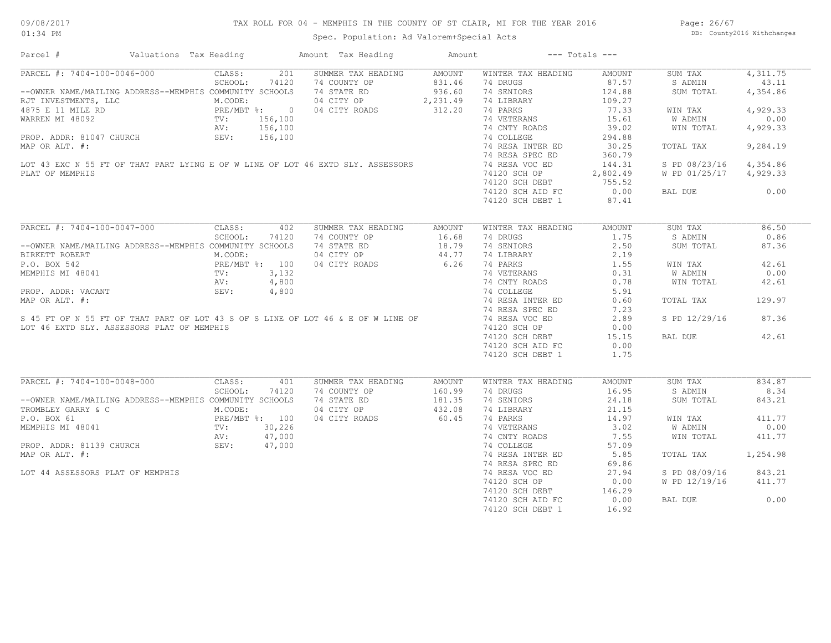Page: 26/67 DB: County2016 Withchanges

## Spec. Population: Ad Valorem+Special Acts

| Parcel #                                                                                                                                                                                                                                                                     | Valuations Tax Heading                                                   |         |       | Amount Tax Heading                           | Amount           | $---$ Totals $---$                                               |               |                        |          |
|------------------------------------------------------------------------------------------------------------------------------------------------------------------------------------------------------------------------------------------------------------------------------|--------------------------------------------------------------------------|---------|-------|----------------------------------------------|------------------|------------------------------------------------------------------|---------------|------------------------|----------|
| PARCEL #: 7404-100-0046-000                                                                                                                                                                                                                                                  |                                                                          | CLASS:  | 201   | SUMMER TAX HEADING                           | AMOUNT           | WINTER TAX HEADING                                               | AMOUNT        | SUM TAX                | 4,311.75 |
|                                                                                                                                                                                                                                                                              |                                                                          | SCHOOL: | 74120 | 74 COUNTY OP                                 |                  | 74 DRUGS                                                         | 87.57         | S ADMIN                | 43.11    |
| --OWNER NAME/MAILING ADDRESS--MEMPHIS COMMUNITY SCHOOLS                                                                                                                                                                                                                      |                                                                          |         |       | 74 STATE ED                                  | 831.46<br>936.60 | 74 SENIORS                                                       | 124.88        | SUM TOTAL              | 4,354.86 |
| RJT INVESTMENTS, LLC<br>THE MUST INVESTMENTS, LLC<br>THE RD<br>PRE/MBT %: 0 04 CITY OP<br>PRE/MBT %: 0 04 CITY ROADS<br>PRE/MBT %: 0 04 CITY ROADS<br>PRE/MBT %: 0 04 CITY ROADS<br>TV: 156,100<br>AV: 156,100<br>SEV: 156,100<br>SEV: 156,100                               |                                                                          |         |       |                                              |                  | 74 LIBRARY                                                       | 109.27        |                        |          |
|                                                                                                                                                                                                                                                                              |                                                                          |         |       | 04 CITY OP 2, 231.49<br>04 CITY ROADS 312.20 |                  | 74 PARKS                                                         | 77.33         | WIN TAX                | 4,929.33 |
|                                                                                                                                                                                                                                                                              |                                                                          |         |       |                                              |                  | 74 VETERANS                                                      | 15.61         | W ADMIN                | 0.00     |
|                                                                                                                                                                                                                                                                              |                                                                          |         |       |                                              |                  | 74 CNTY ROADS                                                    | 39.02         | WIN TOTAL              | 4,929.33 |
|                                                                                                                                                                                                                                                                              |                                                                          |         |       |                                              |                  | 74 COLLEGE                                                       | 294.88        |                        |          |
|                                                                                                                                                                                                                                                                              |                                                                          |         |       |                                              |                  |                                                                  |               |                        |          |
|                                                                                                                                                                                                                                                                              |                                                                          |         |       |                                              |                  | 74 RESA INTER ED                                                 | 30.25         | TOTAL TAX              | 9,284.19 |
| WARREN MI 48092 $\begin{array}{ccccccccc}\n&&&&\text{TV:} &156,100 \\ &&&\text{AV:} &156,100 \\ &&&\text{SEV:} &156,100 \\ \text{MAP OR ALT. } & & & & & \\ \text{LOT 43 EXC N 55 FT OF THAT PART LYING E OF W LINE OF LOT 46 EXTD SLY. ASSESSORS\n\n    PINT OF MEMDMITS\n$ |                                                                          |         |       |                                              |                  | 74 RESA SPEC ED                                                  | 360.79        |                        |          |
|                                                                                                                                                                                                                                                                              |                                                                          |         |       |                                              |                  | 74 RESA VOC ED 144.31<br>74120 SCH OP 2,802.49                   |               | S PD 08/23/16          | 4,354.86 |
| PLAT OF MEMPHIS                                                                                                                                                                                                                                                              |                                                                          |         |       |                                              |                  |                                                                  |               | W PD 01/25/17 4,929.33 |          |
|                                                                                                                                                                                                                                                                              |                                                                          |         |       |                                              |                  | 74120 SCH DEBT<br>74120 SCH DEBT 755.52<br>74120 SCH AID FC 0.00 |               |                        |          |
|                                                                                                                                                                                                                                                                              |                                                                          |         |       |                                              |                  |                                                                  |               | BAL DUE                | 0.00     |
|                                                                                                                                                                                                                                                                              |                                                                          |         |       |                                              |                  | 74120 SCH DEBT 1                                                 | 87.41         |                        |          |
|                                                                                                                                                                                                                                                                              |                                                                          |         |       |                                              |                  |                                                                  |               |                        |          |
| PARCEL #: 7404-100-0047-000                                                                                                                                                                                                                                                  |                                                                          | CLASS:  | 402   | SUMMER TAX HEADING                           | AMOUNT           | WINTER TAX HEADING                                               | <b>AMOUNT</b> | SUM TAX                | 86.50    |
|                                                                                                                                                                                                                                                                              |                                                                          | SCHOOL: | 74120 | 74 COUNTY OP 16.68                           |                  | 74 DRUGS                                                         | 1.75          | S ADMIN                | 0.86     |
| --OWNER NAME/MAILING ADDRESS--MEMPHIS COMMUNITY SCHOOLS                                                                                                                                                                                                                      |                                                                          |         |       | 74 STATE ED 18.79<br>04 CITY OP 44.77        |                  | 74 SENIORS                                                       | 2.50          | SUM TOTAL              | 87.36    |
| BIRKETT ROBERT                                                                                                                                                                                                                                                               |                                                                          | M.CODE: |       |                                              |                  | 74 LIBRARY                                                       | 2.19          |                        |          |
| P.O. BOX 542                                                                                                                                                                                                                                                                 | PRE/MBT %: 100<br>PRE/MBT %: 100<br>TV: 3,132<br>AV: 4,800<br>SEV: 4,800 |         |       | 04 CITY ROADS 6.26                           |                  |                                                                  |               | WIN TAX                | 42.61    |
|                                                                                                                                                                                                                                                                              |                                                                          |         |       |                                              |                  | 74 PARKS 1.55<br>74 VETERANS 0.31                                |               | W ADMIN                | 0.00     |
| MEMPHIS MI 48041<br>MEMPHIS MI 48041<br>PROP. ADDR: VACANT<br>MAP OR ALT. #:<br>SeV: 4,800<br>MAP OR ALT. #:<br>SeV: 4,800<br>MAP OR ALT. #:<br>SeV: 4,800<br>MAP OR ALT. #:<br>SeV: 4,800<br>MAP OR ALT. #:<br>SeV: 4,800                                                   |                                                                          |         |       |                                              |                  |                                                                  | 0.78          | WIN TOTAL              | 42.61    |
|                                                                                                                                                                                                                                                                              |                                                                          |         |       |                                              |                  | 74 CNTY ROADS<br>74 COLLEGE                                      | 5.91          |                        |          |
|                                                                                                                                                                                                                                                                              |                                                                          |         |       |                                              |                  | 74 RESA INTER ED                                                 | 0.60          | TOTAL TAX              | 129.97   |
|                                                                                                                                                                                                                                                                              |                                                                          |         |       |                                              |                  | 74 RESA SPEC ED                                                  | 7.23          |                        |          |
|                                                                                                                                                                                                                                                                              |                                                                          |         |       |                                              |                  |                                                                  |               |                        |          |
|                                                                                                                                                                                                                                                                              |                                                                          |         |       |                                              |                  | 74 RESA VOC ED                                                   | 2.89          | S PD 12/29/16          | 87.36    |
| LOT 46 EXTD SLY. ASSESSORS PLAT OF MEMPHIS                                                                                                                                                                                                                                   |                                                                          |         |       |                                              |                  | 74120 SCH OP                                                     | 0.00          |                        |          |
|                                                                                                                                                                                                                                                                              |                                                                          |         |       |                                              |                  | 74120 SCH DEBT                                                   | 15.15         | BAL DUE                | 42.61    |
|                                                                                                                                                                                                                                                                              |                                                                          |         |       |                                              |                  | 74120 SCH AID FC                                                 | 0.00          |                        |          |
|                                                                                                                                                                                                                                                                              |                                                                          |         |       |                                              |                  | 74120 SCH DEBT 1                                                 | 1.75          |                        |          |
|                                                                                                                                                                                                                                                                              |                                                                          |         |       |                                              |                  |                                                                  |               |                        |          |
| PARCEL #: 7404-100-0048-000                                                                                                                                                                                                                                                  |                                                                          | CLASS:  | 401   | SUMMER TAX HEADING                           | AMOUNT           | WINTER TAX HEADING                                               | AMOUNT        | SUM TAX                | 834.87   |
|                                                                                                                                                                                                                                                                              |                                                                          | SCHOOL: | 74120 | 74 COUNTY OP                                 | 160.99           | 74 DRUGS                                                         | 16.95         | S ADMIN                | 8.34     |
| --OWNER NAME/MAILING ADDRESS--MEMPHIS COMMUNITY SCHOOLS                                                                                                                                                                                                                      |                                                                          |         |       | 74 STATE ED                                  | 181.35           | 74 SENIORS                                                       | 24.18         | SUM TOTAL              | 843.21   |
|                                                                                                                                                                                                                                                                              |                                                                          |         |       | 04 CITY OP 432.08<br>04 CITY ROADS 60.45     |                  | 74 LIBRARY                                                       | 21.15         |                        |          |
| TROMBLEY GARRY & C<br>P.O. BOX 61<br>PRE/MBT %: 100<br>MEMPHIS MI 48041<br>PROP. ADDR: 81139 CHURCH<br>PROP. ADDR: 81139 CHURCH<br>PROP. ADDR: 81139 CHURCH<br>SEV: 47,000                                                                                                   |                                                                          |         |       | 04 CITY ROADS                                |                  | 74 PARKS                                                         | 14.97         | WIN TAX                | 411.77   |
|                                                                                                                                                                                                                                                                              |                                                                          |         |       |                                              |                  | 74 VETERANS<br>74 CNTY ROADS                                     | 3.02          | W ADMIN                | 0.00     |
|                                                                                                                                                                                                                                                                              |                                                                          |         |       |                                              |                  |                                                                  | 7.55          | WIN TOTAL              | 411.77   |
|                                                                                                                                                                                                                                                                              |                                                                          |         |       |                                              |                  | 74 COLLEGE                                                       | 57.09         |                        |          |
| MAP OR ALT. #:                                                                                                                                                                                                                                                               |                                                                          |         |       |                                              |                  | 74 RESA INTER ED                                                 | 5.85          | TOTAL TAX              | 1,254.98 |
|                                                                                                                                                                                                                                                                              |                                                                          |         |       |                                              |                  | 74 RESA SPEC ED                                                  | 69.86         |                        |          |
| LOT 44 ASSESSORS PLAT OF MEMPHIS                                                                                                                                                                                                                                             |                                                                          |         |       |                                              |                  | 74 RESA VOC ED                                                   | 27.94         |                        | 843.21   |
|                                                                                                                                                                                                                                                                              |                                                                          |         |       |                                              |                  |                                                                  |               | S PD 08/09/16          |          |
|                                                                                                                                                                                                                                                                              |                                                                          |         |       |                                              |                  | 74120 SCH OP                                                     | 0.00          | W PD 12/19/16          | 411.77   |
|                                                                                                                                                                                                                                                                              |                                                                          |         |       |                                              |                  | 74120 SCH DEBT                                                   | 146.29        |                        |          |
|                                                                                                                                                                                                                                                                              |                                                                          |         |       |                                              |                  | 74120 SCH AID FC                                                 | 0.00          | BAL DUE                | 0.00     |
|                                                                                                                                                                                                                                                                              |                                                                          |         |       |                                              |                  | 74120 SCH DEBT 1                                                 | 16.92         |                        |          |
|                                                                                                                                                                                                                                                                              |                                                                          |         |       |                                              |                  |                                                                  |               |                        |          |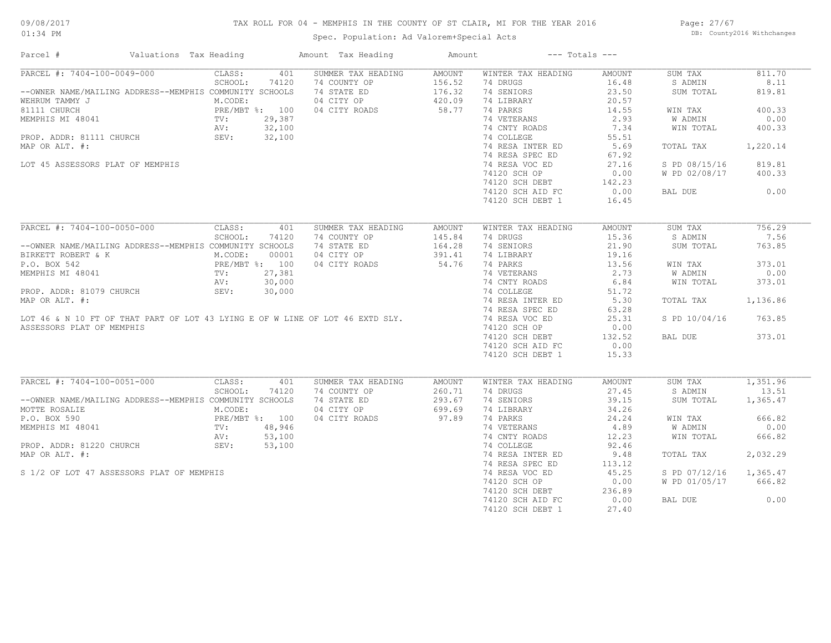## TAX ROLL FOR 04 - MEMPHIS IN THE COUNTY OF ST CLAIR, MI FOR THE YEAR 2016

Spec. Population: Ad Valorem+Special Acts

Page: 27/67 DB: County2016 Withchanges

| Parcel #                                                                      | Valuations Tax Heading                                     |         | Amount Tax Heading | Amount             |               | $---$ Totals $---$                                              |        |                |          |
|-------------------------------------------------------------------------------|------------------------------------------------------------|---------|--------------------|--------------------|---------------|-----------------------------------------------------------------|--------|----------------|----------|
| PARCEL #: 7404-100-0049-000                                                   |                                                            | CLASS:  | 401                | SUMMER TAX HEADING | AMOUNT        | WINTER TAX HEADING                                              | AMOUNT | SUM TAX        | 811.70   |
|                                                                               |                                                            | SCHOOL: | 74120              | 74 COUNTY OP       | 156.52        | 74 DRUGS                                                        | 16.48  | S ADMIN        | 8.11     |
| --OWNER NAME/MAILING ADDRESS--MEMPHIS COMMUNITY SCHOOLS                       |                                                            |         |                    | 74 STATE ED        | 176.32        | 74 SENIORS                                                      | 23.50  | SUM TOTAL      | 819.81   |
| WEHRUM TAMMY J                                                                |                                                            | M.CODE: |                    | 04 CITY OP         | 420.09        | 74 LIBRARY                                                      | 20.57  |                |          |
| 81111 CHURCH                                                                  | PRE/MBT %: 100<br>TV: 29,387<br>AV: 32,100<br>SEV: 32,100  |         |                    | 04 CITY ROADS      | 58.77         | 74 PARKS                                                        | 14.55  | WIN TAX        | 400.33   |
| MEMPHIS MI 48041                                                              |                                                            |         |                    |                    |               | 74 VETERANS                                                     | 2.93   | W ADMIN        | 0.00     |
|                                                                               |                                                            |         |                    |                    |               | 74 CNTY ROADS                                                   | 7.34   | WIN TOTAL      | 400.33   |
| PROP. ADDR: 81111 CHURCH                                                      |                                                            |         |                    |                    |               | 74 COLLEGE                                                      | 55.51  |                |          |
| MAP OR ALT. #:                                                                |                                                            |         |                    |                    |               | 74 RESA INTER ED                                                | 5.69   | TOTAL TAX      | 1,220.14 |
|                                                                               |                                                            |         |                    |                    |               |                                                                 |        |                |          |
|                                                                               |                                                            |         |                    |                    |               | 74 RESA SPEC ED                                                 | 67.92  |                |          |
| LOT 45 ASSESSORS PLAT OF MEMPHIS                                              |                                                            |         |                    |                    |               | 74 RESA VOC ED                                                  | 27.16  | S PD 08/15/16  | 819.81   |
|                                                                               |                                                            |         |                    |                    |               | 74120 SCH OP                                                    | 0.00   | W PD 02/08/17  | 400.33   |
|                                                                               |                                                            |         |                    |                    |               | 74120 SCH DEBT<br>74120 SCH DEBT 142.25<br>2010 TOM ATD FC 0.00 |        |                |          |
|                                                                               |                                                            |         |                    |                    |               |                                                                 |        | BAL DUE        | 0.00     |
|                                                                               |                                                            |         |                    |                    |               | 74120 SCH DEBT 1                                                | 16.45  |                |          |
|                                                                               |                                                            |         |                    |                    |               |                                                                 |        |                |          |
| PARCEL #: 7404-100-0050-000                                                   |                                                            | CLASS:  | 401                | SUMMER TAX HEADING | <b>AMOUNT</b> | WINTER TAX HEADING                                              | AMOUNT | SUM TAX        | 756.29   |
|                                                                               |                                                            | SCHOOL: | 74120              | 74 COUNTY OP       | 145.84        | 74 DRUGS                                                        | 15.36  | S ADMIN        | 7.56     |
| --OWNER NAME/MAILING ADDRESS--MEMPHIS COMMUNITY SCHOOLS                       |                                                            |         |                    | 74 STATE ED        | 164.28        | 74 SENIORS                                                      | 21.90  | SUM TOTAL      | 763.85   |
| BIRKETT ROBERT & K                                                            |                                                            | M.CODE: | 00001              | 04 CITY OP         | 391.41        | 74 LIBRARY                                                      | 19.16  |                |          |
| P.O. BOX 542                                                                  | EXEMPLE 3100<br>FRE/MBT %: 100<br>TV: 27,381<br>AV: 30,000 |         |                    | 04 CITY ROADS      | 54.76         | 74 PARKS                                                        | 13.56  | WIN TAX        | 373.01   |
| MEMPHIS MI 48041                                                              |                                                            |         |                    |                    |               | 74 VETERANS                                                     | 2.73   | W ADMIN        | 0.00     |
|                                                                               |                                                            |         |                    |                    |               | 74 CNTY ROADS                                                   | 6.84   | WIN TOTAL      | 373.01   |
| PROP. ADDR: 81079 CHURCH                                                      |                                                            | SEV:    | 30,000             |                    |               | 74 COLLEGE                                                      | 51.72  |                |          |
|                                                                               |                                                            |         |                    |                    |               |                                                                 |        |                |          |
| MAP OR ALT. #:                                                                |                                                            |         |                    |                    |               | 74 RESA INTER ED                                                | 5.30   | TOTAL TAX      | 1,136.86 |
|                                                                               |                                                            |         |                    |                    |               | 74 RESA SPEC ED                                                 | 63.28  |                |          |
| LOT 46 & N 10 FT OF THAT PART OF LOT 43 LYING E OF W LINE OF LOT 46 EXTD SLY. |                                                            |         |                    |                    |               | 74 RESA VOC ED                                                  | 25.31  | S PD 10/04/16  | 763.85   |
| ASSESSORS PLAT OF MEMPHIS                                                     |                                                            |         |                    |                    |               | 74120 SCH OP                                                    | 0.00   |                |          |
|                                                                               |                                                            |         |                    |                    |               | 74120 SCH DEBT                                                  | 132.52 | BAL DUE        | 373.01   |
|                                                                               |                                                            |         |                    |                    |               | 74120 SCH AID FC                                                | 0.00   |                |          |
|                                                                               |                                                            |         |                    |                    |               | 74120 SCH DEBT 1                                                | 15.33  |                |          |
|                                                                               |                                                            |         |                    |                    |               |                                                                 |        |                |          |
| PARCEL #: 7404-100-0051-000                                                   |                                                            | CLASS:  | 401                | SUMMER TAX HEADING | <b>AMOUNT</b> | WINTER TAX HEADING                                              | AMOUNT | SUM TAX        | 1,351.96 |
|                                                                               |                                                            | SCHOOL: | 74120              | 74 COUNTY OP       | 260.71        | 74 DRUGS                                                        | 27.45  | S ADMIN        | 13.51    |
| --OWNER NAME/MAILING ADDRESS--MEMPHIS COMMUNITY SCHOOLS                       |                                                            |         |                    | 74 STATE ED        | 293.67        | 74 SENIORS                                                      | 39.15  | SUM TOTAL      | 1,365.47 |
| MOTTE ROSALIE                                                                 |                                                            |         |                    | 04 CITY OP         | 699.69        | 74 LIBRARY                                                      | 34.26  |                |          |
| P.O. BOX 590                                                                  |                                                            |         |                    | 04 CITY ROADS      | 97.89         | 74 PARKS                                                        | 24.24  | WIN TAX        | 666.82   |
| MEMPHIS MI 48041                                                              |                                                            |         |                    |                    |               | 74 VETERANS                                                     | 4.89   | <b>W ADMIN</b> | 0.00     |
|                                                                               |                                                            | AV:     | 53,100             |                    |               | 74 CNTY ROADS                                                   | 12.23  | WIN TOTAL      | 666.82   |
| PROP. ADDR: 81220 CHURCH                                                      | SEV:                                                       |         | 53,100             |                    |               | 74 COLLEGE                                                      | 92.46  |                |          |
| MAP OR ALT. #:                                                                |                                                            |         |                    |                    |               | 74 RESA INTER ED                                                | 9.48   | TOTAL TAX      | 2,032.29 |
|                                                                               |                                                            |         |                    |                    |               | 74 RESA SPEC ED                                                 | 113.12 |                |          |
|                                                                               |                                                            |         |                    |                    |               |                                                                 |        |                |          |
| S 1/2 OF LOT 47 ASSESSORS PLAT OF MEMPHIS                                     |                                                            |         |                    |                    |               | 74 RESA VOC ED                                                  | 45.25  | S PD 07/12/16  | 1,365.47 |
|                                                                               |                                                            |         |                    |                    |               | 74120 SCH OP                                                    | 0.00   | W PD 01/05/17  | 666.82   |
|                                                                               |                                                            |         |                    |                    |               | 74120 SCH DEBT                                                  | 236.89 |                |          |
|                                                                               |                                                            |         |                    |                    |               | 74120 SCH AID FC                                                | 0.00   | BAL DUE        | 0.00     |
|                                                                               |                                                            |         |                    |                    |               | 74120 SCH DEBT 1                                                | 27.40  |                |          |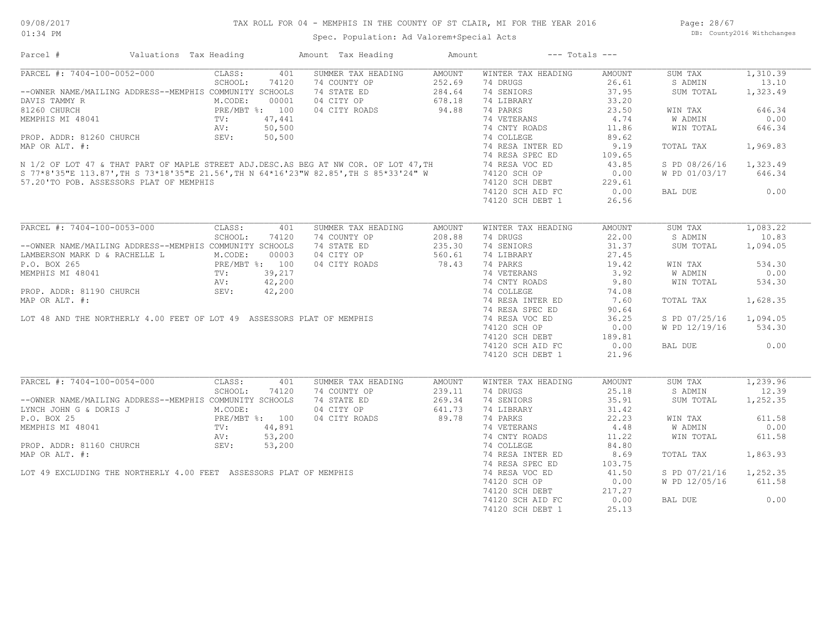Spec. Population: Ad Valorem+Special Acts

| Parcel #                                                                                                                                                                                                                                                                           | Valuations Tax Heading                                                                             | Amount Tax Heading | Amount        | $---$ Totals $---$ |               |               |          |
|------------------------------------------------------------------------------------------------------------------------------------------------------------------------------------------------------------------------------------------------------------------------------------|----------------------------------------------------------------------------------------------------|--------------------|---------------|--------------------|---------------|---------------|----------|
| PARCEL #: 7404-100-0052-000                                                                                                                                                                                                                                                        | CLASS:<br>401                                                                                      | SUMMER TAX HEADING | AMOUNT        | WINTER TAX HEADING | AMOUNT        | SUM TAX       | 1,310.39 |
|                                                                                                                                                                                                                                                                                    | SCHOOL:<br>74120                                                                                   | 74 COUNTY OP       | 252.69        | 74 DRUGS           | 26.61         | S ADMIN       | 13.10    |
| --OWNER NAME/MAILING ADDRESS--MEMPHIS COMMUNITY SCHOOLS                                                                                                                                                                                                                            | NG ADDRESS--research M.CODE: $000001$<br>PRE/MBT %: 100<br>TV: 47,441<br>AV: 50,500<br>PEV: 50,500 | 74 STATE ED        | 284.64        | 74 SENIORS         | 37.95         | SUM TOTAL     | 1,323.49 |
| DAVIS TAMMY R                                                                                                                                                                                                                                                                      |                                                                                                    | 04 CITY OP         | 678.18        | 74 LIBRARY         | 33.20         |               |          |
| 81260 CHURCH                                                                                                                                                                                                                                                                       |                                                                                                    | 04 CITY ROADS      | 94.88         | 74 PARKS           | 23.50         | WIN TAX       | 646.34   |
| MEMPHIS MI 48041                                                                                                                                                                                                                                                                   |                                                                                                    |                    |               | 74 VETERANS 4.74   |               | W ADMIN       | 0.00     |
|                                                                                                                                                                                                                                                                                    |                                                                                                    |                    |               | 74 CNTY ROADS      | 11.86         | WIN TOTAL     | 646.34   |
|                                                                                                                                                                                                                                                                                    |                                                                                                    |                    |               |                    | 89.62         |               |          |
|                                                                                                                                                                                                                                                                                    |                                                                                                    |                    |               | 74 RESA INTER ED   | 9.19          | TOTAL TAX     | 1,969.83 |
|                                                                                                                                                                                                                                                                                    |                                                                                                    |                    |               |                    | 109.65        |               |          |
|                                                                                                                                                                                                                                                                                    |                                                                                                    |                    |               |                    | 43.85         | S PD 08/26/16 | 1,323.49 |
|                                                                                                                                                                                                                                                                                    |                                                                                                    |                    |               | 74120 SCH OP       | 0.00          | W PD 01/03/17 | 646.34   |
| MEMPHIS MI 48041 TV: 47,441 74 VETERANS<br>PROP. ADDR: 81260 CHURCH SEV: 50,500 74 CMTY ROADS<br>MAP OR ALT. #: 74 COLLEGE<br>N 1/2 OF LOT 47 & THAT PART OF MAPLE STREET ADJ.DESC.AS BEG AT NW COR. OF LOT 47, TH 74 RESA INTER ED<br><br>57.20'TO POB. ASSESSORS PLAT OF MEMPHIS |                                                                                                    |                    |               | 74120 SCH DEBT     | 229.61        |               |          |
|                                                                                                                                                                                                                                                                                    |                                                                                                    |                    |               | 74120 SCH AID FC   | 0.00          | BAL DUE       | 0.00     |
|                                                                                                                                                                                                                                                                                    |                                                                                                    |                    |               | 74120 SCH DEBT 1   | 26.56         |               |          |
|                                                                                                                                                                                                                                                                                    |                                                                                                    |                    |               |                    |               |               |          |
| PARCEL #: 7404-100-0053-000                                                                                                                                                                                                                                                        | CLASS:<br>401                                                                                      | SUMMER TAX HEADING | <b>AMOUNT</b> | WINTER TAX HEADING | AMOUNT        | SUM TAX       | 1,083.22 |
|                                                                                                                                                                                                                                                                                    | SCHOOL:<br>74120                                                                                   | 74 COUNTY OP       | 208.88        | 74 DRUGS           | 22.00         | S ADMIN       | 10.83    |
| --OWNER NAME/MAILING ADDRESS--MEMPHIS COMMUNITY SCHOOLS                                                                                                                                                                                                                            |                                                                                                    | 74 STATE ED        | 235.30        | 74 SENIORS         | 31.37         | SUM TOTAL     | 1,094.05 |
| LAMBERSON MARK D & RACHELLE L<br>P.O. BOX 265<br>PRE/MBT %: 100<br>MEMPHIS MI 48041<br>TV: 39,217<br>AV: 42,200<br>PROP. ADDR: 81190 CHURCH<br>SEV: 42,200                                                                                                                         |                                                                                                    | 04 CITY OP         | 560.61        | 74 LIBRARY         | 27.45         |               |          |
|                                                                                                                                                                                                                                                                                    |                                                                                                    | 04 CITY ROADS      | 78.43         | 74 PARKS           | 19.42         | WIN TAX       | 534.30   |
|                                                                                                                                                                                                                                                                                    |                                                                                                    |                    |               |                    |               |               |          |
|                                                                                                                                                                                                                                                                                    |                                                                                                    |                    |               | 74 VETERANS        | 3.92          | W ADMIN       | 0.00     |
|                                                                                                                                                                                                                                                                                    |                                                                                                    |                    |               | 74 CNTY ROADS      | 9.80          | WIN TOTAL     | 534.30   |
|                                                                                                                                                                                                                                                                                    |                                                                                                    |                    |               | 74 COLLEGE         | 74.08         |               |          |
| MAP OR ALT. #:                                                                                                                                                                                                                                                                     |                                                                                                    |                    |               | 74 RESA INTER ED   | 7.60          | TOTAL TAX     | 1,628.35 |
|                                                                                                                                                                                                                                                                                    |                                                                                                    |                    |               | 74 RESA SPEC ED    | 90.64         |               |          |
| LOT 48 AND THE NORTHERLY 4.00 FEET OF LOT 49 ASSESSORS PLAT OF MEMPHIS                                                                                                                                                                                                             |                                                                                                    |                    |               | 74 RESA VOC ED     | 36.25         | S PD 07/25/16 | 1,094.05 |
|                                                                                                                                                                                                                                                                                    |                                                                                                    |                    |               | 74120 SCH OP       | 0.00          | W PD 12/19/16 | 534.30   |
|                                                                                                                                                                                                                                                                                    |                                                                                                    |                    |               | 74120 SCH DEBT     | 189.81        |               |          |
|                                                                                                                                                                                                                                                                                    |                                                                                                    |                    |               | 74120 SCH AID FC   | 0.00          | BAL DUE       | 0.00     |
|                                                                                                                                                                                                                                                                                    |                                                                                                    |                    |               | 74120 SCH DEBT 1   | 21.96         |               |          |
|                                                                                                                                                                                                                                                                                    |                                                                                                    |                    |               |                    |               |               |          |
| PARCEL #: 7404-100-0054-000                                                                                                                                                                                                                                                        | CLASS:<br>401                                                                                      | SUMMER TAX HEADING | <b>AMOUNT</b> | WINTER TAX HEADING | <b>AMOUNT</b> | SUM TAX       | 1,239.96 |
|                                                                                                                                                                                                                                                                                    | SCHOOL:<br>74120                                                                                   | 74 COUNTY OP       | 239.11        | 74 DRUGS           | 25.18         | S ADMIN       | 12.39    |
| --OWNER NAME/MAILING ADDRESS--MEMPHIS COMMUNITY SCHOOLS                                                                                                                                                                                                                            |                                                                                                    | 74 STATE ED        | 269.34        | 74 SENIORS         | 35.91         | SUM TOTAL     | 1,252.35 |
| --OWNER NAME/MAILING ADDRESS<br>ENCORE:<br>P.O. BOX 25<br>MEMPHIS MI 48041<br>MEMPHIS MI 48041<br>PROP. ADDR: 81160 CHURCH<br>PROP. ADDR: 81160 CHURCH<br>SEV: 53,200<br>PROP. ADDR: 81160 CHURCH<br>SEV: 53,200                                                                   |                                                                                                    | 04 CITY OP         | 641.73        | 74 LIBRARY         | 31.42         |               |          |
|                                                                                                                                                                                                                                                                                    |                                                                                                    | 04 CITY ROADS      | 89.78         | 74 PARKS           | 22.23         | WIN TAX       | 611.58   |
|                                                                                                                                                                                                                                                                                    |                                                                                                    |                    |               | 74 VETERANS        | 4.48          | W ADMIN       | 0.00     |
|                                                                                                                                                                                                                                                                                    |                                                                                                    |                    |               | 74 CNTY ROADS      | 11.22         | WIN TOTAL     | 611.58   |
|                                                                                                                                                                                                                                                                                    |                                                                                                    |                    |               | 74 COLLEGE         | 84.80         |               |          |
|                                                                                                                                                                                                                                                                                    |                                                                                                    |                    |               | 74 RESA INTER ED   | 8.69          | TOTAL TAX     | 1,863.93 |
|                                                                                                                                                                                                                                                                                    |                                                                                                    |                    |               | 74 RESA SPEC ED    | 103.75        |               |          |
|                                                                                                                                                                                                                                                                                    |                                                                                                    |                    |               | 74 RESA VOC ED     | 41.50         |               | 1,252.35 |
|                                                                                                                                                                                                                                                                                    |                                                                                                    |                    |               |                    |               | S PD 07/21/16 |          |
|                                                                                                                                                                                                                                                                                    |                                                                                                    |                    |               | 74120 SCH OP       | 0.00          | W PD 12/05/16 | 611.58   |
|                                                                                                                                                                                                                                                                                    |                                                                                                    |                    |               | $74120$ SCH DEBT   | 217.27        |               |          |
| PROP. ADDR: 81160 CHURCH<br>AV: 53,200<br>MAP OR ALT. #:<br>LOT 49 EXCLUDING THE NORTHERLY 4.00 FEET ASSESSORS PLAT OF MEMPHIS                                                                                                                                                     |                                                                                                    |                    |               | 74120 SCH AID FC   | 0.00          | BAL DUE       | 0.00     |
|                                                                                                                                                                                                                                                                                    |                                                                                                    |                    |               | 74120 SCH DEBT 1   | 25.13         |               |          |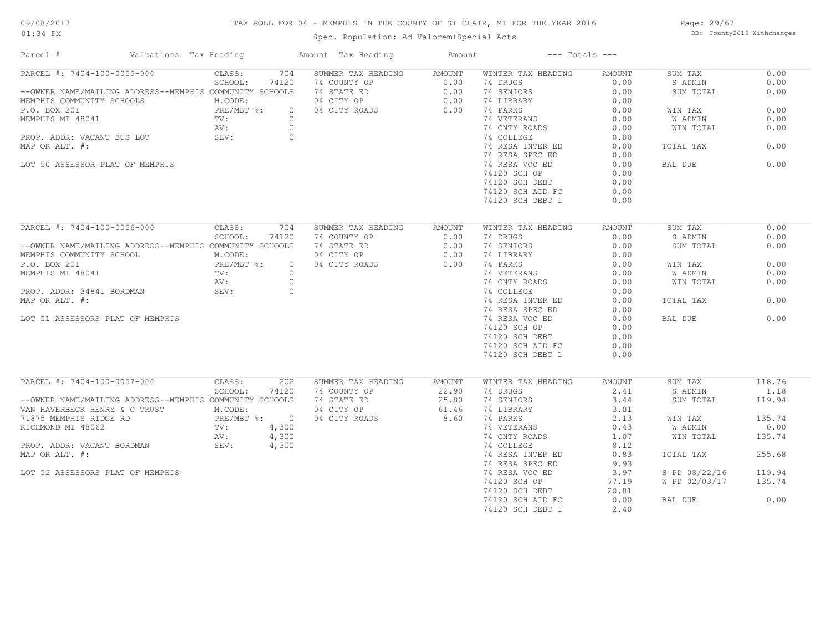## TAX ROLL FOR 04 - MEMPHIS IN THE COUNTY OF ST CLAIR, MI FOR THE YEAR 2016

Spec. Population: Ad Valorem+Special Acts

Page: 29/67 DB: County2016 Withchanges

| Parcel #                                                | Valuations Tax Heading       | Amount Tax Heading | Amount | $---$ Totals $---$ |        |               |        |
|---------------------------------------------------------|------------------------------|--------------------|--------|--------------------|--------|---------------|--------|
| PARCEL #: 7404-100-0055-000                             | 704<br>CLASS:                | SUMMER TAX HEADING | AMOUNT | WINTER TAX HEADING | AMOUNT | SUM TAX       | 0.00   |
|                                                         | SCHOOL:<br>74120             | 74 COUNTY OP       | 0.00   | 74 DRUGS           | 0.00   | S ADMIN       | 0.00   |
| --OWNER NAME/MAILING ADDRESS--MEMPHIS COMMUNITY SCHOOLS |                              | 74 STATE ED        | 0.00   | 74 SENIORS         | 0.00   | SUM TOTAL     | 0.00   |
| MEMPHIS COMMUNITY SCHOOLS                               | M.CODE:                      | 04 CITY OP         | 0.00   | 74 LIBRARY         | 0.00   |               |        |
| P.O. BOX 201                                            | PRE/MBT %:<br>TV:<br>$\circ$ | 04 CITY ROADS      | 0.00   | 74 PARKS           | 0.00   | WIN TAX       | 0.00   |
| MEMPHIS MI 48041                                        | $\circ$                      |                    |        | 74 VETERANS        | 0.00   | W ADMIN       | 0.00   |
|                                                         | AV:<br>$\circ$               |                    |        | 74 CNTY ROADS      | 0.00   | WIN TOTAL     | 0.00   |
| PROP. ADDR: VACANT BUS LOT                              | SEV:<br>$\circ$              |                    |        | 74 COLLEGE         | 0.00   |               |        |
| MAP OR ALT. #:                                          |                              |                    |        | 74 RESA INTER ED   | 0.00   | TOTAL TAX     | 0.00   |
|                                                         |                              |                    |        | 74 RESA SPEC ED    | 0.00   |               |        |
| LOT 50 ASSESSOR PLAT OF MEMPHIS                         |                              |                    |        | 74 RESA VOC ED     | 0.00   | BAL DUE       | 0.00   |
|                                                         |                              |                    |        | 74120 SCH OP       | 0.00   |               |        |
|                                                         |                              |                    |        | 74120 SCH DEBT     | 0.00   |               |        |
|                                                         |                              |                    |        | 74120 SCH AID FC   | 0.00   |               |        |
|                                                         |                              |                    |        | 74120 SCH DEBT 1   | 0.00   |               |        |
|                                                         |                              |                    |        |                    |        |               |        |
| PARCEL #: 7404-100-0056-000                             | 704<br>CLASS:                | SUMMER TAX HEADING | AMOUNT | WINTER TAX HEADING | AMOUNT | SUM TAX       | 0.00   |
|                                                         | SCHOOL:<br>74120             | 74 COUNTY OP       | 0.00   | 74 DRUGS           | 0.00   | S ADMIN       | 0.00   |
| --OWNER NAME/MAILING ADDRESS--MEMPHIS COMMUNITY SCHOOLS |                              | 74 STATE ED        | 0.00   | 74 SENIORS         | 0.00   | SUM TOTAL     | 0.00   |
| MEMPHIS COMMUNITY SCHOOL                                | M.CODE:                      | 04 CITY OP         | 0.00   | 74 LIBRARY         | 0.00   |               |        |
| P.O. BOX 201                                            | PRE/MBT %:<br>$\circ$        | 04 CITY ROADS      | 0.00   | 74 PARKS           | 0.00   | WIN TAX       | 0.00   |
| MEMPHIS MI 48041                                        | $\text{TV}$ :<br>$\circ$     |                    |        | 74 VETERANS        | 0.00   | W ADMIN       | 0.00   |
|                                                         | $\circ$<br>AV:               |                    |        | 74 CNTY ROADS      | 0.00   | WIN TOTAL     | 0.00   |
| PROP. ADDR: 34841 BORDMAN                               | SEV:<br>$\overline{0}$       |                    |        | 74 COLLEGE         | 0.00   |               |        |
| MAP OR ALT. #:                                          |                              |                    |        | 74 RESA INTER ED   | 0.00   | TOTAL TAX     | 0.00   |
|                                                         |                              |                    |        | 74 RESA SPEC ED    | 0.00   |               |        |
| LOT 51 ASSESSORS PLAT OF MEMPHIS                        |                              |                    |        | 74 RESA VOC ED     | 0.00   | BAL DUE       | 0.00   |
|                                                         |                              |                    |        |                    |        |               |        |
|                                                         |                              |                    |        | 74120 SCH OP       | 0.00   |               |        |
|                                                         |                              |                    |        | 74120 SCH DEBT     | 0.00   |               |        |
|                                                         |                              |                    |        | 74120 SCH AID FC   | 0.00   |               |        |
|                                                         |                              |                    |        | 74120 SCH DEBT 1   | 0.00   |               |        |
| PARCEL #: 7404-100-0057-000                             | CLASS:<br>202                | SUMMER TAX HEADING | AMOUNT | WINTER TAX HEADING | AMOUNT | SUM TAX       | 118.76 |
|                                                         | SCHOOL:<br>74120             | 74 COUNTY OP       | 22.90  | 74 DRUGS           | 2.41   | S ADMIN       | 1.18   |
| --OWNER NAME/MAILING ADDRESS--MEMPHIS COMMUNITY SCHOOLS |                              | 74 STATE ED        | 25.80  | 74 SENIORS         | 3.44   | SUM TOTAL     | 119.94 |
| VAN HAVERBECK HENRY & C TRUST                           | M.CODE:                      | 04 CITY OP         | 61.46  | 74 LIBRARY         | 3.01   |               |        |
| 71875 MEMPHIS RIDGE RD                                  | PRE/MBT %: 0                 | 04 CITY ROADS      | 8.60   | 74 PARKS           | 2.13   | WIN TAX       | 135.74 |
| RICHMOND MI 48062                                       | 4,300<br>TV:                 |                    |        | 74 VETERANS        | 0.43   | W ADMIN       | 0.00   |
|                                                         |                              |                    |        |                    |        |               |        |
|                                                         | AV:<br>4,300                 |                    |        | 74 CNTY ROADS      | 1.07   | WIN TOTAL     | 135.74 |
| PROP. ADDR: VACANT BORDMAN SEV:                         | 4,300                        |                    |        | 74 COLLEGE         | 8.12   |               |        |
| MAP OR ALT. #:                                          |                              |                    |        | 74 RESA INTER ED   | 0.83   | TOTAL TAX     | 255.68 |
|                                                         |                              |                    |        | 74 RESA SPEC ED    | 9.93   |               |        |
| LOT 52 ASSESSORS PLAT OF MEMPHIS                        |                              |                    |        | 74 RESA VOC ED     | 3.97   | S PD 08/22/16 | 119.94 |
|                                                         |                              |                    |        | 74120 SCH OP       | 77.19  | W PD 02/03/17 | 135.74 |
|                                                         |                              |                    |        | 74120 SCH DEBT     | 20.81  |               |        |
|                                                         |                              |                    |        | 74120 SCH AID FC   | 0.00   | BAL DUE       | 0.00   |
|                                                         |                              |                    |        | 74120 SCH DEBT 1   | 2.40   |               |        |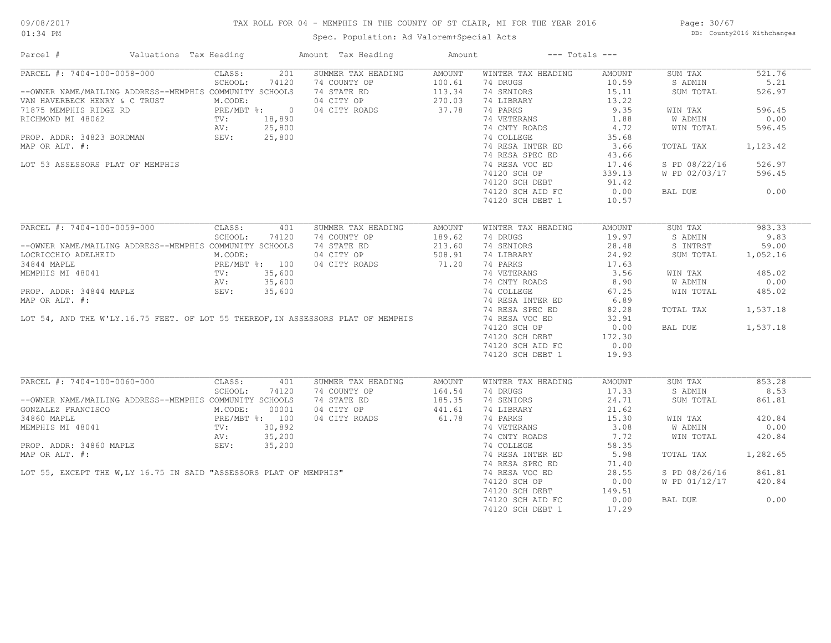## TAX ROLL FOR 04 - MEMPHIS IN THE COUNTY OF ST CLAIR, MI FOR THE YEAR 2016

Spec. Population: Ad Valorem+Special Acts

Page: 30/67 DB: County2016 Withchanges

| Parcel #                                                                                                                                                    | Valuations Tax Heading                                     |             |       | Amount Tax Heading                                                                                                                | Amount               |                                        | $---$ Totals $---$ |               |          |
|-------------------------------------------------------------------------------------------------------------------------------------------------------------|------------------------------------------------------------|-------------|-------|-----------------------------------------------------------------------------------------------------------------------------------|----------------------|----------------------------------------|--------------------|---------------|----------|
| PARCEL #: 7404-100-0058-000                                                                                                                                 |                                                            | CLASS:      | 201   | SUMMER TAX HEADING                                                                                                                | AMOUNT               | WINTER TAX HEADING                     | AMOUNT             | SUM TAX       | 521.76   |
|                                                                                                                                                             |                                                            | SCHOOL:     | 74120 | 74 COUNTY OP                                                                                                                      | 100.61               | 74 DRUGS                               | 10.59              | S ADMIN       | 5.21     |
| --OWNER NAME/MAILING ADDRESS--MEMPHIS COMMUNITY SCHOOLS                                                                                                     |                                                            |             |       | 74 STATE ED                                                                                                                       | 113.34               | 74 SENIORS                             | 15.11              | SUM TOTAL     | 526.97   |
| VAN HAVERBECK HENRY & C TRUST<br>TRE/MBT *: 0<br>TRE/MBT *: 0<br>RICHMOND MI 48062<br>PROP. ADDR: 34823 BORDMAN<br>PROP. ADDR: 34823 BORDMAN<br>SEV: 25,800 |                                                            |             |       | 04 CITY OP                                                                                                                        | 270.03               | 74 LIBRARY                             | 13.22              |               |          |
|                                                                                                                                                             |                                                            |             |       | 04 CITY ROADS                                                                                                                     | 37.78                | 74 PARKS                               | 9.35               | WIN TAX       | 596.45   |
|                                                                                                                                                             |                                                            |             |       |                                                                                                                                   |                      | 74 VETERANS                            | 1.88               | W ADMIN       | 0.00     |
|                                                                                                                                                             |                                                            |             |       |                                                                                                                                   |                      | 74 CNTY ROADS                          | 4.72               | WIN TOTAL     | 596.45   |
|                                                                                                                                                             |                                                            |             |       |                                                                                                                                   |                      | 74 COLLEGE                             | 35.68              |               |          |
| MAP OR ALT. #:                                                                                                                                              |                                                            |             |       |                                                                                                                                   |                      | 74 RESA INTER ED                       | 3.66               | TOTAL TAX     | 1,123.42 |
|                                                                                                                                                             |                                                            |             |       |                                                                                                                                   |                      | 74 RESA SPEC ED                        | 43.66              |               |          |
| LOT 53 ASSESSORS PLAT OF MEMPHIS                                                                                                                            |                                                            |             |       |                                                                                                                                   |                      | 74 RESA VOC ED                         | 17.46              | S PD 08/22/16 | 526.97   |
|                                                                                                                                                             |                                                            |             |       |                                                                                                                                   |                      | 74120 SCH OP                           | 339.13             | W PD 02/03/17 | 596.45   |
|                                                                                                                                                             |                                                            |             |       |                                                                                                                                   |                      |                                        |                    |               |          |
|                                                                                                                                                             |                                                            |             |       |                                                                                                                                   |                      | 74120 SCH DEBT                         | 91.42              |               |          |
|                                                                                                                                                             |                                                            |             |       |                                                                                                                                   |                      | 74120 SCH AID FC                       | 0.00               | BAL DUE       | 0.00     |
|                                                                                                                                                             |                                                            |             |       |                                                                                                                                   |                      | 74120 SCH DEBT 1                       | 10.57              |               |          |
|                                                                                                                                                             |                                                            |             |       |                                                                                                                                   |                      |                                        |                    |               |          |
| PARCEL #: 7404-100-0059-000                                                                                                                                 |                                                            | CLASS:      | 401   | SUMMER TAX HEADING                                                                                                                | AMOUNT               | WINTER TAX HEADING                     | AMOUNT             | SUM TAX       | 983.33   |
|                                                                                                                                                             |                                                            | SCHOOL:     | 74120 | 74 COUNTY OP                                                                                                                      | 189.62               | 74 DRUGS                               | 19.97              | S ADMIN       | 9.83     |
| --OWNER NAME/MAILING ADDRESS--MEMPHIS COMMUNITY SCHOOLS                                                                                                     |                                                            |             |       | 74 STATE ED                                                                                                                       | 213.60               | 74 SENIORS                             | 28.48              | S INTRST      | 59.00    |
| LOCRICCHIO ADELHEID                                                                                                                                         | (EID M.CODE:<br>PRE/MBT %: 100<br>TV: 35,600<br>AV: 35,600 |             |       | 04 CITY OP                                                                                                                        | 508.91               | 74 LIBRARY                             | 24.92              | SUM TOTAL     | 1,052.16 |
| 34844 MAPLE                                                                                                                                                 |                                                            |             |       | 04 CITY ROADS                                                                                                                     | 71.20                | 74 PARKS                               | 17.63              |               |          |
| MEMPHIS MI 48041                                                                                                                                            |                                                            |             |       |                                                                                                                                   |                      |                                        |                    | WIN TAX       | 485.02   |
|                                                                                                                                                             |                                                            |             |       |                                                                                                                                   |                      | 74 VETERANS 3.56<br>74 CNTY ROADS 8.90 |                    | W ADMIN       | 0.00     |
| PROP. ADDR: 34844 MAPLE                                                                                                                                     |                                                            | SEV: 35,600 |       |                                                                                                                                   |                      | 74 COLLEGE                             | 67.25              | WIN TOTAL     | 485.02   |
| MAP OR ALT. #:                                                                                                                                              |                                                            |             |       |                                                                                                                                   |                      | 74 RESA INTER ED                       |                    |               |          |
|                                                                                                                                                             |                                                            |             |       |                                                                                                                                   |                      |                                        | 6.89               |               |          |
|                                                                                                                                                             |                                                            |             |       |                                                                                                                                   |                      | 74 RESA SPEC ED                        | 82.28              | TOTAL TAX     | 1,537.18 |
|                                                                                                                                                             |                                                            |             |       | LOT 54, AND THE W'LY.16.75 FEET. OF LOT 55 THEREOF, IN ASSESSORS PLAT OF MEMPHIS                                                  |                      | 74 RESA VOC ED                         | 32.91              |               |          |
|                                                                                                                                                             |                                                            |             |       |                                                                                                                                   |                      | 74120 SCH OP                           | 0.00               | BAL DUE       | 1,537.18 |
|                                                                                                                                                             |                                                            |             |       |                                                                                                                                   |                      | 74120 SCH DEBT                         | 172.30             |               |          |
|                                                                                                                                                             |                                                            |             |       |                                                                                                                                   |                      | 74120 SCH AID FC                       | 0.00               |               |          |
|                                                                                                                                                             |                                                            |             |       |                                                                                                                                   |                      | 74120 SCH DEBT 1                       | 19.93              |               |          |
|                                                                                                                                                             |                                                            |             |       |                                                                                                                                   |                      |                                        |                    |               |          |
| PARCEL #: 7404-100-0060-000                                                                                                                                 |                                                            | CLASS:      | 401   | SUMMER TAX HEADING                                                                                                                | AMOUNT               | WINTER TAX HEADING                     | AMOUNT             | SUM TAX       | 853.28   |
|                                                                                                                                                             |                                                            | SCHOOL:     | 74120 | 74 COUNTY OP                                                                                                                      | 164.54               | 74 DRUGS                               | 17.33              | S ADMIN       | 8.53     |
| --OWNER NAME/MAILING ADDRESS--MEMPHIS COMMUNITY SCHOOLS                                                                                                     |                                                            |             |       | 74 STATE ED                                                                                                                       | $185.35$<br>$441.61$ | 74 SENIORS                             | 24.71              | SUM TOTAL     | 861.81   |
| GONZALEZ FRANCISCO M.CODE:                                                                                                                                  |                                                            |             | 00001 | 04 CITY OP                                                                                                                        | 441.61               | 74 LIBRARY                             | 21.62              |               |          |
|                                                                                                                                                             |                                                            |             |       | 04 CITY ROADS                                                                                                                     | 61.78                | 74 PARKS                               | 15.30              | WIN TAX       | 420.84   |
| 34860 MAPLE<br>MEMPHIS MI 48041 (100 MEMPHIS MI 48041 (100 MEMPHIS MI 48041 (100 MEMPHIS MI 48042)                                                          |                                                            |             |       |                                                                                                                                   |                      | 74 VETERANS                            | 3.08               | W ADMIN       | 0.00     |
|                                                                                                                                                             |                                                            |             |       |                                                                                                                                   |                      | 74 CNTY ROADS                          | 7.72               | WIN TOTAL     | 420.84   |
|                                                                                                                                                             |                                                            |             |       |                                                                                                                                   |                      | 74 COLLEGE                             | 58.35              |               |          |
|                                                                                                                                                             |                                                            |             |       | MEMPHIS MI 48041<br>ROP. ADDR: 34860 MAPLE<br>MAP OR ALT. #:<br>LOT 55, EXCEPT THE W,LY 16.75 IN SAID "ASSESSORS PLAT OF MEMPHIS" |                      | 74 RESA INTER ED                       | 5.98               | TOTAL TAX     | 1,282.65 |
|                                                                                                                                                             |                                                            |             |       |                                                                                                                                   |                      | 74 RESA SPEC ED                        | 71.40              |               |          |
|                                                                                                                                                             |                                                            |             |       |                                                                                                                                   |                      | 74 RESA VOC ED                         | 28.55              | S PD 08/26/16 | 861.81   |
|                                                                                                                                                             |                                                            |             |       |                                                                                                                                   |                      | 74120 SCH OP                           | 0.00               | W PD 01/12/17 | 420.84   |
|                                                                                                                                                             |                                                            |             |       |                                                                                                                                   |                      | 74120 SCH DEBT                         | 149.51             |               |          |
|                                                                                                                                                             |                                                            |             |       |                                                                                                                                   |                      |                                        |                    | BAL DUE       | 0.00     |
|                                                                                                                                                             |                                                            |             |       |                                                                                                                                   |                      | 74120 SCH AID FC                       | 0.00               |               |          |
|                                                                                                                                                             |                                                            |             |       |                                                                                                                                   |                      | 74120 SCH DEBT 1                       | 17.29              |               |          |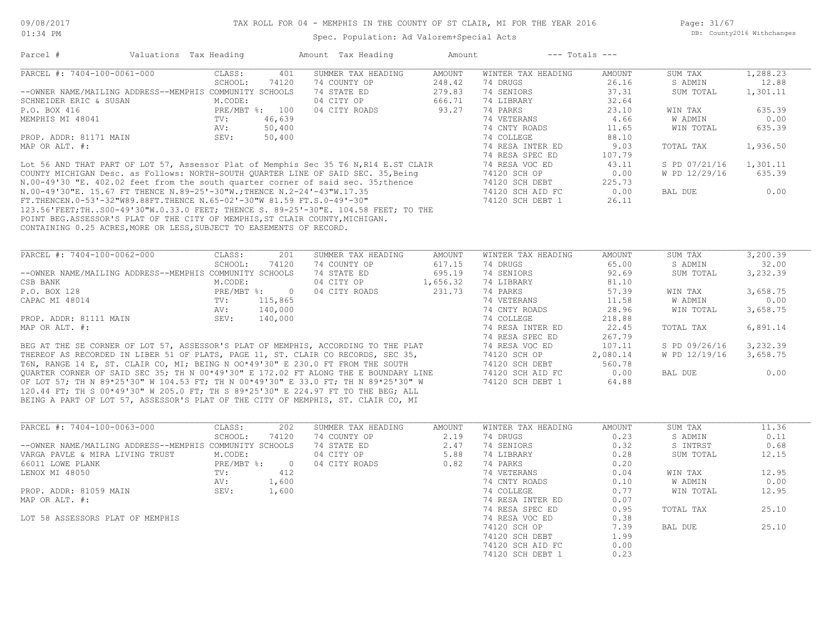Page: 31/67 DB: County2016 Withchanges

| Parcel #                                                                             | Valuations Tax Heading |                   |                | Amount Tax Heading | Amount        |                                | $---$ Totals $---$ |               |          |
|--------------------------------------------------------------------------------------|------------------------|-------------------|----------------|--------------------|---------------|--------------------------------|--------------------|---------------|----------|
| PARCEL #: 7404-100-0061-000                                                          |                        | CLASS:            | 401            | SUMMER TAX HEADING | AMOUNT        | WINTER TAX HEADING             | AMOUNT             | SUM TAX       | 1,288.23 |
|                                                                                      |                        | SCHOOL:           | 74120          | 74 COUNTY OP       | 248.42        | 74 DRUGS                       | 26.16              | S ADMIN       | 12.88    |
| --OWNER NAME/MAILING ADDRESS--MEMPHIS COMMUNITY SCHOOLS                              |                        |                   |                | 74 STATE ED        | 279.83        | 74 SENIORS                     | 37.31              | SUM TOTAL     | 1,301.11 |
| SCHNEIDER ERIC & SUSAN                                                               |                        | M.CODE:           |                | 04 CITY OP         | 666.71        | 74 LIBRARY                     | 32.64              |               |          |
| P.O. BOX 416                                                                         |                        |                   | PRE/MBT %: 100 | 04 CITY ROADS      | 93.27         | 74 PARKS                       | 23.10              | WIN TAX       | 635.39   |
| MEMPHIS MI 48041                                                                     |                        | TV:               | 46,639         |                    |               | 74 VETERANS                    | 4.66               | W ADMIN       | 0.00     |
|                                                                                      |                        | AV:               | 50,400         |                    |               | 74 CNTY ROADS                  | 11.65              | WIN TOTAL     | 635.39   |
| PROP. ADDR: 81171 MAIN                                                               |                        | SEV:              | 50,400         |                    |               | 74 COLLEGE                     | 88.10              |               |          |
| MAP OR ALT. #:                                                                       |                        |                   |                |                    |               | 74 RESA INTER ED               | 9.03               | TOTAL TAX     | 1,936.50 |
|                                                                                      |                        |                   |                |                    |               | 74 RESA SPEC ED                | 107.79             |               |          |
| Lot 56 AND THAT PART OF LOT 57, Assessor Plat of Memphis Sec 35 T6 N, R14 E.ST CLAIR |                        |                   |                |                    |               | 74 RESA VOC ED                 | 43.11              | S PD 07/21/16 | 1,301.11 |
| COUNTY MICHIGAN Desc. as Follows: NORTH-SOUTH OUARTER LINE OF SAID SEC. 35, Being    |                        |                   |                |                    |               | 74120 SCH OP                   | 0.00               | W PD 12/29/16 | 635.39   |
| N.00-49'30 "E. 402.02 feet from the south quarter corner of said sec. 35; thence     |                        |                   |                |                    |               | 74120 SCH DEBT                 | 225.73             |               |          |
| N.00-49'30"E. 15.67 FT THENCE N.89-25'-30"W.;THENCE N.2-24'-43"W.17.35               |                        |                   |                |                    |               | 74120 SCH AID FC               | 0.00               | BAL DUE       | 0.00     |
| FT. THENCEN. 0-53'-32"W89.88FT. THENCE N. 65-02'-30"W 81.59 FT. S. 0-49'-30"         |                        |                   |                |                    |               | 74120 SCH DEBT 1               | 26.11              |               |          |
| 123.56'FEET;THS00-49'30"W.0.33.0 FEET; THENCE S. 89-25'-30"E. 104.58 FEET; TO THE    |                        |                   |                |                    |               |                                |                    |               |          |
| POINT BEG.ASSESSOR'S PLAT OF THE CITY OF MEMPHIS, ST CLAIR COUNTY, MICHIGAN.         |                        |                   |                |                    |               |                                |                    |               |          |
| CONTAINING 0.25 ACRES, MORE OR LESS, SUBJECT TO EASEMENTS OF RECORD.                 |                        |                   |                |                    |               |                                |                    |               |          |
|                                                                                      |                        |                   |                |                    |               |                                |                    |               |          |
| PARCEL #: 7404-100-0062-000                                                          |                        | CLASS:            | 201            | SUMMER TAX HEADING | AMOUNT        | WINTER TAX HEADING             | <b>AMOUNT</b>      | SUM TAX       | 3,200.39 |
|                                                                                      |                        | SCHOOL:           | 74120          | 74 COUNTY OP       | 617.15        | 74 DRUGS                       | 65.00              | S ADMIN       | 32.00    |
| --OWNER NAME/MAILING ADDRESS--MEMPHIS                                                |                        | COMMUNITY SCHOOLS |                | 74 STATE ED        | 695.19        | 74 SENIORS                     | 92.69              | SUM TOTAL     | 3,232.39 |
| CSB BANK                                                                             |                        | M.CODE:           |                | 04 CITY OP         | 1,656.32      | 74 LIBRARY                     | 81.10              |               |          |
| P.O. BOX 128                                                                         |                        | PRE/MBT %:        | $\overline{0}$ | 04 CITY ROADS      | 231.73        | 74 PARKS                       | 57.39              | WIN TAX       | 3,658.75 |
| CAPAC MI 48014                                                                       |                        | TV:               | 115,865        |                    |               | 74 VETERANS                    | 11.58              | W ADMIN       | 0.00     |
|                                                                                      |                        | AV:               | 140,000        |                    |               | 74 CNTY ROADS                  | 28.96              | WIN TOTAL     |          |
|                                                                                      |                        |                   |                |                    |               |                                |                    |               | 3,658.75 |
| PROP. ADDR: 81111 MAIN                                                               |                        | SEV:              | 140,000        |                    |               | 74 COLLEGE<br>74 RESA INTER ED | 218.88<br>22.45    |               | 6,891.14 |
| MAP OR ALT. #:                                                                       |                        |                   |                |                    |               |                                |                    | TOTAL TAX     |          |
|                                                                                      |                        |                   |                |                    |               | 74 RESA SPEC ED                | 267.79             |               |          |
| BEG AT THE SE CORNER OF LOT 57, ASSESSOR'S PLAT OF MEMPHIS, ACCORDING TO THE PLAT    |                        |                   |                |                    |               | 74 RESA VOC ED                 | 107.11             | S PD 09/26/16 | 3,232.39 |
| THEREOF AS RECORDED IN LIBER 51 OF PLATS, PAGE 11, ST. CLAIR CO RECORDS, SEC 35,     |                        |                   |                |                    |               | 74120 SCH OP                   | 2,080.14           | W PD 12/19/16 | 3,658.75 |
| T6N, RANGE 14 E, ST. CLAIR CO, MI; BEING N 00*49'30" E 230.0 FT FROM THE SOUTH       |                        |                   |                |                    |               | 74120 SCH DEBT                 | 560.78             |               |          |
| OUARTER CORNER OF SAID SEC 35; TH N 00*49'30" E 172.02 FT ALONG THE E BOUNDARY LINE  |                        |                   |                |                    |               | 74120 SCH AID FC               | 0.00               | BAL DUE       | 0.00     |
| OF LOT 57; TH N 89*25'30" W 104.53 FT; TH N 00*49'30" E 33.0 FT; TH N 89*25'30" W    |                        |                   |                |                    |               | 74120 SCH DEBT 1               | 64.88              |               |          |
| 120.44 FT; TH S 00*49'30" W 205.0 FT; TH S 89*25'30" E 224.97 FT TO THE BEG; ALL     |                        |                   |                |                    |               |                                |                    |               |          |
| BEING A PART OF LOT 57, ASSESSOR'S PLAT OF THE CITY OF MEMPHIS, ST. CLAIR CO, MI     |                        |                   |                |                    |               |                                |                    |               |          |
|                                                                                      |                        |                   |                |                    |               |                                |                    |               |          |
| PARCEL $\# \cdot 7404 - 100 - 0063 - 000$                                            |                        | CIARS             | 202            | SUMMER TAX HEADING | <b>AMOUNT</b> | WINTER TAX HEADING             | <b>AMOUNT</b>      | SIM TAY       | 11.36    |

| PARULL #: 7404-100-0003-000                             | . caau     | ZUZ            | SUMMER IAA HEADING | AMOON L | WINIER IAA HEADING | APIOUN 1 | <b>DUM THY</b> | 11.00 |
|---------------------------------------------------------|------------|----------------|--------------------|---------|--------------------|----------|----------------|-------|
|                                                         | SCHOOL:    | 74120          | 74 COUNTY OP       | 2.19    | 74 DRUGS           | 0.23     | S ADMIN        | 0.11  |
| --OWNER NAME/MAILING ADDRESS--MEMPHIS COMMUNITY SCHOOLS |            |                | 74 STATE ED        | 2.47    | 74 SENIORS         | 0.32     | S INTRST       | 0.68  |
| VARGA PAVLE & MIRA LIVING TRUST                         | M.CODE:    |                | 04 CITY OP         | 5.88    | 74 LIBRARY         | 0.28     | SUM TOTAL      | 12.15 |
| 66011 LOWE PLANK                                        | PRE/MBT %: | $\overline{0}$ | 04 CITY ROADS      | 0.82    | 74 PARKS           | 0.20     |                |       |
| LENOX MI 48050                                          | TV:        | 412            |                    |         | 74 VETERANS        | 0.04     | WIN TAX        | 12.95 |
|                                                         | AV:        | 1,600          |                    |         | 74 CNTY ROADS      | 0.10     | W ADMIN        | 0.00  |
| PROP. ADDR: 81059 MAIN                                  | SEV:       | 1,600          |                    |         | 74 COLLEGE         | 0.77     | WIN TOTAL      | 12.95 |
| MAP OR ALT. #:                                          |            |                |                    |         | 74 RESA INTER ED   | 0.07     |                |       |
|                                                         |            |                |                    |         | 74 RESA SPEC ED    | 0.95     | TOTAL TAX      | 25.10 |
| LOT 58 ASSESSORS PLAT OF MEMPHIS                        |            |                |                    |         | 74 RESA VOC ED     | 0.38     |                |       |
|                                                         |            |                |                    |         | 74120 SCH OP       | 7.39     | BAL DUE        | 25.10 |
|                                                         |            |                |                    |         | 74120 SCH DEBT     | 1.99     |                |       |
|                                                         |            |                |                    |         | 74120 SCH AID FC   | 0.00     |                |       |
|                                                         |            |                |                    |         | 74120 SCH DEBT 1   | 0.23     |                |       |
|                                                         |            |                |                    |         |                    |          |                |       |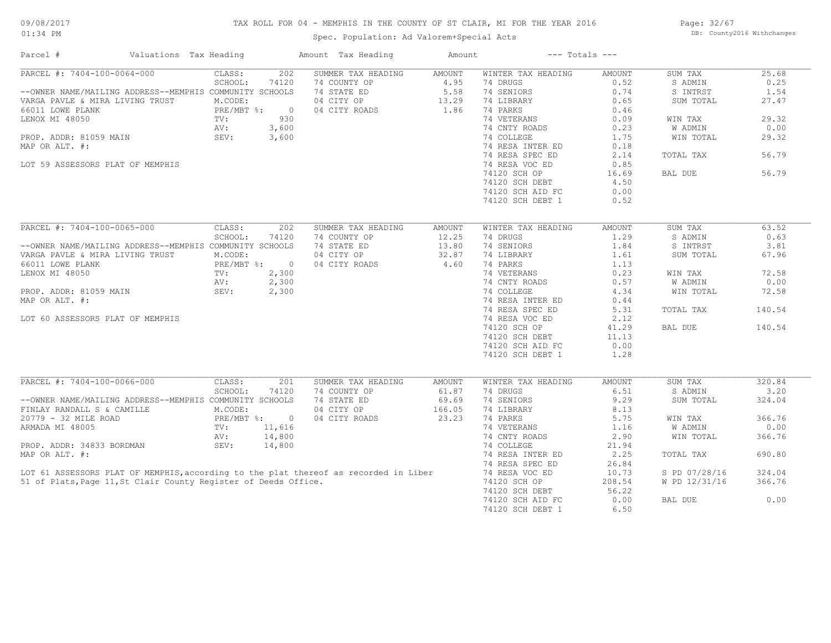## TAX ROLL FOR 04 - MEMPHIS IN THE COUNTY OF ST CLAIR, MI FOR THE YEAR 2016

Spec. Population: Ad Valorem+Special Acts

Page: 32/67 DB: County2016 Withchanges

| Parcel #                                                        | Valuations Tax Heading |               |                | Amount Tax Heading                                                                   | Amount        |                    | $---$ Totals $---$ |               |        |
|-----------------------------------------------------------------|------------------------|---------------|----------------|--------------------------------------------------------------------------------------|---------------|--------------------|--------------------|---------------|--------|
| $\overline{\text{PARCH}}$ #: 7404-100-0064-000                  |                        | CLASS:        | 202            | SUMMER TAX HEADING                                                                   | AMOUNT        | WINTER TAX HEADING | AMOUNT             | SUM TAX       | 25.68  |
|                                                                 |                        | SCHOOL:       | 74120          | 74 COUNTY OP                                                                         | 4.95          | 74 DRUGS           | 0.52               | S ADMIN       | 0.25   |
| --OWNER NAME/MAILING ADDRESS--MEMPHIS COMMUNITY SCHOOLS         |                        |               |                | 74 STATE ED                                                                          | 5.58          | 74 SENIORS         | 0.74               | S INTRST      | 1.54   |
| VARGA PAVLE & MIRA LIVING TRUST                                 |                        | M.CODE:       |                | 04 CITY OP                                                                           | 13.29         | 74 LIBRARY         | 0.65               | SUM TOTAL     | 27.47  |
| 66011 LOWE PLANK                                                |                        | PRE/MBT %:    | $\circ$        | 04 CITY ROADS                                                                        | 1.86          | 74 PARKS           | 0.46               |               |        |
| LENOX MI 48050                                                  |                        | TV:           | 930            |                                                                                      |               | 74 VETERANS        | 0.09               | WIN TAX       | 29.32  |
|                                                                 |                        | AV:           | 3,600          |                                                                                      |               | 74 CNTY ROADS      | 0.23               | W ADMIN       | 0.00   |
| PROP. ADDR: 81059 MAIN                                          |                        | SEV:          | 3,600          |                                                                                      |               | 74 COLLEGE         | 1.75               | WIN TOTAL     | 29.32  |
| MAP OR ALT. #:                                                  |                        |               |                |                                                                                      |               | 74 RESA INTER ED   | 0.18               |               |        |
|                                                                 |                        |               |                |                                                                                      |               | 74 RESA SPEC ED    | 2.14               | TOTAL TAX     | 56.79  |
| LOT 59 ASSESSORS PLAT OF MEMPHIS                                |                        |               |                |                                                                                      |               | 74 RESA VOC ED     | 0.85               |               |        |
|                                                                 |                        |               |                |                                                                                      |               |                    | 16.69              | BAL DUE       | 56.79  |
|                                                                 |                        |               |                |                                                                                      |               | 74120 SCH OP       |                    |               |        |
|                                                                 |                        |               |                |                                                                                      |               | 74120 SCH DEBT     | 4.50               |               |        |
|                                                                 |                        |               |                |                                                                                      |               | 74120 SCH AID FC   | 0.00               |               |        |
|                                                                 |                        |               |                |                                                                                      |               | 74120 SCH DEBT 1   | 0.52               |               |        |
|                                                                 |                        |               |                |                                                                                      |               |                    |                    |               |        |
| $\overline{\text{PARCH}}$ #: 7404-100-0065-000                  |                        | CLASS:        | 202            | SUMMER TAX HEADING                                                                   | <b>AMOUNT</b> | WINTER TAX HEADING | <b>AMOUNT</b>      | SUM TAX       | 63.52  |
|                                                                 |                        | SCHOOL:       | 74120          | 74 COUNTY OP                                                                         | 12.25         | 74 DRUGS           | 1.29               | S ADMIN       | 0.63   |
| --OWNER NAME/MAILING ADDRESS--MEMPHIS COMMUNITY SCHOOLS         |                        |               |                | 74 STATE ED                                                                          | 13.80         | 74 SENIORS         | 1.84               | S INTRST      | 3.81   |
| VARGA PAVLE & MIRA LIVING TRUST                                 |                        | M.CODE:       |                | 04 CITY OP                                                                           | 32.87         | 74 LIBRARY         | 1.61               | SUM TOTAL     | 67.96  |
| 66011 LOWE PLANK                                                |                        | PRE/MBT %:    | $\circ$        | 04 CITY ROADS                                                                        | 4.60          | 74 PARKS           | 1.13               |               |        |
| LENOX MI 48050                                                  |                        | TV:           | 2,300          |                                                                                      |               | 74 VETERANS        | 0.23               | WIN TAX       | 72.58  |
|                                                                 |                        | AV:           | 2,300          |                                                                                      |               | 74 CNTY ROADS      | 0.57               | W ADMIN       | 0.00   |
| PROP. ADDR: 81059 MAIN                                          |                        | SEV:          | 2,300          |                                                                                      |               | 74 COLLEGE         | 4.34               | WIN TOTAL     | 72.58  |
| MAP OR ALT. #:                                                  |                        |               |                |                                                                                      |               | 74 RESA INTER ED   | 0.44               |               |        |
|                                                                 |                        |               |                |                                                                                      |               | 74 RESA SPEC ED    | 5.31               | TOTAL TAX     | 140.54 |
|                                                                 |                        |               |                |                                                                                      |               |                    |                    |               |        |
| LOT 60 ASSESSORS PLAT OF MEMPHIS                                |                        |               |                |                                                                                      |               | 74 RESA VOC ED     | 2.12               |               |        |
|                                                                 |                        |               |                |                                                                                      |               | 74120 SCH OP       | 41.29              | BAL DUE       | 140.54 |
|                                                                 |                        |               |                |                                                                                      |               | 74120 SCH DEBT     | 11.13              |               |        |
|                                                                 |                        |               |                |                                                                                      |               | 74120 SCH AID FC   | 0.00               |               |        |
|                                                                 |                        |               |                |                                                                                      |               | 74120 SCH DEBT 1   | 1.28               |               |        |
|                                                                 |                        |               |                |                                                                                      |               |                    |                    |               |        |
| PARCEL #: 7404-100-0066-000                                     |                        | CLASS:        | 201            | SUMMER TAX HEADING                                                                   | AMOUNT        | WINTER TAX HEADING | <b>AMOUNT</b>      | SUM TAX       | 320.84 |
|                                                                 |                        | SCHOOL:       | 74120          | 74 COUNTY OP                                                                         | 61.87         | 74 DRUGS           | 6.51               | S ADMIN       | 3.20   |
| --OWNER NAME/MAILING ADDRESS--MEMPHIS COMMUNITY SCHOOLS         |                        |               |                | 74 STATE ED                                                                          | 69.69         | 74 SENIORS         | 9.29               | SUM TOTAL     | 324.04 |
| FINLAY RANDALL S & CAMILLE                                      |                        | M.CODE:       |                | 04 CITY OP                                                                           | 166.05        | 74 LIBRARY         | 8.13               |               |        |
| 20779 - 32 MILE ROAD                                            |                        | $PRE/MBT$ %:  | $\overline{0}$ | 04 CITY ROADS                                                                        | 23.23         | 74 PARKS           | 5.75               | WIN TAX       | 366.76 |
| ARMADA MI 48005                                                 |                        | $\text{TV}$ : | 11,616         |                                                                                      |               | 74 VETERANS        | 1.16               | W ADMIN       | 0.00   |
|                                                                 |                        | AV:           | 14,800         |                                                                                      |               | 74 CNTY ROADS      | 2.90               | WIN TOTAL     | 366.76 |
| PROP. ADDR: 34833 BORDMAN                                       |                        | SEV:          | 14,800         |                                                                                      |               | 74 COLLEGE         | 21.94              |               |        |
| MAP OR ALT. #:                                                  |                        |               |                |                                                                                      |               | 74 RESA INTER ED   | 2.25               | TOTAL TAX     | 690.80 |
|                                                                 |                        |               |                |                                                                                      |               | 74 RESA SPEC ED    | 26.84              |               |        |
|                                                                 |                        |               |                |                                                                                      |               |                    |                    |               |        |
|                                                                 |                        |               |                | LOT 61 ASSESSORS PLAT OF MEMPHIS, according to the plat thereof as recorded in Liber |               | 74 RESA VOC ED     | 10.73              | S PD 07/28/16 | 324.04 |
| 51 of Plats, Page 11, St Clair County Register of Deeds Office. |                        |               |                |                                                                                      |               | 74120 SCH OP       | 208.54             | W PD 12/31/16 | 366.76 |
|                                                                 |                        |               |                |                                                                                      |               | 74120 SCH DEBT     | 56.22              |               |        |
|                                                                 |                        |               |                |                                                                                      |               | 74120 SCH AID FC   | 0.00               | BAL DUE       | 0.00   |
|                                                                 |                        |               |                |                                                                                      |               | 74120 SCH DEBT 1   | 6.50               |               |        |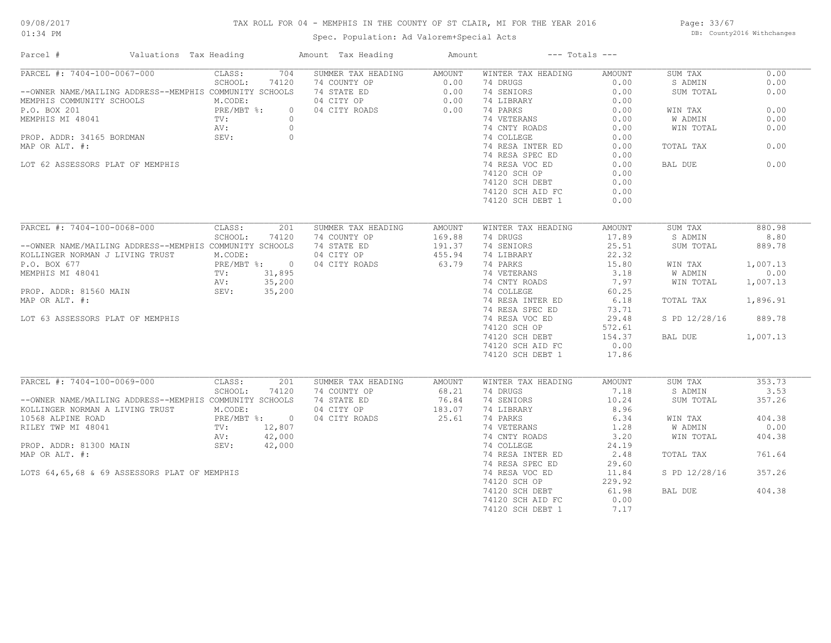## TAX ROLL FOR 04 - MEMPHIS IN THE COUNTY OF ST CLAIR, MI FOR THE YEAR 2016

Spec. Population: Ad Valorem+Special Acts

Page: 33/67 DB: County2016 Withchanges

| Parcel #<br>Valuations Tax Heading                      |                                | Amount Tax Heading | Amount | $---$ Totals $---$ |               |               |          |
|---------------------------------------------------------|--------------------------------|--------------------|--------|--------------------|---------------|---------------|----------|
| PARCEL #: 7404-100-0067-000                             | 704<br>CLASS:                  | SUMMER TAX HEADING | AMOUNT | WINTER TAX HEADING | <b>AMOUNT</b> | SUM TAX       | 0.00     |
|                                                         | SCHOOL:<br>74120               | 74 COUNTY OP       | 0.00   | 74 DRUGS           | 0.00          | S ADMIN       | 0.00     |
| --OWNER NAME/MAILING ADDRESS--MEMPHIS COMMUNITY SCHOOLS |                                | 74 STATE ED        | 0.00   | 74 SENIORS         | 0.00          | SUM TOTAL     | 0.00     |
| MEMPHIS COMMUNITY SCHOOLS                               | M.CODE:                        | 04 CITY OP         | 0.00   | 74 LIBRARY         | 0.00          |               |          |
| P.O. BOX 201                                            | PRE/MBT %:<br>$\circ$          | 04 CITY ROADS      | 0.00   | 74 PARKS           | 0.00          | WIN TAX       | 0.00     |
| MEMPHIS MI 48041                                        | $\circ$<br>TV:                 |                    |        | 74 VETERANS        | 0.00          | W ADMIN       | 0.00     |
|                                                         | AV:<br>$\circ$                 |                    |        | 74 CNTY ROADS      | 0.00          | WIN TOTAL     | 0.00     |
| PROP. ADDR: 34165 BORDMAN                               | SEV:<br>$\circ$                |                    |        | 74 COLLEGE         | 0.00          |               |          |
| MAP OR ALT. #:                                          |                                |                    |        | 74 RESA INTER ED   | 0.00          | TOTAL TAX     | 0.00     |
|                                                         |                                |                    |        | 74 RESA SPEC ED    | 0.00          |               |          |
| LOT 62 ASSESSORS PLAT OF MEMPHIS                        |                                |                    |        | 74 RESA VOC ED     | 0.00          | BAL DUE       | 0.00     |
|                                                         |                                |                    |        | 74120 SCH OP       | 0.00          |               |          |
|                                                         |                                |                    |        | 74120 SCH DEBT     | 0.00          |               |          |
|                                                         |                                |                    |        | 74120 SCH AID FC   | 0.00          |               |          |
|                                                         |                                |                    |        | 74120 SCH DEBT 1   | 0.00          |               |          |
|                                                         |                                |                    |        |                    |               |               |          |
| PARCEL #: 7404-100-0068-000                             | 201<br>CLASS:                  | SUMMER TAX HEADING | AMOUNT | WINTER TAX HEADING | AMOUNT        | SUM TAX       | 880.98   |
|                                                         | SCHOOL:<br>74120               | 74 COUNTY OP       | 169.88 | 74 DRUGS           | 17.89         | S ADMIN       | 8.80     |
| --OWNER NAME/MAILING ADDRESS--MEMPHIS COMMUNITY SCHOOLS |                                | 74 STATE ED        | 191.37 | 74 SENIORS         | 25.51         | SUM TOTAL     | 889.78   |
| KOLLINGER NORMAN J LIVING TRUST                         | M.CODE:                        | 04 CITY OP         | 455.94 | 74 LIBRARY         | 22.32         |               |          |
| P.O. BOX 677                                            | PRE/MBT %: 0                   | 04 CITY ROADS      | 63.79  | 74 PARKS           | 15.80         | WIN TAX       | 1,007.13 |
| MEMPHIS MI 48041                                        | TV:<br>31,895                  |                    |        | 74 VETERANS        | 3.18          | W ADMIN       | 0.00     |
|                                                         | 35,200<br>AV:                  |                    |        | 74 CNTY ROADS      | 7.97          | WIN TOTAL     | 1,007.13 |
|                                                         | SEV:<br>35,200                 |                    |        | 74 COLLEGE         | 60.25         |               |          |
| PROP. ADDR: 81560 MAIN                                  |                                |                    |        |                    |               |               |          |
| MAP OR ALT. #:                                          |                                |                    |        | 74 RESA INTER ED   | 6.18          | TOTAL TAX     | 1,896.91 |
|                                                         |                                |                    |        | 74 RESA SPEC ED    | 73.71         |               |          |
| LOT 63 ASSESSORS PLAT OF MEMPHIS                        |                                |                    |        | 74 RESA VOC ED     | 29.48         | S PD 12/28/16 | 889.78   |
|                                                         |                                |                    |        | 74120 SCH OP       | 572.61        |               |          |
|                                                         |                                |                    |        | 74120 SCH DEBT     | 154.37        | BAL DUE       | 1,007.13 |
|                                                         |                                |                    |        | 74120 SCH AID FC   | 0.00          |               |          |
|                                                         |                                |                    |        | 74120 SCH DEBT 1   | 17.86         |               |          |
|                                                         |                                |                    |        |                    |               |               |          |
| PARCEL #: 7404-100-0069-000                             | CLASS:<br>201                  | SUMMER TAX HEADING | AMOUNT | WINTER TAX HEADING | <b>AMOUNT</b> | SUM TAX       | 353.73   |
|                                                         | SCHOOL:<br>74120               | 74 COUNTY OP       | 68.21  | 74 DRUGS           | 7.18          | S ADMIN       | 3.53     |
| --OWNER NAME/MAILING ADDRESS--MEMPHIS COMMUNITY SCHOOLS |                                | 74 STATE ED        | 76.84  | 74 SENIORS         | 10.24         | SUM TOTAL     | 357.26   |
| KOLLINGER NORMAN A LIVING TRUST                         | M.CODE:                        | 04 CITY OP         | 183.07 | 74 LIBRARY         | 8.96          |               |          |
| 10568 ALPINE ROAD                                       | $PRE/MBT$ %:<br>$\overline{0}$ | 04 CITY ROADS      | 25.61  | 74 PARKS           | 6.34          | WIN TAX       | 404.38   |
| RILEY TWP MI 48041                                      | 12,807<br>TV:                  |                    |        | 74 VETERANS        | 1.28          | W ADMIN       | 0.00     |
|                                                         | 42,000<br>AV:                  |                    |        | 74 CNTY ROADS      | 3.20          | WIN TOTAL     | 404.38   |
| PROP. ADDR: 81300 MAIN                                  | SEV:<br>42,000                 |                    |        | 74 COLLEGE         | 24.19         |               |          |
| MAP OR ALT. #:                                          |                                |                    |        | 74 RESA INTER ED   | 2.48          | TOTAL TAX     | 761.64   |
|                                                         |                                |                    |        | 74 RESA SPEC ED    | 29.60         |               |          |
| LOTS 64,65,68 & 69 ASSESSORS PLAT OF MEMPHIS            |                                |                    |        | 74 RESA VOC ED     | 11.84         | S PD 12/28/16 | 357.26   |
|                                                         |                                |                    |        | 74120 SCH OP       | 229.92        |               |          |
|                                                         |                                |                    |        | 74120 SCH DEBT     | 61.98         | BAL DUE       | 404.38   |
|                                                         |                                |                    |        | 74120 SCH AID FC   | 0.00          |               |          |
|                                                         |                                |                    |        | 74120 SCH DEBT 1   | 7.17          |               |          |
|                                                         |                                |                    |        |                    |               |               |          |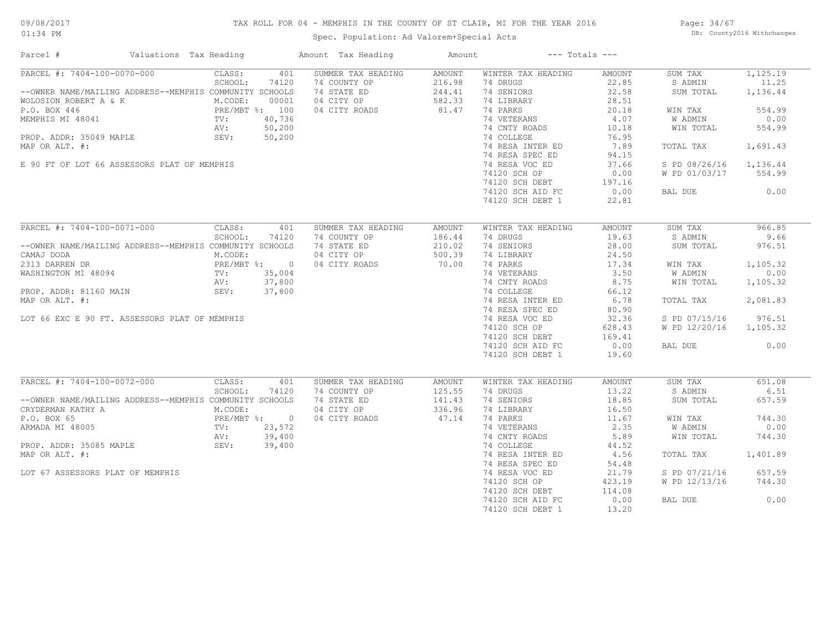## TAX ROLL FOR 04 - MEMPHIS IN THE COUNTY OF ST CLAIR, MI FOR THE YEAR 2016

Spec. Population: Ad Valorem+Special Acts

Page: 34/67 DB: County2016 Withchanges

| Parcel #                                                                                                                        | Valuations Tax Heading                                                         |                              |                       | Amount Tax Heading                                                               | Amount                                        |                                                                        | $---$ Totals $---$                         |                                            |                                         |
|---------------------------------------------------------------------------------------------------------------------------------|--------------------------------------------------------------------------------|------------------------------|-----------------------|----------------------------------------------------------------------------------|-----------------------------------------------|------------------------------------------------------------------------|--------------------------------------------|--------------------------------------------|-----------------------------------------|
| PARCEL #: 7404-100-0070-000<br>--OWNER NAME/MAILING ADDRESS--MEMPHIS COMMUNITY SCHOOLS<br>WOLOSION ROBERT A & K<br>P.O. BOX 446 |                                                                                | CLASS:<br>SCHOOL:<br>M.CODE: | 401<br>74120<br>00001 | SUMMER TAX HEADING<br>74 COUNTY OP<br>74 STATE ED<br>04 CITY OP<br>04 CITY ROADS | AMOUNT<br>216.98<br>244.41<br>582.33<br>81.47 | WINTER TAX HEADING<br>74 DRUGS<br>74 SENIORS<br>74 LIBRARY<br>74 PARKS | AMOUNT<br>22.85<br>32.58<br>28.51<br>20.18 | SUM TAX<br>S ADMIN<br>SUM TOTAL<br>WIN TAX | 1,125.19<br>11.25<br>1,136.44<br>554.99 |
| MEMPHIS MI 48041<br>PROP. ADDR: 35049 MAPLE                                                                                     | PRE/MBT %: 100<br>PRE/MBT %: 100<br>TV: 40,736<br>AV: 50,200<br>LE SEV: 50,200 |                              |                       |                                                                                  |                                               | 74 VETERANS<br>74 CNTY ROADS<br>74 COLLEGE                             | 4.07<br>10.18<br>76.95                     | W ADMIN<br>WIN TOTAL                       | 0.00<br>554.99                          |
| MAP OR ALT. #:                                                                                                                  |                                                                                |                              |                       |                                                                                  |                                               | 74 RESA INTER ED<br>74 RESA SPEC ED                                    | 7.89<br>94.15                              | TOTAL TAX                                  | 1,691.43                                |
| E 90 FT OF LOT 66 ASSESSORS PLAT OF MEMPHIS                                                                                     |                                                                                |                              |                       |                                                                                  |                                               | 74 RESA VOC ED<br>74120 SCH OP<br>74120 SCH DEBT                       | 37.66<br>0.00<br>197.16                    | S PD 08/26/16<br>W PD 01/03/17             | 1,136.44<br>554.99                      |
|                                                                                                                                 |                                                                                |                              |                       |                                                                                  |                                               | 74120 SCH AID FC<br>74120 SCH DEBT 1                                   | 0.00<br>22.81                              | BAL DUE                                    | 0.00                                    |
| PARCEL #: 7404-100-0071-000                                                                                                     |                                                                                | CLASS:                       | 401                   | SUMMER TAX HEADING                                                               | AMOUNT                                        | WINTER TAX HEADING                                                     | AMOUNT                                     | SUM TAX                                    | 966.85                                  |
| --OWNER NAME/MAILING ADDRESS--MEMPHIS COMMUNITY SCHOOLS<br>CAMAJ DODA                                                           |                                                                                | SCHOOL:<br>M.CODE:           | 74120                 | 74 COUNTY OP<br>74 STATE ED<br>04 CITY OP                                        | 186.44<br>210.02<br>500.39                    | 74 DRUGS<br>74 SENIORS<br>74 LIBRARY                                   | 19.63<br>28.00<br>24.50                    | S ADMIN<br>SUM TOTAL                       | 9.66<br>976.51                          |
| 2313 DARREN DR<br>WASHINGTON MI 48094                                                                                           |                                                                                | PRE/MBT %: 0<br>TV:<br>AV:   | 35,004<br>37,800      | 04 CITY ROADS                                                                    | 70.00                                         | 74 PARKS<br>74 VETERANS<br>74 CNTY ROADS                               | 17.34<br>3.50<br>8.75                      | WIN TAX<br>W ADMIN<br>WIN TOTAL            | 1,105.32<br>0.00<br>1,105.32            |
| PROP. ADDR: 81160 MAIN<br>MAP OR ALT. #:                                                                                        |                                                                                | SEV: 37,800                  |                       |                                                                                  |                                               | 74 COLLEGE<br>74 RESA INTER ED<br>74 RESA SPEC ED                      | 66.12<br>6.78<br>80.90                     | TOTAL TAX                                  | 2,081.83                                |
| LOT 66 EXC E 90 FT. ASSESSORS PLAT OF MEMPHIS                                                                                   |                                                                                |                              |                       |                                                                                  |                                               | 74 RESA VOC ED<br>74120 SCH OP<br>74120 SCH DEBT                       | 32.36<br>628.43<br>169.41                  | S PD 07/15/16<br>W PD 12/20/16             | 976.51<br>1,105.32                      |
|                                                                                                                                 |                                                                                |                              |                       |                                                                                  |                                               | 74120 SCH AID FC<br>74120 SCH DEBT 1                                   | 0.00<br>19.60                              | BAL DUE                                    | 0.00                                    |
| PARCEL #: 7404-100-0072-000                                                                                                     |                                                                                | CLASS:                       | 401                   | SUMMER TAX HEADING                                                               | AMOUNT                                        | WINTER TAX HEADING                                                     | AMOUNT                                     | SUM TAX                                    | 651.08                                  |
| --OWNER NAME/MAILING ADDRESS--MEMPHIS COMMUNITY SCHOOLS<br>CRYDERMAN KATHY A                                                    |                                                                                | SCHOOL:<br>M.CODE:           | 74120                 | 74 COUNTY OP<br>74 STATE ED<br>04 CITY OP                                        | 125.55<br>141.43<br>336.96                    | 74 DRUGS<br>74 SENIORS<br>74 LIBRARY                                   | 13.22<br>18.85<br>16.50                    | S ADMIN<br>SUM TOTAL                       | 6.51<br>657.59                          |
| P.O. BOX 65<br>ARMADA MI 48005                                                                                                  | PRE/MBT %: 0<br>TV: 23,572                                                     |                              |                       | 04 CITY ROADS                                                                    | 47.14                                         | 74 PARKS<br>74 VETERANS                                                | 11.67<br>2.35                              | WIN TAX<br>W ADMIN                         | 744.30<br>0.00                          |
| PROP. ADDR: 35085 MAPLE<br>MAP OR ALT. #:                                                                                       |                                                                                | AV:<br>SEV:                  | 39,400<br>39,400      |                                                                                  |                                               | 74 CNTY ROADS<br>74 COLLEGE<br>74 RESA INTER ED                        | 5.89<br>44.52<br>4.56                      | WIN TOTAL<br>TOTAL TAX                     | 744.30<br>1,401.89                      |
| LOT 67 ASSESSORS PLAT OF MEMPHIS                                                                                                |                                                                                |                              |                       |                                                                                  |                                               | 74 RESA SPEC ED<br>74 RESA VOC ED                                      | 54.48<br>21.79                             | S PD 07/21/16                              | 657.59                                  |
|                                                                                                                                 |                                                                                |                              |                       |                                                                                  |                                               | 74120 SCH OP<br>74120 SCH DEBT                                         | 423.19<br>114.08                           | W PD 12/13/16                              | 744.30                                  |
|                                                                                                                                 |                                                                                |                              |                       |                                                                                  |                                               | 74120 SCH AID FC<br>74120 SCH DEBT 1                                   | 0.00<br>13.20                              | BAL DUE                                    | 0.00                                    |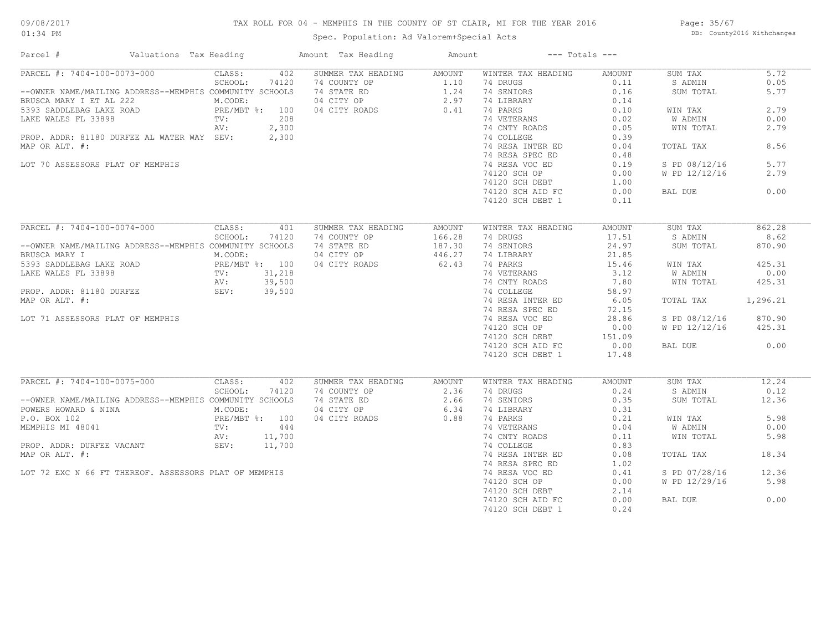## TAX ROLL FOR 04 - MEMPHIS IN THE COUNTY OF ST CLAIR, MI FOR THE YEAR 2016

Spec. Population: Ad Valorem+Special Acts

Page: 35/67 DB: County2016 Withchanges

| Parcel #                                                | Valuations Tax Heading    |         |        | Amount Tax Heading                                        | Amount |                    | $---$ Totals $---$ |               |          |
|---------------------------------------------------------|---------------------------|---------|--------|-----------------------------------------------------------|--------|--------------------|--------------------|---------------|----------|
| PARCEL #: 7404-100-0073-000                             |                           | CLASS:  | 402    | SUMMER TAX HEADING                                        | AMOUNT | WINTER TAX HEADING | AMOUNT             | SUM TAX       | 5.72     |
|                                                         |                           | SCHOOL: | 74120  | 74 COUNTY OP                                              | 1.10   | 74 DRUGS           | 0.11               | S ADMIN       | 0.05     |
| --OWNER NAME/MAILING ADDRESS--MEMPHIS COMMUNITY SCHOOLS |                           |         |        | 74 STATE ED 1.24<br>04 CITY OP 2.97<br>04 CITY ROADS 0.41 |        | 74 SENIORS         | 0.16               | SUM TOTAL     | 5.77     |
| BRUSCA MARY I ET AL 222                                 |                           | M.CODE: |        |                                                           |        | 74 LIBRARY         | 0.14               |               |          |
| 5393 SADDLEBAG LAKE ROAD                                | PRE/MBT %: 100<br>TV: 208 |         |        |                                                           |        | 74 PARKS           | 0.10               | WIN TAX       | 2.79     |
| LAKE WALES FL 33898                                     |                           |         |        |                                                           |        | 74 VETERANS        | 0.02               | W ADMIN       | 0.00     |
|                                                         |                           | AV:     | 2,300  |                                                           |        | 74 CNTY ROADS      | 0.05               | WIN TOTAL     | 2.79     |
| PROP. ADDR: 81180 DURFEE AL WATER WAY SEV:              |                           |         | 2,300  |                                                           |        | 74 COLLEGE         | 0.39               |               |          |
| MAP OR ALT. #:                                          |                           |         |        |                                                           |        | 74 RESA INTER ED   | 0.04               | TOTAL TAX     | 8.56     |
|                                                         |                           |         |        |                                                           |        | 74 RESA SPEC ED    | 0.48               |               |          |
|                                                         |                           |         |        |                                                           |        |                    |                    |               | 5.77     |
| LOT 70 ASSESSORS PLAT OF MEMPHIS                        |                           |         |        |                                                           |        | 74 RESA VOC ED     | 0.19               | S PD 08/12/16 |          |
|                                                         |                           |         |        |                                                           |        | 74120 SCH OP       | 0.00               | W PD 12/12/16 | 2.79     |
|                                                         |                           |         |        |                                                           |        | 74120 SCH DEBT     | 1.00               |               |          |
|                                                         |                           |         |        |                                                           |        | 74120 SCH AID FC   | 0.00               | BAL DUE       | 0.00     |
|                                                         |                           |         |        |                                                           |        | 74120 SCH DEBT 1   | 0.11               |               |          |
|                                                         |                           |         |        |                                                           |        |                    |                    |               |          |
| PARCEL #: 7404-100-0074-000                             |                           | CLASS:  | 401    | SUMMER TAX HEADING                                        | AMOUNT | WINTER TAX HEADING | AMOUNT             | SUM TAX       | 862.28   |
|                                                         |                           | SCHOOL: | 74120  | 74 COUNTY OP                                              | 166.28 | 74 DRUGS           | 17.51              | S ADMIN       | 8.62     |
| --OWNER NAME/MAILING ADDRESS--MEMPHIS COMMUNITY SCHOOLS |                           |         |        | 74 STATE ED                                               | 187.30 | 74 SENIORS         | 24.97              | SUM TOTAL     | 870.90   |
| BRUSCA MARY I                                           |                           | M.CODE: |        | 04 CITY OP                                                | 446.27 | 74 LIBRARY         | 21.85              |               |          |
|                                                         |                           |         |        | 04 CITY ROADS                                             | 62.43  | 74 PARKS           | 15.46              | WIN TAX       | 425.31   |
|                                                         |                           |         |        |                                                           |        | 74 VETERANS        | 3.12               | W ADMIN       | 0.00     |
|                                                         |                           |         |        |                                                           |        | 74 CNTY ROADS      | 7.80               | WIN TOTAL     | 425.31   |
| PROP. ADDR: 81180 DURFEE SEV: 39,500                    |                           |         |        |                                                           |        | 74 COLLEGE         | 58.97              |               |          |
|                                                         |                           |         |        |                                                           |        |                    |                    |               |          |
| MAP OR ALT. #:                                          |                           |         |        |                                                           |        | 74 RESA INTER ED   | 6.05               | TOTAL TAX     | 1,296.21 |
|                                                         |                           |         |        |                                                           |        | 74 RESA SPEC ED    | 72.15              |               |          |
| LOT 71 ASSESSORS PLAT OF MEMPHIS                        |                           |         |        |                                                           |        | 74 RESA VOC ED     | 28.86              | S PD 08/12/16 | 870.90   |
|                                                         |                           |         |        |                                                           |        | 74120 SCH OP       | 0.00               | W PD 12/12/16 | 425.31   |
|                                                         |                           |         |        |                                                           |        | 74120 SCH DEBT     | 151.09             |               |          |
|                                                         |                           |         |        |                                                           |        | 74120 SCH AID FC   | 0.00               | BAL DUE       | 0.00     |
|                                                         |                           |         |        |                                                           |        | 74120 SCH DEBT 1   | 17.48              |               |          |
|                                                         |                           |         |        |                                                           |        |                    |                    |               |          |
| PARCEL #: 7404-100-0075-000                             |                           | CLASS:  | 402    | SUMMER TAX HEADING                                        | AMOUNT | WINTER TAX HEADING | AMOUNT             | SUM TAX       | 12.24    |
|                                                         |                           | SCHOOL: | 74120  | 74 COUNTY OP                                              | 2.36   | 74 DRUGS           | 0.24               | S ADMIN       | 0.12     |
| --OWNER NAME/MAILING ADDRESS--MEMPHIS COMMUNITY SCHOOLS |                           |         |        | 74 STATE ED                                               | 2.66   | 74 SENIORS         | 0.35               | SUM TOTAL     | 12.36    |
| POWERS HOWARD & NINA                                    |                           | M.CODE: |        | 04 CITY OP                                                | 6.34   | 74 LIBRARY         | 0.31               |               |          |
| P.O. BOX 102                                            | PRE/MBT %: 100<br>TV: 444 |         |        | 04 CITY ROADS                                             | 0.88   | 74 PARKS           | 0.21               | WIN TAX       | 5.98     |
| MEMPHIS MI 48041                                        |                           |         |        |                                                           |        | 74 VETERANS        | 0.04               | W ADMIN       | 0.00     |
|                                                         |                           | AV:     | 11,700 |                                                           |        | 74 CNTY ROADS      | 0.11               | WIN TOTAL     | 5.98     |
| PROP. ADDR: DURFEE VACANT MODEL SEV:                    |                           |         | 11,700 |                                                           |        | 74 COLLEGE         | 0.83               |               |          |
| MAP OR ALT. #:                                          |                           |         |        |                                                           |        | 74 RESA INTER ED   | 0.08               | TOTAL TAX     | 18.34    |
|                                                         |                           |         |        |                                                           |        | 74 RESA SPEC ED    | 1.02               |               |          |
|                                                         |                           |         |        |                                                           |        |                    |                    |               |          |
| LOT 72 EXC N 66 FT THEREOF. ASSESSORS PLAT OF MEMPHIS   |                           |         |        |                                                           |        | 74 RESA VOC ED     | 0.41               | S PD 07/28/16 | 12.36    |
|                                                         |                           |         |        |                                                           |        | 74120 SCH OP       | 0.00               | W PD 12/29/16 | 5.98     |
|                                                         |                           |         |        |                                                           |        | 74120 SCH DEBT     | 2.14               |               |          |
|                                                         |                           |         |        |                                                           |        | 74120 SCH AID FC   | 0.00               | BAL DUE       | 0.00     |
|                                                         |                           |         |        |                                                           |        | 74120 SCH DEBT 1   | 0.24               |               |          |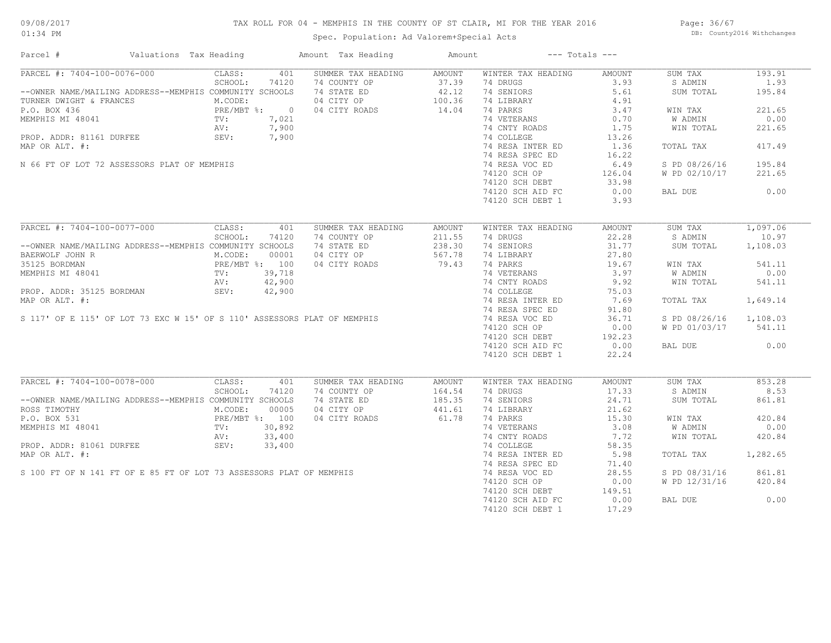## TAX ROLL FOR 04 - MEMPHIS IN THE COUNTY OF ST CLAIR, MI FOR THE YEAR 2016

Spec. Population: Ad Valorem+Special Acts

Page: 36/67 DB: County2016 Withchanges

| Parcel #                                                                                                                                                                                                              | Valuations Tax Heading                     |         |        | Amount Tax Heading | Amount             |                    | $---$ Totals $---$ |                        |          |
|-----------------------------------------------------------------------------------------------------------------------------------------------------------------------------------------------------------------------|--------------------------------------------|---------|--------|--------------------|--------------------|--------------------|--------------------|------------------------|----------|
| PARCEL #: 7404-100-0076-000                                                                                                                                                                                           |                                            | CLASS:  | 401    | SUMMER TAX HEADING | AMOUNT             | WINTER TAX HEADING | AMOUNT             | SUM TAX                | 193.91   |
|                                                                                                                                                                                                                       |                                            | SCHOOL: | 74120  | 74 COUNTY OP       | $37.39$<br>$42.12$ | 74 DRUGS           | 3.93               | S ADMIN                | 1.93     |
| --OWNER NAME/MAILING ADDRESS--MEMPHIS COMMUNITY SCHOOLS                                                                                                                                                               |                                            |         |        | 74 STATE ED        |                    | 74 SENIORS         | 5.61               | SUM TOTAL              | 195.84   |
| TURNER DWIGHT & FRANCES<br>P.O. BOX 436<br>MEMPHIS MI 48041<br>PROP. ADDR: 81161 DURFEE<br>P.O. BOX 436<br>PRE/MBT %: 7,021<br>AV: 7,900<br>PROP. ADDR: 81161 DURFEE<br>SEV: 7,900                                    |                                            |         |        | 04 CITY OP         | $100$<br>$14.04$   | 74 LIBRARY         | 4.91               |                        |          |
|                                                                                                                                                                                                                       |                                            |         |        | 04 CITY ROADS      |                    | 74 PARKS           | 3.47               | WIN TAX                | 221.65   |
|                                                                                                                                                                                                                       |                                            |         |        |                    |                    | 74 VETERANS        | 0.70               | W ADMIN                | 0.00     |
|                                                                                                                                                                                                                       |                                            |         |        |                    |                    | 74 CNTY ROADS      | 1.75               | WIN TOTAL              | 221.65   |
|                                                                                                                                                                                                                       |                                            |         |        |                    |                    | 74 COLLEGE         | 13.26              |                        |          |
| MAP OR ALT. #:                                                                                                                                                                                                        |                                            |         |        |                    |                    | 74 RESA INTER ED   | 1.36               | TOTAL TAX              | 417.49   |
|                                                                                                                                                                                                                       |                                            |         |        |                    |                    | 74 RESA SPEC ED    | 16.22              |                        |          |
| N 66 FT OF LOT 72 ASSESSORS PLAT OF MEMPHIS                                                                                                                                                                           |                                            |         |        |                    |                    | 74 RESA VOC ED     | 6.49               | S PD 08/26/16          | 195.84   |
|                                                                                                                                                                                                                       |                                            |         |        |                    |                    | 74120 SCH OP       | 126.04             | W PD 02/10/17          | 221.65   |
|                                                                                                                                                                                                                       |                                            |         |        |                    |                    |                    |                    |                        |          |
|                                                                                                                                                                                                                       |                                            |         |        |                    |                    | 74120 SCH DEBT     | 33.98              |                        |          |
|                                                                                                                                                                                                                       |                                            |         |        |                    |                    | 74120 SCH AID FC   | 0.00               | BAL DUE                | 0.00     |
|                                                                                                                                                                                                                       |                                            |         |        |                    |                    | 74120 SCH DEBT 1   | 3.93               |                        |          |
|                                                                                                                                                                                                                       |                                            |         |        |                    |                    |                    |                    |                        |          |
| PARCEL #: 7404-100-0077-000                                                                                                                                                                                           |                                            | CLASS:  | 401    | SUMMER TAX HEADING | AMOUNT             | WINTER TAX HEADING | <b>AMOUNT</b>      | SUM TAX                | 1,097.06 |
|                                                                                                                                                                                                                       |                                            | SCHOOL: | 74120  | 74 COUNTY OP       | 211.55             | 74 DRUGS           | 22.28              | S ADMIN                | 10.97    |
| --OWNER NAME/MAILING ADDRESS--MEMPHIS COMMUNITY SCHOOLS                                                                                                                                                               |                                            |         |        | 74 STATE ED        | 238.30             | 74 SENIORS         | 31.77              | SUM TOTAL              | 1,108.03 |
| BAERWOLF JOHN R                                                                                                                                                                                                       |                                            | M.CODE: | 00001  | 04 CITY OP         | 567.78             | 74 LIBRARY         | 27.80              |                        |          |
| 35125 BORDMAN                                                                                                                                                                                                         | PRE/MBT %: 100<br>TV: 39,718<br>AV: 42,900 |         |        | 04 CITY ROADS      | 79.43              | 74 PARKS           | 19.67              | WIN TAX                | 541.11   |
| MEMPHIS MI 48041                                                                                                                                                                                                      |                                            |         |        |                    |                    | 74 VETERANS        | 3.97               | W ADMIN                | 0.00     |
|                                                                                                                                                                                                                       |                                            |         |        |                    |                    | 74 CNTY ROADS      | 9.92               | WIN TOTAL              | 541.11   |
| PROP. ADDR: 35125 BORDMAN                                                                                                                                                                                             |                                            | SEV:    | 42,900 |                    |                    | 74 COLLEGE         | 75.03              |                        |          |
| MAP OR ALT. #:                                                                                                                                                                                                        |                                            |         |        |                    |                    | 74 RESA INTER ED   | 7.69               | TOTAL TAX              | 1,649.14 |
|                                                                                                                                                                                                                       |                                            |         |        |                    |                    | 74 RESA SPEC ED    | 91.80              |                        |          |
| S 117' OF E 115' OF LOT 73 EXC W 15' OF S 110' ASSESSORS PLAT OF MEMPHIS                                                                                                                                              |                                            |         |        |                    |                    | 74 RESA VOC ED     | 36.71              | S PD 08/26/16 1,108.03 |          |
|                                                                                                                                                                                                                       |                                            |         |        |                    |                    | 74120 SCH OP       | 0.00               | W PD 01/03/17 541.11   |          |
|                                                                                                                                                                                                                       |                                            |         |        |                    |                    | 74120 SCH DEBT     | 192.23             |                        |          |
|                                                                                                                                                                                                                       |                                            |         |        |                    |                    | 74120 SCH AID FC   | 0.00               | BAL DUE                | 0.00     |
|                                                                                                                                                                                                                       |                                            |         |        |                    |                    | 74120 SCH DEBT 1   | 22.24              |                        |          |
|                                                                                                                                                                                                                       |                                            |         |        |                    |                    |                    |                    |                        |          |
| PARCEL #: 7404-100-0078-000                                                                                                                                                                                           |                                            | CLASS:  | 401    | SUMMER TAX HEADING | AMOUNT             | WINTER TAX HEADING | AMOUNT             | SUM TAX                | 853.28   |
|                                                                                                                                                                                                                       |                                            | SCHOOL: | 74120  | 74 COUNTY OP       | 164.54             | 74 DRUGS           | 17.33              | S ADMIN                | 8.53     |
| --OWNER NAME/MAILING ADDRESS--MEMPHIS COMMUNITY SCHOOLS                                                                                                                                                               |                                            |         |        | 74 STATE ED        | 185.35             | 74 SENIORS         | 24.71              | SUM TOTAL              | 861.81   |
| ROSS TIMOTHY                                                                                                                                                                                                          |                                            | M.CODE: | 00005  | 04 CITY OP         | 441.61             | 74 LIBRARY         | 21.62              |                        |          |
| P.O. BOX 531                                                                                                                                                                                                          |                                            |         |        | 04 CITY ROADS      | 61.78              | 74 PARKS           | 15.30              | WIN TAX                | 420.84   |
| MEMPHIS MI 48041                                                                                                                                                                                                      |                                            |         |        |                    |                    | 74 VETERANS        | 3.08               | W ADMIN                | 0.00     |
|                                                                                                                                                                                                                       |                                            |         |        |                    |                    | 74 CNTY ROADS      | 7.72               | WIN TOTAL              | 420.84   |
|                                                                                                                                                                                                                       |                                            |         |        |                    |                    | 74 COLLEGE         | 58.35              |                        |          |
| PROP. ADDR: 81061 DURFEE<br>MAP OR ALT. #:<br>SINCE SEV: 33,400<br>SEV: 33,400<br>SEV: 33,400<br>SEV: 33,400<br>SEV: 33,400<br>SEV: 33,400<br>SEV: 5100 FT OF N 141 FT OF E 85 FT OF LOT 73 ASSESSORS PLAT OF MEMPHIS |                                            |         |        |                    |                    |                    |                    |                        |          |
|                                                                                                                                                                                                                       |                                            |         |        |                    |                    | 74 RESA INTER ED   | 5.98               | TOTAL TAX              | 1,282.65 |
|                                                                                                                                                                                                                       |                                            |         |        |                    |                    | 74 RESA SPEC ED    | 71.40              |                        |          |
|                                                                                                                                                                                                                       |                                            |         |        |                    |                    | 74 RESA VOC ED     | 28.55              | S PD 08/31/16          | 861.81   |
|                                                                                                                                                                                                                       |                                            |         |        |                    |                    | 74120 SCH OP       | 0.00               | W PD 12/31/16          | 420.84   |
|                                                                                                                                                                                                                       |                                            |         |        |                    |                    | 74120 SCH DEBT     | 149.51             |                        |          |
|                                                                                                                                                                                                                       |                                            |         |        |                    |                    | 74120 SCH AID FC   | 0.00               | BAL DUE                | 0.00     |
|                                                                                                                                                                                                                       |                                            |         |        |                    |                    | 74120 SCH DEBT 1   | 17.29              |                        |          |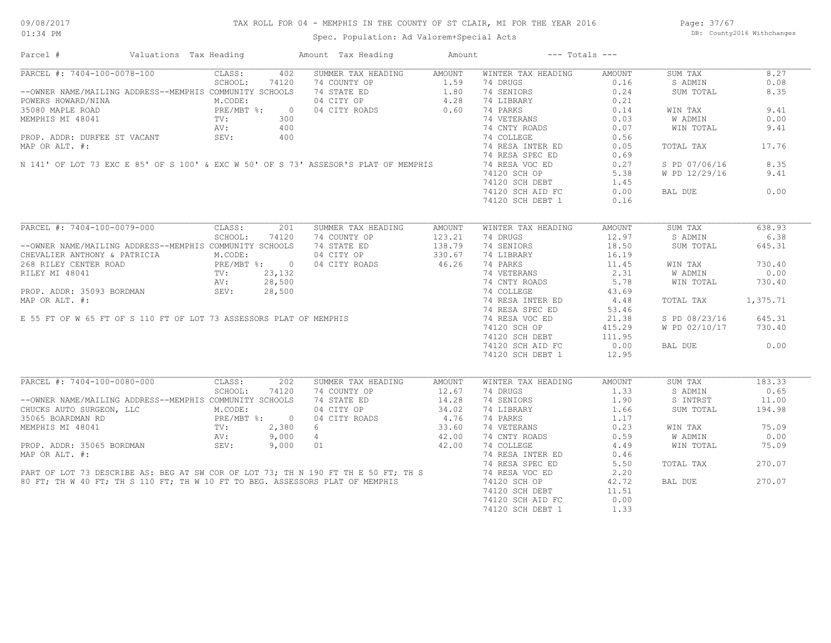## TAX ROLL FOR 04 - MEMPHIS IN THE COUNTY OF ST CLAIR, MI FOR THE YEAR 2016

Spec. Population: Ad Valorem+Special Acts

Page: 37/67 DB: County2016 Withchanges

| Parcel #                                                                                                                 | Valuations Tax Heading                   |         |                | Amount Tax Heading                                                                                                                                                                                                             | Amount        |                                  | $---$ Totals $---$ |                |          |
|--------------------------------------------------------------------------------------------------------------------------|------------------------------------------|---------|----------------|--------------------------------------------------------------------------------------------------------------------------------------------------------------------------------------------------------------------------------|---------------|----------------------------------|--------------------|----------------|----------|
| PARCEL #: 7404-100-0078-100                                                                                              |                                          | CLASS:  | 402            | SUMMER TAX HEADING                                                                                                                                                                                                             | AMOUNT        | WINTER TAX HEADING               | AMOUNT             | SUM TAX        | 8.27     |
|                                                                                                                          |                                          | SCHOOL: | 74120          | 74 COUNTY OP                                                                                                                                                                                                                   | 1.59          | 74 DRUGS                         | 0.16               | S ADMIN        | 0.08     |
| --OWNER NAME/MAILING ADDRESS--MEMPHIS COMMUNITY SCHOOLS                                                                  |                                          |         |                | 74 STATE ED 1.80                                                                                                                                                                                                               |               | 74 SENIORS                       | 0.24               | SUM TOTAL      | 8.35     |
| POWERS HOWARD/NINA                                                                                                       |                                          | M.CODE: |                | 04 CITY OP                                                                                                                                                                                                                     | 4.28          | 74 LIBRARY                       | 0.21               |                |          |
| 35080 MAPLE ROAD                                                                                                         | PRE/MBT %:                               |         | $\overline{0}$ | 04 CITY ROADS                                                                                                                                                                                                                  | 0.60          | 74 PARKS                         | 0.14               | WIN TAX        | 9.41     |
| MEMPHIS MI 48041                                                                                                         |                                          | TV:     | 300            |                                                                                                                                                                                                                                |               | 74 VETERANS                      | 0.03               | <b>W ADMIN</b> | 0.00     |
|                                                                                                                          |                                          | AV:     | 400            |                                                                                                                                                                                                                                |               | 74 CNTY ROADS                    | 0.07               | WIN TOTAL      | 9.41     |
| PROP. ADDR: DURFEE ST VACANT                                                                                             |                                          | SEV:    | 400            |                                                                                                                                                                                                                                |               | 74 COLLEGE                       | 0.56               |                |          |
| MAP OR ALT. #:                                                                                                           |                                          |         |                |                                                                                                                                                                                                                                |               | 74 RESA INTER ED                 | 0.05               | TOTAL TAX      | 17.76    |
|                                                                                                                          |                                          |         |                |                                                                                                                                                                                                                                |               | 74 RESA SPEC ED                  | 0.69               |                |          |
|                                                                                                                          |                                          |         |                | N 141' OF LOT 73 EXC E 85' OF S 100' & EXC W 50' OF S 73' ASSESOR'S PLAT OF MEMPHIS                                                                                                                                            |               | 74 RESA VOC ED                   | 0.27               | S PD 07/06/16  | 8.35     |
|                                                                                                                          |                                          |         |                |                                                                                                                                                                                                                                |               |                                  | 5.38               |                | 9.41     |
|                                                                                                                          |                                          |         |                |                                                                                                                                                                                                                                |               | 74120 SCH OP                     |                    | W PD 12/29/16  |          |
|                                                                                                                          |                                          |         |                |                                                                                                                                                                                                                                |               | 74120 SCH DEBT                   | 1.45               |                |          |
|                                                                                                                          |                                          |         |                |                                                                                                                                                                                                                                |               | 74120 SCH AID FC                 | 0.00               | BAL DUE        | 0.00     |
|                                                                                                                          |                                          |         |                |                                                                                                                                                                                                                                |               | 74120 SCH DEBT 1                 | 0.16               |                |          |
|                                                                                                                          |                                          |         |                |                                                                                                                                                                                                                                |               |                                  |                    |                |          |
| PARCEL #: 7404-100-0079-000                                                                                              |                                          | CLASS:  | 201            | SUMMER TAX HEADING                                                                                                                                                                                                             | <b>AMOUNT</b> | WINTER TAX HEADING               | <b>AMOUNT</b>      | SUM TAX        | 638.93   |
|                                                                                                                          |                                          | SCHOOL: | 74120          | 74 COUNTY OP                                                                                                                                                                                                                   | 123.21        | 74 DRUGS                         | 12.97              | S ADMIN        | 6.38     |
| --OWNER NAME/MAILING ADDRESS--MEMPHIS COMMUNITY SCHOOLS                                                                  |                                          |         |                | 74 STATE ED                                                                                                                                                                                                                    | 138.79        | 74 SENIORS                       | 18.50              | SUM TOTAL      | 645.31   |
| CHEVALIER ANTHONY & PATRICIA                                                                                             |                                          | M.CODE: |                | 04 CITY OP                                                                                                                                                                                                                     | 330.67        | 74 LIBRARY                       | 16.19              |                |          |
|                                                                                                                          | PRE/MBT %: 0<br>TV: 23,132<br>AV: 28,500 |         |                | FREAD PREAD PRESS CONTRER ROAD PRESS CONTRER ROAD PRESS CONTRER ROAD TV: 23,132<br>AV: 28,500<br>PROP. ADDR: 35093 BORDMAN SEV: 28,500<br>MAP OR ALT. #:<br>E 55 FT OF W 65 FT OF S 110 FT OF LOT 73 ASSESSORS PLAT OF MEMPHIS |               | 74 PARKS                         | 11.45              | WIN TAX        | 730.40   |
|                                                                                                                          |                                          |         |                |                                                                                                                                                                                                                                |               | 74 VETERANS                      | 2.31               | W ADMIN        | 0.00     |
|                                                                                                                          |                                          |         |                |                                                                                                                                                                                                                                |               | 74 CNTY ROADS                    | 5.78               | WIN TOTAL      | 730.40   |
|                                                                                                                          |                                          |         |                |                                                                                                                                                                                                                                |               | 74 COLLEGE                       | 43.69              |                |          |
|                                                                                                                          |                                          |         |                |                                                                                                                                                                                                                                |               | 74 RESA INTER ED                 | 4.48               | TOTAL TAX      | 1,375.71 |
|                                                                                                                          |                                          |         |                |                                                                                                                                                                                                                                |               | 74 RESA SPEC ED                  | 53.46              |                |          |
|                                                                                                                          |                                          |         |                |                                                                                                                                                                                                                                |               |                                  |                    |                |          |
|                                                                                                                          |                                          |         |                |                                                                                                                                                                                                                                |               | 74 RESA VOC ED                   | 21.38              | S PD 08/23/16  | 645.31   |
|                                                                                                                          |                                          |         |                |                                                                                                                                                                                                                                |               | 74120 SCH OP<br>$74120$ SCH DEBT | 415.29             | W PD 02/10/17  | 730.40   |
|                                                                                                                          |                                          |         |                |                                                                                                                                                                                                                                |               |                                  | 111.95             |                |          |
|                                                                                                                          |                                          |         |                |                                                                                                                                                                                                                                |               | 74120 SCH AID FC                 | 0.00               | BAL DUE        | 0.00     |
|                                                                                                                          |                                          |         |                |                                                                                                                                                                                                                                |               | 74120 SCH DEBT 1                 | 12.95              |                |          |
|                                                                                                                          |                                          |         |                |                                                                                                                                                                                                                                |               |                                  |                    |                |          |
| PARCEL #: 7404-100-0080-000                                                                                              |                                          | CLASS:  | 202            | SUMMER TAX HEADING                                                                                                                                                                                                             | <b>AMOUNT</b> | WINTER TAX HEADING               | AMOUNT             | SUM TAX        | 183.33   |
|                                                                                                                          |                                          | SCHOOL: | 74120          | 74 COUNTY OP                                                                                                                                                                                                                   | 12.67         | 74 DRUGS                         | 1.33               | S ADMIN        | 0.65     |
| --OWNER NAME/MAILING ADDRESS--MEMPHIS COMMUNITY SCHOOLS                                                                  |                                          |         |                | 74 STATE ED                                                                                                                                                                                                                    | 14.28         | 74 SENIORS                       | 1.90               | S INTRST       | 11.00    |
| CHUCKS AUTO SURGEON, LLC                                                                                                 |                                          | M.CODE: |                | 04 CITY OP                                                                                                                                                                                                                     | 34.02         | 74 LIBRARY                       | 1.66               | SUM TOTAL      | 194.98   |
|                                                                                                                          |                                          |         |                | 04 CITY ROADS                                                                                                                                                                                                                  | 4.76          | 74 PARKS                         | 1.17               |                |          |
|                                                                                                                          |                                          |         |                | 6                                                                                                                                                                                                                              | 33.60         | 74 VETERANS                      | 0.23               | WIN TAX        | 75.09    |
| 35065 BOARDMAN RD<br>MEMPHIS MI 48041 PRE/MBT %: 0<br>MEMPHIS MI 48041 PV: 2,380<br>PROP. ADDR: 35065 BORDMAN SEV: 9,000 |                                          |         |                | $4\overline{ }$                                                                                                                                                                                                                | 42.00         | 74 CNTY ROADS                    | 0.59               | W ADMIN        | 0.00     |
|                                                                                                                          |                                          |         |                | 01                                                                                                                                                                                                                             | 42.00         | 74 COLLEGE                       | 4.49               | WIN TOTAL      | 75.09    |
| MAP OR ALT. #:                                                                                                           |                                          |         |                |                                                                                                                                                                                                                                |               | 74 RESA INTER ED                 | 0.46               |                |          |
|                                                                                                                          |                                          |         |                |                                                                                                                                                                                                                                |               | 74 RESA SPEC ED                  | 5.50               | TOTAL TAX      | 270.07   |
|                                                                                                                          |                                          |         |                | PART OF LOT 73 DESCRIBE AS: BEG AT SW COR OF LOT 73; TH N 190 FT TH E 50 FT; TH S<br>80 FT; TH W 40 FT; TH S 110 FT; TH W 10 FT TO BEG. ASSESSORS PLAT OF MEMPHIS                                                              |               | 74 RESA VOC ED                   | 2.20               |                |          |
|                                                                                                                          |                                          |         |                |                                                                                                                                                                                                                                |               | 74120 SCH OP                     | 42.72              | BAL DUE        | 270.07   |
|                                                                                                                          |                                          |         |                |                                                                                                                                                                                                                                |               | 74120 SCH DEBT                   | 11.51              |                |          |
|                                                                                                                          |                                          |         |                |                                                                                                                                                                                                                                |               |                                  |                    |                |          |
|                                                                                                                          |                                          |         |                |                                                                                                                                                                                                                                |               | 74120 SCH AID FC                 | 0.00               |                |          |
|                                                                                                                          |                                          |         |                |                                                                                                                                                                                                                                |               | 74120 SCH DEBT 1                 | 1.33               |                |          |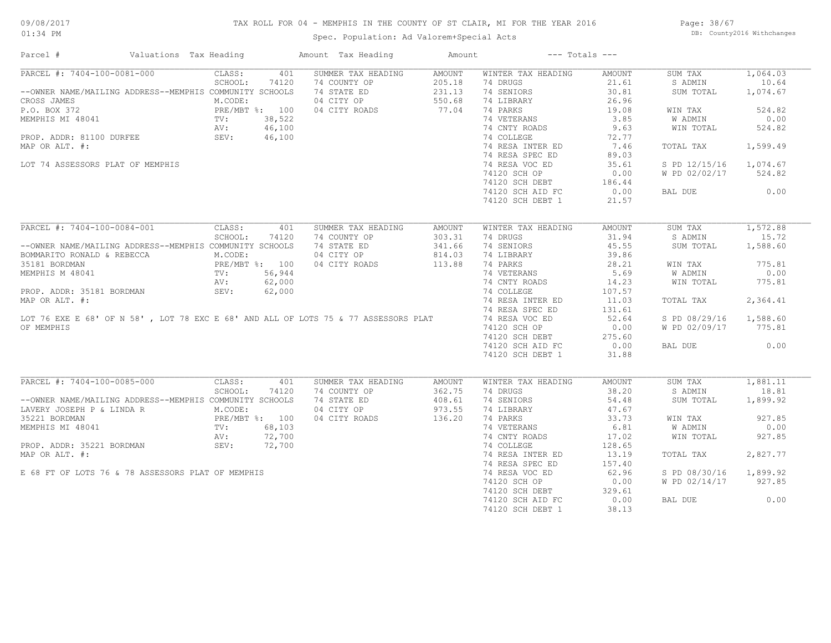## TAX ROLL FOR 04 - MEMPHIS IN THE COUNTY OF ST CLAIR, MI FOR THE YEAR 2016

Spec. Population: Ad Valorem+Special Acts

Page: 38/67 DB: County2016 Withchanges

| CLASS:<br>401<br>SUMMER TAX HEADING<br>WINTER TAX HEADING<br>1,064.03<br>AMOUNT<br>AMOUNT<br>SUM TAX<br>SCHOOL:<br>74 DRUGS<br>21.61<br>10.64<br>74120<br>74 COUNTY OP<br>205.18<br>S ADMIN<br>231.13<br>--OWNER NAME/MAILING ADDRESS--MEMPHIS COMMUNITY SCHOOLS<br>74 STATE ED<br>74 SENIORS<br>30.81<br>1,074.67<br>SUM TOTAL<br>04 CITY OP<br>550.68<br>74 LIBRARY<br>26.96<br>M.CODE:<br>77.04<br>PRE/MBT %: 100<br>04 CITY ROADS<br>74 PARKS<br>19.08<br>524.82<br>WIN TAX<br>3.85<br>MEMPHIS MI 48041<br>TV:<br>38,522<br>74 VETERANS<br>W ADMIN<br>0.00<br>74 CNTY ROADS<br>AV:<br>46,100<br>9.63<br>WIN TOTAL<br>524.82<br>SEV:<br>PROP. ADDR: 81100 DURFEE<br>46,100<br>74 COLLEGE<br>72.77<br>MAP OR ALT. #:<br>74 RESA INTER ED<br>7.46<br>TOTAL TAX<br>1,599.49<br>74 RESA SPEC ED<br>89.03<br>1,074.67<br>LOT 74 ASSESSORS PLAT OF MEMPHIS<br>74 RESA VOC ED<br>35.61<br>S PD 12/15/16<br>74120 SCH OP<br>0.00<br>524.82<br>W PD 02/02/17<br>BAL DUE<br>0.00<br>74120 SCH DEBT 1<br>21.57<br>PARCEL #: 7404-100-0084-001<br>1,572.88<br>CLASS:<br>401<br>SUMMER TAX HEADING<br>WINTER TAX HEADING<br><b>AMOUNT</b><br>SUM TAX<br><b>AMOUNT</b><br>31.94<br>15.72<br>SCHOOL:<br>74120<br>74 COUNTY OP<br>303.31<br>74 DRUGS<br>S ADMIN<br>45.55<br>74 STATE ED<br>341.66<br>74 SENIORS<br>1,588.60<br>--OWNER NAME/MAILING ADDRESS--MEMPHIS COMMUNITY SCHOOLS<br>SUM TOTAL<br>04 CITY OP<br>814.03<br>39.86<br>BOMMARITO RONALD & REBECCA<br>M.CODE:<br>74 LIBRARY<br>PRE/MBT %: 100<br>TV: 56,944<br>04 CITY ROADS<br>113.88<br>74 PARKS<br>28.21<br>775.81<br>35181 BORDMAN<br>WIN TAX<br>74 VETERANS<br>5.69<br>W ADMIN<br>0.00<br>MEMPHIS M 48041<br>AV:<br>62,000<br>74 CNTY ROADS<br>14.23<br>WIN TOTAL<br>775.81<br>74 COLLEGE<br>PROP. ADDR: 35181 BORDMAN<br>SEV:<br>62,000<br>107.57<br>74 RESA INTER ED<br>2,364.41<br>MAP OR ALT. #:<br>MAP OR ALT. #:<br>LOT 76 EXE E 68' OF N 58', LOT 78 EXC E 68' AND ALL OF LOTS 75 & 77 ASSESSORS PLAT<br>11.03<br>TOTAL TAX<br>74 RESA SPEC ED<br>131.61<br>74 RESA VOC ED<br>52.64<br>S PD 08/29/16<br>1,588.60<br>OF MEMPHIS<br>74120 SCH OP<br>0.00<br>W PD 02/09/17<br>775.81<br>275.60<br>74120 SCH DEBT<br>74120 SCH AID FC<br>0.00<br>0.00<br>BAL DUE<br>74120 SCH DEBT 1<br>31.88<br>PARCEL #: 7404-100-0085-000<br>CLASS:<br>SUMMER TAX HEADING<br>SUM TAX<br>1,881.11<br>401<br><b>AMOUNT</b><br>WINTER TAX HEADING<br><b>AMOUNT</b><br>18.81<br>SCHOOL:<br>74120<br>74 COUNTY OP<br>362.75<br>74 DRUGS<br>38.20<br>S ADMIN<br>--OWNER NAME/MAILING ADDRESS--MEMPHIS COMMUNITY SCHOOLS<br>408.61<br>74 STATE ED<br>74 SENIORS<br>54.48<br>SUM TOTAL<br>1,899.92<br>LAVERY JOSEPH P & LINDA R<br>M.CODE:<br>04 CITY OP<br>973.55<br>74 LIBRARY<br>47.67<br>136.20<br>74 PARKS<br>33.73<br>927.85<br>35221 BORDMAN<br>PRE/MBT %: 100<br>04 CITY ROADS<br>WIN TAX<br>$\texttt{TV}$ :<br>68,103<br>74 VETERANS<br>6.81<br>W ADMIN<br>0.00<br>MEMPHIS MI 48041<br>927.85<br>72,700<br>74 CNTY ROADS<br>17.02<br>WIN TOTAL<br>AV:<br>SEV:<br>PROP. ADDR: 35221 BORDMAN<br>72,700<br>74 COLLEGE<br>128.65<br>13.19<br>2,827.77<br>74 RESA INTER ED<br>TOTAL TAX<br>74 RESA SPEC ED<br>157.40<br>E 68 FT OF LOTS 76 & 78 ASSESSORS PLAT OF MEMPHIS<br>74 RESA VOC ED<br>62.96<br>1,899.92<br>S PD 08/30/16<br>74120 SCH OP<br>0.00<br>W PD 02/14/17<br>927.85<br>74120 SCH DEBT<br>329.61<br>0.00<br>74120 SCH AID FC<br>BAL DUE<br>0.00<br>38.13 | Parcel #<br>Valuations Tax Heading | Amount Tax Heading | Amount | $---$ Totals $---$ |  |  |
|--------------------------------------------------------------------------------------------------------------------------------------------------------------------------------------------------------------------------------------------------------------------------------------------------------------------------------------------------------------------------------------------------------------------------------------------------------------------------------------------------------------------------------------------------------------------------------------------------------------------------------------------------------------------------------------------------------------------------------------------------------------------------------------------------------------------------------------------------------------------------------------------------------------------------------------------------------------------------------------------------------------------------------------------------------------------------------------------------------------------------------------------------------------------------------------------------------------------------------------------------------------------------------------------------------------------------------------------------------------------------------------------------------------------------------------------------------------------------------------------------------------------------------------------------------------------------------------------------------------------------------------------------------------------------------------------------------------------------------------------------------------------------------------------------------------------------------------------------------------------------------------------------------------------------------------------------------------------------------------------------------------------------------------------------------------------------------------------------------------------------------------------------------------------------------------------------------------------------------------------------------------------------------------------------------------------------------------------------------------------------------------------------------------------------------------------------------------------------------------------------------------------------------------------------------------------------------------------------------------------------------------------------------------------------------------------------------------------------------------------------------------------------------------------------------------------------------------------------------------------------------------------------------------------------------------------------------------------------------------------------------------------------------------------------------------------------------------------------------------------------------------------------------------------------------------------------------------------------------------------------------------------------------------------------------------------------------------------------------------------------------------------------------------------|------------------------------------|--------------------|--------|--------------------|--|--|
|                                                                                                                                                                                                                                                                                                                                                                                                                                                                                                                                                                                                                                                                                                                                                                                                                                                                                                                                                                                                                                                                                                                                                                                                                                                                                                                                                                                                                                                                                                                                                                                                                                                                                                                                                                                                                                                                                                                                                                                                                                                                                                                                                                                                                                                                                                                                                                                                                                                                                                                                                                                                                                                                                                                                                                                                                                                                                                                                                                                                                                                                                                                                                                                                                                                                                                                                                                                                                    | PARCEL #: 7404-100-0081-000        |                    |        |                    |  |  |
|                                                                                                                                                                                                                                                                                                                                                                                                                                                                                                                                                                                                                                                                                                                                                                                                                                                                                                                                                                                                                                                                                                                                                                                                                                                                                                                                                                                                                                                                                                                                                                                                                                                                                                                                                                                                                                                                                                                                                                                                                                                                                                                                                                                                                                                                                                                                                                                                                                                                                                                                                                                                                                                                                                                                                                                                                                                                                                                                                                                                                                                                                                                                                                                                                                                                                                                                                                                                                    |                                    |                    |        |                    |  |  |
|                                                                                                                                                                                                                                                                                                                                                                                                                                                                                                                                                                                                                                                                                                                                                                                                                                                                                                                                                                                                                                                                                                                                                                                                                                                                                                                                                                                                                                                                                                                                                                                                                                                                                                                                                                                                                                                                                                                                                                                                                                                                                                                                                                                                                                                                                                                                                                                                                                                                                                                                                                                                                                                                                                                                                                                                                                                                                                                                                                                                                                                                                                                                                                                                                                                                                                                                                                                                                    |                                    |                    |        |                    |  |  |
|                                                                                                                                                                                                                                                                                                                                                                                                                                                                                                                                                                                                                                                                                                                                                                                                                                                                                                                                                                                                                                                                                                                                                                                                                                                                                                                                                                                                                                                                                                                                                                                                                                                                                                                                                                                                                                                                                                                                                                                                                                                                                                                                                                                                                                                                                                                                                                                                                                                                                                                                                                                                                                                                                                                                                                                                                                                                                                                                                                                                                                                                                                                                                                                                                                                                                                                                                                                                                    | CROSS JAMES                        |                    |        |                    |  |  |
|                                                                                                                                                                                                                                                                                                                                                                                                                                                                                                                                                                                                                                                                                                                                                                                                                                                                                                                                                                                                                                                                                                                                                                                                                                                                                                                                                                                                                                                                                                                                                                                                                                                                                                                                                                                                                                                                                                                                                                                                                                                                                                                                                                                                                                                                                                                                                                                                                                                                                                                                                                                                                                                                                                                                                                                                                                                                                                                                                                                                                                                                                                                                                                                                                                                                                                                                                                                                                    | P.O. BOX 372                       |                    |        |                    |  |  |
|                                                                                                                                                                                                                                                                                                                                                                                                                                                                                                                                                                                                                                                                                                                                                                                                                                                                                                                                                                                                                                                                                                                                                                                                                                                                                                                                                                                                                                                                                                                                                                                                                                                                                                                                                                                                                                                                                                                                                                                                                                                                                                                                                                                                                                                                                                                                                                                                                                                                                                                                                                                                                                                                                                                                                                                                                                                                                                                                                                                                                                                                                                                                                                                                                                                                                                                                                                                                                    |                                    |                    |        |                    |  |  |
|                                                                                                                                                                                                                                                                                                                                                                                                                                                                                                                                                                                                                                                                                                                                                                                                                                                                                                                                                                                                                                                                                                                                                                                                                                                                                                                                                                                                                                                                                                                                                                                                                                                                                                                                                                                                                                                                                                                                                                                                                                                                                                                                                                                                                                                                                                                                                                                                                                                                                                                                                                                                                                                                                                                                                                                                                                                                                                                                                                                                                                                                                                                                                                                                                                                                                                                                                                                                                    |                                    |                    |        |                    |  |  |
|                                                                                                                                                                                                                                                                                                                                                                                                                                                                                                                                                                                                                                                                                                                                                                                                                                                                                                                                                                                                                                                                                                                                                                                                                                                                                                                                                                                                                                                                                                                                                                                                                                                                                                                                                                                                                                                                                                                                                                                                                                                                                                                                                                                                                                                                                                                                                                                                                                                                                                                                                                                                                                                                                                                                                                                                                                                                                                                                                                                                                                                                                                                                                                                                                                                                                                                                                                                                                    |                                    |                    |        |                    |  |  |
|                                                                                                                                                                                                                                                                                                                                                                                                                                                                                                                                                                                                                                                                                                                                                                                                                                                                                                                                                                                                                                                                                                                                                                                                                                                                                                                                                                                                                                                                                                                                                                                                                                                                                                                                                                                                                                                                                                                                                                                                                                                                                                                                                                                                                                                                                                                                                                                                                                                                                                                                                                                                                                                                                                                                                                                                                                                                                                                                                                                                                                                                                                                                                                                                                                                                                                                                                                                                                    |                                    |                    |        |                    |  |  |
|                                                                                                                                                                                                                                                                                                                                                                                                                                                                                                                                                                                                                                                                                                                                                                                                                                                                                                                                                                                                                                                                                                                                                                                                                                                                                                                                                                                                                                                                                                                                                                                                                                                                                                                                                                                                                                                                                                                                                                                                                                                                                                                                                                                                                                                                                                                                                                                                                                                                                                                                                                                                                                                                                                                                                                                                                                                                                                                                                                                                                                                                                                                                                                                                                                                                                                                                                                                                                    |                                    |                    |        |                    |  |  |
|                                                                                                                                                                                                                                                                                                                                                                                                                                                                                                                                                                                                                                                                                                                                                                                                                                                                                                                                                                                                                                                                                                                                                                                                                                                                                                                                                                                                                                                                                                                                                                                                                                                                                                                                                                                                                                                                                                                                                                                                                                                                                                                                                                                                                                                                                                                                                                                                                                                                                                                                                                                                                                                                                                                                                                                                                                                                                                                                                                                                                                                                                                                                                                                                                                                                                                                                                                                                                    |                                    |                    |        |                    |  |  |
|                                                                                                                                                                                                                                                                                                                                                                                                                                                                                                                                                                                                                                                                                                                                                                                                                                                                                                                                                                                                                                                                                                                                                                                                                                                                                                                                                                                                                                                                                                                                                                                                                                                                                                                                                                                                                                                                                                                                                                                                                                                                                                                                                                                                                                                                                                                                                                                                                                                                                                                                                                                                                                                                                                                                                                                                                                                                                                                                                                                                                                                                                                                                                                                                                                                                                                                                                                                                                    |                                    |                    |        |                    |  |  |
|                                                                                                                                                                                                                                                                                                                                                                                                                                                                                                                                                                                                                                                                                                                                                                                                                                                                                                                                                                                                                                                                                                                                                                                                                                                                                                                                                                                                                                                                                                                                                                                                                                                                                                                                                                                                                                                                                                                                                                                                                                                                                                                                                                                                                                                                                                                                                                                                                                                                                                                                                                                                                                                                                                                                                                                                                                                                                                                                                                                                                                                                                                                                                                                                                                                                                                                                                                                                                    |                                    |                    |        |                    |  |  |
|                                                                                                                                                                                                                                                                                                                                                                                                                                                                                                                                                                                                                                                                                                                                                                                                                                                                                                                                                                                                                                                                                                                                                                                                                                                                                                                                                                                                                                                                                                                                                                                                                                                                                                                                                                                                                                                                                                                                                                                                                                                                                                                                                                                                                                                                                                                                                                                                                                                                                                                                                                                                                                                                                                                                                                                                                                                                                                                                                                                                                                                                                                                                                                                                                                                                                                                                                                                                                    |                                    |                    |        |                    |  |  |
|                                                                                                                                                                                                                                                                                                                                                                                                                                                                                                                                                                                                                                                                                                                                                                                                                                                                                                                                                                                                                                                                                                                                                                                                                                                                                                                                                                                                                                                                                                                                                                                                                                                                                                                                                                                                                                                                                                                                                                                                                                                                                                                                                                                                                                                                                                                                                                                                                                                                                                                                                                                                                                                                                                                                                                                                                                                                                                                                                                                                                                                                                                                                                                                                                                                                                                                                                                                                                    |                                    |                    |        |                    |  |  |
|                                                                                                                                                                                                                                                                                                                                                                                                                                                                                                                                                                                                                                                                                                                                                                                                                                                                                                                                                                                                                                                                                                                                                                                                                                                                                                                                                                                                                                                                                                                                                                                                                                                                                                                                                                                                                                                                                                                                                                                                                                                                                                                                                                                                                                                                                                                                                                                                                                                                                                                                                                                                                                                                                                                                                                                                                                                                                                                                                                                                                                                                                                                                                                                                                                                                                                                                                                                                                    |                                    |                    |        |                    |  |  |
|                                                                                                                                                                                                                                                                                                                                                                                                                                                                                                                                                                                                                                                                                                                                                                                                                                                                                                                                                                                                                                                                                                                                                                                                                                                                                                                                                                                                                                                                                                                                                                                                                                                                                                                                                                                                                                                                                                                                                                                                                                                                                                                                                                                                                                                                                                                                                                                                                                                                                                                                                                                                                                                                                                                                                                                                                                                                                                                                                                                                                                                                                                                                                                                                                                                                                                                                                                                                                    |                                    |                    |        |                    |  |  |
|                                                                                                                                                                                                                                                                                                                                                                                                                                                                                                                                                                                                                                                                                                                                                                                                                                                                                                                                                                                                                                                                                                                                                                                                                                                                                                                                                                                                                                                                                                                                                                                                                                                                                                                                                                                                                                                                                                                                                                                                                                                                                                                                                                                                                                                                                                                                                                                                                                                                                                                                                                                                                                                                                                                                                                                                                                                                                                                                                                                                                                                                                                                                                                                                                                                                                                                                                                                                                    |                                    |                    |        |                    |  |  |
|                                                                                                                                                                                                                                                                                                                                                                                                                                                                                                                                                                                                                                                                                                                                                                                                                                                                                                                                                                                                                                                                                                                                                                                                                                                                                                                                                                                                                                                                                                                                                                                                                                                                                                                                                                                                                                                                                                                                                                                                                                                                                                                                                                                                                                                                                                                                                                                                                                                                                                                                                                                                                                                                                                                                                                                                                                                                                                                                                                                                                                                                                                                                                                                                                                                                                                                                                                                                                    |                                    |                    |        |                    |  |  |
|                                                                                                                                                                                                                                                                                                                                                                                                                                                                                                                                                                                                                                                                                                                                                                                                                                                                                                                                                                                                                                                                                                                                                                                                                                                                                                                                                                                                                                                                                                                                                                                                                                                                                                                                                                                                                                                                                                                                                                                                                                                                                                                                                                                                                                                                                                                                                                                                                                                                                                                                                                                                                                                                                                                                                                                                                                                                                                                                                                                                                                                                                                                                                                                                                                                                                                                                                                                                                    |                                    |                    |        |                    |  |  |
|                                                                                                                                                                                                                                                                                                                                                                                                                                                                                                                                                                                                                                                                                                                                                                                                                                                                                                                                                                                                                                                                                                                                                                                                                                                                                                                                                                                                                                                                                                                                                                                                                                                                                                                                                                                                                                                                                                                                                                                                                                                                                                                                                                                                                                                                                                                                                                                                                                                                                                                                                                                                                                                                                                                                                                                                                                                                                                                                                                                                                                                                                                                                                                                                                                                                                                                                                                                                                    |                                    |                    |        |                    |  |  |
|                                                                                                                                                                                                                                                                                                                                                                                                                                                                                                                                                                                                                                                                                                                                                                                                                                                                                                                                                                                                                                                                                                                                                                                                                                                                                                                                                                                                                                                                                                                                                                                                                                                                                                                                                                                                                                                                                                                                                                                                                                                                                                                                                                                                                                                                                                                                                                                                                                                                                                                                                                                                                                                                                                                                                                                                                                                                                                                                                                                                                                                                                                                                                                                                                                                                                                                                                                                                                    |                                    |                    |        |                    |  |  |
|                                                                                                                                                                                                                                                                                                                                                                                                                                                                                                                                                                                                                                                                                                                                                                                                                                                                                                                                                                                                                                                                                                                                                                                                                                                                                                                                                                                                                                                                                                                                                                                                                                                                                                                                                                                                                                                                                                                                                                                                                                                                                                                                                                                                                                                                                                                                                                                                                                                                                                                                                                                                                                                                                                                                                                                                                                                                                                                                                                                                                                                                                                                                                                                                                                                                                                                                                                                                                    |                                    |                    |        |                    |  |  |
|                                                                                                                                                                                                                                                                                                                                                                                                                                                                                                                                                                                                                                                                                                                                                                                                                                                                                                                                                                                                                                                                                                                                                                                                                                                                                                                                                                                                                                                                                                                                                                                                                                                                                                                                                                                                                                                                                                                                                                                                                                                                                                                                                                                                                                                                                                                                                                                                                                                                                                                                                                                                                                                                                                                                                                                                                                                                                                                                                                                                                                                                                                                                                                                                                                                                                                                                                                                                                    |                                    |                    |        |                    |  |  |
|                                                                                                                                                                                                                                                                                                                                                                                                                                                                                                                                                                                                                                                                                                                                                                                                                                                                                                                                                                                                                                                                                                                                                                                                                                                                                                                                                                                                                                                                                                                                                                                                                                                                                                                                                                                                                                                                                                                                                                                                                                                                                                                                                                                                                                                                                                                                                                                                                                                                                                                                                                                                                                                                                                                                                                                                                                                                                                                                                                                                                                                                                                                                                                                                                                                                                                                                                                                                                    |                                    |                    |        |                    |  |  |
|                                                                                                                                                                                                                                                                                                                                                                                                                                                                                                                                                                                                                                                                                                                                                                                                                                                                                                                                                                                                                                                                                                                                                                                                                                                                                                                                                                                                                                                                                                                                                                                                                                                                                                                                                                                                                                                                                                                                                                                                                                                                                                                                                                                                                                                                                                                                                                                                                                                                                                                                                                                                                                                                                                                                                                                                                                                                                                                                                                                                                                                                                                                                                                                                                                                                                                                                                                                                                    |                                    |                    |        |                    |  |  |
|                                                                                                                                                                                                                                                                                                                                                                                                                                                                                                                                                                                                                                                                                                                                                                                                                                                                                                                                                                                                                                                                                                                                                                                                                                                                                                                                                                                                                                                                                                                                                                                                                                                                                                                                                                                                                                                                                                                                                                                                                                                                                                                                                                                                                                                                                                                                                                                                                                                                                                                                                                                                                                                                                                                                                                                                                                                                                                                                                                                                                                                                                                                                                                                                                                                                                                                                                                                                                    |                                    |                    |        |                    |  |  |
|                                                                                                                                                                                                                                                                                                                                                                                                                                                                                                                                                                                                                                                                                                                                                                                                                                                                                                                                                                                                                                                                                                                                                                                                                                                                                                                                                                                                                                                                                                                                                                                                                                                                                                                                                                                                                                                                                                                                                                                                                                                                                                                                                                                                                                                                                                                                                                                                                                                                                                                                                                                                                                                                                                                                                                                                                                                                                                                                                                                                                                                                                                                                                                                                                                                                                                                                                                                                                    |                                    |                    |        |                    |  |  |
|                                                                                                                                                                                                                                                                                                                                                                                                                                                                                                                                                                                                                                                                                                                                                                                                                                                                                                                                                                                                                                                                                                                                                                                                                                                                                                                                                                                                                                                                                                                                                                                                                                                                                                                                                                                                                                                                                                                                                                                                                                                                                                                                                                                                                                                                                                                                                                                                                                                                                                                                                                                                                                                                                                                                                                                                                                                                                                                                                                                                                                                                                                                                                                                                                                                                                                                                                                                                                    |                                    |                    |        |                    |  |  |
|                                                                                                                                                                                                                                                                                                                                                                                                                                                                                                                                                                                                                                                                                                                                                                                                                                                                                                                                                                                                                                                                                                                                                                                                                                                                                                                                                                                                                                                                                                                                                                                                                                                                                                                                                                                                                                                                                                                                                                                                                                                                                                                                                                                                                                                                                                                                                                                                                                                                                                                                                                                                                                                                                                                                                                                                                                                                                                                                                                                                                                                                                                                                                                                                                                                                                                                                                                                                                    |                                    |                    |        |                    |  |  |
|                                                                                                                                                                                                                                                                                                                                                                                                                                                                                                                                                                                                                                                                                                                                                                                                                                                                                                                                                                                                                                                                                                                                                                                                                                                                                                                                                                                                                                                                                                                                                                                                                                                                                                                                                                                                                                                                                                                                                                                                                                                                                                                                                                                                                                                                                                                                                                                                                                                                                                                                                                                                                                                                                                                                                                                                                                                                                                                                                                                                                                                                                                                                                                                                                                                                                                                                                                                                                    |                                    |                    |        |                    |  |  |
|                                                                                                                                                                                                                                                                                                                                                                                                                                                                                                                                                                                                                                                                                                                                                                                                                                                                                                                                                                                                                                                                                                                                                                                                                                                                                                                                                                                                                                                                                                                                                                                                                                                                                                                                                                                                                                                                                                                                                                                                                                                                                                                                                                                                                                                                                                                                                                                                                                                                                                                                                                                                                                                                                                                                                                                                                                                                                                                                                                                                                                                                                                                                                                                                                                                                                                                                                                                                                    |                                    |                    |        |                    |  |  |
|                                                                                                                                                                                                                                                                                                                                                                                                                                                                                                                                                                                                                                                                                                                                                                                                                                                                                                                                                                                                                                                                                                                                                                                                                                                                                                                                                                                                                                                                                                                                                                                                                                                                                                                                                                                                                                                                                                                                                                                                                                                                                                                                                                                                                                                                                                                                                                                                                                                                                                                                                                                                                                                                                                                                                                                                                                                                                                                                                                                                                                                                                                                                                                                                                                                                                                                                                                                                                    |                                    |                    |        |                    |  |  |
|                                                                                                                                                                                                                                                                                                                                                                                                                                                                                                                                                                                                                                                                                                                                                                                                                                                                                                                                                                                                                                                                                                                                                                                                                                                                                                                                                                                                                                                                                                                                                                                                                                                                                                                                                                                                                                                                                                                                                                                                                                                                                                                                                                                                                                                                                                                                                                                                                                                                                                                                                                                                                                                                                                                                                                                                                                                                                                                                                                                                                                                                                                                                                                                                                                                                                                                                                                                                                    |                                    |                    |        |                    |  |  |
|                                                                                                                                                                                                                                                                                                                                                                                                                                                                                                                                                                                                                                                                                                                                                                                                                                                                                                                                                                                                                                                                                                                                                                                                                                                                                                                                                                                                                                                                                                                                                                                                                                                                                                                                                                                                                                                                                                                                                                                                                                                                                                                                                                                                                                                                                                                                                                                                                                                                                                                                                                                                                                                                                                                                                                                                                                                                                                                                                                                                                                                                                                                                                                                                                                                                                                                                                                                                                    |                                    |                    |        |                    |  |  |
|                                                                                                                                                                                                                                                                                                                                                                                                                                                                                                                                                                                                                                                                                                                                                                                                                                                                                                                                                                                                                                                                                                                                                                                                                                                                                                                                                                                                                                                                                                                                                                                                                                                                                                                                                                                                                                                                                                                                                                                                                                                                                                                                                                                                                                                                                                                                                                                                                                                                                                                                                                                                                                                                                                                                                                                                                                                                                                                                                                                                                                                                                                                                                                                                                                                                                                                                                                                                                    |                                    |                    |        |                    |  |  |
|                                                                                                                                                                                                                                                                                                                                                                                                                                                                                                                                                                                                                                                                                                                                                                                                                                                                                                                                                                                                                                                                                                                                                                                                                                                                                                                                                                                                                                                                                                                                                                                                                                                                                                                                                                                                                                                                                                                                                                                                                                                                                                                                                                                                                                                                                                                                                                                                                                                                                                                                                                                                                                                                                                                                                                                                                                                                                                                                                                                                                                                                                                                                                                                                                                                                                                                                                                                                                    |                                    |                    |        |                    |  |  |
|                                                                                                                                                                                                                                                                                                                                                                                                                                                                                                                                                                                                                                                                                                                                                                                                                                                                                                                                                                                                                                                                                                                                                                                                                                                                                                                                                                                                                                                                                                                                                                                                                                                                                                                                                                                                                                                                                                                                                                                                                                                                                                                                                                                                                                                                                                                                                                                                                                                                                                                                                                                                                                                                                                                                                                                                                                                                                                                                                                                                                                                                                                                                                                                                                                                                                                                                                                                                                    |                                    |                    |        |                    |  |  |
|                                                                                                                                                                                                                                                                                                                                                                                                                                                                                                                                                                                                                                                                                                                                                                                                                                                                                                                                                                                                                                                                                                                                                                                                                                                                                                                                                                                                                                                                                                                                                                                                                                                                                                                                                                                                                                                                                                                                                                                                                                                                                                                                                                                                                                                                                                                                                                                                                                                                                                                                                                                                                                                                                                                                                                                                                                                                                                                                                                                                                                                                                                                                                                                                                                                                                                                                                                                                                    |                                    |                    |        |                    |  |  |
|                                                                                                                                                                                                                                                                                                                                                                                                                                                                                                                                                                                                                                                                                                                                                                                                                                                                                                                                                                                                                                                                                                                                                                                                                                                                                                                                                                                                                                                                                                                                                                                                                                                                                                                                                                                                                                                                                                                                                                                                                                                                                                                                                                                                                                                                                                                                                                                                                                                                                                                                                                                                                                                                                                                                                                                                                                                                                                                                                                                                                                                                                                                                                                                                                                                                                                                                                                                                                    |                                    |                    |        |                    |  |  |
|                                                                                                                                                                                                                                                                                                                                                                                                                                                                                                                                                                                                                                                                                                                                                                                                                                                                                                                                                                                                                                                                                                                                                                                                                                                                                                                                                                                                                                                                                                                                                                                                                                                                                                                                                                                                                                                                                                                                                                                                                                                                                                                                                                                                                                                                                                                                                                                                                                                                                                                                                                                                                                                                                                                                                                                                                                                                                                                                                                                                                                                                                                                                                                                                                                                                                                                                                                                                                    |                                    |                    |        |                    |  |  |
|                                                                                                                                                                                                                                                                                                                                                                                                                                                                                                                                                                                                                                                                                                                                                                                                                                                                                                                                                                                                                                                                                                                                                                                                                                                                                                                                                                                                                                                                                                                                                                                                                                                                                                                                                                                                                                                                                                                                                                                                                                                                                                                                                                                                                                                                                                                                                                                                                                                                                                                                                                                                                                                                                                                                                                                                                                                                                                                                                                                                                                                                                                                                                                                                                                                                                                                                                                                                                    | MAP OR ALT. #:                     |                    |        |                    |  |  |
|                                                                                                                                                                                                                                                                                                                                                                                                                                                                                                                                                                                                                                                                                                                                                                                                                                                                                                                                                                                                                                                                                                                                                                                                                                                                                                                                                                                                                                                                                                                                                                                                                                                                                                                                                                                                                                                                                                                                                                                                                                                                                                                                                                                                                                                                                                                                                                                                                                                                                                                                                                                                                                                                                                                                                                                                                                                                                                                                                                                                                                                                                                                                                                                                                                                                                                                                                                                                                    |                                    |                    |        |                    |  |  |
|                                                                                                                                                                                                                                                                                                                                                                                                                                                                                                                                                                                                                                                                                                                                                                                                                                                                                                                                                                                                                                                                                                                                                                                                                                                                                                                                                                                                                                                                                                                                                                                                                                                                                                                                                                                                                                                                                                                                                                                                                                                                                                                                                                                                                                                                                                                                                                                                                                                                                                                                                                                                                                                                                                                                                                                                                                                                                                                                                                                                                                                                                                                                                                                                                                                                                                                                                                                                                    |                                    |                    |        |                    |  |  |
|                                                                                                                                                                                                                                                                                                                                                                                                                                                                                                                                                                                                                                                                                                                                                                                                                                                                                                                                                                                                                                                                                                                                                                                                                                                                                                                                                                                                                                                                                                                                                                                                                                                                                                                                                                                                                                                                                                                                                                                                                                                                                                                                                                                                                                                                                                                                                                                                                                                                                                                                                                                                                                                                                                                                                                                                                                                                                                                                                                                                                                                                                                                                                                                                                                                                                                                                                                                                                    |                                    |                    |        |                    |  |  |
|                                                                                                                                                                                                                                                                                                                                                                                                                                                                                                                                                                                                                                                                                                                                                                                                                                                                                                                                                                                                                                                                                                                                                                                                                                                                                                                                                                                                                                                                                                                                                                                                                                                                                                                                                                                                                                                                                                                                                                                                                                                                                                                                                                                                                                                                                                                                                                                                                                                                                                                                                                                                                                                                                                                                                                                                                                                                                                                                                                                                                                                                                                                                                                                                                                                                                                                                                                                                                    |                                    |                    |        |                    |  |  |
|                                                                                                                                                                                                                                                                                                                                                                                                                                                                                                                                                                                                                                                                                                                                                                                                                                                                                                                                                                                                                                                                                                                                                                                                                                                                                                                                                                                                                                                                                                                                                                                                                                                                                                                                                                                                                                                                                                                                                                                                                                                                                                                                                                                                                                                                                                                                                                                                                                                                                                                                                                                                                                                                                                                                                                                                                                                                                                                                                                                                                                                                                                                                                                                                                                                                                                                                                                                                                    |                                    |                    |        |                    |  |  |
|                                                                                                                                                                                                                                                                                                                                                                                                                                                                                                                                                                                                                                                                                                                                                                                                                                                                                                                                                                                                                                                                                                                                                                                                                                                                                                                                                                                                                                                                                                                                                                                                                                                                                                                                                                                                                                                                                                                                                                                                                                                                                                                                                                                                                                                                                                                                                                                                                                                                                                                                                                                                                                                                                                                                                                                                                                                                                                                                                                                                                                                                                                                                                                                                                                                                                                                                                                                                                    |                                    |                    |        | 74120 SCH DEBT 1   |  |  |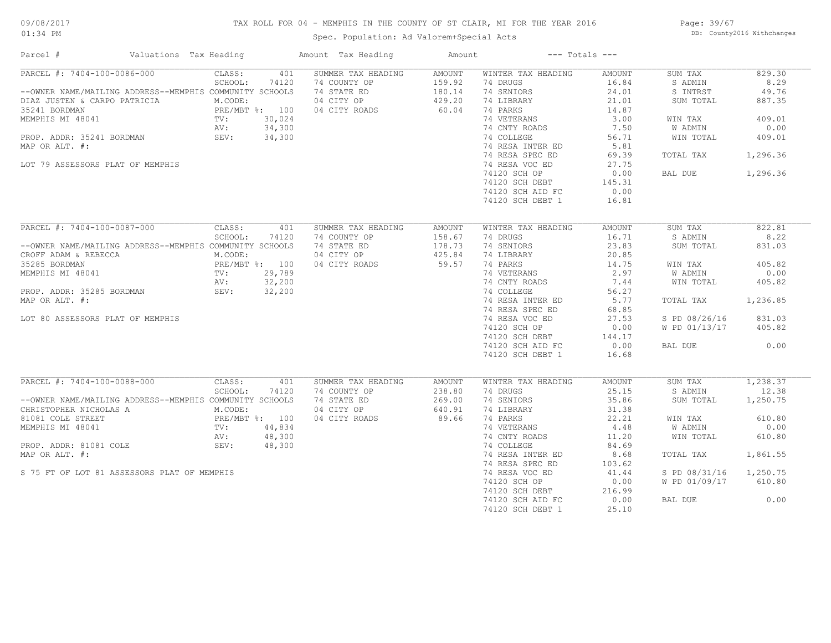## TAX ROLL FOR 04 - MEMPHIS IN THE COUNTY OF ST CLAIR, MI FOR THE YEAR 2016

Spec. Population: Ad Valorem+Special Acts

Page: 39/67 DB: County2016 Withchanges

| Parcel #                                                | Valuations Tax Heading                     | Amount Tax Heading | Amount        |                    | $---$ Totals $---$ |               |          |
|---------------------------------------------------------|--------------------------------------------|--------------------|---------------|--------------------|--------------------|---------------|----------|
| PARCEL #: 7404-100-0086-000                             | CLASS:<br>401                              | SUMMER TAX HEADING | AMOUNT        | WINTER TAX HEADING | AMOUNT             | SUM TAX       | 829.30   |
|                                                         | SCHOOL:<br>74120                           | 74 COUNTY OP       | 159.92        | 74 DRUGS           | 16.84              | S ADMIN       | 8.29     |
| --OWNER NAME/MAILING ADDRESS--MEMPHIS COMMUNITY SCHOOLS |                                            | 74 STATE ED        | 180.14        | 74 SENIORS         | 24.01              | S INTRST      | 49.76    |
| DIAZ JUSTEN & CARPO PATRICIA                            | M.CODE:                                    | 04 CITY OP         | 429.20        | 74 LIBRARY         | 21.01              | SUM TOTAL     | 887.35   |
|                                                         | PRE/MBT %: 100                             | 04 CITY ROADS      | 60.04         | 74 PARKS           | 14.87              |               |          |
|                                                         | 30,024                                     |                    |               | 74 VETERANS        | 3.00               | WIN TAX       | 409.01   |
|                                                         | 34,300                                     |                    |               | 74 CNTY ROADS      | 7.50               | W ADMIN       | 0.00     |
|                                                         | 34,300                                     |                    |               | 74 COLLEGE         | 56.71              | WIN TOTAL     | 409.01   |
| MAP OR ALT. #:                                          |                                            |                    |               | 74 RESA INTER ED   | 5.81               |               |          |
|                                                         |                                            |                    |               | 74 RESA SPEC ED    | 69.39              | TOTAL TAX     | 1,296.36 |
| LOT 79 ASSESSORS PLAT OF MEMPHIS                        |                                            |                    |               | 74 RESA VOC ED     | 27.75              |               |          |
|                                                         |                                            |                    |               | 74120 SCH OP       | 0.00               | BAL DUE       | 1,296.36 |
|                                                         |                                            |                    |               | 74120 SCH DEBT     | 145.31             |               |          |
|                                                         |                                            |                    |               |                    |                    |               |          |
|                                                         |                                            |                    |               | 74120 SCH AID FC   | 0.00               |               |          |
|                                                         |                                            |                    |               | 74120 SCH DEBT 1   | 16.81              |               |          |
| PARCEL #: 7404-100-0087-000                             | CLASS:<br>401                              | SUMMER TAX HEADING | <b>AMOUNT</b> | WINTER TAX HEADING | AMOUNT             | SUM TAX       | 822.81   |
|                                                         | SCHOOL:<br>74120                           | 74 COUNTY OP       | 158.67        | 74 DRUGS           | 16.71              | S ADMIN       | 8.22     |
| --OWNER NAME/MAILING ADDRESS--MEMPHIS COMMUNITY SCHOOLS |                                            | 74 STATE ED        | 178.73        | 74 SENIORS         | 23.83              | SUM TOTAL     | 831.03   |
|                                                         | M.CODE:                                    | 04 CITY OP         | 425.84        | 74 LIBRARY         | 20.85              |               |          |
| CROFF ADAM & REBECCA                                    |                                            |                    |               |                    |                    |               |          |
| 35285 BORDMAN                                           | PRE/MBT %: 100<br>TV: 29,789<br>AV: 32,200 | 04 CITY ROADS      | 59.57         | 74 PARKS           | 14.75              | WIN TAX       | 405.82   |
| MEMPHIS MI 48041                                        |                                            |                    |               | 74 VETERANS        | 2.97               | W ADMIN       | 0.00     |
|                                                         |                                            |                    |               | 74 CNTY ROADS      | 7.44               | WIN TOTAL     | 405.82   |
| PROP. ADDR: 35285 BORDMAN                               | SEV:<br>32,200                             |                    |               | 74 COLLEGE         | 56.27              |               |          |
| MAP OR ALT. #:                                          |                                            |                    |               | 74 RESA INTER ED   | 5.77               | TOTAL TAX     | 1,236.85 |
|                                                         |                                            |                    |               | 74 RESA SPEC ED    | 68.85              |               |          |
| LOT 80 ASSESSORS PLAT OF MEMPHIS                        |                                            |                    |               | 74 RESA VOC ED     | 27.53              | S PD 08/26/16 | 831.03   |
|                                                         |                                            |                    |               | 74120 SCH OP       | 0.00               | W PD 01/13/17 | 405.82   |
|                                                         |                                            |                    |               | 74120 SCH DEBT     | 144.17             |               |          |
|                                                         |                                            |                    |               | 74120 SCH AID FC   | 0.00               | BAL DUE       | 0.00     |
|                                                         |                                            |                    |               | 74120 SCH DEBT 1   | 16.68              |               |          |
|                                                         |                                            |                    |               |                    |                    |               |          |
| PARCEL #: 7404-100-0088-000                             | CLASS:<br>401                              | SUMMER TAX HEADING | AMOUNT        | WINTER TAX HEADING | AMOUNT             | SUM TAX       | 1,238.37 |
|                                                         | SCHOOL:<br>74120                           | 74 COUNTY OP       | 238.80        | 74 DRUGS           | 25.15              | S ADMIN       | 12.38    |
| --OWNER NAME/MAILING ADDRESS--MEMPHIS COMMUNITY SCHOOLS |                                            | 74 STATE ED        | 269.00        | 74 SENIORS         | 35.86              | SUM TOTAL     | 1,250.75 |
| CHRISTOPHER NICHOLAS A                                  | M.CODE:                                    | 04 CITY OP         | 640.91        | 74 LIBRARY         | 31.38              |               |          |
| 81081 COLE STREET                                       | PRE/MBT %: 100<br>TV: 44,834<br>AV: 48.300 | 04 CITY ROADS      | 89.66         | 74 PARKS           | 22.21              | WIN TAX       | 610.80   |
| MEMPHIS MI 48041                                        |                                            |                    |               | 74 VETERANS        | 4.48               | W ADMIN       | 0.00     |
|                                                         | 48,300<br>AV:                              |                    |               | 74 CNTY ROADS      | 11.20              | WIN TOTAL     | 610.80   |
| PROP. ADDR: 81081 COLE                                  | SEV:<br>48,300                             |                    |               | 74 COLLEGE         | 84.69              |               |          |
|                                                         |                                            |                    |               |                    |                    |               |          |
| MAP OR ALT. #:                                          |                                            |                    |               | 74 RESA INTER ED   | 8.68               | TOTAL TAX     | 1,861.55 |
|                                                         |                                            |                    |               | 74 RESA SPEC ED    | 103.62             |               |          |
| S 75 FT OF LOT 81 ASSESSORS PLAT OF MEMPHIS             |                                            |                    |               | 74 RESA VOC ED     | 41.44              | S PD 08/31/16 | 1,250.75 |
|                                                         |                                            |                    |               | 74120 SCH OP       | 0.00               | W PD 01/09/17 | 610.80   |
|                                                         |                                            |                    |               | 74120 SCH DEBT     | 216.99             |               |          |
|                                                         |                                            |                    |               | 74120 SCH AID FC   | 0.00               | BAL DUE       | 0.00     |
|                                                         |                                            |                    |               | 74120 SCH DEBT 1   | 25.10              |               |          |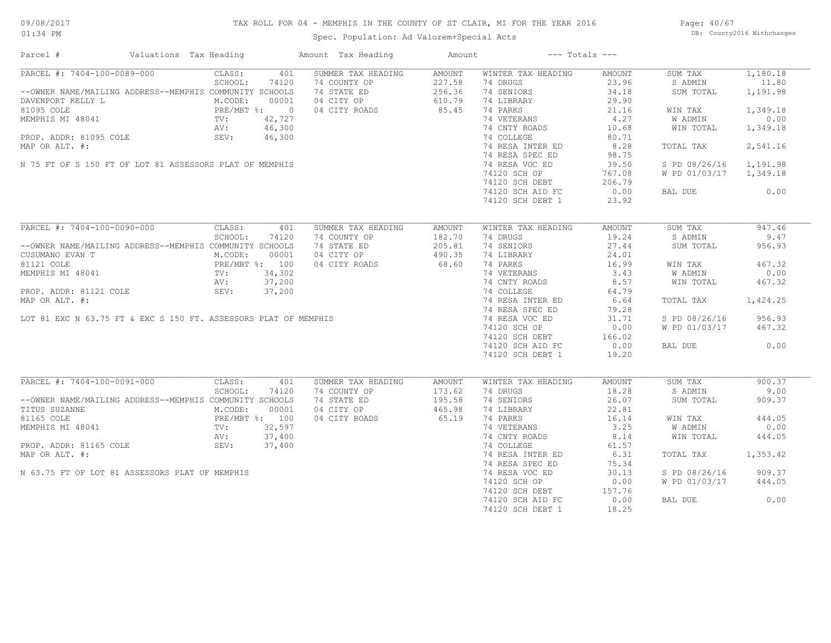## TAX ROLL FOR 04 - MEMPHIS IN THE COUNTY OF ST CLAIR, MI FOR THE YEAR 2016

Spec. Population: Ad Valorem+Special Acts

Page: 40/67 DB: County2016 Withchanges

| Parcel #                                                                                                                                                                                                                | Valuations Tax Heading                                                                           | Amount Tax Heading     | Amount                                      |                                                                  | $---$ Totals $---$ |                        |          |
|-------------------------------------------------------------------------------------------------------------------------------------------------------------------------------------------------------------------------|--------------------------------------------------------------------------------------------------|------------------------|---------------------------------------------|------------------------------------------------------------------|--------------------|------------------------|----------|
| PARCEL #: 7404-100-0089-000                                                                                                                                                                                             | CLASS:                                                                                           | 401 SUMMER TAX HEADING | AMOUNT                                      | WINTER TAX HEADING                                               | AMOUNT             | SUM TAX                | 1,180.18 |
|                                                                                                                                                                                                                         | SCHOOL:<br>74120                                                                                 | 74 COUNTY OP           |                                             | 74 DRUGS                                                         | 23.96              | S ADMIN                | 11.80    |
| --OWNER NAME/MAILING ADDRESS--MEMPHIS COMMUNITY SCHOOLS                                                                                                                                                                 |                                                                                                  | 74 STATE ED            | $227.58$<br>$256.36$<br>$610.79$<br>$85.45$ | 74 SENIORS                                                       | 34.18              | SUM TOTAL              | 1,191.98 |
| DAVENPORT KELLY L<br>MEMPHIS MI 48041 REPORT AND MEMPHIS MI 48041 REPORT AND MEMPHIS MI 48041 REPORT AND MEMPHIS MI 48041 RV: 42,727<br>RNEPHIS MI 48041 RV: 42,727<br>RN: 46,300<br>PROP. ADDR: 81095 COLE SEV: 46,300 |                                                                                                  | 04 CITY OP             |                                             | 74 LIBRARY                                                       | 29.90              |                        |          |
|                                                                                                                                                                                                                         |                                                                                                  | 04 CITY ROADS          |                                             | 74 PARKS                                                         | 21.16              | WIN TAX                | 1,349.18 |
|                                                                                                                                                                                                                         |                                                                                                  |                        |                                             | 74 VETERANS                                                      | 4,27               | W ADMIN                | 0.00     |
|                                                                                                                                                                                                                         |                                                                                                  |                        |                                             | 74 CNTY ROADS                                                    | 10.68              | WIN TOTAL              | 1,349.18 |
|                                                                                                                                                                                                                         |                                                                                                  |                        |                                             | 74 COLLEGE                                                       | 80.71              |                        |          |
| MAP OR ALT. #:                                                                                                                                                                                                          |                                                                                                  |                        |                                             | 74 RESA INTER ED                                                 | 8.28               | TOTAL TAX              | 2,541.16 |
|                                                                                                                                                                                                                         |                                                                                                  |                        |                                             | 74 RESA SPEC ED                                                  | 98.75              |                        |          |
| N 75 FT OF S 150 FT OF LOT 81 ASSESSORS PLAT OF MEMPHIS                                                                                                                                                                 |                                                                                                  |                        |                                             | 74 RESA VOC ED                                                   | 39.50              | S PD 08/26/16          | 1,191.98 |
|                                                                                                                                                                                                                         |                                                                                                  |                        |                                             | 74120 SCH OP                                                     | 767.08             | W PD 01/03/17 1,349.18 |          |
|                                                                                                                                                                                                                         |                                                                                                  |                        |                                             |                                                                  |                    |                        |          |
|                                                                                                                                                                                                                         |                                                                                                  |                        |                                             | 74120 SCH DEBT<br>74120 SCH DEBT 206.79<br>74120 SCH AID FC 0.00 |                    | BAL DUE                | 0.00     |
|                                                                                                                                                                                                                         |                                                                                                  |                        |                                             |                                                                  |                    |                        |          |
|                                                                                                                                                                                                                         |                                                                                                  |                        |                                             | 74120 SCH DEBT 1                                                 | 23.92              |                        |          |
| PARCEL #: 7404-100-0090-000                                                                                                                                                                                             | CLASS:<br>401                                                                                    | SUMMER TAX HEADING     | AMOUNT                                      | WINTER TAX HEADING                                               | AMOUNT             | SUM TAX                | 947.46   |
|                                                                                                                                                                                                                         | SCHOOL:<br>74120                                                                                 | 74 COUNTY OP           | 182.70                                      | 74 DRUGS                                                         | 19.24              | S ADMIN                | 9.47     |
| --OWNER NAME/MAILING ADDRESS--MEMPHIS COMMUNITY SCHOOLS                                                                                                                                                                 |                                                                                                  | 74 STATE ED            | 205.81                                      | 74 SENIORS                                                       | 27.44              | SUM TOTAL              | 956.93   |
|                                                                                                                                                                                                                         | MILLING ADDRESS M.CODE:<br>T M.CODE:<br>PRE/MBT %: 100<br>TV: 34,302<br>AV: 37,200<br>TV: 37,200 | 04 CITY OP             | 490.35                                      | 74 LIBRARY                                                       | 24.01              |                        |          |
| CUSUMANO EVAN T                                                                                                                                                                                                         |                                                                                                  |                        |                                             |                                                                  |                    |                        |          |
| 81121 COLE                                                                                                                                                                                                              |                                                                                                  | 04 CITY ROADS          | 68.60                                       | 74 PARKS                                                         | 16.99              | WIN TAX                | 467.32   |
|                                                                                                                                                                                                                         |                                                                                                  |                        |                                             | 74 VETERANS                                                      | 3.43               | W ADMIN                | 0.00     |
| 81121 COLE<br>MEMPHIS MI 48041<br>PROP. ADDR: 81121 COLE<br>PROP. ADDR: 81121 COLE<br>SEV: 37,200<br>MAP OR ALT. #:<br>LOT 81 EXC N 63.75 FT & EXC S 150 FT. ASSESSORS PLAT OF MEMPHIS                                  |                                                                                                  |                        |                                             | 74 CNTY ROADS                                                    | 8.57               | WIN TOTAL              | 467.32   |
|                                                                                                                                                                                                                         |                                                                                                  |                        |                                             | 74 COLLEGE                                                       | 64.79              |                        |          |
|                                                                                                                                                                                                                         |                                                                                                  |                        |                                             | 74 RESA INTER ED                                                 | 6.64               | TOTAL TAX              | 1,424.25 |
|                                                                                                                                                                                                                         |                                                                                                  |                        |                                             | 74 RESA SPEC ED                                                  | 79.28              |                        |          |
|                                                                                                                                                                                                                         |                                                                                                  |                        |                                             | 74 RESA VOC ED                                                   | 31.71              | S PD 08/26/16          | 956.93   |
|                                                                                                                                                                                                                         |                                                                                                  |                        |                                             | 74120 SCH OP                                                     | 0.00               | W PD 01/03/17          | 467.32   |
|                                                                                                                                                                                                                         |                                                                                                  |                        |                                             | 74120 SCH DEBT<br>74120 SCH DEBT                                 | 166.02             |                        |          |
|                                                                                                                                                                                                                         |                                                                                                  |                        |                                             | 74120 SCH AID FC                                                 | 0.00               | BAL DUE                | 0.00     |
|                                                                                                                                                                                                                         |                                                                                                  |                        |                                             | 74120 SCH DEBT 1                                                 | 19.20              |                        |          |
|                                                                                                                                                                                                                         |                                                                                                  |                        |                                             |                                                                  |                    |                        |          |
| PARCEL #: 7404-100-0091-000                                                                                                                                                                                             | CLASS:<br>401                                                                                    | SUMMER TAX HEADING     | AMOUNT                                      | WINTER TAX HEADING                                               | AMOUNT             | SUM TAX                | 900.37   |
|                                                                                                                                                                                                                         | SCHOOL:<br>74120                                                                                 | 74 COUNTY OP           | 173.62                                      | 74 DRUGS                                                         | 18.28              | S ADMIN                | 9.00     |
| --OWNER NAME/MAILING ADDRESS--MEMPHIS COMMUNITY SCHOOLS                                                                                                                                                                 |                                                                                                  | 74 STATE ED            | 195.58<br>465.98                            | 74 SENIORS                                                       | 26.07              | SUM TOTAL              | 909.37   |
| TITUS SUZANNE                                                                                                                                                                                                           | M.CODE:<br>00001                                                                                 | 04 CITY OP             |                                             | 74 LIBRARY                                                       | 22.81              |                        |          |
| 81165 COLE                                                                                                                                                                                                              |                                                                                                  | 04 CITY ROADS          | 65.19                                       | 74 PARKS                                                         | 16.14              | WIN TAX                | 444.05   |
| MEMPHIS MI 48041                                                                                                                                                                                                        | PRE/MBT %: 100<br>TV: 32,597<br>AV: 37,400                                                       |                        |                                             | 74 VETERANS                                                      | 3.25               | W ADMIN                | 0.00     |
|                                                                                                                                                                                                                         |                                                                                                  |                        |                                             | 74 CNTY ROADS                                                    | 8.14               | WIN TOTAL              | 444.05   |
| PROP. ADDR: 81165 COLE 5EV:                                                                                                                                                                                             | 37,400                                                                                           |                        |                                             | 74 COLLEGE                                                       | 61.57              |                        |          |
| MAP OR ALT. #:                                                                                                                                                                                                          |                                                                                                  |                        |                                             | 74 RESA INTER ED                                                 | 6.31               | TOTAL TAX              | 1,353.42 |
|                                                                                                                                                                                                                         |                                                                                                  |                        |                                             | 74 RESA SPEC ED                                                  | 75.34              |                        |          |
| N 63.75 FT OF LOT 81 ASSESSORS PLAT OF MEMPHIS                                                                                                                                                                          |                                                                                                  |                        |                                             | 74 RESA VOC ED                                                   | 30.13              | S PD 08/26/16          | 909.37   |
|                                                                                                                                                                                                                         |                                                                                                  |                        |                                             | 74120 SCH OP                                                     | 0.00               | W PD 01/03/17          | 444.05   |
|                                                                                                                                                                                                                         |                                                                                                  |                        |                                             |                                                                  | 157.76             |                        |          |
|                                                                                                                                                                                                                         |                                                                                                  |                        |                                             | $74120$ SCH DEBT<br>74120 SCH AID FC                             | 0.00               | BAL DUE                | 0.00     |
|                                                                                                                                                                                                                         |                                                                                                  |                        |                                             | 74120 SCH DEBT 1                                                 | 18.25              |                        |          |
|                                                                                                                                                                                                                         |                                                                                                  |                        |                                             |                                                                  |                    |                        |          |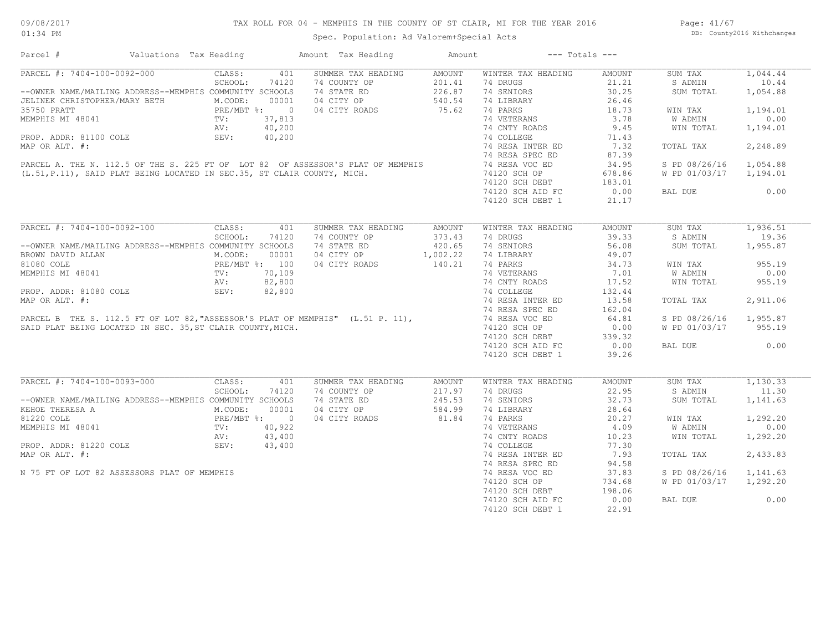| Parcel #                                                                                                                                                                                                                                                                                                                                                         | Valuations Tax Heading                                                                         |              |        | Amount Tax Heading               | Amount        |                    | $---$ Totals $---$ |               |           |
|------------------------------------------------------------------------------------------------------------------------------------------------------------------------------------------------------------------------------------------------------------------------------------------------------------------------------------------------------------------|------------------------------------------------------------------------------------------------|--------------|--------|----------------------------------|---------------|--------------------|--------------------|---------------|-----------|
| PARCEL #: 7404-100-0092-000                                                                                                                                                                                                                                                                                                                                      |                                                                                                | CLASS:       | 401    | SUMMER TAX HEADING               | AMOUNT        | WINTER TAX HEADING | <b>AMOUNT</b>      | SUM TAX       | 1,044.44  |
|                                                                                                                                                                                                                                                                                                                                                                  |                                                                                                | SCHOOL:      | 74120  | 74 COUNTY OP                     | 201.41        | 74 DRUGS           | 21.21              | S ADMIN       | 10.44     |
| --OWNER NAME/MAILING ADDRESS--MEMPHIS COMMUNITY SCHOOLS                                                                                                                                                                                                                                                                                                          |                                                                                                |              |        | 74 STATE ED                      | 226.87        | 74 SENIORS         | 30.25              | SUM TOTAL     | 1,054.88  |
| JELINEK CHRISTOPHER/MARY BETH                                                                                                                                                                                                                                                                                                                                    |                                                                                                | M.CODE:      | 00001  | 04 CITY OP                       | 540.54        | 74 LIBRARY         | 26.46              |               |           |
| 35750 PRATT                                                                                                                                                                                                                                                                                                                                                      | ER/MARY BETH M.COD<br>PRE/M<br>TV: AV:<br>COLE SEV:                                            | PRE/MBT %: 0 |        | 04 CITY ROADS                    | 75.62         | 74 PARKS           | 18.73              | WIN TAX       | 1,194.01  |
| MEMPHIS MI 48041                                                                                                                                                                                                                                                                                                                                                 |                                                                                                |              | 37,813 |                                  |               | 74 VETERANS        | 3.78               | W ADMIN       | 0.00      |
|                                                                                                                                                                                                                                                                                                                                                                  |                                                                                                |              |        |                                  |               | 74 CNTY ROADS      | 9.45               | WIN TOTAL     | 1,194.01  |
| $\begin{tabular}{lllllllllllllllllll} \textsc{MEMPHIS} & \textsc{M1} & \textsc{40.200} & \textsc{50.225} & \textsc{50.225} & \textsc{50.225} & \textsc{50.225} & \textsc{50.225} & \textsc{50.225} & \textsc{50.225} & \textsc{50.225} & \textsc{50.225} & \textsc{50.225} & \textsc{50.225} & \textsc{50.225} & \textsc{50.225} & \textsc{50.225} & \textsc{50$ |                                                                                                |              |        |                                  |               |                    | 71.43              |               |           |
|                                                                                                                                                                                                                                                                                                                                                                  |                                                                                                |              |        |                                  |               | 74 RESA INTER ED   | 7.32               | TOTAL TAX     | 2,248.89  |
|                                                                                                                                                                                                                                                                                                                                                                  |                                                                                                |              |        |                                  |               |                    | 87.39              |               |           |
|                                                                                                                                                                                                                                                                                                                                                                  |                                                                                                |              |        |                                  |               |                    | 34.95              | S PD 08/26/16 | 1,054.88  |
|                                                                                                                                                                                                                                                                                                                                                                  |                                                                                                |              |        |                                  |               | 74120 SCH OP       | 678.86             | W PD 01/03/17 | 1,194.01  |
|                                                                                                                                                                                                                                                                                                                                                                  |                                                                                                |              |        |                                  |               | 74120 SCH DEBT     | 183.01             |               |           |
|                                                                                                                                                                                                                                                                                                                                                                  |                                                                                                |              |        |                                  |               | 74120 SCH AID FC   | 0.00               | BAL DUE       | 0.00      |
|                                                                                                                                                                                                                                                                                                                                                                  |                                                                                                |              |        |                                  |               | 74120 SCH DEBT 1   | 21.17              |               |           |
|                                                                                                                                                                                                                                                                                                                                                                  |                                                                                                |              |        |                                  |               |                    |                    |               |           |
| PARCEL #: 7404-100-0092-100                                                                                                                                                                                                                                                                                                                                      |                                                                                                | CLASS:       | 401    | SUMMER TAX HEADING               | <b>AMOUNT</b> | WINTER TAX HEADING | <b>AMOUNT</b>      | SUM TAX       | 1,936.51  |
|                                                                                                                                                                                                                                                                                                                                                                  |                                                                                                | SCHOOL:      | 74120  | 74 COUNTY OP                     | 373.43        | 74 DRUGS           | 39.33              | S ADMIN       | 19.36     |
| --OWNER NAME/MAILING ADDRESS--MEMPHIS COMMUNITY SCHOOLS                                                                                                                                                                                                                                                                                                          |                                                                                                |              |        | 74 STATE ED                      | 420.65        | 74 SENIORS         | 56.08              | SUM TOTAL     | 1,955.87  |
| BROWN DAVID ALLAN                                                                                                                                                                                                                                                                                                                                                |                                                                                                |              |        | 04 CITY OP                       | 1,002.22      | 74 LIBRARY         | 49.07              |               |           |
| 81080 COLE                                                                                                                                                                                                                                                                                                                                                       | M.CODE: 00001<br>PRE/MBT %: 100<br>041<br>TV: 70,109<br>NV: 82,800<br>1080 COLE<br>SEV: 82,800 |              |        | 04 CITY ROADS                    | 140.21        | 74 PARKS           | 34.73              | WIN TAX       | 955.19    |
| MEMPHIS MI 48041                                                                                                                                                                                                                                                                                                                                                 |                                                                                                |              |        |                                  |               | 74 VETERANS        |                    | W ADMIN       | 0.00      |
|                                                                                                                                                                                                                                                                                                                                                                  |                                                                                                |              |        |                                  |               |                    | 7.01               |               |           |
|                                                                                                                                                                                                                                                                                                                                                                  |                                                                                                |              |        |                                  |               | 74 CNTY ROADS      | 17.52              | WIN TOTAL     | 955.19    |
| PROP. ADDR: 81080 COLE                                                                                                                                                                                                                                                                                                                                           |                                                                                                |              |        |                                  |               | 74 COLLEGE         | 132.44             |               |           |
| MAP OR ALT. #:                                                                                                                                                                                                                                                                                                                                                   |                                                                                                |              |        |                                  |               | 74 RESA INTER ED   | 13.58              | TOTAL TAX     | 2,911.06  |
|                                                                                                                                                                                                                                                                                                                                                                  |                                                                                                |              |        |                                  |               | 74 RESA SPEC ED    | 162.04             |               |           |
| PARCEL B THE S. 112.5 FT OF LOT 82, "ASSESSOR'S PLAT OF MEMPHIS" (L.51 P. 11),                                                                                                                                                                                                                                                                                   |                                                                                                |              |        |                                  |               | 74 RESA VOC ED     | 64.81              | S PD 08/26/16 | 1,955.87  |
| SAID PLAT BEING LOCATED IN SEC. 35, ST CLAIR COUNTY, MICH.                                                                                                                                                                                                                                                                                                       |                                                                                                |              |        |                                  |               | 74120 SCH OP       | 0.00               | W PD 01/03/17 | 955.19    |
|                                                                                                                                                                                                                                                                                                                                                                  |                                                                                                |              |        |                                  |               | 74120 SCH DEBT     | 339.32             |               |           |
|                                                                                                                                                                                                                                                                                                                                                                  |                                                                                                |              |        |                                  |               | 74120 SCH AID FC   | 0.00               | BAL DUE       | 0.00      |
|                                                                                                                                                                                                                                                                                                                                                                  |                                                                                                |              |        |                                  |               | 74120 SCH DEBT 1   | 39.26              |               |           |
|                                                                                                                                                                                                                                                                                                                                                                  |                                                                                                |              |        |                                  |               |                    |                    |               |           |
| PARCEL #: 7404-100-0093-000                                                                                                                                                                                                                                                                                                                                      |                                                                                                | CLASS:       | 401    | SUMMER TAX HEADING               | <b>AMOUNT</b> | WINTER TAX HEADING | <b>AMOUNT</b>      | SUM TAX       | 1, 130.33 |
|                                                                                                                                                                                                                                                                                                                                                                  |                                                                                                | SCHOOL:      | 74120  | 74 COUNTY OP                     | 217.97        | 74 DRUGS           | 22.95              | S ADMIN       | 11.30     |
| --OWNER NAME/MAILING ADDRESS--MEMPHIS COMMUNITY SCHOOLS                                                                                                                                                                                                                                                                                                          |                                                                                                |              |        | 74 STATE ED                      | 245.53        | 74 SENIORS         | 32.73              | SUM TOTAL     | 1,141.63  |
| EXERICE THERESA A<br>MEMPHIS MI 48041 POLE PRE/MBT %: 0<br>MEMPHIS MI 48041 PV: 40,922<br>PROP. ADDR: 81220 COLE SEV: 43,400                                                                                                                                                                                                                                     |                                                                                                |              |        | 04 CITY OP                       | 584.99        | 74 LIBRARY         | 28.64              |               |           |
|                                                                                                                                                                                                                                                                                                                                                                  |                                                                                                |              |        | 04 CITY ROADS                    | 81.84         | 74 PARKS           | 20.27              | WIN TAX       | 1,292.20  |
|                                                                                                                                                                                                                                                                                                                                                                  |                                                                                                |              |        |                                  |               | 74 VETERANS        | 4.09               | W ADMIN       | 0.00      |
|                                                                                                                                                                                                                                                                                                                                                                  |                                                                                                |              |        |                                  |               | 74 CNTY ROADS      | 10.23              | WIN TOTAL     | 1,292.20  |
|                                                                                                                                                                                                                                                                                                                                                                  |                                                                                                |              |        |                                  |               | 74 COLLEGE         | 77.30              |               |           |
| MAP OR ALT. #:                                                                                                                                                                                                                                                                                                                                                   |                                                                                                |              |        |                                  |               | 74 RESA INTER ED   | 7.93               | TOTAL TAX     | 2,433.83  |
|                                                                                                                                                                                                                                                                                                                                                                  |                                                                                                |              |        |                                  |               | 74 RESA SPEC ED    | 94.58              |               |           |
| N 75 FT OF LOT 82 ASSESSORS PLAT OF MEMPHIS                                                                                                                                                                                                                                                                                                                      |                                                                                                |              |        | $40,922$<br>$43,400$<br>$43,400$ |               | 74 RESA VOC ED     | 37.83              | S PD 08/26/16 | 1,141.63  |
|                                                                                                                                                                                                                                                                                                                                                                  |                                                                                                |              |        |                                  |               | 74120 SCH OP       | 734.68             | W PD 01/03/17 | 1,292.20  |
|                                                                                                                                                                                                                                                                                                                                                                  |                                                                                                |              |        |                                  |               | 74120 SCH DEBT     | 198.06             |               |           |
|                                                                                                                                                                                                                                                                                                                                                                  |                                                                                                |              |        |                                  |               |                    | 0.00               |               | 0.00      |
|                                                                                                                                                                                                                                                                                                                                                                  |                                                                                                |              |        |                                  |               | 74120 SCH AID FC   |                    | BAL DUE       |           |
|                                                                                                                                                                                                                                                                                                                                                                  |                                                                                                |              |        |                                  |               | 74120 SCH DEBT 1   | 22.91              |               |           |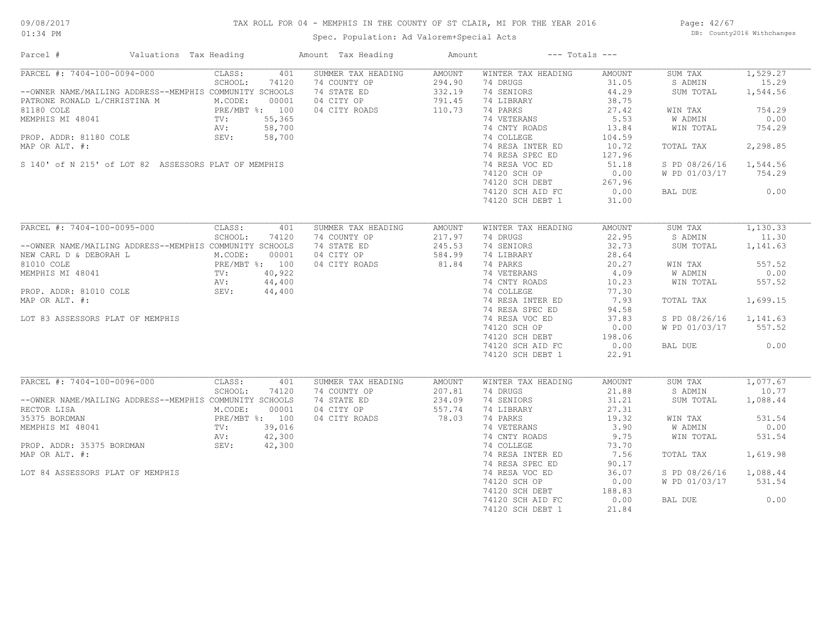## TAX ROLL FOR 04 - MEMPHIS IN THE COUNTY OF ST CLAIR, MI FOR THE YEAR 2016

Spec. Population: Ad Valorem+Special Acts

Page: 42/67 DB: County2016 Withchanges

| Parcel #                                                | Valuations Tax Heading |        | Amount Tax Heading | Amount        |                    | $---$ Totals $---$ |               |          |
|---------------------------------------------------------|------------------------|--------|--------------------|---------------|--------------------|--------------------|---------------|----------|
| PARCEL #: 7404-100-0094-000                             | CLASS:                 | 401    | SUMMER TAX HEADING | <b>AMOUNT</b> | WINTER TAX HEADING | AMOUNT             | SUM TAX       | 1,529.27 |
|                                                         | SCHOOL:                | 74120  | 74 COUNTY OP       | 294.90        | 74 DRUGS           | 31.05              | S ADMIN       | 15.29    |
| --OWNER NAME/MAILING ADDRESS--MEMPHIS COMMUNITY SCHOOLS |                        |        | 74 STATE ED        | 332.19        | 74 SENIORS         | 44.29              | SUM TOTAL     | 1,544.56 |
| PATRONE RONALD L/CHRISTINA M                            | M.CODE:                | 00001  | 04 CITY OP         | 791.45        | 74 LIBRARY         | 38.75              |               |          |
| 81180 COLE                                              | PRE/MBT %: 100         |        | 04 CITY ROADS      | 110.73        | 74 PARKS           | 27.42              | WIN TAX       | 754.29   |
| MEMPHIS MI 48041                                        | TV:                    | 55,365 |                    |               | 74 VETERANS        | 5.53               | W ADMIN       | 0.00     |
|                                                         | AV:                    | 58,700 |                    |               | 74 CNTY ROADS      | 13.84              | WIN TOTAL     | 754.29   |
| PROP. ADDR: 81180 COLE                                  | SEV:                   | 58,700 |                    |               | 74 COLLEGE         | 104.59             |               |          |
| MAP OR ALT. #:                                          |                        |        |                    |               | 74 RESA INTER ED   | 10.72              | TOTAL TAX     | 2,298.85 |
|                                                         |                        |        |                    |               | 74 RESA SPEC ED    | 127.96             |               |          |
| S 140' of N 215' of LOT 82 ASSESSORS PLAT OF MEMPHIS    |                        |        |                    |               | 74 RESA VOC ED     | 51.18              | S PD 08/26/16 | 1,544.56 |
|                                                         |                        |        |                    |               | 74120 SCH OP       | 0.00               | W PD 01/03/17 | 754.29   |
|                                                         |                        |        |                    |               | 74120 SCH DEBT     | 267.96             |               |          |
|                                                         |                        |        |                    |               | 74120 SCH AID FC   | 0.00               | BAL DUE       | 0.00     |
|                                                         |                        |        |                    |               | 74120 SCH DEBT 1   | 31.00              |               |          |
|                                                         |                        |        |                    |               |                    |                    |               |          |
| PARCEL #: 7404-100-0095-000                             | CLASS:                 | 401    | SUMMER TAX HEADING | AMOUNT        | WINTER TAX HEADING | AMOUNT             | SUM TAX       | 1,130.33 |
|                                                         | SCHOOL:                | 74120  | 74 COUNTY OP       | 217.97        | 74 DRUGS           | 22.95              | S ADMIN       | 11.30    |
| --OWNER NAME/MAILING ADDRESS--MEMPHIS COMMUNITY SCHOOLS |                        |        | 74 STATE ED        | 245.53        | 74 SENIORS         | 32.73              | SUM TOTAL     | 1,141.63 |
| NEW CARL D & DEBORAH L                                  | M.CODE:                | 00001  | 04 CITY OP         | 584.99        | 74 LIBRARY         | 28.64              |               |          |
| 81010 COLE                                              | PRE/MBT %: 100         |        | 04 CITY ROADS      | 81.84         | 74 PARKS           | 20.27              | WIN TAX       | 557.52   |
| MEMPHIS MI 48041                                        | TV:                    | 40,922 |                    |               | 74 VETERANS        | 4.09               | W ADMIN       | 0.00     |
|                                                         | AV:                    | 44,400 |                    |               |                    |                    |               | 557.52   |
|                                                         |                        |        |                    |               | 74 CNTY ROADS      | 10.23              | WIN TOTAL     |          |
| PROP. ADDR: 81010 COLE                                  | SEV:                   | 44,400 |                    |               | 74 COLLEGE         | 77.30              |               |          |
| MAP OR ALT. #:                                          |                        |        |                    |               | 74 RESA INTER ED   | 7.93               | TOTAL TAX     | 1,699.15 |
|                                                         |                        |        |                    |               | 74 RESA SPEC ED    | 94.58              |               |          |
| LOT 83 ASSESSORS PLAT OF MEMPHIS                        |                        |        |                    |               | 74 RESA VOC ED     | 37.83              | S PD 08/26/16 | 1,141.63 |
|                                                         |                        |        |                    |               | 74120 SCH OP       | 0.00               | W PD 01/03/17 | 557.52   |
|                                                         |                        |        |                    |               | 74120 SCH DEBT     | 198.06             |               |          |
|                                                         |                        |        |                    |               | 74120 SCH AID FC   | 0.00               | BAL DUE       | 0.00     |
|                                                         |                        |        |                    |               | 74120 SCH DEBT 1   | 22.91              |               |          |
| PARCEL #: 7404-100-0096-000                             | CLASS:                 | 401    | SUMMER TAX HEADING | AMOUNT        | WINTER TAX HEADING | <b>AMOUNT</b>      | SUM TAX       | 1,077.67 |
|                                                         | SCHOOL:                | 74120  | 74 COUNTY OP       | 207.81        | 74 DRUGS           | 21.88              | S ADMIN       | 10.77    |
| --OWNER NAME/MAILING ADDRESS--MEMPHIS COMMUNITY SCHOOLS |                        |        | 74 STATE ED        | 234.09        | 74 SENIORS         | 31.21              | SUM TOTAL     | 1,088.44 |
| RECTOR LISA                                             | M.CODE:                | 00001  |                    |               | 74 LIBRARY         | 27.31              |               |          |
|                                                         |                        |        | 04 CITY OP         | 557.74        |                    |                    |               |          |
| 35375 BORDMAN                                           | PRE/MBT %: 100         |        | 04 CITY ROADS      | 78.03         | 74 PARKS           | 19.32              | WIN TAX       | 531.54   |
| MEMPHIS MI 48041                                        | TV:                    | 39,016 |                    |               | 74 VETERANS        | 3.90               | W ADMIN       | 0.00     |
|                                                         | AV:                    | 42,300 |                    |               | 74 CNTY ROADS      | 9.75               | WIN TOTAL     | 531.54   |
| PROP. ADDR: 35375 BORDMAN                               | SEV:                   | 42,300 |                    |               | 74 COLLEGE         | 73.70              |               |          |
| MAP OR ALT. #:                                          |                        |        |                    |               | 74 RESA INTER ED   | 7.56               | TOTAL TAX     | 1,619.98 |
|                                                         |                        |        |                    |               | 74 RESA SPEC ED    | 90.17              |               |          |
| LOT 84 ASSESSORS PLAT OF MEMPHIS                        |                        |        |                    |               | 74 RESA VOC ED     | 36.07              | S PD 08/26/16 | 1,088.44 |
|                                                         |                        |        |                    |               | 74120 SCH OP       | 0.00               | W PD 01/03/17 | 531.54   |
|                                                         |                        |        |                    |               | 74120 SCH DEBT     | 188.83             |               |          |
|                                                         |                        |        |                    |               | 74120 SCH AID FC   | 0.00               | BAL DUE       | 0.00     |
|                                                         |                        |        |                    |               | 74120 SCH DEBT 1   | 21.84              |               |          |
|                                                         |                        |        |                    |               |                    |                    |               |          |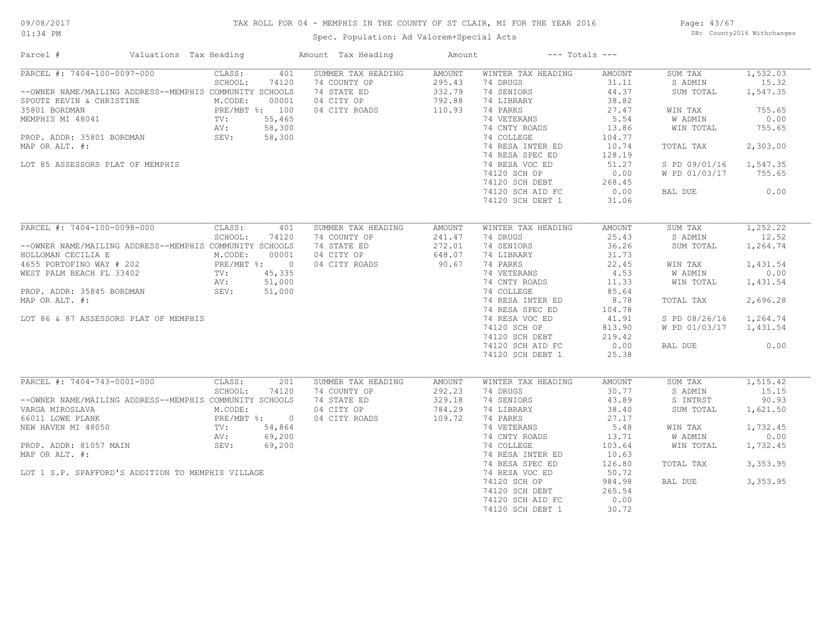## TAX ROLL FOR 04 - MEMPHIS IN THE COUNTY OF ST CLAIR, MI FOR THE YEAR 2016

Spec. Population: Ad Valorem+Special Acts

Page: 43/67 DB: County2016 Withchanges

| Parcel #                                                                                                                                                                                                                                   | Valuations Tax Heading                                                                                                                 | Amount Tax Heading                                                               | Amount                                         |                                                                                                                                                                               | $---$ Totals $---$                                                                                |                                                                                                  |                                                                                   |
|--------------------------------------------------------------------------------------------------------------------------------------------------------------------------------------------------------------------------------------------|----------------------------------------------------------------------------------------------------------------------------------------|----------------------------------------------------------------------------------|------------------------------------------------|-------------------------------------------------------------------------------------------------------------------------------------------------------------------------------|---------------------------------------------------------------------------------------------------|--------------------------------------------------------------------------------------------------|-----------------------------------------------------------------------------------|
| PARCEL #: 7404-100-0097-000<br>--OWNER NAME/MAILING ADDRESS--MEMPHIS COMMUNITY SCHOOLS<br>SPOUTZ KEVIN & CHRISTINE<br>35801 BORDMAN<br>MEMPHIS MI 48041<br>PROP. ADDR: 35801 BORDMAN<br>MAP OR ALT. #:<br>LOT 85 ASSESSORS PLAT OF MEMPHIS | 401<br>CLASS:<br>SCHOOL:<br>74120<br>M.CODE:<br>00001<br>PRE/MBT %: 100<br>TV: 55,465<br>NV: 58.300<br>58,300<br>AV:<br>58,300<br>SEV: | SUMMER TAX HEADING<br>74 COUNTY OP<br>74 STATE ED<br>04 CITY OP<br>04 CITY ROADS | AMOUNT<br>295.43<br>332.79<br>792.88<br>110.93 | WINTER TAX HEADING<br>74 DRUGS<br>74 SENIORS<br>74 LIBRARY<br>74 PARKS<br>74 VETERANS<br>74 CNTY ROADS<br>74 COLLEGE<br>74 RESA INTER ED<br>74 RESA SPEC ED<br>74 RESA VOC ED | AMOUNT<br>31.11<br>44.37<br>38.82<br>27.47<br>5.54<br>13.86<br>104.77<br>10.74<br>128.19<br>51.27 | SUM TAX<br>S ADMIN<br>SUM TOTAL<br>WIN TAX<br>W ADMIN<br>WIN TOTAL<br>TOTAL TAX<br>S PD 09/01/16 | 1,532.03<br>15.32<br>1,547.35<br>755.65<br>0.00<br>755.65<br>2,303.00<br>1,547.35 |
|                                                                                                                                                                                                                                            |                                                                                                                                        |                                                                                  |                                                | 74120 SCH OP<br>74120 SCH DEBT<br>74120 SCH AID FC<br>74120 SCH DEBT 1                                                                                                        | 0.00<br>268.45<br>0.00<br>31.06                                                                   | W PD 01/03/17<br>BAL DUE                                                                         | 755.65<br>0.00                                                                    |
| PARCEL #: 7404-100-0098-000                                                                                                                                                                                                                | CLASS:<br>401                                                                                                                          | SUMMER TAX HEADING                                                               | <b>AMOUNT</b>                                  | WINTER TAX HEADING                                                                                                                                                            | AMOUNT                                                                                            | SUM TAX                                                                                          | 1,252,22                                                                          |
| --OWNER NAME/MAILING ADDRESS--MEMPHIS COMMUNITY SCHOOLS<br>HOLLOMAN CECILIA E                                                                                                                                                              | SCHOOL:<br>74120<br>M.CODE:<br>00001                                                                                                   | 74 COUNTY OP<br>74 STATE ED<br>04 CITY OP                                        | 241.47<br>272.01<br>648.07                     | 74 DRUGS<br>74 SENIORS<br>74 LIBRARY                                                                                                                                          | 25.43<br>36.26<br>31.73                                                                           | S ADMIN<br>SUM TOTAL                                                                             | 12.52<br>1,264.74                                                                 |
| 4655 PORTOFINO WAY # 202<br>WEST PALM BEACH FL 33402 TV: 45,335                                                                                                                                                                            |                                                                                                                                        | 04 CITY ROADS                                                                    | 90.67                                          | 74 PARKS                                                                                                                                                                      | 22.45                                                                                             | WIN TAX                                                                                          | 1,431.54                                                                          |
|                                                                                                                                                                                                                                            |                                                                                                                                        |                                                                                  |                                                | 74 VETERANS                                                                                                                                                                   | 4.53                                                                                              | W ADMIN                                                                                          | 0.00                                                                              |
| PROP. ADDR: 35845 BORDMAN                                                                                                                                                                                                                  | 51,000<br>AV:<br>SEV:<br>51,000                                                                                                        |                                                                                  |                                                | 74 CNTY ROADS<br>74 COLLEGE                                                                                                                                                   | 11.33<br>85.64                                                                                    | WIN TOTAL                                                                                        | 1,431.54                                                                          |
| MAP OR ALT. #:                                                                                                                                                                                                                             |                                                                                                                                        |                                                                                  |                                                | 74 RESA INTER ED<br>74 RESA SPEC ED                                                                                                                                           | 8.78<br>104.78                                                                                    | TOTAL TAX                                                                                        | 2,696.28                                                                          |
| LOT 86 & 87 ASSESSORS PLAT OF MEMPHIS                                                                                                                                                                                                      |                                                                                                                                        |                                                                                  |                                                | 74 RESA VOC ED                                                                                                                                                                | 41.91                                                                                             | S PD 08/26/16                                                                                    | 1,264.74                                                                          |
|                                                                                                                                                                                                                                            |                                                                                                                                        |                                                                                  |                                                | 74120 SCH OP<br>74120 SCH DEBT                                                                                                                                                | 813.90<br>219.42                                                                                  | W PD 01/03/17                                                                                    | 1,431.54                                                                          |
|                                                                                                                                                                                                                                            |                                                                                                                                        |                                                                                  |                                                | 74120 SCH AID FC<br>74120 SCH DEBT 1                                                                                                                                          | 0.00<br>25.38                                                                                     | BAL DUE                                                                                          | 0.00                                                                              |
| PARCEL #: 7404-743-0001-000                                                                                                                                                                                                                | CLASS:<br>201                                                                                                                          | SUMMER TAX HEADING                                                               | <b>AMOUNT</b>                                  | WINTER TAX HEADING                                                                                                                                                            | <b>AMOUNT</b>                                                                                     | SUM TAX                                                                                          | 1, 515.42                                                                         |
|                                                                                                                                                                                                                                            | SCHOOL:<br>74120                                                                                                                       | 74 COUNTY OP                                                                     | 292.23                                         | 74 DRUGS                                                                                                                                                                      | 30.77                                                                                             | S ADMIN                                                                                          | 15.15                                                                             |
| --OWNER NAME/MAILING ADDRESS--MEMPHIS COMMUNITY SCHOOLS                                                                                                                                                                                    |                                                                                                                                        | 74 STATE ED                                                                      | 329.18                                         | 74 SENIORS                                                                                                                                                                    | 43.89                                                                                             | S INTRST                                                                                         | 90.93                                                                             |
| VARGA MIROSLAVA                                                                                                                                                                                                                            | M.CODE:                                                                                                                                | 04 CITY OP                                                                       | 784.29                                         | 74 LIBRARY                                                                                                                                                                    | 38.40                                                                                             | SUM TOTAL                                                                                        | 1,621.50                                                                          |
| 66011 LOWE PLANK                                                                                                                                                                                                                           | PRE/MBT %: 0                                                                                                                           | 04 CITY ROADS                                                                    | 109.72                                         | 74 PARKS                                                                                                                                                                      | 27.17                                                                                             |                                                                                                  |                                                                                   |
| NEW HAVEN MI 48050                                                                                                                                                                                                                         | TV:<br>54,864<br>69,200<br>AV:                                                                                                         |                                                                                  |                                                | 74 VETERANS<br>74 CNTY ROADS                                                                                                                                                  | 5.48<br>13.71                                                                                     | WIN TAX<br>W ADMIN                                                                               | 1,732.45<br>0.00                                                                  |
| PROP. ADDR: 81057 MAIN                                                                                                                                                                                                                     | 69,200<br>SEV:                                                                                                                         |                                                                                  |                                                | 74 COLLEGE                                                                                                                                                                    | 103.64                                                                                            | WIN TOTAL                                                                                        | 1,732.45                                                                          |
| MAP OR ALT. #:                                                                                                                                                                                                                             |                                                                                                                                        |                                                                                  |                                                | 74 RESA INTER ED                                                                                                                                                              | 10.63                                                                                             |                                                                                                  |                                                                                   |
|                                                                                                                                                                                                                                            |                                                                                                                                        |                                                                                  |                                                | 74 RESA SPEC ED                                                                                                                                                               | 126.80                                                                                            | TOTAL TAX                                                                                        | 3,353.95                                                                          |
| LOT 1 S.P. SPAFFORD'S ADDITION TO MEMPHIS VILLAGE                                                                                                                                                                                          |                                                                                                                                        |                                                                                  |                                                | 74 RESA VOC ED                                                                                                                                                                | 50.72                                                                                             |                                                                                                  |                                                                                   |
|                                                                                                                                                                                                                                            |                                                                                                                                        |                                                                                  |                                                | 74120 SCH OP                                                                                                                                                                  | 984.98                                                                                            | BAL DUE                                                                                          | 3,353.95                                                                          |
|                                                                                                                                                                                                                                            |                                                                                                                                        |                                                                                  |                                                | 74120 SCH DEBT                                                                                                                                                                | 265.54                                                                                            |                                                                                                  |                                                                                   |
|                                                                                                                                                                                                                                            |                                                                                                                                        |                                                                                  |                                                | 74120 SCH AID FC                                                                                                                                                              | 0.00<br>30.72                                                                                     |                                                                                                  |                                                                                   |
|                                                                                                                                                                                                                                            |                                                                                                                                        |                                                                                  |                                                | 74120 SCH DEBT 1                                                                                                                                                              |                                                                                                   |                                                                                                  |                                                                                   |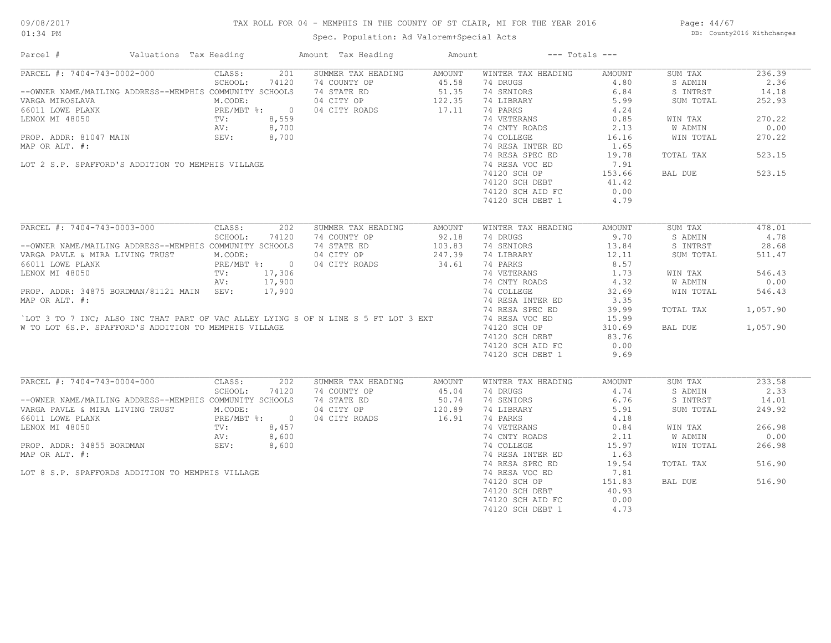## TAX ROLL FOR 04 - MEMPHIS IN THE COUNTY OF ST CLAIR, MI FOR THE YEAR 2016

Spec. Population: Ad Valorem+Special Acts

Page: 44/67 DB: County2016 Withchanges

| Parcel #                                                                                                                                                                                                | Valuations Tax Heading |              |       | Amount Tax Heading                     | Amount |                          | $---$ Totals $---$ |           |          |
|---------------------------------------------------------------------------------------------------------------------------------------------------------------------------------------------------------|------------------------|--------------|-------|----------------------------------------|--------|--------------------------|--------------------|-----------|----------|
| PARCEL #: 7404-743-0002-000                                                                                                                                                                             |                        | CLASS:       | 201   | SUMMER TAX HEADING                     | AMOUNT | WINTER TAX HEADING       | AMOUNT             | SUM TAX   | 236.39   |
|                                                                                                                                                                                                         |                        | SCHOOL:      | 74120 | 74 COUNTY OP                           | 45.58  | 74 DRUGS                 | 4.80               | S ADMIN   | 2.36     |
| --OWNER NAME/MAILING ADDRESS--MEMPHIS COMMUNITY SCHOOLS                                                                                                                                                 |                        |              |       | 74 STATE ED 51.35                      |        | 74 SENIORS               | 6.84               | S INTRST  | 14.18    |
| VARGA MIROSLAVA                                                                                                                                                                                         |                        | M.CODE:      |       | 04 CITY OP                             | 122.35 | 74 LIBRARY               | 5.99               | SUM TOTAL | 252.93   |
| 66011 LOWE PLANK<br>LENOX MI 48050<br>LENOX MI 48050<br>PROP. ADDR: 81047 MAIN<br>PROP. ADDR: 81047 MAIN<br>SEV: 8,700                                                                                  |                        |              |       | 04 CITY ROADS                          | 17.11  | 74 PARKS                 | 4.24               |           |          |
|                                                                                                                                                                                                         |                        |              |       |                                        |        | 74 VETERANS              | 0.85               | WIN TAX   | 270.22   |
|                                                                                                                                                                                                         |                        |              |       |                                        |        | 74 CNTY ROADS            | 2.13               | W ADMIN   | 0.00     |
|                                                                                                                                                                                                         |                        |              |       |                                        |        | 74 COLLEGE               | 16.16              | WIN TOTAL | 270.22   |
| MAP OR ALT. #:                                                                                                                                                                                          |                        |              |       |                                        |        | 74 RESA INTER ED         | 1.65               |           |          |
|                                                                                                                                                                                                         |                        |              |       |                                        |        |                          |                    |           |          |
|                                                                                                                                                                                                         |                        |              |       | $\frac{8,700}{8,700}$                  |        | 74 RESA SPEC ED          | 19.78              | TOTAL TAX | 523.15   |
| LOT 2 S.P. SPAFFORD'S ADDITION TO MEMPHIS VILLAGE                                                                                                                                                       |                        |              |       |                                        |        | 74 RESA VOC ED           | 7.91               |           |          |
|                                                                                                                                                                                                         |                        |              |       |                                        |        | 74120 SCH OP             | 153.66             | BAL DUE   | 523.15   |
|                                                                                                                                                                                                         |                        |              |       |                                        |        | 74120 SCH DEBT           | 41.42              |           |          |
|                                                                                                                                                                                                         |                        |              |       |                                        |        | 74120 SCH AID FC         | 0.00               |           |          |
|                                                                                                                                                                                                         |                        |              |       |                                        |        | 74120 SCH DEBT 1         | 4.79               |           |          |
|                                                                                                                                                                                                         |                        |              |       |                                        |        |                          |                    |           |          |
| PARCEL #: 7404-743-0003-000                                                                                                                                                                             |                        | CLASS:       | 202   | SUMMER TAX HEADING                     | AMOUNT | WINTER TAX HEADING       | <b>AMOUNT</b>      | SUM TAX   | 478.01   |
|                                                                                                                                                                                                         |                        | SCHOOL:      | 74120 | 74 COUNTY OP 92.18                     |        | 74 DRUGS                 | 9.70               | S ADMIN   | 4.78     |
| --OWNER NAME/MAILING ADDRESS--MEMPHIS COMMUNITY SCHOOLS                                                                                                                                                 |                        |              |       | 74 STATE ED                            | 103.83 | 74 SENIORS               | 13.84              | S INTRST  | 28.68    |
| VARGA PAVLE & MIRA LIVING TRUST                                                                                                                                                                         |                        | M.CODE:      |       | 04 CITY OP                             | 247.39 | 74 LIBRARY               | 12.11              | SUM TOTAL | 511.47   |
| 66011 LOWE PLANK                                                                                                                                                                                        |                        | PRE/MBT %: 0 |       | 04 CITY ROADS                          | 34.61  | 74 PARKS                 | 8.57               |           |          |
|                                                                                                                                                                                                         |                        |              |       |                                        |        | 74 VETERANS              | 1.73               | WIN TAX   | 546.43   |
| LENOX MI 48050<br>TV: 17,306<br>NV: 17,900<br>PROP. ADDR: 34875 BORDMAN/81121 MAIN SEV: 17,900<br>MAP OR ALT. #:<br>CLOT 3 TO 7 INC; ALSO INC THAT PART OF VAC ALLEY LYING S OF N LINE S 5 FT LOT 3 EXT |                        |              |       |                                        |        | 74 CNTY ROADS            | 4.32               | W ADMIN   | 0.00     |
|                                                                                                                                                                                                         |                        |              |       |                                        |        |                          |                    |           |          |
|                                                                                                                                                                                                         |                        |              |       |                                        |        | 74 COLLEGE               | 32.69              | WIN TOTAL | 546.43   |
|                                                                                                                                                                                                         |                        |              |       |                                        |        | 74 RESA INTER ED         | 3.35               |           |          |
|                                                                                                                                                                                                         |                        |              |       |                                        |        | 74 RESA SPEC ED          | 39.99              | TOTAL TAX | 1,057.90 |
|                                                                                                                                                                                                         |                        |              |       |                                        |        | 74 RESA VOC ED           | 15.99              |           |          |
| W TO LOT 6S.P. SPAFFORD'S ADDITION TO MEMPHIS VILLAGE                                                                                                                                                   |                        |              |       |                                        |        | 74120 SCH OP             | 310.69             | BAL DUE   | 1,057.90 |
|                                                                                                                                                                                                         |                        |              |       |                                        |        | 74120 SCH DEBT           | 83.76              |           |          |
|                                                                                                                                                                                                         |                        |              |       |                                        |        | 74120 SCH AID FC         | 0.00               |           |          |
|                                                                                                                                                                                                         |                        |              |       |                                        |        | 74120 SCH DEBT 1         | 9.69               |           |          |
|                                                                                                                                                                                                         |                        |              |       |                                        |        |                          |                    |           |          |
| PARCEL #: 7404-743-0004-000 CLASS:                                                                                                                                                                      |                        |              | 202   | SUMMER TAX HEADING                     | AMOUNT | WINTER TAX HEADING       | AMOUNT             | SUM TAX   | 233.58   |
|                                                                                                                                                                                                         |                        | SCHOOL:      | 74120 | 74 COUNTY OP                           | 45.04  | 74 DRUGS                 | 4.74               | S ADMIN   | 2.33     |
| --OWNER NAME/MAILING ADDRESS--MEMPHIS COMMUNITY SCHOOLS                                                                                                                                                 |                        |              |       |                                        |        |                          | 6.76               | S INTRST  | 14.01    |
| VARGA PAVLE & MIRA LIVING TRUST<br>66011 LOWE PLANK<br>LENOX MI 48050 TV:<br>PROP. ADDR: 34855 BORDMAN SEV:<br>2009.                                                                                    |                        |              |       | 74 STATE ED 50.74<br>04 CITY OP 120.89 |        | 74 SENIORS<br>74 LIBRARY | 5.91               | SUM TOTAL | 249.92   |
|                                                                                                                                                                                                         |                        | PRE/MBT %: 0 |       | 04 CITY ROADS                          | 16.91  | 74 PARKS                 | 4.18               |           |          |
|                                                                                                                                                                                                         |                        |              | 8,457 |                                        |        | 74 VETERANS              | 0.84               | WIN TAX   | 266.98   |
|                                                                                                                                                                                                         |                        |              |       |                                        |        |                          |                    |           | 0.00     |
|                                                                                                                                                                                                         |                        |              |       |                                        |        | 74 CNTY ROADS            | 2.11               | W ADMIN   |          |
|                                                                                                                                                                                                         |                        |              |       | $8,45/$<br>8,600<br>8,600              |        | 74 COLLEGE               | 15.97              | WIN TOTAL | 266.98   |
| MAP OR ALT. #:                                                                                                                                                                                          |                        |              |       |                                        |        | 74 RESA INTER ED         | 1.63               |           |          |
|                                                                                                                                                                                                         |                        |              |       |                                        |        | 74 RESA SPEC ED          | 19.54              | TOTAL TAX | 516.90   |
| LOT 8 S.P. SPAFFORDS ADDITION TO MEMPHIS VILLAGE                                                                                                                                                        |                        |              |       |                                        |        | 74 RESA VOC ED           | 7.81               |           |          |
|                                                                                                                                                                                                         |                        |              |       |                                        |        | 74120 SCH OP             | 151.83             | BAL DUE   | 516.90   |
|                                                                                                                                                                                                         |                        |              |       |                                        |        | 74120 SCH DEBT           | 40.93              |           |          |
|                                                                                                                                                                                                         |                        |              |       |                                        |        | 74120 SCH AID FC         | 0.00               |           |          |
|                                                                                                                                                                                                         |                        |              |       |                                        |        | 74120 SCH DEBT 1         | 4.73               |           |          |
|                                                                                                                                                                                                         |                        |              |       |                                        |        |                          |                    |           |          |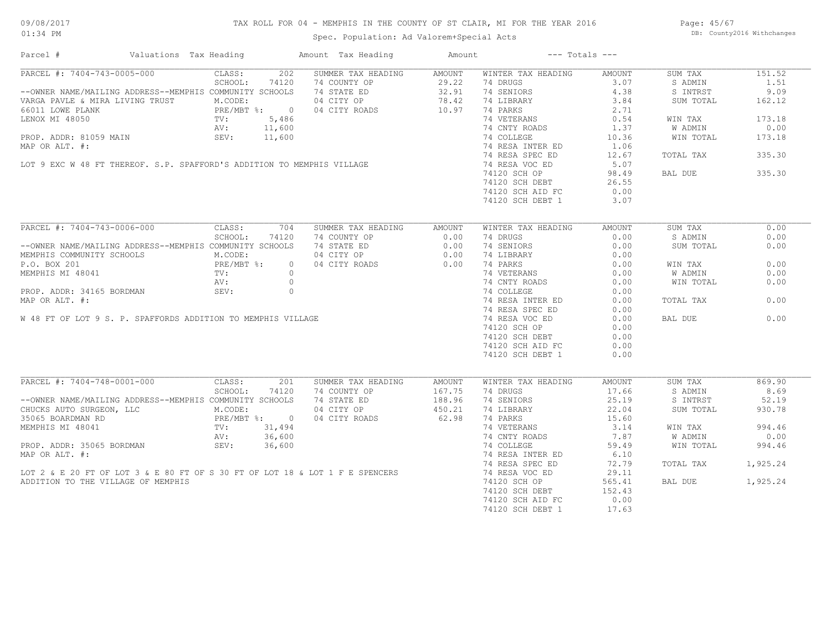## TAX ROLL FOR 04 - MEMPHIS IN THE COUNTY OF ST CLAIR, MI FOR THE YEAR 2016

Spec. Population: Ad Valorem+Special Acts

Page: 45/67 DB: County2016 Withchanges

| SUMMER TAX HEADING<br>WINTER TAX HEADING<br>CLASS:<br>202<br>AMOUNT<br>AMOUNT<br>SUM TAX<br>151.52<br>SCHOOL:<br>29.22<br>74 DRUGS<br>3.07<br>1.51<br>74120<br>74 COUNTY OP<br>S ADMIN<br>74 STATE ED<br>32.91<br>74 SENIORS<br>9.09<br>--OWNER NAME/MAILING ADDRESS--MEMPHIS COMMUNITY SCHOOLS<br>4.38<br>S INTRST<br>VARGA PAVLE & MIRA LIVING TRUST<br>M.CODE:<br>04 CITY OP<br>78.42<br>74 LIBRARY<br>3.84<br>SUM TOTAL<br>162.12<br>PRE/MBT %: 0<br>TV: 5,486<br>AV: 11,600<br>10.97<br>04 CITY ROADS<br>74 PARKS<br>2.71<br>74 VETERANS<br>0.54<br>173.18<br>LENOX MI 48050<br>WIN TAX<br>$M$<br>PROP. ADDR: 81059 MAIN<br>MAP OR ALT. #:<br>LOT 9 EXC W 48 FT THEREOF. S.P. SPAFFORD'S ADDITION TO MEMPHIS VILLAGE<br>74 CNTY ROADS<br>1.37<br>W ADMIN<br>0.00<br>74 COLLEGE<br>10.36<br>WIN TOTAL<br>173.18<br>74 RESA INTER ED<br>1.06<br>74 RESA SPEC ED<br>335.30<br>12.67<br>TOTAL TAX<br>74 RESA VOC ED<br>5.07<br>335.30<br>74120 SCH OP<br>98.49<br>BAL DUE<br>74120 SCH DEBT<br>26.55<br>74120 SCH AID FC<br>0.00<br>3.07<br>74120 SCH DEBT 1<br>CLASS:<br>704<br>SUMMER TAX HEADING<br>WINTER TAX HEADING<br>AMOUNT<br>SUM TAX<br>0.00<br>AMOUNT<br>SCHOOL:<br>74120<br>74 COUNTY OP<br>0.00<br>74 DRUGS<br>0.00<br>S ADMIN<br>0.00<br>--OWNER NAME/MAILING ADDRESS--MEMPHIS COMMUNITY SCHOOLS<br>74 STATE ED<br>74 SENIORS<br>0.00<br>0.00<br>0.00<br>SUM TOTAL<br>M.CODE:<br>04 CITY OP<br>0.00<br>74 LIBRARY<br>0.00<br>PRE/MBT %:<br>04 CITY ROADS<br>0.00<br>74 PARKS<br>0.00<br>0.00<br>WIN TAX<br>$\overline{0}$<br>0.00<br>MEMPHIS MI 48041<br>TV:<br>$\circ$<br>74 VETERANS<br>0.00<br>W ADMIN<br>74 CNTY ROADS<br>0.00<br>0.00<br>PROP. ADDR: 34165 BORDMAN<br>MAP OR ALT. #:<br>W 48 FT OF LOT 9 S. P. SPAFFORDS ADDITION TO MEMPHIS VILLAGE<br>WIN TOTAL<br>74 COLLEGE<br>0.00<br>74 RESA INTER ED<br>0.00<br>0.00<br>TOTAL TAX<br>74 RESA SPEC ED<br>0.00<br>74 RESA VOC ED<br>0.00<br>0.00<br>BAL DUE<br>74120 SCH OP<br>0.00<br>74120 SCH DEBT<br>0.00<br>74120 SCH AID FC<br>0.00<br>74120 SCH DEBT 1<br>0.00<br>PARCEL #: 7404-748-0001-000<br>CLASS:<br>SUMMER TAX HEADING<br>WINTER TAX HEADING<br>SUM TAX<br>869.90<br>201<br>AMOUNT<br>AMOUNT<br>SCHOOL:<br>74 COUNTY OP<br>167.75<br>74 DRUGS<br>17.66<br>8.69<br>74120<br>S ADMIN<br>--OWNER NAME/MAILING ADDRESS--MEMPHIS COMMUNITY SCHOOLS<br>74 STATE ED<br>188.96<br>74 SENIORS<br>25.19<br>S INTRST<br>52.19<br>04 CITY OP<br>450.21<br>74 LIBRARY<br>CHUCKS AUTO SURGEON, LLC M.CODE:<br>35065 BOARDMAN RD PRE/MBT %: 0<br>MEMPHIS MI 48041 TV: 31,494<br>AV: 36,600<br>22.04<br>SUM TOTAL<br>930.78<br>62.98<br>74 PARKS<br>04 CITY ROADS<br>15.60<br>74 VETERANS<br>3.14<br>994.46<br>WIN TAX<br>74 CNTY ROADS<br>7.87<br>W ADMIN<br>0.00<br>SEV:<br>PROP. ADDR: 35065 BORDMAN<br>36,600<br>74 COLLEGE<br>994.46<br>59.49<br>WIN TOTAL<br>MAP OR ALT. #:<br>74 RESA INTER ED<br>6.10<br>74 RESA SPEC ED<br>1,925.24<br>72.79<br>TOTAL TAX<br>LOT 2 & E 20 FT OF LOT 3 & E 80 FT OF S 30 FT OF LOT 18 & LOT 1 F E SPENCERS<br>74 RESA VOC ED<br>29.11<br>1,925.24<br>ADDITION TO THE VILLAGE OF MEMPHIS<br>74120 SCH OP<br>565.41<br>BAL DUE<br>74120 SCH DEBT<br>152.43<br>74120 SCH AID FC<br>0.00<br>74120 SCH DEBT 1<br>17.63 | Parcel #                    | Valuations Tax Heading | Amount Tax Heading | Amount | $---$ Totals $---$ |  |
|----------------------------------------------------------------------------------------------------------------------------------------------------------------------------------------------------------------------------------------------------------------------------------------------------------------------------------------------------------------------------------------------------------------------------------------------------------------------------------------------------------------------------------------------------------------------------------------------------------------------------------------------------------------------------------------------------------------------------------------------------------------------------------------------------------------------------------------------------------------------------------------------------------------------------------------------------------------------------------------------------------------------------------------------------------------------------------------------------------------------------------------------------------------------------------------------------------------------------------------------------------------------------------------------------------------------------------------------------------------------------------------------------------------------------------------------------------------------------------------------------------------------------------------------------------------------------------------------------------------------------------------------------------------------------------------------------------------------------------------------------------------------------------------------------------------------------------------------------------------------------------------------------------------------------------------------------------------------------------------------------------------------------------------------------------------------------------------------------------------------------------------------------------------------------------------------------------------------------------------------------------------------------------------------------------------------------------------------------------------------------------------------------------------------------------------------------------------------------------------------------------------------------------------------------------------------------------------------------------------------------------------------------------------------------------------------------------------------------------------------------------------------------------------------------------------------------------------------------------------------------------------------------------------------------------------------------------------------------------------------------------------------------------------------------------------------------------------------------------------------------------------------------------------------------------------------------------------------------------|-----------------------------|------------------------|--------------------|--------|--------------------|--|
|                                                                                                                                                                                                                                                                                                                                                                                                                                                                                                                                                                                                                                                                                                                                                                                                                                                                                                                                                                                                                                                                                                                                                                                                                                                                                                                                                                                                                                                                                                                                                                                                                                                                                                                                                                                                                                                                                                                                                                                                                                                                                                                                                                                                                                                                                                                                                                                                                                                                                                                                                                                                                                                                                                                                                                                                                                                                                                                                                                                                                                                                                                                                                                                                                                  | PARCEL #: 7404-743-0005-000 |                        |                    |        |                    |  |
|                                                                                                                                                                                                                                                                                                                                                                                                                                                                                                                                                                                                                                                                                                                                                                                                                                                                                                                                                                                                                                                                                                                                                                                                                                                                                                                                                                                                                                                                                                                                                                                                                                                                                                                                                                                                                                                                                                                                                                                                                                                                                                                                                                                                                                                                                                                                                                                                                                                                                                                                                                                                                                                                                                                                                                                                                                                                                                                                                                                                                                                                                                                                                                                                                                  |                             |                        |                    |        |                    |  |
|                                                                                                                                                                                                                                                                                                                                                                                                                                                                                                                                                                                                                                                                                                                                                                                                                                                                                                                                                                                                                                                                                                                                                                                                                                                                                                                                                                                                                                                                                                                                                                                                                                                                                                                                                                                                                                                                                                                                                                                                                                                                                                                                                                                                                                                                                                                                                                                                                                                                                                                                                                                                                                                                                                                                                                                                                                                                                                                                                                                                                                                                                                                                                                                                                                  |                             |                        |                    |        |                    |  |
|                                                                                                                                                                                                                                                                                                                                                                                                                                                                                                                                                                                                                                                                                                                                                                                                                                                                                                                                                                                                                                                                                                                                                                                                                                                                                                                                                                                                                                                                                                                                                                                                                                                                                                                                                                                                                                                                                                                                                                                                                                                                                                                                                                                                                                                                                                                                                                                                                                                                                                                                                                                                                                                                                                                                                                                                                                                                                                                                                                                                                                                                                                                                                                                                                                  |                             |                        |                    |        |                    |  |
|                                                                                                                                                                                                                                                                                                                                                                                                                                                                                                                                                                                                                                                                                                                                                                                                                                                                                                                                                                                                                                                                                                                                                                                                                                                                                                                                                                                                                                                                                                                                                                                                                                                                                                                                                                                                                                                                                                                                                                                                                                                                                                                                                                                                                                                                                                                                                                                                                                                                                                                                                                                                                                                                                                                                                                                                                                                                                                                                                                                                                                                                                                                                                                                                                                  | 66011 LOWE PLANK            |                        |                    |        |                    |  |
|                                                                                                                                                                                                                                                                                                                                                                                                                                                                                                                                                                                                                                                                                                                                                                                                                                                                                                                                                                                                                                                                                                                                                                                                                                                                                                                                                                                                                                                                                                                                                                                                                                                                                                                                                                                                                                                                                                                                                                                                                                                                                                                                                                                                                                                                                                                                                                                                                                                                                                                                                                                                                                                                                                                                                                                                                                                                                                                                                                                                                                                                                                                                                                                                                                  |                             |                        |                    |        |                    |  |
|                                                                                                                                                                                                                                                                                                                                                                                                                                                                                                                                                                                                                                                                                                                                                                                                                                                                                                                                                                                                                                                                                                                                                                                                                                                                                                                                                                                                                                                                                                                                                                                                                                                                                                                                                                                                                                                                                                                                                                                                                                                                                                                                                                                                                                                                                                                                                                                                                                                                                                                                                                                                                                                                                                                                                                                                                                                                                                                                                                                                                                                                                                                                                                                                                                  |                             |                        |                    |        |                    |  |
|                                                                                                                                                                                                                                                                                                                                                                                                                                                                                                                                                                                                                                                                                                                                                                                                                                                                                                                                                                                                                                                                                                                                                                                                                                                                                                                                                                                                                                                                                                                                                                                                                                                                                                                                                                                                                                                                                                                                                                                                                                                                                                                                                                                                                                                                                                                                                                                                                                                                                                                                                                                                                                                                                                                                                                                                                                                                                                                                                                                                                                                                                                                                                                                                                                  |                             |                        |                    |        |                    |  |
|                                                                                                                                                                                                                                                                                                                                                                                                                                                                                                                                                                                                                                                                                                                                                                                                                                                                                                                                                                                                                                                                                                                                                                                                                                                                                                                                                                                                                                                                                                                                                                                                                                                                                                                                                                                                                                                                                                                                                                                                                                                                                                                                                                                                                                                                                                                                                                                                                                                                                                                                                                                                                                                                                                                                                                                                                                                                                                                                                                                                                                                                                                                                                                                                                                  |                             |                        |                    |        |                    |  |
|                                                                                                                                                                                                                                                                                                                                                                                                                                                                                                                                                                                                                                                                                                                                                                                                                                                                                                                                                                                                                                                                                                                                                                                                                                                                                                                                                                                                                                                                                                                                                                                                                                                                                                                                                                                                                                                                                                                                                                                                                                                                                                                                                                                                                                                                                                                                                                                                                                                                                                                                                                                                                                                                                                                                                                                                                                                                                                                                                                                                                                                                                                                                                                                                                                  |                             |                        |                    |        |                    |  |
|                                                                                                                                                                                                                                                                                                                                                                                                                                                                                                                                                                                                                                                                                                                                                                                                                                                                                                                                                                                                                                                                                                                                                                                                                                                                                                                                                                                                                                                                                                                                                                                                                                                                                                                                                                                                                                                                                                                                                                                                                                                                                                                                                                                                                                                                                                                                                                                                                                                                                                                                                                                                                                                                                                                                                                                                                                                                                                                                                                                                                                                                                                                                                                                                                                  |                             |                        |                    |        |                    |  |
|                                                                                                                                                                                                                                                                                                                                                                                                                                                                                                                                                                                                                                                                                                                                                                                                                                                                                                                                                                                                                                                                                                                                                                                                                                                                                                                                                                                                                                                                                                                                                                                                                                                                                                                                                                                                                                                                                                                                                                                                                                                                                                                                                                                                                                                                                                                                                                                                                                                                                                                                                                                                                                                                                                                                                                                                                                                                                                                                                                                                                                                                                                                                                                                                                                  |                             |                        |                    |        |                    |  |
|                                                                                                                                                                                                                                                                                                                                                                                                                                                                                                                                                                                                                                                                                                                                                                                                                                                                                                                                                                                                                                                                                                                                                                                                                                                                                                                                                                                                                                                                                                                                                                                                                                                                                                                                                                                                                                                                                                                                                                                                                                                                                                                                                                                                                                                                                                                                                                                                                                                                                                                                                                                                                                                                                                                                                                                                                                                                                                                                                                                                                                                                                                                                                                                                                                  |                             |                        |                    |        |                    |  |
|                                                                                                                                                                                                                                                                                                                                                                                                                                                                                                                                                                                                                                                                                                                                                                                                                                                                                                                                                                                                                                                                                                                                                                                                                                                                                                                                                                                                                                                                                                                                                                                                                                                                                                                                                                                                                                                                                                                                                                                                                                                                                                                                                                                                                                                                                                                                                                                                                                                                                                                                                                                                                                                                                                                                                                                                                                                                                                                                                                                                                                                                                                                                                                                                                                  |                             |                        |                    |        |                    |  |
|                                                                                                                                                                                                                                                                                                                                                                                                                                                                                                                                                                                                                                                                                                                                                                                                                                                                                                                                                                                                                                                                                                                                                                                                                                                                                                                                                                                                                                                                                                                                                                                                                                                                                                                                                                                                                                                                                                                                                                                                                                                                                                                                                                                                                                                                                                                                                                                                                                                                                                                                                                                                                                                                                                                                                                                                                                                                                                                                                                                                                                                                                                                                                                                                                                  |                             |                        |                    |        |                    |  |
|                                                                                                                                                                                                                                                                                                                                                                                                                                                                                                                                                                                                                                                                                                                                                                                                                                                                                                                                                                                                                                                                                                                                                                                                                                                                                                                                                                                                                                                                                                                                                                                                                                                                                                                                                                                                                                                                                                                                                                                                                                                                                                                                                                                                                                                                                                                                                                                                                                                                                                                                                                                                                                                                                                                                                                                                                                                                                                                                                                                                                                                                                                                                                                                                                                  |                             |                        |                    |        |                    |  |
|                                                                                                                                                                                                                                                                                                                                                                                                                                                                                                                                                                                                                                                                                                                                                                                                                                                                                                                                                                                                                                                                                                                                                                                                                                                                                                                                                                                                                                                                                                                                                                                                                                                                                                                                                                                                                                                                                                                                                                                                                                                                                                                                                                                                                                                                                                                                                                                                                                                                                                                                                                                                                                                                                                                                                                                                                                                                                                                                                                                                                                                                                                                                                                                                                                  |                             |                        |                    |        |                    |  |
|                                                                                                                                                                                                                                                                                                                                                                                                                                                                                                                                                                                                                                                                                                                                                                                                                                                                                                                                                                                                                                                                                                                                                                                                                                                                                                                                                                                                                                                                                                                                                                                                                                                                                                                                                                                                                                                                                                                                                                                                                                                                                                                                                                                                                                                                                                                                                                                                                                                                                                                                                                                                                                                                                                                                                                                                                                                                                                                                                                                                                                                                                                                                                                                                                                  | PARCEL #: 7404-743-0006-000 |                        |                    |        |                    |  |
|                                                                                                                                                                                                                                                                                                                                                                                                                                                                                                                                                                                                                                                                                                                                                                                                                                                                                                                                                                                                                                                                                                                                                                                                                                                                                                                                                                                                                                                                                                                                                                                                                                                                                                                                                                                                                                                                                                                                                                                                                                                                                                                                                                                                                                                                                                                                                                                                                                                                                                                                                                                                                                                                                                                                                                                                                                                                                                                                                                                                                                                                                                                                                                                                                                  |                             |                        |                    |        |                    |  |
|                                                                                                                                                                                                                                                                                                                                                                                                                                                                                                                                                                                                                                                                                                                                                                                                                                                                                                                                                                                                                                                                                                                                                                                                                                                                                                                                                                                                                                                                                                                                                                                                                                                                                                                                                                                                                                                                                                                                                                                                                                                                                                                                                                                                                                                                                                                                                                                                                                                                                                                                                                                                                                                                                                                                                                                                                                                                                                                                                                                                                                                                                                                                                                                                                                  |                             |                        |                    |        |                    |  |
|                                                                                                                                                                                                                                                                                                                                                                                                                                                                                                                                                                                                                                                                                                                                                                                                                                                                                                                                                                                                                                                                                                                                                                                                                                                                                                                                                                                                                                                                                                                                                                                                                                                                                                                                                                                                                                                                                                                                                                                                                                                                                                                                                                                                                                                                                                                                                                                                                                                                                                                                                                                                                                                                                                                                                                                                                                                                                                                                                                                                                                                                                                                                                                                                                                  | MEMPHIS COMMUNITY SCHOOLS   |                        |                    |        |                    |  |
|                                                                                                                                                                                                                                                                                                                                                                                                                                                                                                                                                                                                                                                                                                                                                                                                                                                                                                                                                                                                                                                                                                                                                                                                                                                                                                                                                                                                                                                                                                                                                                                                                                                                                                                                                                                                                                                                                                                                                                                                                                                                                                                                                                                                                                                                                                                                                                                                                                                                                                                                                                                                                                                                                                                                                                                                                                                                                                                                                                                                                                                                                                                                                                                                                                  | P.O. BOX 201                |                        |                    |        |                    |  |
|                                                                                                                                                                                                                                                                                                                                                                                                                                                                                                                                                                                                                                                                                                                                                                                                                                                                                                                                                                                                                                                                                                                                                                                                                                                                                                                                                                                                                                                                                                                                                                                                                                                                                                                                                                                                                                                                                                                                                                                                                                                                                                                                                                                                                                                                                                                                                                                                                                                                                                                                                                                                                                                                                                                                                                                                                                                                                                                                                                                                                                                                                                                                                                                                                                  |                             |                        |                    |        |                    |  |
|                                                                                                                                                                                                                                                                                                                                                                                                                                                                                                                                                                                                                                                                                                                                                                                                                                                                                                                                                                                                                                                                                                                                                                                                                                                                                                                                                                                                                                                                                                                                                                                                                                                                                                                                                                                                                                                                                                                                                                                                                                                                                                                                                                                                                                                                                                                                                                                                                                                                                                                                                                                                                                                                                                                                                                                                                                                                                                                                                                                                                                                                                                                                                                                                                                  |                             |                        |                    |        |                    |  |
|                                                                                                                                                                                                                                                                                                                                                                                                                                                                                                                                                                                                                                                                                                                                                                                                                                                                                                                                                                                                                                                                                                                                                                                                                                                                                                                                                                                                                                                                                                                                                                                                                                                                                                                                                                                                                                                                                                                                                                                                                                                                                                                                                                                                                                                                                                                                                                                                                                                                                                                                                                                                                                                                                                                                                                                                                                                                                                                                                                                                                                                                                                                                                                                                                                  |                             |                        |                    |        |                    |  |
|                                                                                                                                                                                                                                                                                                                                                                                                                                                                                                                                                                                                                                                                                                                                                                                                                                                                                                                                                                                                                                                                                                                                                                                                                                                                                                                                                                                                                                                                                                                                                                                                                                                                                                                                                                                                                                                                                                                                                                                                                                                                                                                                                                                                                                                                                                                                                                                                                                                                                                                                                                                                                                                                                                                                                                                                                                                                                                                                                                                                                                                                                                                                                                                                                                  |                             |                        |                    |        |                    |  |
|                                                                                                                                                                                                                                                                                                                                                                                                                                                                                                                                                                                                                                                                                                                                                                                                                                                                                                                                                                                                                                                                                                                                                                                                                                                                                                                                                                                                                                                                                                                                                                                                                                                                                                                                                                                                                                                                                                                                                                                                                                                                                                                                                                                                                                                                                                                                                                                                                                                                                                                                                                                                                                                                                                                                                                                                                                                                                                                                                                                                                                                                                                                                                                                                                                  |                             |                        |                    |        |                    |  |
|                                                                                                                                                                                                                                                                                                                                                                                                                                                                                                                                                                                                                                                                                                                                                                                                                                                                                                                                                                                                                                                                                                                                                                                                                                                                                                                                                                                                                                                                                                                                                                                                                                                                                                                                                                                                                                                                                                                                                                                                                                                                                                                                                                                                                                                                                                                                                                                                                                                                                                                                                                                                                                                                                                                                                                                                                                                                                                                                                                                                                                                                                                                                                                                                                                  |                             |                        |                    |        |                    |  |
|                                                                                                                                                                                                                                                                                                                                                                                                                                                                                                                                                                                                                                                                                                                                                                                                                                                                                                                                                                                                                                                                                                                                                                                                                                                                                                                                                                                                                                                                                                                                                                                                                                                                                                                                                                                                                                                                                                                                                                                                                                                                                                                                                                                                                                                                                                                                                                                                                                                                                                                                                                                                                                                                                                                                                                                                                                                                                                                                                                                                                                                                                                                                                                                                                                  |                             |                        |                    |        |                    |  |
|                                                                                                                                                                                                                                                                                                                                                                                                                                                                                                                                                                                                                                                                                                                                                                                                                                                                                                                                                                                                                                                                                                                                                                                                                                                                                                                                                                                                                                                                                                                                                                                                                                                                                                                                                                                                                                                                                                                                                                                                                                                                                                                                                                                                                                                                                                                                                                                                                                                                                                                                                                                                                                                                                                                                                                                                                                                                                                                                                                                                                                                                                                                                                                                                                                  |                             |                        |                    |        |                    |  |
|                                                                                                                                                                                                                                                                                                                                                                                                                                                                                                                                                                                                                                                                                                                                                                                                                                                                                                                                                                                                                                                                                                                                                                                                                                                                                                                                                                                                                                                                                                                                                                                                                                                                                                                                                                                                                                                                                                                                                                                                                                                                                                                                                                                                                                                                                                                                                                                                                                                                                                                                                                                                                                                                                                                                                                                                                                                                                                                                                                                                                                                                                                                                                                                                                                  |                             |                        |                    |        |                    |  |
|                                                                                                                                                                                                                                                                                                                                                                                                                                                                                                                                                                                                                                                                                                                                                                                                                                                                                                                                                                                                                                                                                                                                                                                                                                                                                                                                                                                                                                                                                                                                                                                                                                                                                                                                                                                                                                                                                                                                                                                                                                                                                                                                                                                                                                                                                                                                                                                                                                                                                                                                                                                                                                                                                                                                                                                                                                                                                                                                                                                                                                                                                                                                                                                                                                  |                             |                        |                    |        |                    |  |
|                                                                                                                                                                                                                                                                                                                                                                                                                                                                                                                                                                                                                                                                                                                                                                                                                                                                                                                                                                                                                                                                                                                                                                                                                                                                                                                                                                                                                                                                                                                                                                                                                                                                                                                                                                                                                                                                                                                                                                                                                                                                                                                                                                                                                                                                                                                                                                                                                                                                                                                                                                                                                                                                                                                                                                                                                                                                                                                                                                                                                                                                                                                                                                                                                                  |                             |                        |                    |        |                    |  |
|                                                                                                                                                                                                                                                                                                                                                                                                                                                                                                                                                                                                                                                                                                                                                                                                                                                                                                                                                                                                                                                                                                                                                                                                                                                                                                                                                                                                                                                                                                                                                                                                                                                                                                                                                                                                                                                                                                                                                                                                                                                                                                                                                                                                                                                                                                                                                                                                                                                                                                                                                                                                                                                                                                                                                                                                                                                                                                                                                                                                                                                                                                                                                                                                                                  |                             |                        |                    |        |                    |  |
|                                                                                                                                                                                                                                                                                                                                                                                                                                                                                                                                                                                                                                                                                                                                                                                                                                                                                                                                                                                                                                                                                                                                                                                                                                                                                                                                                                                                                                                                                                                                                                                                                                                                                                                                                                                                                                                                                                                                                                                                                                                                                                                                                                                                                                                                                                                                                                                                                                                                                                                                                                                                                                                                                                                                                                                                                                                                                                                                                                                                                                                                                                                                                                                                                                  |                             |                        |                    |        |                    |  |
|                                                                                                                                                                                                                                                                                                                                                                                                                                                                                                                                                                                                                                                                                                                                                                                                                                                                                                                                                                                                                                                                                                                                                                                                                                                                                                                                                                                                                                                                                                                                                                                                                                                                                                                                                                                                                                                                                                                                                                                                                                                                                                                                                                                                                                                                                                                                                                                                                                                                                                                                                                                                                                                                                                                                                                                                                                                                                                                                                                                                                                                                                                                                                                                                                                  |                             |                        |                    |        |                    |  |
|                                                                                                                                                                                                                                                                                                                                                                                                                                                                                                                                                                                                                                                                                                                                                                                                                                                                                                                                                                                                                                                                                                                                                                                                                                                                                                                                                                                                                                                                                                                                                                                                                                                                                                                                                                                                                                                                                                                                                                                                                                                                                                                                                                                                                                                                                                                                                                                                                                                                                                                                                                                                                                                                                                                                                                                                                                                                                                                                                                                                                                                                                                                                                                                                                                  |                             |                        |                    |        |                    |  |
|                                                                                                                                                                                                                                                                                                                                                                                                                                                                                                                                                                                                                                                                                                                                                                                                                                                                                                                                                                                                                                                                                                                                                                                                                                                                                                                                                                                                                                                                                                                                                                                                                                                                                                                                                                                                                                                                                                                                                                                                                                                                                                                                                                                                                                                                                                                                                                                                                                                                                                                                                                                                                                                                                                                                                                                                                                                                                                                                                                                                                                                                                                                                                                                                                                  |                             |                        |                    |        |                    |  |
|                                                                                                                                                                                                                                                                                                                                                                                                                                                                                                                                                                                                                                                                                                                                                                                                                                                                                                                                                                                                                                                                                                                                                                                                                                                                                                                                                                                                                                                                                                                                                                                                                                                                                                                                                                                                                                                                                                                                                                                                                                                                                                                                                                                                                                                                                                                                                                                                                                                                                                                                                                                                                                                                                                                                                                                                                                                                                                                                                                                                                                                                                                                                                                                                                                  |                             |                        |                    |        |                    |  |
|                                                                                                                                                                                                                                                                                                                                                                                                                                                                                                                                                                                                                                                                                                                                                                                                                                                                                                                                                                                                                                                                                                                                                                                                                                                                                                                                                                                                                                                                                                                                                                                                                                                                                                                                                                                                                                                                                                                                                                                                                                                                                                                                                                                                                                                                                                                                                                                                                                                                                                                                                                                                                                                                                                                                                                                                                                                                                                                                                                                                                                                                                                                                                                                                                                  |                             |                        |                    |        |                    |  |
|                                                                                                                                                                                                                                                                                                                                                                                                                                                                                                                                                                                                                                                                                                                                                                                                                                                                                                                                                                                                                                                                                                                                                                                                                                                                                                                                                                                                                                                                                                                                                                                                                                                                                                                                                                                                                                                                                                                                                                                                                                                                                                                                                                                                                                                                                                                                                                                                                                                                                                                                                                                                                                                                                                                                                                                                                                                                                                                                                                                                                                                                                                                                                                                                                                  |                             |                        |                    |        |                    |  |
|                                                                                                                                                                                                                                                                                                                                                                                                                                                                                                                                                                                                                                                                                                                                                                                                                                                                                                                                                                                                                                                                                                                                                                                                                                                                                                                                                                                                                                                                                                                                                                                                                                                                                                                                                                                                                                                                                                                                                                                                                                                                                                                                                                                                                                                                                                                                                                                                                                                                                                                                                                                                                                                                                                                                                                                                                                                                                                                                                                                                                                                                                                                                                                                                                                  |                             |                        |                    |        |                    |  |
|                                                                                                                                                                                                                                                                                                                                                                                                                                                                                                                                                                                                                                                                                                                                                                                                                                                                                                                                                                                                                                                                                                                                                                                                                                                                                                                                                                                                                                                                                                                                                                                                                                                                                                                                                                                                                                                                                                                                                                                                                                                                                                                                                                                                                                                                                                                                                                                                                                                                                                                                                                                                                                                                                                                                                                                                                                                                                                                                                                                                                                                                                                                                                                                                                                  |                             |                        |                    |        |                    |  |
|                                                                                                                                                                                                                                                                                                                                                                                                                                                                                                                                                                                                                                                                                                                                                                                                                                                                                                                                                                                                                                                                                                                                                                                                                                                                                                                                                                                                                                                                                                                                                                                                                                                                                                                                                                                                                                                                                                                                                                                                                                                                                                                                                                                                                                                                                                                                                                                                                                                                                                                                                                                                                                                                                                                                                                                                                                                                                                                                                                                                                                                                                                                                                                                                                                  |                             |                        |                    |        |                    |  |
|                                                                                                                                                                                                                                                                                                                                                                                                                                                                                                                                                                                                                                                                                                                                                                                                                                                                                                                                                                                                                                                                                                                                                                                                                                                                                                                                                                                                                                                                                                                                                                                                                                                                                                                                                                                                                                                                                                                                                                                                                                                                                                                                                                                                                                                                                                                                                                                                                                                                                                                                                                                                                                                                                                                                                                                                                                                                                                                                                                                                                                                                                                                                                                                                                                  |                             |                        |                    |        |                    |  |
|                                                                                                                                                                                                                                                                                                                                                                                                                                                                                                                                                                                                                                                                                                                                                                                                                                                                                                                                                                                                                                                                                                                                                                                                                                                                                                                                                                                                                                                                                                                                                                                                                                                                                                                                                                                                                                                                                                                                                                                                                                                                                                                                                                                                                                                                                                                                                                                                                                                                                                                                                                                                                                                                                                                                                                                                                                                                                                                                                                                                                                                                                                                                                                                                                                  |                             |                        |                    |        |                    |  |
|                                                                                                                                                                                                                                                                                                                                                                                                                                                                                                                                                                                                                                                                                                                                                                                                                                                                                                                                                                                                                                                                                                                                                                                                                                                                                                                                                                                                                                                                                                                                                                                                                                                                                                                                                                                                                                                                                                                                                                                                                                                                                                                                                                                                                                                                                                                                                                                                                                                                                                                                                                                                                                                                                                                                                                                                                                                                                                                                                                                                                                                                                                                                                                                                                                  |                             |                        |                    |        |                    |  |
|                                                                                                                                                                                                                                                                                                                                                                                                                                                                                                                                                                                                                                                                                                                                                                                                                                                                                                                                                                                                                                                                                                                                                                                                                                                                                                                                                                                                                                                                                                                                                                                                                                                                                                                                                                                                                                                                                                                                                                                                                                                                                                                                                                                                                                                                                                                                                                                                                                                                                                                                                                                                                                                                                                                                                                                                                                                                                                                                                                                                                                                                                                                                                                                                                                  |                             |                        |                    |        |                    |  |
|                                                                                                                                                                                                                                                                                                                                                                                                                                                                                                                                                                                                                                                                                                                                                                                                                                                                                                                                                                                                                                                                                                                                                                                                                                                                                                                                                                                                                                                                                                                                                                                                                                                                                                                                                                                                                                                                                                                                                                                                                                                                                                                                                                                                                                                                                                                                                                                                                                                                                                                                                                                                                                                                                                                                                                                                                                                                                                                                                                                                                                                                                                                                                                                                                                  |                             |                        |                    |        |                    |  |
|                                                                                                                                                                                                                                                                                                                                                                                                                                                                                                                                                                                                                                                                                                                                                                                                                                                                                                                                                                                                                                                                                                                                                                                                                                                                                                                                                                                                                                                                                                                                                                                                                                                                                                                                                                                                                                                                                                                                                                                                                                                                                                                                                                                                                                                                                                                                                                                                                                                                                                                                                                                                                                                                                                                                                                                                                                                                                                                                                                                                                                                                                                                                                                                                                                  |                             |                        |                    |        |                    |  |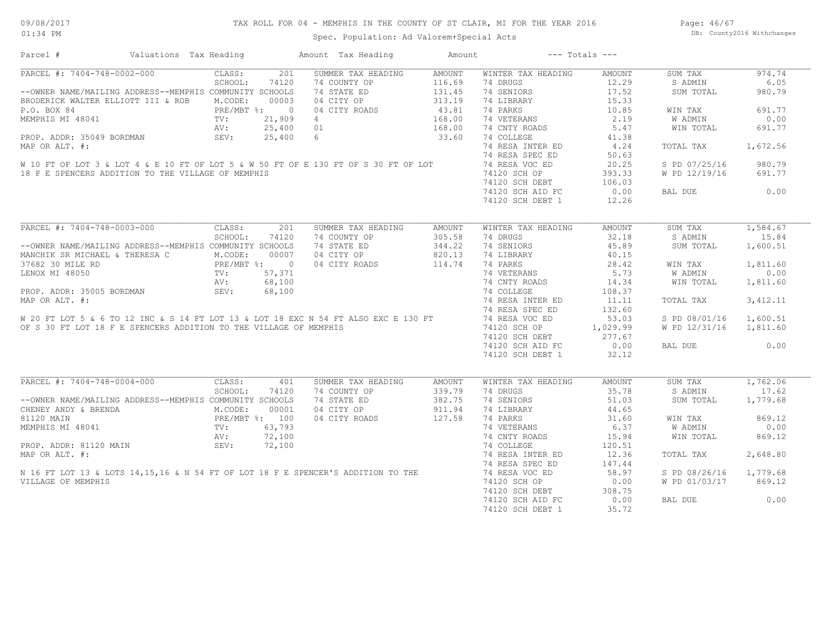## TAX ROLL FOR 04 - MEMPHIS IN THE COUNTY OF ST CLAIR, MI FOR THE YEAR 2016

Spec. Population: Ad Valorem+Special Acts

Page: 46/67 DB: County2016 Withchanges

| Parcel #                                                                                                                                                                                                                                                                                                                                                                                                                 | Valuations Tax Heading     |                | Amount Tax Heading | Amount        |                                      | $---$ Totals $---$ |                        |           |
|--------------------------------------------------------------------------------------------------------------------------------------------------------------------------------------------------------------------------------------------------------------------------------------------------------------------------------------------------------------------------------------------------------------------------|----------------------------|----------------|--------------------|---------------|--------------------------------------|--------------------|------------------------|-----------|
| PARCEL #: 7404-748-0002-000                                                                                                                                                                                                                                                                                                                                                                                              | CLASS:                     | 201            | SUMMER TAX HEADING | AMOUNT        | WINTER TAX HEADING                   | AMOUNT             | SUM TAX                | 974.74    |
|                                                                                                                                                                                                                                                                                                                                                                                                                          | SCHOOL:                    | 74120          | 74 COUNTY OP       | 116.69        | 74 DRUGS                             | 12.29              | S ADMIN                | 6.05      |
| --OWNER NAME/MAILING ADDRESS--MEMPHIS COMMUNITY SCHOOLS                                                                                                                                                                                                                                                                                                                                                                  |                            |                | 74 STATE ED        | 131.45        | 74 SENIORS                           | 17.52              | SUM TOTAL              | 980.79    |
| BRODERICK WALTER ELLIOTT III & ROB M.CODE:                                                                                                                                                                                                                                                                                                                                                                               |                            | 00003          | 04 CITY OP         | 313.19        | 74 LIBRARY                           | 15.33              |                        |           |
| P.O. BOX 84                                                                                                                                                                                                                                                                                                                                                                                                              | PRE/MBT %:                 | $\overline{0}$ | 04 CITY ROADS      | 43.81         | 74 PARKS                             | 10.85              | WIN TAX                | 691.77    |
| MEMPHIS MI 48041                                                                                                                                                                                                                                                                                                                                                                                                         | TV:                        | 21,909         | 4                  | 168.00        | 74 VETERANS                          | 2.19               | W ADMIN                | 0.00      |
|                                                                                                                                                                                                                                                                                                                                                                                                                          | AV:                        | 25,400 01      |                    | 168.00        | 74 CNTY ROADS                        | 5.47               | WIN TOTAL              | 691.77    |
| PROP. ADDR: 35049 BORDMAN                                                                                                                                                                                                                                                                                                                                                                                                | SEV:                       | 25,400 6       |                    | 33.60         | 74 COLLEGE                           | 41.38              |                        |           |
| MAP OR ALT. #:                                                                                                                                                                                                                                                                                                                                                                                                           |                            |                |                    |               | 74 RESA INTER ED                     | 4.24               | TOTAL TAX              | 1,672.56  |
|                                                                                                                                                                                                                                                                                                                                                                                                                          |                            |                |                    |               | 74 RESA SPEC ED                      | 50.63              |                        |           |
| W 10 FT OF LOT 3 & LOT 4 & E 10 FT OF LOT 5 & W 50 FT OF E 130 FT OF S 30 FT OF LOT                                                                                                                                                                                                                                                                                                                                      |                            |                |                    |               | 74 RESA VOC ED                       | 20.25              | S PD 07/25/16          | 980.79    |
| 18 F E SPENCERS ADDITION TO THE VILLAGE OF MEMPHIS                                                                                                                                                                                                                                                                                                                                                                       |                            |                |                    |               | 74120 SCH OP                         | 393.33             | W PD 12/19/16          | 691.77    |
|                                                                                                                                                                                                                                                                                                                                                                                                                          |                            |                |                    |               | $74120$ SCH DEBT<br>$74120$ SCH DEBT | 106.03             |                        |           |
|                                                                                                                                                                                                                                                                                                                                                                                                                          |                            |                |                    |               | 74120 SCH AID FC                     | 0.00               | BAL DUE                | 0.00      |
|                                                                                                                                                                                                                                                                                                                                                                                                                          |                            |                |                    |               |                                      |                    |                        |           |
|                                                                                                                                                                                                                                                                                                                                                                                                                          |                            |                |                    |               | 74120 SCH DEBT 1                     | 12.26              |                        |           |
| PARCEL #: 7404-748-0003-000                                                                                                                                                                                                                                                                                                                                                                                              | CLASS:                     | 201            | SUMMER TAX HEADING | <b>AMOUNT</b> | WINTER TAX HEADING                   | <b>AMOUNT</b>      | SUM TAX                | 1,584.67  |
|                                                                                                                                                                                                                                                                                                                                                                                                                          | SCHOOL:                    | 74120          | 74 COUNTY OP       | 305.58        | 74 DRUGS                             | 32.18              | S ADMIN                | 15.84     |
| --OWNER NAME/MAILING ADDRESS--MEMPHIS COMMUNITY SCHOOLS                                                                                                                                                                                                                                                                                                                                                                  |                            |                | 74 STATE ED        | 344.22        | 74 SENIORS                           | 45.89              | SUM TOTAL              | 1,600.51  |
| MANCHIK SR MICHAEL & THERESA C                                                                                                                                                                                                                                                                                                                                                                                           | M.CODE:                    | 00007          | 04 CITY OP         | 820.13        | 74 LIBRARY                           | 40.15              |                        |           |
| 37682 30 MILE RD                                                                                                                                                                                                                                                                                                                                                                                                         |                            |                | 04 CITY ROADS      | 114.74        | 74 PARKS                             | 28.42              | WIN TAX                | 1,811.60  |
| LENOX MI 48050                                                                                                                                                                                                                                                                                                                                                                                                           | PRE/MBT %: 0<br>TV: 57,371 |                |                    |               | 74 VETERANS                          | 5.73               | <b>W ADMIN</b>         | 0.00      |
|                                                                                                                                                                                                                                                                                                                                                                                                                          | AV:                        | 68,100         |                    |               | 74 CNTY ROADS                        | 14.34              | WIN TOTAL              | 1,811.60  |
|                                                                                                                                                                                                                                                                                                                                                                                                                          |                            |                |                    |               |                                      |                    |                        |           |
| PROP. ADDR: 35005 BORDMAN                                                                                                                                                                                                                                                                                                                                                                                                | SEV:                       | 68,100         |                    |               | 74 COLLEGE                           | 108.37             |                        |           |
|                                                                                                                                                                                                                                                                                                                                                                                                                          |                            |                |                    |               | 74 RESA INTER ED                     | 11.11              | TOTAL TAX              | 3, 412.11 |
|                                                                                                                                                                                                                                                                                                                                                                                                                          |                            |                |                    |               | 74 RESA SPEC ED                      | 132.60             |                        |           |
|                                                                                                                                                                                                                                                                                                                                                                                                                          |                            |                |                    |               |                                      | 53.03              | S PD 08/01/16 1,600.51 |           |
|                                                                                                                                                                                                                                                                                                                                                                                                                          |                            |                |                    |               | 74120 SCH OP                         | 1,029.99           | W PD 12/31/16          | 1,811.60  |
|                                                                                                                                                                                                                                                                                                                                                                                                                          |                            |                |                    |               | 74120 SCH DEBT                       | 277.67             |                        |           |
| $\begin{array}{lllllllll} \text{W 20 FT } \text{LOT 5 & 6 T0 12 INC & 8 14 FT } \text{LOT 13} & \text{LOT 18 EXC N 54 FT } \text{ALSO EXC E 130 FT} & \text{74 RESA INTER E} \\ \text{OF S 30 FT } \text{LOT 18 F E SPENCERS ADDITION TO THE VILLAGE OF MEMPHIS} & \text{74D} \\ \text{OF S 30 FT } \text{LOT 18 F E SPENCERS ADDITION TO THE VILLAGE OF MEMPHIS} & \text{74D} \\ \text{74D} \\ \text{74D} \\ \text{74D$ |                            |                |                    |               | 74120 SCH AID FC                     | 0.00               | BAL DUE                | 0.00      |
|                                                                                                                                                                                                                                                                                                                                                                                                                          |                            |                |                    |               | 74120 SCH DEBT 1                     | 32.12              |                        |           |
| PARCEL #: 7404-748-0004-000                                                                                                                                                                                                                                                                                                                                                                                              | CLASS:                     | 401            | SUMMER TAX HEADING | <b>AMOUNT</b> | WINTER TAX HEADING                   | <b>AMOUNT</b>      | SUM TAX                | 1,762.06  |
|                                                                                                                                                                                                                                                                                                                                                                                                                          | SCHOOL:                    | 74120          | 74 COUNTY OP       | 339.79        | 74 DRUGS                             | 35.78              | S ADMIN                | 17.62     |
|                                                                                                                                                                                                                                                                                                                                                                                                                          |                            |                |                    |               |                                      |                    |                        |           |
| --OWNER NAME/MAILING ADDRESS--MEMPHIS COMMUNITY SCHOOLS                                                                                                                                                                                                                                                                                                                                                                  |                            |                | 74 STATE ED        | 382.75        | 74 SENIORS                           | 51.03              | SUM TOTAL              | 1,779.68  |
| CHENEY ANDY & BRENDA                                                                                                                                                                                                                                                                                                                                                                                                     | M.CODE:                    | 00001          | 04 CITY OP         | 911.94        | 74 LIBRARY                           | 44.65              |                        |           |
| 81120 MAIN                                                                                                                                                                                                                                                                                                                                                                                                               | PRE/MBT %: 100             |                | 04 CITY ROADS      | 127.58        | 74 PARKS                             | 31.60              | WIN TAX                | 869.12    |
| MEMPHIS MI 48041                                                                                                                                                                                                                                                                                                                                                                                                         | TV:                        | 63,793         |                    |               | 74 VETERANS                          | 6.37               | W ADMIN                | 0.00      |
|                                                                                                                                                                                                                                                                                                                                                                                                                          | AV:                        | 72,100         |                    |               | 74 CNTY ROADS                        | 15.94              | WIN TOTAL              | 869.12    |
| PROP. ADDR: 81120 MAIN                                                                                                                                                                                                                                                                                                                                                                                                   | SEV:                       | 72,100         |                    |               | 74 COLLEGE                           | 120.51             |                        |           |
| MAP OR ALT. #:<br>N 16 FT LOT 13 & LOTS 14,15,16 & N 54 FT OF LOT 18 F E SPENCER'S ADDITION TO THE                                                                                                                                                                                                                                                                                                                       |                            |                |                    |               | 74 RESA INTER ED                     | 12.36              | TOTAL TAX              | 2,648.80  |
|                                                                                                                                                                                                                                                                                                                                                                                                                          |                            |                |                    |               | 74 RESA SPEC ED                      | 147.44             |                        |           |
|                                                                                                                                                                                                                                                                                                                                                                                                                          |                            |                |                    |               | 74 RESA VOC ED                       | 58.97              | S PD 08/26/16          | 1,779.68  |
| VILLAGE OF MEMPHIS                                                                                                                                                                                                                                                                                                                                                                                                       |                            |                |                    |               | 74120 SCH OP                         | 0.00               | W PD 01/03/17          | 869.12    |
|                                                                                                                                                                                                                                                                                                                                                                                                                          |                            |                |                    |               | 74120 SCH DEBT                       | 308.75             |                        |           |
|                                                                                                                                                                                                                                                                                                                                                                                                                          |                            |                |                    |               | 74120 SCH AID FC                     | 0.00               | BAL DUE                | 0.00      |
|                                                                                                                                                                                                                                                                                                                                                                                                                          |                            |                |                    |               | 74120 SCH DEBT 1                     | 35.72              |                        |           |
|                                                                                                                                                                                                                                                                                                                                                                                                                          |                            |                |                    |               |                                      |                    |                        |           |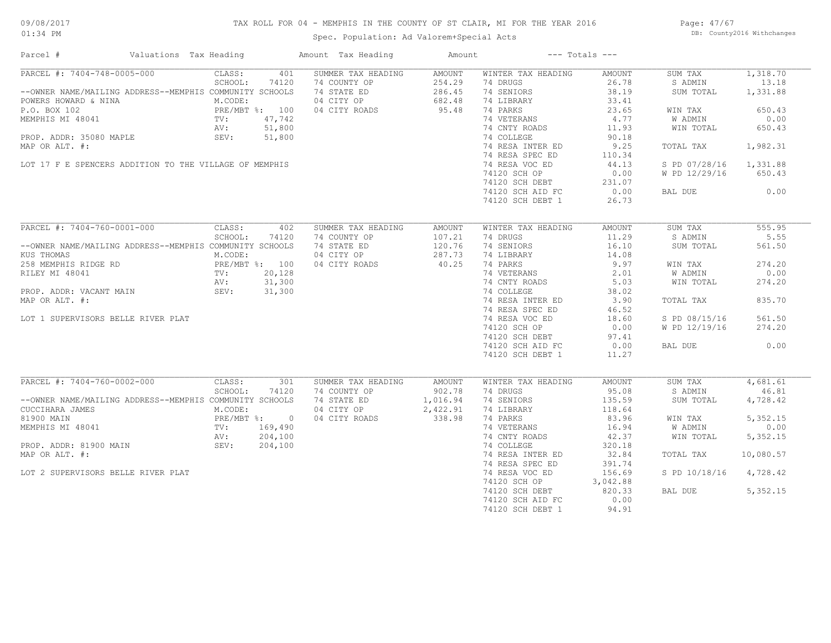## TAX ROLL FOR 04 - MEMPHIS IN THE COUNTY OF ST CLAIR, MI FOR THE YEAR 2016

Spec. Population: Ad Valorem+Special Acts

Page: 47/67 DB: County2016 Withchanges

| Parcel #                                                                                                                                  | Valuations Tax Heading                              |         |         | Amount Tax Heading | Amount   |                                                | $---$ Totals $---$ |               |           |
|-------------------------------------------------------------------------------------------------------------------------------------------|-----------------------------------------------------|---------|---------|--------------------|----------|------------------------------------------------|--------------------|---------------|-----------|
| PARCEL #: 7404-748-0005-000                                                                                                               |                                                     | CLASS:  | 401     | SUMMER TAX HEADING | AMOUNT   | WINTER TAX HEADING                             | AMOUNT             | SUM TAX       | 1,318.70  |
|                                                                                                                                           |                                                     | SCHOOL: | 74120   | 74 COUNTY OP       | 254.29   | 74 DRUGS                                       | 26.78              | S ADMIN       | 13.18     |
| --OWNER NAME/MAILING ADDRESS--MEMPHIS COMMUNITY SCHOOLS                                                                                   |                                                     |         |         | 74 STATE ED        | 286.45   | 74 SENIORS                                     | 38.19              | SUM TOTAL     | 1,331.88  |
| POWERS HOWARD & NINA                                                                                                                      |                                                     | M.CODE: |         | 04 CITY OP         | 682.48   | 74 LIBRARY                                     | 33.41              |               |           |
| PRE/MER SON 102<br>PRE/MET %: 100<br>MEMPHIS MI 48041<br>PROP. ADDR: 35080 MAPLE<br>SEV: 51,800<br>PROP. ADDR: 35080 MAPLE<br>SEV: 51,800 |                                                     |         |         | 04 CITY ROADS      | 95.48    | 74 PARKS                                       | 23.65              | WIN TAX       | 650.43    |
|                                                                                                                                           |                                                     |         |         |                    |          | 74 VETERANS                                    | 4.77               | W ADMIN       | 0.00      |
|                                                                                                                                           |                                                     |         |         |                    |          | 74 CNTY ROADS                                  | 11.93              | WIN TOTAL     | 650.43    |
|                                                                                                                                           |                                                     |         |         |                    |          | 74 COLLEGE                                     | 90.18              |               |           |
|                                                                                                                                           |                                                     |         |         |                    |          |                                                | 9.25               | TOTAL TAX     | 1,982.31  |
| MAP OR ALT. #:                                                                                                                            |                                                     |         |         |                    |          | 74 RESA INTER ED                               |                    |               |           |
|                                                                                                                                           |                                                     |         |         |                    |          | 74 RESA SPEC ED                                | 110.34             |               |           |
| LOT 17 F E SPENCERS ADDITION TO THE VILLAGE OF MEMPHIS                                                                                    |                                                     |         |         |                    |          | 74 RESA VOC ED                                 | 44.13              | S PD 07/28/16 | 1,331.88  |
|                                                                                                                                           |                                                     |         |         |                    |          | 74120 SCH OP                                   | 0.00               | W PD 12/29/16 | 650.43    |
|                                                                                                                                           |                                                     |         |         |                    |          | 74120 SCH DEBT 231.07<br>74120 SCH DEBT 231.07 |                    |               |           |
|                                                                                                                                           |                                                     |         |         |                    |          |                                                |                    | BAL DUE       | 0.00      |
|                                                                                                                                           |                                                     |         |         |                    |          | 74120 SCH DEBT 1                               | 26.73              |               |           |
|                                                                                                                                           |                                                     |         |         |                    |          |                                                |                    |               |           |
| PARCEL #: 7404-760-0001-000                                                                                                               |                                                     | CLASS:  | 402     | SUMMER TAX HEADING | AMOUNT   | WINTER TAX HEADING                             | AMOUNT             | SUM TAX       | 555.95    |
|                                                                                                                                           |                                                     | SCHOOL: | 74120   | 74 COUNTY OP       | 107.21   | 74 DRUGS                                       | 11.29              | S ADMIN       | 5.55      |
| --OWNER NAME/MAILING ADDRESS--MEMPHIS COMMUNITY SCHOOLS                                                                                   |                                                     |         |         | 74 STATE ED        | 120.76   | 74 SENIORS                                     | 16.10              | SUM TOTAL     | 561.50    |
| KUS THOMAS                                                                                                                                |                                                     | M.CODE: |         | 04 CITY OP         | 287.73   | 74 LIBRARY                                     | 14.08              |               |           |
| 258 MEMPHIS RIDGE RD<br>RILEY MI 48041 TV: 20,128<br>PROP. ADDR: VACANT MAIN SEV: 31,300<br>PROP. ADDR: VACANT MAIN SEV: 31,300           |                                                     |         |         | 04 CITY ROADS      | 40.25    | 74 PARKS                                       | 9.97               | WIN TAX       | 274.20    |
|                                                                                                                                           |                                                     |         |         |                    |          | 74 VETERANS                                    | 2.01               | W ADMIN       | 0.00      |
|                                                                                                                                           |                                                     |         |         |                    |          | 74 CNTY ROADS                                  | 5.03               |               |           |
|                                                                                                                                           |                                                     |         |         |                    |          |                                                |                    | WIN TOTAL     | 274.20    |
|                                                                                                                                           |                                                     |         |         |                    |          | 74 COLLEGE                                     | 38.02              |               |           |
| MAP OR ALT. #:                                                                                                                            |                                                     |         |         |                    |          | 74 RESA INTER ED                               | 3.90               | TOTAL TAX     | 835.70    |
|                                                                                                                                           |                                                     |         |         |                    |          | 74 RESA SPEC ED                                | 46.52              |               |           |
| LOT 1 SUPERVISORS BELLE RIVER PLAT                                                                                                        |                                                     |         |         |                    |          | 74 RESA VOC ED                                 | 18.60              | S PD 08/15/16 | 561.50    |
|                                                                                                                                           |                                                     |         |         |                    |          | 74120 SCH OP                                   | 0.00               | W PD 12/19/16 | 274.20    |
|                                                                                                                                           |                                                     |         |         |                    |          | 74120 SCH DEBT                                 | 97.41              |               |           |
|                                                                                                                                           |                                                     |         |         |                    |          | 74120 SCH AID FC                               | 0.00               | BAL DUE       | 0.00      |
|                                                                                                                                           |                                                     |         |         |                    |          | 74120 SCH DEBT 1                               | 11.27              |               |           |
|                                                                                                                                           |                                                     |         |         |                    |          |                                                |                    |               |           |
| PARCEL #: 7404-760-0002-000                                                                                                               |                                                     | CLASS:  | 301     | SUMMER TAX HEADING | AMOUNT   | WINTER TAX HEADING                             | AMOUNT             | SUM TAX       | 4,681.61  |
|                                                                                                                                           |                                                     | SCHOOL: | 74120   | 74 COUNTY OP       | 902.78   | 74 DRUGS                                       | 95.08              | S ADMIN       | 46.81     |
| --OWNER NAME/MAILING ADDRESS--MEMPHIS COMMUNITY SCHOOLS                                                                                   |                                                     |         |         | 74 STATE ED        | 1,016.94 | 74 SENIORS                                     | 135.59             | SUM TOTAL     | 4,728.42  |
| CUCCIHARA JAMES                                                                                                                           |                                                     | M.CODE: |         | 04 CITY OP         | 2,422.91 | 74 LIBRARY                                     | 118.64             |               |           |
| 81900 MAIN                                                                                                                                |                                                     |         |         | 04 CITY ROADS      | 338.98   | 74 PARKS                                       | 83.96              | WIN TAX       | 5,352.15  |
| MEMPHIS MI 48041                                                                                                                          | -----<br>PRE/MBT %: 0<br>TV: 169,490<br>AV: 204.100 |         |         |                    |          | 74 VETERANS                                    | 16.94              | W ADMIN       | 0.00      |
|                                                                                                                                           |                                                     | AV:     | 204,100 |                    |          | 74 CNTY ROADS                                  | 42.37              | WIN TOTAL     | 5,352.15  |
| PROP. ADDR: 81900 MAIN 5EV:                                                                                                               |                                                     |         | 204,100 |                    |          | 74 COLLEGE                                     | 320.18             |               |           |
| MAP OR ALT. #:                                                                                                                            |                                                     |         |         |                    |          | 74 RESA INTER ED                               | 32.84              | TOTAL TAX     | 10,080.57 |
|                                                                                                                                           |                                                     |         |         |                    |          | 74 RESA SPEC ED                                | 391.74             |               |           |
|                                                                                                                                           |                                                     |         |         |                    |          | 74 RESA VOC ED                                 |                    |               |           |
| LOT 2 SUPERVISORS BELLE RIVER PLAT                                                                                                        |                                                     |         |         |                    |          | 74 RESA VOC ED 156.69<br>74120 SCH OP 3,042.88 |                    | S PD 10/18/16 | 4,728.42  |
|                                                                                                                                           |                                                     |         |         |                    |          |                                                |                    |               |           |
|                                                                                                                                           |                                                     |         |         |                    |          | 74120 SCH DEBT                                 | 820.33             | BAL DUE       | 5,352.15  |
|                                                                                                                                           |                                                     |         |         |                    |          | 74120 SCH AID FC                               | 0.00               |               |           |
|                                                                                                                                           |                                                     |         |         |                    |          | 74120 SCH DEBT 1                               | 94.91              |               |           |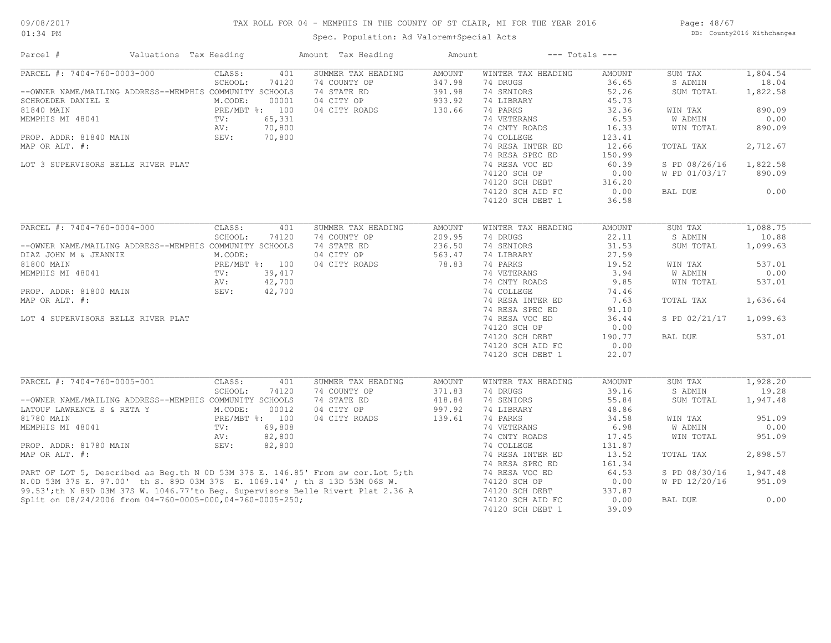## TAX ROLL FOR 04 - MEMPHIS IN THE COUNTY OF ST CLAIR, MI FOR THE YEAR 2016

Spec. Population: Ad Valorem+Special Acts

Page: 48/67 DB: County2016 Withchanges

| Parcel #                                                                                                                                                        | Valuations Tax Heading | Amount Tax Heading        | Amount        |                    | $---$ Totals $---$ |                |          |
|-----------------------------------------------------------------------------------------------------------------------------------------------------------------|------------------------|---------------------------|---------------|--------------------|--------------------|----------------|----------|
| PARCEL #: 7404-760-0003-000                                                                                                                                     | CLASS:                 | SUMMER TAX HEADING<br>401 | <b>AMOUNT</b> | WINTER TAX HEADING | <b>AMOUNT</b>      | SUM TAX        | 1,804.54 |
|                                                                                                                                                                 | SCHOOL:<br>74120       | 74 COUNTY OP              | 347.98        | 74 DRUGS           | 36.65              | S ADMIN        | 18.04    |
| --OWNER NAME/MAILING ADDRESS--MEMPHIS COMMUNITY SCHOOLS                                                                                                         |                        | 74 STATE ED               | 391.98        | 74 SENIORS         | 52.26              | SUM TOTAL      | 1,822.58 |
| SCHROEDER DANIEL E                                                                                                                                              | M.CODE:<br>00001       | 04 CITY OP                | 933.92        | 74 LIBRARY         | 45.73              |                |          |
| 81840 MAIN                                                                                                                                                      | PRE/MBT %: 100         | 04 CITY ROADS             | 130.66        | 74 PARKS           | 32.36              | WIN TAX        | 890.09   |
| MEMPHIS MI 48041                                                                                                                                                | 65,331<br>TV:          |                           |               | 74 VETERANS        | 6.53               | <b>W ADMIN</b> | 0.00     |
|                                                                                                                                                                 | 70,800<br>AV:          |                           |               | 74 CNTY ROADS      | 16.33              | WIN TOTAL      | 890.09   |
| PROP. ADDR: 81840 MAIN                                                                                                                                          | SEV:<br>70,800         |                           |               | 74 COLLEGE         | 123.41             |                |          |
| MAP OR ALT. #:                                                                                                                                                  |                        |                           |               | 74 RESA INTER ED   | 12.66              | TOTAL TAX      | 2,712.67 |
|                                                                                                                                                                 |                        |                           |               | 74 RESA SPEC ED    | 150.99             |                |          |
| LOT 3 SUPERVISORS BELLE RIVER PLAT                                                                                                                              |                        |                           |               | 74 RESA VOC ED     | 60.39              | S PD 08/26/16  | 1,822.58 |
|                                                                                                                                                                 |                        |                           |               | 74120 SCH OP       | 0.00               | W PD 01/03/17  | 890.09   |
|                                                                                                                                                                 |                        |                           |               | 74120 SCH DEBT     | 316.20             |                |          |
|                                                                                                                                                                 |                        |                           |               | 74120 SCH AID FC   | 0.00               | BAL DUE        | 0.00     |
|                                                                                                                                                                 |                        |                           |               | 74120 SCH DEBT 1   | 36.58              |                |          |
|                                                                                                                                                                 |                        |                           |               |                    |                    |                |          |
|                                                                                                                                                                 |                        |                           |               |                    |                    |                |          |
| PARCEL #: 7404-760-0004-000                                                                                                                                     | CLASS:                 | 401<br>SUMMER TAX HEADING | <b>AMOUNT</b> | WINTER TAX HEADING | <b>AMOUNT</b>      | SUM TAX        | 1,088.75 |
|                                                                                                                                                                 | SCHOOL:<br>74120       | 74 COUNTY OP              | 209.95        | 74 DRUGS           | 22.11              | S ADMIN        | 10.88    |
| --OWNER NAME/MAILING ADDRESS--MEMPHIS COMMUNITY SCHOOLS                                                                                                         |                        | 74 STATE ED               | 236.50        | 74 SENIORS         | 31.53              | SUM TOTAL      | 1,099.63 |
| DIAZ JOHN M & JEANNIE                                                                                                                                           | M.CODE:                | 04 CITY OP                | 563.47        | 74 LIBRARY         | 27.59              |                |          |
| 81800 MAIN                                                                                                                                                      | PRE/MBT %: 100         | 04 CITY ROADS             | 78.83         | 74 PARKS           | 19.52              | WIN TAX        | 537.01   |
| MEMPHIS MI 48041                                                                                                                                                | 39,417<br>TV:          |                           |               | 74 VETERANS        | 3.94               | <b>W ADMIN</b> | 0.00     |
|                                                                                                                                                                 | 42,700<br>AV:          |                           |               | 74 CNTY ROADS      | 9.85               | WIN TOTAL      | 537.01   |
| PROP. ADDR: 81800 MAIN                                                                                                                                          | SEV:<br>42,700         |                           |               | 74 COLLEGE         | 74.46              |                |          |
| MAP OR ALT. #:                                                                                                                                                  |                        |                           |               | 74 RESA INTER ED   | 7.63               | TOTAL TAX      | 1,636.64 |
|                                                                                                                                                                 |                        |                           |               | 74 RESA SPEC ED    | 91.10              |                |          |
| LOT 4 SUPERVISORS BELLE RIVER PLAT                                                                                                                              |                        |                           |               | 74 RESA VOC ED     | 36.44              | S PD 02/21/17  | 1,099.63 |
|                                                                                                                                                                 |                        |                           |               | 74120 SCH OP       | 0.00               |                |          |
|                                                                                                                                                                 |                        |                           |               | 74120 SCH DEBT     | 190.77             | BAL DUE        | 537.01   |
|                                                                                                                                                                 |                        |                           |               |                    |                    |                |          |
|                                                                                                                                                                 |                        |                           |               | 74120 SCH AID FC   | 0.00               |                |          |
|                                                                                                                                                                 |                        |                           |               | 74120 SCH DEBT 1   | 22.07              |                |          |
|                                                                                                                                                                 |                        |                           |               |                    |                    |                |          |
| PARCEL #: 7404-760-0005-001                                                                                                                                     | CLASS:                 | SUMMER TAX HEADING<br>401 | <b>AMOUNT</b> | WINTER TAX HEADING | <b>AMOUNT</b>      | SUM TAX        | 1,928.20 |
|                                                                                                                                                                 | SCHOOL:<br>74120       | 74 COUNTY OP              | 371.83        | 74 DRUGS           | 39.16              | S ADMIN        | 19.28    |
| --OWNER NAME/MAILING ADDRESS--MEMPHIS COMMUNITY SCHOOLS                                                                                                         |                        | 74 STATE ED               | 418.84        | 74 SENIORS         | 55.84              | SUM TOTAL      | 1,947.48 |
| LATOUF LAWRENCE S & RETA Y                                                                                                                                      | M.CODE:<br>00012       | 04 CITY OP                | 997.92        | 74 LIBRARY         | 48.86              |                |          |
| 81780 MAIN                                                                                                                                                      | PRE/MBT %: 100         | 04 CITY ROADS             | 139.61        | 74 PARKS           | 34.58              | WIN TAX        | 951.09   |
| MEMPHIS MI 48041                                                                                                                                                | 69,808<br>TV:          |                           |               | 74 VETERANS        | 6.98               | <b>W ADMIN</b> | 0.00     |
|                                                                                                                                                                 | 82,800<br>AV:          |                           |               | 74 CNTY ROADS      | 17.45              | WIN TOTAL      | 951.09   |
| PROP. ADDR: 81780 MAIN                                                                                                                                          | SEV:<br>82,800         |                           |               | 74 COLLEGE         | 131.87             |                |          |
| MAP OR ALT. #:                                                                                                                                                  |                        |                           |               | 74 RESA INTER ED   | 13.52              | TOTAL TAX      | 2,898.57 |
|                                                                                                                                                                 |                        |                           |               | 74 RESA SPEC ED    | 161.34             |                |          |
|                                                                                                                                                                 |                        |                           |               | 74 RESA VOC ED     | 64.53              | S PD 08/30/16  | 1,947.48 |
| PART OF LOT 5, Described as Beg.th N 0D 53M 37S E. 146.85' From sw cor. Lot 5; th<br>N.OD 53M 37S E. 97.00' th S. 89D 03M 37S E. 1069.14' ; th S 13D 53M 06S W. |                        |                           |               | 74120 SCH OP       | 0.00               | W PD 12/20/16  | 951.09   |
| 99.53'; th N 89D 03M 37S W. 1046.77'to Beg. Supervisors Belle Rivert Plat 2.36 A                                                                                |                        |                           |               | 74120 SCH DEBT     | 337.87             |                |          |
|                                                                                                                                                                 |                        |                           |               |                    |                    |                | 0.00     |
| Split on 08/24/2006 from 04-760-0005-000,04-760-0005-250;                                                                                                       |                        |                           |               | 74120 SCH AID FC   | 0.00               | BAL DUE        |          |
|                                                                                                                                                                 |                        |                           |               | 74120 SCH DEBT 1   | 39.09              |                |          |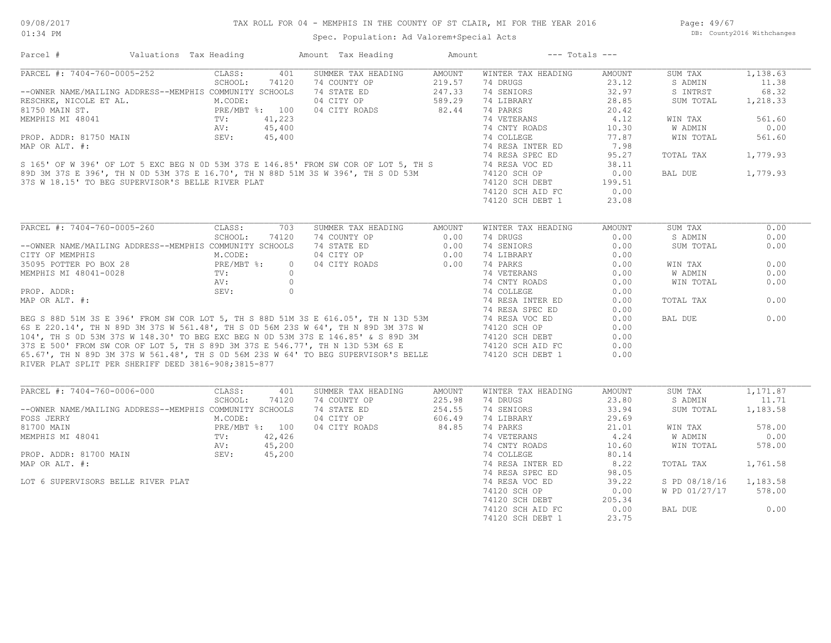Page: 49/67 DB: County2016 Withchanges

## Spec. Population: Ad Valorem+Special Acts

|                                                                                                                                                                                                                                     | Valuations Tax Heading                                  | Amount Tax Heading                                                                                                                                                                                                                      | Amount           | $---$ Totals $---$                   |               |               |          |
|-------------------------------------------------------------------------------------------------------------------------------------------------------------------------------------------------------------------------------------|---------------------------------------------------------|-----------------------------------------------------------------------------------------------------------------------------------------------------------------------------------------------------------------------------------------|------------------|--------------------------------------|---------------|---------------|----------|
| PARCEL #: 7404-760-0005-252                                                                                                                                                                                                         | CLASS:                                                  | 401<br>SUMMER TAX HEADING                                                                                                                                                                                                               | <b>AMOUNT</b>    | WINTER TAX HEADING                   | <b>AMOUNT</b> | SUM TAX       | 1,138.63 |
|                                                                                                                                                                                                                                     | SCHOOL:<br>74120                                        | 74 COUNTY OP                                                                                                                                                                                                                            | 219.57           | 74 DRUGS                             | 23.12         | S ADMIN       | 11.38    |
|                                                                                                                                                                                                                                     |                                                         | 74 STATE ED                                                                                                                                                                                                                             | 247.33<br>589.29 | 74 SENIORS                           | 32.97         | S INTRST      | 68.32    |
|                                                                                                                                                                                                                                     |                                                         | 04 CITY OP                                                                                                                                                                                                                              |                  | 74 LIBRARY                           | 28.85         | SUM TOTAL     | 1,218.33 |
|                                                                                                                                                                                                                                     |                                                         | 04 CITY ROADS                                                                                                                                                                                                                           | 82.44            | 74 PARKS                             | 20.42         |               |          |
|                                                                                                                                                                                                                                     |                                                         |                                                                                                                                                                                                                                         |                  | 74 VETERANS                          | 4.12          | WIN TAX       | 561.60   |
|                                                                                                                                                                                                                                     |                                                         |                                                                                                                                                                                                                                         |                  | 74 CNTY ROADS                        | 10.30         | W ADMIN       | 0.00     |
|                                                                                                                                                                                                                                     | 45,400                                                  |                                                                                                                                                                                                                                         |                  | 74 COLLEGE                           | 77.87         | WIN TOTAL     | 561.60   |
| MAP OR ALT. #:                                                                                                                                                                                                                      |                                                         |                                                                                                                                                                                                                                         |                  | 74 RESA INTER ED                     | 7.98          |               |          |
|                                                                                                                                                                                                                                     |                                                         |                                                                                                                                                                                                                                         |                  |                                      | 95.27         | TOTAL TAX     | 1,779.93 |
|                                                                                                                                                                                                                                     |                                                         | MAP OR ALT. #:<br>S 165' OF W 396' OF LOT 5 EXC BEG N 0D 53M 37S E 146.85' FROM SW COR OF LOT 5, TH S<br>89D 3M 37S E 396', TH N 0D 53M 37S E 16.70', TH N 88D 51M 3S W 396', TH S 0D 53M 37S E 396', TH N 0D 53M 37S E<br>74120 SCH DE |                  |                                      | 38.11         |               |          |
|                                                                                                                                                                                                                                     |                                                         |                                                                                                                                                                                                                                         |                  |                                      |               |               |          |
|                                                                                                                                                                                                                                     |                                                         |                                                                                                                                                                                                                                         |                  |                                      | 0.00          | BAL DUE       | 1,779.93 |
| 37S W 18.15' TO BEG SUPERVISOR'S BELLE RIVER PLAT                                                                                                                                                                                   |                                                         |                                                                                                                                                                                                                                         |                  | 74120 SCH DEBT                       | 199.51        |               |          |
|                                                                                                                                                                                                                                     |                                                         |                                                                                                                                                                                                                                         |                  | 74120 SCH AID FC                     | 0.00          |               |          |
|                                                                                                                                                                                                                                     |                                                         |                                                                                                                                                                                                                                         |                  | 74120 SCH DEBT 1                     | 23.08         |               |          |
|                                                                                                                                                                                                                                     |                                                         |                                                                                                                                                                                                                                         |                  |                                      |               |               |          |
| PARCEL #: 7404-760-0005-260                                                                                                                                                                                                         | CLASS:                                                  | SUMMER TAX HEADING<br>703                                                                                                                                                                                                               | AMOUNT           | WINTER TAX HEADING                   | AMOUNT        | SUM TAX       | 0.00     |
|                                                                                                                                                                                                                                     | SCHOOL:<br>74120                                        | 74 COUNTY OP                                                                                                                                                                                                                            | 0.00             | 74 DRUGS                             | 0.00          | S ADMIN       | 0.00     |
|                                                                                                                                                                                                                                     | --OWNER NAME/MAILING ADDRESS--MEMPHIS COMMUNITY SCHOOLS | 74 STATE ED                                                                                                                                                                                                                             | 0.00             | 74 SENIORS                           | 0.00          | SUM TOTAL     | 0.00     |
|                                                                                                                                                                                                                                     |                                                         | 04 CITY OP                                                                                                                                                                                                                              | 0.00             | 74 LIBRARY                           | 0.00          |               |          |
| CITY OF MEMPHIS<br>35095 POTTER PO BOX 28<br>MEMPHIS MI 48041-0028 TV:<br>THE TO THE TO THE TO THE TOP TO THE TOP TO THE TOP TO THE TOP TO THE TOP TO THE TOP TO THE TOP TO THE TOP THE TOP THE TOP THE TOP THE TOP THE TOP THE THE |                                                         | 04 CITY ROADS<br>$\Omega$                                                                                                                                                                                                               | 0.00             | 74 PARKS                             | 0.00          | WIN TAX       | 0.00     |
|                                                                                                                                                                                                                                     |                                                         | $\circ$                                                                                                                                                                                                                                 |                  | 74 VETERANS                          | 0.00          | W ADMIN       | 0.00     |
|                                                                                                                                                                                                                                     | AV:                                                     | $\circ$                                                                                                                                                                                                                                 |                  | 74 CNTY ROADS                        | 0.00          | WIN TOTAL     | 0.00     |
| PROP. ADDR:                                                                                                                                                                                                                         | SEV:                                                    | $\circ$                                                                                                                                                                                                                                 |                  | 74 COLLEGE                           | 0.00          |               |          |
| MAP OR ALT. #:                                                                                                                                                                                                                      |                                                         |                                                                                                                                                                                                                                         |                  | 74 RESA INTER ED                     | 0.00          | TOTAL TAX     | 0.00     |
|                                                                                                                                                                                                                                     |                                                         |                                                                                                                                                                                                                                         |                  |                                      | 0.00          |               |          |
|                                                                                                                                                                                                                                     |                                                         |                                                                                                                                                                                                                                         |                  |                                      | 0.00          | BAL DUE       | 0.00     |
|                                                                                                                                                                                                                                     |                                                         |                                                                                                                                                                                                                                         |                  |                                      | 0.00          |               |          |
|                                                                                                                                                                                                                                     |                                                         |                                                                                                                                                                                                                                         |                  |                                      |               |               |          |
|                                                                                                                                                                                                                                     |                                                         |                                                                                                                                                                                                                                         |                  |                                      | 0.00          |               |          |
|                                                                                                                                                                                                                                     |                                                         |                                                                                                                                                                                                                                         |                  |                                      | 0.00          |               |          |
|                                                                                                                                                                                                                                     |                                                         | MAP OR ALT. #:<br>BEG S 88D 51M 3S E 396' FROM SW COR LOT 5, TH S 88D 51M 3S E 616.05', TH N 13D 53M 74 RESA SPEC ED<br>6S E 220.14', TH N 89D 3M 37S W 561.48', TH S 0D 56M 23S W 64', TH N 89D 3M 37S W 74 RESA VOC ED<br>104', TH    |                  |                                      | 0.00          |               |          |
| RIVER PLAT SPLIT PER SHERIFF DEED 3816-908;3815-877                                                                                                                                                                                 |                                                         |                                                                                                                                                                                                                                         |                  |                                      |               |               |          |
|                                                                                                                                                                                                                                     |                                                         |                                                                                                                                                                                                                                         |                  |                                      |               |               |          |
|                                                                                                                                                                                                                                     | CLASS:<br>401                                           | SUMMER TAX HEADING                                                                                                                                                                                                                      | AMOUNT           | WINTER TAX HEADING                   | AMOUNT        | SUM TAX       | 1,171.87 |
| PARCEL #: 7404-760-0006-000                                                                                                                                                                                                         |                                                         | 74 COUNTY OP                                                                                                                                                                                                                            | 225.98           | 74 DRUGS                             | 23.80         | S ADMIN       | 11.71    |
|                                                                                                                                                                                                                                     | SCHOOL:<br>74120                                        |                                                                                                                                                                                                                                         |                  |                                      |               |               | 1,183.58 |
|                                                                                                                                                                                                                                     | --OWNER NAME/MAILING ADDRESS--MEMPHIS COMMUNITY SCHOOLS | 74 STATE ED                                                                                                                                                                                                                             | 254.55           | 74 SENIORS                           | 33.94         | SUM TOTAL     |          |
| FOSS JERRY                                                                                                                                                                                                                          | M.CODE:                                                 | 04 CITY OP                                                                                                                                                                                                                              | 606.49           | 74 LIBRARY                           | 29.69         |               |          |
| 81700 MAIN                                                                                                                                                                                                                          |                                                         | 04 CITY ROADS                                                                                                                                                                                                                           | 84.85            | 74 PARKS                             | 21.01         | WIN TAX       | 578.00   |
| MEMPHIS MI 48041                                                                                                                                                                                                                    |                                                         |                                                                                                                                                                                                                                         |                  | 74 VETERANS                          | 4.24          | W ADMIN       |          |
|                                                                                                                                                                                                                                     |                                                         |                                                                                                                                                                                                                                         |                  | 74 CNTY ROADS                        | 10.60         | WIN TOTAL     | 578.00   |
|                                                                                                                                                                                                                                     | PRE/MBT %: 100<br>TV: 42,426<br>AV: 45,200              |                                                                                                                                                                                                                                         |                  | 74 COLLEGE                           | 80.14         |               | 0.00     |
|                                                                                                                                                                                                                                     |                                                         |                                                                                                                                                                                                                                         |                  |                                      |               |               |          |
| PROP. ADDR: 81700 MAIN SEV:<br>MAP OR ALT. #:                                                                                                                                                                                       |                                                         |                                                                                                                                                                                                                                         |                  | 74 RESA INTER ED                     | 8.22          | TOTAL TAX     | 1,761.58 |
|                                                                                                                                                                                                                                     |                                                         |                                                                                                                                                                                                                                         |                  | 74 RESA SPEC ED                      | 98.05         |               |          |
| LOT 6 SUPERVISORS BELLE RIVER PLAT                                                                                                                                                                                                  |                                                         |                                                                                                                                                                                                                                         |                  | 74 RESA VOC ED                       | 39.22         | S PD 08/18/16 | 1,183.58 |
|                                                                                                                                                                                                                                     |                                                         |                                                                                                                                                                                                                                         |                  | 74120 SCH OP                         | 0.00          | W PD 01/27/17 | 578.00   |
|                                                                                                                                                                                                                                     |                                                         |                                                                                                                                                                                                                                         |                  | 74120 SCH DEBT                       | 205.34        |               |          |
|                                                                                                                                                                                                                                     |                                                         | PRE/MDI<br>TV: 42,426<br>AV: 45,200<br>SEV: 45,200                                                                                                                                                                                      |                  | 74120 SCH AID FC<br>74120 SCH DEBT 1 | 0.00<br>23.75 | BAL DUE       | 0.00     |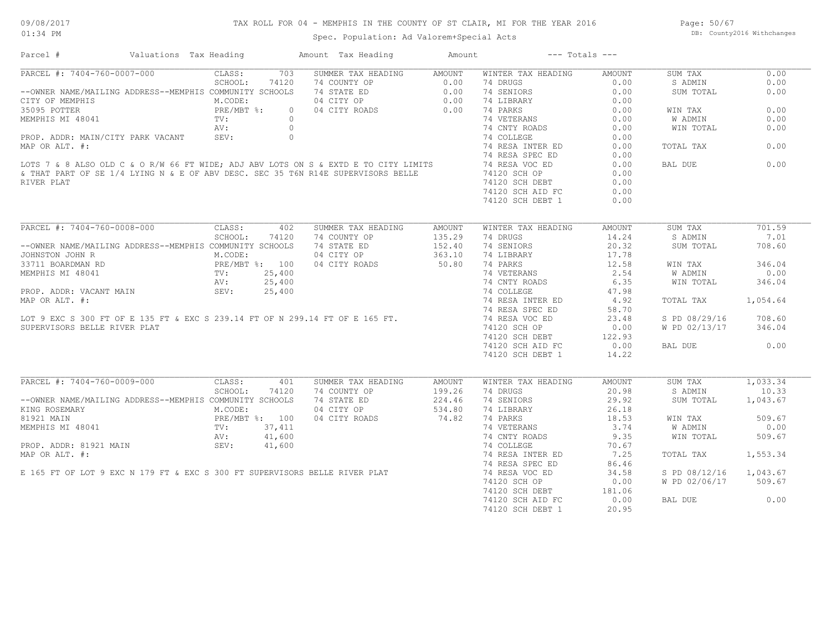## TAX ROLL FOR 04 - MEMPHIS IN THE COUNTY OF ST CLAIR, MI FOR THE YEAR 2016

Spec. Population: Ad Valorem+Special Acts

Page: 50/67 DB: County2016 Withchanges

| Parcel #                                                                                                                                                                                                                                | Valuations Tax Heading                    |             |                | Amount Tax Heading                                                                                                                     | Amount                                                             | --- Totals ---                                                               |                      |                        |          |
|-----------------------------------------------------------------------------------------------------------------------------------------------------------------------------------------------------------------------------------------|-------------------------------------------|-------------|----------------|----------------------------------------------------------------------------------------------------------------------------------------|--------------------------------------------------------------------|------------------------------------------------------------------------------|----------------------|------------------------|----------|
| PARCEL #: 7404-760-0007-000                                                                                                                                                                                                             |                                           | CLASS:      |                | 703 SUMMER TAX HEADING AMOUNT                                                                                                          |                                                                    | WINTER TAX HEADING                                                           | AMOUNT               | SUM TAX                | 0.00     |
|                                                                                                                                                                                                                                         |                                           | SCHOOL:     | 74120          |                                                                                                                                        |                                                                    |                                                                              | 0.00                 | S ADMIN                | 0.00     |
| --OWNER NAME/MAILING ADDRESS--MEMPHIS COMMUNITY SCHOOLS                                                                                                                                                                                 |                                           |             |                | 20 74 COUNTY OP<br>20 74 STATE ED 0.00 74 SENIORS<br>20 74 STATE ED 0.00 74 SENIORS<br>20 74 CITY OP 0.00 74 LIBRARY<br>20 20 74 PARKS |                                                                    |                                                                              | 0.00                 | SUM TOTAL              | 0.00     |
| CITY OF MEMPHIS                                                                                                                                                                                                                         | M.CODE:                                   |             |                |                                                                                                                                        |                                                                    |                                                                              | 0.00                 |                        |          |
| 35095 POTTER                                                                                                                                                                                                                            |                                           | PRE/MBT %:  |                |                                                                                                                                        |                                                                    | 74 LIBRARY 0.00<br>74 PARKS 0.00<br>74 CNTY ROADS 0.00<br>74 CNTY ROADS 0.00 |                      | WIN TAX                | 0.00     |
| MEMPHIS MI 48041                                                                                                                                                                                                                        |                                           | TV:         | $\overline{0}$ |                                                                                                                                        |                                                                    |                                                                              |                      | W ADMIN                | 0.00     |
|                                                                                                                                                                                                                                         |                                           | AV:         | $\overline{0}$ |                                                                                                                                        |                                                                    |                                                                              |                      | WIN TOTAL              | 0.00     |
| PROP. ADDR: MAIN/CITY PARK VACANT SEV: 0                                                                                                                                                                                                |                                           |             |                |                                                                                                                                        |                                                                    | 74 COLLEGE                                                                   | 0.00                 |                        |          |
|                                                                                                                                                                                                                                         |                                           |             |                |                                                                                                                                        |                                                                    | 74 RESA INTER ED 0.00                                                        |                      | TOTAL TAX              | 0.00     |
|                                                                                                                                                                                                                                         |                                           |             |                |                                                                                                                                        |                                                                    |                                                                              | 0.00                 |                        |          |
| PROP. ADDR: MAIN/CITY PARK VACANT SEV:<br>MAP OR ALT. #:<br>LOTS 7 & 8 ALSO OLD C & O R/W 66 FT WIDE; ADJ ABV LOTS ON S & EXTD E TO CITY LIMITS 74 RESA SPEC ED<br>& THAT PART OF SE 1/4 LYING N & E OF ABV DESC. SEC 35 T6N R14E SUPER |                                           |             |                |                                                                                                                                        |                                                                    |                                                                              | 0.00                 | BAL DUE                | 0.00     |
|                                                                                                                                                                                                                                         |                                           |             |                |                                                                                                                                        |                                                                    |                                                                              | 0.00                 |                        |          |
| RIVER PLAT                                                                                                                                                                                                                              |                                           |             |                |                                                                                                                                        |                                                                    | 74120 SCH DEBT                                                               | 0.00                 |                        |          |
|                                                                                                                                                                                                                                         |                                           |             |                |                                                                                                                                        |                                                                    | 74120 SCH AID FC                                                             | 0.00                 |                        |          |
|                                                                                                                                                                                                                                         |                                           |             |                |                                                                                                                                        |                                                                    |                                                                              |                      |                        |          |
|                                                                                                                                                                                                                                         |                                           |             |                |                                                                                                                                        |                                                                    | 74120 SCH DEBT 1                                                             | 0.00                 |                        |          |
|                                                                                                                                                                                                                                         |                                           |             |                |                                                                                                                                        |                                                                    |                                                                              |                      |                        |          |
| PARCEL #: 7404-760-0008-000 CLASS: 402                                                                                                                                                                                                  |                                           |             |                | SUMMER TAX HEADING                                                                                                                     | AMOUNT                                                             | WINTER TAX HEADING                                                           | AMOUNT               | SUM TAX                | 701.59   |
|                                                                                                                                                                                                                                         |                                           | SCHOOL:     | 74120          | 74 COUNTY OP                                                                                                                           | 135.29                                                             | 74 DRUGS                                                                     | 14.24                | S ADMIN                | 7.01     |
| --OWNER NAME/MAILING ADDRESS--MEMPHIS COMMUNITY SCHOOLS                                                                                                                                                                                 |                                           |             |                | 74 STATE ED                                                                                                                            | 152.40                                                             | 74 SENIORS                                                                   | 20.32                | SUM TOTAL              | 708.60   |
| JOHNSTON JOHN R                                                                                                                                                                                                                         | M.CODE:                                   |             |                | 04 CITY OP                                                                                                                             |                                                                    | 74 LIBRARY                                                                   | 17.78                |                        |          |
| 33711 BOARDMAN RD                                                                                                                                                                                                                       |                                           |             |                | PRE/MBT %: 100 04 CITY ROADS<br>TV: 25,400<br>AV: 25,400                                                                               | 363.10<br>50.80                                                    | 74 PARKS                                                                     | 12.58                | WIN TAX                | 346.04   |
| MEMPHIS MI 48041                                                                                                                                                                                                                        |                                           |             |                |                                                                                                                                        |                                                                    |                                                                              |                      | W ADMIN                | 0.00     |
|                                                                                                                                                                                                                                         |                                           |             |                |                                                                                                                                        |                                                                    |                                                                              |                      | WIN TOTAL              | 346.04   |
| PROP. ADDR: VACANT MAIN                                                                                                                                                                                                                 |                                           | SEV: 25,400 |                |                                                                                                                                        |                                                                    | 74 PARTNO<br>74 VETERANS 2.35<br>74 CNTY ROADS 6.35<br>17.98                 |                      |                        |          |
| PROP. ADDR: VACANT MAIN SEV: 25,400<br>MAP OR ALT. #: 74 RESA INTER ED 4.92<br>LOT 9 EXC S 300 FT OF E 135 FT & EXC S 239.14 FT OF N 299.14 FT OF E 165 FT. 74 RESA SPEC ED 58.70<br>LOT 9 EXC S 300 FT OF E 135 FT & EXC S 239.14 FT O |                                           |             |                |                                                                                                                                        |                                                                    |                                                                              |                      | TOTAL TAX              | 1,054.64 |
|                                                                                                                                                                                                                                         |                                           |             |                |                                                                                                                                        |                                                                    |                                                                              |                      |                        |          |
|                                                                                                                                                                                                                                         |                                           |             |                |                                                                                                                                        |                                                                    |                                                                              |                      | S PD 08/29/16 708.60   |          |
| SUPERVISORS BELLE RIVER PLAT                                                                                                                                                                                                            |                                           |             |                |                                                                                                                                        |                                                                    | 74120 SCH OP                                                                 | 0.00                 | W PD 02/13/17 346.04   |          |
|                                                                                                                                                                                                                                         |                                           |             |                |                                                                                                                                        |                                                                    |                                                                              |                      |                        |          |
|                                                                                                                                                                                                                                         |                                           |             |                |                                                                                                                                        |                                                                    | 74120 SCH DEBT 122.93<br>74120 SCH DEBT 122.93                               |                      |                        |          |
|                                                                                                                                                                                                                                         |                                           |             |                |                                                                                                                                        |                                                                    |                                                                              |                      | BAL DUE                | 0.00     |
|                                                                                                                                                                                                                                         |                                           |             |                |                                                                                                                                        |                                                                    | 74120 SCH DEBT 1                                                             | 14.22                |                        |          |
|                                                                                                                                                                                                                                         |                                           |             |                |                                                                                                                                        |                                                                    |                                                                              |                      |                        |          |
| PARCEL #: 7404-760-0009-000 CLASS:                                                                                                                                                                                                      |                                           |             | 401            | SUMMER TAX HEADING                                                                                                                     | AMOUNT                                                             | WINTER TAX HEADING                                                           | AMOUNT               | SUM TAX 1,033.34       |          |
|                                                                                                                                                                                                                                         |                                           | SCHOOL:     | 74120          | 74 COUNTY OP                                                                                                                           | $\begin{array}{c} 199.26 \\ 224.46 \\ 534.80 \\ 74.82 \end{array}$ | 74 DRUGS                                                                     | 20.98                | S ADMIN                | 10.33    |
| --OWNER NAME/MAILING ADDRESS--MEMPHIS COMMUNITY SCHOOLS                                                                                                                                                                                 |                                           |             |                | 74 STATE ED                                                                                                                            |                                                                    | 74 SENIORS                                                                   | 29.92                | SUM TOTAL              | 1,043.67 |
| KING ROSEMARY                                                                                                                                                                                                                           | M.CODE:<br>PRE/MBT %: 100<br>1 TV: 37,411 |             |                | 04 CITY OP                                                                                                                             |                                                                    | 74 LIBRARY                                                                   | 26.18                |                        |          |
| 81921 MAIN                                                                                                                                                                                                                              |                                           |             |                | 04 CITY ROADS                                                                                                                          |                                                                    | 74 PARKS                                                                     | $\frac{18.53}{3.74}$ | WIN TAX                | 509.67   |
| MEMPHIS MI 48041                                                                                                                                                                                                                        |                                           |             |                |                                                                                                                                        |                                                                    | 74 VETERANS                                                                  |                      | W ADMIN                | 0.00     |
|                                                                                                                                                                                                                                         |                                           | AV: 41,600  |                |                                                                                                                                        |                                                                    | 74 CNTY ROADS                                                                | 9.35                 | WIN TOTAL              | 509.67   |
| PROP. ADDR: 81921 MAIN SEV: 41,600                                                                                                                                                                                                      |                                           |             |                |                                                                                                                                        |                                                                    |                                                                              |                      |                        |          |
| PROP. ADDR: 81921 MAIN SEV: 41,600 3EV: 41,600 74 COLLEGE 70.67<br>MAP OR ALT. #: 74 RESA INTER ED 7.25<br>E 165 FT OF LOT 9 EXC N 179 FT & EXC S 300 FT SUPERVISORS BELLE RIVER PLAT 74 RESA SPEC ED 86.46<br>E 165 FT OF LOT 9 EXC    |                                           |             |                |                                                                                                                                        |                                                                    |                                                                              |                      | TOTAL TAX 1,553.34     |          |
|                                                                                                                                                                                                                                         |                                           |             |                |                                                                                                                                        |                                                                    |                                                                              |                      |                        |          |
|                                                                                                                                                                                                                                         |                                           |             |                |                                                                                                                                        |                                                                    |                                                                              |                      | S PD 08/12/16 1,043.67 |          |
|                                                                                                                                                                                                                                         |                                           |             |                |                                                                                                                                        |                                                                    | 74120 SCH OP                                                                 | 0.00                 | W PD 02/06/17 509.67   |          |
|                                                                                                                                                                                                                                         |                                           |             |                |                                                                                                                                        |                                                                    |                                                                              |                      |                        |          |
|                                                                                                                                                                                                                                         |                                           |             |                |                                                                                                                                        |                                                                    | 74120 SCH DEBT 181.06<br>74120 SCH AID FC                                    | 0.00                 | BAL DUE                | 0.00     |
|                                                                                                                                                                                                                                         |                                           |             |                |                                                                                                                                        |                                                                    |                                                                              | 20.95                |                        |          |
|                                                                                                                                                                                                                                         |                                           |             |                |                                                                                                                                        |                                                                    | 74120 SCH DEBT 1                                                             |                      |                        |          |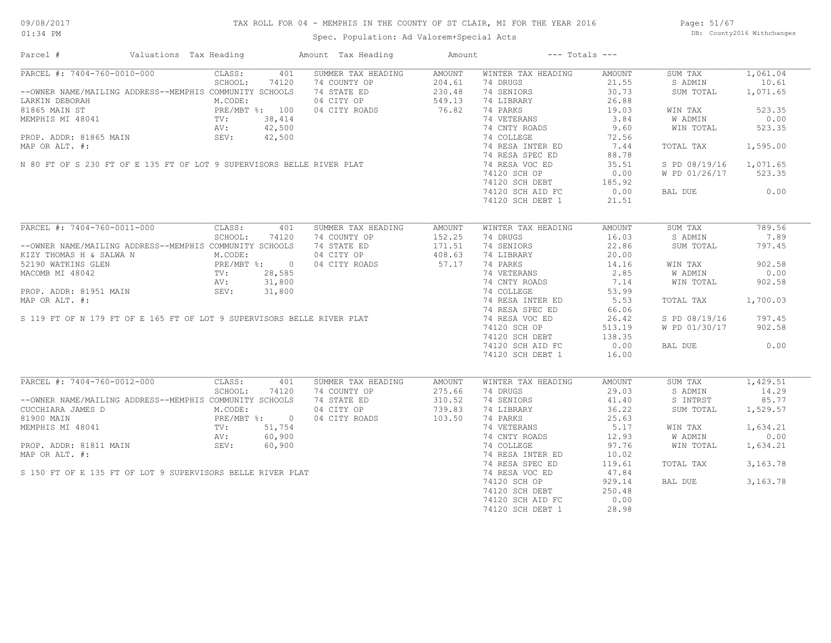## TAX ROLL FOR 04 - MEMPHIS IN THE COUNTY OF ST CLAIR, MI FOR THE YEAR 2016

Spec. Population: Ad Valorem+Special Acts

Page: 51/67 DB: County2016 Withchanges

| Parcel #                                                                                                                                                                                                                                | Valuations Tax Heading |         |       | Amount Tax Heading                                                                     | Amount | $---$ Totals $---$                                                            |                |                        |          |
|-----------------------------------------------------------------------------------------------------------------------------------------------------------------------------------------------------------------------------------------|------------------------|---------|-------|----------------------------------------------------------------------------------------|--------|-------------------------------------------------------------------------------|----------------|------------------------|----------|
| PARCEL #: 7404-760-0010-000 CLASS: 401 SUMMER TAX HEADING                                                                                                                                                                               |                        |         |       |                                                                                        | AMOUNT | WINTER TAX HEADING                                                            | AMOUNT         | SUM TAX                | 1,061.04 |
|                                                                                                                                                                                                                                         |                        |         |       |                                                                                        |        | 74 DRUGS                                                                      | 21.55          | S ADMIN                | 10.61    |
|                                                                                                                                                                                                                                         |                        |         |       |                                                                                        |        | 74 SENIORS                                                                    | 30.73          | SUM TOTAL              | 1,071.65 |
|                                                                                                                                                                                                                                         |                        |         |       |                                                                                        |        | 74 LIBRARY 26.88<br>74 PARKS 19.03<br>74 VETERANS 3.84<br>74 CNTY ROADS 9.60  |                |                        |          |
|                                                                                                                                                                                                                                         |                        |         |       |                                                                                        |        |                                                                               |                | WIN TAX                | 523.35   |
| MEMPHIS MI ST (MD) TV: 38,414<br>MEMPHIS MI 48041<br>PROP. ADDR: 81865 MAIN (MV: 42,500<br>MAP OR ALT. #: 74 COLLEGE 72.56<br>MAP OR ALT. #: 74 RESA INTER ED 35.51<br>N 80 FT OF S 230 FT OF E 135 FT OF LOT 9 SUPERVISORS BELLE RIVER |                        |         |       |                                                                                        |        |                                                                               |                | <b>W ADMIN</b>         | 0.00     |
|                                                                                                                                                                                                                                         |                        |         |       |                                                                                        |        |                                                                               |                | WIN TOTAL              | 523.35   |
|                                                                                                                                                                                                                                         |                        |         |       |                                                                                        |        |                                                                               |                |                        |          |
|                                                                                                                                                                                                                                         |                        |         |       |                                                                                        |        |                                                                               |                | TOTAL TAX              | 1,595.00 |
|                                                                                                                                                                                                                                         |                        |         |       |                                                                                        |        |                                                                               |                |                        |          |
|                                                                                                                                                                                                                                         |                        |         |       |                                                                                        |        |                                                                               |                |                        |          |
|                                                                                                                                                                                                                                         |                        |         |       |                                                                                        |        |                                                                               |                | S PD 08/19/16 1,071.65 |          |
|                                                                                                                                                                                                                                         |                        |         |       |                                                                                        |        | 74120 SCH OP                                                                  | 0.00           | W PD 01/26/17 523.35   |          |
|                                                                                                                                                                                                                                         |                        |         |       |                                                                                        |        | 74120 SCH DEBT 185.92<br>74120 SCH AID FC 0.00                                |                |                        |          |
|                                                                                                                                                                                                                                         |                        |         |       |                                                                                        |        |                                                                               |                | BAL DUE 0.00           |          |
|                                                                                                                                                                                                                                         |                        |         |       |                                                                                        |        | 74120 SCH DEBT 1                                                              | 21.51          |                        |          |
|                                                                                                                                                                                                                                         |                        |         |       |                                                                                        |        |                                                                               |                |                        |          |
| PARCEL #: 7404-760-0011-000                                                                                                                                                                                                             |                        | CLASS:  | 401   | SUMMER TAX HEADING                                                                     | AMOUNT | WINTER TAX HEADING                                                            | AMOUNT         | SUM TAX                | 789.56   |
|                                                                                                                                                                                                                                         |                        | SCHOOL: | 74120 |                                                                                        |        | 74 DRUGS                                                                      | 16.03          | S ADMIN                | 7.89     |
| --OWNER NAME/MAILING ADDRESS--MEMPHIS COMMUNITY SCHOOLS                                                                                                                                                                                 |                        |         |       | 34 COUNTY OP 152.25<br>74 COUNTY OP 171.51<br>04 CITY OP 408.63<br>04 CITY ROADS 57.17 |        | 74 SENIORS                                                                    | 22.86          | SUM TOTAL              | 797.45   |
| XIZY THOMAS H & SALWA N<br>XIZY THOMAS H & SALWA N<br>M.CODE: 04 CITY OP<br>28,585<br>MACOMB MI 48042<br>PROP. ADDR: 81951 MAIN<br>PROP. ADDR: 81951 MAIN<br>SEV: 31,800<br>28,585<br>AV: 31,800                                        |                        |         |       |                                                                                        |        | 74 LIBRARY                                                                    | 20.00          |                        |          |
|                                                                                                                                                                                                                                         |                        |         |       |                                                                                        |        | 14 LIDRANI<br>74 PARKS 14.16<br>74 VETERANS 2.85                              |                | WIN TAX                | 902.58   |
|                                                                                                                                                                                                                                         |                        |         |       |                                                                                        |        | 74 PARTNO<br>74 VETERANS 2.83<br>74 CNTY ROADS 7.14<br>53.99                  |                | W ADMIN                | 0.00     |
|                                                                                                                                                                                                                                         |                        |         |       |                                                                                        |        |                                                                               |                | WIN TOTAL              | 902.58   |
|                                                                                                                                                                                                                                         |                        |         |       |                                                                                        |        |                                                                               |                |                        |          |
|                                                                                                                                                                                                                                         |                        |         |       |                                                                                        |        |                                                                               |                |                        |          |
|                                                                                                                                                                                                                                         |                        |         |       |                                                                                        |        | 74 RESA INTER ED 5.53<br>74 RESA SPEC ED 66.06                                |                | TOTAL TAX              | 1,700.03 |
|                                                                                                                                                                                                                                         |                        |         |       |                                                                                        |        | 74 RESA SPEC ED                                                               |                |                        |          |
|                                                                                                                                                                                                                                         |                        |         |       |                                                                                        |        |                                                                               | 26.42          | S PD 08/19/16 797.45   |          |
|                                                                                                                                                                                                                                         |                        |         |       |                                                                                        |        | 74120 SCH OP                                                                  | 513.19         | W PD 01/30/17          | 902.58   |
|                                                                                                                                                                                                                                         |                        |         |       |                                                                                        |        |                                                                               |                |                        |          |
|                                                                                                                                                                                                                                         |                        |         |       |                                                                                        |        | 74120 SCH DEBT<br>74120 SCH DEBT 138.35<br>74120 SCH AID FC 0.00              |                | BAL DUE 0.00           |          |
|                                                                                                                                                                                                                                         |                        |         |       |                                                                                        |        | 74120 SCH DEBT 1                                                              | 16.00          |                        |          |
|                                                                                                                                                                                                                                         |                        |         |       |                                                                                        |        |                                                                               |                |                        |          |
| PARCEL #: 7404-760-0012-000 CLASS:                                                                                                                                                                                                      |                        |         | 401   | SUMMER TAX HEADING                                                                     | AMOUNT | WINTER TAX HEADING                                                            | AMOUNT         | SUM TAX                | 1,429.51 |
|                                                                                                                                                                                                                                         |                        | SCHOOL: | 74120 | 74 COUNTY OP                                                                           | 275.66 | 74 DRUGS                                                                      | 29.03          | S ADMIN                | 14.29    |
| --OWNER NAME/MAILING ADDRESS--MEMPHIS COMMUNITY SCHOOLS                                                                                                                                                                                 |                        |         |       |                                                                                        |        | 74 SENIORS                                                                    | 41.40          | S INTRST               | 85.77    |
|                                                                                                                                                                                                                                         |                        |         |       |                                                                                        |        | 74 LIBRARY                                                                    | 41.40<br>36.22 | SUM TOTAL              | 1,529.57 |
| CUCCHIARA JAMES D<br>CUCCHIARA JAMES D<br>MEMPHIS MI 48041 PRE/MBT %: 0<br>MEMPHIS MI 48041 TV: 51,754<br>NEMPHIS MI 48041 TV: 60,900<br>PROP. ADDR: 81811 MAIN SEV: 60,900                                                             |                        |         |       | 74 STATE ED<br>74 STATE ED<br>04 CITY OP<br>739.83<br>04 CITY ROADS<br>103.50          |        | 74 PARKS<br>74 VETERANS<br>74 CNTY ROADS<br>74 COLLEGE<br>74 COLLEGE<br>97.76 |                |                        |          |
|                                                                                                                                                                                                                                         |                        |         |       |                                                                                        |        |                                                                               |                | WIN TAX                | 1,634.21 |
|                                                                                                                                                                                                                                         |                        |         |       |                                                                                        |        |                                                                               |                | W ADMIN                | 0.00     |
|                                                                                                                                                                                                                                         |                        |         |       |                                                                                        |        |                                                                               |                | WIN TOTAL              | 1,634.21 |
| MEMPHIS MI 48041<br>MEMPHIS MI 48041<br>PROP. ADDR: 81811 MAIN<br>MAP OR ALT. #:<br>S 150 FT OF E 135 FT OF LOT 9 SUPERVISORS BELLE RIVER PLAT                                                                                          |                        |         |       |                                                                                        |        |                                                                               |                |                        |          |
|                                                                                                                                                                                                                                         |                        |         |       |                                                                                        |        | 74 RESA INTER ED                                                              | 10.02          |                        |          |
|                                                                                                                                                                                                                                         |                        |         |       |                                                                                        |        | 74 RESA SPEC ED                                                               | 119.61         | TOTAL TAX              | 3,163.78 |
|                                                                                                                                                                                                                                         |                        |         |       |                                                                                        |        | 74 RESA VOC ED<br>74 RESA VOC ED<br>74120 SCH OP                              | 47.84          |                        |          |
|                                                                                                                                                                                                                                         |                        |         |       |                                                                                        |        |                                                                               | 929.14         | BAL DUE                | 3,163.78 |
|                                                                                                                                                                                                                                         |                        |         |       |                                                                                        |        | 74120 SCH DEBT                                                                | 250.48         |                        |          |
|                                                                                                                                                                                                                                         |                        |         |       |                                                                                        |        | 74120 SCH AID FC                                                              | 0.00           |                        |          |
|                                                                                                                                                                                                                                         |                        |         |       |                                                                                        |        | 74120 SCH DEBT 1                                                              | 28.98          |                        |          |
|                                                                                                                                                                                                                                         |                        |         |       |                                                                                        |        |                                                                               |                |                        |          |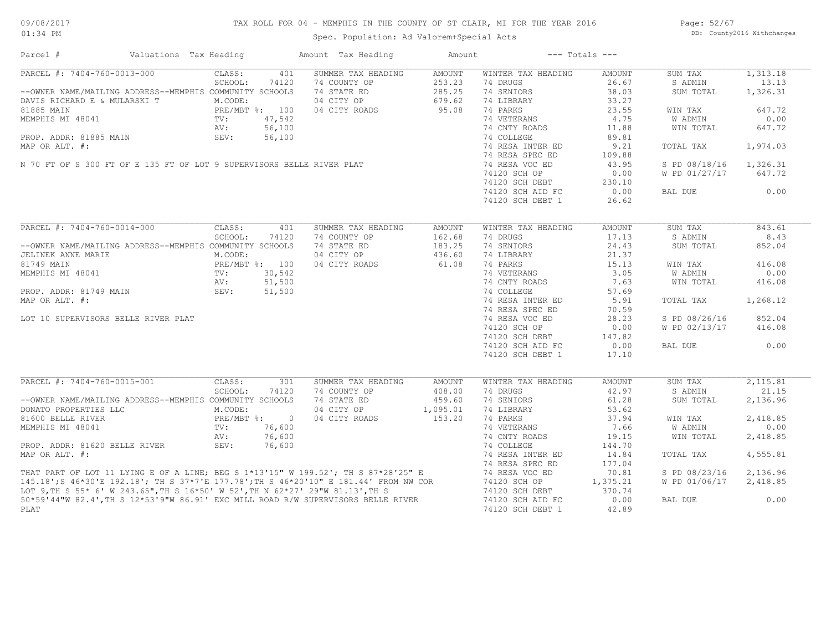## TAX ROLL FOR 04 - MEMPHIS IN THE COUNTY OF ST CLAIR, MI FOR THE YEAR 2016

Spec. Population: Ad Valorem+Special Acts

Page: 52/67 DB: County2016 Withchanges

| Parcel #                                                | Valuations Tax Heading                                                                                                                                              |                |        | Amount Tax Heading                                                                                                                                                                                                                      | Amount        |                    | $---$ Totals $---$ |               |          |
|---------------------------------------------------------|---------------------------------------------------------------------------------------------------------------------------------------------------------------------|----------------|--------|-----------------------------------------------------------------------------------------------------------------------------------------------------------------------------------------------------------------------------------------|---------------|--------------------|--------------------|---------------|----------|
| PARCEL #: 7404-760-0013-000                             |                                                                                                                                                                     | CLASS:         | 401    | SUMMER TAX HEADING                                                                                                                                                                                                                      | <b>AMOUNT</b> | WINTER TAX HEADING | AMOUNT             | SUM TAX       | 1,313.18 |
|                                                         |                                                                                                                                                                     | SCHOOL:        | 74120  | 74 COUNTY OP                                                                                                                                                                                                                            | 253.23        | 74 DRUGS           | 26.67              | S ADMIN       | 13.13    |
| --OWNER NAME/MAILING ADDRESS--MEMPHIS COMMUNITY SCHOOLS |                                                                                                                                                                     |                |        | 74 STATE ED                                                                                                                                                                                                                             | 285.25        | 74 SENIORS         | 38.03              | SUM TOTAL     | 1,326.31 |
| DAVIS RICHARD E & MULARSKI T                            |                                                                                                                                                                     | M.CODE:        |        | 04 CITY OP                                                                                                                                                                                                                              | 679.62        | 74 LIBRARY         | 33.27              |               |          |
| 81885 MAIN                                              |                                                                                                                                                                     | PRE/MBT %: 100 |        | 04 CITY ROADS                                                                                                                                                                                                                           | 95.08         | 74 PARKS           | 23.55              | WIN TAX       | 647.72   |
| MEMPHIS MI 48041                                        |                                                                                                                                                                     | TV:            | 47,542 |                                                                                                                                                                                                                                         |               | 74 VETERANS        | 4.75               | W ADMIN       | 0.00     |
|                                                         |                                                                                                                                                                     |                |        |                                                                                                                                                                                                                                         |               | 74 CNTY ROADS      | 11.88              | WIN TOTAL     | 647.72   |
|                                                         |                                                                                                                                                                     |                |        | PROP. ADDR: 81885 MAIN $\begin{array}{ccc} AV: & 56,100 \\ SEV: & 56,100 \end{array}$<br>MAP OR ALT. #:<br>N 70 FT OF S 300 FT OF E 135 FT OF LOT 9 SUPERVISORS BELLE RIVER PLAT                                                        |               | 74 COLLEGE         | 89.81              |               |          |
|                                                         |                                                                                                                                                                     |                |        |                                                                                                                                                                                                                                         |               | 74 RESA INTER ED   | 9.21               | TOTAL TAX     | 1,974.03 |
|                                                         |                                                                                                                                                                     |                |        |                                                                                                                                                                                                                                         |               | 74 RESA SPEC ED    | 109.88             |               |          |
|                                                         |                                                                                                                                                                     |                |        |                                                                                                                                                                                                                                         |               | 74 RESA VOC ED     | 43.95              | S PD 08/18/16 | 1,326.31 |
|                                                         |                                                                                                                                                                     |                |        |                                                                                                                                                                                                                                         |               | 74120 SCH OP       | 0.00               | W PD 01/27/17 | 647.72   |
|                                                         |                                                                                                                                                                     |                |        |                                                                                                                                                                                                                                         |               | 74120 SCH DEBT     | 230.10             |               |          |
|                                                         |                                                                                                                                                                     |                |        |                                                                                                                                                                                                                                         |               | 74120 SCH AID FC   | 0.00               | BAL DUE       | 0.00     |
|                                                         |                                                                                                                                                                     |                |        |                                                                                                                                                                                                                                         |               | 74120 SCH DEBT 1   | 26.62              |               |          |
|                                                         |                                                                                                                                                                     |                |        |                                                                                                                                                                                                                                         |               |                    |                    |               |          |
| PARCEL #: 7404-760-0014-000                             |                                                                                                                                                                     | CLASS:         | 401    | SUMMER TAX HEADING                                                                                                                                                                                                                      | <b>AMOUNT</b> | WINTER TAX HEADING | <b>AMOUNT</b>      | SUM TAX       | 843.61   |
|                                                         |                                                                                                                                                                     | SCHOOL:        | 74120  | 74 COUNTY OP                                                                                                                                                                                                                            | 162.68        | 74 DRUGS           | 17.13              | S ADMIN       | 8.43     |
| --OWNER NAME/MAILING ADDRESS--MEMPHIS COMMUNITY SCHOOLS |                                                                                                                                                                     |                |        | 74 STATE ED                                                                                                                                                                                                                             | 183.25        | 74 SENIORS         | 24.43              | SUM TOTAL     | 852.04   |
| JELINEK ANNE MARIE                                      | $\begin{minipage}{0.9\linewidth} \texttt{PRB}/\texttt{1}\texttt{} \end{minipage}$ $\begin{minipage}{0.9\linewidth} \texttt{PRB}/\texttt{1}\texttt{} \end{minipage}$ |                |        | 04 CITY OP                                                                                                                                                                                                                              | 436.60        | 74 LIBRARY         | 21.37              |               |          |
| 81749 MAIN                                              |                                                                                                                                                                     | PRE/MBT %: 100 |        | 04 CITY ROADS                                                                                                                                                                                                                           | 61.08         | 74 PARKS           | 15.13              | WIN TAX       | 416.08   |
| MEMPHIS MI 48041                                        |                                                                                                                                                                     |                | 30,542 |                                                                                                                                                                                                                                         |               | 74 VETERANS        | 3.05               | W ADMIN       | 0.00     |
|                                                         |                                                                                                                                                                     |                |        |                                                                                                                                                                                                                                         |               | 74 CNTY ROADS      | 7.63               | WIN TOTAL     | 416.08   |
| PROP. ADDR: 81749 MAIN                                  |                                                                                                                                                                     | SEV: 51,500    |        | $30,542$<br>51,500<br>51,500                                                                                                                                                                                                            |               | 74 COLLEGE         | 57.69              |               |          |
| MAP OR ALT. #:                                          |                                                                                                                                                                     |                |        |                                                                                                                                                                                                                                         |               | 74 RESA INTER ED   | 5.91               | TOTAL TAX     | 1,268.12 |
|                                                         |                                                                                                                                                                     |                |        |                                                                                                                                                                                                                                         |               | 74 RESA SPEC ED    | 70.59              |               |          |
| LOT 10 SUPERVISORS BELLE RIVER PLAT                     |                                                                                                                                                                     |                |        |                                                                                                                                                                                                                                         |               | 74 RESA VOC ED     | 28.23              | S PD 08/26/16 | 852.04   |
|                                                         |                                                                                                                                                                     |                |        |                                                                                                                                                                                                                                         |               | 74120 SCH OP       | 0.00               | W PD 02/13/17 | 416.08   |
|                                                         |                                                                                                                                                                     |                |        |                                                                                                                                                                                                                                         |               |                    |                    |               |          |
|                                                         |                                                                                                                                                                     |                |        |                                                                                                                                                                                                                                         |               | 74120 SCH DEBT     | 147.82             |               |          |
|                                                         |                                                                                                                                                                     |                |        |                                                                                                                                                                                                                                         |               | 74120 SCH AID FC   | 0.00               | BAL DUE       | 0.00     |
|                                                         |                                                                                                                                                                     |                |        |                                                                                                                                                                                                                                         |               | 74120 SCH DEBT 1   | 17.10              |               |          |
| PARCEL #: 7404-760-0015-001                             |                                                                                                                                                                     | CLASS:         | 301    | SUMMER TAX HEADING                                                                                                                                                                                                                      | AMOUNT        | WINTER TAX HEADING | AMOUNT             | SUM TAX       | 2,115.81 |
|                                                         |                                                                                                                                                                     | SCHOOL:        | 74120  | 74 COUNTY OP                                                                                                                                                                                                                            | 408.00        | 74 DRUGS           | 42.97              | S ADMIN       | 21.15    |
| --OWNER NAME/MAILING ADDRESS--MEMPHIS COMMUNITY SCHOOLS |                                                                                                                                                                     |                |        | 74 STATE ED                                                                                                                                                                                                                             | 459.60        | 74 SENIORS         | 61.28              | SUM TOTAL     | 2,136.96 |
| DONATO PROPERTIES LLC                                   |                                                                                                                                                                     | M.CODE:        |        | 04 CITY OP                                                                                                                                                                                                                              | 1,095.01      | 74 LIBRARY         | 53.62              |               |          |
| 81600 BELLE RIVER                                       |                                                                                                                                                                     | PRE/MBT %: 0   |        | 04 CITY ROADS                                                                                                                                                                                                                           | 153.20        | 74 PARKS           | 37.94              | WIN TAX       | 2,418.85 |
|                                                         |                                                                                                                                                                     | TV:            | 76,600 |                                                                                                                                                                                                                                         |               | 74 VETERANS        | 7.66               | W ADMIN       | 0.00     |
| MEMPHIS MI 48041                                        |                                                                                                                                                                     |                |        |                                                                                                                                                                                                                                         |               |                    |                    |               |          |
|                                                         |                                                                                                                                                                     | AV:            | 76,600 |                                                                                                                                                                                                                                         |               | 74 CNTY ROADS      | 19.15              | WIN TOTAL     | 2,418.85 |
| PROP. ADDR: 81620 BELLE RIVER                           |                                                                                                                                                                     | SEV:           | 76,600 |                                                                                                                                                                                                                                         |               | 74 COLLEGE         | 144.70             |               |          |
| MAP OR ALT. #:                                          |                                                                                                                                                                     |                |        |                                                                                                                                                                                                                                         |               | 74 RESA INTER ED   | 14.84              | TOTAL TAX     | 4,555.81 |
|                                                         |                                                                                                                                                                     |                |        |                                                                                                                                                                                                                                         |               | 74 RESA SPEC ED    | 177.04             |               |          |
|                                                         |                                                                                                                                                                     |                |        |                                                                                                                                                                                                                                         |               | 74 RESA VOC ED     | 70.81              | S PD 08/23/16 | 2,136.96 |
|                                                         |                                                                                                                                                                     |                |        |                                                                                                                                                                                                                                         |               | 74120 SCH OP       | 1,375.21           | W PD 01/06/17 | 2,418.85 |
|                                                         |                                                                                                                                                                     |                |        |                                                                                                                                                                                                                                         |               | 74120 SCH DEBT     | 370.74             |               |          |
|                                                         |                                                                                                                                                                     |                |        | MAP OR ALT. #:<br>THAT PART OF LOT 11 LYING E OF A LINE; BEG S 1*13'15" W 199.52'; TH S 87*28'25" E<br>145.18';S 46*30'E 192.18'; TH S 37*7'E 177.78';TH S 46*20'10" E 181.44' FROM NW COR<br>LOT 9,TH S 55* 6' W 243.65",TH S 16*50' W |               | 74120 SCH AID FC   | 0.00               | BAL DUE       | 0.00     |
| PLAT                                                    |                                                                                                                                                                     |                |        |                                                                                                                                                                                                                                         |               | 74120 SCH DEBT 1   | 42.89              |               |          |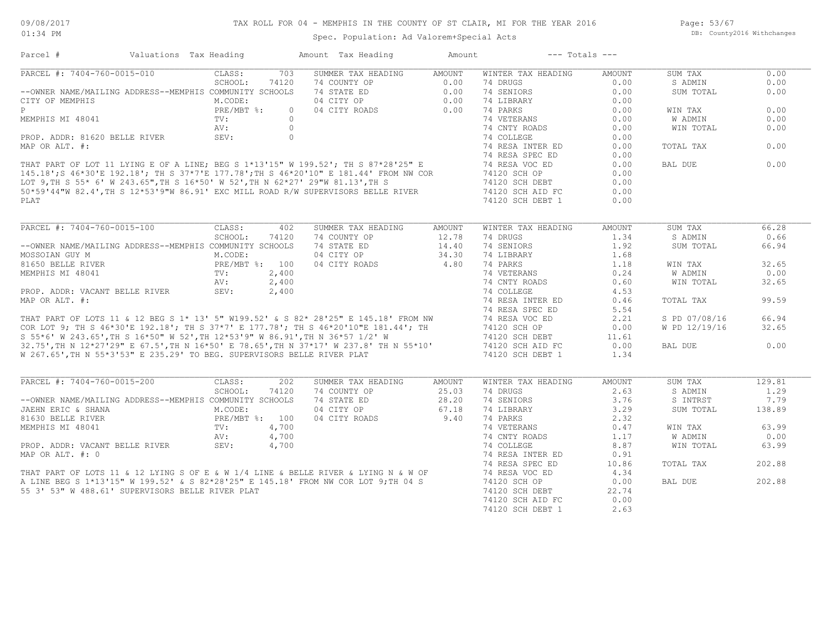Page: 53/67 DB: County2016 Withchanges

| SUMMER TAX HEADING AMOUNT<br>703<br>WINTER TAX HEADING<br>SUM TAX<br>0.00<br>CLASS:<br>AMOUNT<br>SCHOOL:<br>74 COUNTY OP<br>74 STATE ED<br>74 STATE ED<br>74 STATE ED<br>74 STATE PO<br>74 DIBRARY<br>74 LIBRARY<br>74 CITY ROADS<br>74 PARKS<br>74120<br>0.00<br>S ADMIN<br>0.00<br>--OWNER NAME/MAILING ADDRESS--MEMPHIS COMMUNITY SCHOOLS<br>0.00<br>SUM TOTAL<br>0.00<br>0.00<br>M.CODE:<br>PRE/MBT %:<br>0.00<br>0.00<br>WIN TAX<br>$\circ$<br>$\texttt{TV}$ :<br>0.00<br>0.00<br>W ADMIN<br>MEMPHIS MI 48041<br>PROP. ADDR: 81620 BELLE RIVER<br>MAP OR ALT. #:<br>MAP OR ALT. #:<br>THAT PART OF LOT 11 LYING E OF A LINE; BEG S 1*13'15" W 199.52'; TH S 87*28'25" E<br>THAT PART OF LOT 11 LYING E OF A LINE; BEG S 1*13'15" W 19<br>0.00<br>0.00<br>WIN TOTAL<br>0.00<br>0.00<br>0.00<br>TOTAL TAX<br>0.00<br>BAL DUE<br>0.00<br>0.00<br>0.00<br>0.00<br>0.00<br>74120 SCH DEBT 1<br>0.00<br>PLAT<br>CLASS:<br>SUMMER TAX HEADING<br>WINTER TAX HEADING<br>SUM TAX<br>402<br>AMOUNT<br>AMOUNT<br>66.28<br>SCHOOL:<br>74120<br>74 COUNTY OP<br>$12.78$<br>$14.40$<br>74 DRUGS<br>1.34<br>S ADMIN<br>0.66<br>74 SENIORS<br>--OWNER NAME/MAILING ADDRESS--MEMPHIS COMMUNITY SCHOOLS<br>74 STATE ED<br>1.92<br>SUM TOTAL<br>66.94<br>M.CODE:<br>04 CITY OP<br>34.30<br>74 LIBRARY<br>1.68<br>MOSSOIAN GUY M<br>4.80 74 BIBNAN<br>4.80 74 PARKS<br>A PRE/MBT %: 100<br>NEMPHIS MI 48041 PRE/MBT %: 100<br>PROP. ADDR: VACANT BELLE RIVER SEV: 2,400<br>PROP. ADDR: VACANT BELLE RIVER SEV: 2,400<br>04 CITY ROADS<br>1.18<br>32.65<br>WIN TAX<br>0.24<br>0.00<br>W ADMIN<br>MEMPHIS MI 48041<br>MEMPHIS MI 48041<br>PROP. ADDR: VACANT BELLE RIVER<br>MRP OR ALT. #:<br>MRP OR ALT. #:<br>THAT PART OF LOTS 11 & 12 BEG S 1* 13' 5" W199.52' & S 82* 28'25" E 145.18' FROM NW<br>TAT PART OF LOTS 11 & 12 BEG S 1* 13'<br>0.60<br>WIN TOTAL<br>32.65<br>4.53<br>99.59<br>0.46<br>TOTAL TAX<br>5.54<br>66.94<br>2.21<br>S PD 07/08/16<br>W PD 12/19/16<br>32.65<br>0.00<br>11.61<br>0.00<br>0.00<br>BAL DUE<br>W 267.65', TH N 55*3'53" E 235.29' TO BEG. SUPERVISORS BELLE RIVER PLAT<br>74120 SCH DEBT 1<br>1.34<br>PARCEL #: 7404-760-0015-200<br>CLASS:<br>202<br>SUMMER TAX HEADING<br>AMOUNT<br>WINTER TAX HEADING<br>AMOUNT<br>SUM TAX<br>129.81<br>SCHOOL:<br>74120<br>74 COUNTY OP<br>25.03<br>74 DRUGS<br>2.63<br>S ADMIN<br>1.29<br>$28.20$<br>67.18<br>--OWNER NAME/MAILING ADDRESS--MEMPHIS COMMUNITY SCHOOLS<br>74 STATE ED<br>74 SENIORS<br>3.76<br>S INTRST<br>7.79<br>3.29<br>JAEHN ERIC & SHANA<br>M.CODE:<br>04 CITY OP<br>74 LIBRARY<br>SUM TOTAL<br>138.89<br>9.40 74 PARKS<br>PRE/MBT %: 100<br>04 CITY ROADS<br>2.32<br>81630 BELLE RIVER<br>0.47<br>WIN TAX<br>63.99<br>MEMPHIS MI 48041<br>PROP. ADDR: VACANT BELLE RIVER<br>MAP OR ALT. #: 0<br>THAT PART OF LOTS 11 & 12 LYING S OF E & W 1/4 LINE & BELLE RIVER & LYING N & W OF<br>THAT PART OF LOTS 11 & 12 LYING S OF E & W 1/4 LINE & BELLE RIVER & LY<br>74 CNTY ROADS<br>74 COLLEGE<br>1.17<br>W ADMIN<br>0.00<br>8.87<br>WIN TOTAL<br>63.99<br>74 RESA INTER ED<br>0.91<br>202.88<br>74 RESA SPEC ED<br>10.86<br>TOTAL TAX<br>4.34<br>202.88<br>0.00<br>BAL DUE<br>55 3' 53" W 488.61' SUPERVISORS BELLE RIVER PLAT<br>74120 SCH DEBT<br>22.74<br>74120 SCH AID FC<br>0.00<br>2.63<br>74120 SCH DEBT 1 | Parcel #                    | Valuations Tax Heading | Amount Tax Heading | Amount | $---$ Totals $---$ |  |  |
|-----------------------------------------------------------------------------------------------------------------------------------------------------------------------------------------------------------------------------------------------------------------------------------------------------------------------------------------------------------------------------------------------------------------------------------------------------------------------------------------------------------------------------------------------------------------------------------------------------------------------------------------------------------------------------------------------------------------------------------------------------------------------------------------------------------------------------------------------------------------------------------------------------------------------------------------------------------------------------------------------------------------------------------------------------------------------------------------------------------------------------------------------------------------------------------------------------------------------------------------------------------------------------------------------------------------------------------------------------------------------------------------------------------------------------------------------------------------------------------------------------------------------------------------------------------------------------------------------------------------------------------------------------------------------------------------------------------------------------------------------------------------------------------------------------------------------------------------------------------------------------------------------------------------------------------------------------------------------------------------------------------------------------------------------------------------------------------------------------------------------------------------------------------------------------------------------------------------------------------------------------------------------------------------------------------------------------------------------------------------------------------------------------------------------------------------------------------------------------------------------------------------------------------------------------------------------------------------------------------------------------------------------------------------------------------------------------------------------------------------------------------------------------------------------------------------------------------------------------------------------------------------------------------------------------------------------------------------------------------------------------------------------------------------------------------------------------------------------------------------------------------------------------------------------------------------------------------------------------------------------------------------------------------------------|-----------------------------|------------------------|--------------------|--------|--------------------|--|--|
|                                                                                                                                                                                                                                                                                                                                                                                                                                                                                                                                                                                                                                                                                                                                                                                                                                                                                                                                                                                                                                                                                                                                                                                                                                                                                                                                                                                                                                                                                                                                                                                                                                                                                                                                                                                                                                                                                                                                                                                                                                                                                                                                                                                                                                                                                                                                                                                                                                                                                                                                                                                                                                                                                                                                                                                                                                                                                                                                                                                                                                                                                                                                                                                                                                                                                               | PARCEL #: 7404-760-0015-010 |                        |                    |        |                    |  |  |
|                                                                                                                                                                                                                                                                                                                                                                                                                                                                                                                                                                                                                                                                                                                                                                                                                                                                                                                                                                                                                                                                                                                                                                                                                                                                                                                                                                                                                                                                                                                                                                                                                                                                                                                                                                                                                                                                                                                                                                                                                                                                                                                                                                                                                                                                                                                                                                                                                                                                                                                                                                                                                                                                                                                                                                                                                                                                                                                                                                                                                                                                                                                                                                                                                                                                                               |                             |                        |                    |        |                    |  |  |
|                                                                                                                                                                                                                                                                                                                                                                                                                                                                                                                                                                                                                                                                                                                                                                                                                                                                                                                                                                                                                                                                                                                                                                                                                                                                                                                                                                                                                                                                                                                                                                                                                                                                                                                                                                                                                                                                                                                                                                                                                                                                                                                                                                                                                                                                                                                                                                                                                                                                                                                                                                                                                                                                                                                                                                                                                                                                                                                                                                                                                                                                                                                                                                                                                                                                                               |                             |                        |                    |        |                    |  |  |
|                                                                                                                                                                                                                                                                                                                                                                                                                                                                                                                                                                                                                                                                                                                                                                                                                                                                                                                                                                                                                                                                                                                                                                                                                                                                                                                                                                                                                                                                                                                                                                                                                                                                                                                                                                                                                                                                                                                                                                                                                                                                                                                                                                                                                                                                                                                                                                                                                                                                                                                                                                                                                                                                                                                                                                                                                                                                                                                                                                                                                                                                                                                                                                                                                                                                                               | CITY OF MEMPHIS             |                        |                    |        |                    |  |  |
|                                                                                                                                                                                                                                                                                                                                                                                                                                                                                                                                                                                                                                                                                                                                                                                                                                                                                                                                                                                                                                                                                                                                                                                                                                                                                                                                                                                                                                                                                                                                                                                                                                                                                                                                                                                                                                                                                                                                                                                                                                                                                                                                                                                                                                                                                                                                                                                                                                                                                                                                                                                                                                                                                                                                                                                                                                                                                                                                                                                                                                                                                                                                                                                                                                                                                               | P                           |                        |                    |        |                    |  |  |
|                                                                                                                                                                                                                                                                                                                                                                                                                                                                                                                                                                                                                                                                                                                                                                                                                                                                                                                                                                                                                                                                                                                                                                                                                                                                                                                                                                                                                                                                                                                                                                                                                                                                                                                                                                                                                                                                                                                                                                                                                                                                                                                                                                                                                                                                                                                                                                                                                                                                                                                                                                                                                                                                                                                                                                                                                                                                                                                                                                                                                                                                                                                                                                                                                                                                                               |                             |                        |                    |        |                    |  |  |
|                                                                                                                                                                                                                                                                                                                                                                                                                                                                                                                                                                                                                                                                                                                                                                                                                                                                                                                                                                                                                                                                                                                                                                                                                                                                                                                                                                                                                                                                                                                                                                                                                                                                                                                                                                                                                                                                                                                                                                                                                                                                                                                                                                                                                                                                                                                                                                                                                                                                                                                                                                                                                                                                                                                                                                                                                                                                                                                                                                                                                                                                                                                                                                                                                                                                                               |                             |                        |                    |        |                    |  |  |
|                                                                                                                                                                                                                                                                                                                                                                                                                                                                                                                                                                                                                                                                                                                                                                                                                                                                                                                                                                                                                                                                                                                                                                                                                                                                                                                                                                                                                                                                                                                                                                                                                                                                                                                                                                                                                                                                                                                                                                                                                                                                                                                                                                                                                                                                                                                                                                                                                                                                                                                                                                                                                                                                                                                                                                                                                                                                                                                                                                                                                                                                                                                                                                                                                                                                                               |                             |                        |                    |        |                    |  |  |
|                                                                                                                                                                                                                                                                                                                                                                                                                                                                                                                                                                                                                                                                                                                                                                                                                                                                                                                                                                                                                                                                                                                                                                                                                                                                                                                                                                                                                                                                                                                                                                                                                                                                                                                                                                                                                                                                                                                                                                                                                                                                                                                                                                                                                                                                                                                                                                                                                                                                                                                                                                                                                                                                                                                                                                                                                                                                                                                                                                                                                                                                                                                                                                                                                                                                                               |                             |                        |                    |        |                    |  |  |
|                                                                                                                                                                                                                                                                                                                                                                                                                                                                                                                                                                                                                                                                                                                                                                                                                                                                                                                                                                                                                                                                                                                                                                                                                                                                                                                                                                                                                                                                                                                                                                                                                                                                                                                                                                                                                                                                                                                                                                                                                                                                                                                                                                                                                                                                                                                                                                                                                                                                                                                                                                                                                                                                                                                                                                                                                                                                                                                                                                                                                                                                                                                                                                                                                                                                                               |                             |                        |                    |        |                    |  |  |
|                                                                                                                                                                                                                                                                                                                                                                                                                                                                                                                                                                                                                                                                                                                                                                                                                                                                                                                                                                                                                                                                                                                                                                                                                                                                                                                                                                                                                                                                                                                                                                                                                                                                                                                                                                                                                                                                                                                                                                                                                                                                                                                                                                                                                                                                                                                                                                                                                                                                                                                                                                                                                                                                                                                                                                                                                                                                                                                                                                                                                                                                                                                                                                                                                                                                                               |                             |                        |                    |        |                    |  |  |
|                                                                                                                                                                                                                                                                                                                                                                                                                                                                                                                                                                                                                                                                                                                                                                                                                                                                                                                                                                                                                                                                                                                                                                                                                                                                                                                                                                                                                                                                                                                                                                                                                                                                                                                                                                                                                                                                                                                                                                                                                                                                                                                                                                                                                                                                                                                                                                                                                                                                                                                                                                                                                                                                                                                                                                                                                                                                                                                                                                                                                                                                                                                                                                                                                                                                                               |                             |                        |                    |        |                    |  |  |
|                                                                                                                                                                                                                                                                                                                                                                                                                                                                                                                                                                                                                                                                                                                                                                                                                                                                                                                                                                                                                                                                                                                                                                                                                                                                                                                                                                                                                                                                                                                                                                                                                                                                                                                                                                                                                                                                                                                                                                                                                                                                                                                                                                                                                                                                                                                                                                                                                                                                                                                                                                                                                                                                                                                                                                                                                                                                                                                                                                                                                                                                                                                                                                                                                                                                                               |                             |                        |                    |        |                    |  |  |
|                                                                                                                                                                                                                                                                                                                                                                                                                                                                                                                                                                                                                                                                                                                                                                                                                                                                                                                                                                                                                                                                                                                                                                                                                                                                                                                                                                                                                                                                                                                                                                                                                                                                                                                                                                                                                                                                                                                                                                                                                                                                                                                                                                                                                                                                                                                                                                                                                                                                                                                                                                                                                                                                                                                                                                                                                                                                                                                                                                                                                                                                                                                                                                                                                                                                                               |                             |                        |                    |        |                    |  |  |
|                                                                                                                                                                                                                                                                                                                                                                                                                                                                                                                                                                                                                                                                                                                                                                                                                                                                                                                                                                                                                                                                                                                                                                                                                                                                                                                                                                                                                                                                                                                                                                                                                                                                                                                                                                                                                                                                                                                                                                                                                                                                                                                                                                                                                                                                                                                                                                                                                                                                                                                                                                                                                                                                                                                                                                                                                                                                                                                                                                                                                                                                                                                                                                                                                                                                                               |                             |                        |                    |        |                    |  |  |
|                                                                                                                                                                                                                                                                                                                                                                                                                                                                                                                                                                                                                                                                                                                                                                                                                                                                                                                                                                                                                                                                                                                                                                                                                                                                                                                                                                                                                                                                                                                                                                                                                                                                                                                                                                                                                                                                                                                                                                                                                                                                                                                                                                                                                                                                                                                                                                                                                                                                                                                                                                                                                                                                                                                                                                                                                                                                                                                                                                                                                                                                                                                                                                                                                                                                                               |                             |                        |                    |        |                    |  |  |
|                                                                                                                                                                                                                                                                                                                                                                                                                                                                                                                                                                                                                                                                                                                                                                                                                                                                                                                                                                                                                                                                                                                                                                                                                                                                                                                                                                                                                                                                                                                                                                                                                                                                                                                                                                                                                                                                                                                                                                                                                                                                                                                                                                                                                                                                                                                                                                                                                                                                                                                                                                                                                                                                                                                                                                                                                                                                                                                                                                                                                                                                                                                                                                                                                                                                                               | PARCEL #: 7404-760-0015-100 |                        |                    |        |                    |  |  |
|                                                                                                                                                                                                                                                                                                                                                                                                                                                                                                                                                                                                                                                                                                                                                                                                                                                                                                                                                                                                                                                                                                                                                                                                                                                                                                                                                                                                                                                                                                                                                                                                                                                                                                                                                                                                                                                                                                                                                                                                                                                                                                                                                                                                                                                                                                                                                                                                                                                                                                                                                                                                                                                                                                                                                                                                                                                                                                                                                                                                                                                                                                                                                                                                                                                                                               |                             |                        |                    |        |                    |  |  |
|                                                                                                                                                                                                                                                                                                                                                                                                                                                                                                                                                                                                                                                                                                                                                                                                                                                                                                                                                                                                                                                                                                                                                                                                                                                                                                                                                                                                                                                                                                                                                                                                                                                                                                                                                                                                                                                                                                                                                                                                                                                                                                                                                                                                                                                                                                                                                                                                                                                                                                                                                                                                                                                                                                                                                                                                                                                                                                                                                                                                                                                                                                                                                                                                                                                                                               |                             |                        |                    |        |                    |  |  |
|                                                                                                                                                                                                                                                                                                                                                                                                                                                                                                                                                                                                                                                                                                                                                                                                                                                                                                                                                                                                                                                                                                                                                                                                                                                                                                                                                                                                                                                                                                                                                                                                                                                                                                                                                                                                                                                                                                                                                                                                                                                                                                                                                                                                                                                                                                                                                                                                                                                                                                                                                                                                                                                                                                                                                                                                                                                                                                                                                                                                                                                                                                                                                                                                                                                                                               |                             |                        |                    |        |                    |  |  |
|                                                                                                                                                                                                                                                                                                                                                                                                                                                                                                                                                                                                                                                                                                                                                                                                                                                                                                                                                                                                                                                                                                                                                                                                                                                                                                                                                                                                                                                                                                                                                                                                                                                                                                                                                                                                                                                                                                                                                                                                                                                                                                                                                                                                                                                                                                                                                                                                                                                                                                                                                                                                                                                                                                                                                                                                                                                                                                                                                                                                                                                                                                                                                                                                                                                                                               |                             |                        |                    |        |                    |  |  |
|                                                                                                                                                                                                                                                                                                                                                                                                                                                                                                                                                                                                                                                                                                                                                                                                                                                                                                                                                                                                                                                                                                                                                                                                                                                                                                                                                                                                                                                                                                                                                                                                                                                                                                                                                                                                                                                                                                                                                                                                                                                                                                                                                                                                                                                                                                                                                                                                                                                                                                                                                                                                                                                                                                                                                                                                                                                                                                                                                                                                                                                                                                                                                                                                                                                                                               |                             |                        |                    |        |                    |  |  |
|                                                                                                                                                                                                                                                                                                                                                                                                                                                                                                                                                                                                                                                                                                                                                                                                                                                                                                                                                                                                                                                                                                                                                                                                                                                                                                                                                                                                                                                                                                                                                                                                                                                                                                                                                                                                                                                                                                                                                                                                                                                                                                                                                                                                                                                                                                                                                                                                                                                                                                                                                                                                                                                                                                                                                                                                                                                                                                                                                                                                                                                                                                                                                                                                                                                                                               |                             |                        |                    |        |                    |  |  |
|                                                                                                                                                                                                                                                                                                                                                                                                                                                                                                                                                                                                                                                                                                                                                                                                                                                                                                                                                                                                                                                                                                                                                                                                                                                                                                                                                                                                                                                                                                                                                                                                                                                                                                                                                                                                                                                                                                                                                                                                                                                                                                                                                                                                                                                                                                                                                                                                                                                                                                                                                                                                                                                                                                                                                                                                                                                                                                                                                                                                                                                                                                                                                                                                                                                                                               |                             |                        |                    |        |                    |  |  |
|                                                                                                                                                                                                                                                                                                                                                                                                                                                                                                                                                                                                                                                                                                                                                                                                                                                                                                                                                                                                                                                                                                                                                                                                                                                                                                                                                                                                                                                                                                                                                                                                                                                                                                                                                                                                                                                                                                                                                                                                                                                                                                                                                                                                                                                                                                                                                                                                                                                                                                                                                                                                                                                                                                                                                                                                                                                                                                                                                                                                                                                                                                                                                                                                                                                                                               |                             |                        |                    |        |                    |  |  |
|                                                                                                                                                                                                                                                                                                                                                                                                                                                                                                                                                                                                                                                                                                                                                                                                                                                                                                                                                                                                                                                                                                                                                                                                                                                                                                                                                                                                                                                                                                                                                                                                                                                                                                                                                                                                                                                                                                                                                                                                                                                                                                                                                                                                                                                                                                                                                                                                                                                                                                                                                                                                                                                                                                                                                                                                                                                                                                                                                                                                                                                                                                                                                                                                                                                                                               |                             |                        |                    |        |                    |  |  |
|                                                                                                                                                                                                                                                                                                                                                                                                                                                                                                                                                                                                                                                                                                                                                                                                                                                                                                                                                                                                                                                                                                                                                                                                                                                                                                                                                                                                                                                                                                                                                                                                                                                                                                                                                                                                                                                                                                                                                                                                                                                                                                                                                                                                                                                                                                                                                                                                                                                                                                                                                                                                                                                                                                                                                                                                                                                                                                                                                                                                                                                                                                                                                                                                                                                                                               |                             |                        |                    |        |                    |  |  |
|                                                                                                                                                                                                                                                                                                                                                                                                                                                                                                                                                                                                                                                                                                                                                                                                                                                                                                                                                                                                                                                                                                                                                                                                                                                                                                                                                                                                                                                                                                                                                                                                                                                                                                                                                                                                                                                                                                                                                                                                                                                                                                                                                                                                                                                                                                                                                                                                                                                                                                                                                                                                                                                                                                                                                                                                                                                                                                                                                                                                                                                                                                                                                                                                                                                                                               |                             |                        |                    |        |                    |  |  |
|                                                                                                                                                                                                                                                                                                                                                                                                                                                                                                                                                                                                                                                                                                                                                                                                                                                                                                                                                                                                                                                                                                                                                                                                                                                                                                                                                                                                                                                                                                                                                                                                                                                                                                                                                                                                                                                                                                                                                                                                                                                                                                                                                                                                                                                                                                                                                                                                                                                                                                                                                                                                                                                                                                                                                                                                                                                                                                                                                                                                                                                                                                                                                                                                                                                                                               |                             |                        |                    |        |                    |  |  |
|                                                                                                                                                                                                                                                                                                                                                                                                                                                                                                                                                                                                                                                                                                                                                                                                                                                                                                                                                                                                                                                                                                                                                                                                                                                                                                                                                                                                                                                                                                                                                                                                                                                                                                                                                                                                                                                                                                                                                                                                                                                                                                                                                                                                                                                                                                                                                                                                                                                                                                                                                                                                                                                                                                                                                                                                                                                                                                                                                                                                                                                                                                                                                                                                                                                                                               |                             |                        |                    |        |                    |  |  |
|                                                                                                                                                                                                                                                                                                                                                                                                                                                                                                                                                                                                                                                                                                                                                                                                                                                                                                                                                                                                                                                                                                                                                                                                                                                                                                                                                                                                                                                                                                                                                                                                                                                                                                                                                                                                                                                                                                                                                                                                                                                                                                                                                                                                                                                                                                                                                                                                                                                                                                                                                                                                                                                                                                                                                                                                                                                                                                                                                                                                                                                                                                                                                                                                                                                                                               |                             |                        |                    |        |                    |  |  |
|                                                                                                                                                                                                                                                                                                                                                                                                                                                                                                                                                                                                                                                                                                                                                                                                                                                                                                                                                                                                                                                                                                                                                                                                                                                                                                                                                                                                                                                                                                                                                                                                                                                                                                                                                                                                                                                                                                                                                                                                                                                                                                                                                                                                                                                                                                                                                                                                                                                                                                                                                                                                                                                                                                                                                                                                                                                                                                                                                                                                                                                                                                                                                                                                                                                                                               |                             |                        |                    |        |                    |  |  |
|                                                                                                                                                                                                                                                                                                                                                                                                                                                                                                                                                                                                                                                                                                                                                                                                                                                                                                                                                                                                                                                                                                                                                                                                                                                                                                                                                                                                                                                                                                                                                                                                                                                                                                                                                                                                                                                                                                                                                                                                                                                                                                                                                                                                                                                                                                                                                                                                                                                                                                                                                                                                                                                                                                                                                                                                                                                                                                                                                                                                                                                                                                                                                                                                                                                                                               |                             |                        |                    |        |                    |  |  |
|                                                                                                                                                                                                                                                                                                                                                                                                                                                                                                                                                                                                                                                                                                                                                                                                                                                                                                                                                                                                                                                                                                                                                                                                                                                                                                                                                                                                                                                                                                                                                                                                                                                                                                                                                                                                                                                                                                                                                                                                                                                                                                                                                                                                                                                                                                                                                                                                                                                                                                                                                                                                                                                                                                                                                                                                                                                                                                                                                                                                                                                                                                                                                                                                                                                                                               |                             |                        |                    |        |                    |  |  |
|                                                                                                                                                                                                                                                                                                                                                                                                                                                                                                                                                                                                                                                                                                                                                                                                                                                                                                                                                                                                                                                                                                                                                                                                                                                                                                                                                                                                                                                                                                                                                                                                                                                                                                                                                                                                                                                                                                                                                                                                                                                                                                                                                                                                                                                                                                                                                                                                                                                                                                                                                                                                                                                                                                                                                                                                                                                                                                                                                                                                                                                                                                                                                                                                                                                                                               |                             |                        |                    |        |                    |  |  |
|                                                                                                                                                                                                                                                                                                                                                                                                                                                                                                                                                                                                                                                                                                                                                                                                                                                                                                                                                                                                                                                                                                                                                                                                                                                                                                                                                                                                                                                                                                                                                                                                                                                                                                                                                                                                                                                                                                                                                                                                                                                                                                                                                                                                                                                                                                                                                                                                                                                                                                                                                                                                                                                                                                                                                                                                                                                                                                                                                                                                                                                                                                                                                                                                                                                                                               |                             |                        |                    |        |                    |  |  |
|                                                                                                                                                                                                                                                                                                                                                                                                                                                                                                                                                                                                                                                                                                                                                                                                                                                                                                                                                                                                                                                                                                                                                                                                                                                                                                                                                                                                                                                                                                                                                                                                                                                                                                                                                                                                                                                                                                                                                                                                                                                                                                                                                                                                                                                                                                                                                                                                                                                                                                                                                                                                                                                                                                                                                                                                                                                                                                                                                                                                                                                                                                                                                                                                                                                                                               |                             |                        |                    |        |                    |  |  |
|                                                                                                                                                                                                                                                                                                                                                                                                                                                                                                                                                                                                                                                                                                                                                                                                                                                                                                                                                                                                                                                                                                                                                                                                                                                                                                                                                                                                                                                                                                                                                                                                                                                                                                                                                                                                                                                                                                                                                                                                                                                                                                                                                                                                                                                                                                                                                                                                                                                                                                                                                                                                                                                                                                                                                                                                                                                                                                                                                                                                                                                                                                                                                                                                                                                                                               |                             |                        |                    |        |                    |  |  |
|                                                                                                                                                                                                                                                                                                                                                                                                                                                                                                                                                                                                                                                                                                                                                                                                                                                                                                                                                                                                                                                                                                                                                                                                                                                                                                                                                                                                                                                                                                                                                                                                                                                                                                                                                                                                                                                                                                                                                                                                                                                                                                                                                                                                                                                                                                                                                                                                                                                                                                                                                                                                                                                                                                                                                                                                                                                                                                                                                                                                                                                                                                                                                                                                                                                                                               |                             |                        |                    |        |                    |  |  |
|                                                                                                                                                                                                                                                                                                                                                                                                                                                                                                                                                                                                                                                                                                                                                                                                                                                                                                                                                                                                                                                                                                                                                                                                                                                                                                                                                                                                                                                                                                                                                                                                                                                                                                                                                                                                                                                                                                                                                                                                                                                                                                                                                                                                                                                                                                                                                                                                                                                                                                                                                                                                                                                                                                                                                                                                                                                                                                                                                                                                                                                                                                                                                                                                                                                                                               |                             |                        |                    |        |                    |  |  |
|                                                                                                                                                                                                                                                                                                                                                                                                                                                                                                                                                                                                                                                                                                                                                                                                                                                                                                                                                                                                                                                                                                                                                                                                                                                                                                                                                                                                                                                                                                                                                                                                                                                                                                                                                                                                                                                                                                                                                                                                                                                                                                                                                                                                                                                                                                                                                                                                                                                                                                                                                                                                                                                                                                                                                                                                                                                                                                                                                                                                                                                                                                                                                                                                                                                                                               |                             |                        |                    |        |                    |  |  |
|                                                                                                                                                                                                                                                                                                                                                                                                                                                                                                                                                                                                                                                                                                                                                                                                                                                                                                                                                                                                                                                                                                                                                                                                                                                                                                                                                                                                                                                                                                                                                                                                                                                                                                                                                                                                                                                                                                                                                                                                                                                                                                                                                                                                                                                                                                                                                                                                                                                                                                                                                                                                                                                                                                                                                                                                                                                                                                                                                                                                                                                                                                                                                                                                                                                                                               |                             |                        |                    |        |                    |  |  |
|                                                                                                                                                                                                                                                                                                                                                                                                                                                                                                                                                                                                                                                                                                                                                                                                                                                                                                                                                                                                                                                                                                                                                                                                                                                                                                                                                                                                                                                                                                                                                                                                                                                                                                                                                                                                                                                                                                                                                                                                                                                                                                                                                                                                                                                                                                                                                                                                                                                                                                                                                                                                                                                                                                                                                                                                                                                                                                                                                                                                                                                                                                                                                                                                                                                                                               |                             |                        |                    |        |                    |  |  |
|                                                                                                                                                                                                                                                                                                                                                                                                                                                                                                                                                                                                                                                                                                                                                                                                                                                                                                                                                                                                                                                                                                                                                                                                                                                                                                                                                                                                                                                                                                                                                                                                                                                                                                                                                                                                                                                                                                                                                                                                                                                                                                                                                                                                                                                                                                                                                                                                                                                                                                                                                                                                                                                                                                                                                                                                                                                                                                                                                                                                                                                                                                                                                                                                                                                                                               |                             |                        |                    |        |                    |  |  |
|                                                                                                                                                                                                                                                                                                                                                                                                                                                                                                                                                                                                                                                                                                                                                                                                                                                                                                                                                                                                                                                                                                                                                                                                                                                                                                                                                                                                                                                                                                                                                                                                                                                                                                                                                                                                                                                                                                                                                                                                                                                                                                                                                                                                                                                                                                                                                                                                                                                                                                                                                                                                                                                                                                                                                                                                                                                                                                                                                                                                                                                                                                                                                                                                                                                                                               |                             |                        |                    |        |                    |  |  |
|                                                                                                                                                                                                                                                                                                                                                                                                                                                                                                                                                                                                                                                                                                                                                                                                                                                                                                                                                                                                                                                                                                                                                                                                                                                                                                                                                                                                                                                                                                                                                                                                                                                                                                                                                                                                                                                                                                                                                                                                                                                                                                                                                                                                                                                                                                                                                                                                                                                                                                                                                                                                                                                                                                                                                                                                                                                                                                                                                                                                                                                                                                                                                                                                                                                                                               |                             |                        |                    |        |                    |  |  |
|                                                                                                                                                                                                                                                                                                                                                                                                                                                                                                                                                                                                                                                                                                                                                                                                                                                                                                                                                                                                                                                                                                                                                                                                                                                                                                                                                                                                                                                                                                                                                                                                                                                                                                                                                                                                                                                                                                                                                                                                                                                                                                                                                                                                                                                                                                                                                                                                                                                                                                                                                                                                                                                                                                                                                                                                                                                                                                                                                                                                                                                                                                                                                                                                                                                                                               |                             |                        |                    |        |                    |  |  |
|                                                                                                                                                                                                                                                                                                                                                                                                                                                                                                                                                                                                                                                                                                                                                                                                                                                                                                                                                                                                                                                                                                                                                                                                                                                                                                                                                                                                                                                                                                                                                                                                                                                                                                                                                                                                                                                                                                                                                                                                                                                                                                                                                                                                                                                                                                                                                                                                                                                                                                                                                                                                                                                                                                                                                                                                                                                                                                                                                                                                                                                                                                                                                                                                                                                                                               |                             |                        |                    |        |                    |  |  |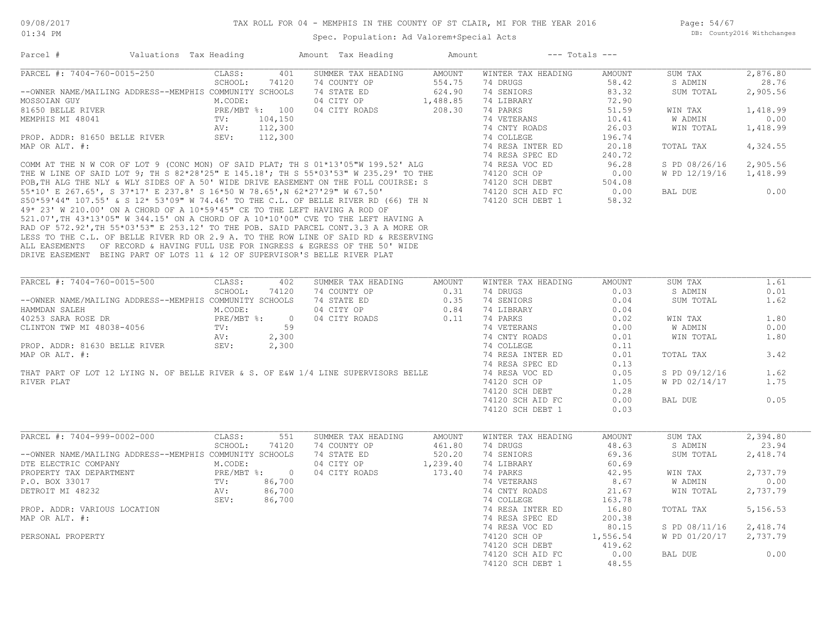| Parcel #                                                                            | Valuations Tax Heading | Amount Tax Heading              | Amount        |                                | $---$ Totals $---$ |               |                  |
|-------------------------------------------------------------------------------------|------------------------|---------------------------------|---------------|--------------------------------|--------------------|---------------|------------------|
| PARCEL #: 7404-760-0015-250                                                         | CLASS:                 | SUMMER TAX HEADING<br>401       | <b>AMOUNT</b> | WINTER TAX HEADING             | AMOUNT             | SUM TAX       | 2,876.80         |
|                                                                                     | SCHOOL:                | 74120<br>74 COUNTY OP           | 554.75        | 74 DRUGS                       | 58.42              | S ADMIN       | 28.76            |
| --OWNER NAME/MAILING ADDRESS--MEMPHIS COMMUNITY SCHOOLS                             |                        | 74 STATE ED                     | 624.90        | 74 SENIORS                     | 83.32              | SUM TOTAL     | 2,905.56         |
| MOSSOIAN GUY                                                                        | M.CODE:                | 04 CITY OP                      | 1,488.85      | 74 LIBRARY                     | 72.90              |               |                  |
| 81650 BELLE RIVER                                                                   | PRE/MBT %: 100         | 04 CITY ROADS                   | 208.30        | 74 PARKS                       | 51.59              | WIN TAX       | 1,418.99         |
| MEMPHIS MI 48041                                                                    | TV:<br>104,150         |                                 |               | 74 VETERANS                    | 10.41<br>26.03     | W ADMIN       | 0.00<br>1,418.99 |
|                                                                                     | 112,300<br>AV:         |                                 |               | 74 CNTY ROADS                  |                    | WIN TOTAL     |                  |
| PROP. ADDR: 81650 BELLE RIVER<br>MAP OR ALT. #:                                     | 112,300<br>SEV:        |                                 |               | 74 COLLEGE<br>74 RESA INTER ED | 196.74<br>20.18    | TOTAL TAX     | 4,324.55         |
|                                                                                     |                        |                                 |               | 74 RESA SPEC ED                | 240.72             |               |                  |
| COMM AT THE N W COR OF LOT 9 (CONC MON) OF SAID PLAT; TH S 01*13'05"W 199.52' ALG   |                        |                                 |               | 74 RESA VOC ED                 | 96.28              | S PD 08/26/16 | 2,905.56         |
| THE W LINE OF SAID LOT 9; TH S 82*28'25" E 145.18'; TH S 55*03'53" W 235.29' TO THE |                        |                                 |               | 74120 SCH OP                   | 0.00               | W PD 12/19/16 | 1,418.99         |
| POB, TH ALG THE NLY & WLY SIDES OF A 50' WIDE DRIVE EASEMENT ON THE FOLL COUIRSE: S |                        |                                 |               | 74120 SCH DEBT                 | 504.08             |               |                  |
| 55*10' E 267.65', S 37*17' E 237.8' S 16*50 W 78.65', N 62*27'29" W 67.50'          |                        |                                 |               | 74120 SCH AID FC               | 0.00               | BAL DUE       | 0.00             |
| S50*59'44" 107.55' & S 12* 53'09" W 74.46' TO THE C.L. OF BELLE RIVER RD (66) TH N  |                        |                                 |               | 74120 SCH DEBT 1               | 58.32              |               |                  |
| 49* 23' W 210.00' ON A CHORD OF A 10*59'45" CE TO THE LEFT HAVING A ROD OF          |                        |                                 |               |                                |                    |               |                  |
| 521.07', TH 43*13'05" W 344.15' ON A CHORD OF A 10*10'00" CVE TO THE LEFT HAVING A  |                        |                                 |               |                                |                    |               |                  |
| RAD OF 572.92', TH 55*03'53" E 253.12' TO THE POB. SAID PARCEL CONT.3.3 A A MORE OR |                        |                                 |               |                                |                    |               |                  |
| LESS TO THE C.L. OF BELLE RIVER RD OR 2.9 A. TO THE ROW LINE OF SAID RD & RESERVING |                        |                                 |               |                                |                    |               |                  |
| ALL EASEMENTS OF RECORD & HAVING FULL USE FOR INGRESS & EGRESS OF THE 50' WIDE      |                        |                                 |               |                                |                    |               |                  |
| DRIVE EASEMENT BEING PART OF LOTS 11 & 12 OF SUPERVISOR'S BELLE RIVER PLAT          |                        |                                 |               |                                |                    |               |                  |
|                                                                                     |                        |                                 |               |                                |                    |               |                  |
| PARCEL #: 7404-760-0015-500                                                         | CLASS:                 | 402<br>SUMMER TAX HEADING       | AMOUNT        | WINTER TAX HEADING             | AMOUNT             | SUM TAX       | 1.61             |
|                                                                                     | SCHOOL:                | 74120<br>74 COUNTY OP           | 0.31          | 74 DRUGS                       | 0.03               | S ADMIN       | 0.01             |
| --OWNER NAME/MAILING ADDRESS--MEMPHIS COMMUNITY SCHOOLS                             |                        | 74 STATE ED                     | 0.35          | 74 SENIORS                     | 0.04               | SUM TOTAL     | 1.62             |
| HAMMDAN SALEH                                                                       | M.CODE:                | 04 CITY OP                      | 0.84          | 74 LIBRARY                     | 0.04               |               |                  |
| 40253 SARA ROSE DR                                                                  | PRE/MBT %:             | 04 CITY ROADS<br>$\circ$        | 0.11          | 74 PARKS                       | 0.02               | WIN TAX       | 1.80             |
| CLINTON TWP MI 48038-4056                                                           | TV:                    | 59                              |               | 74 VETERANS                    | 0.00               | W ADMIN       | 0.00             |
|                                                                                     | AV:                    | 2,300                           |               | 74 CNTY ROADS                  | 0.01               | WIN TOTAL     | 1.80             |
| PROP. ADDR: 81630 BELLE RIVER                                                       | SEV:                   | 2,300                           |               | 74 COLLEGE                     | 0.11               |               |                  |
| MAP OR ALT. #:                                                                      |                        |                                 |               | 74 RESA INTER ED               | 0.01               | TOTAL TAX     | 3.42             |
|                                                                                     |                        |                                 |               | 74 RESA SPEC ED                | 0.13               |               |                  |
| THAT PART OF LOT 12 LYING N. OF BELLE RIVER & S. OF E&W 1/4 LINE SUPERVISORS BELLE  |                        |                                 |               | 74 RESA VOC ED                 | 0.05               | S PD 09/12/16 | 1.62             |
| RIVER PLAT                                                                          |                        |                                 |               | 74120 SCH OP                   | 1.05               | W PD 02/14/17 | 1.75             |
|                                                                                     |                        |                                 |               | 74120 SCH DEBT                 | 0.28               |               |                  |
|                                                                                     |                        |                                 |               | 74120 SCH AID FC               | 0.00               | BAL DUE       | 0.05             |
|                                                                                     |                        |                                 |               | 74120 SCH DEBT 1               | 0.03               |               |                  |
|                                                                                     |                        |                                 |               |                                |                    |               |                  |
| PARCEL #: 7404-999-0002-000                                                         | CLASS:                 | 551<br>SUMMER TAX HEADING       | AMOUNT        | WINTER TAX HEADING             | AMOUNT             | SUM TAX       | 2,394.80         |
|                                                                                     | SCHOOL:                | 74120<br>74 COUNTY OP           | 461.80        | 74 DRUGS                       | 48.63              | S ADMIN       | 23.94            |
| --OWNER NAME/MAILING ADDRESS--MEMPHIS COMMUNITY SCHOOLS                             |                        | 74 STATE ED                     | 520.20        | 74 SENIORS                     | 69.36              | SUM TOTAL     | 2,418.74         |
| DTE ELECTRIC COMPANY                                                                | M.CODE:                | 04 CITY OP                      | 1,239.40      | 74 LIBRARY                     | 60.69              |               |                  |
| PROPERTY TAX DEPARTMENT                                                             | PRE/MBT %:             | 04 CITY ROADS<br>$\overline{0}$ | 173.40        | 74 PARKS                       | 42.95              | WIN TAX       | 2,737.79         |
| P.O. BOX 33017                                                                      | 86,700<br>TV:          |                                 |               | 74 VETERANS                    | 8.67               | W ADMIN       | 0.00             |
| DETROIT MI 48232                                                                    | AV:<br>86,700          |                                 |               | 74 CNTY ROADS                  | 21.67              | WIN TOTAL     | 2,737.79         |
|                                                                                     | 86,700<br>SEV:         |                                 |               | 74 COLLEGE                     | 163.78             |               |                  |
| PROP. ADDR: VARIOUS LOCATION                                                        |                        |                                 |               | 74 RESA INTER ED               | 16.80              | TOTAL TAX     | 5,156.53         |
| MAP OR ALT. #:                                                                      |                        |                                 |               | 74 RESA SPEC ED                | 200.38             |               |                  |
|                                                                                     |                        |                                 |               | 74 RESA VOC ED                 | 80.15              | S PD 08/11/16 | 2,418.74         |
| PERSONAL PROPERTY                                                                   |                        |                                 |               | 74120 SCH OP                   | 1,556.54           | W PD 01/20/17 | 2,737.79         |
|                                                                                     |                        |                                 |               | 74120 SCH DEBT                 | 419.62             |               |                  |
|                                                                                     |                        |                                 |               | 74120 SCH AID FC               | 0.00               | BAL DUE       | 0.00             |
|                                                                                     |                        |                                 |               | 74120 SCH DEBT 1               | 48.55              |               |                  |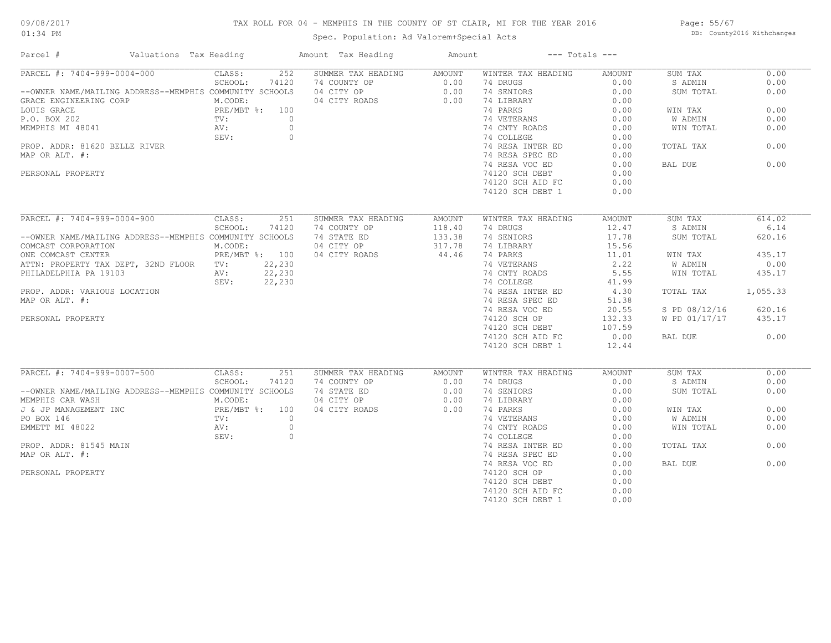## 09/08/2017

#### TAX ROLL FOR 04 - MEMPHIS IN THE COUNTY OF ST CLAIR, MI FOR THE YEAR 2016

01:34 PM

## Spec. Population: Ad Valorem+Special Acts

Page: 55/67 DB: County2016 Withchanges

| Parcel #                                                | Valuations Tax Heading |                | Amount Tax Heading | Amount |                    | $---$ Totals $---$ |               |          |
|---------------------------------------------------------|------------------------|----------------|--------------------|--------|--------------------|--------------------|---------------|----------|
| PARCEL #: 7404-999-0004-000                             | CLASS:                 | 252            | SUMMER TAX HEADING | AMOUNT | WINTER TAX HEADING | AMOUNT             | SUM TAX       | 0.00     |
|                                                         | SCHOOL:                | 74120          | 74 COUNTY OP       | 0.00   | 74 DRUGS           | 0.00               | S ADMIN       | 0.00     |
| --OWNER NAME/MAILING ADDRESS--MEMPHIS COMMUNITY SCHOOLS |                        |                | 04 CITY OP         | 0.00   | 74 SENIORS         | 0.00               | SUM TOTAL     | 0.00     |
| GRACE ENGINEERING CORP                                  | M.CODE:                |                | 04 CITY ROADS      | 0.00   | 74 LIBRARY         | 0.00               |               |          |
| LOUIS GRACE                                             | PRE/MBT %: 100         |                |                    |        | 74 PARKS           | 0.00               | WIN TAX       | 0.00     |
| P.O. BOX 202                                            | TV:                    | $\circ$        |                    |        | 74 VETERANS        | 0.00               | W ADMIN       | 0.00     |
| MEMPHIS MI 48041                                        | AV:                    | $\circ$        |                    |        | 74 CNTY ROADS      | 0.00               | WIN TOTAL     | 0.00     |
|                                                         | SEV:                   | $\circ$        |                    |        | 74 COLLEGE         | 0.00               |               |          |
| PROP. ADDR: 81620 BELLE RIVER                           |                        |                |                    |        | 74 RESA INTER ED   | 0.00               | TOTAL TAX     | 0.00     |
| MAP OR ALT. #:                                          |                        |                |                    |        | 74 RESA SPEC ED    | 0.00               |               |          |
|                                                         |                        |                |                    |        | 74 RESA VOC ED     | 0.00               | BAL DUE       | 0.00     |
| PERSONAL PROPERTY                                       |                        |                |                    |        | 74120 SCH DEBT     | 0.00               |               |          |
|                                                         |                        |                |                    |        | 74120 SCH AID FC   | 0.00               |               |          |
|                                                         |                        |                |                    |        | 74120 SCH DEBT 1   | 0.00               |               |          |
|                                                         |                        |                |                    |        |                    |                    |               |          |
| PARCEL #: 7404-999-0004-900                             | CLASS:                 | 251            | SUMMER TAX HEADING | AMOUNT | WINTER TAX HEADING | AMOUNT             | SUM TAX       | 614.02   |
|                                                         | SCHOOL:                | 74120          | 74 COUNTY OP       | 118.40 | 74 DRUGS           | 12.47              | S ADMIN       | 6.14     |
| --OWNER NAME/MAILING ADDRESS--MEMPHIS COMMUNITY SCHOOLS |                        |                | 74 STATE ED        | 133.38 | 74 SENIORS         | 17.78              | SUM TOTAL     | 620.16   |
| COMCAST CORPORATION                                     | M.CODE:                |                | 04 CITY OP         | 317.78 | 74 LIBRARY         | 15.56              |               |          |
| ONE COMCAST CENTER                                      |                        | PRE/MBT %: 100 | 04 CITY ROADS      | 44.46  | 74 PARKS           | 11.01              | WIN TAX       | 435.17   |
| ATTN: PROPERTY TAX DEPT, 32ND FLOOR TV:                 |                        | 22,230         |                    |        | 74 VETERANS        | 2.22               | W ADMIN       | 0.00     |
| PHILADELPHIA PA 19103                                   | AV:                    | 22,230         |                    |        | 74 CNTY ROADS      | 5.55               | WIN TOTAL     | 435.17   |
|                                                         | SEV:                   | 22,230         |                    |        | 74 COLLEGE         | 41.99              |               |          |
| PROP. ADDR: VARIOUS LOCATION                            |                        |                |                    |        | 74 RESA INTER ED   | 4.30               | TOTAL TAX     | 1,055.33 |
| MAP OR ALT. #:                                          |                        |                |                    |        |                    |                    |               |          |
|                                                         |                        |                |                    |        | 74 RESA SPEC ED    | 51.38              |               |          |
|                                                         |                        |                |                    |        | 74 RESA VOC ED     | 20.55              | S PD 08/12/16 | 620.16   |
| PERSONAL PROPERTY                                       |                        |                |                    |        | 74120 SCH OP       | 132.33             | W PD 01/17/17 | 435.17   |
|                                                         |                        |                |                    |        | 74120 SCH DEBT     | 107.59             |               |          |
|                                                         |                        |                |                    |        | 74120 SCH AID FC   | 0.00               | BAL DUE       | 0.00     |
|                                                         |                        |                |                    |        | 74120 SCH DEBT 1   | 12.44              |               |          |
| PARCEL #: 7404-999-0007-500                             | CLASS:                 | 251            | SUMMER TAX HEADING | AMOUNT | WINTER TAX HEADING | AMOUNT             | SUM TAX       | 0.00     |
|                                                         | SCHOOL:                | 74120          | 74 COUNTY OP       | 0.00   | 74 DRUGS           | 0.00               | S ADMIN       | 0.00     |
| --OWNER NAME/MAILING ADDRESS--MEMPHIS COMMUNITY SCHOOLS |                        |                | 74 STATE ED        | 0.00   | 74 SENIORS         | 0.00               | SUM TOTAL     | 0.00     |
| MEMPHIS CAR WASH                                        | M.CODE:                |                | 04 CITY OP         | 0.00   | 74 LIBRARY         | 0.00               |               |          |
|                                                         |                        | PRE/MBT %: 100 |                    | 0.00   | 74 PARKS           | 0.00               |               | 0.00     |
| J & JP MANAGEMENT INC                                   |                        |                | 04 CITY ROADS      |        |                    |                    | WIN TAX       |          |
| PO BOX 146                                              | TV:                    | $\overline{0}$ |                    |        | 74 VETERANS        | 0.00               | W ADMIN       | 0.00     |
| EMMETT MI 48022                                         | AV:                    | $\circ$        |                    |        | 74 CNTY ROADS      | 0.00               | WIN TOTAL     | 0.00     |
|                                                         | SEV:                   | $\circ$        |                    |        | 74 COLLEGE         | 0.00               |               |          |
| PROP. ADDR: 81545 MAIN                                  |                        |                |                    |        | 74 RESA INTER ED   | 0.00               | TOTAL TAX     | 0.00     |
| MAP OR ALT. #:                                          |                        |                |                    |        | 74 RESA SPEC ED    | 0.00               |               |          |
|                                                         |                        |                |                    |        | 74 RESA VOC ED     | 0.00               | BAL DUE       | 0.00     |
| PERSONAL PROPERTY                                       |                        |                |                    |        | 74120 SCH OP       | 0.00               |               |          |
|                                                         |                        |                |                    |        | 74120 SCH DEBT     | 0.00               |               |          |
|                                                         |                        |                |                    |        | 74120 SCH AID FC   | 0.00               |               |          |
|                                                         |                        |                |                    |        | 74120 SCH DEBT 1   | 0.00               |               |          |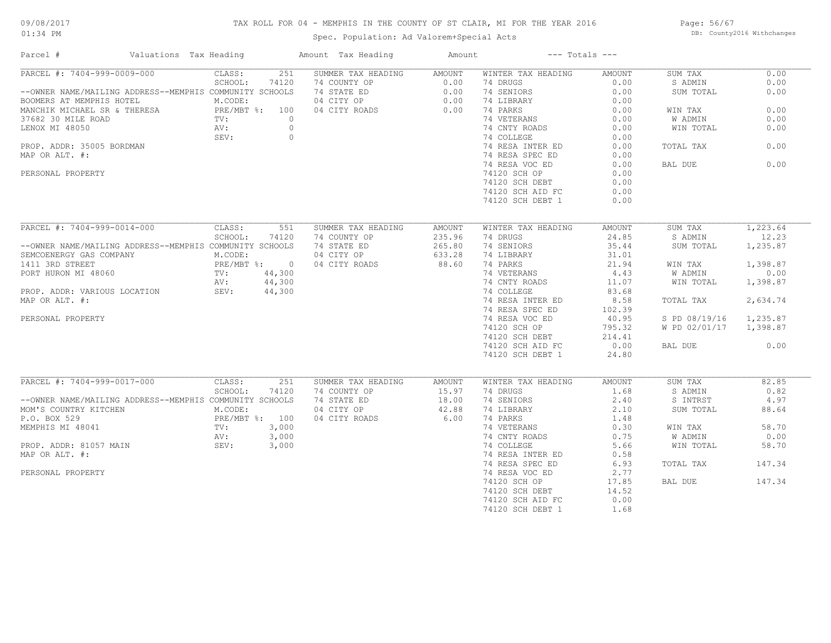# 09/08/2017

## TAX ROLL FOR 04 - MEMPHIS IN THE COUNTY OF ST CLAIR, MI FOR THE YEAR 2016

01:34 PM

## Spec. Population: Ad Valorem+Special Acts

Page: 56/67 DB: County2016 Withchanges

| Parcel #<br>Valuations Tax Heading                      |                  | Amount Tax Heading | Amount        |                    | $---$ Totals $---$ |               |          |
|---------------------------------------------------------|------------------|--------------------|---------------|--------------------|--------------------|---------------|----------|
| PARCEL #: 7404-999-0009-000                             | 251<br>CLASS:    | SUMMER TAX HEADING | <b>AMOUNT</b> | WINTER TAX HEADING | <b>AMOUNT</b>      | SUM TAX       | 0.00     |
|                                                         | SCHOOL:<br>74120 | 74 COUNTY OP       | 0.00          | 74 DRUGS           | 0.00               | S ADMIN       | 0.00     |
| --OWNER NAME/MAILING ADDRESS--MEMPHIS COMMUNITY SCHOOLS |                  | 74 STATE ED        | 0.00          | 74 SENIORS         | 0.00               | SUM TOTAL     | 0.00     |
| BOOMERS AT MEMPHIS HOTEL                                | M.CODE:          | 04 CITY OP         | 0.00          | 74 LIBRARY         | 0.00               |               |          |
| MANCHIK MICHAEL SR & THERESA                            | PRE/MBT %: 100   | 04 CITY ROADS      | 0.00          | 74 PARKS           | 0.00               | WIN TAX       | 0.00     |
| 37682 30 MILE ROAD                                      | TV:<br>$\circ$   |                    |               | 74 VETERANS        | 0.00               | W ADMIN       | 0.00     |
| LENOX MI 48050                                          | $\circ$<br>AV:   |                    |               | 74 CNTY ROADS      | 0.00               | WIN TOTAL     | 0.00     |
|                                                         | $\circ$<br>SEV:  |                    |               | 74 COLLEGE         | 0.00               |               |          |
| PROP. ADDR: 35005 BORDMAN                               |                  |                    |               | 74 RESA INTER ED   | 0.00               | TOTAL TAX     | 0.00     |
| MAP OR ALT. #:                                          |                  |                    |               | 74 RESA SPEC ED    | 0.00               |               |          |
|                                                         |                  |                    |               | 74 RESA VOC ED     | 0.00               | BAL DUE       | 0.00     |
| PERSONAL PROPERTY                                       |                  |                    |               | 74120 SCH OP       | 0.00               |               |          |
|                                                         |                  |                    |               |                    |                    |               |          |
|                                                         |                  |                    |               | 74120 SCH DEBT     | 0.00               |               |          |
|                                                         |                  |                    |               | 74120 SCH AID FC   | 0.00               |               |          |
|                                                         |                  |                    |               | 74120 SCH DEBT 1   | 0.00               |               |          |
| PARCEL #: 7404-999-0014-000                             | CLASS:<br>551    | SUMMER TAX HEADING | <b>AMOUNT</b> | WINTER TAX HEADING | AMOUNT             | SUM TAX       | 1,223.64 |
|                                                         | SCHOOL:<br>74120 | 74 COUNTY OP       | 235.96        | 74 DRUGS           | 24.85              | S ADMIN       | 12.23    |
| --OWNER NAME/MAILING ADDRESS--MEMPHIS COMMUNITY SCHOOLS |                  | 74 STATE ED        | 265.80        | 74 SENIORS         | 35.44              | SUM TOTAL     | 1,235.87 |
|                                                         |                  |                    |               |                    |                    |               |          |
| SEMCOENERGY GAS COMPANY                                 | M.CODE:          | 04 CITY OP         | 633.28        | 74 LIBRARY         | 31.01              |               |          |
| 1411 3RD STREET                                         | PRE/MBT %: 0     | 04 CITY ROADS      | 88.60         | 74 PARKS           | 21.94              | WIN TAX       | 1,398.87 |
| PORT HURON MI 48060                                     | 44,300<br>TV:    |                    |               | 74 VETERANS        | 4.43               | W ADMIN       | 0.00     |
|                                                         | 44,300<br>AV:    |                    |               | 74 CNTY ROADS      | 11.07              | WIN TOTAL     | 1,398.87 |
| PROP. ADDR: VARIOUS LOCATION                            | 44,300<br>SEV:   |                    |               | 74 COLLEGE         | 83.68              |               |          |
| MAP OR ALT. #:                                          |                  |                    |               | 74 RESA INTER ED   | 8.58               | TOTAL TAX     | 2,634.74 |
|                                                         |                  |                    |               | 74 RESA SPEC ED    | 102.39             |               |          |
| PERSONAL PROPERTY                                       |                  |                    |               | 74 RESA VOC ED     | 40.95              | S PD 08/19/16 | 1,235.87 |
|                                                         |                  |                    |               | 74120 SCH OP       | 795.32             | W PD 02/01/17 | 1,398.87 |
|                                                         |                  |                    |               | 74120 SCH DEBT     | 214.41             |               |          |
|                                                         |                  |                    |               | 74120 SCH AID FC   | 0.00               | BAL DUE       | 0.00     |
|                                                         |                  |                    |               |                    |                    |               |          |
|                                                         |                  |                    |               | 74120 SCH DEBT 1   | 24.80              |               |          |
| PARCEL #: 7404-999-0017-000                             | CLASS:<br>251    | SUMMER TAX HEADING | AMOUNT        | WINTER TAX HEADING | <b>AMOUNT</b>      | SUM TAX       | 82.85    |
|                                                         | SCHOOL:<br>74120 | 74 COUNTY OP       | 15.97         | 74 DRUGS           | 1.68               | S ADMIN       | 0.82     |
| --OWNER NAME/MAILING ADDRESS--MEMPHIS COMMUNITY SCHOOLS |                  | 74 STATE ED        | 18.00         | 74 SENIORS         | 2.40               | S INTRST      | 4.97     |
| MOM'S COUNTRY KITCHEN                                   | M.CODE:          | 04 CITY OP         | 42.88         | 74 LIBRARY         | 2.10               | SUM TOTAL     | 88.64    |
| P.O. BOX 529                                            | PRE/MBT %: 100   | 04 CITY ROADS      | 6.00          | 74 PARKS           | 1.48               |               |          |
| MEMPHIS MI 48041                                        | 3,000<br>TV:     |                    |               | 74 VETERANS        | 0.30               | WIN TAX       | 58.70    |
|                                                         |                  |                    |               |                    |                    |               |          |
|                                                         | AV:<br>3,000     |                    |               | 74 CNTY ROADS      | 0.75               | W ADMIN       | 0.00     |
| PROP. ADDR: 81057 MAIN                                  | SEV:<br>3,000    |                    |               | 74 COLLEGE         | 5.66               | WIN TOTAL     | 58.70    |
| MAP OR ALT. #:                                          |                  |                    |               | 74 RESA INTER ED   | 0.58               |               |          |
|                                                         |                  |                    |               | 74 RESA SPEC ED    | 6.93               | TOTAL TAX     | 147.34   |
| PERSONAL PROPERTY                                       |                  |                    |               | 74 RESA VOC ED     | 2.77               |               |          |
|                                                         |                  |                    |               | 74120 SCH OP       | 17.85              | BAL DUE       | 147.34   |
|                                                         |                  |                    |               | 74120 SCH DEBT     | 14.52              |               |          |
|                                                         |                  |                    |               | 74120 SCH AID FC   | 0.00               |               |          |
|                                                         |                  |                    |               | 74120 SCH DEBT 1   | 1.68               |               |          |
|                                                         |                  |                    |               |                    |                    |               |          |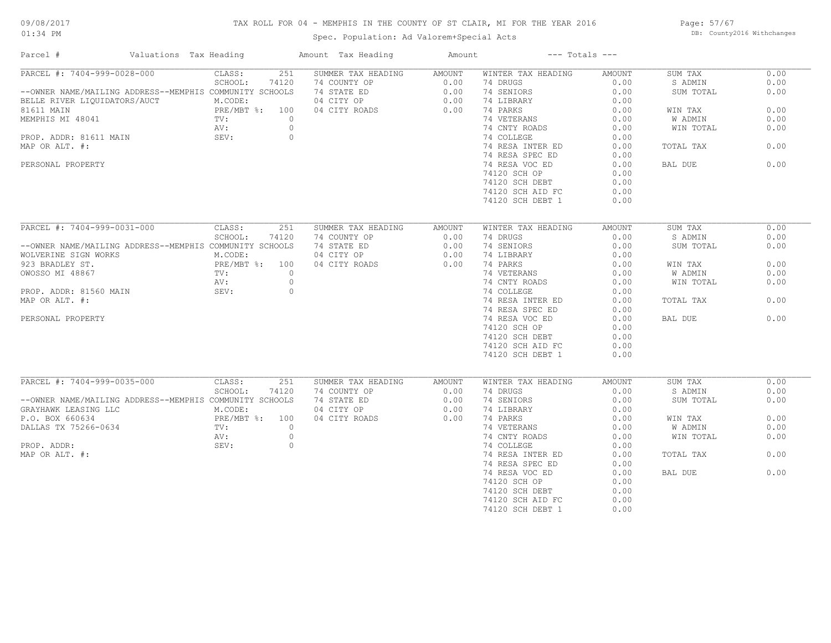## TAX ROLL FOR 04 - MEMPHIS IN THE COUNTY OF ST CLAIR, MI FOR THE YEAR 2016

Spec. Population: Ad Valorem+Special Acts

Page: 57/67 DB: County2016 Withchanges

| Parcel #                                                | Valuations Tax Heading | Amount Tax Heading | Amount        | $---$ Totals $---$ |               |                |      |
|---------------------------------------------------------|------------------------|--------------------|---------------|--------------------|---------------|----------------|------|
| PARCEL #: 7404-999-0028-000                             | 251<br>CLASS:          | SUMMER TAX HEADING | AMOUNT        | WINTER TAX HEADING | AMOUNT        | SUM TAX        | 0.00 |
|                                                         | SCHOOL:<br>74120       | 74 COUNTY OP       | 0.00          | 74 DRUGS           | 0.00          | S ADMIN        | 0.00 |
| --OWNER NAME/MAILING ADDRESS--MEMPHIS COMMUNITY SCHOOLS |                        | 74 STATE ED        | 0.00          | 74 SENIORS         | 0.00          | SUM TOTAL      | 0.00 |
| BELLE RIVER LIQUIDATORS/AUCT                            | M.CODE:                | 04 CITY OP         | 0.00          | 74 LIBRARY         | 0.00          |                |      |
| 81611 MAIN                                              | PRE/MBT %: 100         | 04 CITY ROADS      | 0.00          | 74 PARKS           | 0.00          | WIN TAX        | 0.00 |
| MEMPHIS MI 48041                                        | TV:                    | $\circ$            |               | 74 VETERANS        | 0.00          | W ADMIN        | 0.00 |
|                                                         | AV:                    | $\circ$            |               | 74 CNTY ROADS      | 0.00          | WIN TOTAL      | 0.00 |
| PROP. ADDR: 81611 MAIN                                  | SEV:                   | $\circ$            |               | 74 COLLEGE         | 0.00          |                |      |
| MAP OR ALT. #:                                          |                        |                    |               | 74 RESA INTER ED   | 0.00          | TOTAL TAX      | 0.00 |
|                                                         |                        |                    |               | 74 RESA SPEC ED    | 0.00          |                |      |
| PERSONAL PROPERTY                                       |                        |                    |               | 74 RESA VOC ED     | 0.00          | BAL DUE        | 0.00 |
|                                                         |                        |                    |               | 74120 SCH OP       | 0.00          |                |      |
|                                                         |                        |                    |               | 74120 SCH DEBT     | 0.00          |                |      |
|                                                         |                        |                    |               | 74120 SCH AID FC   | 0.00          |                |      |
|                                                         |                        |                    |               | 74120 SCH DEBT 1   | 0.00          |                |      |
|                                                         |                        |                    |               |                    |               |                |      |
|                                                         |                        |                    |               |                    |               |                |      |
| PARCEL #: 7404-999-0031-000                             | CLASS:<br>251          | SUMMER TAX HEADING | <b>AMOUNT</b> | WINTER TAX HEADING | <b>AMOUNT</b> | SUM TAX        | 0.00 |
|                                                         | SCHOOL:<br>74120       | 74 COUNTY OP       | 0.00          | 74 DRUGS           | 0.00          | S ADMIN        | 0.00 |
| --OWNER NAME/MAILING ADDRESS--MEMPHIS COMMUNITY SCHOOLS |                        | 74 STATE ED        | 0.00          | 74 SENIORS         | 0.00          | SUM TOTAL      | 0.00 |
| WOLVERINE SIGN WORKS                                    | M.CODE:                | 04 CITY OP         | 0.00          | 74 LIBRARY         | 0.00          |                |      |
| 923 BRADLEY ST.                                         | PRE/MBT %: 100         | 04 CITY ROADS      | 0.00          | 74 PARKS           | 0.00          | WIN TAX        | 0.00 |
| OWOSSO MI 48867                                         | $\circ$<br>TV:         |                    |               | 74 VETERANS        | 0.00          | W ADMIN        | 0.00 |
|                                                         | AV:                    | $\circ$            |               | 74 CNTY ROADS      | 0.00          | WIN TOTAL      | 0.00 |
| PROP. ADDR: 81560 MAIN                                  | SEV:                   | $\circ$            |               | 74 COLLEGE         | 0.00          |                |      |
| MAP OR ALT. #:                                          |                        |                    |               | 74 RESA INTER ED   | 0.00          | TOTAL TAX      | 0.00 |
|                                                         |                        |                    |               | 74 RESA SPEC ED    | 0.00          |                |      |
| PERSONAL PROPERTY                                       |                        |                    |               | 74 RESA VOC ED     | 0.00          | BAL DUE        | 0.00 |
|                                                         |                        |                    |               | 74120 SCH OP       | 0.00          |                |      |
|                                                         |                        |                    |               | 74120 SCH DEBT     | 0.00          |                |      |
|                                                         |                        |                    |               | 74120 SCH AID FC   | 0.00          |                |      |
|                                                         |                        |                    |               | 74120 SCH DEBT 1   | 0.00          |                |      |
|                                                         |                        |                    |               |                    |               |                |      |
|                                                         |                        |                    |               |                    |               |                |      |
| PARCEL #: 7404-999-0035-000                             | CLASS:<br>251          | SUMMER TAX HEADING | AMOUNT        | WINTER TAX HEADING | <b>AMOUNT</b> | SUM TAX        | 0.00 |
|                                                         | SCHOOL:<br>74120       | 74 COUNTY OP       | 0.00          | 74 DRUGS           | 0.00          | S ADMIN        | 0.00 |
| --OWNER NAME/MAILING ADDRESS--MEMPHIS COMMUNITY SCHOOLS |                        | 74 STATE ED        | 0.00          | 74 SENIORS         | 0.00          | SUM TOTAL      | 0.00 |
| GRAYHAWK LEASING LLC                                    | M.CODE:                | 04 CITY OP         | 0.00          | 74 LIBRARY         | 0.00          |                |      |
| P.O. BOX 660634                                         | PRE/MBT %: 100         | 04 CITY ROADS      | 0.00          | 74 PARKS           | 0.00          | WIN TAX        | 0.00 |
| DALLAS TX 75266-0634                                    | $\circ$<br>TV:         |                    |               | 74 VETERANS        | 0.00          | <b>W ADMIN</b> | 0.00 |
|                                                         | AV:                    | $\circ$            |               | 74 CNTY ROADS      | 0.00          | WIN TOTAL      | 0.00 |
| PROP. ADDR:                                             | SEV:                   | $\circ$            |               | 74 COLLEGE         | 0.00          |                |      |
| MAP OR ALT. #:                                          |                        |                    |               | 74 RESA INTER ED   | 0.00          | TOTAL TAX      | 0.00 |
|                                                         |                        |                    |               | 74 RESA SPEC ED    | 0.00          |                |      |
|                                                         |                        |                    |               | 74 RESA VOC ED     | 0.00          | BAL DUE        | 0.00 |
|                                                         |                        |                    |               | 74120 SCH OP       | 0.00          |                |      |
|                                                         |                        |                    |               | 74120 SCH DEBT     | 0.00          |                |      |
|                                                         |                        |                    |               | 74120 SCH AID FC   | 0.00          |                |      |
|                                                         |                        |                    |               | 74120 SCH DEBT 1   | 0.00          |                |      |
|                                                         |                        |                    |               |                    |               |                |      |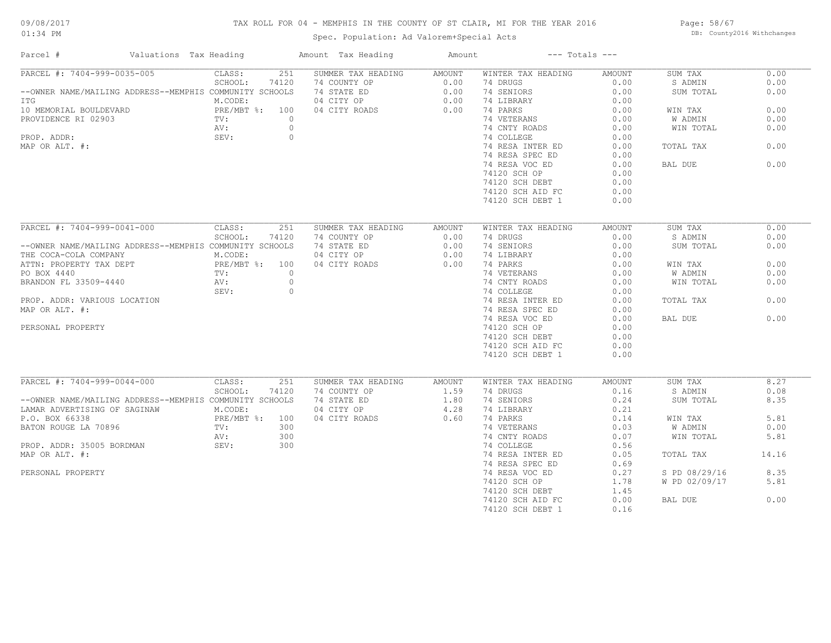# 09/08/2017

## TAX ROLL FOR 04 - MEMPHIS IN THE COUNTY OF ST CLAIR, MI FOR THE YEAR 2016

01:34 PM

## Spec. Population: Ad Valorem+Special Acts

Page: 58/67 DB: County2016 Withchanges

| Parcel #<br>Valuations Tax Heading                      |                |          | Amount Tax Heading | Amount         |                    | $---$ Totals $---$ |               |       |
|---------------------------------------------------------|----------------|----------|--------------------|----------------|--------------------|--------------------|---------------|-------|
| PARCEL #: 7404-999-0035-005                             | CLASS:         | 251      | SUMMER TAX HEADING | AMOUNT         | WINTER TAX HEADING | <b>AMOUNT</b>      | SUM TAX       | 0.00  |
|                                                         | SCHOOL:        | 74120    | 74 COUNTY OP       | 0.00           | 74 DRUGS           | 0.00               | S ADMIN       | 0.00  |
| --OWNER NAME/MAILING ADDRESS--MEMPHIS COMMUNITY SCHOOLS |                |          | 74 STATE ED        | 0.00           | 74 SENIORS         | 0.00               | SUM TOTAL     | 0.00  |
| ITG                                                     | M.CODE:        |          | 04 CITY OP         | 0.00           | 74 LIBRARY         | 0.00               |               |       |
| 10 MEMORIAL BOULDEVARD                                  | PRE/MBT %: 100 |          | 04 CITY ROADS      | 0.00           | 74 PARKS           | 0.00               | WIN TAX       | 0.00  |
| PROVIDENCE RI 02903                                     | TV:            | $\circ$  |                    |                | 74 VETERANS        | 0.00               | W ADMIN       | 0.00  |
|                                                         | AV:            | $\circ$  |                    |                | 74 CNTY ROADS      | 0.00               | WIN TOTAL     | 0.00  |
| PROP. ADDR:                                             | SEV:           | $\circ$  |                    |                | 74 COLLEGE         | 0.00               |               |       |
| MAP OR ALT. #:                                          |                |          |                    |                | 74 RESA INTER ED   | 0.00               | TOTAL TAX     | 0.00  |
|                                                         |                |          |                    |                | 74 RESA SPEC ED    | 0.00               |               |       |
|                                                         |                |          |                    |                | 74 RESA VOC ED     | 0.00               | BAL DUE       | 0.00  |
|                                                         |                |          |                    |                | 74120 SCH OP       | 0.00               |               |       |
|                                                         |                |          |                    |                |                    |                    |               |       |
|                                                         |                |          |                    |                | 74120 SCH DEBT     | 0.00               |               |       |
|                                                         |                |          |                    |                | 74120 SCH AID FC   | 0.00               |               |       |
|                                                         |                |          |                    |                | 74120 SCH DEBT 1   | 0.00               |               |       |
|                                                         |                |          |                    |                |                    |                    |               |       |
| PARCEL #: 7404-999-0041-000                             | CLASS:         | 251      | SUMMER TAX HEADING | AMOUNT         | WINTER TAX HEADING | AMOUNT             | SUM TAX       | 0.00  |
|                                                         | SCHOOL:        | 74120    | 74 COUNTY OP       | 0.00           | 74 DRUGS           | 0.00               | S ADMIN       | 0.00  |
| --OWNER NAME/MAILING ADDRESS--MEMPHIS COMMUNITY SCHOOLS |                |          | 74 STATE ED        | 0.00           | 74 SENIORS         | 0.00               | SUM TOTAL     | 0.00  |
| THE COCA-COLA COMPANY                                   | M.CODE:        |          | 04 CITY OP         | 0.00           | 74 LIBRARY         | 0.00               |               |       |
| ATTN: PROPERTY TAX DEPT                                 | PRE/MBT %: 100 |          | 04 CITY ROADS      | 0.00           | 74 PARKS           | 0.00               | WIN TAX       | 0.00  |
| PO BOX 4440                                             | $TV$ :         | $\Omega$ |                    |                | 74 VETERANS        | 0.00               | W ADMIN       | 0.00  |
| BRANDON FL 33509-4440                                   | AV:            | $\circ$  |                    |                | 74 CNTY ROADS      | 0.00               | WIN TOTAL     | 0.00  |
|                                                         | SEV:           | $\circ$  |                    |                | 74 COLLEGE         | 0.00               |               |       |
| PROP. ADDR: VARIOUS LOCATION                            |                |          |                    |                | 74 RESA INTER ED   | 0.00               | TOTAL TAX     | 0.00  |
| MAP OR ALT. #:                                          |                |          |                    |                | 74 RESA SPEC ED    | 0.00               |               |       |
|                                                         |                |          |                    |                | 74 RESA VOC ED     | 0.00               | BAL DUE       | 0.00  |
| PERSONAL PROPERTY                                       |                |          |                    |                | 74120 SCH OP       | 0.00               |               |       |
|                                                         |                |          |                    |                | 74120 SCH DEBT     | 0.00               |               |       |
|                                                         |                |          |                    |                |                    |                    |               |       |
|                                                         |                |          |                    |                | 74120 SCH AID FC   | 0.00               |               |       |
|                                                         |                |          |                    |                | 74120 SCH DEBT 1   | 0.00               |               |       |
| PARCEL #: 7404-999-0044-000                             | CLASS:         | 251      | SUMMER TAX HEADING |                | WINTER TAX HEADING | <b>AMOUNT</b>      | SUM TAX       | 8.27  |
|                                                         | SCHOOL:        | 74120    | 74 COUNTY OP       | AMOUNT<br>1.59 | 74 DRUGS           | 0.16               | S ADMIN       | 0.08  |
| --OWNER NAME/MAILING ADDRESS--MEMPHIS COMMUNITY SCHOOLS |                |          | 74 STATE ED        | 1.80           | 74 SENIORS         | 0.24               |               | 8.35  |
|                                                         |                |          |                    |                |                    |                    | SUM TOTAL     |       |
| LAMAR ADVERTISING OF SAGINAW                            | M.CODE:        |          | 04 CITY OP         | 4.28           | 74 LIBRARY         | 0.21               |               |       |
| P.O. BOX 66338                                          | PRE/MBT %: 100 |          | 04 CITY ROADS      | 0.60           | 74 PARKS           | 0.14               | WIN TAX       | 5.81  |
| BATON ROUGE LA 70896                                    | TV:            | 300      |                    |                | 74 VETERANS        | 0.03               | W ADMIN       | 0.00  |
|                                                         | AV:            | 300      |                    |                | 74 CNTY ROADS      | 0.07               | WIN TOTAL     | 5.81  |
| PROP. ADDR: 35005 BORDMAN                               | SEV:           | 300      |                    |                | 74 COLLEGE         | 0.56               |               |       |
| MAP OR ALT. #:                                          |                |          |                    |                | 74 RESA INTER ED   | 0.05               | TOTAL TAX     | 14.16 |
|                                                         |                |          |                    |                | 74 RESA SPEC ED    | 0.69               |               |       |
| PERSONAL PROPERTY                                       |                |          |                    |                | 74 RESA VOC ED     | 0.27               | S PD 08/29/16 | 8.35  |
|                                                         |                |          |                    |                | 74120 SCH OP       | 1.78               | W PD 02/09/17 | 5.81  |
|                                                         |                |          |                    |                | 74120 SCH DEBT     | 1.45               |               |       |
|                                                         |                |          |                    |                | 74120 SCH AID FC   | 0.00               | BAL DUE       | 0.00  |
|                                                         |                |          |                    |                | 74120 SCH DEBT 1   | 0.16               |               |       |
|                                                         |                |          |                    |                |                    |                    |               |       |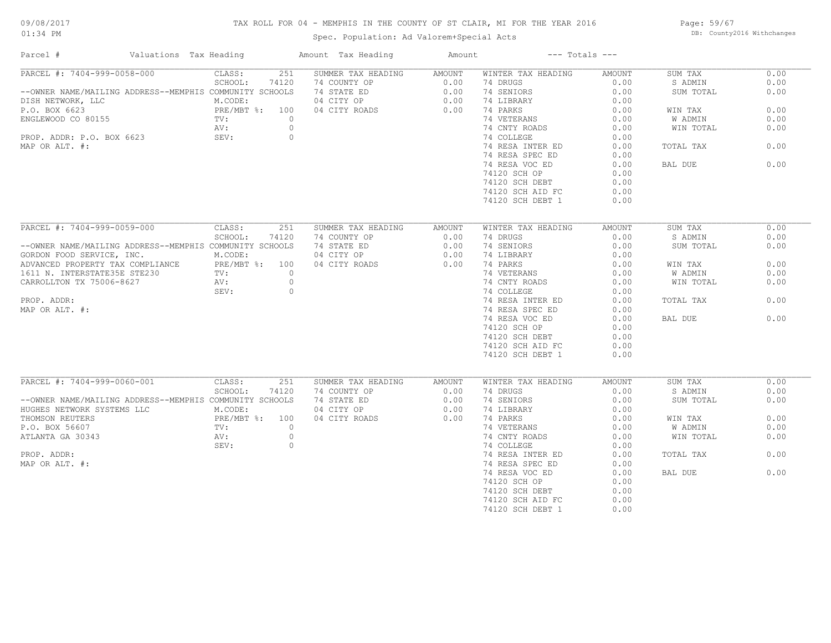## TAX ROLL FOR 04 - MEMPHIS IN THE COUNTY OF ST CLAIR, MI FOR THE YEAR 2016

Spec. Population: Ad Valorem+Special Acts

Page: 59/67 DB: County2016 Withchanges

| PARCEL #: 7404-999-0058-000<br>CLASS:<br>251<br>SUMMER TAX HEADING<br>WINTER TAX HEADING<br>SUM TAX<br>AMOUNT<br>AMOUNT        | 0.00 |
|--------------------------------------------------------------------------------------------------------------------------------|------|
|                                                                                                                                |      |
| SCHOOL:<br>74120<br>0.00<br>0.00<br>74 COUNTY OP<br>74 DRUGS<br>S ADMIN                                                        | 0.00 |
| --OWNER NAME/MAILING ADDRESS--MEMPHIS COMMUNITY SCHOOLS<br>74 STATE ED<br>0.00<br>74 SENIORS<br>0.00<br>SUM TOTAL              | 0.00 |
| M.CODE:<br>04 CITY OP<br>0.00<br>74 LIBRARY<br>0.00<br>DISH NETWORK, LLC                                                       |      |
| PRE/MBT %: 100<br>0.00<br>P.O. BOX 6623<br>04 CITY ROADS<br>74 PARKS<br>0.00<br>WIN TAX                                        | 0.00 |
| ENGLEWOOD CO 80155<br>$\circ$<br>74 VETERANS<br>0.00<br>W ADMIN<br>TV:                                                         | 0.00 |
| 74 CNTY ROADS<br>AV:<br>$\circ$<br>0.00<br>WIN TOTAL                                                                           | 0.00 |
| PROP. ADDR: P.O. BOX 6623<br>SEV:<br>$\circ$<br>74 COLLEGE<br>0.00                                                             |      |
| 74 RESA INTER ED<br>0.00<br>MAP OR ALT. #:<br>TOTAL TAX                                                                        | 0.00 |
| 74 RESA SPEC ED<br>0.00                                                                                                        |      |
| 74 RESA VOC ED<br>0.00<br>BAL DUE                                                                                              | 0.00 |
| 74120 SCH OP<br>0.00                                                                                                           |      |
| 74120 SCH DEBT<br>0.00                                                                                                         |      |
| 74120 SCH AID FC<br>0.00                                                                                                       |      |
| 74120 SCH DEBT 1<br>0.00                                                                                                       |      |
|                                                                                                                                |      |
| PARCEL #: 7404-999-0059-000<br>CLASS:<br>251<br>SUMMER TAX HEADING<br>WINTER TAX HEADING<br><b>AMOUNT</b><br>SUM TAX<br>AMOUNT | 0.00 |
| SCHOOL:<br>74120<br>74 COUNTY OP<br>0.00<br>74 DRUGS<br>0.00<br>S ADMIN                                                        | 0.00 |
| --OWNER NAME/MAILING ADDRESS--MEMPHIS COMMUNITY SCHOOLS<br>74 STATE ED<br>0.00<br>74 SENIORS<br>0.00<br>SUM TOTAL              | 0.00 |
| M.CODE:<br>04 CITY OP<br>0.00<br>74 LIBRARY<br>0.00<br>GORDON FOOD SERVICE, INC.                                               |      |
| ADVANCED PROPERTY TAX COMPLIANCE PRE/MBT %: 100<br>04 CITY ROADS<br>0.00<br>74 PARKS<br>0.00<br>WIN TAX                        | 0.00 |
| TV:<br>$\circ$                                                                                                                 | 0.00 |
| 1611 N. INTERSTATE35E STE230<br>74 VETERANS<br>0.00<br>W ADMIN                                                                 |      |
| $\circ$<br>74 CNTY ROADS<br>CARROLLTON TX 75006-8627<br>AV:<br>0.00<br>WIN TOTAL                                               | 0.00 |
| 74 COLLEGE<br>0.00<br>SEV:<br>$\circ$                                                                                          |      |
| PROP. ADDR:<br>74 RESA INTER ED<br>0.00<br>TOTAL TAX                                                                           | 0.00 |
| 74 RESA SPEC ED<br>0.00<br>MAP OR ALT. #:                                                                                      |      |
| 74 RESA VOC ED<br>0.00<br>BAL DUE                                                                                              | 0.00 |
| 74120 SCH OP<br>0.00                                                                                                           |      |
| 74120 SCH DEBT<br>0.00                                                                                                         |      |
| 74120 SCH AID FC<br>0.00                                                                                                       |      |
| 74120 SCH DEBT 1<br>0.00                                                                                                       |      |
|                                                                                                                                |      |
| PARCEL #: 7404-999-0060-001<br>CLASS:<br>251<br>SUMMER TAX HEADING<br>WINTER TAX HEADING<br><b>AMOUNT</b><br>SUM TAX<br>AMOUNT | 0.00 |
| SCHOOL:<br>74120<br>74 COUNTY OP<br>0.00<br>74 DRUGS<br>0.00<br>S ADMIN                                                        | 0.00 |
| --OWNER NAME/MAILING ADDRESS--MEMPHIS COMMUNITY SCHOOLS<br>74 STATE ED<br>0.00<br>74 SENIORS<br>0.00<br>SUM TOTAL              | 0.00 |
| 04 CITY OP<br>74 LIBRARY<br>HUGHES NETWORK SYSTEMS LLC<br>M.CODE:<br>0.00<br>0.00                                              |      |
| 0.00<br>PRE/MBT %: 100<br>04 CITY ROADS<br>74 PARKS<br>0.00<br>THOMSON REUTERS<br>WIN TAX                                      | 0.00 |
| $\circ$<br>74 VETERANS<br>0.00<br>W ADMIN<br>P.O. BOX 56607<br>TV:                                                             | 0.00 |
| $\circ$<br>ATLANTA GA 30343<br>74 CNTY ROADS<br>0.00<br>WIN TOTAL<br>AV:                                                       | 0.00 |
| SEV:<br>$\circ$<br>74 COLLEGE<br>0.00                                                                                          |      |
| PROP. ADDR:<br>74 RESA INTER ED<br>0.00<br>TOTAL TAX                                                                           | 0.00 |
| MAP OR ALT. #:<br>74 RESA SPEC ED<br>0.00                                                                                      |      |
| 74 RESA VOC ED<br>0.00<br>BAL DUE                                                                                              | 0.00 |
| 74120 SCH OP<br>0.00                                                                                                           |      |
| 74120 SCH DEBT<br>0.00                                                                                                         |      |
| 74120 SCH AID FC<br>0.00                                                                                                       |      |
| 74120 SCH DEBT 1<br>0.00                                                                                                       |      |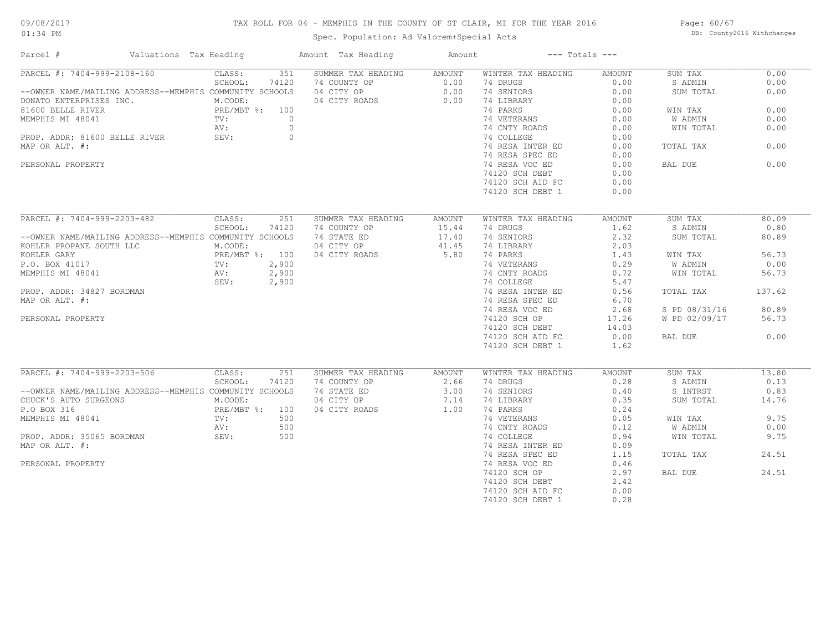## TAX ROLL FOR 04 - MEMPHIS IN THE COUNTY OF ST CLAIR, MI FOR THE YEAR 2016

Spec. Population: Ad Valorem+Special Acts

Page: 60/67 DB: County2016 Withchanges

| Parcel #<br>Valuations Tax Heading                      |                       | Amount Tax Heading                                         | Amount | $---$ Totals $---$ |        |               |        |
|---------------------------------------------------------|-----------------------|------------------------------------------------------------|--------|--------------------|--------|---------------|--------|
| PARCEL #: 7404-999-2108-160                             | 351<br>CLASS:         | SUMMER TAX HEADING                                         | AMOUNT | WINTER TAX HEADING | AMOUNT | SUM TAX       | 0.00   |
|                                                         | SCHOOL:<br>74120      | 74 COUNTY OP 0.00<br>04 CITY OP 0.00<br>04 CITY ROADS 0.00 |        | 74 DRUGS           | 0.00   | S ADMIN       | 0.00   |
| --OWNER NAME/MAILING ADDRESS--MEMPHIS COMMUNITY SCHOOLS |                       |                                                            |        | 74 SENIORS         | 0.00   | SUM TOTAL     | 0.00   |
| DONATO ENTERPRISES INC.<br>81600 BELLE RIVER            | M.CODE:               |                                                            |        | 74 LIBRARY         | 0.00   |               |        |
|                                                         | PRE/MBT %: 100        |                                                            |        | 74 PARKS           | 0.00   | WIN TAX       | 0.00   |
| TV:<br>MEMPHIS MI 48041                                 | $\overline{0}$        |                                                            |        | 74 VETERANS        | 0.00   | W ADMIN       | 0.00   |
|                                                         | $\overline{0}$<br>AV: |                                                            |        | 74 CNTY ROADS      | 0.00   | WIN TOTAL     | 0.00   |
| PROP. ADDR: 81600 BELLE RIVER SEV:                      | $\overline{0}$        |                                                            |        | 74 COLLEGE         | 0.00   |               |        |
| MAP OR ALT. #:                                          |                       |                                                            |        | 74 RESA INTER ED   | 0.00   | TOTAL TAX     | 0.00   |
|                                                         |                       |                                                            |        | 74 RESA SPEC ED    | 0.00   |               |        |
| PERSONAL PROPERTY                                       |                       |                                                            |        | 74 RESA VOC ED     | 0.00   | BAL DUE       | 0.00   |
|                                                         |                       |                                                            |        | 74120 SCH DEBT     | 0.00   |               |        |
|                                                         |                       |                                                            |        | 74120 SCH AID FC   | 0.00   |               |        |
|                                                         |                       |                                                            |        |                    |        |               |        |
|                                                         |                       |                                                            |        | 74120 SCH DEBT 1   | 0.00   |               |        |
| PARCEL #: 7404-999-2203-482 CLASS:                      | 251                   | SUMMER TAX HEADING                                         | AMOUNT | WINTER TAX HEADING | AMOUNT | SUM TAX       | 80.09  |
|                                                         | SCHOOL:<br>74120      | 74 COUNTY OP                                               | 15.44  | 74 DRUGS           | 1.62   | S ADMIN       | 0.80   |
| --OWNER NAME/MAILING ADDRESS--MEMPHIS COMMUNITY SCHOOLS |                       | 74 STATE ED                                                | 17.40  | 74 SENIORS         | 2.32   | SUM TOTAL     | 80.89  |
|                                                         |                       | 04 CITY OP                                                 | 41.45  | 74 LIBRARY         | 2.03   |               |        |
|                                                         |                       | 04 CITY ROADS                                              | 5.80   | 74 PARKS           | 1.43   | WIN TAX       | 56.73  |
|                                                         |                       |                                                            |        | 74 VETERANS        | 0.29   | W ADMIN       | 0.00   |
|                                                         |                       |                                                            |        |                    |        |               |        |
|                                                         |                       |                                                            |        | 74 CNTY ROADS      | 0.72   | WIN TOTAL     | 56.73  |
|                                                         | SEV: 2,900            |                                                            |        | 74 COLLEGE         | 5.47   |               |        |
| PROP. ADDR: 34827 BORDMAN                               |                       |                                                            |        | 74 RESA INTER ED   | 0.56   | TOTAL TAX     | 137.62 |
| MAP OR ALT. #:                                          |                       |                                                            |        | 74 RESA SPEC ED    | 6.70   |               |        |
|                                                         |                       |                                                            |        | 74 RESA VOC ED     | 2.68   | S PD 08/31/16 | 80.89  |
| PERSONAL PROPERTY                                       |                       |                                                            |        | 74120 SCH OP       | 17.26  | W PD 02/09/17 | 56.73  |
|                                                         |                       |                                                            |        | 74120 SCH DEBT     | 14.03  |               |        |
|                                                         |                       |                                                            |        | 74120 SCH AID FC   | 0.00   | BAL DUE       | 0.00   |
|                                                         |                       |                                                            |        | 74120 SCH DEBT 1   | 1.62   |               |        |
|                                                         |                       |                                                            |        |                    |        |               |        |
| PARCEL #: 7404-999-2203-506 CLASS:                      | 251                   | SUMMER TAX HEADING                                         | AMOUNT | WINTER TAX HEADING | AMOUNT | SUM TAX       | 13.80  |
|                                                         | SCHOOL:<br>74120      | 74 COUNTY OP                                               | 2.66   | 74 DRUGS           | 0.28   | S ADMIN       | 0.13   |
| --OWNER NAME/MAILING ADDRESS--MEMPHIS COMMUNITY SCHOOLS |                       | 74 STATE ED                                                | 3.00   | 74 SENIORS         | 0.40   | S INTRST      | 0.83   |
| CHUCK'S AUTO SURGEONS                                   | M.CODE:               | 04 CITY OP                                                 | 7.14   | 74 LIBRARY         | 0.35   | SUM TOTAL     | 14.76  |
| P.O BOX 316                                             | PRE/MBT %: 100        | 04 CITY ROADS                                              | 1.00   | 74 PARKS           | 0.24   |               |        |
| MEMPHIS MI 48041                                        | 500<br>TV:            |                                                            |        | 74 VETERANS        | 0.05   | WIN TAX       | 9.75   |
|                                                         | AV:<br>500            |                                                            |        | 74 CNTY ROADS      | 0.12   | W ADMIN       | 0.00   |
| PROP. ADDR: 35065 BORDMAN SEV:                          | 500                   |                                                            |        | 74 COLLEGE         | 0.94   | WIN TOTAL     | 9.75   |
| MAP OR ALT. #:                                          |                       |                                                            |        | 74 RESA INTER ED   | 0.09   |               |        |
|                                                         |                       |                                                            |        | 74 RESA SPEC ED    | 1.15   | TOTAL TAX     | 24.51  |
| PERSONAL PROPERTY                                       |                       |                                                            |        | 74 RESA VOC ED     | 0.46   |               |        |
|                                                         |                       |                                                            |        | 74120 SCH OP       | 2.97   | BAL DUE       | 24.51  |
|                                                         |                       |                                                            |        | 74120 SCH DEBT     | 2.42   |               |        |
|                                                         |                       |                                                            |        | 74120 SCH AID FC   | 0.00   |               |        |
|                                                         |                       |                                                            |        | 74120 SCH DEBT 1   | 0.28   |               |        |
|                                                         |                       |                                                            |        |                    |        |               |        |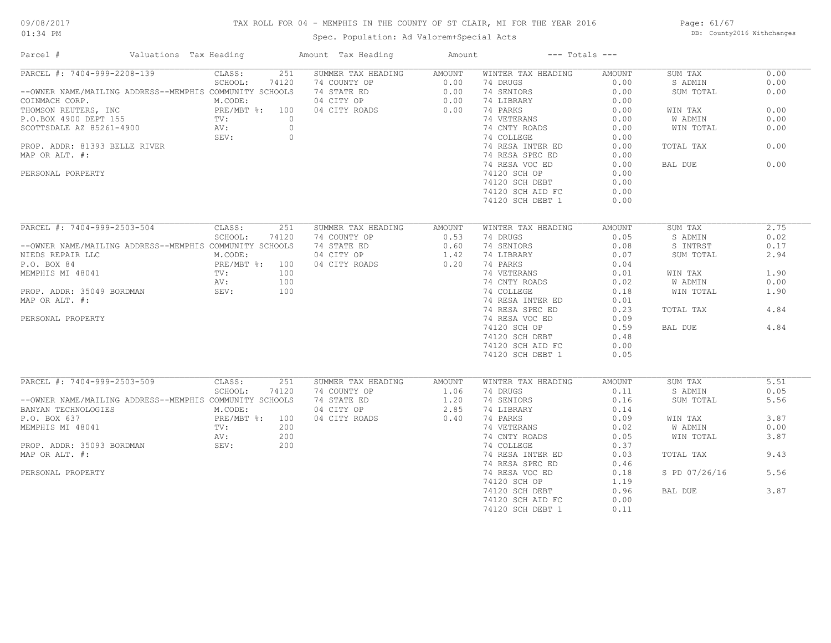## 09/08/2017

#### 01:34 PM

# TAX ROLL FOR 04 - MEMPHIS IN THE COUNTY OF ST CLAIR, MI FOR THE YEAR 2016

Page: 61/67 DB: County2016 Withchanges

Spec. Population: Ad Valorem+Special Acts

| Valuations Tax Heading<br>Parcel #                                                                                 |                                      | Amount Tax Heading                             | Amount           | $---$ Totals $---$ |               |                |      |
|--------------------------------------------------------------------------------------------------------------------|--------------------------------------|------------------------------------------------|------------------|--------------------|---------------|----------------|------|
| PARCEL #: 7404-999-2208-139                                                                                        | CLASS:<br>251                        | SUMMER TAX HEADING                             | AMOUNT           | WINTER TAX HEADING | AMOUNT        | SUM TAX        | 0.00 |
|                                                                                                                    | SCHOOL:<br>74120                     | 74 COUNTY OP                                   |                  | 74 DRUGS           | 0.00          | S ADMIN        | 0.00 |
| --OWNER NAME/MAILING ADDRESS--MEMPHIS COMMUNITY SCHOOLS                                                            |                                      | 74 STATE ED                                    | $0.00$<br>$0.00$ | 74 SENIORS         | 0.00          | SUM TOTAL      | 0.00 |
| -COINMACH CORP.<br>THOMSON REUTERS, INC<br>P.O.BOX 4900 DEPT 155 TV: 0<br>SCOTTSDALE AZ 85261-4900 AV: 0<br>SEV: 0 |                                      | $0.00$<br>$0.00$<br>$0.00$<br>$0.00$<br>$0.00$ |                  | 74 LIBRARY         | 0.00          |                |      |
|                                                                                                                    |                                      |                                                |                  | 74 PARKS           | 0.00          | WIN TAX        | 0.00 |
|                                                                                                                    |                                      |                                                |                  | 74 VETERANS        | 0.00          | W ADMIN        | 0.00 |
|                                                                                                                    |                                      |                                                |                  | 74 CNTY ROADS      | 0.00          | WIN TOTAL      | 0.00 |
|                                                                                                                    |                                      |                                                |                  | 74 COLLEGE         | 0.00          |                |      |
| PROP. ADDR: 81393 BELLE RIVER                                                                                      |                                      |                                                |                  | 74 RESA INTER ED   | 0.00          | TOTAL TAX      | 0.00 |
| MAP OR ALT. #:                                                                                                     |                                      |                                                |                  | 74 RESA SPEC ED    | 0.00          |                |      |
|                                                                                                                    |                                      |                                                |                  | 74 RESA VOC ED     | 0.00          | BAL DUE        | 0.00 |
|                                                                                                                    |                                      |                                                |                  |                    |               |                |      |
| PERSONAL PORPERTY                                                                                                  |                                      |                                                |                  | 74120 SCH OP       | 0.00          |                |      |
|                                                                                                                    |                                      |                                                |                  | 74120 SCH DEBT     | 0.00          |                |      |
|                                                                                                                    |                                      |                                                |                  | 74120 SCH AID FC   | 0.00          |                |      |
|                                                                                                                    |                                      |                                                |                  | 74120 SCH DEBT 1   | 0.00          |                |      |
|                                                                                                                    |                                      |                                                |                  |                    |               |                |      |
| PARCEL #: 7404-999-2503-504                                                                                        | CLASS:<br>251                        | SUMMER TAX HEADING                             | AMOUNT           | WINTER TAX HEADING | AMOUNT        | SUM TAX        | 2.75 |
|                                                                                                                    | SCHOOL:<br>74120                     | 74 COUNTY OP                                   | 0.53             | 74 DRUGS           | 0.05          | S ADMIN        | 0.02 |
| --OWNER NAME/MAILING ADDRESS--MEMPHIS COMMUNITY SCHOOLS                                                            |                                      | 74 STATE ED                                    | 0.60             | 74 SENIORS         | 0.08          | S INTRST       | 0.17 |
| NIEDS REPAIR LLC                                                                                                   | M.CODE:                              | 04 CITY OP                                     | 1.42             | 74 LIBRARY         | 0.07          | SUM TOTAL      | 2.94 |
| P.O. BOX 84                                                                                                        | PRE/MBT %: 100<br>TV: 100<br>NV: 100 | 04 CITY ROADS                                  | 0.20             | 74 PARKS           | 0.04          |                |      |
| MEMPHIS MI 48041                                                                                                   |                                      |                                                |                  | 74 VETERANS        | 0.01          | WIN TAX        | 1.90 |
|                                                                                                                    | AV:<br>100                           |                                                |                  | 74 CNTY ROADS      | 0.02          | W ADMIN        | 0.00 |
| PROP. ADDR: 35049 BORDMAN                                                                                          | SEV:<br>100                          |                                                |                  | 74 COLLEGE         | 0.18          | WIN TOTAL      | 1.90 |
| MAP OR ALT. #:                                                                                                     |                                      |                                                |                  | 74 RESA INTER ED   | 0.01          |                |      |
|                                                                                                                    |                                      |                                                |                  | 74 RESA SPEC ED    | 0.23          | TOTAL TAX      | 4.84 |
| PERSONAL PROPERTY                                                                                                  |                                      |                                                |                  | 74 RESA VOC ED     | 0.09          |                |      |
|                                                                                                                    |                                      |                                                |                  | 74120 SCH OP       | 0.59          | BAL DUE        | 4.84 |
|                                                                                                                    |                                      |                                                |                  | 74120 SCH DEBT     | 0.48          |                |      |
|                                                                                                                    |                                      |                                                |                  | 74120 SCH AID FC   | 0.00          |                |      |
|                                                                                                                    |                                      |                                                |                  | 74120 SCH DEBT 1   | 0.05          |                |      |
|                                                                                                                    |                                      |                                                |                  |                    |               |                |      |
| PARCEL #: 7404-999-2503-509                                                                                        | CLASS:<br>251                        | SUMMER TAX HEADING                             | AMOUNT           | WINTER TAX HEADING | <b>AMOUNT</b> | SUM TAX        | 5.51 |
|                                                                                                                    | SCHOOL:<br>74120                     | 74 COUNTY OP                                   | 1.06             | 74 DRUGS           | $\sim$ 0.11   | S ADMIN        | 0.05 |
| --OWNER NAME/MAILING ADDRESS--MEMPHIS COMMUNITY SCHOOLS                                                            |                                      | 74 STATE ED                                    | 1.20             | 74 SENIORS         | 0.16          | SUM TOTAL      | 5.56 |
| BANYAN TECHNOLOGIES                                                                                                | M.CODE:                              | 04 CITY OP                                     | 2.85             | 74 LIBRARY         | 0.14          |                |      |
| $\frac{1}{2}$ . The set of $\frac{1}{2}$ is the set of $\frac{1}{2}$<br>P.O. BOX 637                               | PRE/MBT %: 100                       | 04 CITY ROADS                                  | 0.40             | 74 PARKS           | 0.09          | WIN TAX        | 3.87 |
| MEMPHIS MI 48041                                                                                                   | 200<br>TV:                           |                                                |                  | 74 VETERANS        | 0.02          | <b>W ADMIN</b> | 0.00 |
|                                                                                                                    | 200<br>AV:                           |                                                |                  | 74 CNTY ROADS      | 0.05          | WIN TOTAL      | 3.87 |
|                                                                                                                    | SEV:                                 |                                                |                  |                    |               |                |      |
| PROP. ADDR: 35093 BORDMAN                                                                                          | 200                                  |                                                |                  | 74 COLLEGE         | 0.37          |                |      |
| MAP OR ALT. #:                                                                                                     |                                      |                                                |                  | 74 RESA INTER ED   | 0.03          | TOTAL TAX      | 9.43 |
|                                                                                                                    |                                      |                                                |                  | 74 RESA SPEC ED    | 0.46          |                |      |
| PERSONAL PROPERTY                                                                                                  |                                      |                                                |                  | 74 RESA VOC ED     | 0.18          | S PD 07/26/16  | 5.56 |
|                                                                                                                    |                                      |                                                |                  | 74120 SCH OP       | 1.19          |                |      |
|                                                                                                                    |                                      |                                                |                  | 74120 SCH DEBT     | 0.96          | BAL DUE        | 3.87 |
|                                                                                                                    |                                      |                                                |                  | 74120 SCH AID FC   | 0.00          |                |      |
|                                                                                                                    |                                      |                                                |                  | 74120 SCH DEBT 1   | 0.11          |                |      |
|                                                                                                                    |                                      |                                                |                  |                    |               |                |      |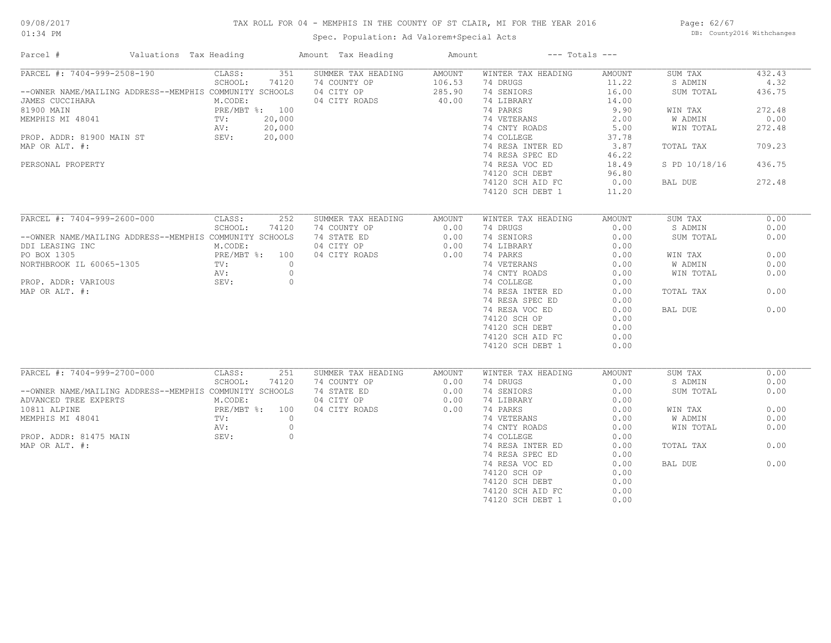## TAX ROLL FOR 04 - MEMPHIS IN THE COUNTY OF ST CLAIR, MI FOR THE YEAR 2016

Spec. Population: Ad Valorem+Special Acts

Page: 62/67 DB: County2016 Withchanges

| Parcel #                                                | Valuations Tax Heading |                   |         | Amount Tax Heading          | Amount       |                        | $---$ Totals $---$ |                      |        |
|---------------------------------------------------------|------------------------|-------------------|---------|-----------------------------|--------------|------------------------|--------------------|----------------------|--------|
| PARCEL #: 7404-999-2508-190                             |                        | CLASS:            | 351     | SUMMER TAX HEADING          | AMOUNT       | WINTER TAX HEADING     | AMOUNT             | SUM TAX              | 432.43 |
|                                                         |                        | SCHOOL:           | 74120   | 74 COUNTY OP                | 106.53       | 74 DRUGS               | 11.22              | S ADMIN              | 4.32   |
| --OWNER NAME/MAILING ADDRESS--MEMPHIS COMMUNITY SCHOOLS |                        |                   |         | 04 CITY OP                  | 285.90       | 74 SENIORS             | 16.00              | SUM TOTAL            | 436.75 |
| JAMES CUCCIHARA                                         |                        | M.CODE:           |         | 04 CITY ROADS               | 40.00        | 74 LIBRARY             | 14.00              |                      |        |
| 81900 MAIN                                              |                        | PRE/MBT %: 100    |         |                             |              | 74 PARKS               | 9.90               | WIN TAX              | 272.48 |
| MEMPHIS MI 48041                                        |                        | $\text{TV}$ :     | 20,000  |                             |              | 74 VETERANS            | 2.00               | W ADMIN              | 0.00   |
|                                                         |                        | AV:               | 20,000  |                             |              | 74 CNTY ROADS          | 5.00               | WIN TOTAL            | 272.48 |
| PROP. ADDR: 81900 MAIN ST                               | SEV:                   |                   | 20,000  |                             |              | 74 COLLEGE             | 37.78              |                      |        |
| MAP OR ALT. #:                                          |                        |                   |         |                             |              | 74 RESA INTER ED       | 3.87               | TOTAL TAX            | 709.23 |
|                                                         |                        |                   |         |                             |              | 74 RESA SPEC ED        | 46.22              |                      |        |
| PERSONAL PROPERTY                                       |                        |                   |         |                             |              | 74 RESA VOC ED         | 18.49              | S PD 10/18/16        | 436.75 |
|                                                         |                        |                   |         |                             |              | 74120 SCH DEBT         | 96.80              |                      |        |
|                                                         |                        |                   |         |                             |              | 74120 SCH AID FC       | 0.00               | BAL DUE              | 272.48 |
|                                                         |                        |                   |         |                             |              | 74120 SCH DEBT 1       | 11.20              |                      |        |
|                                                         |                        |                   |         |                             |              |                        |                    |                      |        |
| PARCEL #: 7404-999-2600-000                             |                        | CLASS:            | 252     | SUMMER TAX HEADING          | AMOUNT       | WINTER TAX HEADING     | AMOUNT             | SUM TAX              | 0.00   |
|                                                         |                        | SCHOOL:           | 74120   | 74 COUNTY OP                | 0.00         | 74 DRUGS               | 0.00               | S ADMIN              | 0.00   |
| --OWNER NAME/MAILING ADDRESS--MEMPHIS COMMUNITY SCHOOLS |                        |                   |         | 74 STATE ED                 | 0.00         | 74 SENIORS             | 0.00               | SUM TOTAL            | 0.00   |
| DDI LEASING INC                                         |                        | M.CODE:           |         | 04 CITY OP                  | 0.00         | 74 LIBRARY             | 0.00               |                      |        |
| PO BOX 1305                                             |                        | PRE/MBT %: 100    |         | 04 CITY ROADS               | 0.00         | 74 PARKS               | 0.00               | WIN TAX              | 0.00   |
| NORTHBROOK IL 60065-1305                                |                        | TV:               | $\circ$ |                             |              | 74 VETERANS            | 0.00               | W ADMIN              | 0.00   |
|                                                         |                        | AV:               | $\circ$ |                             |              | 74 CNTY ROADS          | 0.00               | WIN TOTAL            | 0.00   |
| PROP. ADDR: VARIOUS                                     |                        | SEV:              | $\circ$ |                             |              | 74 COLLEGE             | 0.00               |                      |        |
| MAP OR ALT. #:                                          |                        |                   |         |                             |              | 74 RESA INTER ED       | 0.00               | TOTAL TAX            | 0.00   |
|                                                         |                        |                   |         |                             |              | 74 RESA SPEC ED        | 0.00               |                      |        |
|                                                         |                        |                   |         |                             |              |                        |                    |                      | 0.00   |
|                                                         |                        |                   |         |                             |              | 74 RESA VOC ED         | 0.00               | BAL DUE              |        |
|                                                         |                        |                   |         |                             |              | 74120 SCH OP           | 0.00               |                      |        |
|                                                         |                        |                   |         |                             |              | 74120 SCH DEBT         | 0.00               |                      |        |
|                                                         |                        |                   |         |                             |              | 74120 SCH AID FC       | 0.00               |                      |        |
|                                                         |                        |                   |         |                             |              | 74120 SCH DEBT 1       | 0.00               |                      |        |
| PARCEL #: 7404-999-2700-000                             |                        |                   | 251     |                             |              |                        |                    |                      | 0.00   |
|                                                         |                        | CLASS:<br>SCHOOL: |         | SUMMER TAX HEADING          | AMOUNT       | WINTER TAX HEADING     | AMOUNT<br>0.00     | SUM TAX              | 0.00   |
| --OWNER NAME/MAILING ADDRESS--MEMPHIS COMMUNITY SCHOOLS |                        |                   | 74120   | 74 COUNTY OP<br>74 STATE ED | 0.00<br>0.00 | 74 DRUGS<br>74 SENIORS | 0.00               | S ADMIN<br>SUM TOTAL | 0.00   |
|                                                         |                        | M.CODE:           |         | 04 CITY OP                  | 0.00         |                        | 0.00               |                      |        |
| ADVANCED TREE EXPERTS                                   |                        | PRE/MBT %: 100    |         |                             |              | 74 LIBRARY             |                    |                      | 0.00   |
| 10811 ALPINE                                            |                        |                   |         | 04 CITY ROADS               | 0.00         | 74 PARKS               | 0.00               | WIN TAX              |        |
| MEMPHIS MI 48041                                        |                        | TV:               | $\circ$ |                             |              | 74 VETERANS            | 0.00               | W ADMIN              | 0.00   |
|                                                         |                        | AV:               | $\circ$ |                             |              | 74 CNTY ROADS          | 0.00               | WIN TOTAL            | 0.00   |
| PROP. ADDR: 81475 MAIN                                  |                        | SEV:              | $\circ$ |                             |              | 74 COLLEGE             | 0.00               |                      |        |
| MAP OR ALT. #:                                          |                        |                   |         |                             |              | 74 RESA INTER ED       | 0.00               | TOTAL TAX            | 0.00   |
|                                                         |                        |                   |         |                             |              | 74 RESA SPEC ED        | 0.00               |                      |        |
|                                                         |                        |                   |         |                             |              | 74 RESA VOC ED         | 0.00               | BAL DUE              | 0.00   |
|                                                         |                        |                   |         |                             |              | 74120 SCH OP           | 0.00               |                      |        |
|                                                         |                        |                   |         |                             |              | 74120 SCH DEBT         | 0.00               |                      |        |
|                                                         |                        |                   |         |                             |              | 74120 SCH AID FC       | 0.00               |                      |        |
|                                                         |                        |                   |         |                             |              | 74120 SCH DEBT 1       | 0.00               |                      |        |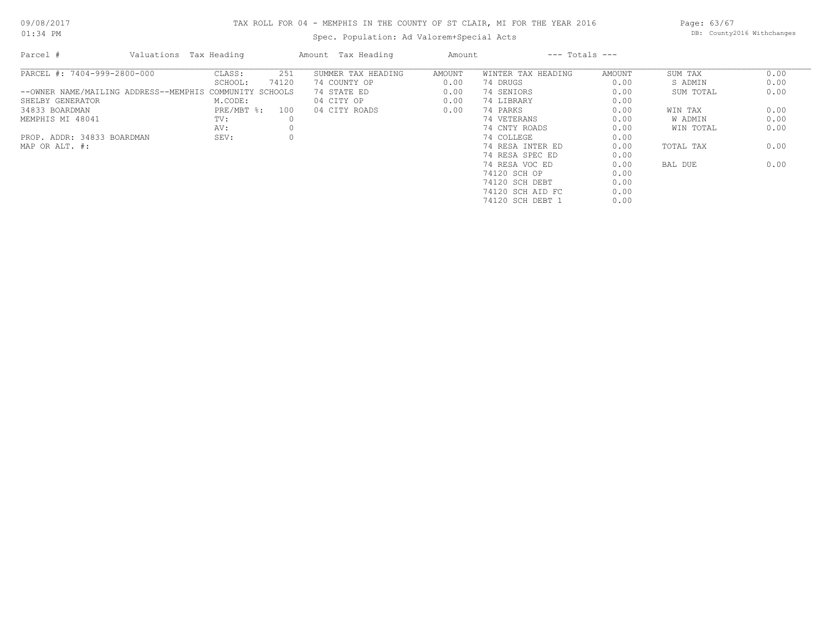## TAX ROLL FOR 04 - MEMPHIS IN THE COUNTY OF ST CLAIR, MI FOR THE YEAR 2016

Spec. Population: Ad Valorem+Special Acts

Page: 63/67 DB: County2016 Withchanges

| Parcel #                    | Valuations Tax Heading                                  |              |       | Amount Tax Heading | Amount |                    | $---$ Totals $---$ |           |      |
|-----------------------------|---------------------------------------------------------|--------------|-------|--------------------|--------|--------------------|--------------------|-----------|------|
| PARCEL #: 7404-999-2800-000 |                                                         | CLASS:       | 251   | SUMMER TAX HEADING | AMOUNT | WINTER TAX HEADING | AMOUNT             | SUM TAX   | 0.00 |
|                             |                                                         | SCHOOL:      | 74120 | 74 COUNTY OP       | 0.00   | 74 DRUGS           | 0.00               | S ADMIN   | 0.00 |
|                             | --OWNER NAME/MAILING ADDRESS--MEMPHIS COMMUNITY SCHOOLS |              |       | 74 STATE ED        | 0.00   | 74 SENIORS         | 0.00               | SUM TOTAL | 0.00 |
| SHELBY GENERATOR            |                                                         | M.CODE:      |       | 04 CITY OP         | 0.00   | 74 LIBRARY         | 0.00               |           |      |
| 34833 BOARDMAN              |                                                         | $PRE/MBT$ %: | 100   | 04 CITY ROADS      | 0.00   | 74 PARKS           | 0.00               | WIN TAX   | 0.00 |
| MEMPHIS MI 48041            |                                                         | TV:          |       |                    |        | 74 VETERANS        | 0.00               | W ADMIN   | 0.00 |
|                             |                                                         | AV:          |       |                    |        | 74 CNTY ROADS      | 0.00               | WIN TOTAL | 0.00 |
| PROP. ADDR: 34833 BOARDMAN  |                                                         | SEV:         |       |                    |        | 74 COLLEGE         | 0.00               |           |      |
| MAP OR ALT. #:              |                                                         |              |       |                    |        | 74 RESA INTER ED   | 0.00               | TOTAL TAX | 0.00 |
|                             |                                                         |              |       |                    |        | 74 RESA SPEC ED    | 0.00               |           |      |
|                             |                                                         |              |       |                    |        | 74 RESA VOC ED     | 0.00               | BAL DUE   | 0.00 |
|                             |                                                         |              |       |                    |        | 74120 SCH OP       | 0.00               |           |      |
|                             |                                                         |              |       |                    |        | 74120 SCH DEBT     | 0.00               |           |      |
|                             |                                                         |              |       |                    |        | 74120 SCH AID FC   | 0.00               |           |      |
|                             |                                                         |              |       |                    |        | 74120 SCH DEBT 1   | 0.00               |           |      |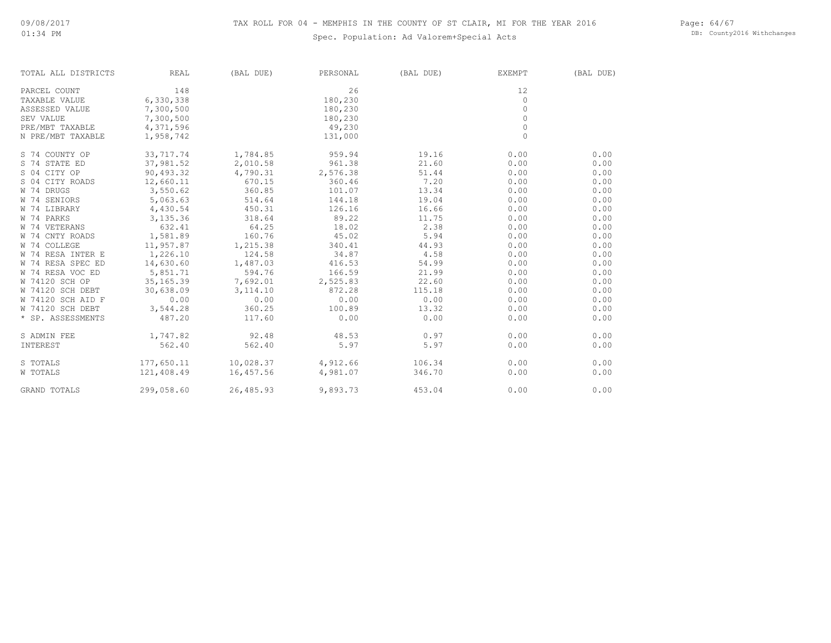Page: 64/67 DB: County2016 Withchanges

| TOTAL ALL DISTRICTS | <b>REAL</b> | (BAL DUE) | PERSONAL | (BAL DUE) | EXEMPT      | (BAL DUE) |
|---------------------|-------------|-----------|----------|-----------|-------------|-----------|
| PARCEL COUNT        | 148         |           | 26       |           | 12          |           |
| TAXABLE VALUE       | 6,330,338   |           | 180,230  |           | 0           |           |
| ASSESSED VALUE      | 7,300,500   |           | 180,230  |           | $\circ$     |           |
| SEV VALUE           | 7,300,500   |           | 180,230  |           | $\circ$     |           |
| PRE/MBT TAXABLE     | 4,371,596   |           | 49,230   |           | $\circ$     |           |
| N PRE/MBT TAXABLE   | 1,958,742   |           | 131,000  |           | $\mathbf 0$ |           |
| S 74 COUNTY OP      | 33,717.74   | 1,784.85  | 959.94   | 19.16     | 0.00        | 0.00      |
| S 74 STATE ED       | 37,981.52   | 2,010.58  | 961.38   | 21.60     | 0.00        | 0.00      |
| S 04 CITY OP        | 90,493.32   | 4,790.31  | 2,576.38 | 51.44     | 0.00        | 0.00      |
| S 04 CITY ROADS     | 12,660.11   | 670.15    | 360.46   | 7.20      | 0.00        | 0.00      |
| W 74 DRUGS          | 3,550.62    | 360.85    | 101.07   | 13.34     | 0.00        | 0.00      |
| W 74 SENIORS        | 5,063.63    | 514.64    | 144.18   | 19.04     | 0.00        | 0.00      |
| W 74 LIBRARY        | 4,430.54    | 450.31    | 126.16   | 16.66     | 0.00        | 0.00      |
| W 74 PARKS          | 3,135.36    | 318.64    | 89.22    | 11.75     | 0.00        | 0.00      |
| W 74 VETERANS       | 632.41      | 64.25     | 18.02    | 2.38      | 0.00        | 0.00      |
| W 74 CNTY ROADS     | 1,581.89    | 160.76    | 45.02    | 5.94      | 0.00        | 0.00      |
| W 74 COLLEGE        | 11,957.87   | 1,215.38  | 340.41   | 44.93     | 0.00        | 0.00      |
| W 74 RESA INTER E   | 1,226.10    | 124.58    | 34.87    | 4.58      | 0.00        | 0.00      |
| W 74 RESA SPEC ED   | 14,630.60   | 1,487.03  | 416.53   | 54.99     | 0.00        | 0.00      |
| W 74 RESA VOC ED    | 5,851.71    | 594.76    | 166.59   | 21.99     | 0.00        | 0.00      |
| W 74120 SCH OP      | 35, 165.39  | 7,692.01  | 2,525.83 | 22.60     | 0.00        | 0.00      |
| W 74120 SCH DEBT    | 30,638.09   | 3, 114.10 | 872.28   | 115.18    | 0.00        | 0.00      |
| W 74120 SCH AID F   | 0.00        | 0.00      | 0.00     | 0.00      | 0.00        | 0.00      |
| W 74120 SCH DEBT    | 3,544.28    | 360.25    | 100.89   | 13.32     | 0.00        | 0.00      |
| * SP. ASSESSMENTS   | 487.20      | 117.60    | 0.00     | 0.00      | 0.00        | 0.00      |
| S ADMIN FEE         | 1,747.82    | 92.48     | 48.53    | 0.97      | 0.00        | 0.00      |
| INTEREST            | 562.40      | 562.40    | 5.97     | 5.97      | 0.00        | 0.00      |
| S TOTALS            | 177,650.11  | 10,028.37 | 4,912.66 | 106.34    | 0.00        | 0.00      |
| <b>W TOTALS</b>     | 121,408.49  | 16,457.56 | 4,981.07 | 346.70    | 0.00        | 0.00      |
| <b>GRAND TOTALS</b> | 299,058.60  | 26,485.93 | 9,893.73 | 453.04    | 0.00        | 0.00      |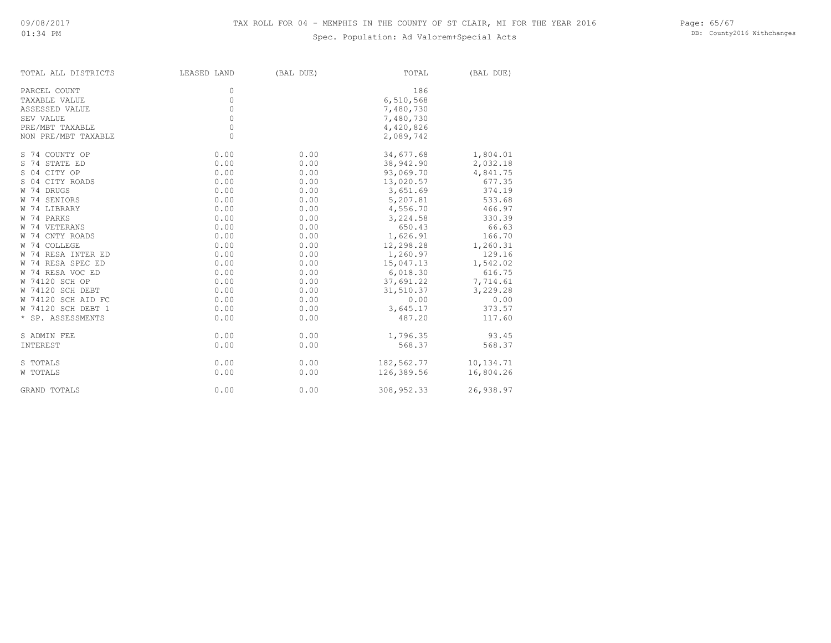| TOTAL ALL DISTRICTS | LEASED LAND | (BAL DUE) | TOTAL      | (BAL DUE) |
|---------------------|-------------|-----------|------------|-----------|
| PARCEL COUNT        | 0           |           | 186        |           |
| TAXABLE VALUE       | $\circ$     |           | 6,510,568  |           |
| ASSESSED VALUE      | $\circ$     |           | 7,480,730  |           |
| SEV VALUE           | $\circ$     |           | 7,480,730  |           |
| PRE/MBT TAXABLE     | $\circ$     |           | 4,420,826  |           |
| NON PRE/MBT TAXABLE | $\Omega$    |           | 2,089,742  |           |
| S 74 COUNTY OP      | 0.00        | 0.00      | 34,677.68  | 1,804.01  |
| S 74 STATE ED       | 0.00        | 0.00      | 38,942.90  | 2,032.18  |
| S 04 CITY OP        | 0.00        | 0.00      | 93,069.70  | 4,841.75  |
| S 04 CITY ROADS     | 0.00        | 0.00      | 13,020.57  | 677.35    |
| W 74 DRUGS          | 0.00        | 0.00      | 3,651.69   | 374.19    |
| W 74 SENIORS        | 0.00        | 0.00      | 5,207.81   | 533.68    |
| W 74 LIBRARY        | 0.00        | 0.00      | 4,556.70   | 466.97    |
| W 74 PARKS          | 0.00        | 0.00      | 3,224.58   | 330.39    |
| W 74 VETERANS       | 0.00        | 0.00      | 650.43     | 66.63     |
| W 74 CNTY ROADS     | 0.00        | 0.00      | 1,626.91   | 166.70    |
| W 74 COLLEGE        | 0.00        | 0.00      | 12,298.28  | 1,260.31  |
| W 74 RESA INTER ED  | 0.00        | 0.00      | 1,260.97   | 129.16    |
| W 74 RESA SPEC ED   | 0.00        | 0.00      | 15,047.13  | 1,542.02  |
| W 74 RESA VOC ED    | 0.00        | 0.00      | 6,018.30   | 616.75    |
| W 74120 SCH OP      | 0.00        | 0.00      | 37,691.22  | 7,714.61  |
| W 74120 SCH DEBT    | 0.00        | 0.00      | 31,510.37  | 3,229.28  |
| W 74120 SCH AID FC  | 0.00        | 0.00      | 0.00       | 0.00      |
| W 74120 SCH DEBT 1  | 0.00        | 0.00      | 3,645.17   | 373.57    |
| * SP. ASSESSMENTS   | 0.00        | 0.00      | 487.20     | 117.60    |
| S ADMIN FEE         | 0.00        | 0.00      | 1,796.35   | 93.45     |
| INTEREST            | 0.00        | 0.00      | 568.37     | 568.37    |
| S TOTALS            | 0.00        | 0.00      | 182,562.77 | 10,134.71 |
| W TOTALS            | 0.00        | 0.00      | 126,389.56 | 16,804.26 |
| <b>GRAND TOTALS</b> | 0.00        | 0.00      | 308,952.33 | 26,938.97 |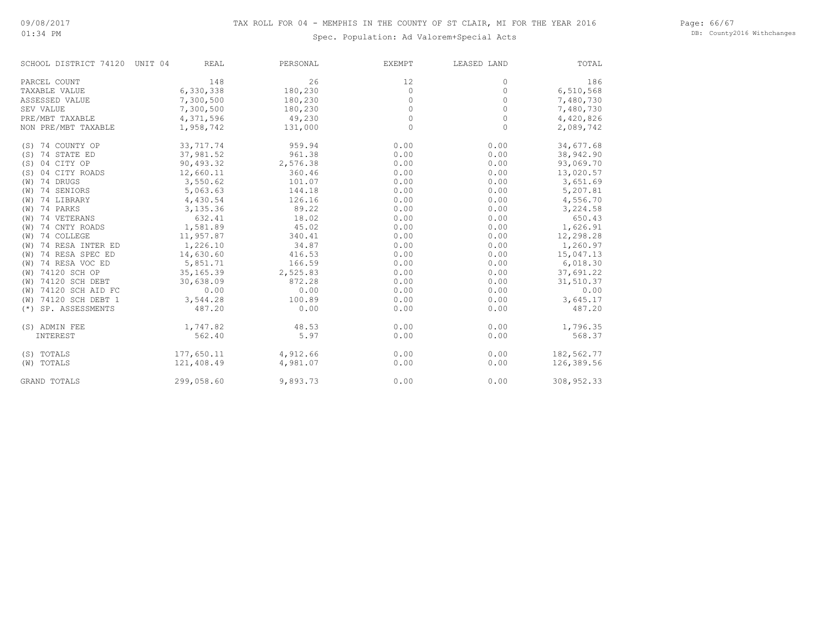Page: 66/67 DB: County2016 Withchanges

| SCHOOL DISTRICT 74120 UNIT 04 | REAL       | PERSONAL | EXEMPT  | LEASED LAND | TOTAL      |
|-------------------------------|------------|----------|---------|-------------|------------|
| PARCEL COUNT                  | 148        | 26       | 12      | $\Omega$    | 186        |
| TAXABLE VALUE                 | 6,330,338  | 180,230  | $\circ$ | $\circ$     | 6,510,568  |
| ASSESSED VALUE                | 7,300,500  | 180,230  | 0       | 0           | 7,480,730  |
| SEV VALUE                     | 7,300,500  | 180,230  | $\circ$ | $\circ$     | 7,480,730  |
| PRE/MBT TAXABLE               | 4,371,596  | 49,230   | $\circ$ | $\circ$     | 4,420,826  |
| NON PRE/MBT TAXABLE           | 1,958,742  | 131,000  | $\circ$ | $\circ$     | 2,089,742  |
| 74 COUNTY OP<br>(S)           | 33,717.74  | 959.94   | 0.00    | 0.00        | 34,677.68  |
| 74 STATE ED<br>(S)            | 37,981.52  | 961.38   | 0.00    | 0.00        | 38,942.90  |
| 04 CITY OP<br>(S)             | 90,493.32  | 2,576.38 | 0.00    | 0.00        | 93,069.70  |
| 04 CITY ROADS<br>(S)          | 12,660.11  | 360.46   | 0.00    | 0.00        | 13,020.57  |
| 74 DRUGS<br>(W)               | 3,550.62   | 101.07   | 0.00    | 0.00        | 3,651.69   |
| 74 SENIORS<br>(W)             | 5,063.63   | 144.18   | 0.00    | 0.00        | 5,207.81   |
| 74 LIBRARY<br>(W)             | 4,430.54   | 126.16   | 0.00    | 0.00        | 4,556.70   |
| 74 PARKS<br>(W)               | 3,135.36   | 89.22    | 0.00    | 0.00        | 3,224.58   |
| 74 VETERANS<br>(W)            | 632.41     | 18.02    | 0.00    | 0.00        | 650.43     |
| 74 CNTY ROADS<br>(W)          | 1,581.89   | 45.02    | 0.00    | 0.00        | 1,626.91   |
| 74 COLLEGE<br>(W)             | 11,957.87  | 340.41   | 0.00    | 0.00        | 12,298.28  |
| 74 RESA INTER ED<br>(W)       | 1,226.10   | 34.87    | 0.00    | 0.00        | 1,260.97   |
| 74 RESA SPEC ED<br>(W)        | 14,630.60  | 416.53   | 0.00    | 0.00        | 15,047.13  |
| 74 RESA VOC ED<br>(W)         | 5,851.71   | 166.59   | 0.00    | 0.00        | 6,018.30   |
| 74120 SCH OP<br>(W)           | 35, 165.39 | 2,525.83 | 0.00    | 0.00        | 37,691.22  |
| 74120 SCH DEBT<br>(W)         | 30,638.09  | 872.28   | 0.00    | 0.00        | 31,510.37  |
| 74120 SCH AID FC<br>(W)       | 0.00       | 0.00     | 0.00    | 0.00        | 0.00       |
| 74120 SCH DEBT 1<br>(W)       | 3,544.28   | 100.89   | 0.00    | 0.00        | 3,645.17   |
| SP. ASSESSMENTS<br>$(*)$      | 487.20     | 0.00     | 0.00    | 0.00        | 487.20     |
| (S) ADMIN FEE                 | 1,747.82   | 48.53    | 0.00    | 0.00        | 1,796.35   |
| INTEREST                      | 562.40     | 5.97     | 0.00    | 0.00        | 568.37     |
| (S) TOTALS                    | 177,650.11 | 4,912.66 | 0.00    | 0.00        | 182,562.77 |
| (W) TOTALS                    | 121,408.49 | 4,981.07 | 0.00    | 0.00        | 126,389.56 |
| GRAND TOTALS                  | 299,058.60 | 9,893.73 | 0.00    | 0.00        | 308,952.33 |